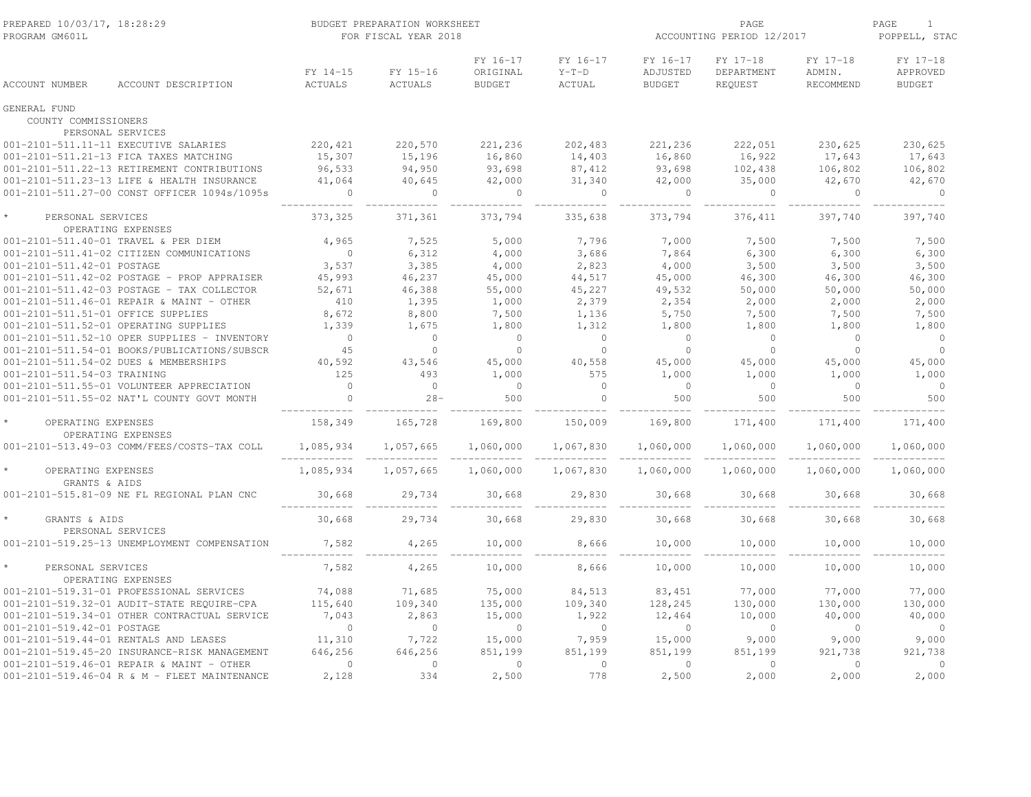| PREPARED 10/03/17, 18:28:29<br>PROGRAM GM601L |                                                                   | BUDGET PREPARATION WORKSHEET<br>FOR FISCAL YEAR 2018 |                     |                                       |                               |                                       | PAGE<br>ACCOUNTING PERIOD 12/2017 |                                 |                                       |  |
|-----------------------------------------------|-------------------------------------------------------------------|------------------------------------------------------|---------------------|---------------------------------------|-------------------------------|---------------------------------------|-----------------------------------|---------------------------------|---------------------------------------|--|
| <b>ACCOUNT NUMBER</b>                         | ACCOUNT DESCRIPTION                                               | FY 14-15<br>ACTUALS                                  | FY 15-16<br>ACTUALS | FY 16-17<br>ORIGINAL<br><b>BUDGET</b> | FY 16-17<br>$Y-T-D$<br>ACTUAL | FY 16-17<br>ADJUSTED<br><b>BUDGET</b> | FY 17-18<br>DEPARTMENT<br>REQUEST | FY 17-18<br>ADMIN.<br>RECOMMEND | FY 17-18<br>APPROVED<br><b>BUDGET</b> |  |
| GENERAL FUND<br>COUNTY COMMISSIONERS          |                                                                   |                                                      |                     |                                       |                               |                                       |                                   |                                 |                                       |  |
|                                               | PERSONAL SERVICES                                                 |                                                      |                     |                                       |                               |                                       |                                   |                                 |                                       |  |
|                                               | 001-2101-511.11-11 EXECUTIVE SALARIES                             | 220,421                                              | 220,570             | 221,236                               | 202,483                       | 221,236                               | 222,051                           | 230,625                         | 230,625                               |  |
|                                               | 001-2101-511.21-13 FICA TAXES MATCHING                            | 15,307                                               | 15,196              | 16,860                                | 14,403                        | 16,860                                | 16,922                            | 17,643                          | 17,643                                |  |
|                                               | 001-2101-511.22-13 RETIREMENT CONTRIBUTIONS                       | 96,533                                               | 94,950              | 93,698                                | 87,412                        | 93,698                                | 102,438                           | 106,802                         | 106,802                               |  |
|                                               | 001-2101-511.23-13 LIFE & HEALTH INSURANCE                        | 41,064                                               | 40,645              | 42,000                                | 31,340                        | 42,000                                | 35,000                            | 42,670                          | 42,670                                |  |
|                                               | 001-2101-511.27-00 CONST OFFICER 1094s/1095s                      | $\overline{0}$                                       | $\sim$ 0            | $\overline{0}$                        | $\circ$                       | $\overline{0}$                        | $\circ$                           | $\sim$ 0                        | $\sim$ 0                              |  |
| PERSONAL SERVICES                             | OPERATING EXPENSES                                                | 373, 325                                             | 371,361             | 373,794                               | 335,638                       | 373,794                               | 376,411                           | 397,740                         | 397,740                               |  |
|                                               | 001-2101-511.40-01 TRAVEL & PER DIEM                              | 4,965                                                | 7,525               | 5,000                                 | 7,796                         | 7,000                                 | 7,500                             | 7,500                           | 7,500                                 |  |
|                                               | 001-2101-511.41-02 CITIZEN COMMUNICATIONS                         | $\overline{0}$                                       | 6,312               | 4,000                                 | 3,686                         | 7,864                                 | 6,300                             | 6,300                           | 6,300                                 |  |
| 001-2101-511.42-01 POSTAGE                    |                                                                   | 3,537                                                | 3,385               | 4,000                                 | 2,823                         | 4,000                                 | 3,500                             | 3,500                           | 3,500                                 |  |
|                                               | 001-2101-511.42-02 POSTAGE - PROP APPRAISER                       | 45,993                                               | 46,237              | 45,000                                | 44,517                        | 45,000                                | 46,300                            | 46,300                          | 46,300                                |  |
|                                               | 001-2101-511.42-03 POSTAGE - TAX COLLECTOR                        | 52,671                                               | 46,388              | 55,000                                | 45,227                        | 49,532                                | 50,000                            | 50,000                          | 50,000                                |  |
|                                               | 001-2101-511.46-01 REPAIR & MAINT - OTHER                         | 410                                                  | 1,395               | 1,000                                 | 2,379                         | 2,354                                 | 2,000                             | 2,000                           | 2,000                                 |  |
| 001-2101-511.51-01 OFFICE SUPPLIES            |                                                                   | 8,672                                                | 8,800               | 7,500                                 | 1,136                         | 5,750                                 | 7,500                             | 7,500                           | 7,500                                 |  |
|                                               | 001-2101-511.52-01 OPERATING SUPPLIES                             | 1,339                                                | 1,675               | 1,800                                 | 1,312                         | 1,800                                 | 1,800                             | 1,800                           | 1,800                                 |  |
|                                               | 001-2101-511.52-10 OPER SUPPLIES - INVENTORY                      | $\overline{0}$                                       | $\overline{0}$      | $\overline{0}$                        | $\overline{0}$                | $\overline{0}$                        | $\overline{0}$                    | $\overline{0}$                  | $\overline{0}$                        |  |
|                                               | 001-2101-511.54-01 BOOKS/PUBLICATIONS/SUBSCR                      | 45                                                   | $\overline{0}$      | $\overline{0}$                        | $\circ$                       | $\overline{0}$                        | $\circ$                           | $\overline{0}$                  | $\overline{0}$                        |  |
|                                               | 001-2101-511.54-02 DUES & MEMBERSHIPS                             | 40,592                                               | 43,546              | 45,000                                | 40,558                        | 45,000                                | 45,000                            | 45,000                          | 45,000                                |  |
| 001-2101-511.54-03 TRAINING                   |                                                                   | 125                                                  | 493                 | 1,000                                 | 575                           | 1,000                                 | 1,000                             | 1,000                           | 1,000                                 |  |
|                                               | 001-2101-511.55-01 VOLUNTEER APPRECIATION                         | $\overline{0}$                                       | $\bigcirc$          | $\overline{0}$                        | $\bigcirc$                    | $\overline{0}$                        | $\overline{0}$                    | $\overline{0}$                  | $\overline{0}$                        |  |
|                                               | 001-2101-511.55-02 NAT'L COUNTY GOVT MONTH                        | $\bigcirc$                                           | $28-$               | 500                                   | $\circ$                       | 500                                   | 500                               | 500                             | 500                                   |  |
| OPERATING EXPENSES                            |                                                                   | 158,349                                              | 165,728             | 169,800                               | 150,009                       | 169,800                               | 171,400                           | 171,400                         | 171,400                               |  |
|                                               | OPERATING EXPENSES<br>001-2101-513.49-03 COMM/FEES/COSTS-TAX COLL | 1,085,934                                            | 1,057,665           | 1,060,000                             | 1,067,830                     | 1,060,000                             | 1,060,000                         | 1,060,000                       | 1,060,000                             |  |
|                                               |                                                                   |                                                      |                     |                                       |                               |                                       |                                   |                                 |                                       |  |
| OPERATING EXPENSES<br>GRANTS & AIDS           |                                                                   | 1,085,934                                            | 1,057,665           | 1,060,000                             | 1,067,830                     | 1,060,000                             | 1,060,000                         | 1,060,000                       | 1,060,000                             |  |
|                                               | 001-2101-515.81-09 NE FL REGIONAL PLAN CNC                        | 30,668                                               | 29,734              | 30,668                                | 29,830                        | 30,668                                | 30,668                            | 30,668                          | 30,668                                |  |
| GRANTS & AIDS                                 | PERSONAL SERVICES                                                 | 30,668                                               | 29,734              | 30,668                                | 29,830                        | 30,668                                | 30,668                            | 30,668                          | 30,668                                |  |
|                                               | 001-2101-519.25-13 UNEMPLOYMENT COMPENSATION                      | 7,582                                                | 4,265               | 10,000                                | 8,666                         | 10,000                                | 10,000                            | 10,000                          | 10,000                                |  |
| PERSONAL SERVICES                             | OPERATING EXPENSES                                                | 7,582                                                | 4,265               | 10,000                                | 8,666                         | 10,000                                | 10,000                            | 10,000                          | 10,000                                |  |
|                                               | 001-2101-519.31-01 PROFESSIONAL SERVICES 74,088                   |                                                      | 71,685              | 75,000                                | 84,513                        | 83,451                                | 77,000                            | 77,000                          | 77,000                                |  |
|                                               | 001-2101-519.32-01 AUDIT-STATE REQUIRE-CPA                        | 115,640                                              | 109,340             | 135,000                               | 109,340                       | 128,245                               | 130,000                           | 130,000                         | 130,000                               |  |
|                                               | 001-2101-519.34-01 OTHER CONTRACTUAL SERVICE                      | 7,043                                                | 2,863               | 15,000                                | 1,922                         | 12,464                                | 10,000                            | 40,000                          | 40,000                                |  |
| 001-2101-519.42-01 POSTAGE                    |                                                                   | $\overline{0}$                                       | $\overline{0}$      | $\sim$ 0                              | $\sim$ 0                      | $\overline{0}$                        | $\overline{0}$                    | $\overline{0}$                  | $\overline{0}$                        |  |
|                                               | 001-2101-519.44-01 RENTALS AND LEASES                             | 11,310                                               | 7,722               | 15,000                                | 7,959                         | 15,000                                | 9,000                             | 9,000                           | 9,000                                 |  |
|                                               | 001-2101-519.45-20 INSURANCE-RISK MANAGEMENT                      | 646,256                                              | 646,256             | 851,199                               | 851,199                       | 851,199                               | 851,199                           | 921,738                         | 921,738                               |  |
|                                               | 001-2101-519.46-01 REPAIR & MAINT - OTHER                         | $\bigcirc$                                           | $\overline{0}$      | $\overline{0}$                        | $\sim$ 0                      | $\sim$ 0                              | $\Omega$                          | $\overline{0}$                  | $\overline{0}$                        |  |
|                                               | 001-2101-519.46-04 R & M - FLEET MAINTENANCE                      | 2,128                                                | 334                 | 2,500                                 | 778                           | 2,500                                 | 2,000                             | 2,000                           | 2,000                                 |  |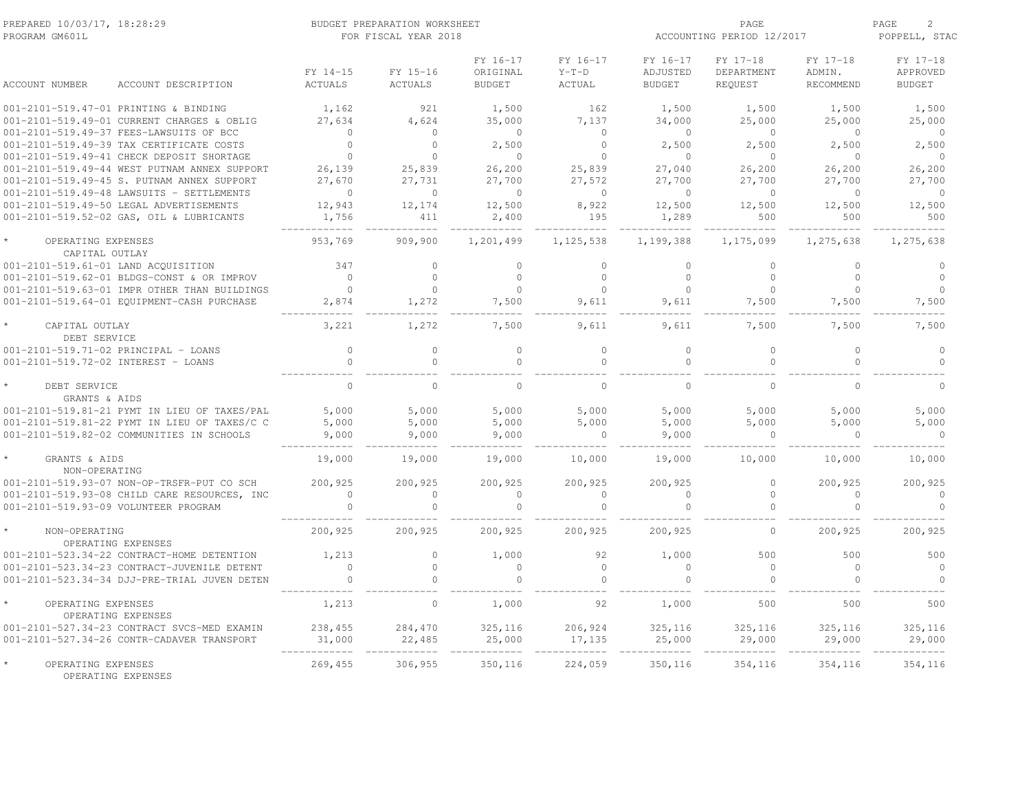| PREPARED 10/03/17, 18:28:29<br>PROGRAM GM601L |                                                                                      |                     | BUDGET PREPARATION WORKSHEET<br>PAGE<br>$\overline{c}$<br>PAGE<br>FOR FISCAL YEAR 2018<br>ACCOUNTING PERIOD 12/2017<br>POPPELL, STAC |                      |                     |                      |                        |                    |                      |
|-----------------------------------------------|--------------------------------------------------------------------------------------|---------------------|--------------------------------------------------------------------------------------------------------------------------------------|----------------------|---------------------|----------------------|------------------------|--------------------|----------------------|
|                                               |                                                                                      | FY 14-15            | FY 15-16                                                                                                                             | FY 16-17<br>ORIGINAL | FY 16-17<br>$Y-T-D$ | FY 16-17<br>ADJUSTED | FY 17-18<br>DEPARTMENT | FY 17-18<br>ADMIN. | FY 17-18<br>APPROVED |
| <b>ACCOUNT NUMBER</b>                         | ACCOUNT DESCRIPTION                                                                  | <b>ACTUALS</b>      | <b>ACTUALS</b>                                                                                                                       | <b>BUDGET</b>        | <b>ACTUAL</b>       | <b>BUDGET</b>        | REQUEST                | <b>RECOMMEND</b>   | <b>BUDGET</b>        |
|                                               | 001-2101-519.47-01 PRINTING & BINDING                                                | 1,162               | 921                                                                                                                                  | 1,500                | 162                 | 1,500                | 1,500                  | 1,500              | 1,500                |
|                                               | 001-2101-519.49-01 CURRENT CHARGES & OBLIG                                           | 27,634              | 4,624                                                                                                                                | 35,000               | 7,137               | 34,000               | 25,000                 | 25,000             | 25,000               |
|                                               | 001-2101-519.49-37 FEES-LAWSUITS OF BCC                                              | $\Omega$            | $\Omega$                                                                                                                             | $\Omega$             | $\Omega$            | $\overline{0}$       | $\Omega$               | $\Omega$           | $\Omega$             |
|                                               | 001-2101-519.49-39 TAX CERTIFICATE COSTS                                             | $\Omega$            | $\Omega$                                                                                                                             | 2,500                | $\Omega$            | 2,500                | 2,500                  | 2,500              | 2,500                |
|                                               | 001-2101-519.49-41 CHECK DEPOSIT SHORTAGE                                            | $\bigcap$           | $\Omega$                                                                                                                             | $\Omega$             | $\Omega$            | $\bigcap$            | $\Omega$               | $\Omega$           | $\Omega$             |
|                                               | 001-2101-519.49-44 WEST PUTNAM ANNEX SUPPORT                                         | 26,139              | 25,839                                                                                                                               | 26,200               | 25,839              | 27,040               | 26,200                 | 26,200             | 26,200               |
|                                               | 001-2101-519.49-45 S. PUTNAM ANNEX SUPPORT                                           | 27.670<br>$\bigcap$ | 27,731<br>$\cap$                                                                                                                     | 27,700<br>$\Omega$   | 27,572<br>$\Omega$  | 27,700<br>$\Omega$   | 27,700<br>$\cap$       | 27,700<br>$\Omega$ | 27,700<br>$\Omega$   |
|                                               | 001-2101-519.49-48 LAWSUITS - SETTLEMENTS<br>001-2101-519.49-50 LEGAL ADVERTISEMENTS |                     |                                                                                                                                      |                      |                     |                      | 12,500                 |                    |                      |
|                                               | 001-2101-519.52-02 GAS, OIL & LUBRICANTS                                             | 12,943              | 12,174<br>411                                                                                                                        | 12,500<br>2,400      | 8,922<br>195        | 12,500<br>1,289      | 500                    | 12,500<br>500      | 12,500<br>500        |
|                                               |                                                                                      | 1,756               |                                                                                                                                      |                      |                     |                      |                        |                    |                      |
| OPERATING EXPENSES<br>CAPITAL OUTLAY          |                                                                                      | 953,769             | 909,900                                                                                                                              | 1,201,499            | 1, 125, 538         | 1,199,388            | 1,175,099              | 1,275,638          | 1,275,638            |
| 001-2101-519.61-01 LAND ACQUISITION           |                                                                                      | 347                 | $\Omega$                                                                                                                             | $\circ$              | $\Omega$            | $\Omega$             | $\circ$                | $\Omega$           | $\Omega$             |
|                                               | 001-2101-519.62-01 BLDGS-CONST & OR IMPROV                                           | $\Omega$            | $\Omega$                                                                                                                             | $\Omega$             | $\Omega$            | $\Omega$             | $\Omega$               | $\Omega$           | $\Omega$             |
|                                               | 001-2101-519.63-01 IMPR OTHER THAN BUILDINGS                                         | $\Omega$            | $\Omega$                                                                                                                             | $\circ$              | $\Omega$            | $\Omega$             | $\Omega$               | $\Omega$           | $\Omega$             |
|                                               | 001-2101-519.64-01 EQUIPMENT-CASH PURCHASE                                           | 2,874               | 1,272                                                                                                                                | 7,500                | 9,611               | 9,611                | 7,500                  | 7,500              | 7,500                |
| CAPITAL OUTLAY<br>DEBT SERVICE                |                                                                                      | 3,221               | 1,272                                                                                                                                | 7,500                | 9,611               | 9,611                | 7,500                  | 7,500              | 7,500                |
|                                               | 001-2101-519.71-02 PRINCIPAL - LOANS                                                 | $\mathbf{0}$        | $\Omega$                                                                                                                             | $\circ$              | $\mathbf{0}$        | $\Omega$             | $\circ$                | $\Omega$           | $\Omega$             |
| 001-2101-519.72-02 INTEREST - LOANS           |                                                                                      | $\circ$             | $\Omega$                                                                                                                             | $\Omega$             | $\Omega$            | $\Omega$             | $\Omega$               | $\Omega$           | $\Omega$             |
| DEBT SERVICE<br>GRANTS & AIDS                 |                                                                                      | $\Omega$            | $\Omega$                                                                                                                             | $\Omega$             | $\Omega$            | $\cap$               | $\Omega$               | $\Omega$           | $\Omega$             |
|                                               | 001-2101-519.81-21 PYMT IN LIEU OF TAXES/PAL                                         | 5,000               | 5,000                                                                                                                                | 5,000                | 5,000               | 5,000                | 5,000                  | 5,000              | 5,000                |
|                                               | 001-2101-519.81-22 PYMT IN LIEU OF TAXES/C C                                         | 5,000               | 5,000                                                                                                                                | 5,000                | 5,000               | 5,000                | 5,000                  | 5,000              | 5,000                |
|                                               | 001-2101-519.82-02 COMMUNITIES IN SCHOOLS                                            | 9,000               | 9,000                                                                                                                                | 9,000                |                     | 9,000                | $\Omega$               |                    | $\Omega$             |
| GRANTS & AIDS<br>NON-OPERATING                |                                                                                      | 19,000              | 19,000                                                                                                                               | 19,000               | 10,000              | 19,000               | 10,000                 | 10,000             | 10,000               |
|                                               | 001-2101-519.93-07 NON-OP-TRSFR-PUT CO SCH                                           | 200,925             | 200,925                                                                                                                              | 200.925              | 200,925             | 200,925              | $\Omega$               | 200.925            | 200,925              |
|                                               | 001-2101-519.93-08 CHILD CARE RESOURCES, INC                                         | $\Omega$            | $\Omega$                                                                                                                             | $\Omega$             | $\Omega$            | $\bigcap$            | $\Omega$               | $\Omega$           | $\Omega$             |
|                                               | 001-2101-519.93-09 VOLUNTEER PROGRAM                                                 |                     | $\Omega$                                                                                                                             | $\Omega$             | $\bigcap$           |                      | $\Omega$               | $\cap$             | $\Omega$             |
| NON-OPERATING                                 | OPERATING EXPENSES                                                                   | 200,925             | 200,925                                                                                                                              | 200,925              | 200,925             | 200,925              | $\circ$                | 200,925            | 200,925              |
|                                               | 001-2101-523.34-22 CONTRACT-HOME DETENTION                                           | 1,213               | $\circ$                                                                                                                              | 1,000                | 92                  | 1,000                | 500                    | 500                | 500                  |
|                                               | 001-2101-523.34-23 CONTRACT-JUVENILE DETENT                                          | $\mathbf{0}$        | $\circ$                                                                                                                              | $\circ$              | $\circ$             | $\Omega$             | $\mathbf{0}$           | $\mathbf 0$        | $\circ$              |
|                                               | 001-2101-523.34-34 DJJ-PRE-TRIAL JUVEN DETEN                                         |                     |                                                                                                                                      | $\cap$               |                     |                      | $\cap$                 | $\cap$             | $\cap$               |
| OPERATING EXPENSES                            | OPERATING EXPENSES                                                                   | 1,213               | $\Omega$                                                                                                                             | 1,000                | 92                  | 1,000                | 500                    | 500                | 500                  |
|                                               | 001-2101-527.34-23 CONTRACT SVCS-MED EXAMIN                                          | 238,455             | 284,470                                                                                                                              | 325,116              | 206,924             | 325,116              | 325,116                | 325,116            | 325, 116             |
|                                               | 001-2101-527.34-26 CONTR-CADAVER TRANSPORT                                           | 31,000              | 22,485                                                                                                                               | 25,000               | 17,135              | 25,000               | 29,000                 | 29,000             | 29,000               |
| OPERATING EXPENSES                            | OPERATING EXPENSES                                                                   | 269,455             | 306,955                                                                                                                              | 350,116              | 224,059             | 350,116              | 354,116                | 354,116            | 354,116              |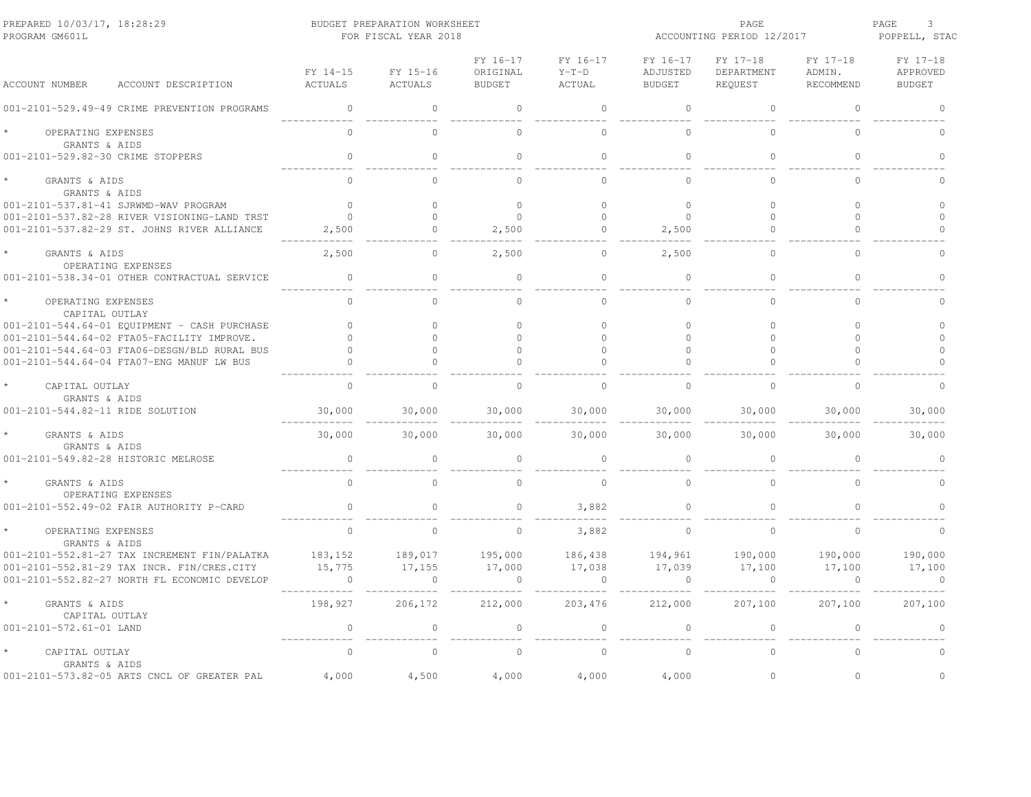| PREPARED 10/03/17, 18:28:29<br>PROGRAM GM601L                      |                            | BUDGET PREPARATION WORKSHEET<br>FOR FISCAL YEAR 2018 |                                       |                                      |                                       | PAGE<br>ACCOUNTING PERIOD 12/2017 |                                        |                                       |  |
|--------------------------------------------------------------------|----------------------------|------------------------------------------------------|---------------------------------------|--------------------------------------|---------------------------------------|-----------------------------------|----------------------------------------|---------------------------------------|--|
| <b>ACCOUNT NUMBER</b><br>ACCOUNT DESCRIPTION                       | FY 14-15<br><b>ACTUALS</b> | FY 15-16<br>ACTUALS                                  | FY 16-17<br>ORIGINAL<br><b>BUDGET</b> | FY 16-17<br>$Y-T-D$<br><b>ACTUAL</b> | FY 16-17<br>ADJUSTED<br><b>BUDGET</b> | FY 17-18<br>DEPARTMENT<br>REQUEST | FY 17-18<br>ADMIN.<br><b>RECOMMEND</b> | FY 17-18<br>APPROVED<br><b>BUDGET</b> |  |
| 001-2101-529.49-49 CRIME PREVENTION PROGRAMS                       | $\circ$                    | $\circ$                                              | $\circ$                               | $\circ$                              | $\circ$                               | $\mathbf{0}$                      | $\Omega$                               | $\Omega$                              |  |
| OPERATING EXPENSES<br>GRANTS & AIDS                                | $\Omega$                   | $\Omega$                                             | $\Omega$                              | $\Omega$                             | $\Omega$                              | $\Omega$                          | $\Omega$                               | $\cap$                                |  |
| 001-2101-529.82-30 CRIME STOPPERS                                  | $\circ$                    | $\circ$                                              | $\circ$                               | $\mathbf{0}$                         | $\cap$                                | $\mathbf{0}$                      | $\cap$                                 | $\cap$                                |  |
| GRANTS & AIDS<br>GRANTS & AIDS                                     | $\Omega$                   | $\Omega$                                             | $\Omega$                              | $\Omega$                             | $\Omega$                              | $\Omega$                          | $\Omega$                               | $\Omega$                              |  |
| 001-2101-537.81-41 SJRWMD-WAV PROGRAM                              | $\Omega$                   | $\circ$                                              | $\circ$                               | $\Omega$                             | $\Omega$                              | $\Omega$                          | $\Omega$                               | $\circ$                               |  |
| 001-2101-537.82-28 RIVER VISIONING-LAND TRST                       | $\Omega$                   | $\Omega$                                             | $\Omega$                              | $\Omega$                             | $\bigcap$                             | $\cap$                            | $\Omega$                               | $\Omega$                              |  |
| 001-2101-537.82-29 ST. JOHNS RIVER ALLIANCE                        | 2,500                      | $\circ$                                              | 2,500                                 | $\Omega$                             | 2,500                                 | $\Omega$                          | $\Omega$                               | $\cap$                                |  |
| GRANTS & AIDS                                                      | 2,500                      | $\cap$                                               | 2,500                                 | $\Omega$                             | 2,500                                 | $\cap$                            | $\Omega$                               | $\Omega$                              |  |
| OPERATING EXPENSES<br>001-2101-538.34-01 OTHER CONTRACTUAL SERVICE | $\circ$                    | $\circ$                                              | $\circ$                               | $\circ$                              | $\circ$                               | $\mathbf{0}$                      | $\cap$                                 | $\Omega$                              |  |
| OPERATING EXPENSES<br>CAPITAL OUTLAY                               | $\Omega$                   | $\Omega$                                             | $\Omega$                              | $\Omega$                             | $\Omega$                              | $\Omega$                          | $\Omega$                               | $\Omega$                              |  |
| 001-2101-544.64-01 EQUIPMENT - CASH PURCHASE                       | $\Omega$                   | $\Omega$                                             | $\Omega$                              | $\Omega$                             | $\Omega$                              | $\Omega$                          | $\Omega$                               | $\Omega$                              |  |
| 001-2101-544.64-02 FTA05-FACILITY IMPROVE.                         | $\Omega$                   | $\Omega$                                             | $\cap$                                | $\Omega$                             | $\bigcap$                             | $\cap$                            | $\cap$                                 | $\Omega$                              |  |
| 001-2101-544.64-03 FTA06-DESGN/BLD RURAL BUS                       | $\Omega$                   | $\Omega$                                             | $\Omega$                              | $\Omega$                             | $\Omega$                              | $\circ$                           | $\Omega$                               | $\Omega$                              |  |
| 001-2101-544.64-04 FTA07-ENG MANUF LW BUS                          |                            | $\cap$                                               | $\cap$                                | $\cap$                               |                                       |                                   | $\cap$                                 |                                       |  |
| CAPITAL OUTLAY<br>GRANTS & AIDS                                    | $\Omega$                   | $\cap$                                               | $\cap$                                | $\Omega$                             |                                       | $\cap$                            | $\cap$                                 |                                       |  |
| 001-2101-544.82-11 RIDE SOLUTION                                   | 30,000                     | 30,000                                               | 30,000                                | 30,000                               | 30,000                                | 30,000                            | 30,000                                 | 30,000                                |  |
| GRANTS & AIDS<br>GRANTS & AIDS                                     | 30,000                     | 30,000                                               | 30,000                                | 30,000                               | 30,000                                | 30,000                            | 30,000                                 | 30,000                                |  |
| 001-2101-549.82-28 HISTORIC MELROSE                                | $\mathbf{0}$               | $\circ$                                              | $\circ$                               | $\circ$                              | $\Omega$                              | $\circ$                           | $\circ$                                | $\Omega$                              |  |
| GRANTS & AIDS<br>OPERATING EXPENSES                                | $\Omega$                   | $\Omega$                                             | $\Omega$                              | $\Omega$                             | $\bigcap$                             | $\Omega$                          | $\Omega$                               | $\Omega$                              |  |
| 001-2101-552.49-02 FAIR AUTHORITY P-CARD                           | $\Omega$                   | $\Omega$                                             | $\Omega$                              | 3,882                                | $\Omega$                              | $\cap$                            | $\Omega$                               |                                       |  |
| OPERATING EXPENSES<br>GRANTS & AIDS                                | $\mathbf{0}$               | $\circ$                                              | $\circ$                               | 3,882                                | $\Omega$                              | $\Omega$                          | $\circ$                                | $\circ$                               |  |
| 001-2101-552.81-27 TAX INCREMENT FIN/PALATKA                       | 183,152                    | 189,017                                              | 195,000                               | 186,438                              | 194,961                               | 190,000                           | 190,000                                | 190,000                               |  |
| 001-2101-552.81-29 TAX INCR. FIN/CRES.CITY                         | 15,775                     | 17,155                                               | 17,000                                | 17,038                               | 17,039                                | 17,100                            | 17,100                                 | 17,100                                |  |
| 001-2101-552.82-27 NORTH FL ECONOMIC DEVELOP                       | $\circ$                    | $\circ$                                              | $\overline{0}$                        | $\circ$                              | $\overline{0}$                        | $\circ$                           | $\circ$                                | $\circ$                               |  |
| GRANTS & AIDS<br>CAPITAL OUTLAY                                    | 198,927                    | 206,172                                              | 212,000                               | 203,476                              | 212,000                               | 207,100                           | 207,100                                | 207,100                               |  |
| 001-2101-572.61-01 LAND                                            | $\circ$                    | $\circ$                                              | $\circ$                               | $\circ$                              | $\bigcap$                             | $\mathbf{0}$                      | $\circ$                                | $\Omega$                              |  |
| CAPITAL OUTLAY<br>GRANTS & AIDS                                    | $\Omega$                   | $\Omega$                                             | $\Omega$                              | $\Omega$                             | $\Omega$                              | $\Omega$                          | $\Omega$                               | $\Omega$                              |  |
| 001-2101-573.82-05 ARTS CNCL OF GREATER PAL                        | 4,000                      | 4,500                                                | 4,000                                 | 4,000                                | 4,000                                 | $\Omega$                          | $\Omega$                               | $\Omega$                              |  |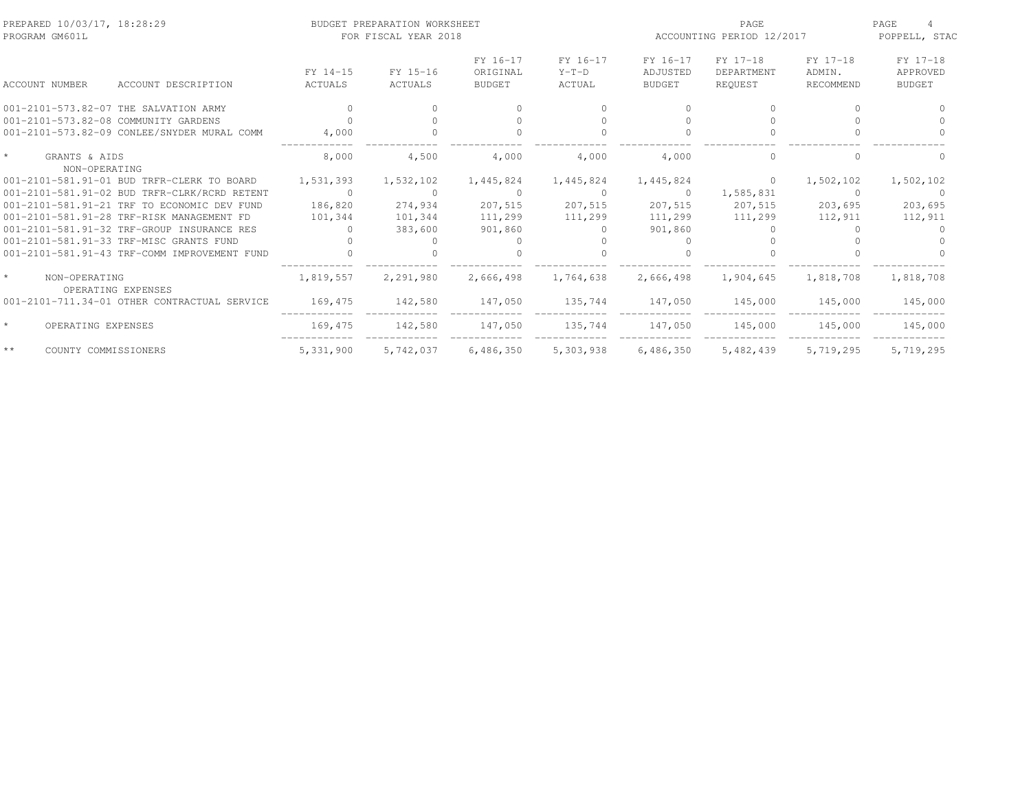| PREPARED 10/03/17, 18:28:29<br>PROGRAM GM601L  |           | BUDGET PREPARATION WORKSHEET<br>FOR FISCAL YEAR 2018 |                      |                     | ACCOUNTING PERIOD 12/2017 | PAGE<br>POPPELL, STAC  |                    |                      |
|------------------------------------------------|-----------|------------------------------------------------------|----------------------|---------------------|---------------------------|------------------------|--------------------|----------------------|
|                                                | FY 14-15  | FY 15-16                                             | FY 16-17<br>ORIGINAL | FY 16-17<br>$Y-T-D$ | FY 16-17<br>ADJUSTED      | FY 17-18<br>DEPARTMENT | FY 17-18<br>ADMIN. | FY 17-18<br>APPROVED |
| ACCOUNT NUMBER<br>ACCOUNT DESCRIPTION          | ACTUALS   | <b>ACTUALS</b>                                       | <b>BUDGET</b>        | ACTUAL              | <b>BUDGET</b>             | REQUEST                | RECOMMEND          | <b>BUDGET</b>        |
| 001-2101-573.82-07 THE SALVATION ARMY          | $\Omega$  |                                                      |                      | $\cap$              |                           |                        | ∩                  |                      |
| 001-2101-573.82-08 COMMUNITY GARDENS           |           |                                                      |                      |                     |                           |                        |                    |                      |
| 001-2101-573.82-09 CONLEE/SNYDER MURAL COMM    | 4,000     |                                                      |                      |                     |                           |                        |                    |                      |
| $\star$<br>GRANTS & AIDS<br>NON-OPERATING      | 8,000     | 4,500                                                | 4,000                | 4,000               | 4,000                     | $\Omega$               |                    |                      |
| 001-2101-581.91-01 BUD TRFR-CLERK TO BOARD     | 1,531,393 | 1,532,102                                            | 1,445,824            | 1,445,824           | 1,445,824                 | $\circ$                | 1,502,102          | 1,502,102            |
| 001-2101-581.91-02 BUD TRFR-CLRK/RCRD RETENT   | $\Omega$  |                                                      | $\Omega$             | $\Omega$            | $\Omega$                  | 1,585,831              | $\Omega$           |                      |
| 001-2101-581.91-21 TRF TO ECONOMIC DEV FUND    | 186,820   | 274,934                                              | 207,515              | 207,515             | 207,515                   | 207,515                | 203,695            | 203,695              |
| 001-2101-581.91-28 TRF-RISK MANAGEMENT FD      | 101,344   | 101,344                                              | 111,299              | 111,299             | 111,299                   | 111,299                | 112,911            | 112,911              |
| 001-2101-581.91-32 TRF-GROUP INSURANCE RES     |           | 383,600                                              | 901,860              | $\bigcap$           | 901,860                   |                        |                    |                      |
| 001-2101-581.91-33 TRF-MISC GRANTS FUND        |           |                                                      |                      |                     |                           |                        |                    |                      |
| 001-2101-581.91-43 TRF-COMM IMPROVEMENT FUND   |           |                                                      |                      |                     |                           |                        |                    |                      |
| $\star$<br>NON-OPERATING<br>OPERATING EXPENSES | 1,819,557 | 2,291,980                                            | 2,666,498            | 1,764,638           | 2,666,498                 | 1,904,645              | 1,818,708          | 1,818,708            |
| 001-2101-711.34-01 OTHER CONTRACTUAL SERVICE   | 169,475   | 142,580                                              | 147,050              | 135,744             | 147,050                   | 145,000                | 145,000            | 145,000              |
| $\star$<br>OPERATING EXPENSES                  | 169,475   | 142,580                                              | 147,050              | 135,744             | 147,050                   | 145,000                | 145,000            | 145,000              |
| $\star\star$<br>COUNTY COMMISSIONERS           | 5,331,900 | 5,742,037                                            | 6,486,350            | 5,303,938           | 6,486,350                 | 5,482,439              | 5,719,295          | 5,719,295            |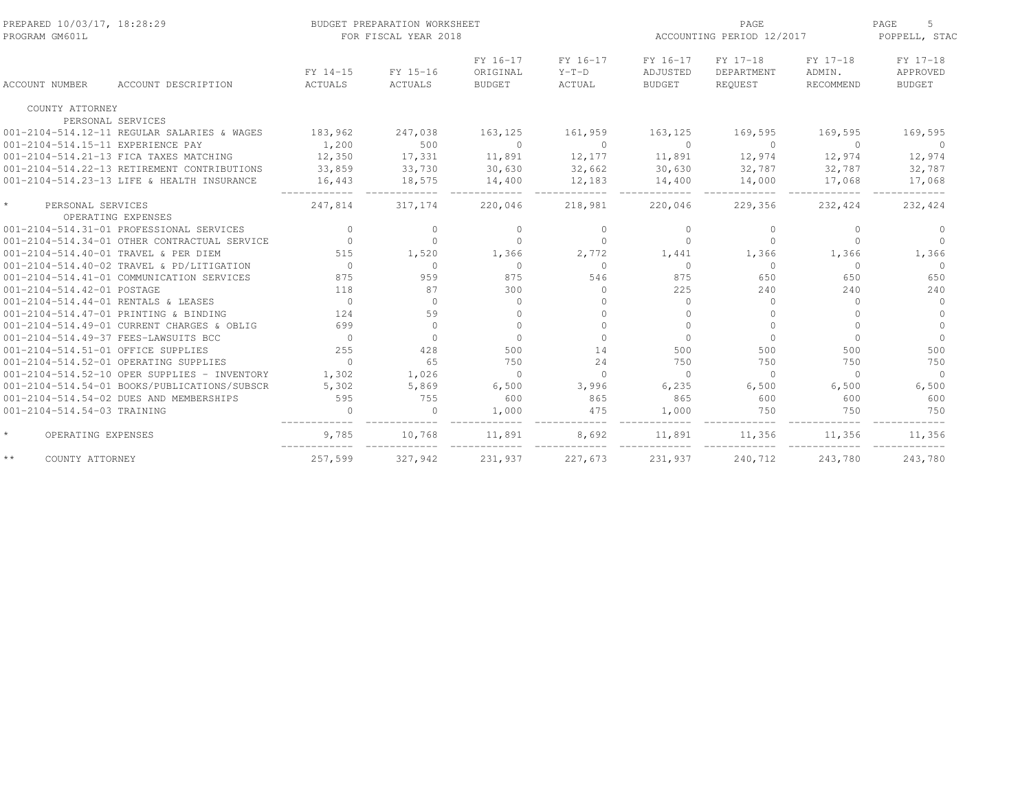| PREPARED 10/03/17, 18:28:29<br>PROGRAM GM601L |                                              |                     | BUDGET PREPARATION WORKSHEET<br>FOR FISCAL YEAR 2018 |                                       |                               |                                       | PAGE<br>ACCOUNTING PERIOD 12/2017 |                                 | PAGE<br>.5<br>POPPELL, STAC           |
|-----------------------------------------------|----------------------------------------------|---------------------|------------------------------------------------------|---------------------------------------|-------------------------------|---------------------------------------|-----------------------------------|---------------------------------|---------------------------------------|
| <b>ACCOUNT NUMBER</b>                         | ACCOUNT DESCRIPTION                          | FY 14-15<br>ACTUALS | FY 15-16<br><b>ACTUALS</b>                           | FY 16-17<br>ORIGINAL<br><b>BUDGET</b> | FY 16-17<br>$Y-T-D$<br>ACTUAL | FY 16-17<br>ADJUSTED<br><b>BUDGET</b> | FY 17-18<br>DEPARTMENT<br>REQUEST | FY 17-18<br>ADMIN.<br>RECOMMEND | FY 17-18<br>APPROVED<br><b>BUDGET</b> |
| COUNTY ATTORNEY                               |                                              |                     |                                                      |                                       |                               |                                       |                                   |                                 |                                       |
| PERSONAL SERVICES                             |                                              |                     |                                                      |                                       |                               |                                       |                                   |                                 |                                       |
|                                               | 001-2104-514.12-11 REGULAR SALARIES & WAGES  | 183,962             | 247,038                                              | 163,125                               | 161,959                       | 163,125                               | 169,595                           | 169,595                         | 169,595                               |
| 001-2104-514.15-11 EXPERIENCE PAY             |                                              | 1,200               | 500                                                  | $\Omega$                              | $\Omega$                      | $\bigcirc$                            | $\Omega$                          | $\Omega$                        | $\Omega$                              |
| 001-2104-514.21-13 FICA TAXES MATCHING        |                                              | 12,350              | 17,331                                               | 11,891                                | 12,177                        | 11,891                                | 12,974                            | 12,974                          | 12,974                                |
|                                               | 001-2104-514.22-13 RETIREMENT CONTRIBUTIONS  | 33,859              | 33,730                                               | 30,630                                | 32,662                        | 30,630                                | 32,787                            | 32,787                          | 32,787                                |
|                                               | 001-2104-514.23-13 LIFE & HEALTH INSURANCE   | 16,443              | 18,575                                               | 14,400                                | 12,183                        | 14,400                                | 14,000                            | 17,068                          | 17,068                                |
| PERSONAL SERVICES                             |                                              | 247,814             | 317,174                                              | 220,046                               | 218,981                       | 220,046                               | 229,356                           | 232, 424                        | 232,424                               |
| OPERATING EXPENSES                            |                                              |                     |                                                      |                                       |                               |                                       |                                   |                                 |                                       |
|                                               | 001-2104-514.31-01 PROFESSIONAL SERVICES     | $\Omega$            | $\Omega$                                             | $\Omega$                              | $\Omega$                      | $\bigcap$                             | $\Omega$                          | $\Omega$                        | $\Omega$                              |
|                                               | 001-2104-514.34-01 OTHER CONTRACTUAL SERVICE | $\Omega$            | $\Omega$                                             | $\Omega$                              | $\Omega$                      | $\Omega$                              | $\Omega$                          | $\Omega$                        | $\Omega$                              |
| 001-2104-514.40-01 TRAVEL & PER DIEM          |                                              | 515                 | 1,520                                                | 1,366                                 | 2,772                         | 1,441                                 | 1,366                             | 1,366                           | 1,366                                 |
|                                               | 001-2104-514.40-02 TRAVEL & PD/LITIGATION    | $\Omega$            | $\Omega$                                             | $\Omega$                              | $\Omega$                      | $\Omega$                              | $\Omega$                          | $\Omega$                        | $\Omega$                              |
|                                               | 001-2104-514.41-01 COMMUNICATION SERVICES    | 875                 | 959                                                  | 875                                   | 546                           | 875                                   | 650                               | 650                             | 650                                   |
| 001-2104-514.42-01 POSTAGE                    |                                              | 118                 | 87                                                   | 300                                   | $\Omega$                      | 225                                   | 240                               | 240                             | 240                                   |
| 001-2104-514.44-01 RENTALS & LEASES           |                                              | $\Omega$            | $\Omega$                                             | $\Omega$                              | $\bigcap$                     | $\bigcap$                             | $\Omega$                          | $\Omega$                        | $\Omega$                              |
| 001-2104-514.47-01 PRINTING & BINDING         |                                              | 124                 | 59                                                   | $\bigcap$                             | $\bigcap$                     |                                       | $\bigcap$                         | $\Omega$                        | $\Omega$                              |
|                                               | 001-2104-514.49-01 CURRENT CHARGES & OBLIG   | 699                 | $\Omega$                                             | $\bigcap$                             | $\bigcap$                     |                                       | $\Omega$                          | $\Omega$                        | $\Omega$                              |
| 001-2104-514.49-37 FEES-LAWSUITS BCC          |                                              | $\Omega$            | $\Omega$                                             | $\cap$                                | $\cap$                        |                                       | $\Omega$                          | $\Omega$                        | $\Omega$                              |
| 001-2104-514.51-01 OFFICE SUPPLIES            |                                              | 255                 | 428                                                  | 500                                   | 14                            | 500                                   | 500                               | 500                             | 500                                   |
| 001-2104-514.52-01 OPERATING SUPPLIES         |                                              | $\Omega$            | 65                                                   | 750                                   | 24                            | 750                                   | 750                               | 750                             | 750                                   |
|                                               | 001-2104-514.52-10 OPER SUPPLIES - INVENTORY | 1,302               | 1,026                                                | $\Omega$                              | $\Omega$                      |                                       | $\Omega$                          | $\Omega$                        | $\Omega$                              |
|                                               | 001-2104-514.54-01 BOOKS/PUBLICATIONS/SUBSCR | 5,302               | 5,869                                                | 6,500                                 | 3,996                         | 6,235                                 | 6,500                             | 6,500                           | 6,500                                 |
|                                               | 001-2104-514.54-02 DUES AND MEMBERSHIPS      | 595                 | 755                                                  | 600                                   | 865                           | 865                                   | 600                               | 600                             | 600                                   |
| 001-2104-514.54-03 TRAINING                   |                                              | $\Omega$            | $\circ$                                              | 1,000                                 | 475                           | 1,000                                 | 750                               | 750                             | 750                                   |
| $\star$<br>OPERATING EXPENSES                 |                                              | 9,785               | 10,768                                               | 11,891                                | 8,692                         | 11,891                                | 11,356                            | 11,356                          | 11,356                                |
| $\star\,\star$<br>COUNTY ATTORNEY             |                                              | 257,599             | 327,942                                              | 231,937                               | 227,673                       | 231,937                               | 240,712                           | 243,780                         | 243,780                               |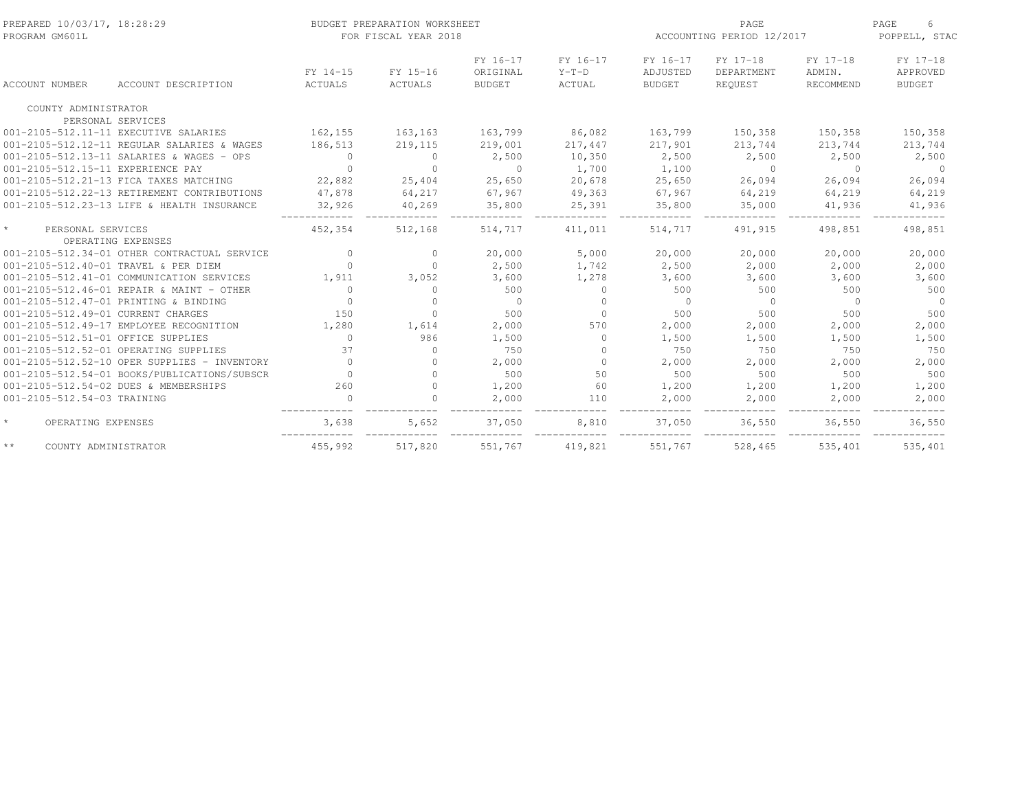| PREPARED 10/03/17, 18:28:29<br>PROGRAM GM601L |                                                                                       |                     | BUDGET PREPARATION WORKSHEET<br>FOR FISCAL YEAR 2018 | PAGE<br>ACCOUNTING PERIOD 12/2017     |                               | PAGE<br>6<br>POPPELL, STAC            |                                   |                                 |                                       |
|-----------------------------------------------|---------------------------------------------------------------------------------------|---------------------|------------------------------------------------------|---------------------------------------|-------------------------------|---------------------------------------|-----------------------------------|---------------------------------|---------------------------------------|
| ACCOUNT NUMBER                                | ACCOUNT DESCRIPTION                                                                   | FY 14-15<br>ACTUALS | FY 15-16<br><b>ACTUALS</b>                           | FY 16-17<br>ORIGINAL<br><b>BUDGET</b> | FY 16-17<br>$Y-T-D$<br>ACTUAL | FY 16-17<br>ADJUSTED<br><b>BUDGET</b> | FY 17-18<br>DEPARTMENT<br>REQUEST | FY 17-18<br>ADMIN.<br>RECOMMEND | FY 17-18<br>APPROVED<br><b>BUDGET</b> |
| COUNTY ADMINISTRATOR                          |                                                                                       |                     |                                                      |                                       |                               |                                       |                                   |                                 |                                       |
| PERSONAL SERVICES                             |                                                                                       |                     |                                                      |                                       |                               |                                       |                                   |                                 |                                       |
| 001-2105-512.11-11 EXECUTIVE SALARIES         |                                                                                       | 162,155             | 163,163                                              | 163,799                               | 86,082                        | 163,799                               | 150,358                           | 150,358                         | 150,358                               |
|                                               | 001-2105-512.12-11 REGULAR SALARIES & WAGES                                           | 186,513             | 219,115                                              | 219,001                               | 217,447                       | 217,901                               | 213,744                           | 213,744                         | 213,744                               |
|                                               | 001-2105-512.13-11 SALARIES & WAGES - OPS                                             | $\Omega$            | $\Omega$                                             | 2,500                                 | 10,350                        | 2,500                                 | 2,500                             | 2,500                           | 2,500                                 |
| 001-2105-512.15-11 EXPERIENCE PAY             |                                                                                       | $\Omega$            | $\bigcap$<br>25,404                                  | $\Omega$                              | 1,700<br>20,678               | 1,100                                 | $\Omega$                          | $\Omega$<br>26,094              | $\Omega$<br>26,094                    |
|                                               | 001-2105-512.21-13 FICA TAXES MATCHING<br>001-2105-512.22-13 RETIREMENT CONTRIBUTIONS | 22,882<br>47,878    | 64,217                                               | 25,650                                | 49,363                        | 25,650                                | 26,094                            | 64,219                          |                                       |
|                                               | 001-2105-512.23-13 LIFE & HEALTH INSURANCE                                            |                     |                                                      | 67,967                                |                               | 67,967                                | 64,219                            |                                 | 64,219                                |
|                                               |                                                                                       | 32,926              | 40,269                                               | 35,800                                | 25,391                        | 35,800                                | 35,000                            | 41,936                          | 41,936                                |
| $\star$<br>PERSONAL SERVICES                  |                                                                                       | 452,354             | 512,168                                              | 514,717                               | 411.011                       | 514,717                               | 491,915                           | 498.851                         | 498,851                               |
|                                               | OPERATING EXPENSES                                                                    |                     |                                                      |                                       |                               |                                       |                                   |                                 |                                       |
|                                               | 001-2105-512.34-01 OTHER CONTRACTUAL SERVICE                                          | $\Omega$            | $\Omega$                                             | 20,000                                | 5,000                         | 20,000                                | 20,000                            | 20,000                          | 20,000                                |
| 001-2105-512.40-01 TRAVEL & PER DIEM          |                                                                                       | $\Omega$            | $\Omega$                                             | 2,500                                 | 1,742                         | 2,500                                 | 2,000                             | 2,000                           | 2,000                                 |
|                                               | 001-2105-512.41-01 COMMUNICATION SERVICES                                             | 1,911               | 3,052                                                | 3,600                                 | 1,278                         | 3,600                                 | 3,600                             | 3,600                           | 3,600                                 |
|                                               | 001-2105-512.46-01 REPAIR & MAINT - OTHER                                             | $\Omega$            | $\cap$                                               | 500                                   | $\circ$                       | 500                                   | 500                               | 500                             | 500                                   |
| 001-2105-512.47-01 PRINTING & BINDING         |                                                                                       | $\Omega$            | $\Omega$                                             | $\circ$                               | $\mathbf{0}$                  | $\overline{0}$                        | $\overline{0}$                    | $\Omega$                        | $\overline{0}$                        |
| 001-2105-512.49-01 CURRENT CHARGES            |                                                                                       | 150                 | $\Omega$                                             | 500                                   | $\circ$                       | 500                                   | 500                               | 500                             | 500                                   |
|                                               | 001-2105-512.49-17 EMPLOYEE RECOGNITION                                               | 1,280               | 1,614                                                | 2,000                                 | 570                           | 2,000                                 | 2,000                             | 2,000                           | 2,000                                 |
| 001-2105-512.51-01 OFFICE SUPPLIES            |                                                                                       | $\mathbf{0}$        | 986                                                  | 1,500                                 | $\circ$                       | 1,500                                 | 1,500                             | 1,500                           | 1,500                                 |
| 001-2105-512.52-01 OPERATING SUPPLIES         |                                                                                       | 37                  | $\bigcap$                                            | 750                                   | $\Omega$                      | 750                                   | 750                               | 750                             | 750                                   |
|                                               | 001-2105-512.52-10 OPER SUPPLIES - INVENTORY                                          | $\Omega$            |                                                      | 2,000                                 | $\Omega$                      | 2,000                                 | 2,000                             | 2,000                           | 2,000                                 |
|                                               | 001-2105-512.54-01 BOOKS/PUBLICATIONS/SUBSCR                                          | $\Omega$            |                                                      | 500                                   | 50                            | 500                                   | 500                               | 500                             | 500                                   |
| 001-2105-512.54-02 DUES & MEMBERSHIPS         |                                                                                       | 260                 | $\Omega$                                             | 1,200                                 | 60                            | 1,200                                 | 1,200                             | 1,200                           | 1,200                                 |
| 001-2105-512.54-03 TRAINING                   |                                                                                       | $\cap$              |                                                      | 2,000                                 | 110                           | 2,000                                 | 2,000                             | 2,000                           | 2,000                                 |
| $\star$<br>OPERATING EXPENSES                 |                                                                                       | 3,638               | 5,652                                                | 37,050                                | 8,810                         | 37,050                                | 36,550                            | 36,550                          | 36,550                                |
| $\star\star$<br>COUNTY ADMINISTRATOR          |                                                                                       | 455,992             | 517,820                                              | 551,767                               | 419,821                       | 551,767                               | 528,465                           | 535,401                         | 535,401                               |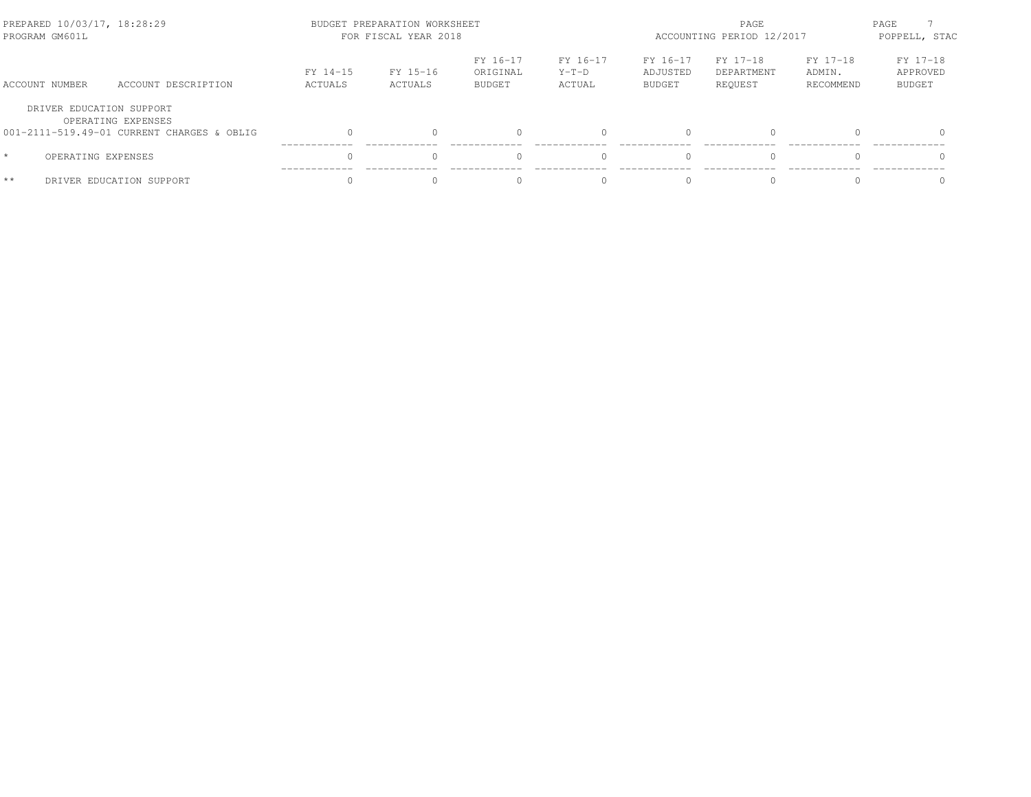| PREPARED 10/03/17, 18:28:29<br>PROGRAM GM601L |                                            |                     | BUDGET PREPARATION WORKSHEET<br>FOR FISCAL YEAR 2018 |                                       | ACCOUNTING PERIOD 12/2017     | PAGE<br>POPPELL, STAC          |                                   |                                 |                                       |
|-----------------------------------------------|--------------------------------------------|---------------------|------------------------------------------------------|---------------------------------------|-------------------------------|--------------------------------|-----------------------------------|---------------------------------|---------------------------------------|
| ACCOUNT NUMBER                                | ACCOUNT DESCRIPTION                        | FY 14-15<br>ACTUALS | FY 15-16<br>ACTUALS                                  | FY 16-17<br>ORIGINAL<br><b>BUDGET</b> | FY 16-17<br>$Y-T-D$<br>ACTUAL | FY 16-17<br>ADJUSTED<br>BUDGET | FY 17-18<br>DEPARTMENT<br>REOUEST | FY 17-18<br>ADMIN.<br>RECOMMEND | FY 17-18<br>APPROVED<br><b>BUDGET</b> |
| DRIVER EDUCATION SUPPORT                      | OPERATING EXPENSES                         |                     |                                                      |                                       |                               |                                |                                   |                                 |                                       |
|                                               | 001-2111-519.49-01 CURRENT CHARGES & OBLIG |                     |                                                      |                                       |                               | $\bigcap$                      | $\Omega$                          |                                 |                                       |
| OPERATING EXPENSES<br>$\star$                 |                                            |                     |                                                      |                                       |                               | $\bigcap$                      | $\bigcap$                         |                                 |                                       |
| $**$                                          | DRIVER EDUCATION SUPPORT                   |                     |                                                      |                                       |                               |                                |                                   |                                 |                                       |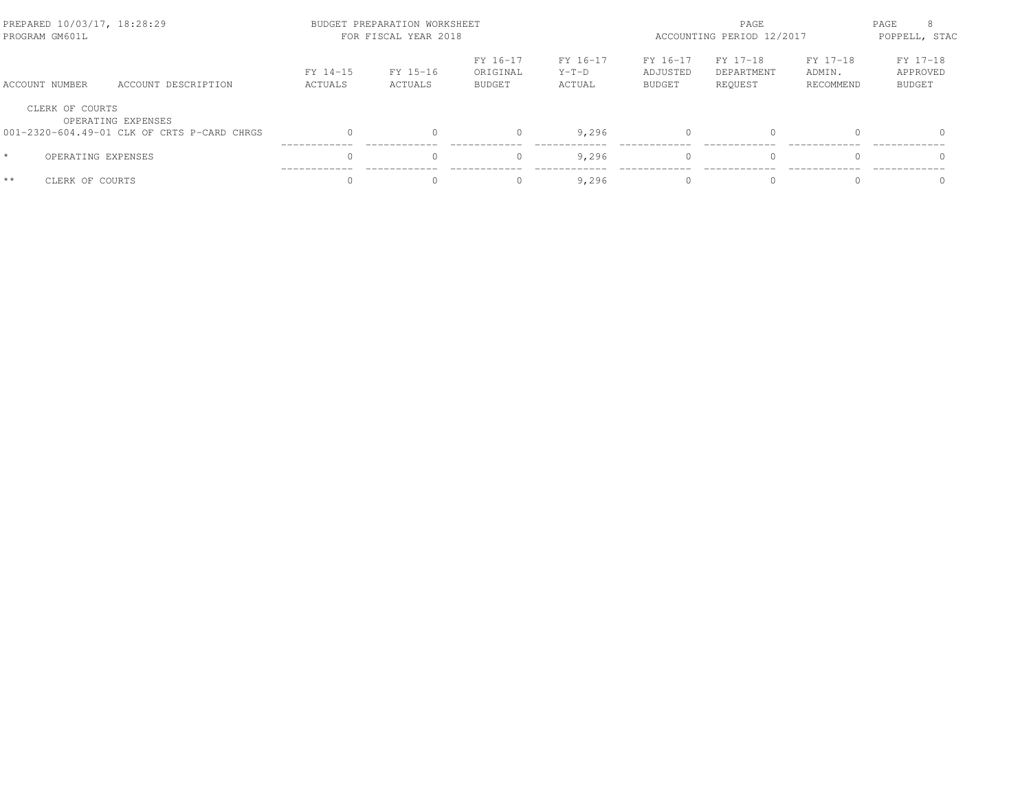| PREPARED 10/03/17, 18:28:29<br>PROGRAM GM601L |                                             |                     | BUDGET PREPARATION WORKSHEET<br>FOR FISCAL YEAR 2018 |                                       | ACCOUNTING PERIOD 12/2017     | PAGE<br>POPPELL, STAC          |                                   |                                 |                                       |
|-----------------------------------------------|---------------------------------------------|---------------------|------------------------------------------------------|---------------------------------------|-------------------------------|--------------------------------|-----------------------------------|---------------------------------|---------------------------------------|
| ACCOUNT NUMBER                                | ACCOUNT DESCRIPTION                         | FY 14-15<br>ACTUALS | FY 15-16<br>ACTUALS                                  | FY 16-17<br>ORIGINAL<br><b>BUDGET</b> | FY 16-17<br>$Y-T-D$<br>ACTUAL | FY 16-17<br>ADJUSTED<br>BUDGET | FY 17-18<br>DEPARTMENT<br>REOUEST | FY 17-18<br>ADMIN.<br>RECOMMEND | FY 17-18<br>APPROVED<br><b>BUDGET</b> |
| CLERK OF COURTS                               | OPERATING EXPENSES                          |                     |                                                      |                                       |                               |                                |                                   |                                 |                                       |
|                                               | 001-2320-604.49-01 CLK OF CRTS P-CARD CHRGS | $\bigcap$           | $\Omega$                                             | $\Omega$                              | 9,296                         | $\cap$                         | $\Omega$                          |                                 | $\Omega$                              |
| $\star$                                       | OPERATING EXPENSES                          | $\Omega$            |                                                      | $\Omega$                              | 9,296                         | $\Omega$                       |                                   |                                 |                                       |
| $**$<br>CLERK OF COURTS                       |                                             | $\cap$              |                                                      | $\Omega$                              | 9,296                         | $\bigcap$                      | $\Omega$                          |                                 |                                       |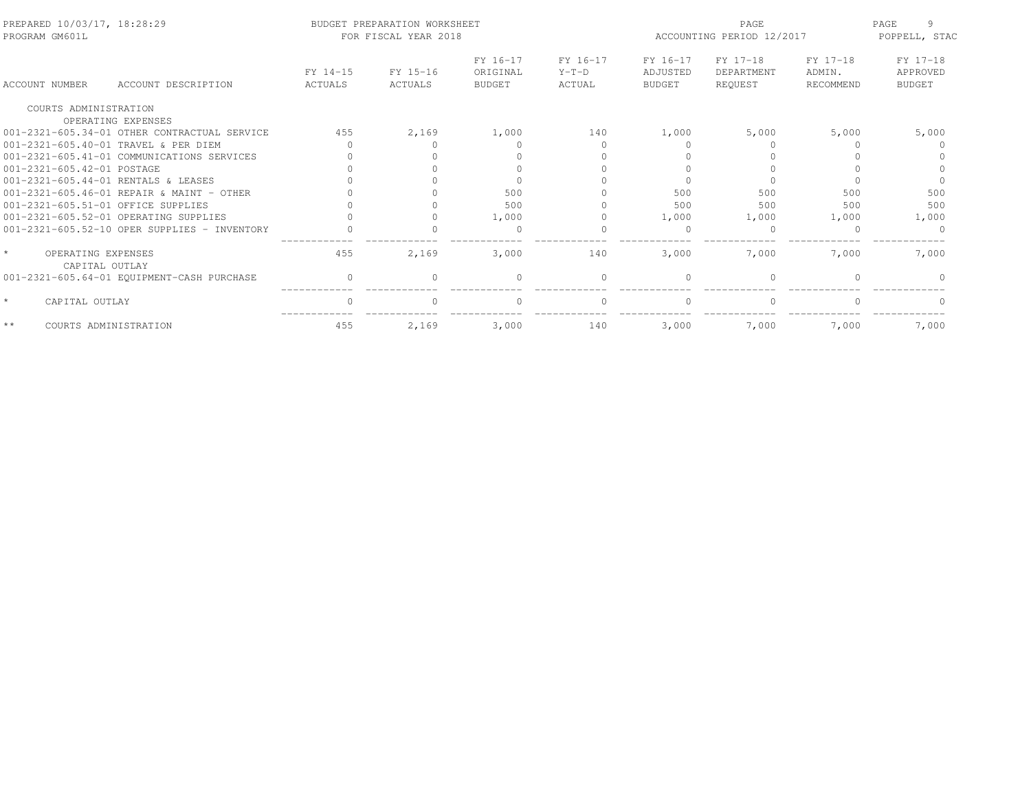| PREPARED 10/03/17, 18:28:29<br>PROGRAM GM601L   |                                                        |                     | BUDGET PREPARATION WORKSHEET<br>FOR FISCAL YEAR 2018 |                                       |                               | ACCOUNTING PERIOD 12/2017             | PAGE<br>POPPELL, STAC             |                                 |                                       |
|-------------------------------------------------|--------------------------------------------------------|---------------------|------------------------------------------------------|---------------------------------------|-------------------------------|---------------------------------------|-----------------------------------|---------------------------------|---------------------------------------|
| ACCOUNT NUMBER                                  | ACCOUNT DESCRIPTION                                    | FY 14-15<br>ACTUALS | FY 15-16<br>ACTUALS                                  | FY 16-17<br>ORIGINAL<br><b>BUDGET</b> | FY 16-17<br>$Y-T-D$<br>ACTUAL | FY 16-17<br>ADJUSTED<br><b>BUDGET</b> | FY 17-18<br>DEPARTMENT<br>REQUEST | FY 17-18<br>ADMIN.<br>RECOMMEND | FY 17-18<br>APPROVED<br><b>BUDGET</b> |
| COURTS ADMINISTRATION                           |                                                        |                     |                                                      |                                       |                               |                                       |                                   |                                 |                                       |
|                                                 | OPERATING EXPENSES                                     |                     |                                                      |                                       |                               |                                       |                                   |                                 |                                       |
|                                                 | 001-2321-605.34-01 OTHER CONTRACTUAL SERVICE           | 455                 | 2,169                                                | 1,000                                 | 140                           | 1,000                                 | 5,000                             | 5,000                           | 5,000                                 |
|                                                 | 001-2321-605.40-01 TRAVEL & PER DIEM                   |                     |                                                      |                                       |                               |                                       |                                   |                                 |                                       |
|                                                 | $001 - 2321 - 605$ , $41 - 01$ COMMUNICATIONS SERVICES |                     |                                                      |                                       |                               |                                       |                                   |                                 |                                       |
| 001-2321-605.42-01 POSTAGE                      |                                                        |                     |                                                      |                                       |                               |                                       |                                   |                                 |                                       |
|                                                 | 001-2321-605.44-01 RENTALS & LEASES                    |                     |                                                      |                                       |                               |                                       |                                   |                                 |                                       |
|                                                 | 001-2321-605.46-01 REPAIR & MAINT - OTHER              |                     |                                                      | 500                                   |                               | 500                                   | 500                               | 500                             | 500                                   |
| 001-2321-605.51-01 OFFICE SUPPLIES              |                                                        |                     |                                                      | 500                                   |                               | 500                                   | 500                               | 500                             | 500                                   |
|                                                 | 001-2321-605.52-01 OPERATING SUPPLIES                  |                     |                                                      | 1,000                                 |                               | 1,000                                 | 1,000                             | 1,000                           | 1,000                                 |
|                                                 | $001-2321-605.52-10$ OPER SUPPLIES - INVENTORY         |                     |                                                      | $\Omega$                              |                               |                                       | $\Omega$                          | $\cap$                          |                                       |
| $\star$<br>OPERATING EXPENSES<br>CAPITAL OUTLAY |                                                        | 455                 | 2,169                                                | 3,000                                 | 140                           | 3,000                                 | 7,000                             | 7,000                           | 7,000                                 |
|                                                 | 001-2321-605.64-01 EQUIPMENT-CASH PURCHASE             |                     |                                                      | $\Omega$                              | $\Omega$                      | $\cap$                                | $\Omega$                          |                                 |                                       |
| $\star$<br>CAPITAL OUTLAY                       |                                                        |                     |                                                      | $\cap$                                |                               |                                       | $\Omega$                          |                                 |                                       |
| $**$                                            | COURTS ADMINISTRATION                                  | 455                 | 2,169                                                | 3,000                                 | 140                           | 3,000                                 | 7,000                             | 7,000                           | 7,000                                 |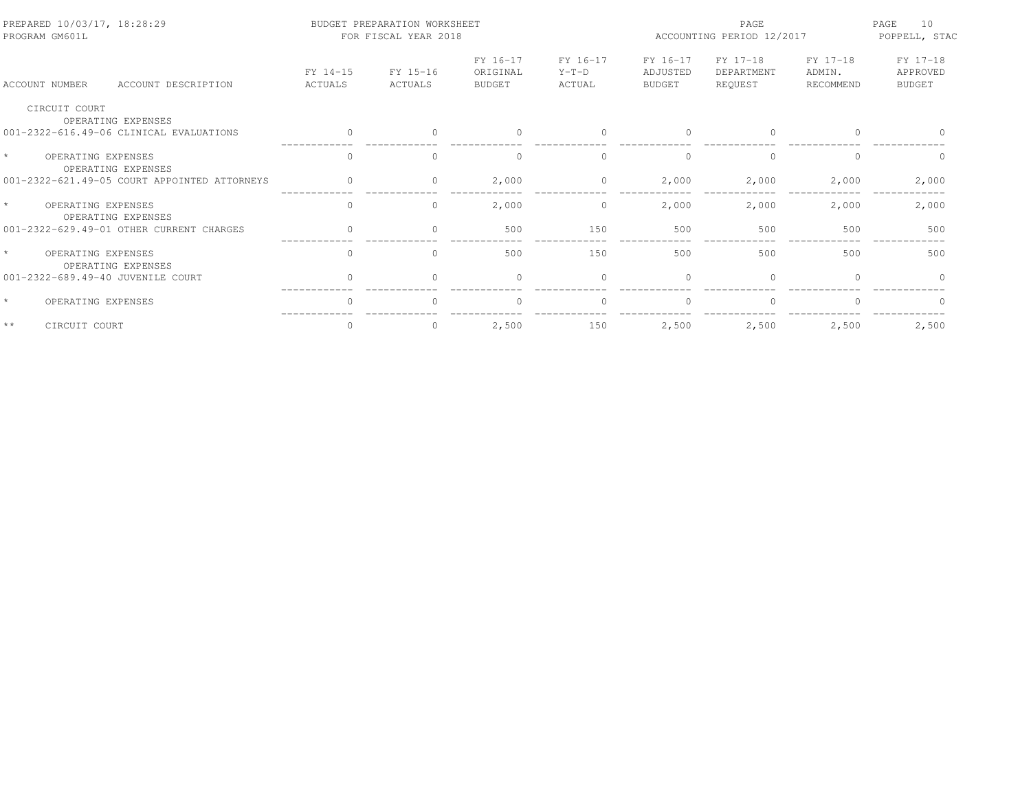| PREPARED 10/03/17, 18:28:29<br>PROGRAM GM601L                      |                            | BUDGET PREPARATION WORKSHEET<br>FOR FISCAL YEAR 2018 |                                       |                               | ACCOUNTING PERIOD 12/2017             | 10<br>PAGE<br>POPPELL, STAC       |                                 |                                       |
|--------------------------------------------------------------------|----------------------------|------------------------------------------------------|---------------------------------------|-------------------------------|---------------------------------------|-----------------------------------|---------------------------------|---------------------------------------|
| ACCOUNT DESCRIPTION<br>ACCOUNT NUMBER                              | FY 14-15<br><b>ACTUALS</b> | FY 15-16<br>ACTUALS                                  | FY 16-17<br>ORIGINAL<br><b>BUDGET</b> | FY 16-17<br>$Y-T-D$<br>ACTUAL | FY 16-17<br>ADJUSTED<br><b>BUDGET</b> | FY 17-18<br>DEPARTMENT<br>REQUEST | FY 17-18<br>ADMIN.<br>RECOMMEND | FY 17-18<br>APPROVED<br><b>BUDGET</b> |
| CIRCUIT COURT                                                      |                            |                                                      |                                       |                               |                                       |                                   |                                 |                                       |
| OPERATING EXPENSES<br>001-2322-616.49-06 CLINICAL EVALUATIONS      | $\bigcap$                  | $\Omega$                                             | $\Omega$                              | $\Omega$                      | $\cap$                                | $\Omega$                          | $\cap$                          |                                       |
| OPERATING EXPENSES                                                 | $\Omega$                   | $\cap$                                               | $\Omega$                              | $\Omega$                      | $\Omega$                              | $\Omega$                          | $\cap$                          | $\Omega$                              |
| OPERATING EXPENSES<br>001-2322-621.49-05 COURT APPOINTED ATTORNEYS | $\bigcap$                  | $\Omega$                                             | 2,000                                 | $\circ$                       | 2,000                                 | 2,000                             | 2,000                           | 2,000                                 |
| $\star$<br>OPERATING EXPENSES                                      | $\Omega$                   | $\Omega$                                             | 2,000                                 | $\circ$                       | 2,000                                 | 2,000                             | 2,000                           | 2,000                                 |
| OPERATING EXPENSES<br>001-2322-629.49-01 OTHER CURRENT CHARGES     | $\Omega$                   | $\Omega$                                             | 500                                   | 150                           | 500                                   | 500                               | 500                             | 500                                   |
| $\star$<br>OPERATING EXPENSES                                      | 0                          | $\circ$                                              | 500                                   | 150                           | 500                                   | 500                               | 500                             | 500                                   |
| OPERATING EXPENSES<br>001-2322-689.49-40 JUVENILE COURT            | $\Omega$                   | $\Omega$                                             | $\Omega$                              | $\Omega$                      | $\Omega$                              | $\Omega$                          | $\cap$                          |                                       |
| $\star$<br>OPERATING EXPENSES                                      |                            |                                                      | $\Omega$                              | $\cap$                        |                                       | $\Omega$                          |                                 |                                       |
| $\star\star$<br>CIRCUIT COURT                                      | $\Omega$                   | $\Omega$                                             | 2,500                                 | 150                           | 2,500                                 | 2,500                             | 2,500                           | 2,500                                 |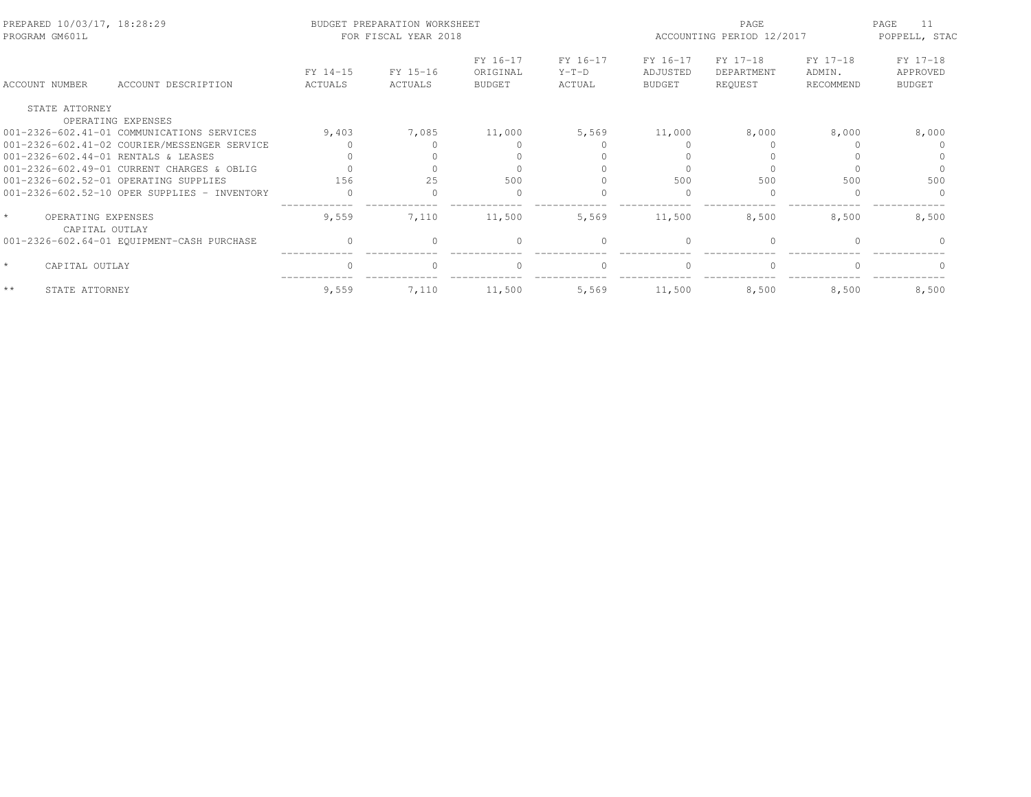| PREPARED 10/03/17, 18:28:29<br>PROGRAM GM601L |                                                |                     | BUDGET PREPARATION WORKSHEET<br>FOR FISCAL YEAR 2018 |                                       |                               | ACCOUNTING PERIOD 12/2017             | PAGE<br>11<br>POPPELL, STAC       |                                 |                                       |
|-----------------------------------------------|------------------------------------------------|---------------------|------------------------------------------------------|---------------------------------------|-------------------------------|---------------------------------------|-----------------------------------|---------------------------------|---------------------------------------|
| ACCOUNT NUMBER                                | ACCOUNT DESCRIPTION                            | FY 14-15<br>ACTUALS | FY 15-16<br>ACTUALS                                  | FY 16-17<br>ORIGINAL<br><b>BUDGET</b> | FY 16-17<br>$Y-T-D$<br>ACTUAL | FY 16-17<br>ADJUSTED<br><b>BUDGET</b> | FY 17-18<br>DEPARTMENT<br>REQUEST | FY 17-18<br>ADMIN.<br>RECOMMEND | FY 17-18<br>APPROVED<br><b>BUDGET</b> |
| STATE ATTORNEY                                |                                                |                     |                                                      |                                       |                               |                                       |                                   |                                 |                                       |
|                                               | OPERATING EXPENSES                             |                     |                                                      |                                       |                               |                                       |                                   |                                 |                                       |
|                                               | 001-2326-602.41-01 COMMUNICATIONS SERVICES     | 9,403               | 7,085                                                | 11,000                                | 5,569                         | 11,000                                | 8,000                             | 8,000                           | 8,000                                 |
|                                               | 001-2326-602.41-02 COURIER/MESSENGER SERVICE   |                     |                                                      |                                       |                               |                                       |                                   |                                 |                                       |
|                                               | 001-2326-602.44-01 RENTALS & LEASES            |                     |                                                      |                                       |                               |                                       |                                   |                                 |                                       |
|                                               | 001-2326-602.49-01 CURRENT CHARGES & OBLIG     |                     |                                                      |                                       |                               |                                       |                                   |                                 |                                       |
|                                               | 001-2326-602.52-01 OPERATING SUPPLIES          | 156                 | 25                                                   | 500                                   |                               | 500                                   | 500                               | 500                             | 500                                   |
|                                               | $001-2326-602.52-10$ OPER SUPPLIES - INVENTORY |                     |                                                      | $\cap$                                |                               |                                       |                                   |                                 |                                       |
| OPERATING EXPENSES<br>CAPITAL OUTLAY          |                                                | 9,559               | 7,110                                                | 11,500                                | 5,569                         | 11,500                                | 8,500                             | 8,500                           | 8,500                                 |
|                                               | 001-2326-602.64-01 EQUIPMENT-CASH PURCHASE     | $\Omega$            | $\Omega$                                             | $\Omega$                              | $\Omega$                      | $\Omega$                              | $\bigcap$                         | $\cap$                          |                                       |
| CAPITAL OUTLAY                                |                                                | $\bigcap$           | $\Omega$                                             | $\Omega$                              | $\Omega$                      | $\bigcap$                             | $\Omega$                          | $\Omega$                        |                                       |
| $**$<br>STATE ATTORNEY                        |                                                | 9,559               | 7,110                                                | 11,500                                | 5,569                         | 11,500                                | 8,500                             | 8,500                           | 8,500                                 |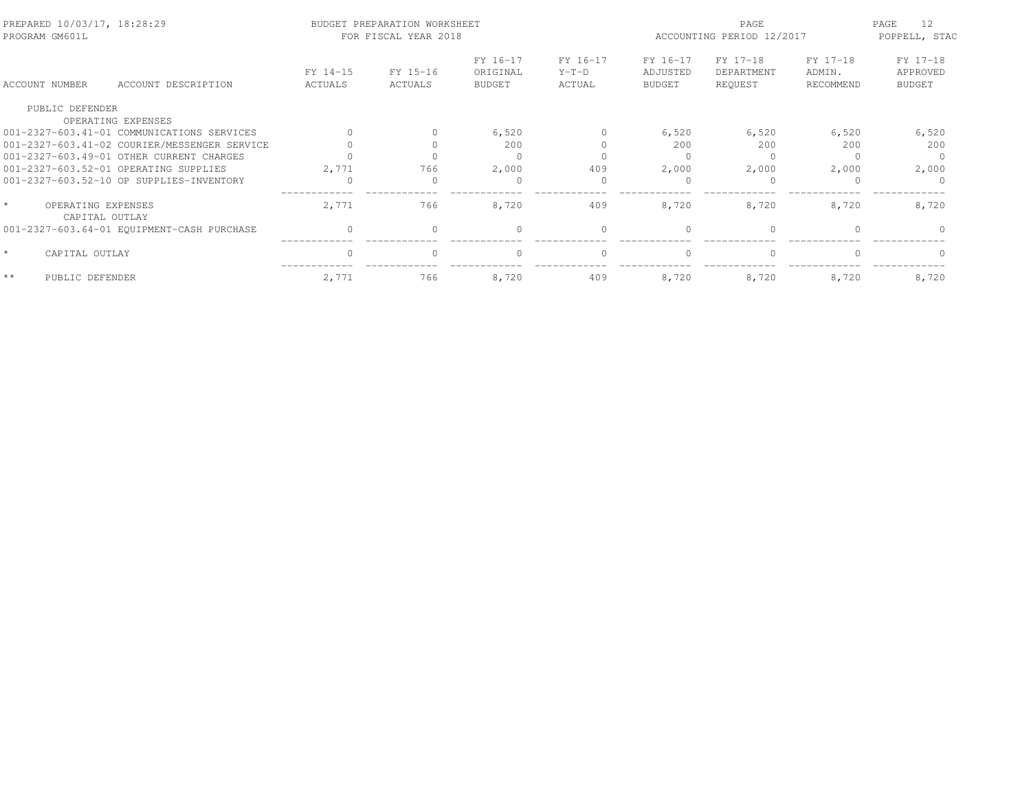| PREPARED 10/03/17, 18:28:29<br>PROGRAM GM601L |                                              |                     | BUDGET PREPARATION WORKSHEET<br>FOR FISCAL YEAR 2018 |                                       |                               | ACCOUNTING PERIOD 12/2017             | PAGE<br>12<br>POPPELL, STAC       |                                 |                                       |
|-----------------------------------------------|----------------------------------------------|---------------------|------------------------------------------------------|---------------------------------------|-------------------------------|---------------------------------------|-----------------------------------|---------------------------------|---------------------------------------|
| ACCOUNT NUMBER                                | ACCOUNT DESCRIPTION                          | FY 14-15<br>ACTUALS | FY 15-16<br>ACTUALS                                  | FY 16-17<br>ORIGINAL<br><b>BUDGET</b> | FY 16-17<br>$Y-T-D$<br>ACTUAL | FY 16-17<br>ADJUSTED<br><b>BUDGET</b> | FY 17-18<br>DEPARTMENT<br>REQUEST | FY 17-18<br>ADMIN.<br>RECOMMEND | FY 17-18<br>APPROVED<br><b>BUDGET</b> |
| PUBLIC DEFENDER                               | OPERATING EXPENSES                           |                     |                                                      |                                       |                               |                                       |                                   |                                 |                                       |
|                                               | 001-2327-603.41-01 COMMUNICATIONS SERVICES   | $\bigcap$           | $\Omega$                                             | 6,520                                 | $\Omega$                      | 6,520                                 | 6,520                             | 6,520                           | 6,520                                 |
|                                               | 001-2327-603.41-02 COURIER/MESSENGER SERVICE |                     |                                                      | 200                                   |                               | 200                                   | 200                               | 200                             | 200                                   |
|                                               | 001-2327-603.49-01 OTHER CURRENT CHARGES     |                     |                                                      | $\Omega$                              |                               | $\Omega$                              |                                   |                                 | $\Omega$                              |
|                                               | 001-2327-603.52-01 OPERATING SUPPLIES        | 2,771               | 766                                                  | 2,000                                 | 409                           | 2,000                                 | 2,000                             | 2,000                           | 2,000                                 |
|                                               | 001-2327-603.52-10 OP SUPPLIES-INVENTORY     |                     | $\Omega$                                             | $\Omega$                              | $\Omega$                      | $\bigcap$                             | $\Omega$                          |                                 |                                       |
| $\star$<br>OPERATING EXPENSES                 | CAPITAL OUTLAY                               | 2,771               | 766                                                  | 8,720                                 | 409                           | 8,720                                 | 8,720                             | 8,720                           | 8,720                                 |
|                                               | 001-2327-603.64-01 EQUIPMENT-CASH PURCHASE   | $\Omega$            |                                                      | $\Omega$                              | $\Omega$                      | $\Omega$                              | $\Omega$                          |                                 |                                       |
| $\star$<br>CAPITAL OUTLAY                     |                                              | $\Omega$            |                                                      | $\Omega$                              | $\Omega$                      | $\bigcap$                             | $\Omega$                          |                                 |                                       |
| $\star\star$<br>PUBLIC DEFENDER               |                                              | 2,771               | 766                                                  | 8,720                                 | 409                           | 8,720                                 | 8,720                             | 8,720                           | 8,720                                 |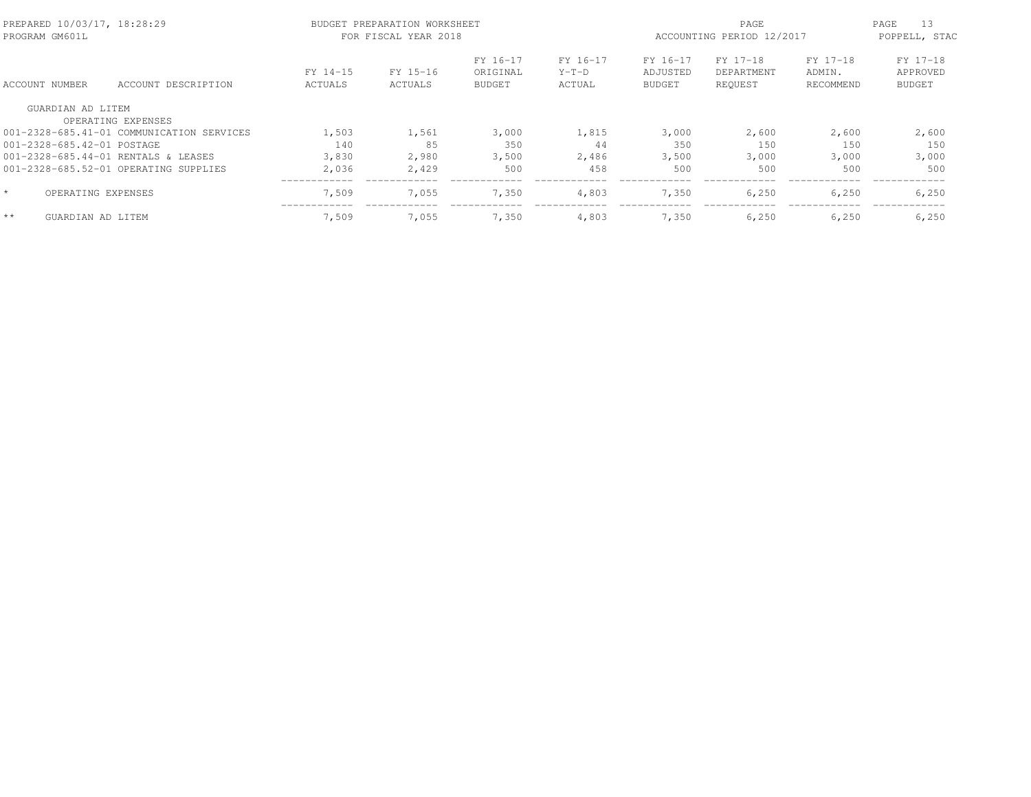| PREPARED 10/03/17, 18:28:29<br>PROGRAM GM601L |                                           |                     | BUDGET PREPARATION WORKSHEET<br>FOR FISCAL YEAR 2018 |                                       | PAGE<br>ACCOUNTING PERIOD 12/2017 |                                       |                                   | PAGE<br>-1.3<br>POPPELL, STAC   |                                       |
|-----------------------------------------------|-------------------------------------------|---------------------|------------------------------------------------------|---------------------------------------|-----------------------------------|---------------------------------------|-----------------------------------|---------------------------------|---------------------------------------|
| ACCOUNT NUMBER                                | ACCOUNT DESCRIPTION                       | FY 14-15<br>ACTUALS | FY 15-16<br>ACTUALS                                  | FY 16-17<br>ORIGINAL<br><b>BUDGET</b> | FY 16-17<br>$Y-T-D$<br>ACTUAL     | FY 16-17<br>ADJUSTED<br><b>BUDGET</b> | FY 17-18<br>DEPARTMENT<br>REQUEST | FY 17-18<br>ADMIN.<br>RECOMMEND | FY 17-18<br>APPROVED<br><b>BUDGET</b> |
| GUARDIAN AD LITEM                             |                                           |                     |                                                      |                                       |                                   |                                       |                                   |                                 |                                       |
|                                               | OPERATING EXPENSES                        |                     |                                                      |                                       |                                   |                                       |                                   |                                 |                                       |
|                                               | 001-2328-685.41-01 COMMUNICATION SERVICES | 1,503               | 1,561                                                | 3,000                                 | 1,815                             | 3,000                                 | 2,600                             | 2,600                           | 2,600                                 |
| 001-2328-685.42-01 POSTAGE                    |                                           | 140                 | 85                                                   | 350                                   | 44                                | 350                                   | 150                               | 150                             | 150                                   |
|                                               | 001-2328-685.44-01 RENTALS & LEASES       | 3,830               | 2,980                                                | 3,500                                 | 2,486                             | 3,500                                 | 3,000                             | 3,000                           | 3,000                                 |
|                                               | 001-2328-685.52-01 OPERATING SUPPLIES     | 2,036               | 2,429                                                | 500                                   | 458                               | 500                                   | 500                               | 500                             | 500                                   |
| $\star$                                       | OPERATING EXPENSES                        | 7,509               | 7,055                                                | 7,350                                 | 4,803                             | 7,350                                 | 6,250                             | 6,250                           | 6,250                                 |
| $**$<br>GUARDIAN AD LITEM                     |                                           | 7,509               | 7,055                                                | 7,350                                 | 4,803                             | 7,350                                 | 6,250                             | 6,250                           | 6,250                                 |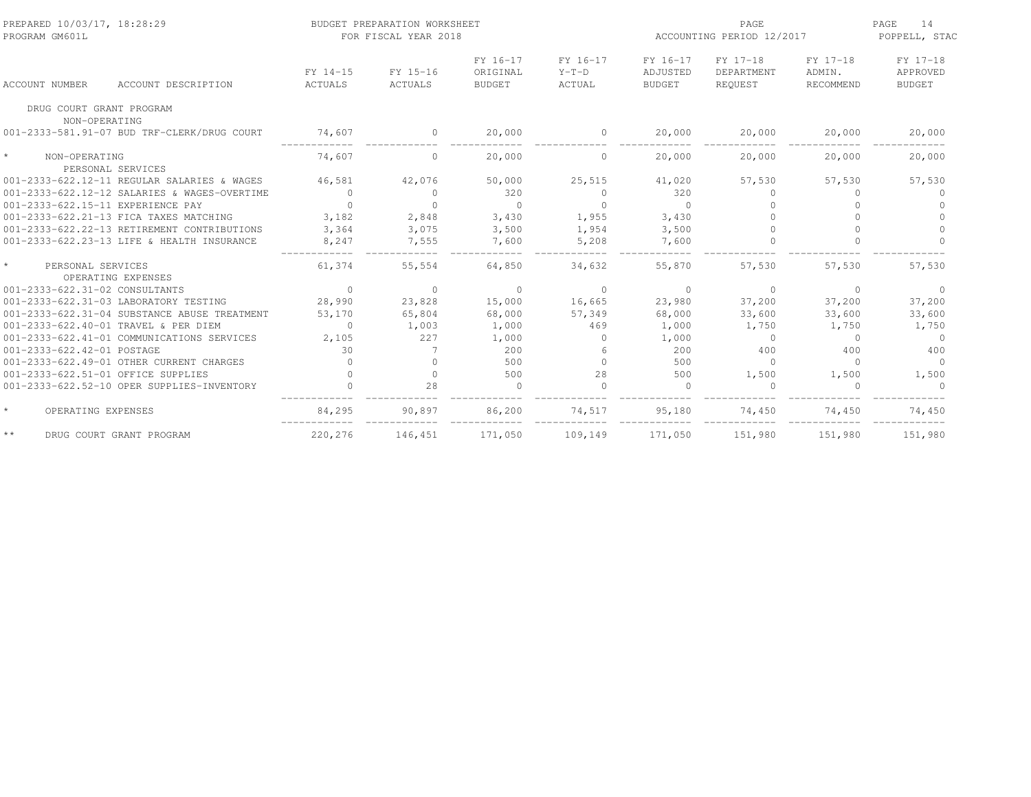| PREPARED 10/03/17, 18:28:29<br>PROGRAM GM601L      |                     | BUDGET PREPARATION WORKSHEET<br>FOR FISCAL YEAR 2018 |                                       |                               | ACCOUNTING PERIOD 12/2017             | PAGE<br>14<br>POPPELL, STAC       |                                 |                                       |
|----------------------------------------------------|---------------------|------------------------------------------------------|---------------------------------------|-------------------------------|---------------------------------------|-----------------------------------|---------------------------------|---------------------------------------|
| ACCOUNT DESCRIPTION<br><b>ACCOUNT NUMBER</b>       | FY 14-15<br>ACTUALS | FY 15-16<br>ACTUALS                                  | FY 16-17<br>ORIGINAL<br><b>BUDGET</b> | FY 16-17<br>$Y-T-D$<br>ACTUAL | FY 16-17<br>ADJUSTED<br><b>BUDGET</b> | FY 17-18<br>DEPARTMENT<br>REOUEST | FY 17-18<br>ADMIN.<br>RECOMMEND | FY 17-18<br>APPROVED<br><b>BUDGET</b> |
| DRUG COURT GRANT PROGRAM<br>NON-OPERATING          |                     |                                                      |                                       |                               |                                       |                                   |                                 |                                       |
| 001-2333-581.91-07 BUD TRF-CLERK/DRUG COURT        | 74,607              | $\circ$                                              | 20,000                                | $\overline{0}$                | 20,000                                | 20,000                            | 20,000                          | 20,000                                |
| $\star$<br>NON-OPERATING<br>PERSONAL SERVICES      | 74,607              | $\Omega$                                             | 20,000                                | $\circ$                       | 20,000                                | 20,000                            | 20,000                          | 20,000                                |
| 001-2333-622.12-11 REGULAR SALARIES & WAGES        | 46,581              | 42,076                                               | 50,000                                | 25,515                        | 41,020                                | 57,530                            | 57,530                          | 57,530                                |
| 001-2333-622.12-12 SALARIES & WAGES-OVERTIME       | $\circ$             | $\Omega$                                             | 320                                   | $\Omega$                      | 320                                   | $\Omega$                          | $\Omega$                        |                                       |
| 001-2333-622.15-11 EXPERIENCE PAY                  |                     | $\cap$                                               | $\cap$                                | $\bigcap$                     | $\cap$                                |                                   | $\cap$                          |                                       |
| 001-2333-622.21-13 FICA TAXES MATCHING             | 3,182               | 2,848                                                | 3,430                                 | 1,955                         | 3,430                                 |                                   |                                 |                                       |
| 001-2333-622.22-13 RETIREMENT CONTRIBUTIONS        | 3,364               | 3,075                                                | 3,500                                 | 1,954                         | 3,500                                 |                                   |                                 |                                       |
| 001-2333-622.23-13 LIFE & HEALTH INSURANCE         | 8,247               | 7,555                                                | 7,600                                 | 5,208                         | 7,600                                 |                                   |                                 |                                       |
| $\star$<br>PERSONAL SERVICES<br>OPERATING EXPENSES | 61,374              | 55,554                                               | 64,850                                | 34,632                        | 55,870                                | 57,530                            | 57,530                          | 57,530                                |
| 001-2333-622.31-02 CONSULTANTS                     | $\overline{0}$      | $\mathbf{0}$                                         | $\Omega$                              | $\overline{0}$                | $\overline{0}$                        | $\circ$                           | $\mathbf 0$                     | $\Omega$                              |
| 001-2333-622.31-03 LABORATORY TESTING              | 28,990              | 23,828                                               | 15,000                                | 16,665                        | 23,980                                | 37,200                            | 37,200                          | 37,200                                |
| 001-2333-622.31-04 SUBSTANCE ABUSE TREATMENT       | 53,170              | 65,804                                               | 68,000                                | 57,349                        | 68,000                                | 33,600                            | 33,600                          | 33,600                                |
| 001-2333-622.40-01 TRAVEL & PER DIEM               | $\circ$             | 1,003                                                | 1,000                                 | 469                           | 1,000                                 | 1,750                             | 1,750                           | 1,750                                 |
| 001-2333-622.41-01 COMMUNICATIONS SERVICES         | 2,105               | 227                                                  | 1,000                                 | $\Omega$                      | 1,000                                 | $\Omega$                          | $\Omega$                        | $\Omega$                              |
| 001-2333-622.42-01 POSTAGE                         | 30                  |                                                      | 200                                   | 6                             | 200                                   | 400                               | 400                             | 400                                   |
| 001-2333-622.49-01 OTHER CURRENT CHARGES           | $\bigcap$           | $\Omega$                                             | 500                                   | $\Omega$                      | 500                                   | $\Omega$                          | $\Omega$                        | $\Omega$                              |
| 001-2333-622.51-01 OFFICE SUPPLIES                 | $\Omega$            | $\Omega$                                             | 500                                   | 28                            | 500                                   | 1,500                             | 1,500                           | 1,500                                 |
| 001-2333-622.52-10 OPER SUPPLIES-INVENTORY         |                     | 2.8                                                  | $\Omega$                              | $\cap$                        |                                       | $\Omega$                          | $\cap$                          | $\cap$                                |
| $\star$<br>OPERATING EXPENSES                      | 84,295              | 90,897                                               | 86,200                                | 74,517                        | 95,180                                | 74,450                            | 74,450                          | 74,450                                |
| $\star$ $\star$<br>DRUG COURT GRANT PROGRAM        | 220,276             | 146,451                                              | 171,050                               | 109,149                       | 171,050                               | 151,980                           | 151,980                         | 151,980                               |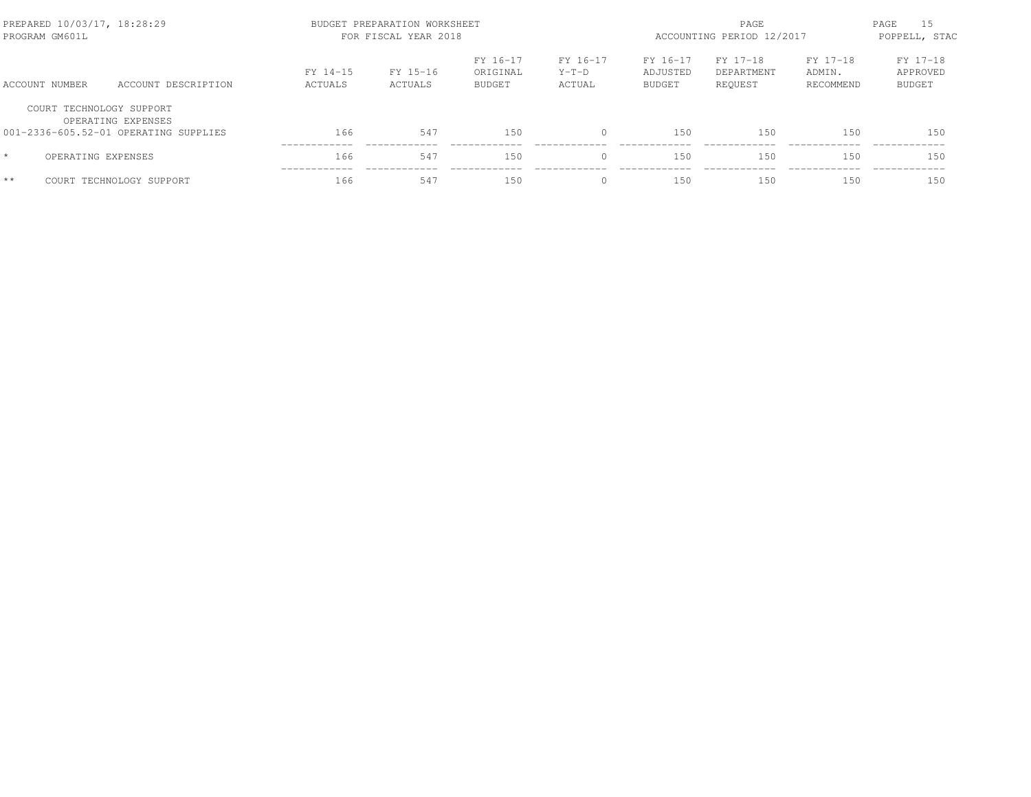| PREPARED 10/03/17, 18:28:29<br>PROGRAM GM601L |                                                             | BUDGET PREPARATION WORKSHEET<br>FOR FISCAL YEAR 2018 | ACCOUNTING PERIOD 12/2017 | PAGE<br>1.5<br>POPPELL, STAC          |                               |                                       |                                   |                                 |                                       |
|-----------------------------------------------|-------------------------------------------------------------|------------------------------------------------------|---------------------------|---------------------------------------|-------------------------------|---------------------------------------|-----------------------------------|---------------------------------|---------------------------------------|
| ACCOUNT NUMBER                                | ACCOUNT DESCRIPTION                                         | FY 14-15<br>ACTUALS                                  | FY 15-16<br>ACTUALS       | FY 16-17<br>ORIGINAL<br><b>BUDGET</b> | FY 16-17<br>$Y-T-D$<br>ACTUAL | FY 16-17<br>ADJUSTED<br><b>BUDGET</b> | FY 17-18<br>DEPARTMENT<br>REOUEST | FY 17-18<br>ADMIN.<br>RECOMMEND | FY 17-18<br>APPROVED<br><b>BUDGET</b> |
| COURT TECHNOLOGY SUPPORT                      | OPERATING EXPENSES<br>001-2336-605.52-01 OPERATING SUPPLIES | 166                                                  | 547                       | 150                                   |                               | 150                                   | 150                               | 150                             | 150                                   |
| $\star$<br>OPERATING EXPENSES                 |                                                             | 166                                                  | 547                       | 150                                   |                               | 150                                   | 150                               | 150                             | 150                                   |
| $**$                                          | COURT TECHNOLOGY SUPPORT                                    | 166                                                  | 547                       | 150                                   |                               | 150                                   | 150                               | 150                             | 150                                   |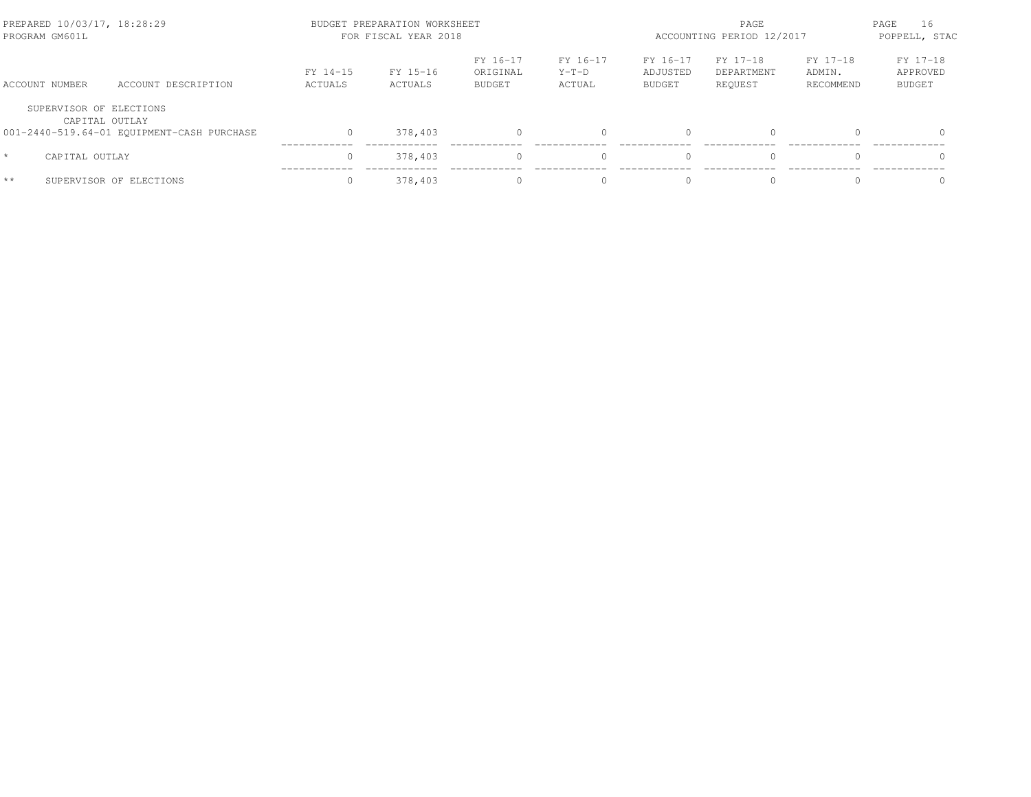| PREPARED 10/03/17, 18:28:29<br>PROGRAM GM601L |                                            |                     | BUDGET PREPARATION WORKSHEET<br>FOR FISCAL YEAR 2018 | PAGE<br>ACCOUNTING PERIOD 12/2017     |                               |                                       | PAGE<br>16<br>POPPELL, STAC       |                                 |                                       |
|-----------------------------------------------|--------------------------------------------|---------------------|------------------------------------------------------|---------------------------------------|-------------------------------|---------------------------------------|-----------------------------------|---------------------------------|---------------------------------------|
| ACCOUNT NUMBER                                | ACCOUNT DESCRIPTION                        | FY 14-15<br>ACTUALS | FY 15-16<br>ACTUALS                                  | FY 16-17<br>ORIGINAL<br><b>BUDGET</b> | FY 16-17<br>$Y-T-D$<br>ACTUAL | FY 16-17<br>ADJUSTED<br><b>BUDGET</b> | FY 17-18<br>DEPARTMENT<br>REOUEST | FY 17-18<br>ADMIN.<br>RECOMMEND | FY 17-18<br>APPROVED<br><b>BUDGET</b> |
| SUPERVISOR OF ELECTIONS<br>CAPITAL OUTLAY     |                                            |                     |                                                      |                                       |                               |                                       |                                   |                                 |                                       |
|                                               | 001-2440-519.64-01 EQUIPMENT-CASH PURCHASE |                     | 378,403                                              |                                       |                               | $\bigcap$                             | $\Omega$                          |                                 | $\Omega$                              |
| CAPITAL OUTLAY<br>$\star$                     |                                            |                     | 378,403                                              |                                       |                               | $\bigcap$                             | $\Omega$                          |                                 | $\Omega$                              |
| $**$                                          | SUPERVISOR OF ELECTIONS                    |                     | 378,403                                              |                                       |                               | $\bigcap$                             | $\Omega$                          |                                 |                                       |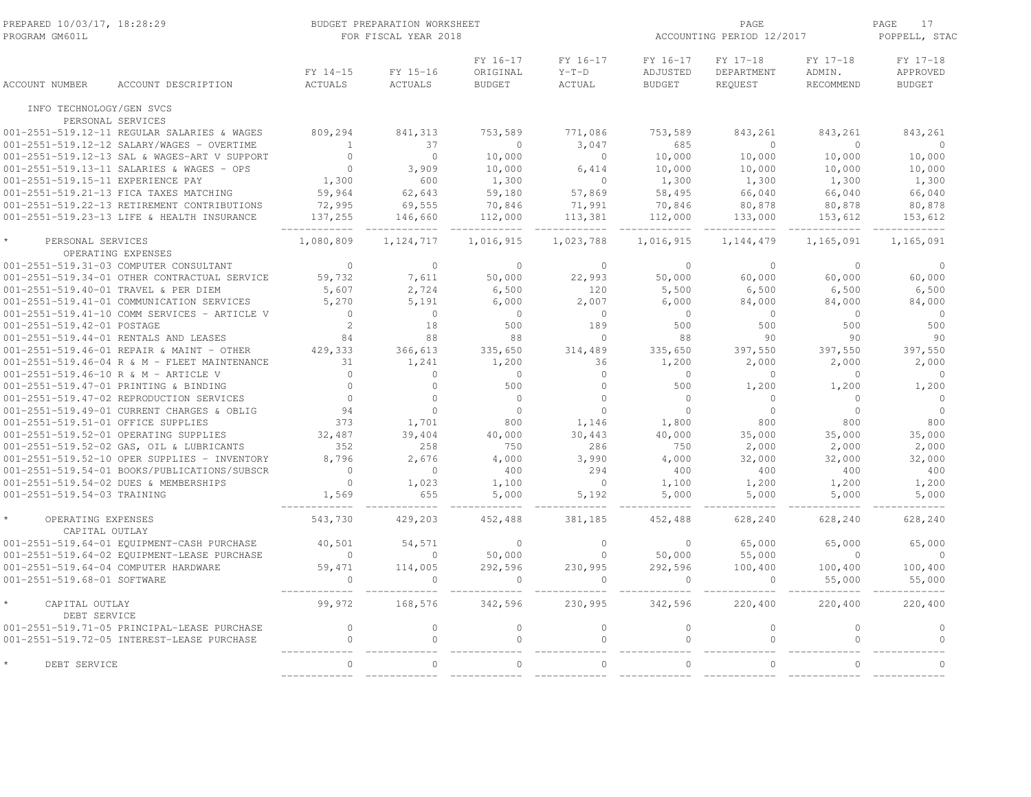| PREPARED 10/03/17, 18:28:29<br>PROGRAM GM601L |                                              |                            | BUDGET PREPARATION WORKSHEET<br>FOR FISCAL YEAR 2018 |                                       | ACCOUNTING PERIOD 12/2017            | PAGE<br>17<br>POPPELL, STAC           |                                   |                                 |                                       |
|-----------------------------------------------|----------------------------------------------|----------------------------|------------------------------------------------------|---------------------------------------|--------------------------------------|---------------------------------------|-----------------------------------|---------------------------------|---------------------------------------|
| ACCOUNT NUMBER                                | ACCOUNT DESCRIPTION                          | FY 14-15<br><b>ACTUALS</b> | FY 15-16<br>ACTUALS                                  | FY 16-17<br>ORIGINAL<br><b>BUDGET</b> | FY 16-17<br>$Y-T-D$<br><b>ACTUAL</b> | FY 16-17<br>ADJUSTED<br><b>BUDGET</b> | FY 17-18<br>DEPARTMENT<br>REQUEST | FY 17-18<br>ADMIN.<br>RECOMMEND | FY 17-18<br>APPROVED<br><b>BUDGET</b> |
| INFO TECHNOLOGY/GEN SVCS                      | PERSONAL SERVICES                            |                            |                                                      |                                       |                                      |                                       |                                   |                                 |                                       |
|                                               | 001-2551-519.12-11 REGULAR SALARIES & WAGES  | 809,294                    | 841, 313                                             | 753,589                               | 771,086                              | 753,589                               | 843,261                           | 843,261                         | 843,261                               |
|                                               | 001-2551-519.12-12 SALARY/WAGES - OVERTIME   | $\mathbf{1}$               | 37                                                   | $\Omega$                              | 3,047                                | 685                                   | $\Omega$                          | $\Omega$                        | $\Omega$                              |
|                                               | 001-2551-519.12-13 SAL & WAGES-ART V SUPPORT | $\Omega$                   | $\Omega$                                             | 10,000                                | $\Omega$                             | 10,000                                | 10,000                            | 10,000                          | 10,000                                |
|                                               | 001-2551-519.13-11 SALARIES & WAGES - OPS    | $\Omega$                   | 3,909                                                | 10,000                                | 6,414                                | 10,000                                | 10,000                            | 10,000                          | 10,000                                |
| 001-2551-519.15-11 EXPERIENCE PAY             |                                              | 1,300                      | 600                                                  | 1,300                                 | $\Omega$                             | 1,300                                 | 1,300                             | 1,300                           | 1,300                                 |
|                                               | 001-2551-519.21-13 FICA TAXES MATCHING       | 59,964                     | 62,643                                               | 59,180                                | 57,869                               | 58,495                                | 66,040                            | 66,040                          | 66,040                                |
|                                               | 001-2551-519.22-13 RETIREMENT CONTRIBUTIONS  | 72,995                     | 69,555                                               | 70,846                                | 71,991                               | 70,846                                | 80,878                            | 80,878                          | 80,878                                |
|                                               | 001-2551-519.23-13 LIFE & HEALTH INSURANCE   | 137,255                    | 146,660                                              | 112,000                               | 113,381                              | 112,000                               | 133,000                           | 153,612                         | 153,612                               |
| PERSONAL SERVICES                             | OPERATING EXPENSES                           | 1,080,809                  | 1,124,717                                            | 1,016,915                             | 1,023,788                            | 1,016,915                             | 1,144,479                         | 1,165,091                       | 1,165,091                             |
|                                               | 001-2551-519.31-03 COMPUTER CONSULTANT       | $\Omega$                   | $\Omega$                                             | $\Omega$                              | $\Omega$                             | $\bigcap$                             | $\Omega$                          | $\Omega$                        | $\Omega$                              |
|                                               | 001-2551-519.34-01 OTHER CONTRACTUAL SERVICE | 59,732                     | 7,611                                                | 50,000                                | 22,993                               | 50,000                                | 60,000                            | 60,000                          | 60,000                                |
|                                               | 001-2551-519.40-01 TRAVEL & PER DIEM         | 5,607                      | 2,724                                                | 6,500                                 | 120                                  | 5,500                                 | 6,500                             | 6,500                           | 6,500                                 |
|                                               | 001-2551-519.41-01 COMMUNICATION SERVICES    | 5,270                      | 5,191                                                | 6,000                                 | 2,007                                | 6,000                                 | 84,000                            | 84,000                          | 84,000                                |
|                                               | 001-2551-519.41-10 COMM SERVICES - ARTICLE V | $\Omega$                   | $\Omega$                                             | $\overline{0}$                        | $\Omega$                             | $\Omega$                              | $\mathbf{0}$                      | $\circ$                         | $\circ$                               |
| 001-2551-519.42-01 POSTAGE                    |                                              | 2                          | 18                                                   | 500                                   | 189                                  | 500                                   | 500                               | 500                             | 500                                   |
|                                               | 001-2551-519.44-01 RENTALS AND LEASES        | 84                         | 88                                                   | 88                                    | $\Omega$                             | 88                                    | 90                                | 90                              | 90                                    |
|                                               | 001-2551-519.46-01 REPAIR & MAINT - OTHER    | 429,333                    | 366,613                                              | 335,650                               | 314,489                              | 335,650                               | 397,550                           | 397,550                         | 397,550                               |
|                                               | 001-2551-519.46-04 R & M - FLEET MAINTENANCE | 31                         | 1,241                                                | 1,200                                 | 36                                   | 1,200                                 | 2,000                             | 2,000                           | 2,000                                 |
|                                               | 001-2551-519.46-10 R & M - ARTICLE V         | $\cap$                     | $\circ$                                              | $\overline{0}$                        | $\mathbf{0}$                         | $\circ$                               | $\circ$                           | $\circ$                         | $\circ$                               |
|                                               | 001-2551-519.47-01 PRINTING & BINDING        | $\Omega$                   | $\Omega$                                             | 500                                   | $\Omega$                             | 500                                   | 1,200                             | 1,200                           | 1,200                                 |
|                                               | 001-2551-519.47-02 REPRODUCTION SERVICES     | $\Omega$                   | $\circ$                                              | $\circ$                               | $\Omega$                             | $\Omega$                              | $\mathbf{0}$                      | $\circ$                         | $\circ$                               |
|                                               | 001-2551-519.49-01 CURRENT CHARGES & OBLIG   | 94                         | $\Omega$                                             | $\Omega$                              | $\Omega$                             | $\Omega$                              | $\Omega$                          | $\Omega$                        | $\Omega$                              |
| 001-2551-519.51-01 OFFICE SUPPLIES            |                                              | 373                        | 1,701                                                | 800                                   | 1,146                                | 1,800                                 | 800                               | 800                             | 800                                   |
|                                               | 001-2551-519.52-01 OPERATING SUPPLIES        | 32,487                     | 39,404                                               | 40,000                                | 30,443                               | 40,000                                | 35,000                            | 35,000                          | 35,000                                |
|                                               | 001-2551-519.52-02 GAS, OIL & LUBRICANTS     | 352                        | 258                                                  | 750                                   | 286                                  | 750                                   | 2,000                             | 2,000                           | 2,000                                 |
|                                               | 001-2551-519.52-10 OPER SUPPLIES - INVENTORY | 8,796                      | 2,676                                                | 4,000                                 | 3,990                                | 4,000                                 | 32,000                            | 32,000                          | 32,000                                |
|                                               | 001-2551-519.54-01 BOOKS/PUBLICATIONS/SUBSCR | $\circ$                    | $\circ$                                              | 400                                   | 294                                  | 400                                   | 400                               | 400                             | 400                                   |
|                                               | 001-2551-519.54-02 DUES & MEMBERSHIPS        | $\mathbf{0}$               | 1,023                                                | 1,100                                 | $\circ$                              | 1,100                                 | 1,200                             | 1,200                           | 1,200                                 |
| 001-2551-519.54-03 TRAINING                   |                                              | 1,569                      | 655                                                  | 5,000                                 | 5,192                                | 5,000                                 | 5,000                             | 5,000                           | 5,000                                 |
| OPERATING EXPENSES                            |                                              | 543,730                    | 429,203                                              | 452,488                               | 381,185                              | 452,488                               | 628,240                           | 628,240                         | 628,240                               |
| CAPITAL OUTLAY                                | 001-2551-519.64-01 EQUIPMENT-CASH PURCHASE   | 40,501                     | 54,571                                               | $\circ$                               | $\circ$                              | $\bigcap$                             | 65,000                            | 65,000                          | 65,000                                |
|                                               | 001-2551-519.64-02 EQUIPMENT-LEASE PURCHASE  | $\circ$                    | $\Omega$                                             | 50,000                                | $\mathbf{0}$                         | 50,000                                | 55,000                            | $\circ$                         | $\Omega$                              |
|                                               | 001-2551-519.64-04 COMPUTER HARDWARE         | 59,471                     | 114,005                                              | 292,596                               | 230,995                              | 292,596                               | 100,400                           | 100,400                         | 100,400                               |
| 001-2551-519.68-01 SOFTWARE                   |                                              | $\circ$                    | $\circ$                                              | $\circ$                               | $\circ$                              | $\circ$                               | $\circ$                           | 55,000                          | 55,000                                |
| CAPITAL OUTLAY<br>DEBT SERVICE                |                                              | 99,972                     | 168,576                                              | 342,596                               | 230,995                              | 342,596                               | 220,400                           | 220,400                         | 220,400                               |
|                                               | 001-2551-519.71-05 PRINCIPAL-LEASE PURCHASE  | $\Omega$                   | $\Omega$                                             | $\Omega$                              | $\Omega$                             | $\Omega$                              | $\Omega$                          | $\Omega$                        | $\Omega$                              |
|                                               | 001-2551-519.72-05 INTEREST-LEASE PURCHASE   | $\mathbf{0}$               | $\circ$                                              | $\Omega$                              | $\mathbf{0}$                         | $\circ$                               | $\mathbb O$                       | $\mathbf 0$                     | $\circ$                               |
| DEBT SERVICE                                  |                                              | $\bigcap$                  | $\Omega$                                             | $\cap$                                | $\cap$                               | $\Omega$                              | $\bigcap$                         | $\Omega$                        | $\Omega$                              |
|                                               |                                              |                            |                                                      |                                       |                                      |                                       |                                   |                                 |                                       |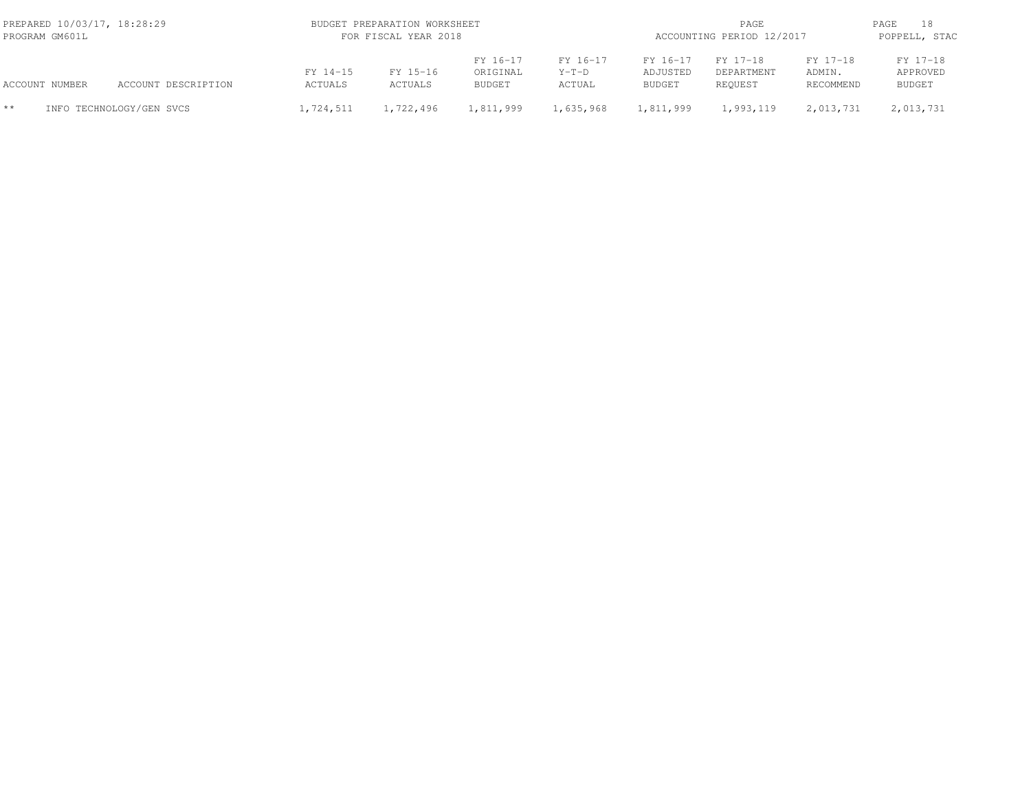| PREPARED 10/03/17, 18:28:29<br>PROGRAM GM601L |                |                          | BUDGET PREPARATION WORKSHEET<br>FOR FISCAL YEAR 2018 |                            |                                       |                               |                                       | PAGE<br>ACCOUNTING PERIOD 12/2017 |                                 |                                       |
|-----------------------------------------------|----------------|--------------------------|------------------------------------------------------|----------------------------|---------------------------------------|-------------------------------|---------------------------------------|-----------------------------------|---------------------------------|---------------------------------------|
|                                               | ACCOUNT NUMBER | ACCOUNT DESCRIPTION      | FY 14-15<br>ACTUALS                                  | FY 15-16<br><b>ACTUALS</b> | FY 16-17<br>ORIGINAL<br><b>BUDGET</b> | FY 16-17<br>$Y-T-D$<br>ACTUAL | FY 16-17<br>ADJUSTED<br><b>BUDGET</b> | FY 17-18<br>DEPARTMENT<br>REOUEST | FY 17-18<br>ADMIN.<br>RECOMMEND | FY 17-18<br>APPROVED<br><b>BUDGET</b> |
| $**$                                          |                | INFO TECHNOLOGY/GEN SVCS | 1,724,511                                            | 1,722,496                  | 1,811,999                             | 1,635,968                     | 1,811,999                             | 1,993,119                         | 2,013,731                       | 2,013,731                             |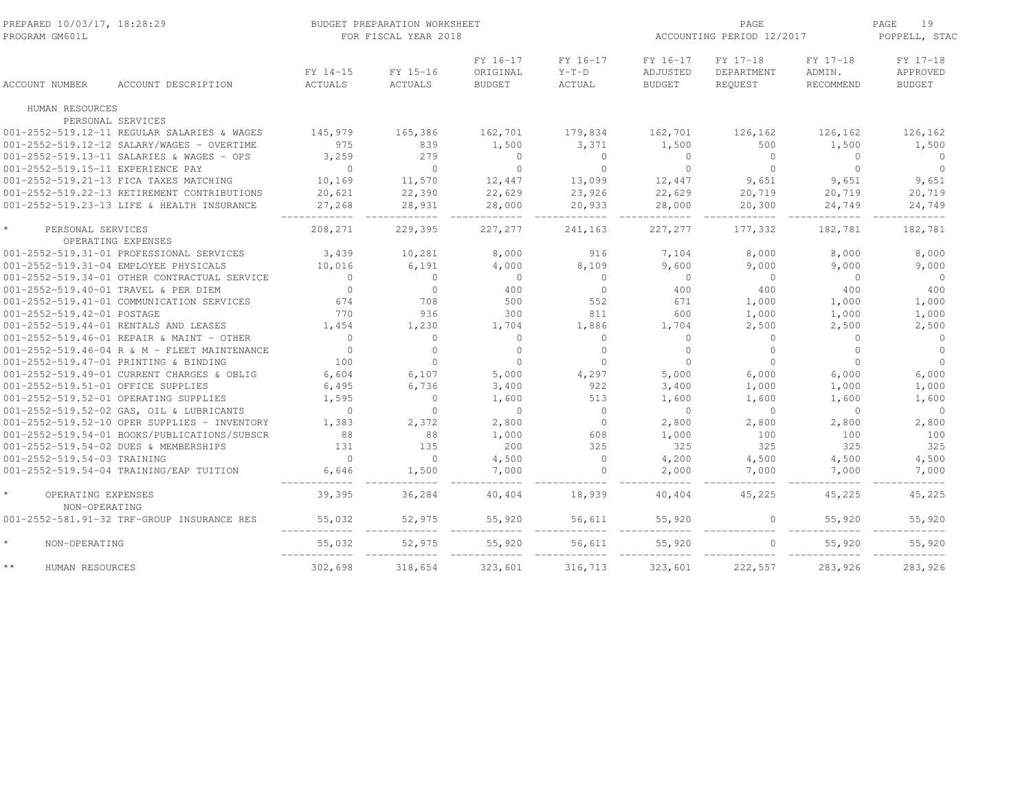| PREPARED 10/03/17, 18:28:29<br>PROGRAM GM601L      | BUDGET PREPARATION WORKSHEET<br>FOR FISCAL YEAR 2018 |                            |                                       |                                      |                                       | PAGE<br>ACCOUNTING PERIOD 12/2017 |                                        |                                       |  |
|----------------------------------------------------|------------------------------------------------------|----------------------------|---------------------------------------|--------------------------------------|---------------------------------------|-----------------------------------|----------------------------------------|---------------------------------------|--|
| ACCOUNT DESCRIPTION<br><b>ACCOUNT NUMBER</b>       | FY 14-15<br>ACTUALS                                  | FY 15-16<br><b>ACTUALS</b> | FY 16-17<br>ORIGINAL<br><b>BUDGET</b> | FY 16-17<br>$Y-T-D$<br><b>ACTUAL</b> | FY 16-17<br>ADJUSTED<br><b>BUDGET</b> | FY 17-18<br>DEPARTMENT<br>REQUEST | FY 17-18<br>ADMIN.<br><b>RECOMMEND</b> | FY 17-18<br>APPROVED<br><b>BUDGET</b> |  |
| HUMAN RESOURCES                                    |                                                      |                            |                                       |                                      |                                       |                                   |                                        |                                       |  |
| PERSONAL SERVICES                                  |                                                      |                            |                                       |                                      |                                       |                                   |                                        |                                       |  |
| 001-2552-519.12-11 REGULAR SALARIES & WAGES        | 145,979                                              | 165,386                    | 162,701                               | 179,834                              | 162,701                               | 126,162                           | 126,162                                | 126,162                               |  |
| 001-2552-519.12-12 SALARY/WAGES - OVERTIME         | 975                                                  | 839                        | 1,500                                 | 3,371                                | 1,500                                 | 500                               | 1,500                                  | 1,500                                 |  |
| 001-2552-519.13-11 SALARIES & WAGES - OPS          | 3,259                                                | 279                        | $\circ$                               | $\circ$                              | $\overline{0}$                        | $\circ$                           | $\circ$                                | $\circ$                               |  |
| 001-2552-519.15-11 EXPERIENCE PAY                  | $\circ$                                              | $\circ$                    | $\circ$                               | $\circ$                              | $\overline{0}$                        | $\mathbf{0}$                      | $\circ$                                | $\circ$                               |  |
| 001-2552-519.21-13 FICA TAXES MATCHING             | 10,169                                               | 11,570                     | 12,447                                | 13,099                               | 12,447                                | 9,651                             | 9,651                                  | 9,651                                 |  |
| 001-2552-519.22-13 RETIREMENT CONTRIBUTIONS        | 20,621                                               | 22,390                     | 22,629                                | 23,926                               | 22,629                                | 20,719                            | 20,719                                 | 20,719                                |  |
| 001-2552-519.23-13 LIFE & HEALTH INSURANCE         | 27,268                                               | 28,931                     | 28,000                                | 20,933                               | 28,000                                | 20,300                            | 24,749                                 | 24,749                                |  |
| $\star$<br>PERSONAL SERVICES<br>OPERATING EXPENSES | 208,271                                              | 229,395                    | 227,277                               | 241,163                              | 227,277                               | 177,332                           | 182,781                                | 182,781                               |  |
| 001-2552-519.31-01 PROFESSIONAL SERVICES           | 3,439                                                | 10,281                     | 8,000                                 | 916                                  | 7,104                                 | 8,000                             | 8,000                                  | 8,000                                 |  |
| 001-2552-519.31-04 EMPLOYEE PHYSICALS              | 10,016                                               | 6,191                      | 4,000                                 | 8,109                                | 9,600                                 | 9,000                             | 9,000                                  | 9,000                                 |  |
| 001-2552-519.34-01 OTHER CONTRACTUAL SERVICE       | $\circ$                                              | $\circ$                    | $\circ$                               | $\circ$                              | $\overline{0}$                        | $\circ$                           | $\circ$                                | $\circ$                               |  |
| 001-2552-519.40-01 TRAVEL & PER DIEM               | $\mathbb O$                                          | $\circ$                    | 400                                   | $\circ$                              | 400                                   | 400                               | 400                                    | 400                                   |  |
| 001-2552-519.41-01 COMMUNICATION SERVICES          | 674                                                  | 708                        | 500                                   | 552                                  | 671                                   | 1,000                             | 1,000                                  | 1,000                                 |  |
| 001-2552-519.42-01 POSTAGE                         | 770                                                  | 936                        | 300                                   | 811                                  | 600                                   | 1,000                             | 1,000                                  | 1,000                                 |  |
| 001-2552-519.44-01 RENTALS AND LEASES              | 1,454                                                | 1,230                      | 1,704                                 | 1,886                                | 1,704                                 | 2,500                             | 2,500                                  | 2,500                                 |  |
| 001-2552-519.46-01 REPAIR & MAINT - OTHER          | $\circ$                                              | $\circ$                    | $\circ$                               | $\circ$                              | $\mathbf{0}$                          | $\circ$                           | $\circ$                                | $\circ$                               |  |
| 001-2552-519.46-04 R & M - FLEET MAINTENANCE       | $\mathbf{0}$                                         | $\circ$                    | $\Omega$                              | $\mathbf{0}$                         | $\mathbf 0$                           | $\mathbf{0}$                      | $\circ$                                | $\circ$                               |  |
| 001-2552-519.47-01 PRINTING & BINDING              | 100                                                  | $\circ$                    | $\Omega$                              | $\circ$                              | $\mathbf{0}$                          | $\circ$                           | $\circ$                                | $\circ$                               |  |
| 001-2552-519.49-01 CURRENT CHARGES & OBLIG         | 6,604                                                | 6,107                      | 5,000                                 | 4,297                                | 5,000                                 | 6,000                             | 6,000                                  | 6,000                                 |  |
| 001-2552-519.51-01 OFFICE SUPPLIES                 | 6,495                                                | 6,736                      | 3,400                                 | 922                                  | 3,400                                 | 1,000                             | 1,000                                  | 1,000                                 |  |
| 001-2552-519.52-01 OPERATING SUPPLIES              | 1,595                                                | $\circ$                    | 1,600                                 | 513                                  | 1,600                                 | 1,600                             | 1,600                                  | 1,600                                 |  |
| 001-2552-519.52-02 GAS, OIL & LUBRICANTS           | $\mathbf{0}$                                         | $\circ$                    | $\circ$                               | $\circ$                              | $\mathbf{0}$                          | $\circ$                           | $\circ$                                | $\circ$                               |  |
| 001-2552-519.52-10 OPER SUPPLIES - INVENTORY       | 1,383                                                | 2,372                      | 2,800                                 | $\circ$                              | 2,800                                 | 2,800                             | 2,800                                  | 2,800                                 |  |
| 001-2552-519.54-01 BOOKS/PUBLICATIONS/SUBSCR       | 88                                                   | 88                         | 1,000                                 | 608                                  | 1,000                                 | 100                               | 100                                    | 100                                   |  |
| 001-2552-519.54-02 DUES & MEMBERSHIPS              | 131                                                  | 135                        | 200                                   | 325                                  | 325                                   | 325                               | 325                                    | 325                                   |  |
| 001-2552-519.54-03 TRAINING                        | $\Omega$                                             | $\circ$                    | 4,500                                 | $\circ$                              | 4,200                                 | 4,500                             | 4,500                                  | 4,500                                 |  |
| 001-2552-519.54-04 TRAINING/EAP TUITION            | 6,646                                                | 1,500                      | 7,000                                 | $\circ$                              | 2,000                                 | 7,000                             | 7,000                                  | 7,000                                 |  |
|                                                    |                                                      |                            |                                       |                                      |                                       |                                   |                                        |                                       |  |
| $\star$<br>OPERATING EXPENSES<br>NON-OPERATING     | 39,395                                               | 36,284                     | 40,404                                | 18,939                               | 40,404                                | 45,225                            | 45,225                                 | 45,225                                |  |
| 001-2552-581.91-32 TRF-GROUP INSURANCE RES         | 55,032                                               | 52,975                     | 55,920                                | 56,611                               | 55,920                                | $\circ$                           | 55,920                                 | 55,920                                |  |
| $\star$<br>NON-OPERATING                           | 55,032                                               | 52,975                     | 55,920                                | 56,611                               | 55,920                                | $\Omega$                          | 55,920                                 | 55,920                                |  |
| $\star\star$<br>HUMAN RESOURCES                    | 302,698                                              | 318,654                    | 323,601                               | 316,713                              | 323,601                               | 222,557                           | 283,926                                | 283,926                               |  |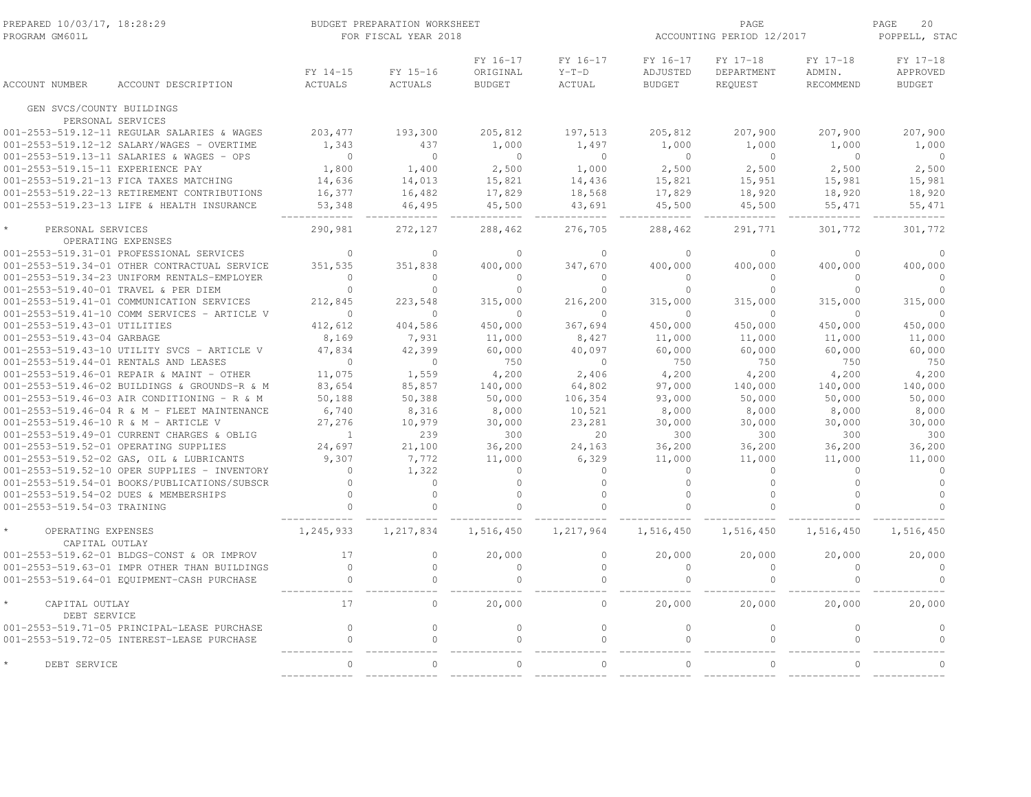| PREPARED 10/03/17, 18:28:29<br>PROGRAM GM601L |                     | BUDGET PREPARATION WORKSHEET<br>FOR FISCAL YEAR 2018 |                                       | ACCOUNTING PERIOD 12/2017     | 20<br>PAGE<br>POPPELL, STAC           |                                   |                                 |                                       |
|-----------------------------------------------|---------------------|------------------------------------------------------|---------------------------------------|-------------------------------|---------------------------------------|-----------------------------------|---------------------------------|---------------------------------------|
| <b>ACCOUNT NUMBER</b><br>ACCOUNT DESCRIPTION  | FY 14-15<br>ACTUALS | FY 15-16<br>ACTUALS                                  | FY 16-17<br>ORIGINAL<br><b>BUDGET</b> | FY 16-17<br>$Y-T-D$<br>ACTUAL | FY 16-17<br>ADJUSTED<br><b>BUDGET</b> | FY 17-18<br>DEPARTMENT<br>REQUEST | FY 17-18<br>ADMIN.<br>RECOMMEND | FY 17-18<br>APPROVED<br><b>BUDGET</b> |
| GEN SVCS/COUNTY BUILDINGS                     |                     |                                                      |                                       |                               |                                       |                                   |                                 |                                       |
| PERSONAL SERVICES                             |                     |                                                      |                                       |                               |                                       |                                   |                                 |                                       |
| 001-2553-519.12-11 REGULAR SALARIES & WAGES   | 203, 477            | 193,300                                              | 205,812                               | 197,513                       | 205,812                               | 207,900                           | 207,900                         | 207,900                               |
| 001-2553-519.12-12 SALARY/WAGES - OVERTIME    | 1,343               | 437                                                  | 1,000                                 | 1,497                         | 1,000                                 | 1,000                             | 1,000                           | 1,000                                 |
| 001-2553-519.13-11 SALARIES & WAGES - OPS     | $\overline{0}$      | $\overline{0}$                                       | $\Omega$                              | $\circ$                       | $\overline{0}$                        | $\circ$                           | $\circ$                         | $\overline{0}$                        |
| 001-2553-519.15-11 EXPERIENCE PAY             | 1,800               | 1,400                                                | 2,500                                 | 1,000                         | 2,500                                 | 2,500                             | 2,500                           | 2,500                                 |
| 001-2553-519.21-13 FICA TAXES MATCHING        | 14,636              | 14,013                                               | 15,821                                | 14,436                        | 15,821                                | 15,951                            | 15,981                          | 15,981                                |
| 001-2553-519.22-13 RETIREMENT CONTRIBUTIONS   | 16,377              | 16,482                                               | 17,829                                | 18,568                        | 17,829                                | 18,920                            | 18,920                          | 18,920                                |
| 001-2553-519.23-13 LIFE & HEALTH INSURANCE    | 53,348              | 46,495                                               | 45,500                                | 43,691                        | 45,500                                | 45,500                            | 55,471                          | 55,471                                |
| PERSONAL SERVICES<br>OPERATING EXPENSES       | 290,981             | 272,127                                              | 288,462                               | 276,705                       | 288,462                               | 291,771                           | 301,772                         | 301,772                               |
| 001-2553-519.31-01 PROFESSIONAL SERVICES      | $\circ$             | $\circ$                                              | $\Omega$                              | $\circ$                       | $\Omega$                              | $\Omega$                          | $\Omega$                        | $\overline{0}$                        |
| 001-2553-519.34-01 OTHER CONTRACTUAL SERVICE  | 351,535             | 351,838                                              | 400,000                               | 347,670                       | 400,000                               | 400,000                           | 400,000                         | 400,000                               |
| 001-2553-519.34-23 UNIFORM RENTALS-EMPLOYER   | $\circ$             | $\Omega$                                             | $\Omega$                              | $\Omega$                      | $\Omega$                              | $\circ$                           | $\Omega$                        | $\Omega$                              |
| 001-2553-519.40-01 TRAVEL & PER DIEM          | $\Omega$            | $\Omega$                                             | $\Omega$                              | $\Omega$                      | $\Omega$                              | $\Omega$                          | $\Omega$                        | $\circ$                               |
| 001-2553-519.41-01 COMMUNICATION SERVICES     | 212,845             | 223,548                                              | 315,000                               | 216,200                       | 315,000                               | 315,000                           | 315,000                         | 315,000                               |
| 001-2553-519.41-10 COMM SERVICES - ARTICLE V  | $\Omega$            | $\Omega$                                             | $\Omega$                              | $\Omega$                      | $\Omega$                              | $\Omega$                          | $\Omega$                        | $\Omega$                              |
| 001-2553-519.43-01 UTILITIES                  | 412,612             | 404,586                                              | 450,000                               | 367,694                       | 450,000                               | 450,000                           | 450,000                         | 450,000                               |
| 001-2553-519.43-04 GARBAGE                    | 8,169               | 7,931                                                | 11,000                                | 8,427                         | 11,000                                | 11,000                            | 11,000                          | 11,000                                |
| 001-2553-519.43-10 UTILITY SVCS - ARTICLE V   | 47,834              | 42,399                                               | 60,000                                | 40,097                        | 60,000                                | 60,000                            | 60,000                          | 60,000                                |
| 001-2553-519.44-01 RENTALS AND LEASES         | $\overline{0}$      | $\circ$                                              | 750                                   | $\overline{0}$                | 750                                   | 750                               | 750                             | 750                                   |
| 001-2553-519.46-01 REPAIR & MAINT - OTHER     | 11,075              | 1,559                                                | 4,200                                 | 2,406                         | 4,200                                 | 4,200                             | 4,200                           | 4,200                                 |
| 001-2553-519.46-02 BUILDINGS & GROUNDS-R & M  | 83,654              | 85,857                                               | 140,000                               | 64,802                        | 97,000                                | 140,000                           | 140,000                         | 140,000                               |
| 001-2553-519.46-03 AIR CONDITIONING - R & M   | 50,188              | 50,388                                               | 50,000                                | 106,354                       | 93,000                                | 50,000                            | 50,000                          | 50,000                                |
| 001-2553-519.46-04 R & M - FLEET MAINTENANCE  | 6,740               | 8,316                                                | 8,000                                 | 10,521                        | 8,000                                 | 8,000                             | 8,000                           | 8,000                                 |
| 001-2553-519.46-10 R & M - ARTICLE V          | 27,276              | 10,979                                               | 30,000                                | 23,281                        | 30,000                                | 30,000                            | 30,000                          | 30,000                                |
| 001-2553-519.49-01 CURRENT CHARGES & OBLIG    | 1                   | 239                                                  | 300                                   | 20                            | 300                                   | 300                               | 300                             | 300                                   |
| 001-2553-519.52-01 OPERATING SUPPLIES         | 24,697              | 21,100                                               | 36,200                                | 24,163                        | 36,200                                | 36,200                            | 36,200                          | 36,200                                |
| 001-2553-519.52-02 GAS, OIL & LUBRICANTS      | 9,307               | 7,772                                                | 11,000                                | 6,329                         | 11,000                                | 11,000                            | 11,000                          | 11,000                                |
| 001-2553-519.52-10 OPER SUPPLIES - INVENTORY  | $\mathbf{0}$        | 1,322                                                | $\circ$                               | $\circ$                       | $\Omega$                              | $\circ$                           | $\Omega$                        | $\circ$                               |
| 001-2553-519.54-01 BOOKS/PUBLICATIONS/SUBSCR  | $\circ$             | $\Omega$                                             | $\circ$                               | $\Omega$                      | $\Omega$                              | $\Omega$                          | $\Omega$                        | $\circ$                               |
| 001-2553-519.54-02 DUES & MEMBERSHIPS         | $\mathbf{0}$        | $\circ$                                              | $\Omega$                              | $\mathbf{0}$                  | $\Omega$                              | $\Omega$                          | $\Omega$                        | $\circ$                               |
| 001-2553-519.54-03 TRAINING                   | $\Omega$            | $\Omega$                                             | $\Omega$                              | $\Omega$                      | $\Omega$                              | $\Omega$                          | $\Omega$                        | $\Omega$                              |
| OPERATING EXPENSES<br>CAPITAL OUTLAY          | 1,245,933           | 1,217,834                                            | 1,516,450                             | 1,217,964                     | 1,516,450                             | 1,516,450                         | 1,516,450                       | 1,516,450                             |
| 001-2553-519.62-01 BLDGS-CONST & OR IMPROV    | 17                  | $\circ$                                              | 20,000                                | $\circ$                       | 20,000                                | 20,000                            | 20,000                          | 20,000                                |
| 001-2553-519.63-01 IMPR OTHER THAN BUILDINGS  | $\mathbb O$         | $\circ$                                              | $\circ$                               | $\circ$                       | $\circ$                               | $\circ$                           | $\circ$                         | $\circ$                               |
| 001-2553-519.64-01 EOUIPMENT-CASH PURCHASE    | $\circ$             | $\circ$                                              | $\circ$                               | $\circ$                       | $\circ$                               | $\mathbf{0}$                      | $\circ$                         | $\circ$                               |
| CAPITAL OUTLAY<br>DEBT SERVICE                | 17                  | $\circ$                                              | 20,000                                | $\circ$                       | 20,000                                | 20,000                            | 20,000                          | 20,000                                |
| 001-2553-519.71-05 PRINCIPAL-LEASE PURCHASE   | $\circ$             | $\circ$                                              | $\circ$                               | $\circ$                       | $\circ$                               | $\circ$                           | $\circ$                         | $\circ$                               |
| 001-2553-519.72-05 INTEREST-LEASE PURCHASE    | $\mathbb O$         | $\circ$                                              | $\Omega$                              | $\mathbf{0}$                  | $\circ$                               | $\circ$                           | $\Omega$                        | $\circ$                               |
|                                               |                     |                                                      |                                       |                               |                                       |                                   |                                 |                                       |
| DEBT SERVICE                                  | $\Omega$            | $\Omega$                                             | $\cap$                                | $\Omega$                      | $\Omega$                              | $\bigcap$                         | $\cap$                          | $\Omega$                              |
|                                               |                     |                                                      |                                       |                               |                                       |                                   |                                 |                                       |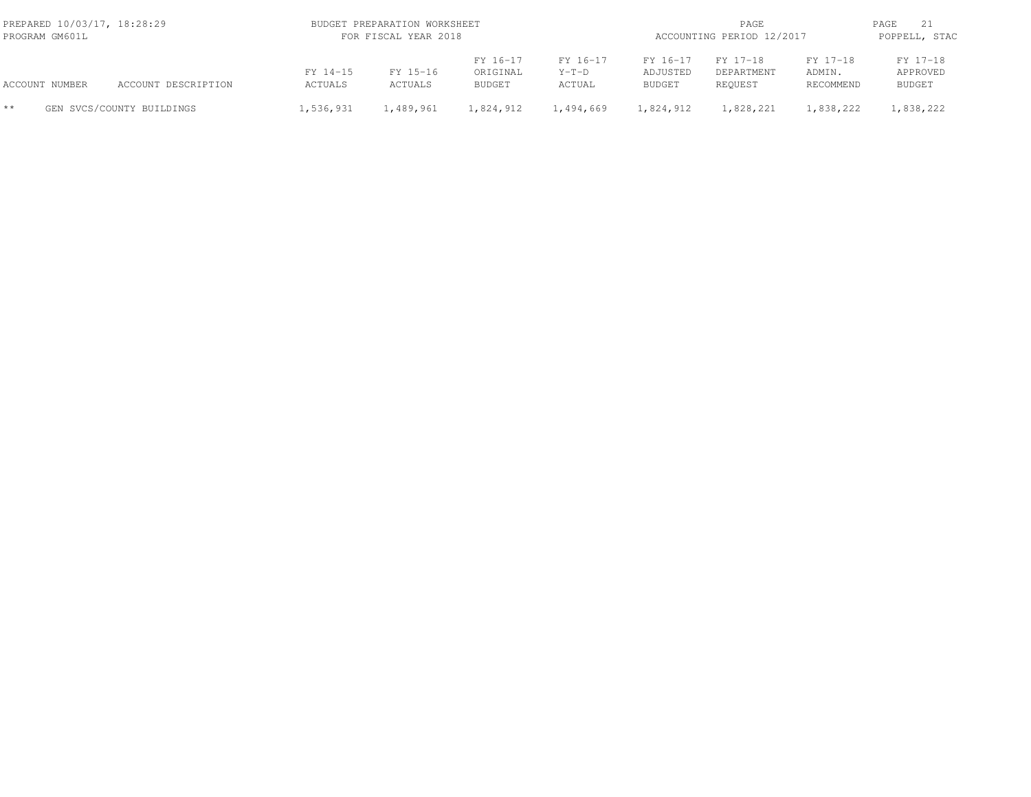| PREPARED 10/03/17, 18:28:29<br>PROGRAM GM601L |                |                           |                     | BUDGET PREPARATION WORKSHEET<br>FOR FISCAL YEAR 2018 |                                       | ACCOUNTING PERIOD 12/2017     | 21<br>PAGE<br>POPPELL, STAC           |                                   |                                 |                                       |
|-----------------------------------------------|----------------|---------------------------|---------------------|------------------------------------------------------|---------------------------------------|-------------------------------|---------------------------------------|-----------------------------------|---------------------------------|---------------------------------------|
|                                               | ACCOUNT NUMBER | ACCOUNT DESCRIPTION       | FY 14-15<br>ACTUALS | FY 15-16<br><b>ACTUALS</b>                           | FY 16-17<br>ORIGINAL<br><b>BUDGET</b> | FY 16-17<br>$Y-T-D$<br>ACTUAL | FY 16-17<br>ADJUSTED<br><b>BUDGET</b> | FY 17-18<br>DEPARTMENT<br>REOUEST | FY 17-18<br>ADMIN.<br>RECOMMEND | FY 17-18<br>APPROVED<br><b>BUDGET</b> |
| $**$                                          |                | GEN SVCS/COUNTY BUILDINGS | 1,536,931           | 1,489,961                                            | 1,824,912                             | 1,494,669                     | 1,824,912                             | 1,828,221                         | 1,838,222                       | 1,838,222                             |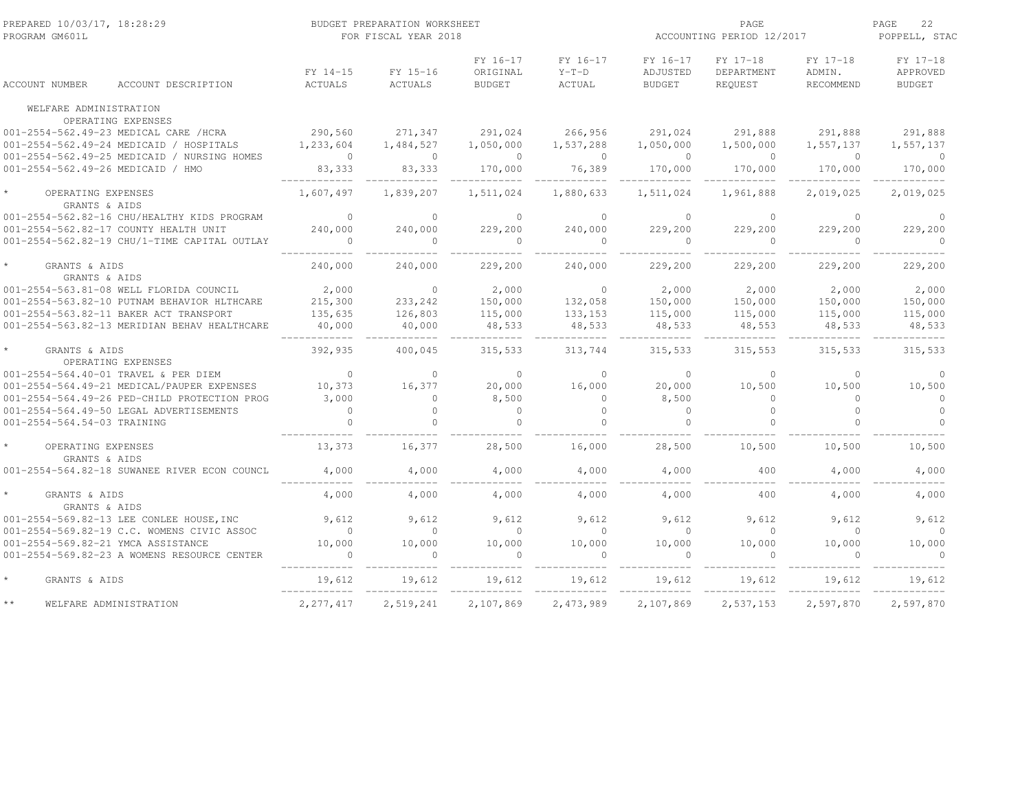| PREPARED 10/03/17, 18:28:29<br>PROGRAM GM601L |                                              |                            | BUDGET PREPARATION WORKSHEET<br>FOR FISCAL YEAR 2018 |                                       |                               | ACCOUNTING PERIOD 12/2017             | PAGE<br>22<br>POPPELL, STAC       |                                 |                                       |
|-----------------------------------------------|----------------------------------------------|----------------------------|------------------------------------------------------|---------------------------------------|-------------------------------|---------------------------------------|-----------------------------------|---------------------------------|---------------------------------------|
| ACCOUNT NUMBER                                | ACCOUNT DESCRIPTION                          | FY 14-15<br><b>ACTUALS</b> | FY 15-16<br><b>ACTUALS</b>                           | FY 16-17<br>ORIGINAL<br><b>BUDGET</b> | FY 16-17<br>$Y-T-D$<br>ACTUAL | FY 16-17<br>ADJUSTED<br><b>BUDGET</b> | FY 17-18<br>DEPARTMENT<br>REQUEST | FY 17-18<br>ADMIN.<br>RECOMMEND | FY 17-18<br>APPROVED<br><b>BUDGET</b> |
| WELFARE ADMINISTRATION                        |                                              |                            |                                                      |                                       |                               |                                       |                                   |                                 |                                       |
|                                               | OPERATING EXPENSES                           |                            |                                                      |                                       |                               |                                       |                                   |                                 |                                       |
|                                               | 001-2554-562.49-23 MEDICAL CARE /HCRA        | 290,560                    | 271,347                                              | 291,024                               | 266,956                       | 291,024                               | 291,888                           | 291,888                         | 291,888                               |
|                                               | 001-2554-562.49-24 MEDICAID / HOSPITALS      | 1,233,604                  | 1,484,527                                            | 1,050,000                             | 1,537,288                     | 1,050,000                             | 1,500,000                         | 1,557,137                       | 1,557,137                             |
|                                               | 001-2554-562.49-25 MEDICAID / NURSING HOMES  | $\sim$ 0                   | $\overline{0}$                                       | $\Omega$                              | $\bigcirc$                    | $\overline{0}$                        | $\Omega$                          | $\bigcirc$                      | $\overline{0}$                        |
| 001-2554-562.49-26 MEDICAID / HMO             |                                              | 83,333                     | 83,333                                               | 170,000                               | 76,389                        | 170,000                               | 170,000                           | 170,000                         | 170,000                               |
| OPERATING EXPENSES<br>GRANTS & AIDS           |                                              | 1,607,497                  | 1,839,207                                            | 1,511,024                             | 1,880,633                     | 1,511,024                             | 1,961,888                         | 2,019,025                       | 2,019,025                             |
|                                               | 001-2554-562.82-16 CHU/HEALTHY KIDS PROGRAM  | $\Omega$                   | $\Omega$                                             | $\Omega$                              | $\Omega$                      | $\overline{0}$                        | $\Omega$                          | $\Omega$                        | $\Omega$                              |
|                                               | 001-2554-562.82-17 COUNTY HEALTH UNIT        | 240,000                    | 240,000                                              | 229,200                               | 240,000                       | 229,200                               | 229,200                           | 229,200                         | 229,200                               |
|                                               | 001-2554-562.82-19 CHU/1-TIME CAPITAL OUTLAY | $\Omega$                   | $\Omega$                                             | $\Omega$                              | $\Omega$                      | $\bigcirc$                            | $\Omega$                          | $\Omega$                        | $\Omega$                              |
| GRANTS & AIDS<br>GRANTS & AIDS                |                                              | 240,000                    | 240,000                                              | 229,200                               | 240,000                       | 229,200                               | 229,200                           | 229,200                         | 229,200                               |
|                                               | 001-2554-563.81-08 WELL FLORIDA COUNCIL      | 2,000                      | $\circ$                                              | 2,000                                 | $\overline{0}$                | 2,000                                 | 2,000                             | 2,000                           | 2,000                                 |
|                                               | 001-2554-563.82-10 PUTNAM BEHAVIOR HLTHCARE  | 215,300                    | 233,242                                              | 150,000                               | 132,058                       | 150,000                               | 150,000                           | 150,000                         | 150,000                               |
|                                               | 001-2554-563.82-11 BAKER ACT TRANSPORT       | 135,635                    | 126,803                                              | 115,000                               | 133,153                       | 115,000                               | 115,000                           | 115,000                         | 115,000                               |
|                                               | 001-2554-563.82-13 MERIDIAN BEHAV HEALTHCARE | 40,000                     | 40,000                                               | 48,533                                | 48,533                        | 48,533                                | 48,553                            | 48,533                          | 48,533                                |
| GRANTS & AIDS                                 | OPERATING EXPENSES                           | 392,935                    | 400,045                                              | 315,533                               | 313,744                       | 315,533                               | 315,553                           | 315,533                         | 315,533                               |
| 001-2554-564.40-01 TRAVEL & PER DIEM          |                                              | $\Omega$                   | $\Omega$                                             | $\Omega$                              | $\Omega$                      | $\Omega$                              | $\Omega$                          | $\Omega$                        | $\Omega$                              |
|                                               | 001-2554-564.49-21 MEDICAL/PAUPER EXPENSES   | 10,373                     | 16,377                                               | 20,000                                | 16,000                        | 20,000                                | 10,500                            | 10,500                          | 10,500                                |
|                                               | 001-2554-564.49-26 PED-CHILD PROTECTION PROG | 3,000                      | $\Omega$                                             | 8,500                                 | $\Omega$                      | 8,500                                 | $\Omega$                          | $\Omega$                        | $\Omega$                              |
|                                               | 001-2554-564.49-50 LEGAL ADVERTISEMENTS      | $\circ$                    | $\circ$                                              | $\circ$                               | $\circ$                       | $\Omega$                              | $\circ$                           | $\circ$                         | $\overline{0}$                        |
| 001-2554-564.54-03 TRAINING                   |                                              | $\Omega$                   | $\Omega$                                             | $\Omega$                              | $\bigcap$                     | $\Omega$                              | $\Omega$                          | $\cap$                          |                                       |
| OPERATING EXPENSES<br>GRANTS & AIDS           |                                              | 13,373                     | 16,377                                               | 28,500                                | 16,000                        | 28,500                                | 10,500                            | 10,500                          | 10,500                                |
|                                               | 001-2554-564.82-18 SUWANEE RIVER ECON COUNCL | 4,000                      | 4,000                                                | 4,000                                 | 4,000                         | 4,000                                 | 400                               | 4,000                           | 4,000                                 |
| GRANTS & AIDS<br>GRANTS & AIDS                |                                              | 4,000                      | 4,000                                                | 4,000                                 | 4,000                         | 4,000                                 | 400                               | 4,000                           | 4,000                                 |
|                                               | 001-2554-569.82-13 LEE CONLEE HOUSE, INC     | 9,612                      | 9,612                                                | 9,612                                 | 9,612                         | 9,612                                 | 9,612                             | 9,612                           | 9,612                                 |
|                                               | 001-2554-569.82-19 C.C. WOMENS CIVIC ASSOC   | $\circ$                    | $\Omega$                                             | $\Omega$                              | $\circ$                       | $\Omega$                              | $\circ$                           | $\circ$                         | $\Omega$                              |
| 001-2554-569.82-21 YMCA ASSISTANCE            |                                              | 10,000                     | 10,000                                               | 10,000                                | 10,000                        | 10,000                                | 10,000                            | 10,000                          | 10,000                                |
|                                               | 001-2554-569.82-23 A WOMENS RESOURCE CENTER  |                            |                                                      |                                       |                               |                                       |                                   |                                 | $\Omega$                              |
| $\star$<br>GRANTS & AIDS                      |                                              | 19,612                     | 19,612                                               | 19,612                                | 19,612                        | 19,612                                | 19,612                            | 19,612                          | 19,612                                |
| $\star\star$<br>WELFARE ADMINISTRATION        |                                              | 2, 277, 417                | 2,519,241                                            | 2,107,869                             | 2,473,989                     | 2,107,869                             | 2,537,153                         | 2,597,870                       | 2,597,870                             |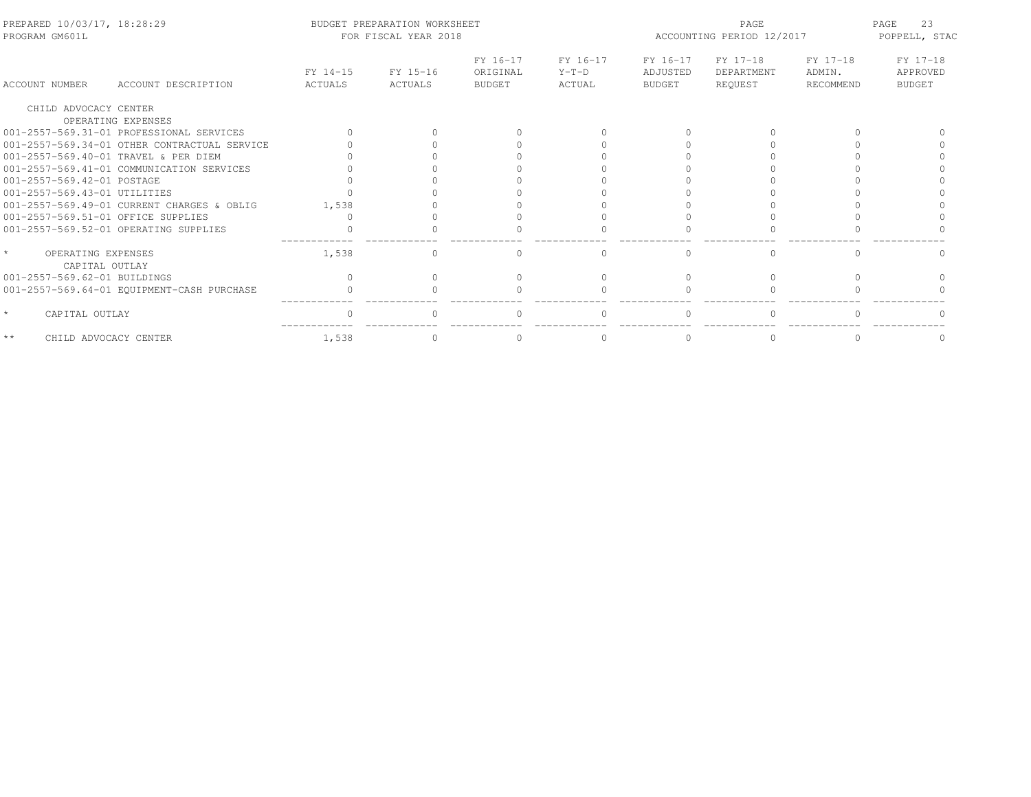| PREPARED 10/03/17, 18:28:29<br>PROGRAM GM601L   |                                              |                     | BUDGET PREPARATION WORKSHEET<br>FOR FISCAL YEAR 2018 |                                       |                               | ACCOUNTING PERIOD 12/2017             | PAGE<br>23<br>POPPELL, STAC       |                                 |                                       |
|-------------------------------------------------|----------------------------------------------|---------------------|------------------------------------------------------|---------------------------------------|-------------------------------|---------------------------------------|-----------------------------------|---------------------------------|---------------------------------------|
| <b>ACCOUNT NUMBER</b>                           | ACCOUNT DESCRIPTION                          | FY 14-15<br>ACTUALS | FY 15-16<br>ACTUALS                                  | FY 16-17<br>ORIGINAL<br><b>BUDGET</b> | FY 16-17<br>$Y-T-D$<br>ACTUAL | FY 16-17<br>ADJUSTED<br><b>BUDGET</b> | FY 17-18<br>DEPARTMENT<br>REQUEST | FY 17-18<br>ADMIN.<br>RECOMMEND | FY 17-18<br>APPROVED<br><b>BUDGET</b> |
| CHILD ADVOCACY CENTER                           |                                              |                     |                                                      |                                       |                               |                                       |                                   |                                 |                                       |
|                                                 | OPERATING EXPENSES                           |                     |                                                      |                                       |                               |                                       |                                   |                                 |                                       |
|                                                 | 001-2557-569.31-01 PROFESSIONAL SERVICES     |                     |                                                      |                                       |                               |                                       |                                   |                                 |                                       |
|                                                 | 001-2557-569.34-01 OTHER CONTRACTUAL SERVICE |                     |                                                      |                                       |                               |                                       |                                   |                                 |                                       |
|                                                 | 001-2557-569.40-01 TRAVEL & PER DIEM         |                     |                                                      |                                       |                               |                                       |                                   |                                 |                                       |
|                                                 | 001-2557-569.41-01 COMMUNICATION SERVICES    |                     |                                                      |                                       |                               |                                       |                                   |                                 |                                       |
| 001-2557-569.42-01 POSTAGE                      |                                              |                     |                                                      |                                       |                               |                                       |                                   |                                 |                                       |
| 001-2557-569.43-01 UTILITIES                    |                                              |                     |                                                      |                                       |                               |                                       |                                   |                                 |                                       |
|                                                 | 001-2557-569.49-01 CURRENT CHARGES & OBLIG   | 1,538               |                                                      |                                       |                               |                                       |                                   |                                 |                                       |
| 001-2557-569.51-01 OFFICE SUPPLIES              |                                              |                     |                                                      |                                       |                               |                                       |                                   |                                 |                                       |
|                                                 | 001-2557-569.52-01 OPERATING SUPPLIES        |                     |                                                      |                                       |                               |                                       |                                   |                                 |                                       |
| $\star$<br>OPERATING EXPENSES<br>CAPITAL OUTLAY |                                              | 1,538               | 0                                                    |                                       | $\circ$                       |                                       | $\circ$                           | $\Omega$                        |                                       |
| 001-2557-569.62-01 BUILDINGS                    |                                              |                     |                                                      |                                       |                               |                                       | $\bigcap$                         |                                 |                                       |
|                                                 | 001-2557-569.64-01 EQUIPMENT-CASH PURCHASE   |                     |                                                      |                                       |                               |                                       |                                   |                                 |                                       |
| $\star$<br>CAPITAL OUTLAY                       |                                              |                     |                                                      |                                       |                               |                                       |                                   |                                 |                                       |
| $\star\star$<br>CHILD ADVOCACY CENTER           |                                              | 1,538               | $\Omega$                                             |                                       | $\Omega$                      |                                       | $\Omega$                          |                                 |                                       |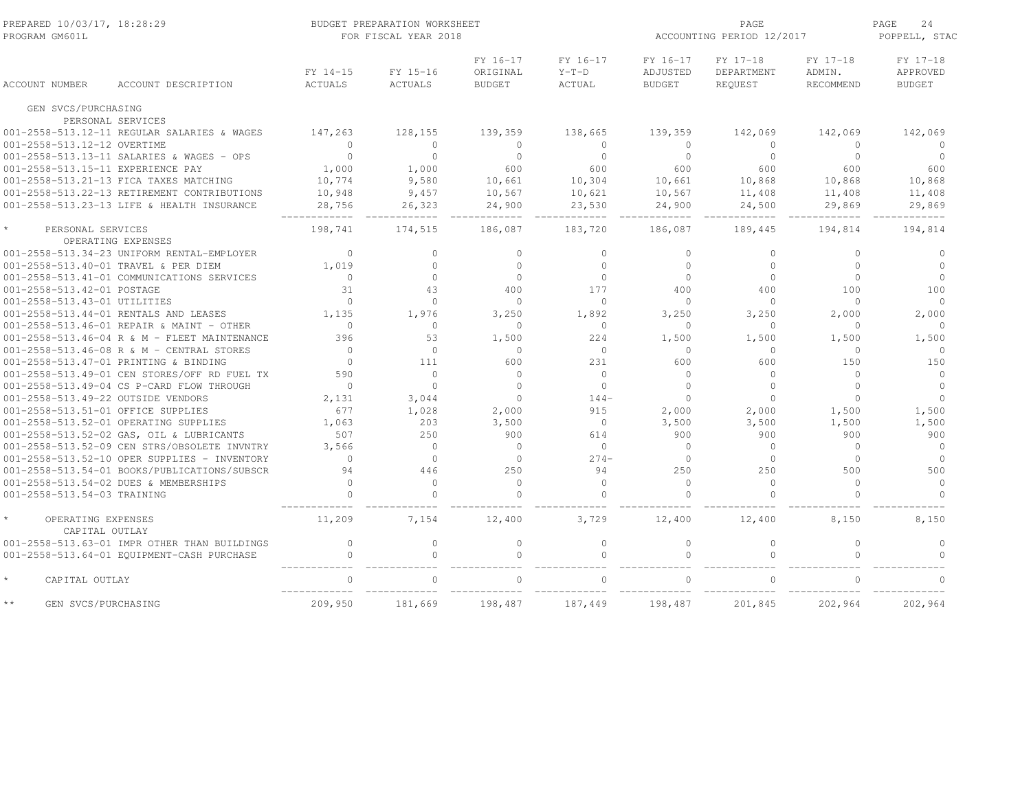| PREPARED 10/03/17, 18:28:29<br>PROGRAM GM601L   | BUDGET PREPARATION WORKSHEET<br>FOR FISCAL YEAR 2018                               |                            |                     |                                       |                               |                                       | PAGE<br>ACCOUNTING PERIOD 12/2017 |                                 |                                       |  |
|-------------------------------------------------|------------------------------------------------------------------------------------|----------------------------|---------------------|---------------------------------------|-------------------------------|---------------------------------------|-----------------------------------|---------------------------------|---------------------------------------|--|
| <b>ACCOUNT NUMBER</b>                           | ACCOUNT DESCRIPTION                                                                | FY 14-15<br><b>ACTUALS</b> | FY 15-16<br>ACTUALS | FY 16-17<br>ORIGINAL<br><b>BUDGET</b> | FY 16-17<br>$Y-T-D$<br>ACTUAL | FY 16-17<br>ADJUSTED<br><b>BUDGET</b> | FY 17-18<br>DEPARTMENT<br>REQUEST | FY 17-18<br>ADMIN.<br>RECOMMEND | FY 17-18<br>APPROVED<br><b>BUDGET</b> |  |
| GEN SVCS/PURCHASING                             |                                                                                    |                            |                     |                                       |                               |                                       |                                   |                                 |                                       |  |
|                                                 | PERSONAL SERVICES                                                                  |                            |                     |                                       |                               |                                       |                                   |                                 |                                       |  |
|                                                 | 001-2558-513.12-11 REGULAR SALARIES & WAGES                                        | 147,263                    | 128,155             | 139,359                               | 138,665                       | 139,359                               | 142,069                           | 142,069                         | 142,069                               |  |
| 001-2558-513.12-12 OVERTIME                     |                                                                                    | $\circ$                    | 0                   | $\circ$                               | $\circ$                       | $\mathbf{0}$                          | $\circ$                           | $\mathbf 0$                     | $\circ$                               |  |
|                                                 | 001-2558-513.13-11 SALARIES & WAGES - OPS                                          | $\Omega$                   | $\Omega$            | $\Omega$                              | $\circ$                       | $\Omega$                              | $\mathbf{0}$                      | $\circ$                         | $\circ$                               |  |
| 001-2558-513.15-11 EXPERIENCE PAY               |                                                                                    | 1,000                      | 1,000               | 600                                   | 600                           | 600                                   | 600                               | 600                             | 600                                   |  |
|                                                 | 001-2558-513.21-13 FICA TAXES MATCHING                                             | 10,774                     | 9,580               | 10,661                                | 10,304                        | 10,661                                | 10,868                            | 10,868                          | 10,868                                |  |
|                                                 | 001-2558-513.22-13 RETIREMENT CONTRIBUTIONS                                        | 10,948                     | 9,457               | 10,567                                | 10,621                        | 10,567                                | 11,408                            | 11,408                          | 11,408                                |  |
|                                                 | 001-2558-513.23-13 LIFE & HEALTH INSURANCE                                         | 28,756                     | 26,323              | 24,900                                | 23,530                        | 24,900                                | 24,500                            | 29,869                          | 29,869                                |  |
| $\star$<br>PERSONAL SERVICES                    |                                                                                    | 198,741                    | 174,515             | 186,087                               | 183,720                       | 186,087                               | 189,445                           | 194,814                         | 194,814                               |  |
|                                                 | OPERATING EXPENSES                                                                 |                            |                     |                                       |                               |                                       |                                   |                                 |                                       |  |
|                                                 | 001-2558-513.34-23 UNIFORM RENTAL-EMPLOYER                                         | $\Omega$                   | $\Omega$            | $\Omega$                              | $\Omega$                      | $\Omega$                              | $\Omega$                          | $\Omega$                        | $\Omega$                              |  |
|                                                 | 001-2558-513.40-01 TRAVEL & PER DIEM                                               | 1,019                      | $\Omega$<br>$\circ$ | $\Omega$<br>$\Omega$                  | $\Omega$                      | $\Omega$<br>$\cap$                    | $\Omega$                          | $\Omega$<br>$\circ$             | $\Omega$                              |  |
|                                                 | 001-2558-513.41-01 COMMUNICATIONS SERVICES                                         | $\mathbf{0}$<br>31         | 43                  |                                       | $\circ$<br>177                | 400                                   | $\circ$                           |                                 | $\circ$<br>100                        |  |
| 001-2558-513.42-01 POSTAGE                      |                                                                                    | $\Omega$                   | $\Omega$            | 400<br>$\Omega$                       | $\Omega$                      | $\Omega$                              | 400<br>$\overline{0}$             | 100<br>$\Omega$                 | $\Omega$                              |  |
| 001-2558-513.43-01 UTILITIES                    |                                                                                    |                            |                     |                                       |                               |                                       |                                   |                                 |                                       |  |
|                                                 | 001-2558-513.44-01 RENTALS AND LEASES<br>001-2558-513.46-01 REPAIR & MAINT - OTHER | 1,135<br>$\mathbf{0}$      | 1,976<br>$\Omega$   | 3,250<br>$\Omega$                     | 1,892<br>$\circ$              | 3,250<br>$\Omega$                     | 3,250<br>$\mathbf{0}$             | 2,000<br>$\Omega$               | 2,000<br>$\Omega$                     |  |
|                                                 | 001-2558-513.46-04 R & M - FLEET MAINTENANCE                                       | 396                        | 53                  | 1,500                                 | 224                           | 1,500                                 | 1,500                             | 1,500                           | 1,500                                 |  |
|                                                 | 001-2558-513.46-08 R & M - CENTRAL STORES                                          | $\Omega$                   | $\circ$             | $\Omega$                              | $\circ$                       | $\cap$                                | $\mathbf{0}$                      | $\Omega$                        | $\Omega$                              |  |
|                                                 | 001-2558-513.47-01 PRINTING & BINDING                                              | $\bigcap$                  | 111                 | 600                                   | 231                           | 600                                   | 600                               | 150                             | 150                                   |  |
|                                                 | 001-2558-513.49-01 CEN STORES/OFF RD FUEL TX                                       | 590                        | $\Omega$            | $\Omega$                              | $\Omega$                      | $\Omega$                              | $\mathbf{0}$                      | $\Omega$                        | $\Omega$                              |  |
|                                                 | 001-2558-513.49-04 CS P-CARD FLOW THROUGH                                          | $\Omega$                   | $\Omega$            | $\Omega$                              | $\Omega$                      | $\cap$                                | $\Omega$                          | $\cap$                          | $\Omega$                              |  |
| 001-2558-513.49-22 OUTSIDE VENDORS              |                                                                                    | 2,131                      | 3,044               | $\Omega$                              | $144-$                        | $\cap$                                | $\Omega$                          | $\Omega$                        | $\Omega$                              |  |
| 001-2558-513.51-01 OFFICE SUPPLIES              |                                                                                    | 677                        | 1,028               | 2,000                                 | 915                           | 2,000                                 | 2,000                             | 1,500                           | 1,500                                 |  |
|                                                 | 001-2558-513.52-01 OPERATING SUPPLIES                                              | 1,063                      | 203                 | 3,500                                 | $\circ$                       | 3,500                                 | 3,500                             | 1,500                           | 1,500                                 |  |
|                                                 | 001-2558-513.52-02 GAS, OIL & LUBRICANTS                                           | 507                        | 250                 | 900                                   | 614                           | 900                                   | 900                               | 900                             | 900                                   |  |
|                                                 | 001-2558-513.52-09 CEN STRS/OBSOLETE INVNTRY                                       | 3.566                      | $\Omega$            | $\Omega$                              | $\Omega$                      | $\Omega$                              | $\mathbf{0}$                      | $\Omega$                        | $\circ$                               |  |
|                                                 | 001-2558-513.52-10 OPER SUPPLIES - INVENTORY                                       | $\Omega$                   | $\Omega$            | $\Omega$                              | $274-$                        | $\Omega$                              | $\mathbf{0}$                      | $\circ$                         | $\Omega$                              |  |
|                                                 | 001-2558-513.54-01 BOOKS/PUBLICATIONS/SUBSCR                                       | 94                         | 446                 | 250                                   | 94                            | 250                                   | 250                               | 500                             | 500                                   |  |
|                                                 | 001-2558-513.54-02 DUES & MEMBERSHIPS                                              | $\circ$                    | $\circ$             | $\Omega$                              | $\mathbf{0}$                  | $\Omega$                              | $\mathbf{0}$                      | $\Omega$                        | $\circ$                               |  |
| 001-2558-513.54-03 TRAINING                     |                                                                                    | $\Omega$                   | $\Omega$            | $\Omega$                              | $\Omega$                      | $\cap$                                | $\Omega$                          | $\Omega$                        | $\Omega$                              |  |
| $\star$<br>OPERATING EXPENSES<br>CAPITAL OUTLAY |                                                                                    | 11,209                     | 7,154               | 12,400                                | 3,729                         | 12,400                                | 12,400                            | 8,150                           | 8,150                                 |  |
|                                                 | 001-2558-513.63-01 IMPR OTHER THAN BUILDINGS                                       | $\circ$                    | 0                   | $\mathbf 0$                           | $\circ$                       | $\Omega$                              | $\circ$                           | $\Omega$                        | $\circ$                               |  |
|                                                 | 001-2558-513.64-01 EQUIPMENT-CASH PURCHASE                                         | $\circ$                    | $\Omega$            | $\Omega$                              | $\Omega$                      |                                       | $\Omega$                          | $\Omega$                        | $\cap$                                |  |
| $\star$<br>CAPITAL OUTLAY                       |                                                                                    | $\Omega$                   | $\cap$              |                                       | $\cap$                        |                                       | U                                 |                                 | $\cap$                                |  |
| $* *$<br>GEN SVCS/PURCHASING                    |                                                                                    | 209,950                    | 181,669             | 198,487                               | 187,449                       | 198,487                               | 201,845                           | 202,964                         | 202,964                               |  |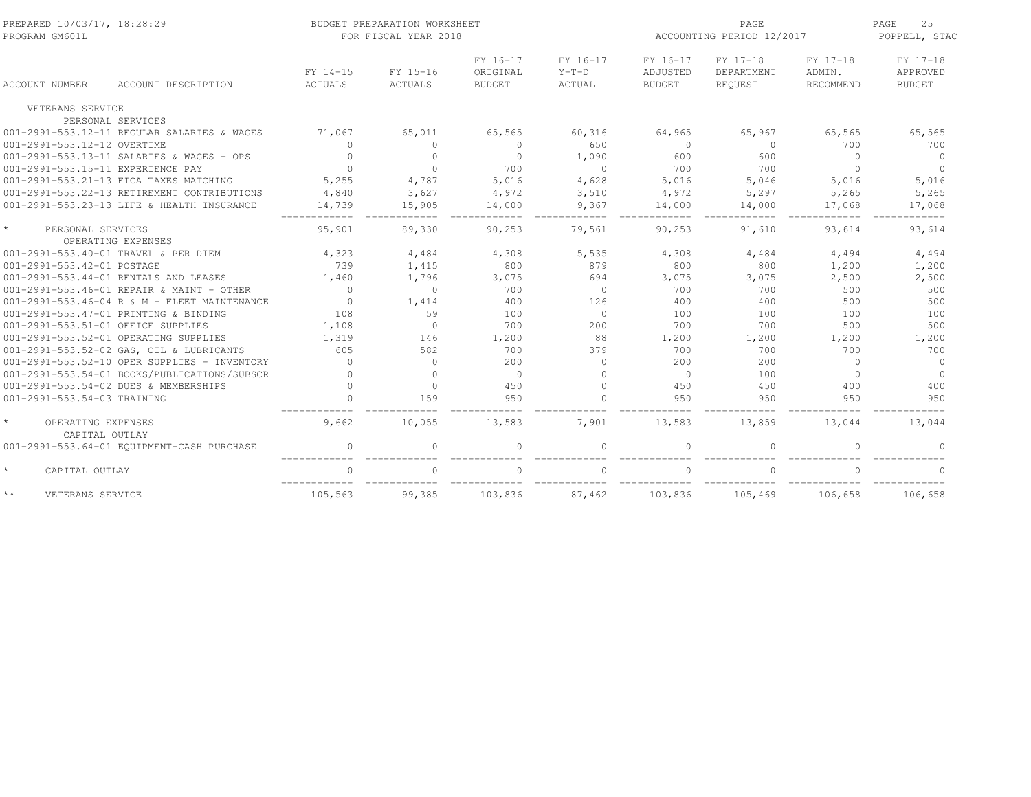| PREPARED 10/03/17, 18:28:29<br>PROGRAM GM601L      |                     | BUDGET PREPARATION WORKSHEET<br>FOR FISCAL YEAR 2018 |                                       |                               | ACCOUNTING PERIOD 12/2017             | PAGE<br>25<br>POPPELL, STAC       |                                 |                                       |
|----------------------------------------------------|---------------------|------------------------------------------------------|---------------------------------------|-------------------------------|---------------------------------------|-----------------------------------|---------------------------------|---------------------------------------|
| ACCOUNT NUMBER<br>ACCOUNT DESCRIPTION              | FY 14-15<br>ACTUALS | FY 15-16<br>ACTUALS                                  | FY 16-17<br>ORIGINAL<br><b>BUDGET</b> | FY 16-17<br>$Y-T-D$<br>ACTUAL | FY 16-17<br>ADJUSTED<br><b>BUDGET</b> | FY 17-18<br>DEPARTMENT<br>REOUEST | FY 17-18<br>ADMIN.<br>RECOMMEND | FY 17-18<br>APPROVED<br><b>BUDGET</b> |
| VETERANS SERVICE                                   |                     |                                                      |                                       |                               |                                       |                                   |                                 |                                       |
| PERSONAL SERVICES                                  |                     |                                                      |                                       |                               |                                       |                                   |                                 |                                       |
| 001-2991-553.12-11 REGULAR SALARIES & WAGES        | 71,067              | 65,011                                               | 65,565                                | 60,316                        | 64,965                                | 65,967                            | 65,565                          | 65,565                                |
| 001-2991-553.12-12 OVERTIME                        | $\Omega$            | $\Omega$                                             | $\Omega$                              | 650                           | $\Omega$                              | $\Omega$                          | 700                             | 700                                   |
| 001-2991-553.13-11 SALARIES & WAGES - OPS          | $\Omega$            | $\Omega$                                             | $\Omega$                              | 1,090                         | 600                                   | 600                               | $\Omega$                        | $\Omega$                              |
| 001-2991-553.15-11 EXPERIENCE PAY                  | $\Omega$            | $\Omega$                                             | 700                                   | $\bigcirc$                    | 700                                   | 700                               | $\Omega$                        | $\Omega$                              |
| 001-2991-553.21-13 FICA TAXES MATCHING             | 5,255               | 4,787                                                | 5,016                                 | 4,628                         | 5,016                                 | 5,046                             | 5,016                           | 5,016                                 |
| 001-2991-553.22-13 RETIREMENT CONTRIBUTIONS        | 4,840               | 3,627                                                | 4,972                                 | 3,510                         | 4,972                                 | 5,297                             | 5,265                           | 5,265                                 |
| 001-2991-553.23-13 LIFE & HEALTH INSURANCE         | 14,739              | 15,905                                               | 14,000                                | 9,367                         | 14,000                                | 14,000                            | 17,068                          | 17,068                                |
| $\star$<br>PERSONAL SERVICES<br>OPERATING EXPENSES | 95,901              | 89,330                                               | 90,253                                | 79,561                        | 90,253                                | 91,610                            | 93,614                          | 93,614                                |
| 001-2991-553.40-01 TRAVEL & PER DIEM               | 4,323               | 4,484                                                | 4,308                                 | 5,535                         | 4,308                                 | 4,484                             | 4,494                           | 4,494                                 |
| 001-2991-553.42-01 POSTAGE                         | 739                 | 1,415                                                | 800                                   | 879                           | 800                                   | 800                               | 1,200                           | 1,200                                 |
| 001-2991-553.44-01 RENTALS AND LEASES              | 1,460               | 1,796                                                | 3,075                                 | 694                           | 3,075                                 | 3,075                             | 2,500                           | 2,500                                 |
| 001-2991-553.46-01 REPAIR & MAINT - OTHER          | $\circ$             | $\circ$                                              | 700                                   | $\overline{0}$                | 700                                   | 700                               | 500                             | 500                                   |
| $001-2991-553.46-04$ R & M - FLEET MAINTENANCE     | $\circ$             | 1,414                                                | 400                                   | 126                           | 400                                   | 400                               | 500                             | 500                                   |
| 001-2991-553.47-01 PRINTING & BINDING              | 108                 | 59                                                   | 100                                   | $\Omega$                      | 100                                   | 100                               | 100                             | 100                                   |
| 001-2991-553.51-01 OFFICE SUPPLIES                 | 1,108               | $\Omega$                                             | 700                                   | 200                           | 700                                   | 700                               | 500                             | 500                                   |
| 001-2991-553.52-01 OPERATING SUPPLIES              | 1,319               | 146                                                  | 1,200                                 | 88                            | 1,200                                 | 1,200                             | 1,200                           | 1,200                                 |
| 001-2991-553.52-02 GAS, OIL & LUBRICANTS           | 605                 | 582                                                  | 700                                   | 379                           | 700                                   | 700                               | 700                             | 700                                   |
| 001-2991-553.52-10 OPER SUPPLIES - INVENTORY       | $\Omega$            | $\Omega$                                             | 200                                   | $\Omega$                      | 200                                   | 200                               | $\Omega$                        | $\overline{0}$                        |
| 001-2991-553.54-01 BOOKS/PUBLICATIONS/SUBSCR       | $\circ$             | $\Omega$                                             | $\circ$                               | $\Omega$                      | $\bigcirc$                            | 100                               | $\Omega$                        | $\Omega$                              |
| 001-2991-553.54-02 DUES & MEMBERSHIPS              | $\Omega$            | $\Omega$                                             | 450                                   | $\Omega$                      | 450                                   | 450                               | 400                             | 400                                   |
| 001-2991-553.54-03 TRAINING                        |                     | 159                                                  | 950                                   | $\bigcap$                     | 950                                   | 950                               | 950                             | 950                                   |
| $\star$<br>OPERATING EXPENSES<br>CAPITAL OUTLAY    | 9,662               | 10,055                                               | 13,583                                | 7,901                         | 13,583                                | 13,859                            | 13,044                          | 13,044                                |
| 001-2991-553.64-01 EQUIPMENT-CASH PURCHASE         | $\circ$             | $\Omega$                                             | $\bigcap$                             | $\Omega$                      | $\bigcap$                             | $\mathbf{0}$                      | $\Omega$                        | $\Omega$                              |
| $\star$<br>CAPITAL OUTLAY                          | $\mathbf{0}$        | $\Omega$                                             | $\Omega$                              | $\mathbf{0}$                  |                                       | $\mathbf{0}$                      | $\Omega$                        | $\Omega$                              |
| $\star\star$<br>VETERANS SERVICE                   | 105,563             | 99,385                                               | 103,836                               | 87,462                        | 103,836                               | 105,469                           | 106,658                         | 106,658                               |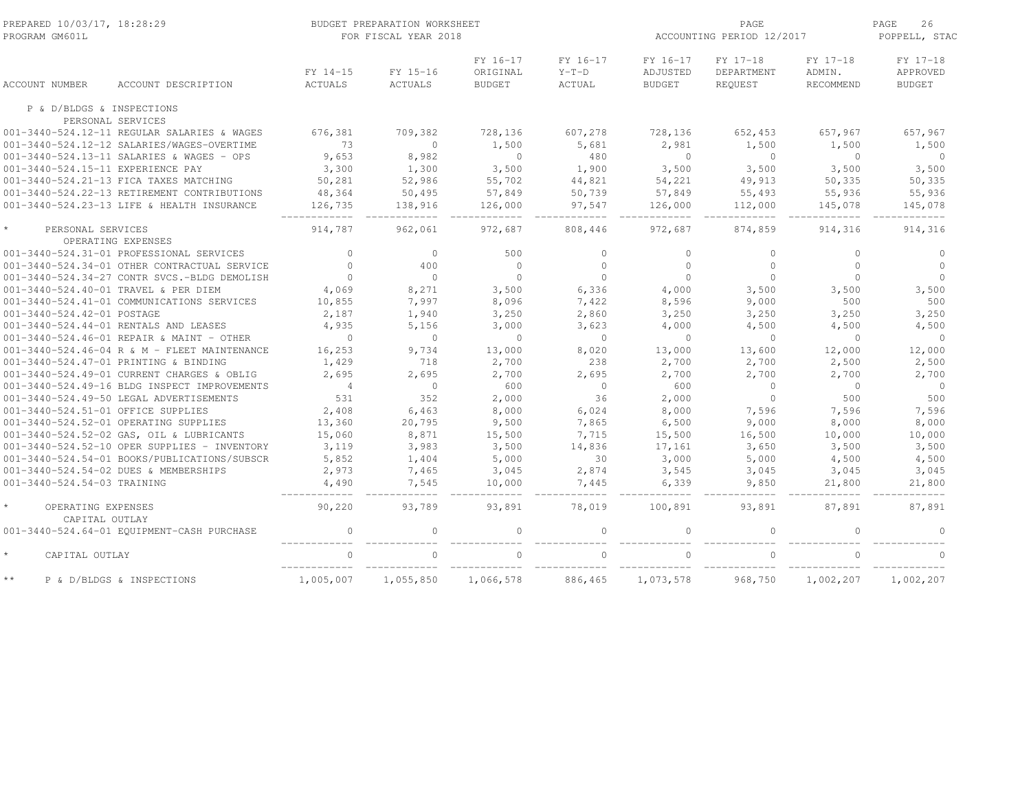| PREPARED 10/03/17, 18:28:29<br>PROGRAM GM601L                                           |                            | BUDGET PREPARATION WORKSHEET<br>FOR FISCAL YEAR 2018 |                                       |                               |                                       | PAGE<br>ACCOUNTING PERIOD 12/2017        |                                 | 26<br>PAGE<br>POPPELL, STAC           |
|-----------------------------------------------------------------------------------------|----------------------------|------------------------------------------------------|---------------------------------------|-------------------------------|---------------------------------------|------------------------------------------|---------------------------------|---------------------------------------|
| ACCOUNT DESCRIPTION<br><b>ACCOUNT NUMBER</b>                                            | FY 14-15<br><b>ACTUALS</b> | FY 15-16<br><b>ACTUALS</b>                           | FY 16-17<br>ORIGINAL<br><b>BUDGET</b> | FY 16-17<br>$Y-T-D$<br>ACTUAL | FY 16-17<br>ADJUSTED<br><b>BUDGET</b> | FY 17-18<br>DEPARTMENT<br><b>REQUEST</b> | FY 17-18<br>ADMIN.<br>RECOMMEND | FY 17-18<br>APPROVED<br><b>BUDGET</b> |
| P & D/BLDGS & INSPECTIONS                                                               |                            |                                                      |                                       |                               |                                       |                                          |                                 |                                       |
| PERSONAL SERVICES                                                                       |                            |                                                      |                                       |                               |                                       |                                          |                                 |                                       |
| 001-3440-524.12-11 REGULAR SALARIES & WAGES                                             | 676,381<br>73              | 709,382<br>$\circ$                                   | 728,136<br>1,500                      | 607,278                       | 728,136<br>2,981                      | 652,453<br>1,500                         | 657,967                         | 657,967                               |
| 001-3440-524.12-12 SALARIES/WAGES-OVERTIME<br>001-3440-524.13-11 SALARIES & WAGES - OPS | 9,653                      | 8,982                                                | $\Omega$                              | 5,681<br>480                  | $\overline{0}$                        | $\Omega$                                 | 1,500<br>$\circ$                | 1,500<br>$\overline{0}$               |
| 001-3440-524.15-11 EXPERIENCE PAY                                                       | 3,300                      | 1,300                                                | 3,500                                 | 1,900                         | 3,500                                 | 3,500                                    | 3,500                           | 3,500                                 |
| 001-3440-524.21-13 FICA TAXES MATCHING                                                  | 50,281                     | 52,986                                               | 55,702                                | 44,821                        | 54,221                                | 49,913                                   | 50,335                          | 50,335                                |
| 001-3440-524.22-13 RETIREMENT CONTRIBUTIONS                                             | 48,364                     | 50,495                                               | 57,849                                | 50,739                        | 57,849                                | 55,493                                   | 55,936                          | 55,936                                |
| 001-3440-524.23-13 LIFE & HEALTH INSURANCE                                              | 126,735                    | 138,916                                              | 126,000                               | 97,547                        | 126,000                               | 112,000                                  | 145,078                         | 145,078                               |
| PERSONAL SERVICES                                                                       | 914,787                    | 962,061                                              | 972,687                               | 808,446                       | 972,687                               | 874,859                                  | 914,316                         | 914,316                               |
| OPERATING EXPENSES                                                                      |                            |                                                      |                                       |                               |                                       |                                          |                                 |                                       |
| 001-3440-524.31-01 PROFESSIONAL SERVICES                                                | $\Omega$                   | $\circ$                                              | 500                                   | $\Omega$                      | $\mathbf{0}$                          | $\circ$                                  | $\Omega$                        | $\overline{0}$                        |
| 001-3440-524.34-01 OTHER CONTRACTUAL SERVICE                                            | $\Omega$                   | 400                                                  | $\circ$                               | $\mathbf{0}$                  | $\mathbf{0}$                          | $\mathbf{0}$                             | $\circ$                         | $\Omega$                              |
| 001-3440-524.34-27 CONTR SVCS.-BLDG DEMOLISH                                            | $\circ$                    | $\mathbf{0}$                                         | $\Omega$                              | $\Omega$                      | $\Omega$                              | $\Omega$                                 | $\Omega$                        | $\Omega$                              |
| 001-3440-524.40-01 TRAVEL & PER DIEM                                                    | 4,069                      | 8,271                                                | 3,500                                 | 6,336                         | 4,000                                 | 3,500                                    | 3,500                           | 3,500                                 |
| 001-3440-524.41-01 COMMUNICATIONS SERVICES                                              | 10,855                     | 7,997                                                | 8,096                                 | 7,422                         | 8,596                                 | 9,000                                    | 500                             | 500                                   |
| 001-3440-524.42-01 POSTAGE                                                              | 2,187                      | 1,940                                                | 3,250                                 | 2,860                         | 3,250                                 | 3,250                                    | 3,250                           | 3,250                                 |
| 001-3440-524.44-01 RENTALS AND LEASES                                                   | 4,935                      | 5,156                                                | 3,000                                 | 3,623                         | 4,000                                 | 4,500                                    | 4,500                           | 4,500                                 |
| 001-3440-524.46-01 REPAIR & MAINT - OTHER                                               | $\circ$                    | $\circ$                                              | $\circ$                               | $\circ$                       | $\mathbf{0}$                          | $\mathbf{0}$                             | $\circ$                         | $\overline{0}$                        |
| 001-3440-524.46-04 R & M - FLEET MAINTENANCE                                            | 16,253                     | 9,734                                                | 13,000                                | 8,020                         | 13,000                                | 13,600                                   | 12,000                          | 12,000                                |
| 001-3440-524.47-01 PRINTING & BINDING                                                   | 1,429                      | 718                                                  | 2,700                                 | 238                           | 2,700                                 | 2,700                                    | 2,500                           | 2,500                                 |
| 001-3440-524.49-01 CURRENT CHARGES & OBLIG                                              | 2,695                      | 2,695                                                | 2,700                                 | 2,695                         | 2,700                                 | 2,700                                    | 2,700                           | 2,700                                 |
| 001-3440-524.49-16 BLDG INSPECT IMPROVEMENTS                                            | $\overline{4}$             | $\circ$                                              | 600                                   | $\circ$                       | 600                                   | $\Omega$                                 | $\Omega$                        | $\overline{0}$                        |
| 001-3440-524.49-50 LEGAL ADVERTISEMENTS                                                 | 531                        | 352                                                  | 2,000                                 | 36                            | 2,000                                 | $\mathbf{0}$                             | 500                             | 500                                   |
| 001-3440-524.51-01 OFFICE SUPPLIES                                                      | 2,408                      | 6,463                                                | 8,000                                 | 6,024                         | 8,000                                 | 7,596                                    | 7,596                           | 7,596                                 |
| 001-3440-524.52-01 OPERATING SUPPLIES                                                   | 13,360                     | 20,795                                               | 9,500                                 | 7,865                         | 6,500                                 | 9,000                                    | 8,000                           | 8,000                                 |
| 001-3440-524.52-02 GAS, OIL & LUBRICANTS                                                | 15,060                     | 8,871                                                | 15,500                                | 7,715                         | 15,500                                | 16,500                                   | 10,000                          | 10,000                                |
| 001-3440-524.52-10 OPER SUPPLIES - INVENTORY                                            | 3,119                      | 3,983                                                | 3,500                                 | 14,836                        | 17,161                                | 3,650                                    | 3,500                           | 3,500                                 |
| 001-3440-524.54-01 BOOKS/PUBLICATIONS/SUBSCR                                            | 5,852                      | 1,404                                                | 5,000                                 | 30                            | 3,000                                 | 5,000                                    | 4,500                           | 4,500                                 |
| 001-3440-524.54-02 DUES & MEMBERSHIPS                                                   | 2,973                      | 7,465                                                | 3,045                                 | 2,874                         | 3,545                                 | 3,045                                    | 3,045                           | 3,045                                 |
| 001-3440-524.54-03 TRAINING                                                             | 4,490                      | 7,545                                                | 10,000                                | 7,445                         | 6,339                                 | 9,850                                    | 21,800                          | 21,800                                |
| OPERATING EXPENSES<br>CAPITAL OUTLAY                                                    | 90,220                     | 93,789                                               | 93,891                                | 78,019                        | 100,891                               | 93,891                                   | 87,891                          | 87,891                                |
| 001-3440-524.64-01 EQUIPMENT-CASH PURCHASE                                              | $\circ$                    | $\circ$                                              | $\Omega$                              | $\circ$                       | $\Omega$                              | $\mathbf{0}$                             | $\Omega$                        | $\Omega$                              |
| $\star$<br>CAPITAL OUTLAY                                                               | $\Omega$                   | $\Omega$                                             |                                       | $\Omega$                      | $\cap$                                | $\Omega$                                 | $\cap$                          | $\Omega$                              |
| $\star$ $\star$<br>P & D/BLDGS & INSPECTIONS                                            | 1,005,007                  | 1,055,850                                            | 1,066,578                             | 886,465                       | 1,073,578                             | 968,750                                  | 1,002,207                       | 1,002,207                             |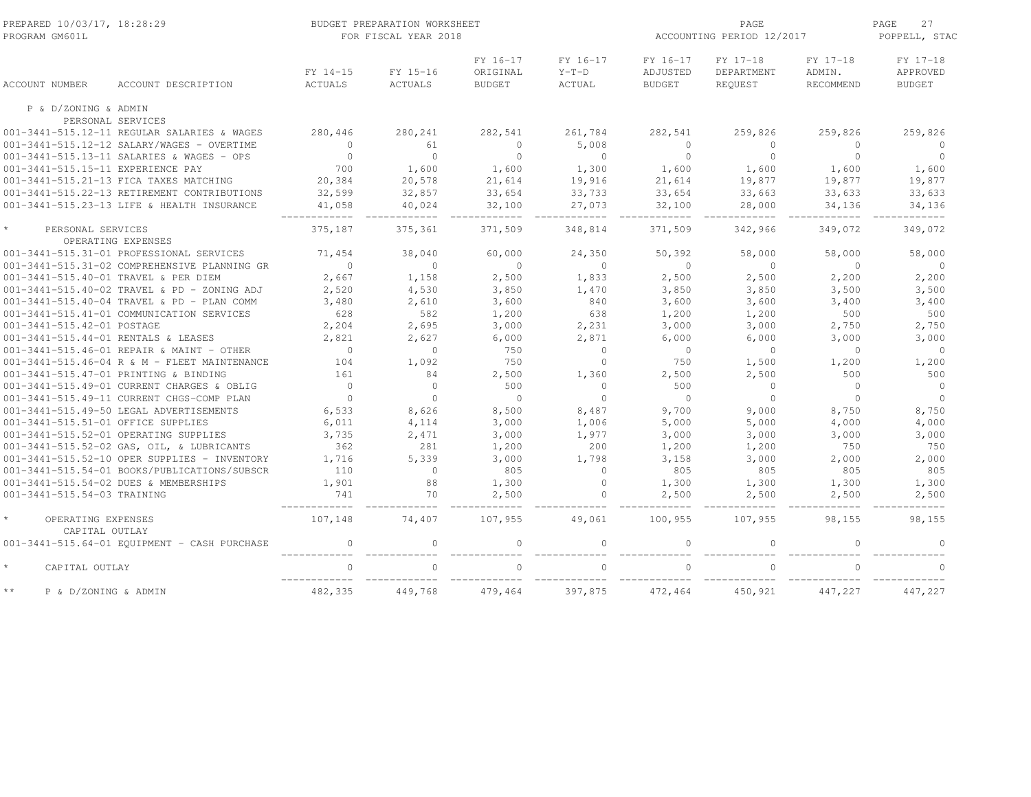| PREPARED 10/03/17, 18:28:29<br>PROGRAM GM601L   |                     | BUDGET PREPARATION WORKSHEET<br>FOR FISCAL YEAR 2018 |                                       |                               |                                       | PAGE<br>ACCOUNTING PERIOD 12/2017 |                                 | PAGE<br>27<br>POPPELL, STAC           |
|-------------------------------------------------|---------------------|------------------------------------------------------|---------------------------------------|-------------------------------|---------------------------------------|-----------------------------------|---------------------------------|---------------------------------------|
| <b>ACCOUNT NUMBER</b><br>ACCOUNT DESCRIPTION    | FY 14-15<br>ACTUALS | FY 15-16<br>ACTUALS                                  | FY 16-17<br>ORIGINAL<br><b>BUDGET</b> | FY 16-17<br>$Y-T-D$<br>ACTUAL | FY 16-17<br>ADJUSTED<br><b>BUDGET</b> | FY 17-18<br>DEPARTMENT<br>REQUEST | FY 17-18<br>ADMIN.<br>RECOMMEND | FY 17-18<br>APPROVED<br><b>BUDGET</b> |
| P & D/ZONING & ADMIN                            |                     |                                                      |                                       |                               |                                       |                                   |                                 |                                       |
| PERSONAL SERVICES                               |                     |                                                      |                                       |                               |                                       |                                   |                                 |                                       |
| 001-3441-515.12-11 REGULAR SALARIES & WAGES     | 280,446             | 280,241                                              | 282,541                               | 261,784                       | 282,541                               | 259,826                           | 259,826                         | 259,826                               |
| 001-3441-515.12-12 SALARY/WAGES - OVERTIME      | $\Omega$            | 61                                                   | $\Omega$                              | 5,008                         | $\Omega$                              | $\Omega$                          | $\Omega$                        | $\Omega$                              |
| 001-3441-515.13-11 SALARIES & WAGES - OPS       | $\Omega$            | $\Omega$                                             | $\Omega$                              | $\Omega$                      | $\Omega$                              | $\Omega$                          | $\Omega$                        | $\Omega$                              |
| 001-3441-515.15-11 EXPERIENCE PAY               | 700                 | 1,600                                                | 1,600                                 | 1,300                         | 1,600                                 | 1,600                             | 1,600                           | 1,600                                 |
| 001-3441-515.21-13 FICA TAXES MATCHING          | 20,384              | 20,578                                               | 21,614                                | 19,916                        | 21,614                                | 19,877                            | 19,877                          | 19,877                                |
| 001-3441-515.22-13 RETIREMENT CONTRIBUTIONS     | 32,599              | 32,857                                               | 33,654                                | 33,733                        | 33,654                                | 33,663                            | 33,633                          | 33,633                                |
| 001-3441-515.23-13 LIFE & HEALTH INSURANCE      | 41,058              | 40,024                                               | 32,100                                | 27,073                        | 32,100                                | 28,000                            | 34,136                          | 34,136                                |
| PERSONAL SERVICES<br>OPERATING EXPENSES         | 375,187             | 375,361                                              | 371,509                               | 348,814                       | 371,509                               | 342,966                           | 349,072                         | 349,072                               |
| 001-3441-515.31-01 PROFESSIONAL SERVICES        | 71,454              | 38,040                                               | 60,000                                | 24,350                        | 50,392                                | 58,000                            | 58,000                          | 58,000                                |
| 001-3441-515.31-02 COMPREHENSIVE PLANNING GR    | $\circ$             | $\circ$                                              | $\Omega$                              | $\circ$                       | $\circ$                               | $\Omega$                          | $\Omega$                        | $\overline{0}$                        |
| 001-3441-515.40-01 TRAVEL & PER DIEM            | 2,667               | 1,158                                                | 2,500                                 | 1,833                         | 2,500                                 | 2,500                             | 2,200                           | 2,200                                 |
| 001-3441-515.40-02 TRAVEL & PD - ZONING ADJ     | 2,520               | 4,530                                                | 3,850                                 | 1,470                         | 3,850                                 | 3,850                             | 3,500                           | 3,500                                 |
| 001-3441-515.40-04 TRAVEL & PD - PLAN COMM      | 3,480               | 2,610                                                | 3,600                                 | 840                           | 3,600                                 | 3,600                             | 3,400                           | 3,400                                 |
| 001-3441-515.41-01 COMMUNICATION SERVICES       | 628                 | 582                                                  | 1,200                                 | 638                           | 1,200                                 | 1,200                             | 500                             | 500                                   |
| 001-3441-515.42-01 POSTAGE                      | 2,204               | 2,695                                                | 3,000                                 | 2,231                         | 3,000                                 | 3,000                             | 2,750                           | 2,750                                 |
| 001-3441-515.44-01 RENTALS & LEASES             | 2,821               | 2,627                                                | 6,000                                 | 2,871                         | 6,000                                 | 6,000                             | 3,000                           | 3,000                                 |
| 001-3441-515.46-01 REPAIR & MAINT - OTHER       | $\overline{0}$      | $\circ$                                              | 750                                   | $\mathbf{0}$                  | $\overline{0}$                        | $\Omega$                          | $\Omega$                        | $\circ$                               |
| 001-3441-515.46-04 R & M - FLEET MAINTENANCE    | 104                 | 1,092                                                | 750                                   | $\Omega$                      | 750                                   | 1,500                             | 1,200                           | 1,200                                 |
| 001-3441-515.47-01 PRINTING & BINDING           | 161                 | 84                                                   | 2,500                                 | 1,360                         | 2,500                                 | 2,500                             | 500                             | 500                                   |
| 001-3441-515.49-01 CURRENT CHARGES & OBLIG      | $\Omega$            | $\Omega$                                             | 500                                   | $\Omega$                      | 500                                   | $\Omega$                          | $\Omega$                        | $\Omega$                              |
| 001-3441-515.49-11 CURRENT CHGS-COMP PLAN       | $\Omega$            | $\Omega$                                             | $\Omega$                              | $\Omega$                      | $\Omega$                              | $\Omega$                          | $\Omega$                        | $\Omega$                              |
| 001-3441-515.49-50 LEGAL ADVERTISEMENTS         | 6,533               | 8,626                                                | 8,500                                 | 8,487                         | 9,700                                 | 9,000                             | 8,750                           | 8,750                                 |
| 001-3441-515.51-01 OFFICE SUPPLIES              | 6,011               | 4,114                                                | 3,000                                 | 1,006                         | 5,000                                 | 5,000                             | 4,000                           | 4,000                                 |
| 001-3441-515.52-01 OPERATING SUPPLIES           | 3,735               | 2,471                                                | 3,000                                 | 1,977                         | 3,000                                 | 3,000                             | 3,000                           | 3,000                                 |
| 001-3441-515.52-02 GAS, OIL, & LUBRICANTS       | 362                 | 281                                                  | 1,200                                 | 200                           | 1,200                                 | 1,200                             | 750                             | 750                                   |
| 001-3441-515.52-10 OPER SUPPLIES - INVENTORY    | 1,716               | 5,339                                                | 3,000                                 | 1,798                         | 3,158                                 | 3,000                             | 2,000                           | 2,000                                 |
| 001-3441-515.54-01 BOOKS/PUBLICATIONS/SUBSCR    | 110                 | $\circ$                                              | 805                                   | $\circ$                       | 805                                   | 805                               | 805                             | 805                                   |
| 001-3441-515.54-02 DUES & MEMBERSHIPS           | 1,901               | 88                                                   | 1,300                                 | $\circ$                       | 1,300                                 | 1,300                             | 1,300                           | 1,300                                 |
| 001-3441-515.54-03 TRAINING                     | 741                 | 70                                                   | 2,500                                 | $\Omega$                      | 2,500                                 | 2,500                             | 2,500                           | 2,500                                 |
| $\star$<br>OPERATING EXPENSES<br>CAPITAL OUTLAY | 107,148             | 74,407                                               | 107,955                               | 49,061                        | 100,955                               | 107,955                           | 98,155                          | 98,155                                |
| 001-3441-515.64-01 EQUIPMENT - CASH PURCHASE    | $\circ$             | $\Omega$                                             | $\Omega$                              | $\Omega$                      |                                       | $\mathbf{0}$                      | $\Omega$                        |                                       |
| $\star$<br>CAPITAL OUTLAY                       | $\Omega$            | $\cap$                                               |                                       |                               |                                       | $\cap$                            |                                 | $\Omega$                              |
| $\star\star$<br>P & D/ZONING & ADMIN            | 482,335             | 449,768                                              | 479,464                               | 397,875                       | 472,464                               | 450,921                           | 447,227                         | 447,227                               |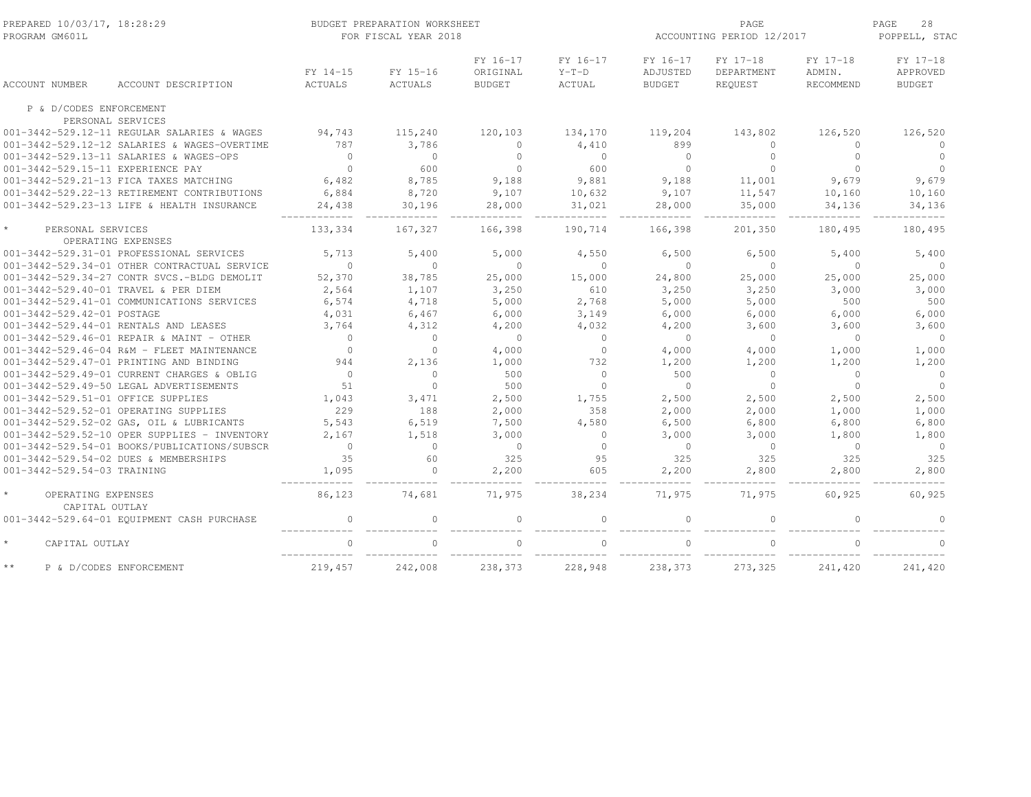| PREPARED 10/03/17, 18:28:29<br>PROGRAM GM601L      |                     | BUDGET PREPARATION WORKSHEET<br>FOR FISCAL YEAR 2018 |                                       |                               |                                       | PAGE<br>ACCOUNTING PERIOD 12/2017 |                                 | PAGE<br>28<br>POPPELL, STAC           |
|----------------------------------------------------|---------------------|------------------------------------------------------|---------------------------------------|-------------------------------|---------------------------------------|-----------------------------------|---------------------------------|---------------------------------------|
| <b>ACCOUNT NUMBER</b><br>ACCOUNT DESCRIPTION       | FY 14-15<br>ACTUALS | FY 15-16<br><b>ACTUALS</b>                           | FY 16-17<br>ORIGINAL<br><b>BUDGET</b> | FY 16-17<br>$Y-T-D$<br>ACTUAL | FY 16-17<br>ADJUSTED<br><b>BUDGET</b> | FY 17-18<br>DEPARTMENT<br>REQUEST | FY 17-18<br>ADMIN.<br>RECOMMEND | FY 17-18<br>APPROVED<br><b>BUDGET</b> |
| P & D/CODES ENFORCEMENT                            |                     |                                                      |                                       |                               |                                       |                                   |                                 |                                       |
| PERSONAL SERVICES                                  |                     |                                                      |                                       |                               |                                       |                                   |                                 |                                       |
| 001-3442-529.12-11 REGULAR SALARIES & WAGES        | 94,743              | 115,240                                              | 120,103                               | 134,170                       | 119,204                               | 143,802                           | 126,520                         | 126,520                               |
| 001-3442-529.12-12 SALARIES & WAGES-OVERTIME       | 787                 | 3,786                                                | $\Omega$                              | 4,410                         | 899                                   | $\Omega$                          | $\Omega$                        |                                       |
| 001-3442-529.13-11 SALARIES & WAGES-OPS            | $\Omega$            | $\Omega$                                             | $\circ$                               | $\circ$                       | $\Omega$                              | $\Omega$                          | $\Omega$                        | $\Omega$                              |
| 001-3442-529.15-11 EXPERIENCE PAY                  | $\Omega$            | 600                                                  | $\Omega$                              | 600                           | $\Omega$                              | $\cap$                            | $\Omega$                        | $\Omega$                              |
| 001-3442-529.21-13 FICA TAXES MATCHING             | 6,482               | 8,785                                                | 9,188                                 | 9,881                         | 9,188                                 | 11,001                            | 9,679                           | 9,679                                 |
| 001-3442-529.22-13 RETIREMENT CONTRIBUTIONS        | 6,884               | 8,720                                                | 9,107                                 | 10,632                        | 9,107                                 | 11,547                            | 10,160                          | 10,160                                |
| 001-3442-529.23-13 LIFE & HEALTH INSURANCE         | 24,438              | 30,196                                               | 28,000                                | 31,021                        | 28,000                                | 35,000                            | 34,136                          | 34,136                                |
| $\star$<br>PERSONAL SERVICES<br>OPERATING EXPENSES | 133,334             | 167,327                                              | 166,398                               | 190,714                       | 166,398                               | 201,350                           | 180,495                         | 180,495                               |
| 001-3442-529.31-01 PROFESSIONAL SERVICES           | 5,713               | 5,400                                                | 5,000                                 | 4,550                         | 6,500                                 | 6,500                             | 5,400                           | 5,400                                 |
| 001-3442-529.34-01 OTHER CONTRACTUAL SERVICE       | $\bigcap$           | $\Omega$                                             | $\Omega$                              | $\Omega$                      | $\Omega$                              | $\bigcap$                         | $\Omega$                        | $\Omega$                              |
| 001-3442-529.34-27 CONTR SVCS.-BLDG DEMOLIT        | 52,370              | 38,785                                               | 25,000                                | 15,000                        | 24,800                                | 25,000                            | 25,000                          | 25,000                                |
| 001-3442-529.40-01 TRAVEL & PER DIEM               | 2,564               | 1,107                                                | 3,250                                 | 610                           | 3,250                                 | 3,250                             | 3,000                           | 3,000                                 |
| 001-3442-529.41-01 COMMUNICATIONS SERVICES         | 6,574               | 4,718                                                | 5,000                                 | 2,768                         | 5,000                                 | 5,000                             | 500                             | 500                                   |
| 001-3442-529.42-01 POSTAGE                         | 4,031               | 6,467                                                | 6,000                                 | 3,149                         | 6,000                                 | 6,000                             | 6,000                           | 6,000                                 |
| 001-3442-529.44-01 RENTALS AND LEASES              | 3,764               | 4,312                                                | 4,200                                 | 4,032                         | 4,200                                 | 3,600                             | 3,600                           | 3,600                                 |
| 001-3442-529.46-01 REPAIR & MAINT - OTHER          | $\circ$             | $\Omega$                                             | $\circ$                               | $\circ$                       | $\Omega$                              | $\Omega$                          | $\Omega$                        | $\circ$                               |
| 001-3442-529.46-04 R&M - FLEET MAINTENANCE         | $\Omega$            | $\circ$                                              | 4,000                                 | $\circ$                       | 4,000                                 | 4,000                             | 1,000                           | 1,000                                 |
| 001-3442-529.47-01 PRINTING AND BINDING            | 944                 | 2,136                                                | 1,000                                 | 732                           | 1,200                                 | 1,200                             | 1,200                           | 1,200                                 |
| 001-3442-529.49-01 CURRENT CHARGES & OBLIG         | $\Omega$            | $\Omega$                                             | 500                                   | $\Omega$                      | 500                                   | $\Omega$                          | $\Omega$                        | $\Omega$                              |
| 001-3442-529.49-50 LEGAL ADVERTISEMENTS            | 51                  | $\Omega$                                             | 500                                   | $\Omega$                      | $\Omega$                              | $\Omega$                          | $\Omega$                        | $\Omega$                              |
| 001-3442-529.51-01 OFFICE SUPPLIES                 | 1,043               | 3,471                                                | 2,500                                 | 1,755                         | 2,500                                 | 2,500                             | 2,500                           | 2,500                                 |
| 001-3442-529.52-01 OPERATING SUPPLIES              | 229                 | 188                                                  | 2,000                                 | 358                           | 2,000                                 | 2,000                             | 1,000                           | 1,000                                 |
| 001-3442-529.52-02 GAS, OIL & LUBRICANTS           | 5,543               | 6,519                                                | 7,500                                 | 4,580                         | 6,500                                 | 6,800                             | 6,800                           | 6,800                                 |
| 001-3442-529.52-10 OPER SUPPLIES - INVENTORY       | 2,167               | 1,518                                                | 3,000                                 | $\circ$                       | 3,000                                 | 3,000                             | 1,800                           | 1,800                                 |
| 001-3442-529.54-01 BOOKS/PUBLICATIONS/SUBSCR       | $\Omega$            | $\Omega$                                             | $\circ$                               | $\circ$                       | $\Omega$                              | $\Omega$                          | $\Omega$                        | $\overline{0}$                        |
| 001-3442-529.54-02 DUES & MEMBERSHIPS              | 35                  | 60                                                   | 325                                   | 95                            | 325                                   | 325                               | 325                             | 325                                   |
| 001-3442-529.54-03 TRAINING                        | 1,095               | $\circ$                                              | 2,200                                 | 605                           | 2,200                                 | 2,800                             | 2,800                           | 2,800                                 |
|                                                    |                     |                                                      |                                       |                               |                                       |                                   |                                 |                                       |
| $\star$<br>OPERATING EXPENSES                      | 86,123              | 74,681                                               | 71,975                                | 38,234                        | 71,975                                | 71,975                            | 60,925                          | 60,925                                |
| CAPITAL OUTLAY                                     |                     |                                                      |                                       |                               |                                       |                                   |                                 |                                       |
| 001-3442-529.64-01 EQUIPMENT CASH PURCHASE         | $\mathbf{0}$        | 0                                                    | $\Omega$                              | $\Omega$                      | $\Omega$                              | $\mathbf{0}$                      | $\Omega$                        | $\Omega$                              |
| $\star$<br>CAPITAL OUTLAY                          | $\cap$              | $\cap$                                               | $\cap$                                | $\cap$                        |                                       | $\cap$                            | $\cap$                          | $\Omega$                              |
| $\star\star$<br>P & D/CODES ENFORCEMENT            | 219,457             | 242,008                                              | 238,373                               | 228,948                       | 238,373                               | 273,325                           | 241,420                         | 241,420                               |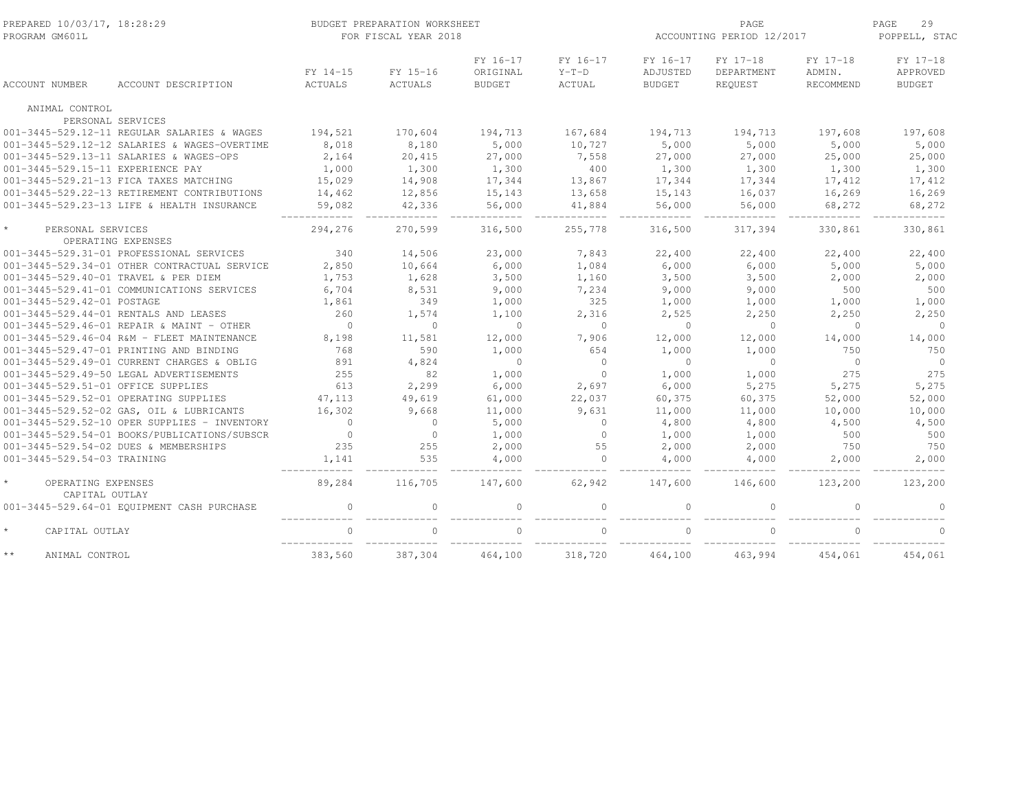| PREPARED 10/03/17, 18:28:29<br>PROGRAM GM601L      |                            | BUDGET PREPARATION WORKSHEET<br>FOR FISCAL YEAR 2018 |                                       |                               | PAGE<br>ACCOUNTING PERIOD 12/2017     |                                   |                                 |                                       |
|----------------------------------------------------|----------------------------|------------------------------------------------------|---------------------------------------|-------------------------------|---------------------------------------|-----------------------------------|---------------------------------|---------------------------------------|
| <b>ACCOUNT NUMBER</b><br>ACCOUNT DESCRIPTION       | FY 14-15<br><b>ACTUALS</b> | FY 15-16<br><b>ACTUALS</b>                           | FY 16-17<br>ORIGINAL<br><b>BUDGET</b> | FY 16-17<br>$Y-T-D$<br>ACTUAL | FY 16-17<br>ADJUSTED<br><b>BUDGET</b> | FY 17-18<br>DEPARTMENT<br>REQUEST | FY 17-18<br>ADMIN.<br>RECOMMEND | FY 17-18<br>APPROVED<br><b>BUDGET</b> |
|                                                    |                            |                                                      |                                       |                               |                                       |                                   |                                 |                                       |
| ANIMAL CONTROL                                     |                            |                                                      |                                       |                               |                                       |                                   |                                 |                                       |
| PERSONAL SERVICES                                  |                            |                                                      |                                       |                               |                                       |                                   |                                 |                                       |
| 001-3445-529.12-11 REGULAR SALARIES & WAGES        | 194,521                    | 170,604                                              | 194,713                               | 167,684                       | 194,713                               | 194,713                           | 197,608                         | 197,608                               |
| 001-3445-529.12-12 SALARIES & WAGES-OVERTIME       | 8,018                      | 8,180                                                | 5,000                                 | 10,727                        | 5,000                                 | 5,000                             | 5,000                           | 5,000                                 |
| 001-3445-529.13-11 SALARIES & WAGES-OPS            | 2,164                      | 20,415                                               | 27,000                                | 7,558                         | 27,000                                | 27,000                            | 25,000                          | 25,000                                |
| 001-3445-529.15-11 EXPERIENCE PAY                  | 1,000                      | 1,300                                                | 1,300                                 | 400                           | 1,300                                 | 1,300                             | 1,300                           | 1,300                                 |
| 001-3445-529.21-13 FICA TAXES MATCHING             | 15,029                     | 14,908                                               | 17,344                                | 13,867                        | 17,344                                | 17,344                            | 17,412                          | 17,412                                |
| 001-3445-529.22-13 RETIREMENT CONTRIBUTIONS        | 14,462                     | 12,856                                               | 15,143                                | 13,658                        | 15,143                                | 16,037                            | 16,269                          | 16,269                                |
| 001-3445-529.23-13 LIFE & HEALTH INSURANCE         | 59,082                     | 42,336                                               | 56,000                                | 41,884                        | 56,000                                | 56,000                            | 68,272                          | 68,272                                |
| $\star$<br>PERSONAL SERVICES<br>OPERATING EXPENSES | 294,276                    | 270,599                                              | 316,500                               | 255,778                       | 316,500                               | 317,394                           | 330,861                         | 330,861                               |
| 001-3445-529.31-01 PROFESSIONAL SERVICES           | 340                        | 14,506                                               | 23,000                                | 7,843                         | 22,400                                | 22,400                            | 22,400                          | 22,400                                |
| 001-3445-529.34-01 OTHER CONTRACTUAL SERVICE       | 2,850                      | 10,664                                               | 6,000                                 | 1,084                         | 6,000                                 | 6,000                             | 5,000                           | 5,000                                 |
| 001-3445-529.40-01 TRAVEL & PER DIEM               | 1,753                      | 1,628                                                | 3,500                                 | 1,160                         | 3,500                                 | 3,500                             | 2,000                           | 2,000                                 |
| 001-3445-529.41-01 COMMUNICATIONS SERVICES         | 6,704                      | 8,531                                                | 9,000                                 | 7,234                         | 9,000                                 | 9,000                             | 500                             | 500                                   |
| 001-3445-529.42-01 POSTAGE                         | 1,861                      | 349                                                  | 1,000                                 | 325                           | 1,000                                 | 1,000                             | 1,000                           | 1,000                                 |
| 001-3445-529.44-01 RENTALS AND LEASES              | 260                        | 1,574                                                | 1,100                                 | 2,316                         | 2,525                                 | 2,250                             | 2,250                           | 2,250                                 |
| 001-3445-529.46-01 REPAIR & MAINT - OTHER          | $\Omega$                   | $\Omega$                                             | $\Omega$                              | $\circ$                       | $\Omega$                              | $\Omega$                          | $\Omega$                        | $\Omega$                              |
| 001-3445-529.46-04 R&M - FLEET MAINTENANCE         | 8,198                      | 11,581                                               | 12,000                                | 7,906                         | 12,000                                | 12,000                            | 14,000                          | 14,000                                |
| 001-3445-529.47-01 PRINTING AND BINDING            | 768                        | 590                                                  | 1,000                                 | 654                           | 1,000                                 | 1,000                             | 750                             | 750                                   |
| 001-3445-529.49-01 CURRENT CHARGES & OBLIG         | 891                        | 4,824                                                | $\mathbf{0}$                          | $\circ$                       | $\mathbf{0}$                          | $\circ$                           | $\circ$                         | $\circ$                               |
| 001-3445-529.49-50 LEGAL ADVERTISEMENTS            | 255                        | 82                                                   | 1,000                                 | $\circ$                       | 1,000                                 | 1,000                             | 275                             | 275                                   |
| 001-3445-529.51-01 OFFICE SUPPLIES                 | 613                        | 2,299                                                | 6,000                                 | 2,697                         | 6,000                                 | 5,275                             | 5,275                           | 5,275                                 |
| 001-3445-529.52-01 OPERATING SUPPLIES              | 47,113                     | 49,619                                               | 61,000                                | 22,037                        | 60,375                                | 60,375                            | 52,000                          | 52,000                                |
| 001-3445-529.52-02 GAS, OIL & LUBRICANTS           | 16,302                     | 9,668                                                | 11,000                                | 9,631                         | 11,000                                | 11,000                            | 10,000                          | 10,000                                |
| 001-3445-529.52-10 OPER SUPPLIES - INVENTORY       | $\mathbf{0}$               | 0                                                    | 5,000                                 | $\circ$                       | 4,800                                 | 4,800                             | 4,500                           | 4,500                                 |
| 001-3445-529.54-01 BOOKS/PUBLICATIONS/SUBSCR       | $\mathbf{0}$               | $\circ$                                              | 1,000                                 | $\circ$                       | 1,000                                 | 1,000                             | 500                             | 500                                   |
| 001-3445-529.54-02 DUES & MEMBERSHIPS              | 235                        | 255                                                  | 2,000                                 | 55                            | 2,000                                 | 2,000                             | 750                             | 750                                   |
| 001-3445-529.54-03 TRAINING                        | 1,141                      | 535                                                  | 4,000                                 | $\mathbf{0}$                  | 4,000                                 | 4,000                             | 2,000                           | 2,000                                 |
| $\star$<br>OPERATING EXPENSES<br>CAPITAL OUTLAY    | 89,284                     | 116,705                                              | 147,600                               | 62,942                        | 147,600                               | 146,600                           | 123,200                         | 123,200                               |
| 001-3445-529.64-01 EQUIPMENT CASH PURCHASE         | $\circ$                    | 0                                                    | $\Omega$                              | 0                             | $\Omega$                              | $\mathbf{0}$                      | $\circ$                         | $\Omega$                              |
| $\star$<br>CAPITAL OUTLAY                          | $\Omega$                   | $\Omega$                                             | $\cap$                                | $\Omega$                      |                                       | $\Omega$                          | $\cap$                          | $\Omega$                              |
|                                                    |                            |                                                      |                                       |                               |                                       |                                   |                                 |                                       |
| $\star\star$<br>ANIMAL CONTROL                     | 383,560                    | 387,304                                              | 464,100                               | 318,720                       | 464,100                               | 463,994                           | 454,061                         | 454,061                               |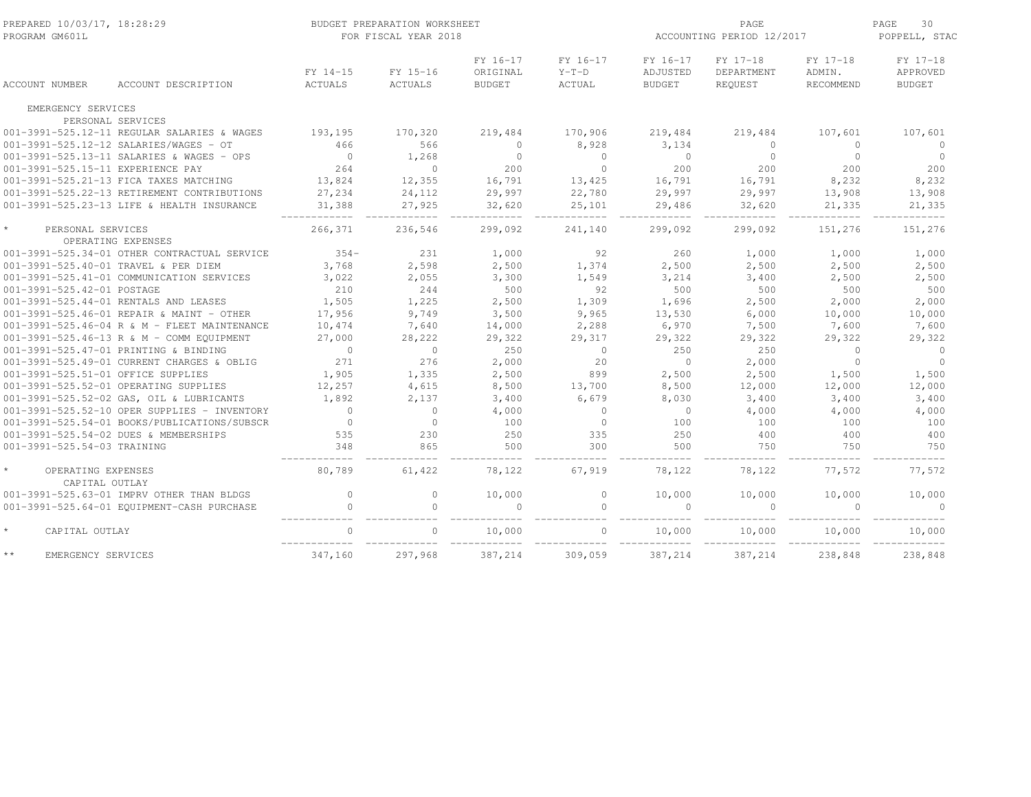| PREPARED 10/03/17, 18:28:29<br>PROGRAM GM601L      |                                              |                     | BUDGET PREPARATION WORKSHEET<br>FOR FISCAL YEAR 2018 |                                       | ACCOUNTING PERIOD 12/2017     | PAGE<br>30<br>POPPELL, STAC           |                                   |                                 |                                       |
|----------------------------------------------------|----------------------------------------------|---------------------|------------------------------------------------------|---------------------------------------|-------------------------------|---------------------------------------|-----------------------------------|---------------------------------|---------------------------------------|
| <b>ACCOUNT NUMBER</b>                              | ACCOUNT DESCRIPTION                          | FY 14-15<br>ACTUALS | FY 15-16<br><b>ACTUALS</b>                           | FY 16-17<br>ORIGINAL<br><b>BUDGET</b> | FY 16-17<br>$Y-T-D$<br>ACTUAL | FY 16-17<br>ADJUSTED<br><b>BUDGET</b> | FY 17-18<br>DEPARTMENT<br>REQUEST | FY 17-18<br>ADMIN.<br>RECOMMEND | FY 17-18<br>APPROVED<br><b>BUDGET</b> |
|                                                    |                                              |                     |                                                      |                                       |                               |                                       |                                   |                                 |                                       |
| EMERGENCY SERVICES<br>PERSONAL SERVICES            |                                              |                     |                                                      |                                       |                               |                                       |                                   |                                 |                                       |
|                                                    | 001-3991-525.12-11 REGULAR SALARIES & WAGES  | 193,195             | 170,320                                              | 219,484                               | 170,906                       | 219,484                               | 219,484                           | 107,601                         | 107,601                               |
| 001-3991-525.12-12 SALARIES/WAGES - OT             |                                              | 466                 | 566                                                  | $\Omega$                              | 8,928                         | 3,134                                 | $\circ$                           | $\Omega$                        | $\Omega$                              |
| 001-3991-525.13-11 SALARIES & WAGES - OPS          |                                              | $\Omega$            | 1,268                                                | $\Omega$                              | $\Omega$                      | $\Omega$                              | $\Omega$                          | $\Omega$                        | $\Omega$                              |
| 001-3991-525.15-11 EXPERIENCE PAY                  |                                              | 264                 | $\Omega$                                             | 200                                   | $\circ$                       | 200                                   | 200                               | 200                             | 200                                   |
| 001-3991-525.21-13 FICA TAXES MATCHING             |                                              | 13,824              | 12,355                                               | 16,791                                | 13,425                        | 16,791                                | 16,791                            | 8,232                           | 8,232                                 |
|                                                    | 001-3991-525.22-13 RETIREMENT CONTRIBUTIONS  | 27,234              | 24,112                                               | 29,997                                | 22,780                        | 29,997                                | 29,997                            | 13,908                          | 13,908                                |
|                                                    | 001-3991-525.23-13 LIFE & HEALTH INSURANCE   | 31,388              | 27,925                                               | 32,620                                | 25,101                        | 29,486                                | 32,620                            | 21,335                          | 21,335                                |
|                                                    |                                              |                     |                                                      |                                       |                               |                                       |                                   |                                 |                                       |
| $\star$<br>PERSONAL SERVICES<br>OPERATING EXPENSES |                                              | 266,371             | 236,546                                              | 299,092                               | 241,140                       | 299,092                               | 299,092                           | 151,276                         | 151,276                               |
|                                                    | 001-3991-525.34-01 OTHER CONTRACTUAL SERVICE | $354-$              | 231                                                  | 1,000                                 | 92                            | 260                                   | 1,000                             | 1,000                           | 1,000                                 |
| 001-3991-525.40-01 TRAVEL & PER DIEM               |                                              | 3,768               | 2,598                                                | 2,500                                 | 1,374                         | 2,500                                 | 2,500                             | 2,500                           | 2,500                                 |
| 001-3991-525.41-01 COMMUNICATION SERVICES          |                                              | 3,022               | 2,055                                                | 3,300                                 | 1,549                         | 3,214                                 | 3,400                             | 2,500                           | 2,500                                 |
| 001-3991-525.42-01 POSTAGE                         |                                              | 210                 | 244                                                  | 500                                   | 92                            | 500                                   | 500                               | 500                             | 500                                   |
| 001-3991-525.44-01 RENTALS AND LEASES              |                                              | 1,505               | 1,225                                                | 2,500                                 | 1,309                         | 1,696                                 | 2,500                             | 2,000                           | 2,000                                 |
| 001-3991-525.46-01 REPAIR & MAINT - OTHER          |                                              | 17,956              | 9,749                                                | 3,500                                 | 9,965                         | 13,530                                | 6,000                             | 10,000                          | 10,000                                |
|                                                    | 001-3991-525.46-04 R & M - FLEET MAINTENANCE | 10,474              | 7,640                                                | 14,000                                | 2,288                         | 6,970                                 | 7,500                             | 7,600                           | 7,600                                 |
| 001-3991-525.46-13 R & M - COMM EQUIPMENT          |                                              | 27,000              | 28,222                                               | 29,322                                | 29,317                        | 29,322                                | 29,322                            | 29,322                          | 29,322                                |
| 001-3991-525.47-01 PRINTING & BINDING              |                                              | $\Omega$            | $\Omega$                                             | 250                                   | $\Omega$                      | 250                                   | 250                               | $\Omega$                        | $\overline{0}$                        |
|                                                    | 001-3991-525.49-01 CURRENT CHARGES & OBLIG   | 271                 | 276                                                  | 2,000                                 | 20                            | $\overline{0}$                        | 2,000                             | $\circ$                         | $\Omega$                              |
| 001-3991-525.51-01 OFFICE SUPPLIES                 |                                              | 1,905               | 1,335                                                | 2,500                                 | 899                           | 2,500                                 | 2,500                             | 1,500                           | 1,500                                 |
| 001-3991-525.52-01 OPERATING SUPPLIES              |                                              | 12,257              | 4,615                                                | 8,500                                 | 13,700                        | 8,500                                 | 12,000                            | 12,000                          | 12,000                                |
| 001-3991-525.52-02 GAS, OIL & LUBRICANTS           |                                              | 1,892               | 2,137                                                | 3,400                                 | 6,679                         | 8,030                                 | 3,400                             | 3,400                           | 3,400                                 |
|                                                    | 001-3991-525.52-10 OPER SUPPLIES - INVENTORY | $\Omega$            | $\Omega$                                             | 4,000                                 | $\circ$                       | $\Omega$                              | 4,000                             | 4,000                           | 4,000                                 |
|                                                    | 001-3991-525.54-01 BOOKS/PUBLICATIONS/SUBSCR | $\mathbf{0}$        | $\circ$                                              | 100                                   | $\circ$                       | 100                                   | 100                               | 100                             | 100                                   |
| 001-3991-525.54-02 DUES & MEMBERSHIPS              |                                              | 535                 | 230                                                  | 250                                   | 335                           | 250                                   | 400                               | 400                             | 400                                   |
| 001-3991-525.54-03 TRAINING                        |                                              | 348                 | 865                                                  | 500                                   | 300                           | 500                                   | 750                               | 750                             | 750                                   |
| $\star$<br>OPERATING EXPENSES<br>CAPITAL OUTLAY    |                                              | 80,789              | 61,422                                               | 78,122                                | 67,919                        | 78,122                                | 78,122                            | 77,572                          | 77,572                                |
| 001-3991-525.63-01 IMPRV OTHER THAN BLDGS          |                                              | $\circ$             | $\circ$                                              | 10,000                                | $\circ$                       | 10,000                                | 10,000                            | 10,000                          | 10,000                                |
|                                                    | 001-3991-525.64-01 EQUIPMENT-CASH PURCHASE   | $\mathbf{0}$        | $\Omega$                                             | $\Omega$                              | $\Omega$                      | $\cap$                                | $\Omega$                          | $\cap$                          | $\Omega$                              |
| $\star$<br>CAPITAL OUTLAY                          |                                              | $\Omega$            | $\Omega$                                             | 10,000                                | $\Omega$                      | 10,000                                | 10,000                            | 10,000                          | 10,000                                |
| $\star\star$<br>EMERGENCY SERVICES                 |                                              | 347,160             | 297,968                                              | 387,214                               | 309,059                       | 387,214                               | 387,214                           | 238,848                         | 238,848                               |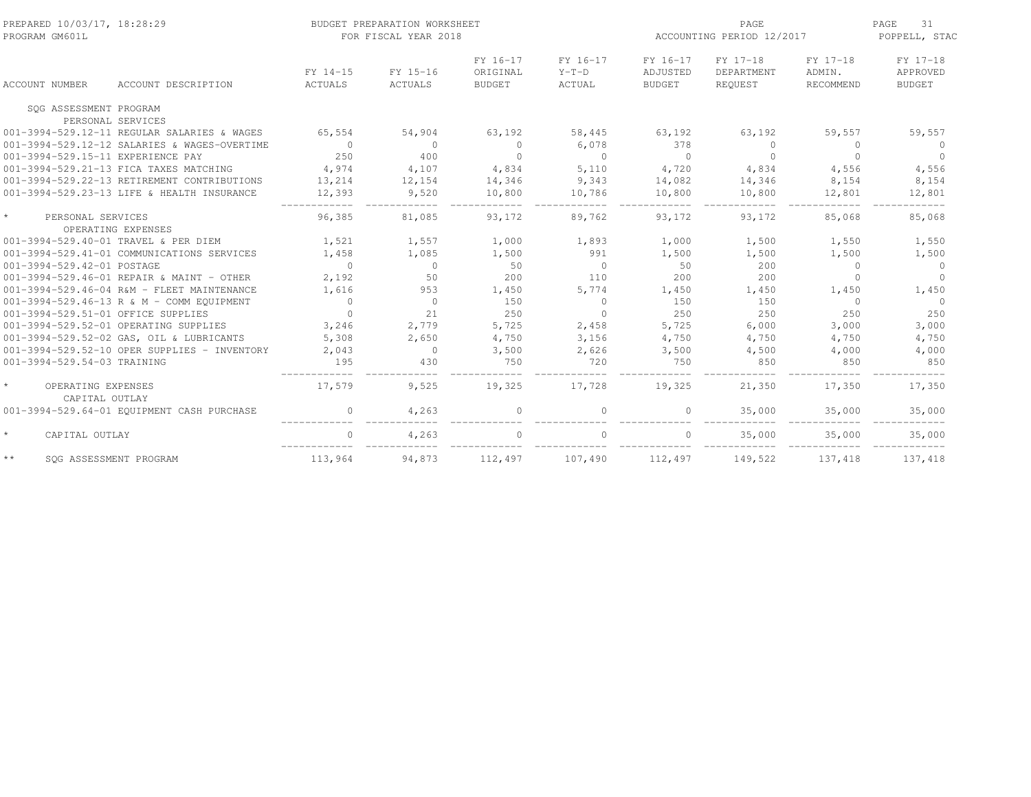| PREPARED 10/03/17, 18:28:29<br>PROGRAM GM601L      |                                              |                            | BUDGET PREPARATION WORKSHEET<br>FOR FISCAL YEAR 2018 | ACCOUNTING PERIOD 12/2017             | PAGE<br>31<br>POPPELL, STAC   |                                       |                                   |                                 |                                       |
|----------------------------------------------------|----------------------------------------------|----------------------------|------------------------------------------------------|---------------------------------------|-------------------------------|---------------------------------------|-----------------------------------|---------------------------------|---------------------------------------|
| ACCOUNT NUMBER                                     | ACCOUNT DESCRIPTION                          | FY 14-15<br><b>ACTUALS</b> | FY 15-16<br>ACTUALS                                  | FY 16-17<br>ORIGINAL<br><b>BUDGET</b> | FY 16-17<br>$Y-T-D$<br>ACTUAL | FY 16-17<br>ADJUSTED<br><b>BUDGET</b> | FY 17-18<br>DEPARTMENT<br>REOUEST | FY 17-18<br>ADMIN.<br>RECOMMEND | FY 17-18<br>APPROVED<br><b>BUDGET</b> |
| SOG ASSESSMENT PROGRAM                             |                                              |                            |                                                      |                                       |                               |                                       |                                   |                                 |                                       |
| PERSONAL SERVICES                                  |                                              |                            |                                                      |                                       |                               |                                       |                                   |                                 |                                       |
|                                                    | 001-3994-529.12-11 REGULAR SALARIES & WAGES  | 65,554                     | 54,904                                               | 63,192                                | 58,445                        | 63,192                                | 63,192                            | 59,557                          | 59,557                                |
|                                                    | 001-3994-529.12-12 SALARIES & WAGES-OVERTIME | $\Omega$                   | $\Omega$                                             | $\Omega$                              | 6,078                         | 378                                   | $\Omega$                          | $\bigcap$                       | $\Omega$                              |
| 001-3994-529.15-11 EXPERIENCE PAY                  |                                              | 250                        | 400                                                  | $\Omega$                              | $\Omega$                      | $\Omega$                              | $\Omega$                          | $\Omega$                        | $\Omega$                              |
| 001-3994-529.21-13 FICA TAXES MATCHING             |                                              | 4,974                      | 4,107                                                | 4,834                                 | 5,110                         | 4,720                                 | 4,834                             | 4,556                           | 4,556                                 |
|                                                    | 001-3994-529.22-13 RETIREMENT CONTRIBUTIONS  | 13,214                     | 12,154                                               | 14,346                                | 9,343                         | 14,082                                | 14,346                            | 8,154                           | 8,154                                 |
|                                                    | 001-3994-529.23-13 LIFE & HEALTH INSURANCE   | 12,393                     | 9,520                                                | 10,800                                | 10,786                        | 10,800                                | 10,800                            | 12,801                          | 12,801                                |
| $\star$<br>PERSONAL SERVICES<br>OPERATING EXPENSES |                                              | 96,385                     | 81,085                                               | 93,172                                | 89,762                        | 93,172                                | 93,172                            | 85,068                          | 85,068                                |
| 001-3994-529.40-01 TRAVEL & PER DIEM               |                                              | 1,521                      | 1,557                                                | 1,000                                 | 1,893                         | 1,000                                 | 1,500                             | 1,550                           | 1,550                                 |
|                                                    | 001-3994-529.41-01 COMMUNICATIONS SERVICES   | 1,458                      | 1,085                                                | 1,500                                 | 991                           | 1,500                                 | 1,500                             | 1,500                           | 1,500                                 |
| 001-3994-529.42-01 POSTAGE                         |                                              | $\Omega$                   | $\Omega$                                             | 50                                    | $\Omega$                      | 50                                    | 200                               | $\Omega$                        | $\Omega$                              |
| 001-3994-529.46-01 REPAIR & MAINT - OTHER          |                                              | 2,192                      | 50                                                   | 200                                   | 110                           | 200                                   | 200                               | $\Omega$                        | $\Omega$                              |
|                                                    | 001-3994-529.46-04 R&M - FLEET MAINTENANCE   | 1,616                      | 953                                                  | 1,450                                 | 5,774                         | 1,450                                 | 1,450                             | 1,450                           | 1,450                                 |
| 001-3994-529.46-13 R & M - COMM EQUIPMENT          |                                              | $\Omega$                   | $\Omega$                                             | 150                                   | $\circ$                       | 150                                   | 150                               | $\Omega$                        | $\overline{0}$                        |
| 001-3994-529.51-01 OFFICE SUPPLIES                 |                                              | $\Omega$                   | 2.1                                                  | 250                                   | $\Omega$                      | 250                                   | 250                               | 250                             | 250                                   |
| 001-3994-529.52-01 OPERATING SUPPLIES              |                                              | 3,246                      | 2,779                                                | 5,725                                 | 2,458                         | 5,725                                 | 6,000                             | 3,000                           | 3,000                                 |
| 001-3994-529.52-02 GAS, OIL & LUBRICANTS           |                                              | 5,308                      | 2,650                                                | 4,750                                 | 3,156                         | 4,750                                 | 4,750                             | 4,750                           | 4,750                                 |
|                                                    | 001-3994-529.52-10 OPER SUPPLIES - INVENTORY | 2,043                      | $\Omega$                                             | 3,500                                 | 2,626                         | 3,500                                 | 4,500                             | 4,000                           | 4,000                                 |
| 001-3994-529.54-03 TRAINING                        |                                              | 195                        | 430                                                  | 750                                   | 720                           | 750                                   | 850                               | 850                             | 850                                   |
| $\star$<br>OPERATING EXPENSES<br>CAPITAL OUTLAY    |                                              | 17,579                     | 9,525                                                | 19,325                                | 17,728                        | 19,325                                | 21,350                            | 17,350                          | 17,350                                |
|                                                    | 001-3994-529.64-01 EQUIPMENT CASH PURCHASE   | $\Omega$                   | 4,263                                                | $\circ$                               | $\circ$                       |                                       | 35,000                            | 35,000                          | 35,000                                |
| $\star$<br>CAPITAL OUTLAY                          |                                              |                            | 4,263                                                |                                       |                               |                                       | 35,000                            | 35,000                          | 35,000                                |
| $\star\star$<br>SOG ASSESSMENT PROGRAM             |                                              | 113,964                    | 94,873                                               | 112,497                               | 107,490                       | 112,497                               | 149,522                           | 137,418                         | 137,418                               |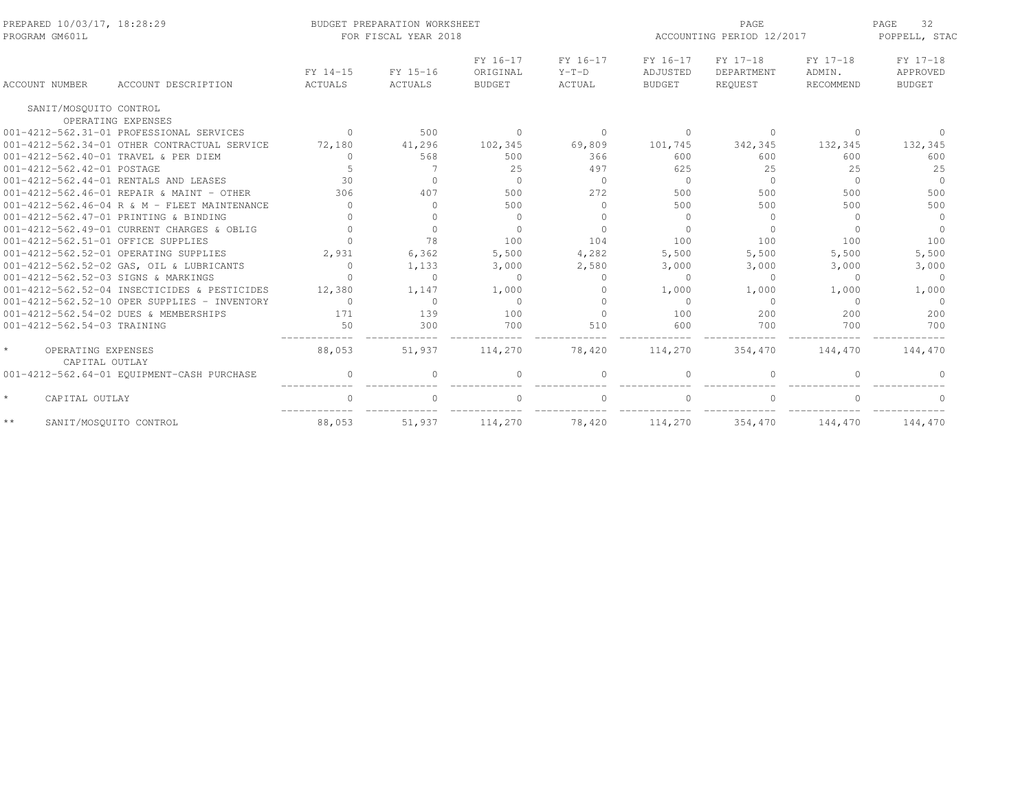| PREPARED 10/03/17, 18:28:29<br>PROGRAM GM601L   |                                              |                     | BUDGET PREPARATION WORKSHEET<br>FOR FISCAL YEAR 2018 |                                       |                               | ACCOUNTING PERIOD 12/2017             | 32<br>PAGE<br>POPPELL, STAC       |                                 |                                       |
|-------------------------------------------------|----------------------------------------------|---------------------|------------------------------------------------------|---------------------------------------|-------------------------------|---------------------------------------|-----------------------------------|---------------------------------|---------------------------------------|
| <b>ACCOUNT NUMBER</b>                           | ACCOUNT DESCRIPTION                          | FY 14-15<br>ACTUALS | FY 15-16<br><b>ACTUALS</b>                           | FY 16-17<br>ORIGINAL<br><b>BUDGET</b> | FY 16-17<br>$Y-T-D$<br>ACTUAL | FY 16-17<br>ADJUSTED<br><b>BUDGET</b> | FY 17-18<br>DEPARTMENT<br>REQUEST | FY 17-18<br>ADMIN.<br>RECOMMEND | FY 17-18<br>APPROVED<br><b>BUDGET</b> |
| SANIT/MOSOUITO CONTROL                          |                                              |                     |                                                      |                                       |                               |                                       |                                   |                                 |                                       |
|                                                 | OPERATING EXPENSES                           |                     |                                                      |                                       |                               |                                       |                                   |                                 |                                       |
|                                                 | 001-4212-562.31-01 PROFESSIONAL SERVICES     | $\Omega$            | 500                                                  | $\Omega$                              | $\Omega$                      | $\Omega$                              | $\Omega$                          | $\Omega$                        |                                       |
|                                                 | 001-4212-562.34-01 OTHER CONTRACTUAL SERVICE | 72,180              | 41,296                                               | 102,345                               | 69,809                        | 101,745                               | 342,345                           | 132,345                         | 132,345                               |
| 001-4212-562.40-01 TRAVEL & PER DIEM            |                                              | $\bigcap$           | 568                                                  | 500                                   | 366                           | 600                                   | 600                               | 600                             | 600                                   |
| 001-4212-562.42-01 POSTAGE                      |                                              |                     | 7                                                    | 25                                    | 497                           | 625                                   | 25                                | 2.5                             | 25                                    |
|                                                 | 001-4212-562.44-01 RENTALS AND LEASES        | 30                  | $\Omega$                                             | $\Omega$                              | $\circ$                       | $\bigcirc$                            | $\circ$                           | $\Omega$                        | $\Omega$                              |
|                                                 | 001-4212-562.46-01 REPAIR & MAINT - OTHER    | 306                 | 407                                                  | 500                                   | 272                           | 500                                   | 500                               | 500                             | 500                                   |
|                                                 | 001-4212-562.46-04 R & M - FLEET MAINTENANCE | $\cap$              | $\cap$                                               | 500                                   | $\bigcap$                     | 500                                   | 500                               | 500                             | 500                                   |
|                                                 | 001-4212-562.47-01 PRINTING & BINDING        |                     | $\cap$                                               | $\Omega$                              | $\cap$                        | $\Omega$                              | $\mathbf{0}$                      | $\Omega$                        | $\Omega$                              |
|                                                 | 001-4212-562.49-01 CURRENT CHARGES & OBLIG   |                     | $\cap$                                               | $\cap$                                | $\Omega$                      |                                       | $\Omega$                          | $\cap$                          | $\Omega$                              |
| 001-4212-562.51-01 OFFICE SUPPLIES              |                                              |                     | 78                                                   | 100                                   | 104                           | 100                                   | 100                               | 100                             | 100                                   |
|                                                 | 001-4212-562.52-01 OPERATING SUPPLIES        | 2,931               | 6,362                                                | 5,500                                 | 4,282                         | 5,500                                 | 5,500                             | 5,500                           | 5,500                                 |
|                                                 | 001-4212-562.52-02 GAS, OIL & LUBRICANTS     | $\mathbf{0}$        | 1,133                                                | 3,000                                 | 2,580                         | 3,000                                 | 3,000                             | 3,000                           | 3,000                                 |
| 001-4212-562.52-03 SIGNS & MARKINGS             |                                              | $\Omega$            | $\cap$                                               | $\Omega$                              | $\Omega$                      | $\Omega$                              | $\Omega$                          | $\Omega$                        | $\Omega$                              |
|                                                 | 001-4212-562.52-04 INSECTICIDES & PESTICIDES | 12,380              | 1,147                                                | 1,000                                 | $\bigcap$                     | 1,000                                 | 1,000                             | 1,000                           | 1,000                                 |
|                                                 | 001-4212-562.52-10 OPER SUPPLIES - INVENTORY | $\Omega$            | $\Omega$                                             | $\Omega$                              |                               | $\cap$                                | $\Omega$                          | $\Omega$                        | $\Omega$                              |
|                                                 | 001-4212-562.54-02 DUES & MEMBERSHIPS        | 171                 | 139                                                  | 100                                   | $\cap$                        | 100                                   | 200                               | 200                             | 200                                   |
| 001-4212-562.54-03 TRAINING                     |                                              | 50                  | 300                                                  | 700                                   | 510                           | 600                                   | 700                               | 700                             | 700                                   |
| $\star$<br>OPERATING EXPENSES<br>CAPITAL OUTLAY |                                              | 88,053              | 51,937                                               | 114,270                               | 78,420                        | 114,270                               | 354,470                           | 144,470                         | 144,470                               |
|                                                 | 001-4212-562.64-01 EQUIPMENT-CASH PURCHASE   | $\mathbf{0}$        | $\cap$                                               |                                       | $\Omega$                      | $\bigcap$                             | $\mathbf{0}$                      | $\cap$                          |                                       |
| $\star$<br>CAPITAL OUTLAY                       |                                              |                     |                                                      |                                       |                               |                                       |                                   |                                 |                                       |
| $\star\,\star$<br>SANIT/MOSQUITO CONTROL        |                                              | 88,053              | 51,937                                               | 114,270                               | 78,420                        | 114,270                               | 354,470                           | 144,470                         | 144,470                               |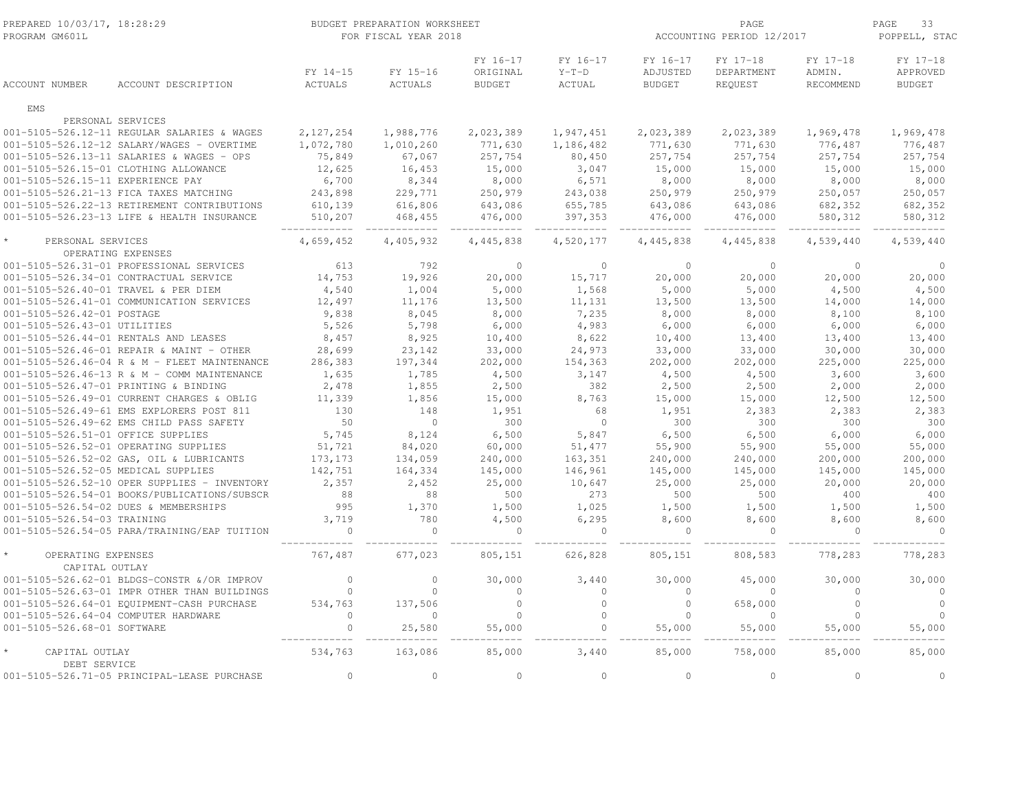| PREPARED 10/03/17, 18:28:29<br>PROGRAM GM601L |                                              |                 | BUDGET PREPARATION WORKSHEET<br>FOR FISCAL YEAR 2018 |                 |                 |                 | PAGE<br>ACCOUNTING PERIOD 12/2017 |                               | PAGE<br>33<br>POPPELL, STAC |
|-----------------------------------------------|----------------------------------------------|-----------------|------------------------------------------------------|-----------------|-----------------|-----------------|-----------------------------------|-------------------------------|-----------------------------|
|                                               |                                              |                 |                                                      | FY 16-17        | FY 16-17        | FY 16-17        | FY 17-18                          | FY 17-18                      | FY 17-18                    |
|                                               |                                              | FY 14-15        | FY 15-16                                             | ORIGINAL        | $Y-T-D$         | ADJUSTED        | DEPARTMENT                        | ADMIN.                        | APPROVED                    |
| ACCOUNT NUMBER                                | ACCOUNT DESCRIPTION                          | <b>ACTUALS</b>  | ACTUALS                                              | <b>BUDGET</b>   | <b>ACTUAL</b>   | <b>BUDGET</b>   | REQUEST                           | RECOMMEND                     | <b>BUDGET</b>               |
| EMS                                           |                                              |                 |                                                      |                 |                 |                 |                                   |                               |                             |
| PERSONAL SERVICES                             |                                              |                 |                                                      |                 |                 |                 |                                   |                               |                             |
|                                               | 001-5105-526.12-11 REGULAR SALARIES & WAGES  | 2,127,254       | 1,988,776                                            | 2,023,389       | 1,947,451       | 2,023,389       | 2,023,389                         | 1,969,478                     | 1,969,478                   |
|                                               | 001-5105-526.12-12 SALARY/WAGES - OVERTIME   | 1,072,780       | 1,010,260                                            | 771,630         | 1,186,482       | 771,630         | 771,630                           | 776,487                       | 776,487                     |
|                                               | 001-5105-526.13-11 SALARIES & WAGES - OPS    | 75,849          | 67,067                                               | 257,754         | 80,450          | 257,754         | 257,754                           | 257,754                       | 257,754                     |
| 001-5105-526.15-01 CLOTHING ALLOWANCE         |                                              | 12,625          | 16,453                                               | 15,000          | 3,047           | 15,000          | 15,000                            | 15,000                        | 15,000                      |
| 001-5105-526.15-11 EXPERIENCE PAY             |                                              | 6,700           | 8,344                                                | 8,000           | 6,571           | 8,000           | 8,000                             | 8,000                         | 8,000                       |
| 001-5105-526.21-13 FICA TAXES MATCHING        |                                              | 243,898         | 229,771                                              | 250,979         | 243,038         | 250,979         | 250,979                           | 250,057                       | 250,057                     |
|                                               | 001-5105-526.22-13 RETIREMENT CONTRIBUTIONS  | 610,139         | 616,806                                              | 643,086         | 655,785         | 643,086         | 643,086                           | 682,352                       | 682,352                     |
|                                               | 001-5105-526.23-13 LIFE & HEALTH INSURANCE   | 510,207         | 468,455                                              | 476,000         | 397,353         | 476,000         | 476,000                           | 580, 312<br>. _ _ _ _ _ _ _ _ | 580,312<br>--------         |
| PERSONAL SERVICES                             |                                              | 4,659,452       | 4,405,932                                            | 4,445,838       | 4,520,177       | 4,445,838       | 4,445,838                         | 4,539,440                     | 4,539,440                   |
| OPERATING EXPENSES                            |                                              |                 |                                                      |                 |                 |                 |                                   |                               |                             |
|                                               | 001-5105-526.31-01 PROFESSIONAL SERVICES     | 613             | 792                                                  | $\Omega$        | $\Omega$        | $\Omega$        | $\Omega$                          | $\Omega$                      | $\Omega$                    |
| 001-5105-526.34-01 CONTRACTUAL SERVICE        |                                              | 14,753          | 19,926                                               | 20,000          | 15,717          | 20,000          | 20,000                            | 20,000                        | 20,000                      |
| 001-5105-526.40-01 TRAVEL & PER DIEM          | 001-5105-526.41-01 COMMUNICATION SERVICES    | 4,540<br>12,497 | 1,004<br>11,176                                      | 5,000<br>13,500 | 1,568<br>11,131 | 5,000<br>13,500 | 5,000<br>13,500                   | 4,500<br>14,000               | 4,500                       |
| 001-5105-526.42-01 POSTAGE                    |                                              | 9,838           | 8,045                                                | 8,000           | 7,235           | 8,000           | 8,000                             | 8,100                         | 14,000<br>8,100             |
| 001-5105-526.43-01 UTILITIES                  |                                              | 5,526           | 5,798                                                | 6,000           | 4,983           | 6,000           | 6,000                             | 6,000                         | 6,000                       |
| 001-5105-526.44-01 RENTALS AND LEASES         |                                              | 8,457           | 8,925                                                | 10,400          | 8,622           | 10,400          | 13,400                            | 13,400                        | 13,400                      |
|                                               | 001-5105-526.46-01 REPAIR & MAINT - OTHER    | 28,699          | 23,142                                               | 33,000          | 24,973          | 33,000          | 33,000                            | 30,000                        | 30,000                      |
|                                               | 001-5105-526.46-04 R & M - FLEET MAINTENANCE | 286,383         | 197,344                                              | 202,000         | 154,363         | 202,000         | 202,000                           | 225,000                       | 225,000                     |
|                                               | 001-5105-526.46-13 R & M - COMM MAINTENANCE  | 1,635           | 1,785                                                | 4,500           | 3,147           | 4,500           | 4,500                             | 3,600                         | 3,600                       |
| 001-5105-526.47-01 PRINTING & BINDING         |                                              | 2,478           | 1,855                                                | 2,500           | 382             | 2,500           | 2,500                             | 2,000                         | 2,000                       |
|                                               | 001-5105-526.49-01 CURRENT CHARGES & OBLIG   | 11,339          | 1,856                                                | 15,000          | 8,763           | 15,000          | 15,000                            | 12,500                        | 12,500                      |
|                                               | 001-5105-526.49-61 EMS EXPLORERS POST 811    | 130             | 148                                                  | 1,951           | 68              | 1,951           | 2,383                             | 2,383                         | 2,383                       |
|                                               | 001-5105-526.49-62 EMS CHILD PASS SAFETY     | 50              | $\Omega$                                             | 300             | $\circ$         | 300             | 300                               | 300                           | 300                         |
| 001-5105-526.51-01 OFFICE SUPPLIES            |                                              | 5,745           | 8,124                                                | 6,500           | 5,847           | 6,500           | 6,500                             | 6,000                         | 6,000                       |
| 001-5105-526.52-01 OPERATING SUPPLIES         |                                              | 51,721          | 84,020                                               | 60,000          | 51,477          | 55,900          | 55,900                            | 55,000                        | 55,000                      |
|                                               | 001-5105-526.52-02 GAS, OIL & LUBRICANTS     | 173, 173        | 134,059                                              | 240,000         | 163,351         | 240,000         | 240,000                           | 200,000                       | 200,000                     |
| 001-5105-526.52-05 MEDICAL SUPPLIES           |                                              | 142,751         | 164,334                                              | 145,000         | 146,961         | 145,000         | 145,000                           | 145,000                       | 145,000                     |
|                                               | 001-5105-526.52-10 OPER SUPPLIES - INVENTORY | 2,357           | 2,452                                                | 25,000          | 10,647          | 25,000          | 25,000                            | 20,000                        | 20,000                      |
|                                               | 001-5105-526.54-01 BOOKS/PUBLICATIONS/SUBSCR | 88              | 88                                                   | 500             | 273             | 500             | 500                               | 400                           | 400                         |
| 001-5105-526.54-02 DUES & MEMBERSHIPS         |                                              | 995             | 1,370                                                | 1,500           | 1,025           | 1,500           | 1,500                             | 1,500                         | 1,500                       |
| 001-5105-526.54-03 TRAINING                   |                                              | 3,719           | 780                                                  | 4,500           | 6,295           | 8,600           | 8,600                             | 8,600                         | 8,600                       |
|                                               | 001-5105-526.54-05 PARA/TRAINING/EAP TUITION | $\Omega$        | $\Omega$                                             | $\circ$         | $\mathbf{0}$    | $\Omega$        | $\overline{0}$                    | $\circ$                       | $\Omega$                    |
| OPERATING EXPENSES<br>CAPITAL OUTLAY          |                                              | 767,487         | 677,023                                              | 805,151         | 626,828         | 805,151         | 808,583                           | 778,283                       | 778,283                     |
|                                               | 001-5105-526.62-01 BLDGS-CONSTR & /OR IMPROV | $\mathbf{0}$    | $\circ$                                              | 30,000          | 3,440           | 30,000          | 45,000                            | 30,000                        | 30,000                      |
|                                               | 001-5105-526.63-01 IMPR OTHER THAN BUILDINGS | $\Omega$        | $\Omega$                                             | $\Omega$        | $\circ$         | $\Omega$        | $\Omega$                          | $\Omega$                      | $\Omega$                    |
|                                               | 001-5105-526.64-01 EQUIPMENT-CASH PURCHASE   | 534,763         | 137,506                                              | $\circ$         | $\circ$         | $\mathbf{0}$    | 658,000                           | $\circ$                       | $\circ$                     |
| 001-5105-526.64-04 COMPUTER HARDWARE          |                                              | $\circ$         | $\Omega$                                             | $\circ$         | $\Omega$        | $\Omega$        | $\Omega$                          | $\Omega$                      | $\Omega$                    |
| 001-5105-526.68-01 SOFTWARE                   |                                              | $\bigcap$       | 25,580                                               | 55,000          | $\bigcap$       | 55,000          | 55,000                            | 55,000                        | 55,000                      |
|                                               |                                              |                 |                                                      |                 |                 |                 |                                   |                               |                             |
| CAPITAL OUTLAY<br>DEBT SERVICE                |                                              | 534,763         | 163,086                                              | 85,000          | 3,440           | 85,000          | 758,000                           | 85,000                        | 85,000                      |
|                                               | 001-5105-526.71-05 PRINCIPAL-LEASE PURCHASE  | $\circ$         | $\circ$                                              | $\circ$         | $\circ$         | $\circ$         | $\mathbf{0}$                      | $\circ$                       | $\circ$                     |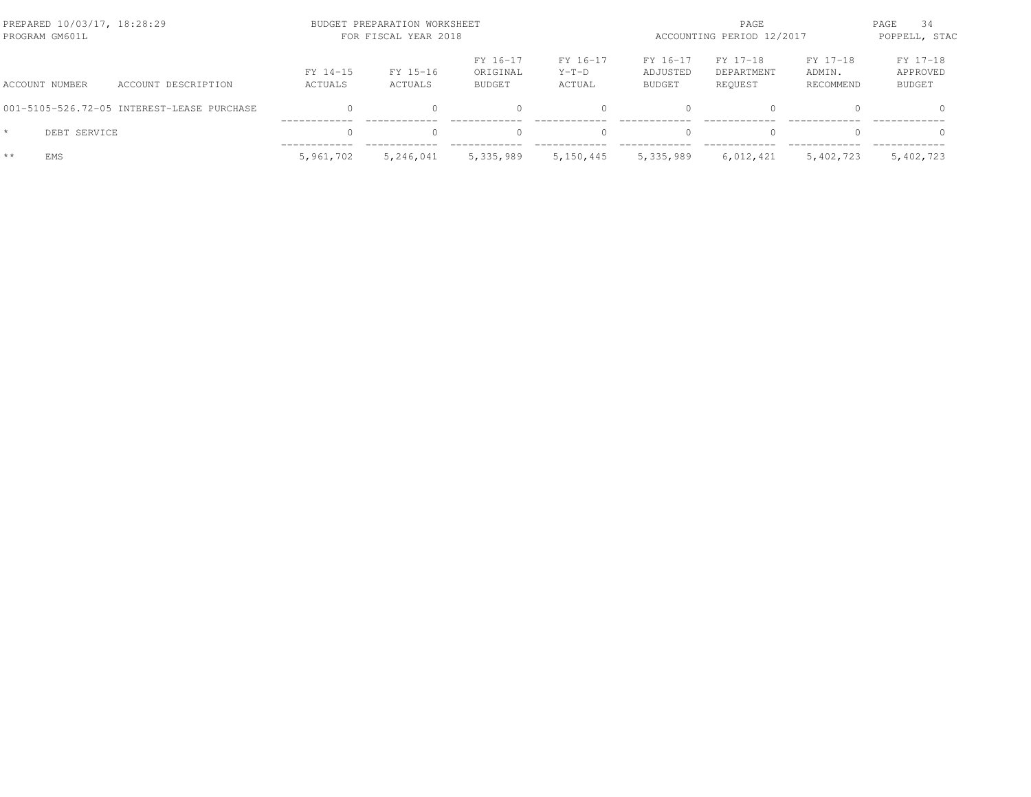| PREPARED 10/03/17, 18:28:29<br>PROGRAM GM601L |                                            | BUDGET PREPARATION WORKSHEET<br>FOR FISCAL YEAR 2018 |                     |                                |                               | ACCOUNTING PERIOD 12/2017             | 34<br>PAGE<br>POPPELL, STAC       |                                 |                                       |
|-----------------------------------------------|--------------------------------------------|------------------------------------------------------|---------------------|--------------------------------|-------------------------------|---------------------------------------|-----------------------------------|---------------------------------|---------------------------------------|
| ACCOUNT NUMBER                                | ACCOUNT DESCRIPTION                        | FY 14-15<br>ACTUALS                                  | FY 15-16<br>ACTUALS | FY 16-17<br>ORIGINAL<br>BUDGET | FY 16-17<br>$Y-T-D$<br>ACTUAL | FY 16-17<br>ADJUSTED<br><b>BUDGET</b> | FY 17-18<br>DEPARTMENT<br>REQUEST | FY 17-18<br>ADMIN.<br>RECOMMEND | FY 17-18<br>APPROVED<br><b>BUDGET</b> |
|                                               | 001-5105-526.72-05 INTEREST-LEASE PURCHASE |                                                      | 0.                  |                                |                               | $\bigcap$                             | $\Omega$                          |                                 |                                       |
| $\star$<br>DEBT SERVICE                       |                                            |                                                      |                     |                                |                               | $\bigcap$                             |                                   |                                 |                                       |
| $**$<br>EMS                                   |                                            | 5,961,702                                            | 5,246,041           | 5,335,989                      | 5,150,445                     | 5,335,989                             | 6,012,421                         | 5,402,723                       | 5,402,723                             |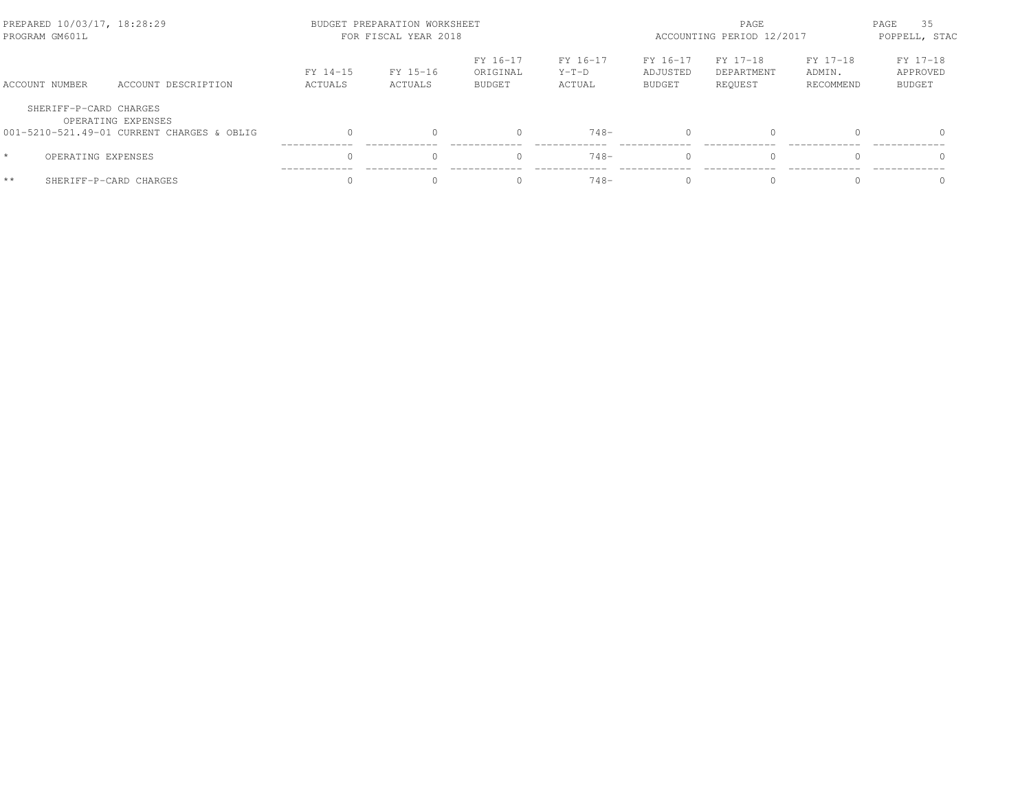| PREPARED 10/03/17, 18:28:29<br>PROGRAM GM601L |                                            |                     | BUDGET PREPARATION WORKSHEET<br>FOR FISCAL YEAR 2018 | ACCOUNTING PERIOD 12/2017             | 35<br>PAGE<br>POPPELL, STAC   |                                |                                   |                                 |                                       |
|-----------------------------------------------|--------------------------------------------|---------------------|------------------------------------------------------|---------------------------------------|-------------------------------|--------------------------------|-----------------------------------|---------------------------------|---------------------------------------|
| ACCOUNT NUMBER                                | ACCOUNT DESCRIPTION                        | FY 14-15<br>ACTUALS | FY 15-16<br>ACTUALS                                  | FY 16-17<br>ORIGINAL<br><b>BUDGET</b> | FY 16-17<br>$Y-T-D$<br>ACTUAL | FY 16-17<br>ADJUSTED<br>BUDGET | FY 17-18<br>DEPARTMENT<br>REOUEST | FY 17-18<br>ADMIN.<br>RECOMMEND | FY 17-18<br>APPROVED<br><b>BUDGET</b> |
| SHERIFF-P-CARD CHARGES                        | OPERATING EXPENSES                         |                     |                                                      |                                       |                               |                                |                                   |                                 |                                       |
|                                               | 001-5210-521.49-01 CURRENT CHARGES & OBLIG | $\bigcap$           | $\cap$                                               | $\cup$                                | $748-$                        | $\cap$                         | $\Omega$                          |                                 | $\Omega$                              |
| $\star$                                       | OPERATING EXPENSES                         | $\cap$              |                                                      | $\Omega$                              | $748-$                        | $\bigcap$                      |                                   |                                 |                                       |
| $**$                                          | SHERIFF-P-CARD CHARGES                     |                     |                                                      | $\Omega$                              | $748-$                        | $\bigcap$                      | $\cap$                            |                                 |                                       |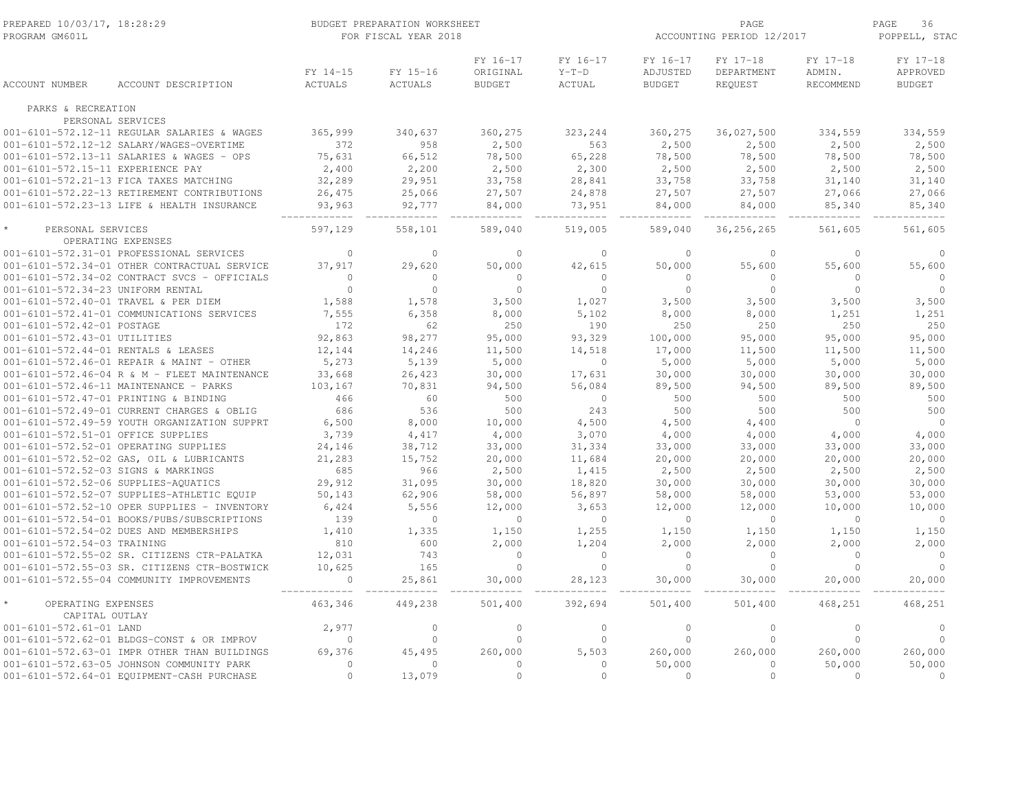| PREPARED 10/03/17, 18:28:29<br>PROGRAM GM601L |                                                                  |                            | PAGE                |                                       |                                |                                       |                                   | ACCOUNTING PERIOD 12/2017<br>FOR FISCAL YEAR 2018 |                                       |  |  | BUDGET PREPARATION WORKSHEET |  |  |  | PAGE<br>36<br>POPPELL, STAC |
|-----------------------------------------------|------------------------------------------------------------------|----------------------------|---------------------|---------------------------------------|--------------------------------|---------------------------------------|-----------------------------------|---------------------------------------------------|---------------------------------------|--|--|------------------------------|--|--|--|-----------------------------|
| ACCOUNT NUMBER                                | ACCOUNT DESCRIPTION                                              | FY 14-15<br>ACTUALS        | FY 15-16<br>ACTUALS | FY 16-17<br>ORIGINAL<br><b>BUDGET</b> | FY 16-17<br>$Y-T-D$<br>ACTUAL  | FY 16-17<br>ADJUSTED<br><b>BUDGET</b> | FY 17-18<br>DEPARTMENT<br>REQUEST | FY 17-18<br>ADMIN.<br>RECOMMEND                   | FY 17-18<br>APPROVED<br><b>BUDGET</b> |  |  |                              |  |  |  |                             |
| PARKS & RECREATION                            |                                                                  |                            |                     |                                       |                                |                                       |                                   |                                                   |                                       |  |  |                              |  |  |  |                             |
|                                               | PERSONAL SERVICES<br>001-6101-572.12-11 REGULAR SALARIES & WAGES | 365,999                    | 340,637             | 360,275                               | 323,244                        | 360,275                               | 36,027,500                        | 334,559                                           | 334,559                               |  |  |                              |  |  |  |                             |
|                                               | 001-6101-572.12-12 SALARY/WAGES-OVERTIME                         | 372                        | 958                 | 2,500                                 | 563                            | 2,500                                 | 2,500                             | 2,500                                             | 2,500                                 |  |  |                              |  |  |  |                             |
|                                               | 001-6101-572.13-11 SALARIES & WAGES - OPS                        | 75,631                     | 66,512              | 78,500                                | 65,228                         | 78,500                                | 78,500                            | 78,500                                            | 78,500                                |  |  |                              |  |  |  |                             |
| 001-6101-572.15-11 EXPERIENCE PAY             |                                                                  | 2,400                      | 2,200               | 2,500                                 | 2,300                          | 2,500                                 | 2,500                             | 2,500                                             | 2,500                                 |  |  |                              |  |  |  |                             |
|                                               | 001-6101-572.21-13 FICA TAXES MATCHING                           | 32,289                     | 29,951              | 33,758                                | 28,841                         | 33,758                                | 33,758                            | 31,140                                            | 31,140                                |  |  |                              |  |  |  |                             |
|                                               | 001-6101-572.22-13 RETIREMENT CONTRIBUTIONS                      | 26,475                     | 25,066              | 27,507                                | 24,878                         | 27,507                                | 27,507                            | 27,066                                            | 27,066                                |  |  |                              |  |  |  |                             |
|                                               | 001-6101-572.23-13 LIFE & HEALTH INSURANCE                       | 93,963                     | 92,777              | 84,000                                | 73,951                         | 84,000                                | 84,000                            | 85,340                                            | 85,340                                |  |  |                              |  |  |  |                             |
| PERSONAL SERVICES                             |                                                                  | 597,129                    | 558,101             | 589,040                               | 519,005                        | 589,040                               | 36, 256, 265                      | 561,605                                           | 561,605                               |  |  |                              |  |  |  |                             |
|                                               | OPERATING EXPENSES                                               |                            |                     |                                       |                                |                                       |                                   |                                                   |                                       |  |  |                              |  |  |  |                             |
|                                               | 001-6101-572.31-01 PROFESSIONAL SERVICES                         | $\Omega$                   | $\mathbf{0}$        | $\Omega$                              | $\Omega$                       | $\Omega$                              | $\Omega$                          | $\Omega$                                          | $\Omega$                              |  |  |                              |  |  |  |                             |
|                                               | 001-6101-572.34-01 OTHER CONTRACTUAL SERVICE                     | 37,917                     | 29,620              | 50,000                                | 42,615                         | 50,000                                | 55,600                            | 55,600                                            | 55,600                                |  |  |                              |  |  |  |                             |
|                                               | 001-6101-572.34-02 CONTRACT SVCS - OFFICIALS                     | $\mathbf 0$<br>$\mathbf 0$ | $\circ$<br>$\circ$  | $\circ$<br>$\circ$                    | $\mathbf{0}$<br>$\overline{0}$ | $\circ$<br>$\overline{0}$             | $\circ$<br>$\mathbf{0}$           | $\mathbf{0}$<br>$\circ$                           | $\circ$<br>$\circ$                    |  |  |                              |  |  |  |                             |
| 001-6101-572.34-23 UNIFORM RENTAL             | 001-6101-572.40-01 TRAVEL & PER DIEM                             | 1,588                      | 1,578               | 3,500                                 | 1,027                          | 3,500                                 | 3,500                             | 3,500                                             | 3,500                                 |  |  |                              |  |  |  |                             |
|                                               | 001-6101-572.41-01 COMMUNICATIONS SERVICES                       | 7,555                      | 6,358               | 8,000                                 | 5,102                          | 8,000                                 | 8,000                             | 1,251                                             | 1,251                                 |  |  |                              |  |  |  |                             |
| 001-6101-572.42-01 POSTAGE                    |                                                                  | 172                        | 62                  | 250                                   | 190                            | 250                                   | 250                               | 250                                               | 250                                   |  |  |                              |  |  |  |                             |
| 001-6101-572.43-01 UTILITIES                  |                                                                  | 92,863                     | 98,277              | 95,000                                | 93,329                         | 100,000                               | 95,000                            | 95,000                                            | 95,000                                |  |  |                              |  |  |  |                             |
| 001-6101-572.44-01 RENTALS & LEASES           |                                                                  | 12,144                     | 14,246              | 11,500                                | 14,518                         | 17,000                                | 11,500                            | 11,500                                            | 11,500                                |  |  |                              |  |  |  |                             |
|                                               | 001-6101-572.46-01 REPAIR & MAINT - OTHER                        | 5,273                      | 5,139               | 5,000                                 | $\circ$                        | 5,000                                 | 5,000                             | 5,000                                             | 5,000                                 |  |  |                              |  |  |  |                             |
|                                               | 001-6101-572.46-04 R & M - FLEET MAINTENANCE                     | 33,668                     | 26,423              | 30,000                                | 17,631                         | 30,000                                | 30,000                            | 30,000                                            | 30,000                                |  |  |                              |  |  |  |                             |
|                                               | 001-6101-572.46-11 MAINTENANCE - PARKS                           | 103,167                    | 70,831              | 94,500                                | 56,084                         | 89,500                                | 94,500                            | 89,500                                            | 89,500                                |  |  |                              |  |  |  |                             |
|                                               | 001-6101-572.47-01 PRINTING & BINDING                            | 466                        | 60                  | 500                                   | $\overline{0}$                 | 500                                   | 500                               | 500                                               | 500                                   |  |  |                              |  |  |  |                             |
|                                               | 001-6101-572.49-01 CURRENT CHARGES & OBLIG                       | 686                        | 536                 | 500                                   | 243                            | 500                                   | 500                               | 500                                               | 500                                   |  |  |                              |  |  |  |                             |
|                                               | 001-6101-572.49-59 YOUTH ORGANIZATION SUPPRT                     | 6,500                      | 8,000               | 10,000                                | 4,500                          | 4,500                                 | 4,400                             | $\Omega$                                          | $\Omega$                              |  |  |                              |  |  |  |                             |
| 001-6101-572.51-01 OFFICE SUPPLIES            |                                                                  | 3,739                      | 4,417               | 4,000                                 | 3,070                          | 4,000                                 | 4,000                             | 4,000                                             | 4,000                                 |  |  |                              |  |  |  |                             |
|                                               | 001-6101-572.52-01 OPERATING SUPPLIES                            | 24,146                     | 38,712              | 33,000                                | 31,334                         | 33,000                                | 33,000                            | 33,000                                            | 33,000                                |  |  |                              |  |  |  |                             |
|                                               | 001-6101-572.52-02 GAS, OIL & LUBRICANTS                         | 21,283                     | 15,752              | 20,000                                | 11,684                         | 20,000                                | 20,000                            | 20,000                                            | 20,000                                |  |  |                              |  |  |  |                             |
| 001-6101-572.52-03 SIGNS & MARKINGS           |                                                                  | 685                        | 966                 | 2,500                                 | 1,415                          | 2,500                                 | 2,500                             | 2,500                                             | 2,500                                 |  |  |                              |  |  |  |                             |
|                                               | 001-6101-572.52-06 SUPPLIES-AQUATICS                             | 29,912                     | 31,095              | 30,000                                | 18,820                         | 30,000                                | 30,000                            | 30,000                                            | 30,000                                |  |  |                              |  |  |  |                             |
|                                               | 001-6101-572.52-07 SUPPLIES-ATHLETIC EQUIP                       | 50,143                     | 62,906              | 58,000                                | 56,897                         | 58,000                                | 58,000                            | 53,000                                            | 53,000                                |  |  |                              |  |  |  |                             |
|                                               | 001-6101-572.52-10 OPER SUPPLIES - INVENTORY                     | 6,424                      | 5,556               | 12,000                                | 3,653                          | 12,000                                | 12,000                            | 10,000                                            | 10,000                                |  |  |                              |  |  |  |                             |
|                                               | 001-6101-572.54-01 BOOKS/PUBS/SUBSCRIPTIONS                      | 139                        | $\circ$             | $\circ$                               | $\mathbf{0}$                   | $\overline{0}$                        | $\mathbf{0}$                      | $\circ$                                           | $\overline{0}$                        |  |  |                              |  |  |  |                             |
|                                               | 001-6101-572.54-02 DUES AND MEMBERSHIPS                          | 1,410                      | 1,335               | 1,150                                 | 1,255                          | 1,150                                 | 1,150                             | 1,150                                             | 1,150                                 |  |  |                              |  |  |  |                             |
| 001-6101-572.54-03 TRAINING                   |                                                                  | 810                        | 600                 | 2,000                                 | 1,204                          | 2,000                                 | 2,000                             | 2,000                                             | 2,000                                 |  |  |                              |  |  |  |                             |
|                                               | 001-6101-572.55-02 SR. CITIZENS CTR-PALATKA                      | 12,031                     | 743                 | $\circ$                               | $\circ$                        | $\overline{0}$                        | $\mathbf{0}$                      | $\circ$                                           | $\circ$                               |  |  |                              |  |  |  |                             |
|                                               | 001-6101-572.55-03 SR. CITIZENS CTR-BOSTWICK                     | 10,625                     | 165                 | $\circ$                               | $\mathbb O$                    | $\overline{0}$                        | $\mathbb O$                       | $\circ$                                           | $\circ$                               |  |  |                              |  |  |  |                             |
|                                               | 001-6101-572.55-04 COMMUNITY IMPROVEMENTS                        | $\mathbf{0}$               | 25,861              | 30,000                                | 28,123                         | 30,000                                | 30,000                            | 20,000                                            | 20,000                                |  |  |                              |  |  |  |                             |
| OPERATING EXPENSES                            |                                                                  | 463,346                    | 449,238             | 501,400                               | 392,694                        | 501,400                               | 501,400                           | 468,251                                           | 468,251                               |  |  |                              |  |  |  |                             |
| CAPITAL OUTLAY<br>001-6101-572.61-01 LAND     |                                                                  | 2,977                      | $\Omega$            | $\Omega$                              | $\circ$                        | $\Omega$                              | $\circ$                           | $\Omega$                                          | $\Omega$                              |  |  |                              |  |  |  |                             |
|                                               | 001-6101-572.62-01 BLDGS-CONST & OR IMPROV                       | $\mathbb O$                | $\circ$             | $\circ$                               | $\circ$                        | $\circ$                               | $\circ$                           | $\circ$                                           | $\circ$                               |  |  |                              |  |  |  |                             |
|                                               | 001-6101-572.63-01 IMPR OTHER THAN BUILDINGS                     | 69,376                     | 45,495              | 260,000                               | 5,503                          | 260,000                               | 260,000                           | 260,000                                           | 260,000                               |  |  |                              |  |  |  |                             |
|                                               | 001-6101-572.63-05 JOHNSON COMMUNITY PARK                        | $\mathbf{0}$               | $\circ$             | $\circ$                               | $\mathbf{0}$                   | 50,000                                | $\mathbf{0}$                      | 50,000                                            | 50,000                                |  |  |                              |  |  |  |                             |
|                                               | 001-6101-572.64-01 EQUIPMENT-CASH PURCHASE                       | $\mathbf{0}$               | 13,079              | $\circ$                               | $\mathbf 0$                    | $\mathbf{0}$                          | $\circ$                           | $\circ$                                           | $\circ$                               |  |  |                              |  |  |  |                             |
|                                               |                                                                  |                            |                     |                                       |                                |                                       |                                   |                                                   |                                       |  |  |                              |  |  |  |                             |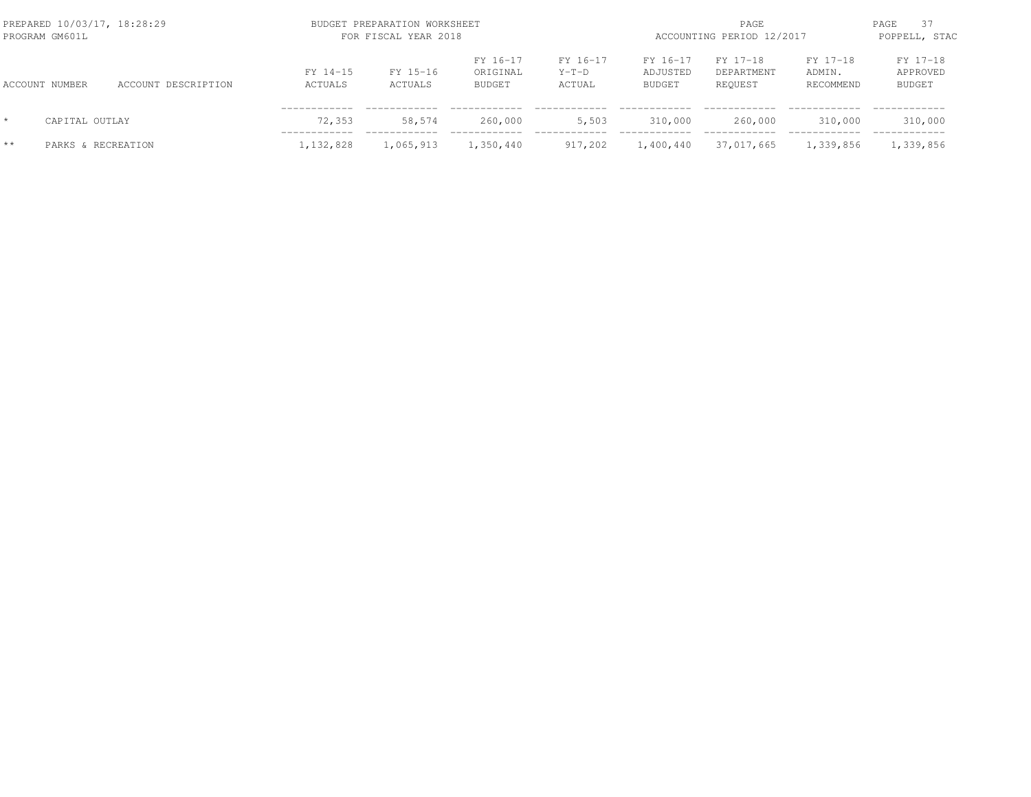| PREPARED 10/03/17, 18:28:29<br>PROGRAM GM601L |                     |                     | BUDGET PREPARATION WORKSHEET<br>FOR FISCAL YEAR 2018 |                                       |                               |                                       |                                   | PAGE<br>ACCOUNTING PERIOD 12/2017 |                                       |  |  |
|-----------------------------------------------|---------------------|---------------------|------------------------------------------------------|---------------------------------------|-------------------------------|---------------------------------------|-----------------------------------|-----------------------------------|---------------------------------------|--|--|
| ACCOUNT NUMBER                                | ACCOUNT DESCRIPTION | FY 14-15<br>ACTUALS | FY 15-16<br>ACTUALS                                  | FY 16-17<br>ORIGINAL<br><b>BUDGET</b> | FY 16-17<br>$Y-T-D$<br>ACTUAL | FY 16-17<br>ADJUSTED<br><b>BUDGET</b> | FY 17-18<br>DEPARTMENT<br>REOUEST | FY 17-18<br>ADMIN.<br>RECOMMEND   | FY 17-18<br>APPROVED<br><b>BUDGET</b> |  |  |
| CAPITAL OUTLAY                                |                     | 72,353              | 58,574                                               | 260,000                               | 5,503                         | 310,000                               | 260,000                           | 310,000                           | 310,000                               |  |  |
| $* *$<br>PARKS & RECREATION                   |                     | 1,132,828           | 1,065,913                                            | 1,350,440                             | 917,202                       | 1,400,440                             | 37,017,665                        | 1,339,856                         | 1,339,856                             |  |  |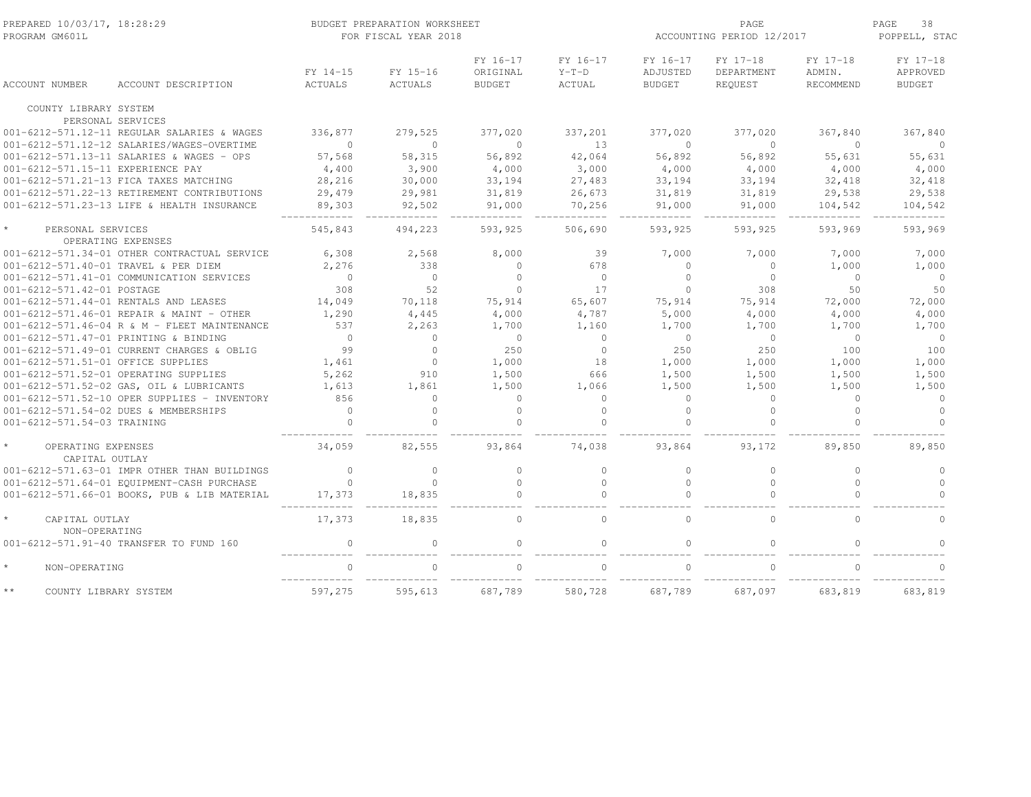| PREPARED 10/03/17, 18:28:29<br>PROGRAM GM601L |                                              |                            | BUDGET PREPARATION WORKSHEET<br>FOR FISCAL YEAR 2018 |                                       | ACCOUNTING PERIOD 12/2017     | 38<br>PAGE<br>POPPELL, STAC           |                                   |                                 |                                       |
|-----------------------------------------------|----------------------------------------------|----------------------------|------------------------------------------------------|---------------------------------------|-------------------------------|---------------------------------------|-----------------------------------|---------------------------------|---------------------------------------|
| ACCOUNT NUMBER                                | ACCOUNT DESCRIPTION                          | FY 14-15<br><b>ACTUALS</b> | FY 15-16<br><b>ACTUALS</b>                           | FY 16-17<br>ORIGINAL<br><b>BUDGET</b> | FY 16-17<br>$Y-T-D$<br>ACTUAL | FY 16-17<br>ADJUSTED<br><b>BUDGET</b> | FY 17-18<br>DEPARTMENT<br>REQUEST | FY 17-18<br>ADMIN.<br>RECOMMEND | FY 17-18<br>APPROVED<br><b>BUDGET</b> |
| COUNTY LIBRARY SYSTEM                         |                                              |                            |                                                      |                                       |                               |                                       |                                   |                                 |                                       |
|                                               | PERSONAL SERVICES                            |                            |                                                      |                                       |                               |                                       |                                   |                                 |                                       |
|                                               | 001-6212-571.12-11 REGULAR SALARIES & WAGES  | 336,877                    | 279,525                                              | 377,020                               | 337,201                       | 377,020                               | 377,020                           | 367,840                         | 367,840                               |
|                                               | 001-6212-571.12-12 SALARIES/WAGES-OVERTIME   | $\Omega$                   | $\circ$                                              | $\Omega$                              | 13                            | $\Omega$                              | $\Omega$                          | $\circ$                         | $\circ$                               |
|                                               | 001-6212-571.13-11 SALARIES & WAGES - OPS    | 57,568                     | 58,315                                               | 56,892                                | 42,064                        | 56,892                                | 56,892                            | 55,631                          | 55,631                                |
| 001-6212-571.15-11 EXPERIENCE PAY             |                                              | 4,400                      | 3,900                                                | 4,000                                 | 3,000                         | 4,000                                 | 4,000                             | 4,000                           | 4,000                                 |
|                                               | 001-6212-571.21-13 FICA TAXES MATCHING       | 28,216                     | 30,000                                               | 33,194                                | 27,483                        | 33,194                                | 33,194                            | 32,418                          | 32,418                                |
|                                               | 001-6212-571.22-13 RETIREMENT CONTRIBUTIONS  | 29,479                     | 29,981                                               | 31,819                                | 26,673                        | 31,819                                | 31,819                            | 29,538                          | 29,538                                |
|                                               | 001-6212-571.23-13 LIFE & HEALTH INSURANCE   | 89,303                     | 92,502                                               | 91,000                                | 70,256                        | 91,000                                | 91,000                            | 104,542                         | 104,542                               |
| $\star$<br>PERSONAL SERVICES                  | OPERATING EXPENSES                           | 545,843                    | 494,223                                              | 593,925                               | 506,690                       | 593,925                               | 593,925                           | 593,969                         | 593,969                               |
|                                               | 001-6212-571.34-01 OTHER CONTRACTUAL SERVICE | 6,308                      | 2,568                                                | 8,000                                 | 39                            | 7,000                                 | 7,000                             | 7,000                           | 7,000                                 |
|                                               | 001-6212-571.40-01 TRAVEL & PER DIEM         | 2,276                      | 338                                                  | $\Omega$                              | 678                           | $\bigcap$                             | $\circ$                           | 1,000                           | 1,000                                 |
|                                               | 001-6212-571.41-01 COMMUNICATION SERVICES    | $\Omega$                   | $\Omega$                                             | $\Omega$                              | $\Omega$                      | $\bigcap$                             | $\Omega$                          | $\Omega$                        | $\overline{0}$                        |
| 001-6212-571.42-01 POSTAGE                    |                                              | 308                        | 52                                                   | $\Omega$                              | 17                            | $\bigcap$                             | 308                               | 50                              | 50                                    |
|                                               | 001-6212-571.44-01 RENTALS AND LEASES        | 14,049                     | 70,118                                               | 75,914                                | 65,607                        | 75,914                                | 75,914                            | 72,000                          | 72,000                                |
|                                               | 001-6212-571.46-01 REPAIR & MAINT - OTHER    | 1,290                      | 4,445                                                | 4,000                                 | 4,787                         | 5,000                                 | 4,000                             | 4,000                           | 4,000                                 |
|                                               | 001-6212-571.46-04 R & M - FLEET MAINTENANCE | 537                        | 2,263                                                | 1,700                                 | 1,160                         | 1,700                                 | 1,700                             | 1,700                           | 1,700                                 |
|                                               | 001-6212-571.47-01 PRINTING & BINDING        | $\circ$                    | $\circ$                                              | $\circ$                               | $\circ$                       | $\overline{0}$                        | $\circ$                           | $\circ$                         | $\overline{0}$                        |
|                                               | 001-6212-571.49-01 CURRENT CHARGES & OBLIG   | 99                         | $\circ$                                              | 250                                   | $\circ$                       | 250                                   | 250                               | 100                             | 100                                   |
| 001-6212-571.51-01 OFFICE SUPPLIES            |                                              | 1,461                      | $\circ$                                              | 1,000                                 | 18                            | 1,000                                 | 1,000                             | 1,000                           | 1,000                                 |
|                                               | 001-6212-571.52-01 OPERATING SUPPLIES        | 5,262                      | 910                                                  | 1,500                                 | 666                           | 1,500                                 | 1,500                             | 1,500                           | 1,500                                 |
|                                               | 001-6212-571.52-02 GAS, OIL & LUBRICANTS     | 1,613                      | 1,861                                                | 1,500                                 | 1,066                         | 1,500                                 | 1,500                             | 1,500                           | 1,500                                 |
|                                               | 001-6212-571.52-10 OPER SUPPLIES - INVENTORY | 856                        | 0                                                    | $\circ$                               | $\Omega$                      | $\Omega$                              | $\circ$                           | $\circ$                         | $\overline{0}$                        |
|                                               | 001-6212-571.54-02 DUES & MEMBERSHIPS        | $\mathbf{0}$               | $\Omega$                                             | $\Omega$                              | $\Omega$                      | $\Omega$                              | $\Omega$                          | $\circ$                         | $\circ$                               |
| 001-6212-571.54-03 TRAINING                   |                                              | $\circ$                    | $\Omega$                                             | $\Omega$                              | $\Omega$                      | $\Omega$                              | $\mathbf{0}$                      | $\Omega$                        | $\Omega$                              |
| OPERATING EXPENSES<br>CAPITAL OUTLAY          |                                              | 34,059                     | 82,555                                               | 93,864                                | 74,038                        | 93,864                                | 93,172                            | 89,850                          | 89,850                                |
|                                               | 001-6212-571.63-01 IMPR OTHER THAN BUILDINGS | $\mathbf{0}$               | $\circ$                                              | $\Omega$                              | $\circ$                       | $\Omega$                              | $\circ$                           | $\Omega$                        | $\circ$                               |
|                                               | 001-6212-571.64-01 EQUIPMENT-CASH PURCHASE   | $\Omega$                   | $\Omega$                                             | $\Omega$                              | $\Omega$                      | $\Omega$                              | $\circ$                           | $\Omega$                        | $\Omega$                              |
|                                               | 001-6212-571.66-01 BOOKS, PUB & LIB MATERIAL | 17,373                     | 18,835                                               | $\cap$                                | $\cap$                        |                                       |                                   |                                 |                                       |
| $\star$<br>CAPITAL OUTLAY<br>NON-OPERATING    |                                              | 17,373                     | 18,835                                               | $\cap$                                | $\Omega$                      |                                       | $\Omega$                          | $\cap$                          | $\cap$                                |
|                                               | 001-6212-571.91-40 TRANSFER TO FUND 160      | $\Omega$                   | $\Omega$                                             |                                       | $\Omega$                      |                                       | $\Omega$                          | $\cap$                          |                                       |
| $\star$<br>NON-OPERATING                      |                                              |                            |                                                      |                                       |                               |                                       |                                   |                                 |                                       |
| $\star\star$                                  | COUNTY LIBRARY SYSTEM                        | 597,275                    | 595,613                                              | 687,789                               | 580,728                       | 687,789                               | 687,097                           | 683,819                         | 683,819                               |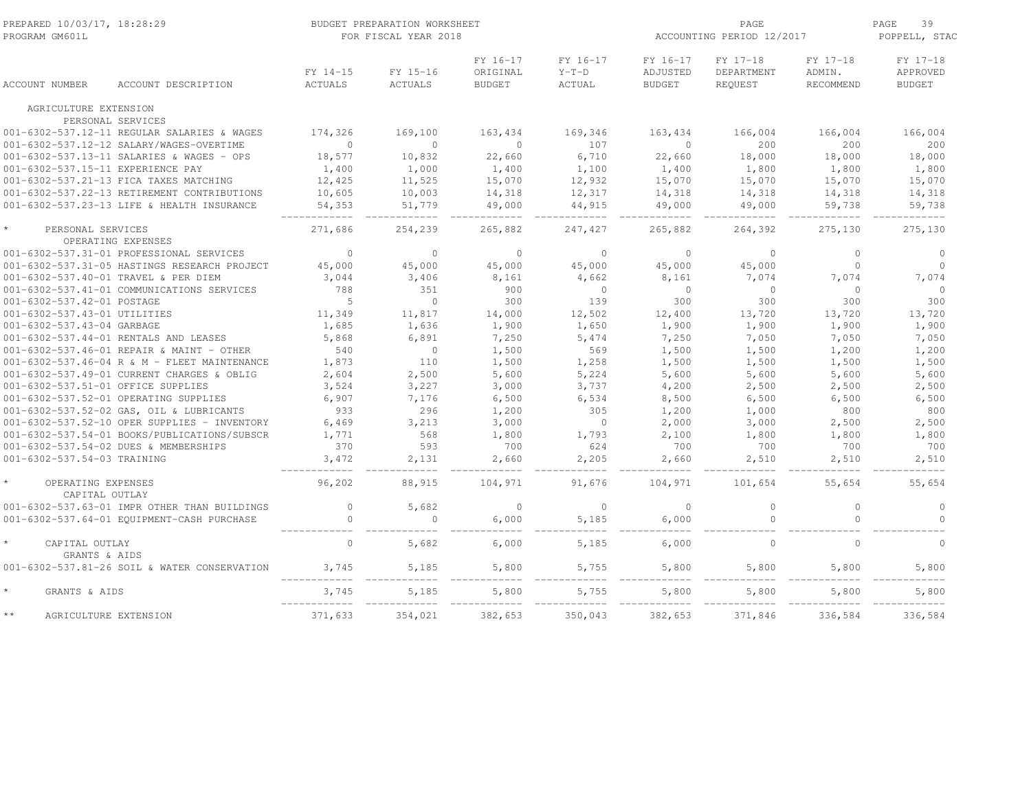| PREPARED 10/03/17, 18:28:29<br>PROGRAM GM601L |                                              |                            | BUDGET PREPARATION WORKSHEET<br>FOR FISCAL YEAR 2018 |                                       | ACCOUNTING PERIOD 12/2017            | 39<br>PAGE<br>POPPELL, STAC           |                                   |                                 |                                       |
|-----------------------------------------------|----------------------------------------------|----------------------------|------------------------------------------------------|---------------------------------------|--------------------------------------|---------------------------------------|-----------------------------------|---------------------------------|---------------------------------------|
| <b>ACCOUNT NUMBER</b>                         | ACCOUNT DESCRIPTION                          | FY 14-15<br><b>ACTUALS</b> | FY 15-16<br><b>ACTUALS</b>                           | FY 16-17<br>ORIGINAL<br><b>BUDGET</b> | FY 16-17<br>$Y-T-D$<br><b>ACTUAL</b> | FY 16-17<br>ADJUSTED<br><b>BUDGET</b> | FY 17-18<br>DEPARTMENT<br>REQUEST | FY 17-18<br>ADMIN.<br>RECOMMEND | FY 17-18<br>APPROVED<br><b>BUDGET</b> |
| AGRICULTURE EXTENSION                         |                                              |                            |                                                      |                                       |                                      |                                       |                                   |                                 |                                       |
|                                               | PERSONAL SERVICES                            |                            |                                                      |                                       |                                      |                                       |                                   |                                 |                                       |
|                                               | 001-6302-537.12-11 REGULAR SALARIES & WAGES  | 174,326                    | 169,100                                              | 163,434                               | 169,346                              | 163,434                               | 166,004                           | 166,004                         | 166,004                               |
|                                               | 001-6302-537.12-12 SALARY/WAGES-OVERTIME     | $\Omega$                   | $\Omega$                                             | $\Omega$                              | 107                                  | $\Omega$                              | 200                               | 200                             | 200                                   |
|                                               | 001-6302-537.13-11 SALARIES & WAGES - OPS    | 18,577                     | 10,832                                               | 22,660                                | 6,710                                | 22,660                                | 18,000                            | 18,000                          | 18,000                                |
| 001-6302-537.15-11 EXPERIENCE PAY             |                                              | 1,400                      | 1,000                                                | 1,400                                 | 1,100                                | 1,400                                 | 1,800                             | 1,800                           | 1,800                                 |
|                                               | 001-6302-537.21-13 FICA TAXES MATCHING       | 12,425                     | 11,525                                               | 15,070                                | 12,932                               | 15,070                                | 15,070                            | 15,070                          | 15,070                                |
|                                               | 001-6302-537.22-13 RETIREMENT CONTRIBUTIONS  | 10,605                     | 10,003                                               | 14,318                                | 12,317                               | 14,318                                | 14,318                            | 14,318                          | 14,318                                |
|                                               | 001-6302-537.23-13 LIFE & HEALTH INSURANCE   | 54,353                     | 51,779                                               | 49,000                                | 44,915                               | 49,000                                | 49,000                            | 59,738                          | 59,738                                |
| PERSONAL SERVICES                             | OPERATING EXPENSES                           | 271,686                    | 254,239                                              | 265,882                               | 247,427                              | 265,882                               | 264,392                           | 275,130                         | 275,130                               |
|                                               | 001-6302-537.31-01 PROFESSIONAL SERVICES     | $\mathbf{0}$               | $\circ$                                              | $\circ$                               | $\circ$                              | $\overline{0}$                        | $\circ$                           | $\Omega$                        | $\overline{0}$                        |
|                                               | 001-6302-537.31-05 HASTINGS RESEARCH PROJECT | 45,000                     | 45,000                                               | 45,000                                | 45,000                               | 45,000                                | 45,000                            | $\circ$                         | $\overline{0}$                        |
|                                               | 001-6302-537.40-01 TRAVEL & PER DIEM         | 3,044                      | 3,406                                                | 8,161                                 | 4,662                                | 8,161                                 | 7,074                             | 7,074                           | 7,074                                 |
|                                               | 001-6302-537.41-01 COMMUNICATIONS SERVICES   | 788                        | 351                                                  | 900                                   | $\circ$                              | $\overline{0}$                        | $\Omega$                          | $\Omega$                        | $\overline{0}$                        |
| 001-6302-537.42-01 POSTAGE                    |                                              | 5                          | $\Omega$                                             | 300                                   | 139                                  | 300                                   | 300                               | 300                             | 300                                   |
| 001-6302-537.43-01 UTILITIES                  |                                              | 11,349                     | 11,817                                               | 14,000                                | 12,502                               | 12,400                                | 13,720                            | 13,720                          | 13,720                                |
| 001-6302-537.43-04 GARBAGE                    |                                              | 1,685                      | 1,636                                                | 1,900                                 | 1,650                                | 1,900                                 | 1,900                             | 1,900                           | 1,900                                 |
|                                               | 001-6302-537.44-01 RENTALS AND LEASES        | 5,868                      | 6,891                                                | 7,250                                 | 5,474                                | 7,250                                 | 7,050                             | 7,050                           | 7,050                                 |
|                                               | 001-6302-537.46-01 REPAIR & MAINT - OTHER    | 540                        | $\Omega$                                             | 1,500                                 | 569                                  | 1,500                                 | 1,500                             | 1,200                           | 1,200                                 |
|                                               | 001-6302-537.46-04 R & M - FLEET MAINTENANCE | 1,873                      | 110                                                  | 1,500                                 | 1,258                                | 1,500                                 | 1,500                             | 1,500                           | 1,500                                 |
|                                               | 001-6302-537.49-01 CURRENT CHARGES & OBLIG   | 2,604                      | 2,500                                                | 5,600                                 | 5,224                                | 5,600                                 | 5,600                             | 5,600                           | 5,600                                 |
| 001-6302-537.51-01 OFFICE SUPPLIES            |                                              | 3,524                      | 3,227                                                | 3,000                                 | 3,737                                | 4,200                                 | 2,500                             | 2,500                           | 2,500                                 |
|                                               | 001-6302-537.52-01 OPERATING SUPPLIES        | 6,907                      | 7,176                                                | 6,500                                 | 6,534                                | 8,500                                 | 6,500                             | 6,500                           | 6,500                                 |
|                                               | 001-6302-537.52-02 GAS, OIL & LUBRICANTS     | 933                        | 296                                                  | 1,200                                 | 305                                  | 1,200                                 | 1,000                             | 800                             | 800                                   |
|                                               | 001-6302-537.52-10 OPER SUPPLIES - INVENTORY | 6,469                      | 3,213                                                | 3,000                                 | $\circ$                              | 2,000                                 | 3,000                             | 2,500                           | 2,500                                 |
|                                               | 001-6302-537.54-01 BOOKS/PUBLICATIONS/SUBSCR | 1,771                      | 568                                                  | 1,800                                 | 1,793                                | 2,100                                 | 1,800                             | 1,800                           | 1,800                                 |
|                                               | 001-6302-537.54-02 DUES & MEMBERSHIPS        | 370                        | 593                                                  | 700                                   | 624                                  | 700                                   | 700                               | 700                             | 700                                   |
| 001-6302-537.54-03 TRAINING                   |                                              | 3,472                      | 2,131                                                | 2,660                                 | 2,205                                | 2,660                                 | 2,510                             | 2,510                           | 2,510                                 |
| OPERATING EXPENSES<br>CAPITAL OUTLAY          |                                              | 96,202                     | 88,915                                               | 104,971                               | 91,676                               | 104,971                               | 101,654                           | 55,654                          | 55,654                                |
|                                               | 001-6302-537.63-01 IMPR OTHER THAN BUILDINGS | $\circ$                    | 5,682                                                | $\circ$                               | $\circ$                              | $\overline{0}$                        | $\circ$                           | $\circ$                         | $\circ$                               |
|                                               | 001-6302-537.64-01 EQUIPMENT-CASH PURCHASE   | $\mathbb O$                | $\Omega$                                             | 6,000                                 | 5,185                                | 6,000                                 | $\mathbf{0}$                      | $\Omega$                        | $\circ$                               |
|                                               |                                              |                            |                                                      |                                       |                                      |                                       |                                   |                                 |                                       |
| CAPITAL OUTLAY<br>GRANTS & AIDS               |                                              | $\circ$                    | 5,682                                                | 6,000                                 | 5,185                                | 6,000                                 | $\Omega$                          | $\Omega$                        | $\mathbf 0$                           |
|                                               | 001-6302-537.81-26 SOIL & WATER CONSERVATION | 3,745                      | 5,185                                                | 5,800                                 | 5,755                                | 5,800                                 | 5,800                             | 5,800                           | 5,800                                 |
| GRANTS & AIDS                                 |                                              | 3,745                      | 5,185                                                | 5,800                                 | 5,755                                | 5,800                                 | 5,800                             | 5,800                           | 5,800                                 |
| $\star\star$                                  | AGRICULTURE EXTENSION                        | 371,633                    | 354,021                                              | 382,653                               | 350,043                              | 382,653                               | 371,846                           | 336,584                         | 336,584                               |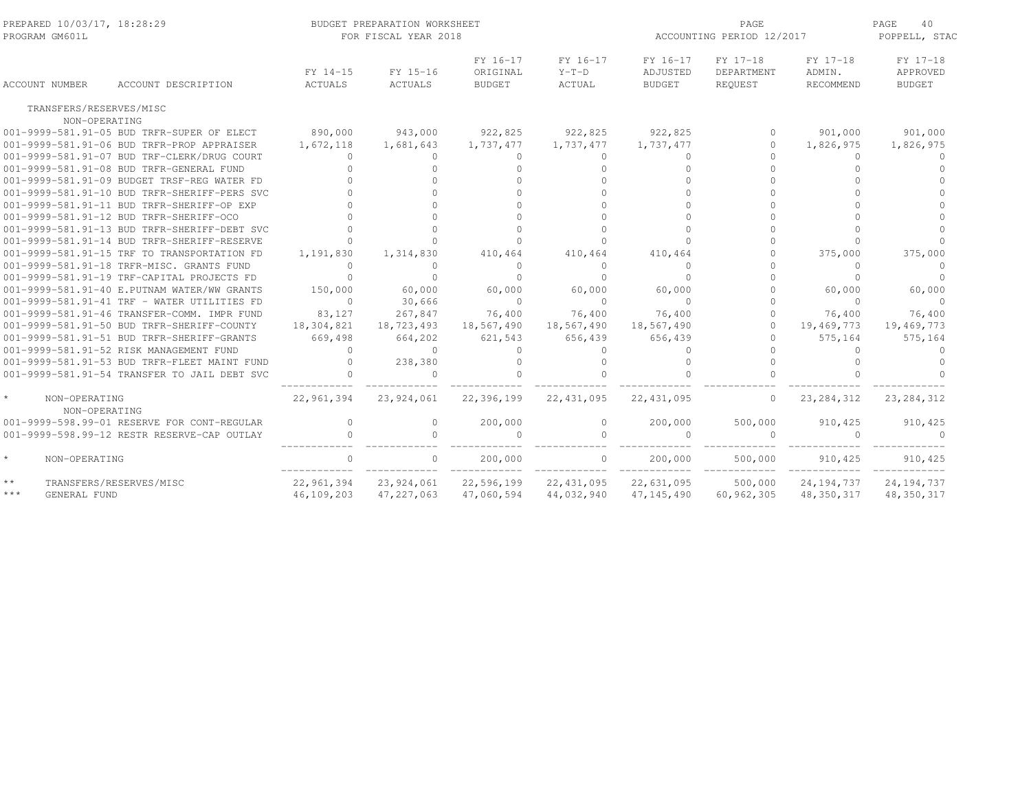| PREPARED 10/03/17, 18:28:29<br>PROGRAM GM601L |                     | BUDGET PREPARATION WORKSHEET<br>FOR FISCAL YEAR 2018 |                                       |                               | ACCOUNTING PERIOD 12/2017             | PAGE<br>40<br>POPPELL, STAC       |                                 |                                       |
|-----------------------------------------------|---------------------|------------------------------------------------------|---------------------------------------|-------------------------------|---------------------------------------|-----------------------------------|---------------------------------|---------------------------------------|
| <b>ACCOUNT NUMBER</b><br>ACCOUNT DESCRIPTION  | FY 14-15<br>ACTUALS | FY 15-16<br>ACTUALS                                  | FY 16-17<br>ORIGINAL<br><b>BUDGET</b> | FY 16-17<br>$Y-T-D$<br>ACTUAL | FY 16-17<br>ADJUSTED<br><b>BUDGET</b> | FY 17-18<br>DEPARTMENT<br>REQUEST | FY 17-18<br>ADMIN.<br>RECOMMEND | FY 17-18<br>APPROVED<br><b>BUDGET</b> |
| TRANSFERS/RESERVES/MISC<br>NON-OPERATING      |                     |                                                      |                                       |                               |                                       |                                   |                                 |                                       |
| 001-9999-581.91-05 BUD TRFR-SUPER OF ELECT    | 890,000             | 943,000                                              | 922,825                               | 922,825                       | 922,825                               | $\circ$                           | 901,000                         | 901,000                               |
| 001-9999-581.91-06 BUD TRFR-PROP APPRAISER    | 1,672,118           | 1,681,643                                            | 1,737,477                             | 1,737,477                     | 1,737,477                             | $\Omega$                          | 1,826,975                       | 1,826,975                             |
| 001-9999-581.91-07 BUD TRF-CLERK/DRUG COURT   | $\Omega$            | $\Omega$                                             | $\Omega$                              | $\Omega$                      | $\Omega$                              |                                   | $\Omega$                        | $\Omega$                              |
| 001-9999-581.91-08 BUD TRFR-GENERAL FUND      | $\cap$              | $\Omega$                                             | $\cap$                                | $\Omega$                      | $\Omega$                              |                                   | $\cap$                          |                                       |
| 001-9999-581.91-09 BUDGET TRSF-REG WATER FD   |                     |                                                      |                                       |                               |                                       |                                   |                                 |                                       |
| 001-9999-581.91-10 BUD TRFR-SHERIFF-PERS SVC  |                     |                                                      |                                       | $\Omega$                      |                                       |                                   | $\cap$                          |                                       |
| 001-9999-581.91-11 BUD TRFR-SHERIFF-OP EXP    |                     |                                                      |                                       | $\bigcap$                     |                                       |                                   | $\cap$                          |                                       |
| 001-9999-581.91-12 BUD TRFR-SHERIFF-OCO       |                     |                                                      |                                       | $\Omega$                      |                                       |                                   |                                 |                                       |
| 001-9999-581.91-13 BUD TRFR-SHERIFF-DEBT SVC  |                     |                                                      |                                       | $\cap$                        |                                       |                                   |                                 |                                       |
| 001-9999-581.91-14 BUD TRFR-SHERIFF-RESERVE   | $\cap$              |                                                      |                                       | $\cap$                        |                                       |                                   | $\cap$                          |                                       |
| 001-9999-581.91-15 TRF TO TRANSPORTATION FD   | 1,191,830           | 1,314,830                                            | 410,464                               | 410,464                       | 410,464                               |                                   | 375,000                         | 375,000                               |
| 001-9999-581.91-18 TRFR-MISC. GRANTS FUND     | $\Omega$            | $\bigcap$                                            | $\Omega$                              | $\Omega$                      | $\bigcap$                             |                                   | $\Omega$                        | $\Omega$                              |
| 001-9999-581.91-19 TRF-CAPITAL PROJECTS FD    | $\Omega$            | $\Omega$                                             | $\cap$                                | $\Omega$                      |                                       |                                   | $\cap$                          |                                       |
| 001-9999-581.91-40 E.PUTNAM WATER/WW GRANTS   | 150,000             | 60,000                                               | 60,000                                | 60,000                        | 60,000                                | $\cup$                            | 60,000                          | 60,000                                |
| 001-9999-581.91-41 TRF - WATER UTILITIES FD   | $\Omega$            | 30,666                                               | $\Omega$                              | $\Omega$                      | $\bigcap$                             | $\Omega$                          | $\Omega$                        | $\Omega$                              |
| 001-9999-581.91-46 TRANSFER-COMM. IMPR FUND   | 83,127              | 267,847                                              | 76,400                                | 76,400                        | 76,400                                | $\Omega$                          | 76,400                          | 76,400                                |
| 001-9999-581.91-50 BUD TRFR-SHERIFF-COUNTY    | 18,304,821          | 18,723,493                                           | 18,567,490                            | 18,567,490                    | 18,567,490                            | $\Omega$                          | 19, 469, 773                    | 19,469,773                            |
| 001-9999-581.91-51 BUD TRFR-SHERIFF-GRANTS    | 669,498             | 664,202                                              | 621,543                               | 656,439                       | 656,439                               | $\cap$                            | 575,164                         | 575,164                               |
| 001-9999-581.91-52 RISK MANAGEMENT FUND       | $\bigcap$           | $\Omega$                                             | $\Omega$                              | $\bigcap$                     | $\cap$                                |                                   | $\cap$                          |                                       |
| 001-9999-581.91-53 BUD TRFR-FLEET MAINT FUND  | $\Omega$            | 238,380                                              | $\Omega$                              | $\Omega$                      | $\Omega$                              | $\Omega$                          | $\Omega$                        | $\Omega$                              |
| 001-9999-581.91-54 TRANSFER TO JAIL DEBT SVC  |                     |                                                      |                                       |                               |                                       |                                   |                                 |                                       |
| NON-OPERATING<br>NON-OPERATING                | 22,961,394          | 23,924,061                                           | 22,396,199                            | 22,431,095                    | 22,431,095                            | $\Omega$                          | 23, 284, 312                    | 23, 284, 312                          |
| 001-9999-598.99-01 RESERVE FOR CONT-REGULAR   | $\mathbf{0}$        | $\mathbf{0}$                                         | 200,000                               | $\circ$                       | 200,000                               | 500,000                           | 910,425                         | 910,425                               |
| 001-9999-598.99-12 RESTR RESERVE-CAP OUTLAY   | $\Omega$            | $\Omega$                                             | $\Omega$                              | $\Omega$                      | $\Omega$                              | $\Omega$                          | $\cap$                          | $\cap$                                |
| $\star$<br>NON-OPERATING                      | $\mathbf{0}$        | $\circ$                                              | 200,000                               | $\circ$                       | 200,000                               | 500,000                           | 910,425                         | 910,425                               |
| $**$<br>TRANSFERS/RESERVES/MISC               | 22,961,394          | 23,924,061                                           | 22,596,199                            | 22,431,095                    | 22,631,095                            | 500,000                           | 24, 194, 737                    | 24, 194, 737                          |
| $***$<br>GENERAL FUND                         | 46,109,203          | 47,227,063                                           | 47,060,594                            | 44,032,940                    | 47, 145, 490                          | 60,962,305                        | 48, 350, 317                    | 48, 350, 317                          |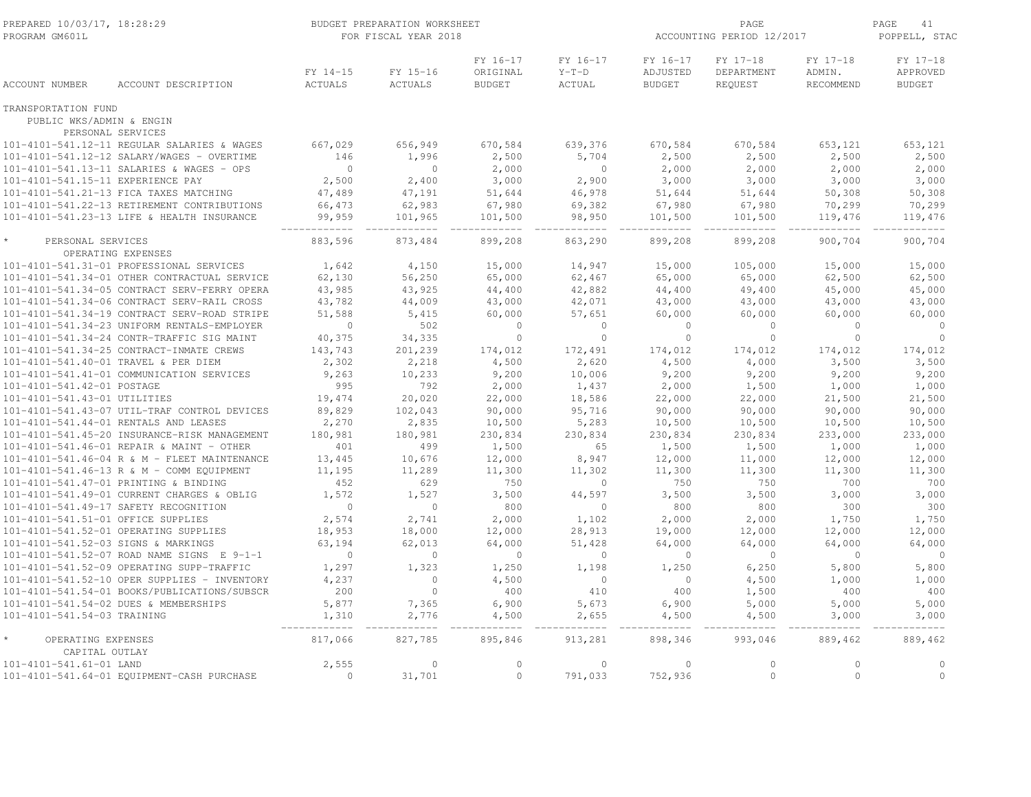| FY 16-17<br>FY 17-18<br>FY 17-18<br>FY 16-17<br>FY 16-17<br>FY 17-18<br>$Y-T-D$<br>ADMIN.<br>APPROVED<br>FY 14-15<br>FY 15-16<br>ORIGINAL<br>ADJUSTED<br>DEPARTMENT<br>ACTUAL<br><b>BUDGET</b><br>RECOMMEND<br>ACCOUNT NUMBER<br>ACCOUNT DESCRIPTION<br>ACTUALS<br><b>ACTUALS</b><br><b>BUDGET</b><br>REQUEST<br><b>BUDGET</b><br>TRANSPORTATION FUND<br>PUBLIC WKS/ADMIN & ENGIN<br>PERSONAL SERVICES<br>667,029<br>101-4101-541.12-11 REGULAR SALARIES & WAGES<br>656,949<br>670,584<br>639,376<br>670,584<br>670,584<br>653,121<br>653,121<br>146<br>1,996<br>2,500<br>5,704<br>2,500<br>2,500<br>2,500<br>2,500<br>101-4101-541.12-12 SALARY/WAGES - OVERTIME<br>101-4101-541.13-11 SALARIES & WAGES - OPS<br>$\Omega$<br>2,000<br>2,000<br>2,000<br>2,000<br>$\Omega$<br>$\circ$<br>2,000<br>2,500<br>2,400<br>3,000<br>2,900<br>3,000<br>3,000<br>3,000<br>101-4101-541.15-11 EXPERIENCE PAY<br>3,000<br>47,489<br>47,191<br>51,644<br>46,978<br>51,644<br>50,308<br>101-4101-541.21-13 FICA TAXES MATCHING<br>51,644<br>50,308<br>101-4101-541.22-13 RETIREMENT CONTRIBUTIONS<br>66,473<br>62,983<br>67,980<br>69,382<br>67,980<br>67,980<br>70,299<br>70,299<br>101-4101-541.23-13 LIFE & HEALTH INSURANCE<br>99,959<br>101,965<br>101,500<br>98,950<br>101,500<br>101,500<br>119,476<br>119,476<br>883,596<br>899,208<br>863,290<br>899,208<br>899,208<br>900,704<br>900,704<br>PERSONAL SERVICES<br>873,484<br>OPERATING EXPENSES<br>101-4101-541.31-01 PROFESSIONAL SERVICES<br>1,642<br>4,150<br>15,000<br>14,947<br>15,000<br>105,000<br>15,000<br>15,000<br>101-4101-541.34-01 OTHER CONTRACTUAL SERVICE<br>62,130<br>56,250<br>65,000<br>62,467<br>65,000<br>65,000<br>62,500<br>62,500<br>43,985<br>43,925<br>44,400<br>42,882<br>44,400<br>49,400<br>45,000<br>45,000<br>101-4101-541.34-05 CONTRACT SERV-FERRY OPERA<br>101-4101-541.34-06 CONTRACT SERV-RAIL CROSS<br>43,782<br>44,009<br>43,000<br>42,071<br>43,000<br>43,000<br>43,000<br>43,000<br>101-4101-541.34-19 CONTRACT SERV-ROAD STRIPE<br>51,588<br>5,415<br>60,000<br>57,651<br>60,000<br>60,000<br>60,000<br>60,000<br>502<br>101-4101-541.34-23 UNIFORM RENTALS-EMPLOYER<br>$\mathbf{0}$<br>$\circ$<br>$\circ$<br>$\circ$<br>$\circ$<br>$\circ$<br>$\overline{0}$<br>101-4101-541.34-24 CONTR-TRAFFIC SIG MAINT<br>$\circ$<br>$\mathbf{0}$<br>$\circ$<br>$\mathbf{0}$<br>$\circ$<br>40,375<br>34,335<br>$\circ$<br>101-4101-541.34-25 CONTRACT-INMATE CREWS<br>143,743<br>201,239<br>174,012<br>174,012<br>174,012<br>172,491<br>174,012<br>174,012<br>2,302<br>2,218<br>4,500<br>2,620<br>4,500<br>4,000<br>3,500<br>3,500<br>101-4101-541.40-01 TRAVEL & PER DIEM<br>9,263<br>10,233<br>9,200<br>10,006<br>9,200<br>9,200<br>9,200<br>9,200<br>101-4101-541.41-01 COMMUNICATION SERVICES<br>101-4101-541.42-01 POSTAGE<br>995<br>792<br>2,000<br>1,437<br>2,000<br>1,500<br>1,000<br>1,000<br>19,474<br>20,020<br>22,000<br>101-4101-541.43-01 UTILITIES<br>18,586<br>22,000<br>22,000<br>21,500<br>21,500<br>89,829<br>101-4101-541.43-07 UTIL-TRAF CONTROL DEVICES<br>102,043<br>90,000<br>95,716<br>90,000<br>90,000<br>90,000<br>90,000<br>101-4101-541.44-01 RENTALS AND LEASES<br>2,270<br>2,835<br>10,500<br>5,283<br>10,500<br>10,500<br>10,500<br>10,500<br>101-4101-541.45-20 INSURANCE-RISK MANAGEMENT<br>180,981<br>180,981<br>230,834<br>230,834<br>230,834<br>230,834<br>233,000<br>233,000<br>401<br>499<br>1,500<br>1,500<br>1,500<br>101-4101-541.46-01 REPAIR & MAINT - OTHER<br>65<br>1,000<br>1,000<br>13,445<br>10,676<br>12,000<br>8,947<br>12,000<br>11,000<br>101-4101-541.46-04 R & M - FLEET MAINTENANCE<br>12,000<br>12,000<br>101-4101-541.46-13 R & M - COMM EQUIPMENT<br>11,195<br>11,289<br>11,300<br>11,302<br>11,300<br>11,300<br>11,300<br>11,300<br>101-4101-541.47-01 PRINTING & BINDING<br>452<br>629<br>750<br>750<br>750<br>700<br>700<br>$\circ$<br>3,500<br>101-4101-541.49-01 CURRENT CHARGES & OBLIG<br>1,572<br>1,527<br>3,500<br>44,597<br>3,500<br>3,000<br>3,000<br>800<br>101-4101-541.49-17 SAFETY RECOGNITION<br>$\mathbf 0$<br>$\circ$<br>800<br>800<br>300<br>300<br>$\mathbf{0}$<br>2,574<br>2,000<br>2,000<br>101-4101-541.51-01 OFFICE SUPPLIES<br>2,741<br>2,000<br>1,750<br>1,750<br>1,102<br>18,953<br>28,913<br>19,000<br>12,000<br>101-4101-541.52-01 OPERATING SUPPLIES<br>18,000<br>12,000<br>12,000<br>12,000<br>63,194<br>62,013<br>64,000<br>51,428<br>64,000<br>64,000<br>64,000<br>64,000<br>101-4101-541.52-03 SIGNS & MARKINGS<br>$\mathbf{0}$<br>101-4101-541.52-07 ROAD NAME SIGNS E 9-1-1<br>$\circ$<br>$\circ$<br>$\circ$<br>$\circ$<br>$\circ$<br>$\mathbf{0}$<br>$\mathbf 0$<br>101-4101-541.52-09 OPERATING SUPP-TRAFFIC<br>1,297<br>1,323<br>1,250<br>1,198<br>1,250<br>6,250<br>5,800<br>5,800<br>$\overline{0}$<br>101-4101-541.52-10 OPER SUPPLIES - INVENTORY<br>4,237<br>$\circ$<br>4,500<br>$\circ$<br>4,500<br>1,000<br>1,000<br>200<br>1,500<br>101-4101-541.54-01 BOOKS/PUBLICATIONS/SUBSCR<br>$\Omega$<br>400<br>410<br>400<br>400<br>400<br>5,877<br>7,365<br>6,900<br>5,673<br>6,900<br>5,000<br>101-4101-541.54-02 DUES & MEMBERSHIPS<br>5,000<br>5,000<br>101-4101-541.54-03 TRAINING<br>1,310<br>2,776<br>4,500<br>2,655<br>4,500<br>4,500<br>3,000<br>3,000<br>817,066<br>895,846<br>898,346<br>889,462<br>889,462<br>OPERATING EXPENSES<br>827,785<br>913,281<br>993,046<br>CAPITAL OUTLAY<br>101-4101-541.61-01 LAND<br>2,555<br>$\circ$<br>$\circ$<br>$\circ$<br>$\circ$<br>$\circ$<br>$\Omega$<br>$\Omega$<br>$\circ$<br>101-4101-541.64-01 EQUIPMENT-CASH PURCHASE<br>$\circ$<br>31,701<br>$\circ$<br>791,033<br>752,936<br>$\circ$<br>$\circ$ | PREPARED 10/03/17, 18:28:29<br>PROGRAM GM601L |  | BUDGET PREPARATION WORKSHEET<br>FOR FISCAL YEAR 2018 |  | ACCOUNTING PERIOD 12/2017 | PAGE<br>41<br>POPPELL, STAC |  |  |
|--------------------------------------------------------------------------------------------------------------------------------------------------------------------------------------------------------------------------------------------------------------------------------------------------------------------------------------------------------------------------------------------------------------------------------------------------------------------------------------------------------------------------------------------------------------------------------------------------------------------------------------------------------------------------------------------------------------------------------------------------------------------------------------------------------------------------------------------------------------------------------------------------------------------------------------------------------------------------------------------------------------------------------------------------------------------------------------------------------------------------------------------------------------------------------------------------------------------------------------------------------------------------------------------------------------------------------------------------------------------------------------------------------------------------------------------------------------------------------------------------------------------------------------------------------------------------------------------------------------------------------------------------------------------------------------------------------------------------------------------------------------------------------------------------------------------------------------------------------------------------------------------------------------------------------------------------------------------------------------------------------------------------------------------------------------------------------------------------------------------------------------------------------------------------------------------------------------------------------------------------------------------------------------------------------------------------------------------------------------------------------------------------------------------------------------------------------------------------------------------------------------------------------------------------------------------------------------------------------------------------------------------------------------------------------------------------------------------------------------------------------------------------------------------------------------------------------------------------------------------------------------------------------------------------------------------------------------------------------------------------------------------------------------------------------------------------------------------------------------------------------------------------------------------------------------------------------------------------------------------------------------------------------------------------------------------------------------------------------------------------------------------------------------------------------------------------------------------------------------------------------------------------------------------------------------------------------------------------------------------------------------------------------------------------------------------------------------------------------------------------------------------------------------------------------------------------------------------------------------------------------------------------------------------------------------------------------------------------------------------------------------------------------------------------------------------------------------------------------------------------------------------------------------------------------------------------------------------------------------------------------------------------------------------------------------------------------------------------------------------------------------------------------------------------------------------------------------------------------------------------------------------------------------------------------------------------------------------------------------------------------------------------------------------------------------------------------------------------------------------------------------------------------------------------------------------------------------------------------------------------------------------------------------------------------------------------------------------------------------------------------------------------------------------------------------------------------------------------------------------------------------------------------------------------------------------------------------------------------------------------------------------------------------------------------------------------------------------------------------------------------------------------------------------------------------------------------------------------------------------------------------------------------------------------------------------------------------------------------------------------------------|-----------------------------------------------|--|------------------------------------------------------|--|---------------------------|-----------------------------|--|--|
|                                                                                                                                                                                                                                                                                                                                                                                                                                                                                                                                                                                                                                                                                                                                                                                                                                                                                                                                                                                                                                                                                                                                                                                                                                                                                                                                                                                                                                                                                                                                                                                                                                                                                                                                                                                                                                                                                                                                                                                                                                                                                                                                                                                                                                                                                                                                                                                                                                                                                                                                                                                                                                                                                                                                                                                                                                                                                                                                                                                                                                                                                                                                                                                                                                                                                                                                                                                                                                                                                                                                                                                                                                                                                                                                                                                                                                                                                                                                                                                                                                                                                                                                                                                                                                                                                                                                                                                                                                                                                                                                                                                                                                                                                                                                                                                                                                                                                                                                                                                                                                                                                                                                                                                                                                                                                                                                                                                                                                                                                                                                                                                                                                      |                                               |  |                                                      |  |                           |                             |  |  |
|                                                                                                                                                                                                                                                                                                                                                                                                                                                                                                                                                                                                                                                                                                                                                                                                                                                                                                                                                                                                                                                                                                                                                                                                                                                                                                                                                                                                                                                                                                                                                                                                                                                                                                                                                                                                                                                                                                                                                                                                                                                                                                                                                                                                                                                                                                                                                                                                                                                                                                                                                                                                                                                                                                                                                                                                                                                                                                                                                                                                                                                                                                                                                                                                                                                                                                                                                                                                                                                                                                                                                                                                                                                                                                                                                                                                                                                                                                                                                                                                                                                                                                                                                                                                                                                                                                                                                                                                                                                                                                                                                                                                                                                                                                                                                                                                                                                                                                                                                                                                                                                                                                                                                                                                                                                                                                                                                                                                                                                                                                                                                                                                                                      |                                               |  |                                                      |  |                           |                             |  |  |
|                                                                                                                                                                                                                                                                                                                                                                                                                                                                                                                                                                                                                                                                                                                                                                                                                                                                                                                                                                                                                                                                                                                                                                                                                                                                                                                                                                                                                                                                                                                                                                                                                                                                                                                                                                                                                                                                                                                                                                                                                                                                                                                                                                                                                                                                                                                                                                                                                                                                                                                                                                                                                                                                                                                                                                                                                                                                                                                                                                                                                                                                                                                                                                                                                                                                                                                                                                                                                                                                                                                                                                                                                                                                                                                                                                                                                                                                                                                                                                                                                                                                                                                                                                                                                                                                                                                                                                                                                                                                                                                                                                                                                                                                                                                                                                                                                                                                                                                                                                                                                                                                                                                                                                                                                                                                                                                                                                                                                                                                                                                                                                                                                                      |                                               |  |                                                      |  |                           |                             |  |  |
|                                                                                                                                                                                                                                                                                                                                                                                                                                                                                                                                                                                                                                                                                                                                                                                                                                                                                                                                                                                                                                                                                                                                                                                                                                                                                                                                                                                                                                                                                                                                                                                                                                                                                                                                                                                                                                                                                                                                                                                                                                                                                                                                                                                                                                                                                                                                                                                                                                                                                                                                                                                                                                                                                                                                                                                                                                                                                                                                                                                                                                                                                                                                                                                                                                                                                                                                                                                                                                                                                                                                                                                                                                                                                                                                                                                                                                                                                                                                                                                                                                                                                                                                                                                                                                                                                                                                                                                                                                                                                                                                                                                                                                                                                                                                                                                                                                                                                                                                                                                                                                                                                                                                                                                                                                                                                                                                                                                                                                                                                                                                                                                                                                      |                                               |  |                                                      |  |                           |                             |  |  |
|                                                                                                                                                                                                                                                                                                                                                                                                                                                                                                                                                                                                                                                                                                                                                                                                                                                                                                                                                                                                                                                                                                                                                                                                                                                                                                                                                                                                                                                                                                                                                                                                                                                                                                                                                                                                                                                                                                                                                                                                                                                                                                                                                                                                                                                                                                                                                                                                                                                                                                                                                                                                                                                                                                                                                                                                                                                                                                                                                                                                                                                                                                                                                                                                                                                                                                                                                                                                                                                                                                                                                                                                                                                                                                                                                                                                                                                                                                                                                                                                                                                                                                                                                                                                                                                                                                                                                                                                                                                                                                                                                                                                                                                                                                                                                                                                                                                                                                                                                                                                                                                                                                                                                                                                                                                                                                                                                                                                                                                                                                                                                                                                                                      |                                               |  |                                                      |  |                           |                             |  |  |
|                                                                                                                                                                                                                                                                                                                                                                                                                                                                                                                                                                                                                                                                                                                                                                                                                                                                                                                                                                                                                                                                                                                                                                                                                                                                                                                                                                                                                                                                                                                                                                                                                                                                                                                                                                                                                                                                                                                                                                                                                                                                                                                                                                                                                                                                                                                                                                                                                                                                                                                                                                                                                                                                                                                                                                                                                                                                                                                                                                                                                                                                                                                                                                                                                                                                                                                                                                                                                                                                                                                                                                                                                                                                                                                                                                                                                                                                                                                                                                                                                                                                                                                                                                                                                                                                                                                                                                                                                                                                                                                                                                                                                                                                                                                                                                                                                                                                                                                                                                                                                                                                                                                                                                                                                                                                                                                                                                                                                                                                                                                                                                                                                                      |                                               |  |                                                      |  |                           |                             |  |  |
|                                                                                                                                                                                                                                                                                                                                                                                                                                                                                                                                                                                                                                                                                                                                                                                                                                                                                                                                                                                                                                                                                                                                                                                                                                                                                                                                                                                                                                                                                                                                                                                                                                                                                                                                                                                                                                                                                                                                                                                                                                                                                                                                                                                                                                                                                                                                                                                                                                                                                                                                                                                                                                                                                                                                                                                                                                                                                                                                                                                                                                                                                                                                                                                                                                                                                                                                                                                                                                                                                                                                                                                                                                                                                                                                                                                                                                                                                                                                                                                                                                                                                                                                                                                                                                                                                                                                                                                                                                                                                                                                                                                                                                                                                                                                                                                                                                                                                                                                                                                                                                                                                                                                                                                                                                                                                                                                                                                                                                                                                                                                                                                                                                      |                                               |  |                                                      |  |                           |                             |  |  |
|                                                                                                                                                                                                                                                                                                                                                                                                                                                                                                                                                                                                                                                                                                                                                                                                                                                                                                                                                                                                                                                                                                                                                                                                                                                                                                                                                                                                                                                                                                                                                                                                                                                                                                                                                                                                                                                                                                                                                                                                                                                                                                                                                                                                                                                                                                                                                                                                                                                                                                                                                                                                                                                                                                                                                                                                                                                                                                                                                                                                                                                                                                                                                                                                                                                                                                                                                                                                                                                                                                                                                                                                                                                                                                                                                                                                                                                                                                                                                                                                                                                                                                                                                                                                                                                                                                                                                                                                                                                                                                                                                                                                                                                                                                                                                                                                                                                                                                                                                                                                                                                                                                                                                                                                                                                                                                                                                                                                                                                                                                                                                                                                                                      |                                               |  |                                                      |  |                           |                             |  |  |
|                                                                                                                                                                                                                                                                                                                                                                                                                                                                                                                                                                                                                                                                                                                                                                                                                                                                                                                                                                                                                                                                                                                                                                                                                                                                                                                                                                                                                                                                                                                                                                                                                                                                                                                                                                                                                                                                                                                                                                                                                                                                                                                                                                                                                                                                                                                                                                                                                                                                                                                                                                                                                                                                                                                                                                                                                                                                                                                                                                                                                                                                                                                                                                                                                                                                                                                                                                                                                                                                                                                                                                                                                                                                                                                                                                                                                                                                                                                                                                                                                                                                                                                                                                                                                                                                                                                                                                                                                                                                                                                                                                                                                                                                                                                                                                                                                                                                                                                                                                                                                                                                                                                                                                                                                                                                                                                                                                                                                                                                                                                                                                                                                                      |                                               |  |                                                      |  |                           |                             |  |  |
|                                                                                                                                                                                                                                                                                                                                                                                                                                                                                                                                                                                                                                                                                                                                                                                                                                                                                                                                                                                                                                                                                                                                                                                                                                                                                                                                                                                                                                                                                                                                                                                                                                                                                                                                                                                                                                                                                                                                                                                                                                                                                                                                                                                                                                                                                                                                                                                                                                                                                                                                                                                                                                                                                                                                                                                                                                                                                                                                                                                                                                                                                                                                                                                                                                                                                                                                                                                                                                                                                                                                                                                                                                                                                                                                                                                                                                                                                                                                                                                                                                                                                                                                                                                                                                                                                                                                                                                                                                                                                                                                                                                                                                                                                                                                                                                                                                                                                                                                                                                                                                                                                                                                                                                                                                                                                                                                                                                                                                                                                                                                                                                                                                      |                                               |  |                                                      |  |                           |                             |  |  |
|                                                                                                                                                                                                                                                                                                                                                                                                                                                                                                                                                                                                                                                                                                                                                                                                                                                                                                                                                                                                                                                                                                                                                                                                                                                                                                                                                                                                                                                                                                                                                                                                                                                                                                                                                                                                                                                                                                                                                                                                                                                                                                                                                                                                                                                                                                                                                                                                                                                                                                                                                                                                                                                                                                                                                                                                                                                                                                                                                                                                                                                                                                                                                                                                                                                                                                                                                                                                                                                                                                                                                                                                                                                                                                                                                                                                                                                                                                                                                                                                                                                                                                                                                                                                                                                                                                                                                                                                                                                                                                                                                                                                                                                                                                                                                                                                                                                                                                                                                                                                                                                                                                                                                                                                                                                                                                                                                                                                                                                                                                                                                                                                                                      |                                               |  |                                                      |  |                           |                             |  |  |
|                                                                                                                                                                                                                                                                                                                                                                                                                                                                                                                                                                                                                                                                                                                                                                                                                                                                                                                                                                                                                                                                                                                                                                                                                                                                                                                                                                                                                                                                                                                                                                                                                                                                                                                                                                                                                                                                                                                                                                                                                                                                                                                                                                                                                                                                                                                                                                                                                                                                                                                                                                                                                                                                                                                                                                                                                                                                                                                                                                                                                                                                                                                                                                                                                                                                                                                                                                                                                                                                                                                                                                                                                                                                                                                                                                                                                                                                                                                                                                                                                                                                                                                                                                                                                                                                                                                                                                                                                                                                                                                                                                                                                                                                                                                                                                                                                                                                                                                                                                                                                                                                                                                                                                                                                                                                                                                                                                                                                                                                                                                                                                                                                                      |                                               |  |                                                      |  |                           |                             |  |  |
|                                                                                                                                                                                                                                                                                                                                                                                                                                                                                                                                                                                                                                                                                                                                                                                                                                                                                                                                                                                                                                                                                                                                                                                                                                                                                                                                                                                                                                                                                                                                                                                                                                                                                                                                                                                                                                                                                                                                                                                                                                                                                                                                                                                                                                                                                                                                                                                                                                                                                                                                                                                                                                                                                                                                                                                                                                                                                                                                                                                                                                                                                                                                                                                                                                                                                                                                                                                                                                                                                                                                                                                                                                                                                                                                                                                                                                                                                                                                                                                                                                                                                                                                                                                                                                                                                                                                                                                                                                                                                                                                                                                                                                                                                                                                                                                                                                                                                                                                                                                                                                                                                                                                                                                                                                                                                                                                                                                                                                                                                                                                                                                                                                      |                                               |  |                                                      |  |                           |                             |  |  |
|                                                                                                                                                                                                                                                                                                                                                                                                                                                                                                                                                                                                                                                                                                                                                                                                                                                                                                                                                                                                                                                                                                                                                                                                                                                                                                                                                                                                                                                                                                                                                                                                                                                                                                                                                                                                                                                                                                                                                                                                                                                                                                                                                                                                                                                                                                                                                                                                                                                                                                                                                                                                                                                                                                                                                                                                                                                                                                                                                                                                                                                                                                                                                                                                                                                                                                                                                                                                                                                                                                                                                                                                                                                                                                                                                                                                                                                                                                                                                                                                                                                                                                                                                                                                                                                                                                                                                                                                                                                                                                                                                                                                                                                                                                                                                                                                                                                                                                                                                                                                                                                                                                                                                                                                                                                                                                                                                                                                                                                                                                                                                                                                                                      |                                               |  |                                                      |  |                           |                             |  |  |
|                                                                                                                                                                                                                                                                                                                                                                                                                                                                                                                                                                                                                                                                                                                                                                                                                                                                                                                                                                                                                                                                                                                                                                                                                                                                                                                                                                                                                                                                                                                                                                                                                                                                                                                                                                                                                                                                                                                                                                                                                                                                                                                                                                                                                                                                                                                                                                                                                                                                                                                                                                                                                                                                                                                                                                                                                                                                                                                                                                                                                                                                                                                                                                                                                                                                                                                                                                                                                                                                                                                                                                                                                                                                                                                                                                                                                                                                                                                                                                                                                                                                                                                                                                                                                                                                                                                                                                                                                                                                                                                                                                                                                                                                                                                                                                                                                                                                                                                                                                                                                                                                                                                                                                                                                                                                                                                                                                                                                                                                                                                                                                                                                                      |                                               |  |                                                      |  |                           |                             |  |  |
|                                                                                                                                                                                                                                                                                                                                                                                                                                                                                                                                                                                                                                                                                                                                                                                                                                                                                                                                                                                                                                                                                                                                                                                                                                                                                                                                                                                                                                                                                                                                                                                                                                                                                                                                                                                                                                                                                                                                                                                                                                                                                                                                                                                                                                                                                                                                                                                                                                                                                                                                                                                                                                                                                                                                                                                                                                                                                                                                                                                                                                                                                                                                                                                                                                                                                                                                                                                                                                                                                                                                                                                                                                                                                                                                                                                                                                                                                                                                                                                                                                                                                                                                                                                                                                                                                                                                                                                                                                                                                                                                                                                                                                                                                                                                                                                                                                                                                                                                                                                                                                                                                                                                                                                                                                                                                                                                                                                                                                                                                                                                                                                                                                      |                                               |  |                                                      |  |                           |                             |  |  |
|                                                                                                                                                                                                                                                                                                                                                                                                                                                                                                                                                                                                                                                                                                                                                                                                                                                                                                                                                                                                                                                                                                                                                                                                                                                                                                                                                                                                                                                                                                                                                                                                                                                                                                                                                                                                                                                                                                                                                                                                                                                                                                                                                                                                                                                                                                                                                                                                                                                                                                                                                                                                                                                                                                                                                                                                                                                                                                                                                                                                                                                                                                                                                                                                                                                                                                                                                                                                                                                                                                                                                                                                                                                                                                                                                                                                                                                                                                                                                                                                                                                                                                                                                                                                                                                                                                                                                                                                                                                                                                                                                                                                                                                                                                                                                                                                                                                                                                                                                                                                                                                                                                                                                                                                                                                                                                                                                                                                                                                                                                                                                                                                                                      |                                               |  |                                                      |  |                           |                             |  |  |
|                                                                                                                                                                                                                                                                                                                                                                                                                                                                                                                                                                                                                                                                                                                                                                                                                                                                                                                                                                                                                                                                                                                                                                                                                                                                                                                                                                                                                                                                                                                                                                                                                                                                                                                                                                                                                                                                                                                                                                                                                                                                                                                                                                                                                                                                                                                                                                                                                                                                                                                                                                                                                                                                                                                                                                                                                                                                                                                                                                                                                                                                                                                                                                                                                                                                                                                                                                                                                                                                                                                                                                                                                                                                                                                                                                                                                                                                                                                                                                                                                                                                                                                                                                                                                                                                                                                                                                                                                                                                                                                                                                                                                                                                                                                                                                                                                                                                                                                                                                                                                                                                                                                                                                                                                                                                                                                                                                                                                                                                                                                                                                                                                                      |                                               |  |                                                      |  |                           |                             |  |  |
|                                                                                                                                                                                                                                                                                                                                                                                                                                                                                                                                                                                                                                                                                                                                                                                                                                                                                                                                                                                                                                                                                                                                                                                                                                                                                                                                                                                                                                                                                                                                                                                                                                                                                                                                                                                                                                                                                                                                                                                                                                                                                                                                                                                                                                                                                                                                                                                                                                                                                                                                                                                                                                                                                                                                                                                                                                                                                                                                                                                                                                                                                                                                                                                                                                                                                                                                                                                                                                                                                                                                                                                                                                                                                                                                                                                                                                                                                                                                                                                                                                                                                                                                                                                                                                                                                                                                                                                                                                                                                                                                                                                                                                                                                                                                                                                                                                                                                                                                                                                                                                                                                                                                                                                                                                                                                                                                                                                                                                                                                                                                                                                                                                      |                                               |  |                                                      |  |                           |                             |  |  |
|                                                                                                                                                                                                                                                                                                                                                                                                                                                                                                                                                                                                                                                                                                                                                                                                                                                                                                                                                                                                                                                                                                                                                                                                                                                                                                                                                                                                                                                                                                                                                                                                                                                                                                                                                                                                                                                                                                                                                                                                                                                                                                                                                                                                                                                                                                                                                                                                                                                                                                                                                                                                                                                                                                                                                                                                                                                                                                                                                                                                                                                                                                                                                                                                                                                                                                                                                                                                                                                                                                                                                                                                                                                                                                                                                                                                                                                                                                                                                                                                                                                                                                                                                                                                                                                                                                                                                                                                                                                                                                                                                                                                                                                                                                                                                                                                                                                                                                                                                                                                                                                                                                                                                                                                                                                                                                                                                                                                                                                                                                                                                                                                                                      |                                               |  |                                                      |  |                           |                             |  |  |
|                                                                                                                                                                                                                                                                                                                                                                                                                                                                                                                                                                                                                                                                                                                                                                                                                                                                                                                                                                                                                                                                                                                                                                                                                                                                                                                                                                                                                                                                                                                                                                                                                                                                                                                                                                                                                                                                                                                                                                                                                                                                                                                                                                                                                                                                                                                                                                                                                                                                                                                                                                                                                                                                                                                                                                                                                                                                                                                                                                                                                                                                                                                                                                                                                                                                                                                                                                                                                                                                                                                                                                                                                                                                                                                                                                                                                                                                                                                                                                                                                                                                                                                                                                                                                                                                                                                                                                                                                                                                                                                                                                                                                                                                                                                                                                                                                                                                                                                                                                                                                                                                                                                                                                                                                                                                                                                                                                                                                                                                                                                                                                                                                                      |                                               |  |                                                      |  |                           |                             |  |  |
|                                                                                                                                                                                                                                                                                                                                                                                                                                                                                                                                                                                                                                                                                                                                                                                                                                                                                                                                                                                                                                                                                                                                                                                                                                                                                                                                                                                                                                                                                                                                                                                                                                                                                                                                                                                                                                                                                                                                                                                                                                                                                                                                                                                                                                                                                                                                                                                                                                                                                                                                                                                                                                                                                                                                                                                                                                                                                                                                                                                                                                                                                                                                                                                                                                                                                                                                                                                                                                                                                                                                                                                                                                                                                                                                                                                                                                                                                                                                                                                                                                                                                                                                                                                                                                                                                                                                                                                                                                                                                                                                                                                                                                                                                                                                                                                                                                                                                                                                                                                                                                                                                                                                                                                                                                                                                                                                                                                                                                                                                                                                                                                                                                      |                                               |  |                                                      |  |                           |                             |  |  |
|                                                                                                                                                                                                                                                                                                                                                                                                                                                                                                                                                                                                                                                                                                                                                                                                                                                                                                                                                                                                                                                                                                                                                                                                                                                                                                                                                                                                                                                                                                                                                                                                                                                                                                                                                                                                                                                                                                                                                                                                                                                                                                                                                                                                                                                                                                                                                                                                                                                                                                                                                                                                                                                                                                                                                                                                                                                                                                                                                                                                                                                                                                                                                                                                                                                                                                                                                                                                                                                                                                                                                                                                                                                                                                                                                                                                                                                                                                                                                                                                                                                                                                                                                                                                                                                                                                                                                                                                                                                                                                                                                                                                                                                                                                                                                                                                                                                                                                                                                                                                                                                                                                                                                                                                                                                                                                                                                                                                                                                                                                                                                                                                                                      |                                               |  |                                                      |  |                           |                             |  |  |
|                                                                                                                                                                                                                                                                                                                                                                                                                                                                                                                                                                                                                                                                                                                                                                                                                                                                                                                                                                                                                                                                                                                                                                                                                                                                                                                                                                                                                                                                                                                                                                                                                                                                                                                                                                                                                                                                                                                                                                                                                                                                                                                                                                                                                                                                                                                                                                                                                                                                                                                                                                                                                                                                                                                                                                                                                                                                                                                                                                                                                                                                                                                                                                                                                                                                                                                                                                                                                                                                                                                                                                                                                                                                                                                                                                                                                                                                                                                                                                                                                                                                                                                                                                                                                                                                                                                                                                                                                                                                                                                                                                                                                                                                                                                                                                                                                                                                                                                                                                                                                                                                                                                                                                                                                                                                                                                                                                                                                                                                                                                                                                                                                                      |                                               |  |                                                      |  |                           |                             |  |  |
|                                                                                                                                                                                                                                                                                                                                                                                                                                                                                                                                                                                                                                                                                                                                                                                                                                                                                                                                                                                                                                                                                                                                                                                                                                                                                                                                                                                                                                                                                                                                                                                                                                                                                                                                                                                                                                                                                                                                                                                                                                                                                                                                                                                                                                                                                                                                                                                                                                                                                                                                                                                                                                                                                                                                                                                                                                                                                                                                                                                                                                                                                                                                                                                                                                                                                                                                                                                                                                                                                                                                                                                                                                                                                                                                                                                                                                                                                                                                                                                                                                                                                                                                                                                                                                                                                                                                                                                                                                                                                                                                                                                                                                                                                                                                                                                                                                                                                                                                                                                                                                                                                                                                                                                                                                                                                                                                                                                                                                                                                                                                                                                                                                      |                                               |  |                                                      |  |                           |                             |  |  |
|                                                                                                                                                                                                                                                                                                                                                                                                                                                                                                                                                                                                                                                                                                                                                                                                                                                                                                                                                                                                                                                                                                                                                                                                                                                                                                                                                                                                                                                                                                                                                                                                                                                                                                                                                                                                                                                                                                                                                                                                                                                                                                                                                                                                                                                                                                                                                                                                                                                                                                                                                                                                                                                                                                                                                                                                                                                                                                                                                                                                                                                                                                                                                                                                                                                                                                                                                                                                                                                                                                                                                                                                                                                                                                                                                                                                                                                                                                                                                                                                                                                                                                                                                                                                                                                                                                                                                                                                                                                                                                                                                                                                                                                                                                                                                                                                                                                                                                                                                                                                                                                                                                                                                                                                                                                                                                                                                                                                                                                                                                                                                                                                                                      |                                               |  |                                                      |  |                           |                             |  |  |
|                                                                                                                                                                                                                                                                                                                                                                                                                                                                                                                                                                                                                                                                                                                                                                                                                                                                                                                                                                                                                                                                                                                                                                                                                                                                                                                                                                                                                                                                                                                                                                                                                                                                                                                                                                                                                                                                                                                                                                                                                                                                                                                                                                                                                                                                                                                                                                                                                                                                                                                                                                                                                                                                                                                                                                                                                                                                                                                                                                                                                                                                                                                                                                                                                                                                                                                                                                                                                                                                                                                                                                                                                                                                                                                                                                                                                                                                                                                                                                                                                                                                                                                                                                                                                                                                                                                                                                                                                                                                                                                                                                                                                                                                                                                                                                                                                                                                                                                                                                                                                                                                                                                                                                                                                                                                                                                                                                                                                                                                                                                                                                                                                                      |                                               |  |                                                      |  |                           |                             |  |  |
|                                                                                                                                                                                                                                                                                                                                                                                                                                                                                                                                                                                                                                                                                                                                                                                                                                                                                                                                                                                                                                                                                                                                                                                                                                                                                                                                                                                                                                                                                                                                                                                                                                                                                                                                                                                                                                                                                                                                                                                                                                                                                                                                                                                                                                                                                                                                                                                                                                                                                                                                                                                                                                                                                                                                                                                                                                                                                                                                                                                                                                                                                                                                                                                                                                                                                                                                                                                                                                                                                                                                                                                                                                                                                                                                                                                                                                                                                                                                                                                                                                                                                                                                                                                                                                                                                                                                                                                                                                                                                                                                                                                                                                                                                                                                                                                                                                                                                                                                                                                                                                                                                                                                                                                                                                                                                                                                                                                                                                                                                                                                                                                                                                      |                                               |  |                                                      |  |                           |                             |  |  |
|                                                                                                                                                                                                                                                                                                                                                                                                                                                                                                                                                                                                                                                                                                                                                                                                                                                                                                                                                                                                                                                                                                                                                                                                                                                                                                                                                                                                                                                                                                                                                                                                                                                                                                                                                                                                                                                                                                                                                                                                                                                                                                                                                                                                                                                                                                                                                                                                                                                                                                                                                                                                                                                                                                                                                                                                                                                                                                                                                                                                                                                                                                                                                                                                                                                                                                                                                                                                                                                                                                                                                                                                                                                                                                                                                                                                                                                                                                                                                                                                                                                                                                                                                                                                                                                                                                                                                                                                                                                                                                                                                                                                                                                                                                                                                                                                                                                                                                                                                                                                                                                                                                                                                                                                                                                                                                                                                                                                                                                                                                                                                                                                                                      |                                               |  |                                                      |  |                           |                             |  |  |
|                                                                                                                                                                                                                                                                                                                                                                                                                                                                                                                                                                                                                                                                                                                                                                                                                                                                                                                                                                                                                                                                                                                                                                                                                                                                                                                                                                                                                                                                                                                                                                                                                                                                                                                                                                                                                                                                                                                                                                                                                                                                                                                                                                                                                                                                                                                                                                                                                                                                                                                                                                                                                                                                                                                                                                                                                                                                                                                                                                                                                                                                                                                                                                                                                                                                                                                                                                                                                                                                                                                                                                                                                                                                                                                                                                                                                                                                                                                                                                                                                                                                                                                                                                                                                                                                                                                                                                                                                                                                                                                                                                                                                                                                                                                                                                                                                                                                                                                                                                                                                                                                                                                                                                                                                                                                                                                                                                                                                                                                                                                                                                                                                                      |                                               |  |                                                      |  |                           |                             |  |  |
|                                                                                                                                                                                                                                                                                                                                                                                                                                                                                                                                                                                                                                                                                                                                                                                                                                                                                                                                                                                                                                                                                                                                                                                                                                                                                                                                                                                                                                                                                                                                                                                                                                                                                                                                                                                                                                                                                                                                                                                                                                                                                                                                                                                                                                                                                                                                                                                                                                                                                                                                                                                                                                                                                                                                                                                                                                                                                                                                                                                                                                                                                                                                                                                                                                                                                                                                                                                                                                                                                                                                                                                                                                                                                                                                                                                                                                                                                                                                                                                                                                                                                                                                                                                                                                                                                                                                                                                                                                                                                                                                                                                                                                                                                                                                                                                                                                                                                                                                                                                                                                                                                                                                                                                                                                                                                                                                                                                                                                                                                                                                                                                                                                      |                                               |  |                                                      |  |                           |                             |  |  |
|                                                                                                                                                                                                                                                                                                                                                                                                                                                                                                                                                                                                                                                                                                                                                                                                                                                                                                                                                                                                                                                                                                                                                                                                                                                                                                                                                                                                                                                                                                                                                                                                                                                                                                                                                                                                                                                                                                                                                                                                                                                                                                                                                                                                                                                                                                                                                                                                                                                                                                                                                                                                                                                                                                                                                                                                                                                                                                                                                                                                                                                                                                                                                                                                                                                                                                                                                                                                                                                                                                                                                                                                                                                                                                                                                                                                                                                                                                                                                                                                                                                                                                                                                                                                                                                                                                                                                                                                                                                                                                                                                                                                                                                                                                                                                                                                                                                                                                                                                                                                                                                                                                                                                                                                                                                                                                                                                                                                                                                                                                                                                                                                                                      |                                               |  |                                                      |  |                           |                             |  |  |
|                                                                                                                                                                                                                                                                                                                                                                                                                                                                                                                                                                                                                                                                                                                                                                                                                                                                                                                                                                                                                                                                                                                                                                                                                                                                                                                                                                                                                                                                                                                                                                                                                                                                                                                                                                                                                                                                                                                                                                                                                                                                                                                                                                                                                                                                                                                                                                                                                                                                                                                                                                                                                                                                                                                                                                                                                                                                                                                                                                                                                                                                                                                                                                                                                                                                                                                                                                                                                                                                                                                                                                                                                                                                                                                                                                                                                                                                                                                                                                                                                                                                                                                                                                                                                                                                                                                                                                                                                                                                                                                                                                                                                                                                                                                                                                                                                                                                                                                                                                                                                                                                                                                                                                                                                                                                                                                                                                                                                                                                                                                                                                                                                                      |                                               |  |                                                      |  |                           |                             |  |  |
|                                                                                                                                                                                                                                                                                                                                                                                                                                                                                                                                                                                                                                                                                                                                                                                                                                                                                                                                                                                                                                                                                                                                                                                                                                                                                                                                                                                                                                                                                                                                                                                                                                                                                                                                                                                                                                                                                                                                                                                                                                                                                                                                                                                                                                                                                                                                                                                                                                                                                                                                                                                                                                                                                                                                                                                                                                                                                                                                                                                                                                                                                                                                                                                                                                                                                                                                                                                                                                                                                                                                                                                                                                                                                                                                                                                                                                                                                                                                                                                                                                                                                                                                                                                                                                                                                                                                                                                                                                                                                                                                                                                                                                                                                                                                                                                                                                                                                                                                                                                                                                                                                                                                                                                                                                                                                                                                                                                                                                                                                                                                                                                                                                      |                                               |  |                                                      |  |                           |                             |  |  |
|                                                                                                                                                                                                                                                                                                                                                                                                                                                                                                                                                                                                                                                                                                                                                                                                                                                                                                                                                                                                                                                                                                                                                                                                                                                                                                                                                                                                                                                                                                                                                                                                                                                                                                                                                                                                                                                                                                                                                                                                                                                                                                                                                                                                                                                                                                                                                                                                                                                                                                                                                                                                                                                                                                                                                                                                                                                                                                                                                                                                                                                                                                                                                                                                                                                                                                                                                                                                                                                                                                                                                                                                                                                                                                                                                                                                                                                                                                                                                                                                                                                                                                                                                                                                                                                                                                                                                                                                                                                                                                                                                                                                                                                                                                                                                                                                                                                                                                                                                                                                                                                                                                                                                                                                                                                                                                                                                                                                                                                                                                                                                                                                                                      |                                               |  |                                                      |  |                           |                             |  |  |
|                                                                                                                                                                                                                                                                                                                                                                                                                                                                                                                                                                                                                                                                                                                                                                                                                                                                                                                                                                                                                                                                                                                                                                                                                                                                                                                                                                                                                                                                                                                                                                                                                                                                                                                                                                                                                                                                                                                                                                                                                                                                                                                                                                                                                                                                                                                                                                                                                                                                                                                                                                                                                                                                                                                                                                                                                                                                                                                                                                                                                                                                                                                                                                                                                                                                                                                                                                                                                                                                                                                                                                                                                                                                                                                                                                                                                                                                                                                                                                                                                                                                                                                                                                                                                                                                                                                                                                                                                                                                                                                                                                                                                                                                                                                                                                                                                                                                                                                                                                                                                                                                                                                                                                                                                                                                                                                                                                                                                                                                                                                                                                                                                                      |                                               |  |                                                      |  |                           |                             |  |  |
|                                                                                                                                                                                                                                                                                                                                                                                                                                                                                                                                                                                                                                                                                                                                                                                                                                                                                                                                                                                                                                                                                                                                                                                                                                                                                                                                                                                                                                                                                                                                                                                                                                                                                                                                                                                                                                                                                                                                                                                                                                                                                                                                                                                                                                                                                                                                                                                                                                                                                                                                                                                                                                                                                                                                                                                                                                                                                                                                                                                                                                                                                                                                                                                                                                                                                                                                                                                                                                                                                                                                                                                                                                                                                                                                                                                                                                                                                                                                                                                                                                                                                                                                                                                                                                                                                                                                                                                                                                                                                                                                                                                                                                                                                                                                                                                                                                                                                                                                                                                                                                                                                                                                                                                                                                                                                                                                                                                                                                                                                                                                                                                                                                      |                                               |  |                                                      |  |                           |                             |  |  |
|                                                                                                                                                                                                                                                                                                                                                                                                                                                                                                                                                                                                                                                                                                                                                                                                                                                                                                                                                                                                                                                                                                                                                                                                                                                                                                                                                                                                                                                                                                                                                                                                                                                                                                                                                                                                                                                                                                                                                                                                                                                                                                                                                                                                                                                                                                                                                                                                                                                                                                                                                                                                                                                                                                                                                                                                                                                                                                                                                                                                                                                                                                                                                                                                                                                                                                                                                                                                                                                                                                                                                                                                                                                                                                                                                                                                                                                                                                                                                                                                                                                                                                                                                                                                                                                                                                                                                                                                                                                                                                                                                                                                                                                                                                                                                                                                                                                                                                                                                                                                                                                                                                                                                                                                                                                                                                                                                                                                                                                                                                                                                                                                                                      |                                               |  |                                                      |  |                           |                             |  |  |
|                                                                                                                                                                                                                                                                                                                                                                                                                                                                                                                                                                                                                                                                                                                                                                                                                                                                                                                                                                                                                                                                                                                                                                                                                                                                                                                                                                                                                                                                                                                                                                                                                                                                                                                                                                                                                                                                                                                                                                                                                                                                                                                                                                                                                                                                                                                                                                                                                                                                                                                                                                                                                                                                                                                                                                                                                                                                                                                                                                                                                                                                                                                                                                                                                                                                                                                                                                                                                                                                                                                                                                                                                                                                                                                                                                                                                                                                                                                                                                                                                                                                                                                                                                                                                                                                                                                                                                                                                                                                                                                                                                                                                                                                                                                                                                                                                                                                                                                                                                                                                                                                                                                                                                                                                                                                                                                                                                                                                                                                                                                                                                                                                                      |                                               |  |                                                      |  |                           |                             |  |  |
|                                                                                                                                                                                                                                                                                                                                                                                                                                                                                                                                                                                                                                                                                                                                                                                                                                                                                                                                                                                                                                                                                                                                                                                                                                                                                                                                                                                                                                                                                                                                                                                                                                                                                                                                                                                                                                                                                                                                                                                                                                                                                                                                                                                                                                                                                                                                                                                                                                                                                                                                                                                                                                                                                                                                                                                                                                                                                                                                                                                                                                                                                                                                                                                                                                                                                                                                                                                                                                                                                                                                                                                                                                                                                                                                                                                                                                                                                                                                                                                                                                                                                                                                                                                                                                                                                                                                                                                                                                                                                                                                                                                                                                                                                                                                                                                                                                                                                                                                                                                                                                                                                                                                                                                                                                                                                                                                                                                                                                                                                                                                                                                                                                      |                                               |  |                                                      |  |                           |                             |  |  |
|                                                                                                                                                                                                                                                                                                                                                                                                                                                                                                                                                                                                                                                                                                                                                                                                                                                                                                                                                                                                                                                                                                                                                                                                                                                                                                                                                                                                                                                                                                                                                                                                                                                                                                                                                                                                                                                                                                                                                                                                                                                                                                                                                                                                                                                                                                                                                                                                                                                                                                                                                                                                                                                                                                                                                                                                                                                                                                                                                                                                                                                                                                                                                                                                                                                                                                                                                                                                                                                                                                                                                                                                                                                                                                                                                                                                                                                                                                                                                                                                                                                                                                                                                                                                                                                                                                                                                                                                                                                                                                                                                                                                                                                                                                                                                                                                                                                                                                                                                                                                                                                                                                                                                                                                                                                                                                                                                                                                                                                                                                                                                                                                                                      |                                               |  |                                                      |  |                           |                             |  |  |
|                                                                                                                                                                                                                                                                                                                                                                                                                                                                                                                                                                                                                                                                                                                                                                                                                                                                                                                                                                                                                                                                                                                                                                                                                                                                                                                                                                                                                                                                                                                                                                                                                                                                                                                                                                                                                                                                                                                                                                                                                                                                                                                                                                                                                                                                                                                                                                                                                                                                                                                                                                                                                                                                                                                                                                                                                                                                                                                                                                                                                                                                                                                                                                                                                                                                                                                                                                                                                                                                                                                                                                                                                                                                                                                                                                                                                                                                                                                                                                                                                                                                                                                                                                                                                                                                                                                                                                                                                                                                                                                                                                                                                                                                                                                                                                                                                                                                                                                                                                                                                                                                                                                                                                                                                                                                                                                                                                                                                                                                                                                                                                                                                                      |                                               |  |                                                      |  |                           |                             |  |  |
|                                                                                                                                                                                                                                                                                                                                                                                                                                                                                                                                                                                                                                                                                                                                                                                                                                                                                                                                                                                                                                                                                                                                                                                                                                                                                                                                                                                                                                                                                                                                                                                                                                                                                                                                                                                                                                                                                                                                                                                                                                                                                                                                                                                                                                                                                                                                                                                                                                                                                                                                                                                                                                                                                                                                                                                                                                                                                                                                                                                                                                                                                                                                                                                                                                                                                                                                                                                                                                                                                                                                                                                                                                                                                                                                                                                                                                                                                                                                                                                                                                                                                                                                                                                                                                                                                                                                                                                                                                                                                                                                                                                                                                                                                                                                                                                                                                                                                                                                                                                                                                                                                                                                                                                                                                                                                                                                                                                                                                                                                                                                                                                                                                      |                                               |  |                                                      |  |                           |                             |  |  |
|                                                                                                                                                                                                                                                                                                                                                                                                                                                                                                                                                                                                                                                                                                                                                                                                                                                                                                                                                                                                                                                                                                                                                                                                                                                                                                                                                                                                                                                                                                                                                                                                                                                                                                                                                                                                                                                                                                                                                                                                                                                                                                                                                                                                                                                                                                                                                                                                                                                                                                                                                                                                                                                                                                                                                                                                                                                                                                                                                                                                                                                                                                                                                                                                                                                                                                                                                                                                                                                                                                                                                                                                                                                                                                                                                                                                                                                                                                                                                                                                                                                                                                                                                                                                                                                                                                                                                                                                                                                                                                                                                                                                                                                                                                                                                                                                                                                                                                                                                                                                                                                                                                                                                                                                                                                                                                                                                                                                                                                                                                                                                                                                                                      |                                               |  |                                                      |  |                           |                             |  |  |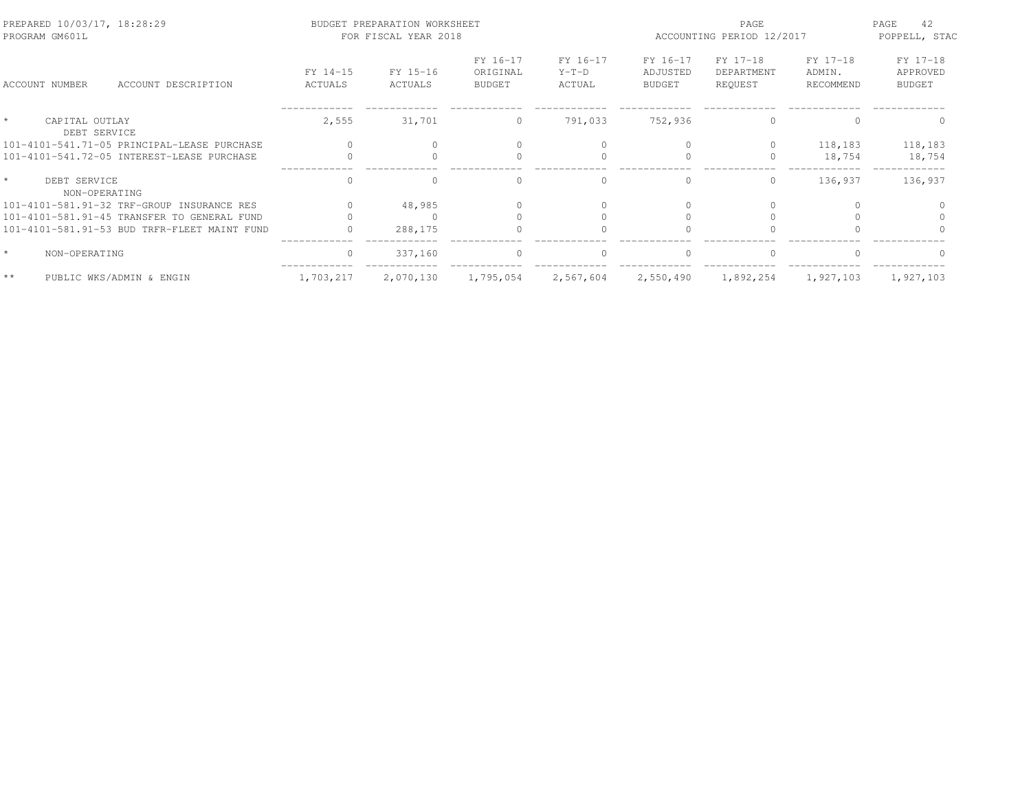| PREPARED 10/03/17, 18:28:29<br>PROGRAM GM601L |                     | BUDGET PREPARATION WORKSHEET<br>FOR FISCAL YEAR 2018 |                                       |                               | PAGE<br>ACCOUNTING PERIOD 12/2017     |                                   |                                 | 42<br>PAGE<br>POPPELL, STAC           |
|-----------------------------------------------|---------------------|------------------------------------------------------|---------------------------------------|-------------------------------|---------------------------------------|-----------------------------------|---------------------------------|---------------------------------------|
| ACCOUNT NUMBER<br>ACCOUNT DESCRIPTION         | FY 14-15<br>ACTUALS | FY 15-16<br>ACTUALS                                  | FY 16-17<br>ORIGINAL<br><b>BUDGET</b> | FY 16-17<br>$Y-T-D$<br>ACTUAL | FY 16-17<br>ADJUSTED<br><b>BUDGET</b> | FY 17-18<br>DEPARTMENT<br>REQUEST | FY 17-18<br>ADMIN.<br>RECOMMEND | FY 17-18<br>APPROVED<br><b>BUDGET</b> |
| CAPITAL OUTLAY<br>DEBT SERVICE                | 2,555               | 31,701                                               | $\mathbf{0}$                          | 791,033                       | 752,936                               | $\bigcap$                         |                                 |                                       |
| 101-4101-541.71-05 PRINCIPAL-LEASE PURCHASE   |                     |                                                      |                                       |                               | $\Omega$                              | $\circ$                           | 118,183                         | 118,183                               |
| 101-4101-541.72-05 INTEREST-LEASE PURCHASE    |                     |                                                      |                                       |                               |                                       | 0                                 | 18,754                          | 18,754                                |
| $\star$<br>DEBT SERVICE<br>NON-OPERATING      |                     |                                                      | $\Omega$                              | $\Omega$                      | $\Omega$                              | 0                                 | 136,937                         | 136,937                               |
| 101-4101-581.91-32 TRF-GROUP INSURANCE RES    | $\bigcap$           | 48,985                                               |                                       |                               |                                       |                                   |                                 |                                       |
| 101-4101-581.91-45 TRANSFER TO GENERAL FUND   |                     |                                                      |                                       |                               |                                       |                                   |                                 |                                       |
| 101-4101-581.91-53 BUD TRFR-FLEET MAINT FUND  |                     | 288,175                                              |                                       |                               |                                       |                                   |                                 |                                       |
| $\star$<br>NON-OPERATING                      | $\mathbf{0}$        | 337,160                                              | $\Omega$                              | $\Omega$                      |                                       |                                   |                                 |                                       |
| $\star\star$<br>PUBLIC WKS/ADMIN & ENGIN      | 1,703,217           | 2,070,130                                            | 1,795,054                             | 2,567,604                     | 2,550,490                             | 1,892,254                         | 1,927,103                       | 1,927,103                             |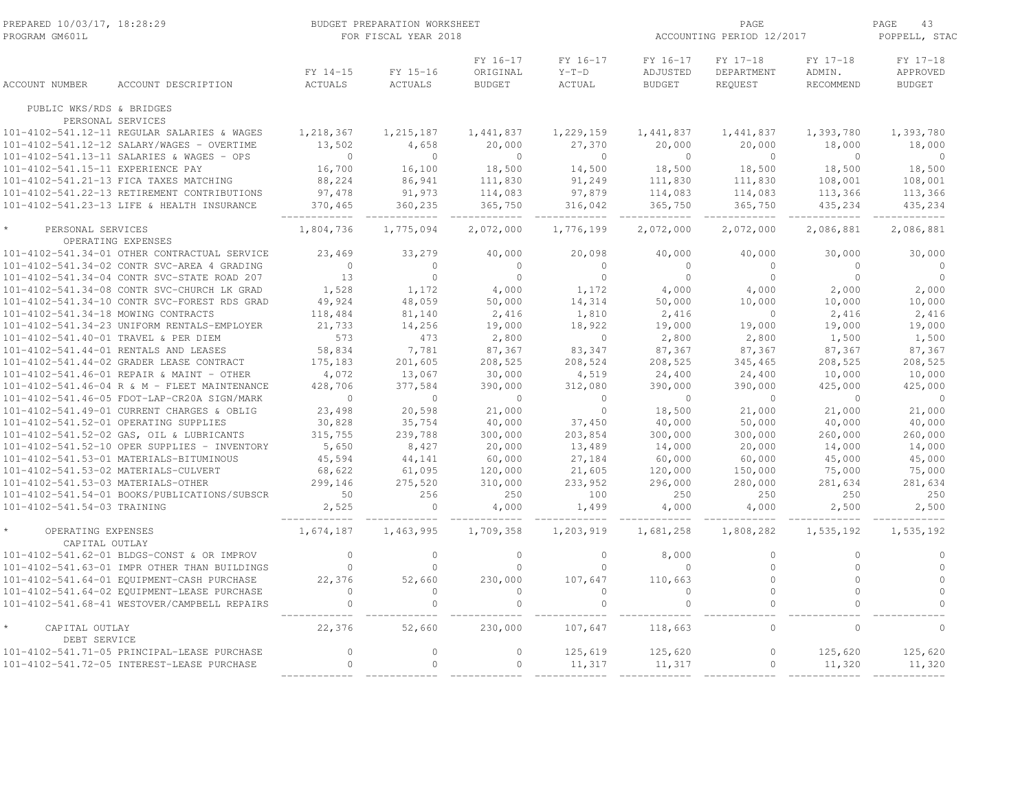| PREPARED 10/03/17, 18:28:29<br>PROGRAM GM601L |                                                                                       |                            | BUDGET PREPARATION WORKSHEET<br>FOR FISCAL YEAR 2018 |                                       | ACCOUNTING PERIOD 12/2017            | PAGE<br>43<br>POPPELL, STAC           |                                   |                                 |                                       |
|-----------------------------------------------|---------------------------------------------------------------------------------------|----------------------------|------------------------------------------------------|---------------------------------------|--------------------------------------|---------------------------------------|-----------------------------------|---------------------------------|---------------------------------------|
| ACCOUNT NUMBER                                | ACCOUNT DESCRIPTION                                                                   | FY 14-15<br><b>ACTUALS</b> | FY 15-16<br>ACTUALS                                  | FY 16-17<br>ORIGINAL<br><b>BUDGET</b> | FY 16-17<br>$Y-T-D$<br><b>ACTUAL</b> | FY 16-17<br>ADJUSTED<br><b>BUDGET</b> | FY 17-18<br>DEPARTMENT<br>REQUEST | FY 17-18<br>ADMIN.<br>RECOMMEND | FY 17-18<br>APPROVED<br><b>BUDGET</b> |
|                                               |                                                                                       |                            |                                                      |                                       |                                      |                                       |                                   |                                 |                                       |
| PUBLIC WKS/RDS & BRIDGES<br>PERSONAL SERVICES |                                                                                       |                            |                                                      |                                       |                                      |                                       |                                   |                                 |                                       |
|                                               | 101-4102-541.12-11 REGULAR SALARIES & WAGES                                           | 1,218,367                  | 1,215,187                                            | 1,441,837                             | 1,229,159                            | 1,441,837                             | 1,441,837                         | 1,393,780                       | 1,393,780                             |
|                                               | 101-4102-541.12-12 SALARY/WAGES - OVERTIME                                            | 13,502                     | 4,658                                                | 20,000                                | 27,370                               | 20,000                                | 20,000                            | 18,000                          | 18,000                                |
|                                               | 101-4102-541.13-11 SALARIES & WAGES - OPS                                             | $\circ$                    | $\circ$                                              | $\overline{0}$                        | $\circ$                              | $\overline{0}$                        | $\circ$                           | $\circ$                         | $\circ$                               |
| 101-4102-541.15-11 EXPERIENCE PAY             |                                                                                       | 16,700                     | 16,100                                               | 18,500                                | 14,500                               | 18,500                                | 18,500                            | 18,500                          | 18,500                                |
|                                               | 101-4102-541.21-13 FICA TAXES MATCHING                                                | 88,224                     | 86,941                                               | 111,830                               | 91,249                               | 111,830                               | 111,830                           | 108,001                         | 108,001                               |
|                                               | 101-4102-541.22-13 RETIREMENT CONTRIBUTIONS                                           | 97,478                     | 91,973                                               | 114,083                               | 97,879                               | 114,083                               | 114,083                           | 113,366                         | 113,366                               |
|                                               | 101-4102-541.23-13 LIFE & HEALTH INSURANCE                                            | 370,465                    | 360,235                                              | 365,750                               | 316,042                              | 365,750                               | 365,750                           | 435,234                         | 435,234                               |
| PERSONAL SERVICES                             | OPERATING EXPENSES                                                                    | 1,804,736                  | 1,775,094                                            | 2,072,000                             | 1,776,199                            | 2,072,000                             | 2,072,000                         | 2,086,881                       | 2,086,881                             |
|                                               | 101-4102-541.34-01 OTHER CONTRACTUAL SERVICE                                          | 23,469                     | 33,279                                               | 40,000                                | 20,098                               | 40,000                                | 40,000                            | 30,000                          | 30,000                                |
|                                               | 101-4102-541.34-02 CONTR SVC-AREA 4 GRADING                                           | $\Omega$                   | $\Omega$                                             | $\Omega$                              | $\overline{0}$                       | $\Omega$                              | $\mathbf{0}$                      | $\Omega$                        | $\overline{0}$                        |
|                                               | 101-4102-541.34-04 CONTR SVC-STATE ROAD 207                                           | 13                         | $\circ$                                              | $\circ$                               | $\mathbf{0}$                         | $\circ$                               | $\mathbf{0}$                      | $\circ$                         | $\circ$                               |
|                                               | 101-4102-541.34-08 CONTR SVC-CHURCH LK GRAD                                           | 1,528                      | 1,172                                                | 4,000                                 | 1,172                                | 4,000                                 | 4,000                             | 2,000                           | 2,000                                 |
|                                               | 101-4102-541.34-10 CONTR SVC-FOREST RDS GRAD                                          | 49,924                     | 48,059                                               | 50,000                                | 14,314                               | 50,000                                | 10,000                            | 10,000                          | 10,000                                |
| 101-4102-541.34-18 MOWING CONTRACTS           |                                                                                       | 118,484                    | 81,140                                               | 2,416                                 | 1,810                                | 2,416                                 | $\mathbf{0}$                      | 2,416                           | 2,416                                 |
|                                               | 101-4102-541.34-23 UNIFORM RENTALS-EMPLOYER                                           | 21,733                     | 14,256                                               | 19,000                                | 18,922                               | 19,000                                | 19,000                            | 19,000                          | 19,000                                |
| 101-4102-541.40-01 TRAVEL & PER DIEM          |                                                                                       | 573                        | 473                                                  | 2,800                                 | $\overline{0}$                       | 2,800                                 | 2,800                             | 1,500                           | 1,500                                 |
| 101-4102-541.44-01 RENTALS AND LEASES         |                                                                                       | 58,834                     | 7,781                                                | 87,367                                | 83,347                               | 87,367                                | 87,367                            | 87,367                          | 87,367                                |
|                                               | 101-4102-541.44-02 GRADER LEASE CONTRACT<br>101-4102-541.46-01 REPAIR & MAINT - OTHER | 175,183<br>4,072           | 201,605<br>13,067                                    | 208,525<br>30,000                     | 208,524                              | 208,525                               | 345,465                           | 208,525                         | 208,525<br>10,000                     |
|                                               | 101-4102-541.46-04 R & M - FLEET MAINTENANCE                                          | 428,706                    | 377,584                                              | 390,000                               | 4,519<br>312,080                     | 24,400<br>390,000                     | 24,400<br>390,000                 | 10,000<br>425,000               | 425,000                               |
|                                               | 101-4102-541.46-05 FDOT-LAP-CR20A SIGN/MARK                                           | $\mathbf{0}$               | $\circ$                                              | $\circ$                               | $\overline{0}$                       | $\circ$                               | $\mathbb O$                       | $\circ$                         | $\circ$                               |
|                                               | 101-4102-541.49-01 CURRENT CHARGES & OBLIG                                            | 23,498                     | 20,598                                               | 21,000                                | $\overline{0}$                       | 18,500                                | 21,000                            | 21,000                          | 21,000                                |
| 101-4102-541.52-01 OPERATING SUPPLIES         |                                                                                       | 30,828                     | 35,754                                               | 40,000                                | 37,450                               | 40,000                                | 50,000                            | 40,000                          | 40,000                                |
|                                               | 101-4102-541.52-02 GAS, OIL & LUBRICANTS                                              | 315,755                    | 239,788                                              | 300,000                               | 203,854                              | 300,000                               | 300,000                           | 260,000                         | 260,000                               |
|                                               | 101-4102-541.52-10 OPER SUPPLIES - INVENTORY                                          | 5,650                      | 8,427                                                | 20,000                                | 13,489                               | 14,000                                | 20,000                            | 14,000                          | 14,000                                |
|                                               | 101-4102-541.53-01 MATERIALS-BITUMINOUS                                               | 45,594                     | 44,141                                               | 60,000                                | 27,184                               | 60,000                                | 60,000                            | 45,000                          | 45,000                                |
| 101-4102-541.53-02 MATERIALS-CULVERT          |                                                                                       | 68,622                     | 61,095                                               | 120,000                               | 21,605                               | 120,000                               | 150,000                           | 75,000                          | 75,000                                |
| 101-4102-541.53-03 MATERIALS-OTHER            |                                                                                       | 299,146                    | 275,520                                              | 310,000                               | 233,952                              | 296,000                               | 280,000                           | 281,634                         | 281,634                               |
|                                               | 101-4102-541.54-01 BOOKS/PUBLICATIONS/SUBSCR                                          | 50                         | 256                                                  | 250                                   | 100                                  | 250                                   | 250                               | 250                             | 250                                   |
| 101-4102-541.54-03 TRAINING                   |                                                                                       | 2,525                      | $\overline{0}$                                       | 4,000                                 | 1,499                                | 4,000                                 | 4,000                             | 2,500                           | 2,500                                 |
| OPERATING EXPENSES<br>CAPITAL OUTLAY          |                                                                                       | 1,674,187                  | 1,463,995                                            | 1,709,358                             | 1,203,919                            | 1,681,258                             | 1,808,282                         | 1,535,192                       | 1,535,192                             |
|                                               | 101-4102-541.62-01 BLDGS-CONST & OR IMPROV                                            | $\mathbf{0}$               | $\circ$                                              | $\circ$                               | $\mathbf{0}$                         | 8,000                                 | $\mathbf{0}$                      | $\circ$                         | $\circ$                               |
|                                               | 101-4102-541.63-01 IMPR OTHER THAN BUILDINGS                                          | $\mathbf{0}$               | $\circ$                                              | $\circ$                               | $\mathbf{0}$                         | $\circ$                               | $\circ$                           | $\circ$                         | $\circ$                               |
|                                               | 101-4102-541.64-01 EQUIPMENT-CASH PURCHASE                                            | 22,376                     | 52,660                                               | 230,000                               | 107,647                              | 110,663                               | $\circ$                           | $\circ$                         | $\circ$                               |
|                                               | 101-4102-541.64-02 EQUIPMENT-LEASE PURCHASE                                           | $\Omega$                   | $\Omega$                                             | $\Omega$                              | $\Omega$                             | $\Omega$                              | $\Omega$                          | $\Omega$                        | $\Omega$                              |
|                                               | 101-4102-541.68-41 WESTOVER/CAMPBELL REPAIRS                                          | $\mathbf{0}$               | $\Omega$                                             | $\circ$                               | $\mathbf 0$                          | $\Omega$                              | $\circ$                           | $\circ$                         | $\cap$                                |
| CAPITAL OUTLAY<br>DEBT SERVICE                |                                                                                       | 22,376                     | 52,660                                               | 230,000                               | 107,647                              | 118,663                               | $\Omega$                          | $\Omega$                        | $\Omega$                              |
|                                               | 101-4102-541.71-05 PRINCIPAL-LEASE PURCHASE                                           | $\mathbb O$                | $\circ$                                              | $\circ$                               | 125,619                              | 125,620                               | $\mathbb O$                       | 125,620                         | 125,620                               |
|                                               | 101-4102-541.72-05 INTEREST-LEASE PURCHASE                                            | $\mathbf{0}$               | $\circ$                                              | $\circ$                               | 11,317                               | 11,317                                | $\circ$                           | 11,320                          | 11,320                                |
|                                               |                                                                                       |                            |                                                      |                                       |                                      |                                       |                                   |                                 |                                       |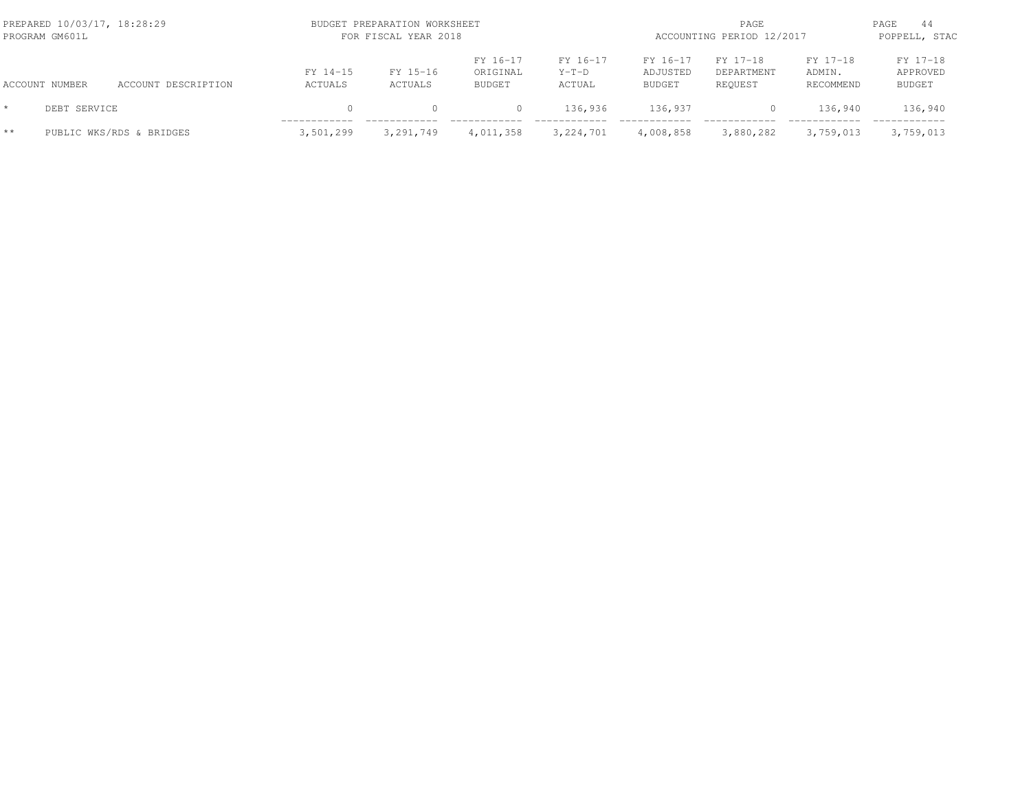| PREPARED 10/03/17, 18:28:29<br>PROGRAM GM601L |                |                          |                     | BUDGET PREPARATION WORKSHEET<br>FOR FISCAL YEAR 2018 |                                       | ACCOUNTING PERIOD 12/2017     | 44<br>PAGE<br>POPPELL, STAC           |                                   |                                 |                                       |
|-----------------------------------------------|----------------|--------------------------|---------------------|------------------------------------------------------|---------------------------------------|-------------------------------|---------------------------------------|-----------------------------------|---------------------------------|---------------------------------------|
|                                               | ACCOUNT NUMBER | ACCOUNT DESCRIPTION      | FY 14-15<br>ACTUALS | FY 15-16<br>ACTUALS                                  | FY 16-17<br>ORIGINAL<br><b>BUDGET</b> | FY 16-17<br>$Y-T-D$<br>ACTUAL | FY 16-17<br>ADJUSTED<br><b>BUDGET</b> | FY 17-18<br>DEPARTMENT<br>REOUEST | FY 17-18<br>ADMIN.<br>RECOMMEND | FY 17-18<br>APPROVED<br><b>BUDGET</b> |
|                                               | DEBT SERVICE   |                          | $\Omega$            | 0                                                    |                                       | 136,936                       | 136,937                               | 0                                 | 136,940                         | 136,940                               |
| $**$                                          |                | PUBLIC WKS/RDS & BRIDGES | 3,501,299           | 3,291,749                                            | 4,011,358                             | 3, 224, 701                   | 4,008,858                             | 3,880,282                         | 3,759,013                       | 3,759,013                             |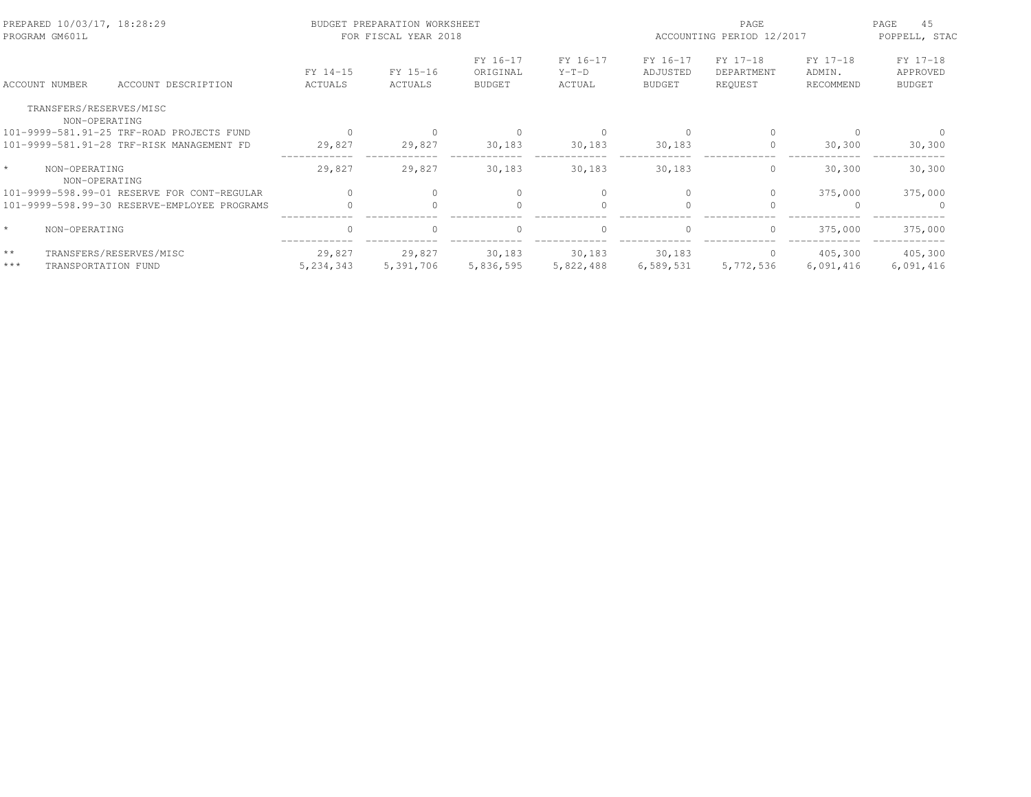| PREPARED 10/03/17, 18:28:29<br>PROGRAM GM601L |                     |                                                                                                                                                                                                                                                                                                                                        |                     |                                       |                                                      | PAGE<br>ACCOUNTING PERIOD 12/2017     |                                   |                                 | 45<br>PAGE<br>POPPELL, STAC           |
|-----------------------------------------------|---------------------|----------------------------------------------------------------------------------------------------------------------------------------------------------------------------------------------------------------------------------------------------------------------------------------------------------------------------------------|---------------------|---------------------------------------|------------------------------------------------------|---------------------------------------|-----------------------------------|---------------------------------|---------------------------------------|
| ACCOUNT NUMBER                                | ACCOUNT DESCRIPTION | FY 14-15<br>ACTUALS                                                                                                                                                                                                                                                                                                                    | FY 15-16<br>ACTUALS | FY 16-17<br>ORIGINAL<br><b>BUDGET</b> | FY 16-17<br>$Y-T-D$<br>ACTUAL                        | FY 16-17<br>ADJUSTED<br><b>BUDGET</b> | FY 17-18<br>DEPARTMENT<br>REOUEST | FY 17-18<br>ADMIN.<br>RECOMMEND | FY 17-18<br>APPROVED<br><b>BUDGET</b> |
|                                               |                     |                                                                                                                                                                                                                                                                                                                                        |                     |                                       |                                                      |                                       |                                   |                                 |                                       |
|                                               |                     |                                                                                                                                                                                                                                                                                                                                        |                     |                                       |                                                      |                                       |                                   |                                 |                                       |
|                                               |                     | 29,827                                                                                                                                                                                                                                                                                                                                 | 29,827              | 30,183                                | 30,183                                               | 30,183                                | $\mathbf{0}$                      | 30,300                          | 30,300                                |
|                                               |                     | 29,827                                                                                                                                                                                                                                                                                                                                 | 29,827              | 30,183                                | 30,183                                               | 30,183                                | $\circ$                           | 30,300                          | 30, 300                               |
|                                               |                     |                                                                                                                                                                                                                                                                                                                                        |                     | $\Omega$                              | $\bigcap$                                            |                                       | $\Omega$                          | 375,000                         | 375,000                               |
|                                               |                     |                                                                                                                                                                                                                                                                                                                                        |                     | $\Omega$                              | $\Omega$                                             |                                       | $\cap$                            |                                 |                                       |
|                                               |                     | $\Omega$                                                                                                                                                                                                                                                                                                                               | $\Omega$            | $\mathbf{0}$                          | $\mathbf{0}$                                         | $\mathbf{0}$                          | 0                                 | 375,000                         | 375,000                               |
|                                               |                     | 29,827<br>5, 234, 343                                                                                                                                                                                                                                                                                                                  | 29,827<br>5,391,706 | 30,183<br>5,836,595                   | 30,183<br>5,822,488                                  | 30,183<br>6,589,531                   | $\mathbf{0}$<br>5,772,536         | 405,300<br>6,091,416            | 405,300<br>6,091,416                  |
|                                               |                     | TRANSFERS/RESERVES/MISC<br>NON-OPERATING<br>101-9999-581.91-25 TRF-ROAD PROJECTS FUND<br>101-9999-581.91-28 TRF-RISK MANAGEMENT FD<br>NON-OPERATING<br>NON-OPERATING<br>101-9999-598.99-01 RESERVE FOR CONT-REGULAR<br>101-9999-598.99-30 RESERVE-EMPLOYEE PROGRAMS<br>NON-OPERATING<br>TRANSFERS/RESERVES/MISC<br>TRANSPORTATION FUND |                     |                                       | BUDGET PREPARATION WORKSHEET<br>FOR FISCAL YEAR 2018 |                                       |                                   |                                 |                                       |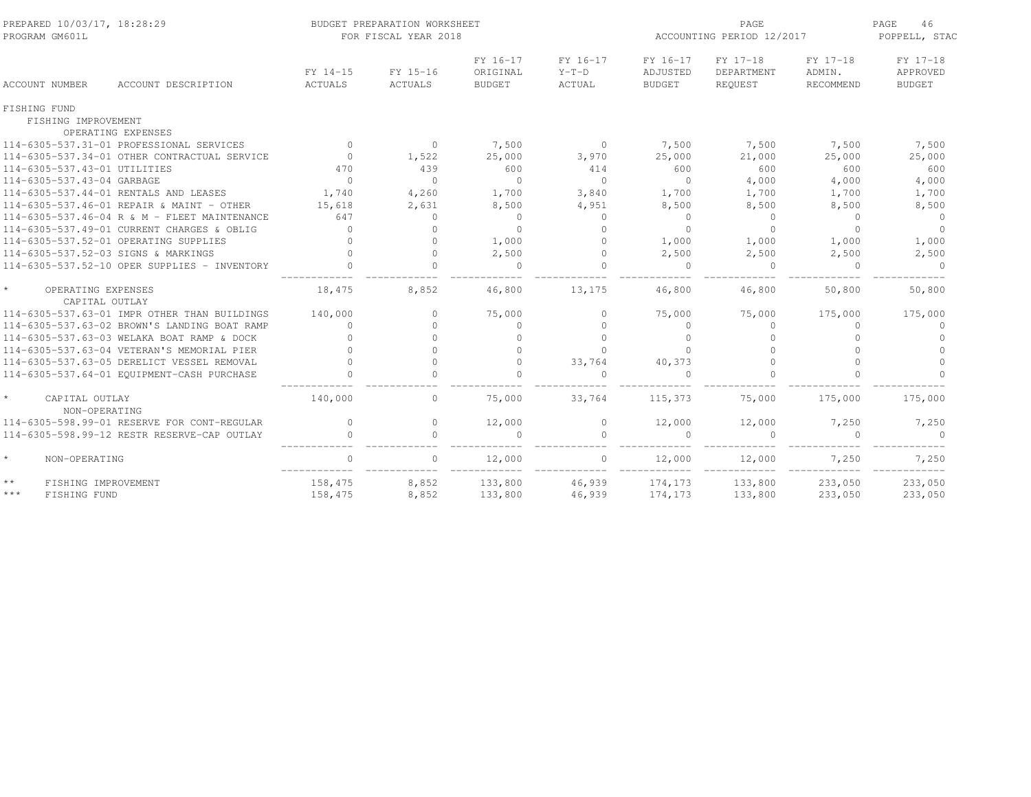| PREPARED 10/03/17, 18:28:29<br>PROGRAM GM601L |                                              |                     | BUDGET PREPARATION WORKSHEET<br>FOR FISCAL YEAR 2018 |                                       |                               | ACCOUNTING PERIOD 12/2017             | PAGE<br>46<br>POPPELL, STAC       |                                 |                                       |
|-----------------------------------------------|----------------------------------------------|---------------------|------------------------------------------------------|---------------------------------------|-------------------------------|---------------------------------------|-----------------------------------|---------------------------------|---------------------------------------|
| <b>ACCOUNT NUMBER</b>                         | ACCOUNT DESCRIPTION                          | FY 14-15<br>ACTUALS | FY 15-16<br>ACTUALS                                  | FY 16-17<br>ORIGINAL<br><b>BUDGET</b> | FY 16-17<br>$Y-T-D$<br>ACTUAL | FY 16-17<br>ADJUSTED<br><b>BUDGET</b> | FY 17-18<br>DEPARTMENT<br>REOUEST | FY 17-18<br>ADMIN.<br>RECOMMEND | FY 17-18<br>APPROVED<br><b>BUDGET</b> |
| FISHING FUND                                  |                                              |                     |                                                      |                                       |                               |                                       |                                   |                                 |                                       |
| FISHING IMPROVEMENT                           |                                              |                     |                                                      |                                       |                               |                                       |                                   |                                 |                                       |
|                                               | OPERATING EXPENSES                           |                     |                                                      |                                       |                               |                                       |                                   |                                 |                                       |
|                                               | 114-6305-537.31-01 PROFESSIONAL SERVICES     | $\Omega$            | $\circ$                                              | 7,500                                 | $\overline{0}$                | 7,500                                 | 7,500                             | 7,500                           | 7,500                                 |
|                                               | 114-6305-537.34-01 OTHER CONTRACTUAL SERVICE | $\overline{0}$      | 1,522                                                | 25,000                                | 3,970                         | 25,000                                | 21,000                            | 25,000                          | 25,000                                |
| 114-6305-537.43-01 UTILITIES                  |                                              | 470                 | 439                                                  | 600                                   | 414                           | 600                                   | 600                               | 600                             | 600                                   |
| 114-6305-537.43-04 GARBAGE                    |                                              | $\bigcap$           | $\Omega$                                             | $\overline{0}$                        | $\Omega$                      | $\overline{0}$                        | 4,000                             | 4,000                           | 4,000                                 |
|                                               | 114-6305-537.44-01 RENTALS AND LEASES        | 1,740               | 4,260                                                | 1,700                                 | 3,840                         | 1,700                                 | 1,700                             | 1,700                           | 1,700                                 |
|                                               | 114-6305-537.46-01 REPAIR & MAINT - OTHER    | 15,618              | 2,631                                                | 8,500                                 | 4,951                         | 8,500                                 | 8,500                             | 8,500                           | 8,500                                 |
|                                               | 114-6305-537.46-04 R & M - FLEET MAINTENANCE | 647                 | $\Omega$                                             | $\circ$                               | $\circ$                       | $\circ$                               | $\circ$                           | $\circ$                         | $\overline{0}$                        |
|                                               | 114-6305-537.49-01 CURRENT CHARGES & OBLIG   | $\Omega$            | $\Omega$                                             | $\Omega$                              | $\Omega$                      | $\Omega$                              | $\Omega$                          | $\Omega$                        | $\Omega$                              |
|                                               | 114-6305-537.52-01 OPERATING SUPPLIES        | $\Omega$            | $\Omega$                                             | 1,000                                 | $\Omega$                      | 1,000                                 | 1,000                             | 1,000                           | 1,000                                 |
| 114-6305-537.52-03 SIGNS & MARKINGS           |                                              |                     | $\Omega$                                             | 2,500                                 | $\Omega$                      | 2,500                                 | 2,500                             | 2,500                           | 2,500                                 |
|                                               | 114-6305-537.52-10 OPER SUPPLIES - INVENTORY |                     |                                                      | $\circ$                               | $\Omega$                      | $\Omega$                              | $\overline{0}$                    | $\Omega$                        | $\Omega$                              |
| $\star$<br>OPERATING EXPENSES                 |                                              | 18,475              | 8,852                                                | 46,800                                | 13,175                        | 46,800                                | 46,800                            | 50,800                          | 50,800                                |
| CAPITAL OUTLAY                                | 114-6305-537.63-01 IMPR OTHER THAN BUILDINGS | 140,000             | $\Omega$                                             | 75,000                                | $\Omega$                      | 75,000                                | 75,000                            | 175,000                         | 175,000                               |
|                                               | 114-6305-537.63-02 BROWN'S LANDING BOAT RAMP | $\Omega$            | $\Omega$                                             | $\Omega$                              | $\Omega$                      | $\Omega$                              | $\Omega$                          | $\Omega$                        | $\Omega$                              |
|                                               | 114-6305-537.63-03 WELAKA BOAT RAMP & DOCK   |                     | $\cap$                                               | $\cap$                                | $\Omega$                      |                                       |                                   | $\Omega$                        | $\Omega$                              |
|                                               | 114-6305-537.63-04 VETERAN'S MEMORIAL PIER   |                     | $\cap$                                               | $\cap$                                | $\bigcap$                     |                                       |                                   | $\cap$                          | $\cap$                                |
|                                               | 114-6305-537.63-05 DERELICT VESSEL REMOVAL   | $\Omega$            | $\Omega$                                             | $\mathbf{0}$                          | 33,764                        | 40,373                                | $\mathbf{0}$                      | $\Omega$                        | $\Omega$                              |
|                                               | 114-6305-537.64-01 EQUIPMENT-CASH PURCHASE   |                     |                                                      | $\cap$                                |                               |                                       |                                   |                                 |                                       |
| $\star$<br>CAPITAL OUTLAY<br>NON-OPERATING    |                                              | 140,000             | $\Omega$                                             | 75,000                                | 33,764                        | 115,373                               | 75,000                            | 175,000                         | 175,000                               |
|                                               | 114-6305-598.99-01 RESERVE FOR CONT-REGULAR  | $\Omega$            | 0                                                    | 12,000                                | $\circ$                       | 12,000                                | 12,000                            | 7,250                           | 7,250                                 |
|                                               | 114-6305-598.99-12 RESTR RESERVE-CAP OUTLAY  | $\Omega$            | $\cap$                                               | $\cap$                                | $\Omega$                      | $\cap$                                | $\Omega$                          | $\Omega$                        | $\Omega$                              |
|                                               |                                              |                     |                                                      |                                       |                               |                                       |                                   |                                 |                                       |
| $\star$<br>NON-OPERATING                      |                                              | $\mathbf{0}$        | $\circ$                                              | 12,000                                | $\circ$                       | 12,000                                | 12,000                            | 7,250                           | 7,250                                 |
| $\star\star$<br>FISHING IMPROVEMENT           |                                              | 158,475             | 8,852                                                | 133,800                               | 46,939                        | 174,173                               | 133,800                           | 233,050                         | 233,050                               |
| $***$<br>FISHING FUND                         |                                              | 158,475             | 8,852                                                | 133,800                               | 46,939                        | 174,173                               | 133,800                           | 233,050                         | 233,050                               |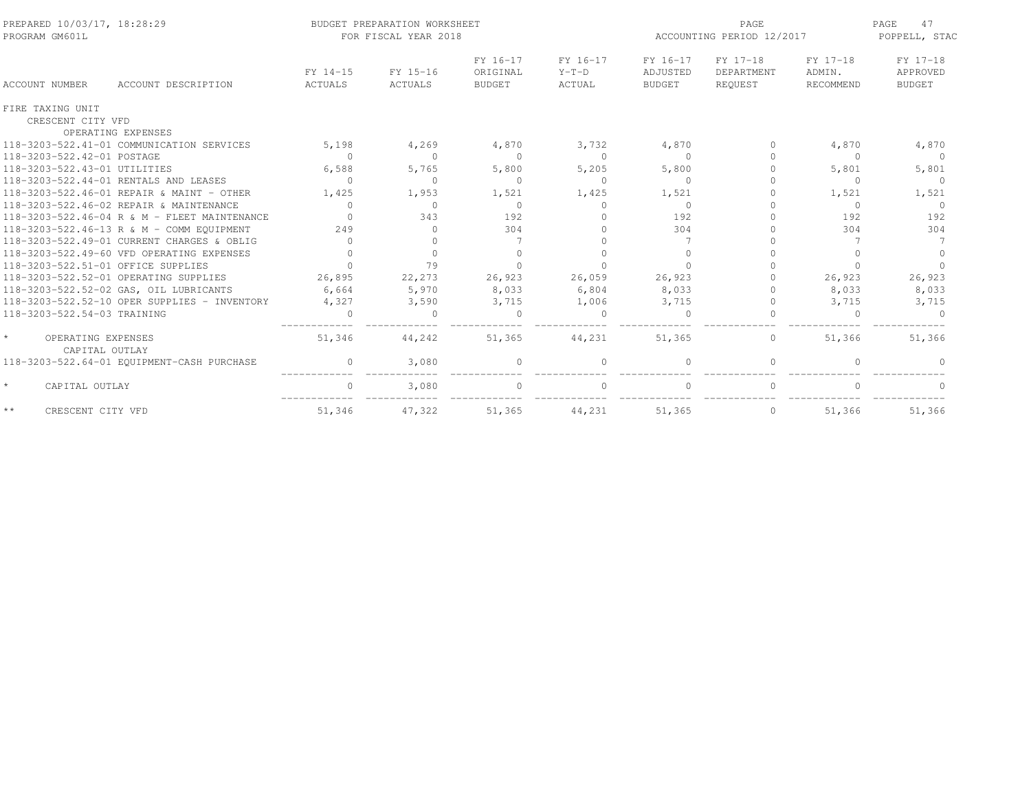| PREPARED 10/03/17, 18:28:29<br>PROGRAM GM601L |                                              |                     | BUDGET PREPARATION WORKSHEET<br>FOR FISCAL YEAR 2018 |                                       |                               | PAGE<br>ACCOUNTING PERIOD 12/2017     |                                   |                                 | PAGE<br>47<br>POPPELL, STAC           |  |
|-----------------------------------------------|----------------------------------------------|---------------------|------------------------------------------------------|---------------------------------------|-------------------------------|---------------------------------------|-----------------------------------|---------------------------------|---------------------------------------|--|
| <b>ACCOUNT NUMBER</b>                         | ACCOUNT DESCRIPTION                          | FY 14-15<br>ACTUALS | FY 15-16<br>ACTUALS                                  | FY 16-17<br>ORIGINAL<br><b>BUDGET</b> | FY 16-17<br>$Y-T-D$<br>ACTUAL | FY 16-17<br>ADJUSTED<br><b>BUDGET</b> | FY 17-18<br>DEPARTMENT<br>REQUEST | FY 17-18<br>ADMIN.<br>RECOMMEND | FY 17-18<br>APPROVED<br><b>BUDGET</b> |  |
| FIRE TAXING UNIT                              |                                              |                     |                                                      |                                       |                               |                                       |                                   |                                 |                                       |  |
| CRESCENT CITY VFD                             |                                              |                     |                                                      |                                       |                               |                                       |                                   |                                 |                                       |  |
|                                               | OPERATING EXPENSES                           |                     |                                                      |                                       |                               |                                       |                                   |                                 |                                       |  |
|                                               | 118-3203-522.41-01 COMMUNICATION SERVICES    | 5,198               | 4,269                                                | 4,870                                 | 3,732                         | 4,870                                 | $\Omega$                          | 4,870                           | 4,870                                 |  |
| 118-3203-522.42-01 POSTAGE                    |                                              | $\bigcap$           | $\Omega$                                             | $\Omega$                              | $\Omega$                      | $\Omega$                              | $\bigcap$                         | $\cap$                          | $\Omega$                              |  |
| 118-3203-522.43-01 UTILITIES                  |                                              | 6,588               | 5,765                                                | 5,800                                 | 5,205                         | 5,800                                 | $\bigcap$                         | 5,801                           | 5,801                                 |  |
|                                               | 118-3203-522.44-01 RENTALS AND LEASES        | $\Omega$            | $\Omega$                                             | $\Omega$                              | $\Omega$                      | $\Omega$                              | $\bigcap$                         | $\Omega$                        | $\Omega$                              |  |
|                                               | 118-3203-522.46-01 REPAIR & MAINT - OTHER    | 1,425               | 1,953                                                | 1,521                                 | 1,425                         | 1,521                                 | $\Omega$                          | 1,521                           | 1,521                                 |  |
|                                               | 118-3203-522.46-02 REPAIR & MAINTENANCE      | $\Omega$            | $\Omega$                                             | $\Omega$                              | $\bigcap$                     | $\cap$                                | $\bigcap$                         | $\cap$                          | $\Omega$                              |  |
|                                               | 118-3203-522.46-04 R & M - FLEET MAINTENANCE |                     | 343                                                  | 192                                   |                               | 192                                   |                                   | 192                             | 192                                   |  |
|                                               | 118-3203-522.46-13 R & M - COMM EQUIPMENT    | 249                 | $\Omega$                                             | 304                                   |                               | 304                                   |                                   | 304                             | 304                                   |  |
|                                               | 118-3203-522.49-01 CURRENT CHARGES & OBLIG   | $\Omega$            | $\Omega$                                             |                                       |                               | 7                                     |                                   |                                 |                                       |  |
|                                               | 118-3203-522.49-60 VFD OPERATING EXPENSES    |                     | $\cap$                                               | $\Omega$                              |                               | $\Omega$                              |                                   |                                 | $\Omega$                              |  |
| 118-3203-522.51-01 OFFICE SUPPLIES            |                                              |                     | 79                                                   | $\cap$                                |                               | $\Omega$                              |                                   |                                 |                                       |  |
|                                               | 118-3203-522.52-01 OPERATING SUPPLIES        | 26,895              | 22,273                                               | 26,923                                | 26,059                        | 26,923                                |                                   | 26,923                          | 26,923                                |  |
|                                               | 118-3203-522.52-02 GAS, OIL LUBRICANTS       | 6,664               | 5,970                                                | 8,033                                 | 6,804                         | 8,033                                 | $\bigcap$                         | 8,033                           | 8,033                                 |  |
|                                               | 118-3203-522.52-10 OPER SUPPLIES - INVENTORY | 4,327               | 3,590                                                | 3,715                                 | 1,006                         | 3,715                                 | $\Omega$                          | 3,715                           | 3,715                                 |  |
| 118-3203-522.54-03 TRAINING                   |                                              |                     | $\Omega$                                             | $\Omega$                              |                               |                                       |                                   |                                 |                                       |  |
| OPERATING EXPENSES<br>CAPITAL OUTLAY          |                                              | 51,346              | 44,242                                               | 51,365                                | 44,231                        | 51,365                                | $\circ$                           | 51,366                          | 51,366                                |  |
|                                               | 118-3203-522.64-01 EQUIPMENT-CASH PURCHASE   | $\circ$             | 3,080                                                | $\circ$                               | $\mathbf{0}$                  | $\Omega$                              | $\Omega$                          |                                 | $\Omega$                              |  |
| $\star$<br>CAPITAL OUTLAY                     |                                              | $\Omega$            | 3,080                                                | $\Omega$                              | $\Omega$                      |                                       | $\Omega$                          |                                 |                                       |  |
| $\star\,\star$<br>CRESCENT CITY VFD           |                                              | 51,346              | 47,322                                               | 51,365                                | 44,231                        | 51,365                                | $\circ$                           | 51,366                          | 51,366                                |  |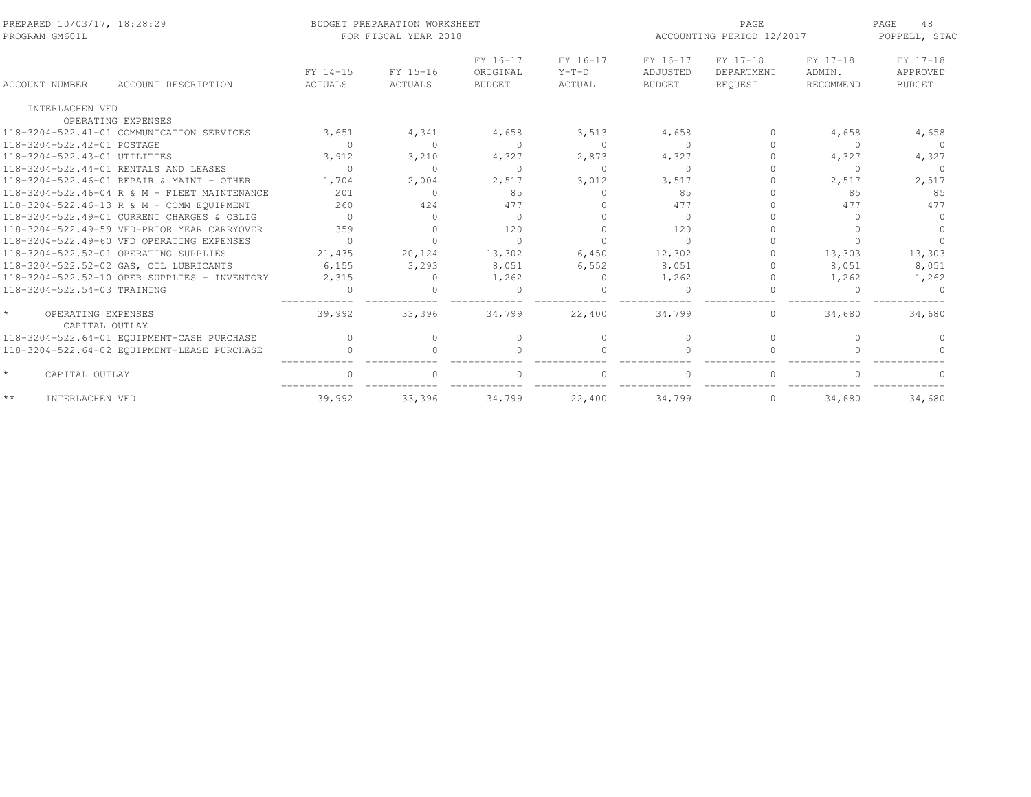| PREPARED 10/03/17, 18:28:29<br>PROGRAM GM601L   |                                              |                            | BUDGET PREPARATION WORKSHEET<br>FOR FISCAL YEAR 2018 |                                       |                               | PAGE<br>ACCOUNTING PERIOD 12/2017     |                                   |                                        | PAGE<br>48<br>POPPELL, STAC           |  |
|-------------------------------------------------|----------------------------------------------|----------------------------|------------------------------------------------------|---------------------------------------|-------------------------------|---------------------------------------|-----------------------------------|----------------------------------------|---------------------------------------|--|
| <b>ACCOUNT NUMBER</b>                           | ACCOUNT DESCRIPTION                          | FY 14-15<br><b>ACTUALS</b> | FY 15-16<br><b>ACTUALS</b>                           | FY 16-17<br>ORIGINAL<br><b>BUDGET</b> | FY 16-17<br>$Y-T-D$<br>ACTUAL | FY 16-17<br>ADJUSTED<br><b>BUDGET</b> | FY 17-18<br>DEPARTMENT<br>REQUEST | FY 17-18<br>ADMIN.<br><b>RECOMMEND</b> | FY 17-18<br>APPROVED<br><b>BUDGET</b> |  |
|                                                 |                                              |                            |                                                      |                                       |                               |                                       |                                   |                                        |                                       |  |
| INTERLACHEN VFD                                 |                                              |                            |                                                      |                                       |                               |                                       |                                   |                                        |                                       |  |
| OPERATING EXPENSES                              |                                              |                            |                                                      |                                       |                               |                                       |                                   |                                        |                                       |  |
|                                                 | 118-3204-522.41-01 COMMUNICATION SERVICES    | 3,651                      | 4,341                                                | 4,658                                 | 3,513                         | 4,658                                 | $\bigcap$                         | 4,658                                  | 4,658                                 |  |
| 118-3204-522.42-01 POSTAGE                      |                                              | $\Omega$                   | $\Omega$                                             | $\Omega$                              | $\circ$                       | $\bigcap$                             | $\Omega$                          | $\Omega$                               | $\Omega$                              |  |
| 118-3204-522.43-01 UTILITIES                    |                                              | 3,912                      | 3,210                                                | 4,327                                 | 2,873                         | 4,327                                 |                                   | 4,327                                  | 4,327                                 |  |
| 118-3204-522.44-01 RENTALS AND LEASES           |                                              | $\Omega$                   | $\Omega$                                             | $\Omega$                              | $\Omega$                      |                                       |                                   | $\Omega$                               | $\Omega$                              |  |
|                                                 | 118-3204-522.46-01 REPAIR & MAINT - OTHER    | 1,704                      | 2,004                                                | 2,517                                 | 3,012                         | 3,517                                 |                                   | 2,517                                  | 2,517                                 |  |
|                                                 | 118-3204-522.46-04 R & M - FLEET MAINTENANCE | 2.01                       | $\Omega$                                             | 85                                    | $\Omega$                      | 85                                    |                                   | 85                                     | 85                                    |  |
|                                                 | 118-3204-522.46-13 R & M - COMM EQUIPMENT    | 260                        | 424                                                  | 477                                   | $\bigcap$                     | 477                                   |                                   | 477                                    | 477                                   |  |
|                                                 | 118-3204-522.49-01 CURRENT CHARGES & OBLIG   | $\Omega$                   | $\Omega$                                             | $\Omega$                              |                               | $\Omega$                              |                                   | $\cap$                                 | $\Omega$                              |  |
|                                                 | 118-3204-522.49-59 VFD-PRIOR YEAR CARRYOVER  | 359                        | $\Omega$                                             | 120                                   | $\Omega$                      | 120                                   |                                   |                                        |                                       |  |
|                                                 | 118-3204-522.49-60 VFD OPERATING EXPENSES    | $\cap$                     | $\cap$                                               | $\Omega$                              | $\Omega$                      | $\cap$                                |                                   | $\cap$                                 |                                       |  |
| 118-3204-522.52-01 OPERATING SUPPLIES           |                                              | 21,435                     | 20,124                                               | 13,302                                | 6.450                         | 12,302                                |                                   | 13,303                                 | 13,303                                |  |
| 118-3204-522.52-02 GAS, OIL LUBRICANTS          |                                              | 6,155                      | 3,293                                                | 8,051                                 | 6,552                         | 8,051                                 |                                   | 8,051                                  | 8,051                                 |  |
|                                                 | 118-3204-522.52-10 OPER SUPPLIES - INVENTORY | 2,315                      | $\Omega$                                             | 1,262                                 | $\Omega$                      | 1,262                                 |                                   | 1,262                                  | 1,262                                 |  |
| 118-3204-522.54-03 TRAINING                     |                                              | $\cap$                     |                                                      | $\Omega$                              |                               |                                       |                                   | $\cap$                                 | $\cap$                                |  |
| $\star$<br>OPERATING EXPENSES<br>CAPITAL OUTLAY |                                              | 39,992                     | 33,396                                               | 34,799                                | 22,400                        | 34,799                                | $\mathbf{0}$                      | 34,680                                 | 34,680                                |  |
|                                                 | 118-3204-522.64-01 EQUIPMENT-CASH PURCHASE   | $\bigcap$                  | $\Omega$                                             | $\Omega$                              | $\Omega$                      | $\bigcap$                             | $\Omega$                          | $\Omega$                               |                                       |  |
|                                                 | 118-3204-522.64-02 EQUIPMENT-LEASE PURCHASE  | $\Omega$                   | $\cap$                                               |                                       | $\Omega$                      |                                       | $\Omega$                          |                                        |                                       |  |
| $\star$<br>CAPITAL OUTLAY                       |                                              | $\cap$                     | $\cap$                                               |                                       | $\bigcap$                     |                                       | $\Omega$                          |                                        |                                       |  |
| $\star\star$<br>INTERLACHEN VFD                 |                                              | 39,992                     | 33,396                                               | 34,799                                | 22,400                        | 34,799                                | $\circ$                           | 34,680                                 | 34,680                                |  |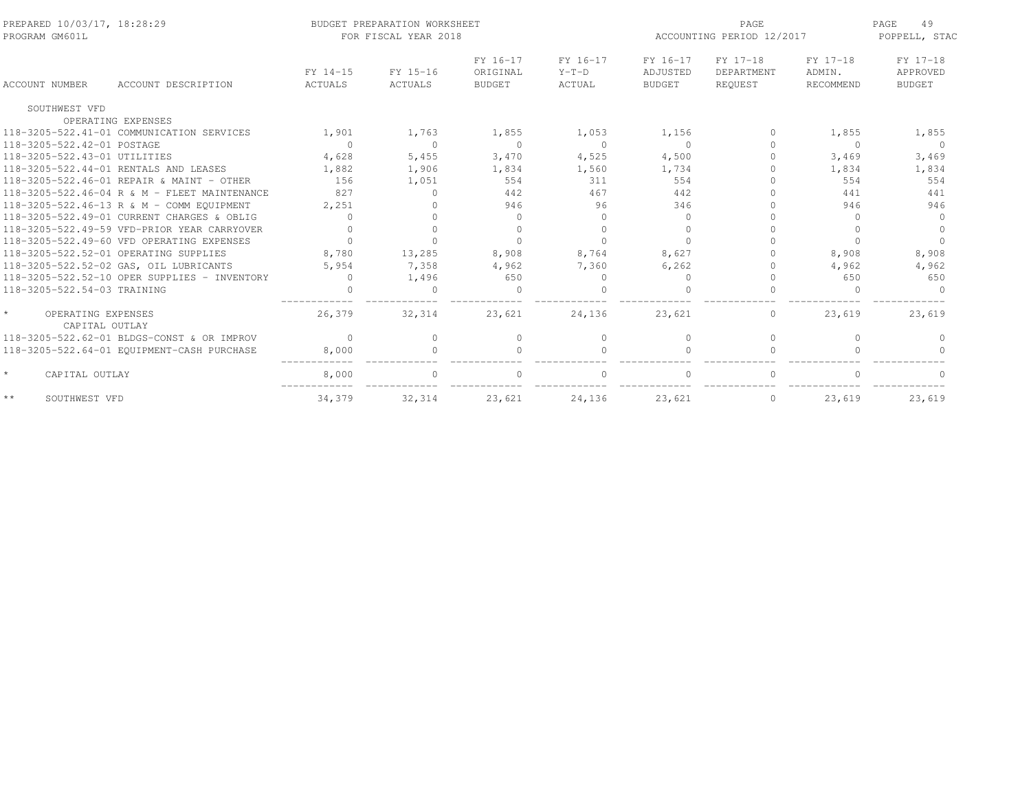| PROGRAM GM601L                       | PREPARED 10/03/17, 18:28:29                  |              | BUDGET PREPARATION WORKSHEET<br>FOR FISCAL YEAR 2018 |                      |                     | PAGE.<br>ACCOUNTING PERIOD 12/2017 |                        |                    | PAGE<br>49<br>POPPELL, STAC |  |
|--------------------------------------|----------------------------------------------|--------------|------------------------------------------------------|----------------------|---------------------|------------------------------------|------------------------|--------------------|-----------------------------|--|
|                                      |                                              | FY 14-15     | FY 15-16                                             | FY 16-17<br>ORIGINAL | FY 16-17<br>$Y-T-D$ | FY 16-17<br>ADJUSTED               | FY 17-18<br>DEPARTMENT | FY 17-18<br>ADMIN. | FY 17-18<br>APPROVED        |  |
| ACCOUNT NUMBER                       | ACCOUNT DESCRIPTION                          | ACTUALS      | ACTUALS                                              | <b>BUDGET</b>        | ACTUAL              | <b>BUDGET</b>                      | REOUEST                | RECOMMEND          | <b>BUDGET</b>               |  |
| SOUTHWEST VFD                        |                                              |              |                                                      |                      |                     |                                    |                        |                    |                             |  |
|                                      | OPERATING EXPENSES                           |              |                                                      |                      |                     |                                    |                        |                    |                             |  |
|                                      | 118-3205-522.41-01 COMMUNICATION SERVICES    | 1,901        | 1,763                                                | 1,855                | 1,053               | 1,156                              | $\bigcap$              | 1,855              | 1,855                       |  |
| 118-3205-522.42-01 POSTAGE           |                                              | $\mathbf{0}$ | $\Omega$                                             | $\Omega$             | $\circ$             | $\bigcap$                          | $\Omega$               | $\Omega$           | $\Omega$                    |  |
| 118-3205-522.43-01 UTILITIES         |                                              | 4,628        | 5,455                                                | 3,470                | 4,525               | 4,500                              | $\Omega$               | 3,469              | 3,469                       |  |
|                                      | 118-3205-522.44-01 RENTALS AND LEASES        | 1,882        | 1,906                                                | 1,834                | 1,560               | 1,734                              |                        | 1,834              | 1,834                       |  |
|                                      | 118-3205-522.46-01 REPAIR & MAINT - OTHER    | 156          | 1,051                                                | 554                  | 311                 | 554                                |                        | 554                | 554                         |  |
|                                      | 118-3205-522.46-04 R & M - FLEET MAINTENANCE | 827          | $\Omega$                                             | 442                  | 467                 | 442                                |                        | 441                | 441                         |  |
|                                      | 118-3205-522.46-13 R & M - COMM EQUIPMENT    | 2,251        | $\cap$                                               | 946                  | 96                  | 346                                |                        | 946                | 946                         |  |
|                                      | 118-3205-522.49-01 CURRENT CHARGES & OBLIG   | $\bigcap$    |                                                      | $\Omega$             | $\bigcap$           |                                    |                        | $\cap$             | $\Omega$                    |  |
|                                      | 118-3205-522.49-59 VFD-PRIOR YEAR CARRYOVER  |              |                                                      |                      | $\bigcap$           |                                    |                        |                    | $\Omega$                    |  |
|                                      | 118-3205-522.49-60 VFD OPERATING EXPENSES    |              |                                                      | $\Omega$             | $\bigcap$           |                                    |                        | $\cap$             | $\cap$                      |  |
|                                      | 118-3205-522.52-01 OPERATING SUPPLIES        | 8,780        | 13,285                                               | 8,908                | 8,764               | 8,627                              |                        | 8,908              | 8,908                       |  |
|                                      | 118-3205-522.52-02 GAS, OIL LUBRICANTS       | 5,954        | 7,358                                                | 4,962                | 7,360               | 6,262                              |                        | 4,962              | 4,962                       |  |
|                                      | 118-3205-522.52-10 OPER SUPPLIES - INVENTORY | $\bigcap$    | 1,496                                                | 650                  | $\Omega$            |                                    |                        | 650                | 650                         |  |
| 118-3205-522.54-03 TRAINING          |                                              |              | $\Omega$                                             | $\Omega$             | $\cap$              |                                    |                        |                    | $\cap$                      |  |
| OPERATING EXPENSES<br>CAPITAL OUTLAY |                                              | 26,379       | 32,314                                               | 23,621               | 24,136              | 23,621                             | $\Omega$               | 23,619             | 23,619                      |  |
|                                      | 118-3205-522.62-01 BLDGS-CONST & OR IMPROV   | $\Omega$     | $\Omega$                                             | $\Omega$             | $\Omega$            | $\bigcap$                          | $\Omega$               | $\bigcap$          |                             |  |
|                                      | 118-3205-522.64-01 EQUIPMENT-CASH PURCHASE   | 8,000        |                                                      |                      |                     |                                    |                        |                    |                             |  |
| $\star$<br>CAPITAL OUTLAY            |                                              | 8,000        | $\cap$                                               |                      | $\cap$              |                                    | $\cap$                 |                    |                             |  |
| $\star\star$<br>SOUTHWEST VFD        |                                              | 34,379       | 32,314                                               | 23,621               | 24,136              | 23,621                             | $\circ$                | 23,619             | 23,619                      |  |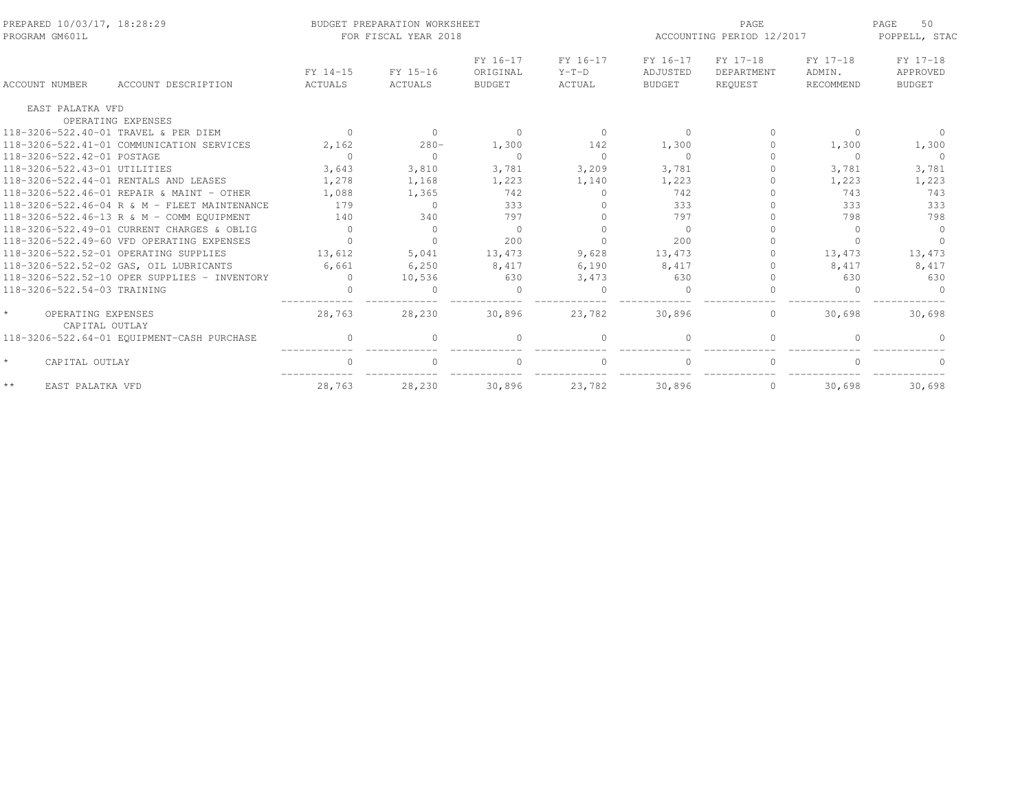| PREPARED 10/03/17, 18:28:29<br>PROGRAM GM601L |                                              |                     | BUDGET PREPARATION WORKSHEET<br>FOR FISCAL YEAR 2018 |                                       | ACCOUNTING PERIOD 12/2017     |                                       | 50<br>PAGE<br>POPPELL, STAC       |                                 |                                       |
|-----------------------------------------------|----------------------------------------------|---------------------|------------------------------------------------------|---------------------------------------|-------------------------------|---------------------------------------|-----------------------------------|---------------------------------|---------------------------------------|
| <b>ACCOUNT NUMBER</b>                         | ACCOUNT DESCRIPTION                          | FY 14-15<br>ACTUALS | FY 15-16<br>ACTUALS                                  | FY 16-17<br>ORIGINAL<br><b>BUDGET</b> | FY 16-17<br>$Y-T-D$<br>ACTUAL | FY 16-17<br>ADJUSTED<br><b>BUDGET</b> | FY 17-18<br>DEPARTMENT<br>REOUEST | FY 17-18<br>ADMIN.<br>RECOMMEND | FY 17-18<br>APPROVED<br><b>BUDGET</b> |
| EAST PALATKA VFD                              |                                              |                     |                                                      |                                       |                               |                                       |                                   |                                 |                                       |
| OPERATING EXPENSES                            |                                              |                     |                                                      |                                       |                               |                                       |                                   |                                 |                                       |
| 118-3206-522.40-01 TRAVEL & PER DIEM          |                                              | $\bigcap$           | $\Omega$                                             | $\Omega$                              | $\Omega$                      | $\bigcap$                             | $\bigcap$                         | $\Omega$                        |                                       |
|                                               | 118-3206-522.41-01 COMMUNICATION SERVICES    | 2,162               | $280 -$                                              | 1,300                                 | 142                           | 1,300                                 |                                   | 1,300                           | 1,300                                 |
| 118-3206-522.42-01 POSTAGE                    |                                              | $\overline{0}$      | $\Omega$                                             | $\Omega$                              | $\Omega$                      | $\Omega$                              |                                   | $\Omega$                        | $\Omega$                              |
| 118-3206-522.43-01 UTILITIES                  |                                              | 3,643               | 3,810                                                | 3,781                                 | 3,209                         | 3,781                                 |                                   | 3,781                           | 3,781                                 |
| 118-3206-522.44-01 RENTALS AND LEASES         |                                              | 1,278               | 1,168                                                | 1,223                                 | 1,140                         | 1,223                                 |                                   | 1,223                           | 1,223                                 |
|                                               | 118-3206-522.46-01 REPAIR & MAINT - OTHER    | 1,088               | 1,365                                                | 742                                   | $\Omega$                      | 742                                   |                                   | 743                             | 743                                   |
|                                               | 118-3206-522.46-04 R & M - FLEET MAINTENANCE | 179                 | $\Omega$                                             | 333                                   |                               | 333                                   |                                   | 333                             | 333                                   |
|                                               | 118-3206-522.46-13 R & M - COMM EOUIPMENT    | 140                 | 340                                                  | 797                                   |                               | 797                                   |                                   | 798                             | 798                                   |
|                                               | 118-3206-522.49-01 CURRENT CHARGES & OBLIG   | $\bigcap$           | $\Omega$                                             | $\Omega$                              | $\bigcap$                     | $\Omega$                              |                                   | $\cap$                          | $\Omega$                              |
|                                               | 118-3206-522.49-60 VFD OPERATING EXPENSES    | $\bigcap$           | $\Omega$                                             | 200                                   |                               | 200                                   |                                   |                                 |                                       |
| 118-3206-522.52-01 OPERATING SUPPLIES         |                                              | 13,612              | 5,041                                                | 13,473                                | 9,628                         | 13,473                                |                                   | 13,473                          | 13,473                                |
| 118-3206-522.52-02 GAS, OIL LUBRICANTS        |                                              | 6,661               | 6,250                                                | 8,417                                 | 6,190                         | 8,417                                 |                                   | 8,417                           | 8,417                                 |
|                                               | 118-3206-522.52-10 OPER SUPPLIES - INVENTORY | $\bigcap$           | 10,536                                               | 630                                   | 3,473                         | 630                                   |                                   | 630                             | 630                                   |
| 118-3206-522.54-03 TRAINING                   |                                              |                     | $\Omega$                                             | $\Omega$                              | $\Omega$                      | $\Omega$                              |                                   | $\cap$                          | $\Omega$                              |
| OPERATING EXPENSES<br>CAPITAL OUTLAY          |                                              | 28,763              | 28,230                                               | 30,896                                | 23,782                        | 30,896                                | $\Omega$                          | 30,698                          | 30,698                                |
|                                               | 118-3206-522.64-01 EQUIPMENT-CASH PURCHASE   |                     |                                                      |                                       | $\Omega$                      |                                       |                                   |                                 |                                       |
| $\star$<br>CAPITAL OUTLAY                     |                                              | $\cap$              | $\cap$                                               | $\Omega$                              | $\bigcap$                     |                                       | $\bigcap$                         | $\cap$                          |                                       |
| $\star$ $\star$<br>EAST PALATKA VFD           |                                              | 28,763              | 28,230                                               | 30,896                                | 23,782                        | 30,896                                | $\circ$                           | 30,698                          | 30,698                                |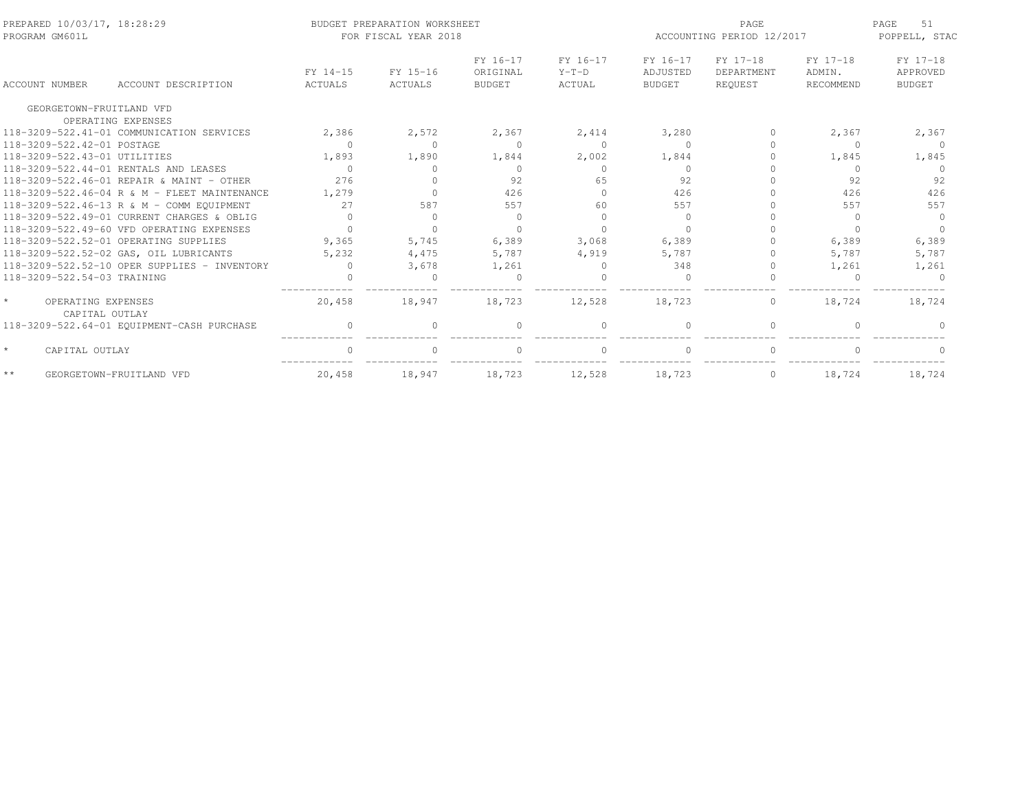| PREPARED 10/03/17, 18:28:29<br>PROGRAM GM601L |                                              |                     | BUDGET PREPARATION WORKSHEET<br>FOR FISCAL YEAR 2018 |                                       | PAGE<br>ACCOUNTING PERIOD 12/2017 |                                       |                                   | 51<br>PAGE<br>POPPELL, STAC     |                                       |
|-----------------------------------------------|----------------------------------------------|---------------------|------------------------------------------------------|---------------------------------------|-----------------------------------|---------------------------------------|-----------------------------------|---------------------------------|---------------------------------------|
| <b>ACCOUNT NUMBER</b>                         | ACCOUNT DESCRIPTION                          | FY 14-15<br>ACTUALS | FY 15-16<br>ACTUALS                                  | FY 16-17<br>ORIGINAL<br><b>BUDGET</b> | FY 16-17<br>$Y-T-D$<br>ACTUAL     | FY 16-17<br>ADJUSTED<br><b>BUDGET</b> | FY 17-18<br>DEPARTMENT<br>REQUEST | FY 17-18<br>ADMIN.<br>RECOMMEND | FY 17-18<br>APPROVED<br><b>BUDGET</b> |
| GEORGETOWN-FRUITLAND VFD                      |                                              |                     |                                                      |                                       |                                   |                                       |                                   |                                 |                                       |
|                                               | OPERATING EXPENSES                           |                     |                                                      |                                       |                                   |                                       |                                   |                                 |                                       |
|                                               | 118-3209-522.41-01 COMMUNICATION SERVICES    | 2,386               | 2,572                                                | 2,367                                 | 2,414                             | 3,280                                 |                                   | 2,367                           | 2,367                                 |
| 118-3209-522.42-01 POSTAGE                    |                                              | $\Omega$            | $\Omega$                                             | $\Omega$                              | $\Omega$                          | $\bigcap$                             |                                   | $\Omega$                        | $\Omega$                              |
| 118-3209-522.43-01 UTILITIES                  |                                              | 1,893               | 1,890                                                | 1,844                                 | 2,002                             | 1,844                                 |                                   | 1,845                           | 1,845                                 |
|                                               | 118-3209-522.44-01 RENTALS AND LEASES        | $\Omega$            | <sup>0</sup>                                         | $\Omega$                              | $\bigcap$                         | $\bigcap$                             |                                   | $\Omega$                        | $\cap$                                |
|                                               | 118-3209-522.46-01 REPAIR & MAINT - OTHER    | 276                 |                                                      | 92                                    | 65                                | 92                                    |                                   | 92                              | 92                                    |
|                                               | 118-3209-522.46-04 R & M - FLEET MAINTENANCE | 1,279               | $\Omega$                                             | 426                                   | $\Omega$                          | 426                                   |                                   | 426                             | 426                                   |
|                                               | 118-3209-522.46-13 R & M - COMM EOUIPMENT    | 27                  | 587                                                  | 557                                   | 60                                | 557                                   |                                   | 557                             | 557                                   |
|                                               | 118-3209-522.49-01 CURRENT CHARGES & OBLIG   | $\bigcap$           | $\Omega$                                             | $\Omega$                              | $\Omega$                          | $\Omega$                              |                                   | $\cap$                          | $\Omega$                              |
|                                               | 118-3209-522.49-60 VFD OPERATING EXPENSES    | $\Omega$            | $\cap$                                               | $\cap$                                |                                   |                                       |                                   |                                 |                                       |
|                                               | 118-3209-522.52-01 OPERATING SUPPLIES        | 9,365               | 5,745                                                | 6,389                                 | 3,068                             | 6,389                                 |                                   | 6,389                           | 6,389                                 |
|                                               | 118-3209-522.52-02 GAS, OIL LUBRICANTS       | 5,232               | 4,475                                                | 5,787                                 | 4,919                             | 5,787                                 |                                   | 5,787                           | 5,787                                 |
|                                               | 118-3209-522.52-10 OPER SUPPLIES - INVENTORY | $\mathbf{0}$        | 3,678                                                | 1,261                                 | $\Omega$                          | 348                                   |                                   | 1,261                           | 1,261                                 |
| 118-3209-522.54-03 TRAINING                   |                                              |                     |                                                      |                                       |                                   |                                       |                                   |                                 |                                       |
| OPERATING EXPENSES<br>CAPITAL OUTLAY          |                                              | 20,458              | 18,947                                               | 18,723                                | 12,528                            | 18,723                                | $\Omega$                          | 18.724                          | 18,724                                |
|                                               | 118-3209-522.64-01 EQUIPMENT-CASH PURCHASE   | $\Omega$            | $\Omega$                                             | $\Omega$                              | $\Omega$                          |                                       | $\cap$                            |                                 |                                       |
| $\star$<br>CAPITAL OUTLAY                     |                                              | $\Omega$            | $\Omega$                                             | $\Omega$                              | $\Omega$                          |                                       | $\cap$                            |                                 | $\Omega$                              |
| $\star\,\star$                                | GEORGETOWN-FRUITLAND VFD                     | 20,458              | 18,947                                               | 18,723                                | 12,528                            | 18,723                                | $\mathbf{0}$                      | 18,724                          | 18,724                                |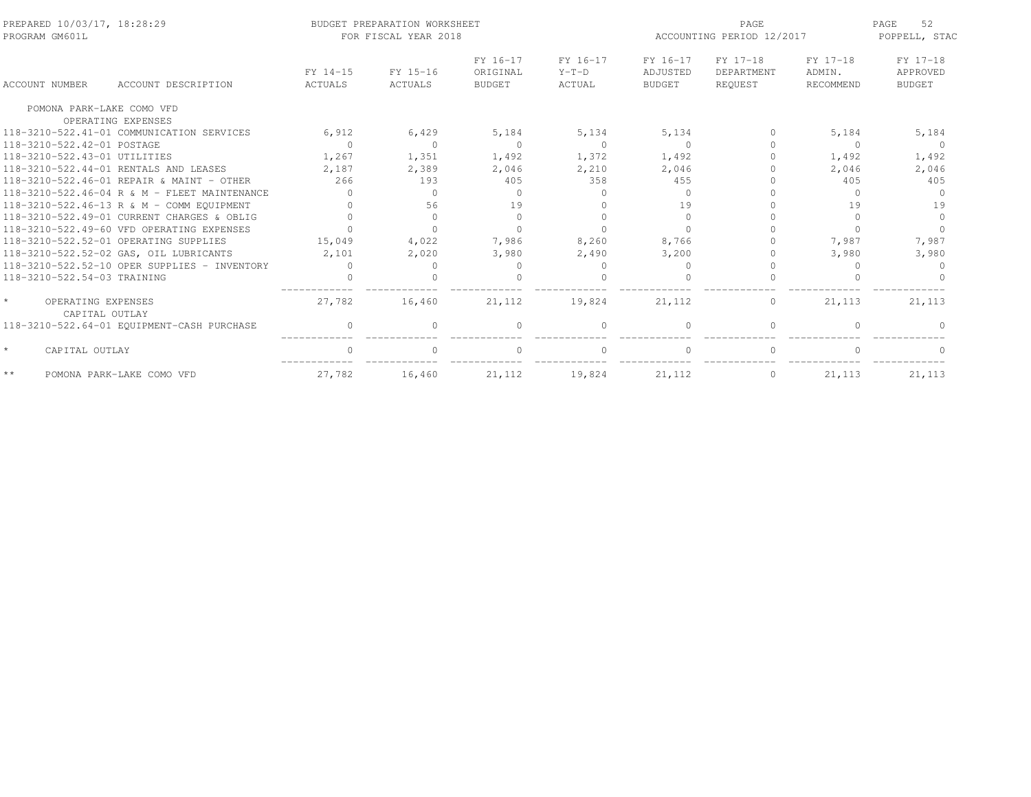| PREPARED 10/03/17, 18:28:29<br>PROGRAM GM601L   |                                              |                     | BUDGET PREPARATION WORKSHEET<br>FOR FISCAL YEAR 2018 |                                       |                               | PAGE<br>ACCOUNTING PERIOD 12/2017     |                                   |                                 | 52<br>PAGE<br>POPPELL, STAC           |  |
|-------------------------------------------------|----------------------------------------------|---------------------|------------------------------------------------------|---------------------------------------|-------------------------------|---------------------------------------|-----------------------------------|---------------------------------|---------------------------------------|--|
| <b>ACCOUNT NUMBER</b>                           | ACCOUNT DESCRIPTION                          | FY 14-15<br>ACTUALS | FY 15-16<br>ACTUALS                                  | FY 16-17<br>ORIGINAL<br><b>BUDGET</b> | FY 16-17<br>$Y-T-D$<br>ACTUAL | FY 16-17<br>ADJUSTED<br><b>BUDGET</b> | FY 17-18<br>DEPARTMENT<br>REQUEST | FY 17-18<br>ADMIN.<br>RECOMMEND | FY 17-18<br>APPROVED<br><b>BUDGET</b> |  |
| POMONA PARK-LAKE COMO VFD                       |                                              |                     |                                                      |                                       |                               |                                       |                                   |                                 |                                       |  |
|                                                 | OPERATING EXPENSES                           |                     |                                                      |                                       |                               |                                       |                                   |                                 |                                       |  |
|                                                 | 118-3210-522.41-01 COMMUNICATION SERVICES    | 6,912               | 6,429                                                | 5,184                                 | 5,134                         | 5,134                                 |                                   | 5,184                           | 5,184                                 |  |
| 118-3210-522.42-01 POSTAGE                      |                                              | $\Omega$            | $\Omega$                                             | $\Omega$                              | $\Omega$                      | $\Omega$                              |                                   | $\Omega$                        | $\Omega$                              |  |
| 118-3210-522.43-01 UTILITIES                    |                                              | 1,267               | 1,351                                                | 1,492                                 | 1,372                         | 1,492                                 |                                   | 1,492                           | 1,492                                 |  |
|                                                 | 118-3210-522.44-01 RENTALS AND LEASES        | 2,187               | 2,389                                                | 2,046                                 | 2,210                         | 2,046                                 |                                   | 2,046                           | 2,046                                 |  |
|                                                 | 118-3210-522.46-01 REPAIR & MAINT - OTHER    | 266                 | 193                                                  | 405                                   | 358                           | 455                                   |                                   | 405                             | 405                                   |  |
|                                                 | 118-3210-522.46-04 R & M - FLEET MAINTENANCE | $\bigcap$           | $\Omega$                                             | $\Omega$                              | $\Omega$                      | $\Omega$                              |                                   | $\Omega$                        | $\cap$                                |  |
|                                                 | 118-3210-522.46-13 R & M - COMM EOUIPMENT    | $\cap$              | 56                                                   | 19                                    | $\bigcap$                     | 19                                    |                                   | 19                              | 19                                    |  |
|                                                 | 118-3210-522.49-01 CURRENT CHARGES & OBLIG   | $\cap$              | $\Omega$                                             | $\Omega$                              | $\Omega$                      | $\Omega$                              |                                   | $\Omega$                        | $\Omega$                              |  |
|                                                 | 118-3210-522.49-60 VFD OPERATING EXPENSES    |                     | $\cap$                                               | $\cap$                                |                               |                                       |                                   |                                 |                                       |  |
|                                                 | 118-3210-522.52-01 OPERATING SUPPLIES        | 15,049              | 4,022                                                | 7,986                                 | 8,260                         | 8,766                                 |                                   | 7,987                           | 7,987                                 |  |
|                                                 | 118-3210-522.52-02 GAS, OIL LUBRICANTS       | 2,101               | 2,020                                                | 3,980                                 | 2,490                         | 3,200                                 |                                   | 3,980                           | 3,980                                 |  |
|                                                 | 118-3210-522.52-10 OPER SUPPLIES - INVENTORY | $\Omega$            |                                                      | $\Omega$                              |                               |                                       |                                   |                                 |                                       |  |
| 118-3210-522.54-03 TRAINING                     |                                              |                     |                                                      |                                       |                               |                                       |                                   |                                 |                                       |  |
| $\star$<br>OPERATING EXPENSES<br>CAPITAL OUTLAY |                                              | 27,782              | 16,460                                               | 21, 112                               | 19.824                        | 21,112                                | $\Omega$                          | 21,113                          | 21,113                                |  |
|                                                 | 118-3210-522.64-01 EQUIPMENT-CASH PURCHASE   | $\Omega$            |                                                      | $\Omega$                              | $\bigcap$                     |                                       | $\Omega$                          |                                 |                                       |  |
| $\star$<br>CAPITAL OUTLAY                       |                                              | $\bigcap$           | $\Omega$                                             | $\Omega$                              | $\Omega$                      |                                       | $\cap$                            |                                 | $\Omega$                              |  |
| $\star\,\star$                                  | POMONA PARK-LAKE COMO VFD                    | 27,782              | 16,460                                               | 21, 112                               | 19,824                        | 21,112                                | $\mathbf{0}$                      | 21,113                          | 21,113                                |  |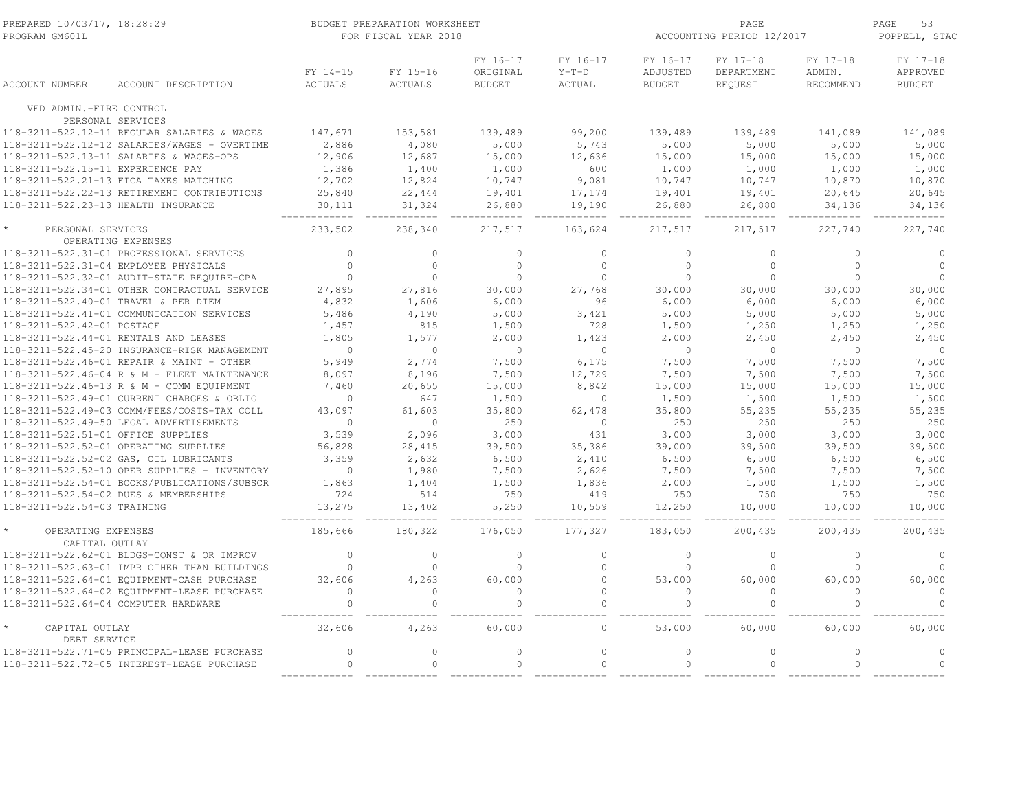| PREPARED 10/03/17, 18:28:29<br>PROGRAM GM601L |                            | BUDGET PREPARATION WORKSHEET<br>FOR FISCAL YEAR 2018 |                                       | ACCOUNTING PERIOD 12/2017            | 53<br>PAGE<br>POPPELL, STAC           |                                   |                                 |                                              |
|-----------------------------------------------|----------------------------|------------------------------------------------------|---------------------------------------|--------------------------------------|---------------------------------------|-----------------------------------|---------------------------------|----------------------------------------------|
| ACCOUNT DESCRIPTION<br><b>ACCOUNT NUMBER</b>  | FY 14-15<br><b>ACTUALS</b> | FY 15-16<br><b>ACTUALS</b>                           | FY 16-17<br>ORIGINAL<br><b>BUDGET</b> | FY 16-17<br>$Y-T-D$<br><b>ACTUAL</b> | FY 16-17<br>ADJUSTED<br><b>BUDGET</b> | FY 17-18<br>DEPARTMENT<br>REQUEST | FY 17-18<br>ADMIN.<br>RECOMMEND | FY 17-18<br><b>APPROVED</b><br><b>BUDGET</b> |
|                                               |                            |                                                      |                                       |                                      |                                       |                                   |                                 |                                              |
| VFD ADMIN.-FIRE CONTROL<br>PERSONAL SERVICES  |                            |                                                      |                                       |                                      |                                       |                                   |                                 |                                              |
| 118-3211-522.12-11 REGULAR SALARIES & WAGES   | 147,671                    | 153,581                                              | 139,489                               | 99,200                               | 139,489                               | 139,489                           | 141,089                         | 141,089                                      |
| 118-3211-522.12-12 SALARIES/WAGES - OVERTIME  | 2,886                      | 4,080                                                | 5,000                                 | 5,743                                | 5,000                                 | 5,000                             | 5,000                           | 5,000                                        |
| 118-3211-522.13-11 SALARIES & WAGES-OPS       | 12,906                     | 12,687                                               | 15,000                                | 12,636                               | 15,000                                | 15,000                            | 15,000                          | 15,000                                       |
| 118-3211-522.15-11 EXPERIENCE PAY             | 1,386                      | 1,400                                                | 1,000                                 | 600                                  | 1,000                                 | 1,000                             | 1,000                           | 1,000                                        |
| 118-3211-522.21-13 FICA TAXES MATCHING        | 12,702                     | 12,824                                               | 10,747                                | 9,081                                | 10,747                                | 10,747                            | 10,870                          | 10,870                                       |
| 118-3211-522.22-13 RETIREMENT CONTRIBUTIONS   | 25,840                     | 22,444                                               | 19,401                                | 17,174                               | 19,401                                | 19,401                            | 20,645                          | 20,645                                       |
| 118-3211-522.23-13 HEALTH INSURANCE           | 30,111                     | 31,324                                               | 26,880                                | 19,190                               | 26,880                                | 26,880                            | 34,136                          | 34,136                                       |
| PERSONAL SERVICES<br>OPERATING EXPENSES       | 233,502                    | 238,340                                              | 217,517                               | 163,624                              | 217,517                               | 217,517                           | 227,740                         | 227,740                                      |
| 118-3211-522.31-01 PROFESSIONAL SERVICES      | $\mathbf{0}$               | $\circ$                                              | $\circ$                               | $\mathbf{0}$                         | $\mathbf{0}$                          | $\circ$                           | $\circ$                         | $\circ$                                      |
| 118-3211-522.31-04 EMPLOYEE PHYSICALS         | $\Omega$                   | $\Omega$                                             | $\Omega$                              | $\circ$                              | $\Omega$                              | $\mathbf{0}$                      | $\Omega$                        | $\Omega$                                     |
| 118-3211-522.32-01 AUDIT-STATE REQUIRE-CPA    | $\mathbf{0}$               | $\circ$                                              | $\circ$                               | $\mathbf 0$                          | $\mathbf{0}$                          | $\mathbf{0}$                      | $\circ$                         | $\Omega$                                     |
| 118-3211-522.34-01 OTHER CONTRACTUAL SERVICE  | 27,895                     | 27,816                                               | 30,000                                | 27,768                               | 30,000                                | 30,000                            | 30,000                          | 30,000                                       |
| 118-3211-522.40-01 TRAVEL & PER DIEM          | 4,832                      | 1,606                                                | 6,000                                 | 96                                   | 6,000                                 | 6,000                             | 6,000                           | 6,000                                        |
| 118-3211-522.41-01 COMMUNICATION SERVICES     | 5,486                      | 4,190                                                | 5,000                                 | 3,421                                | 5,000                                 | 5,000                             | 5,000                           | 5,000                                        |
| 118-3211-522.42-01 POSTAGE                    | 1,457                      | 815                                                  | 1,500                                 | 728                                  | 1,500                                 | 1,250                             | 1,250                           | 1,250                                        |
| 118-3211-522.44-01 RENTALS AND LEASES         | 1,805                      | 1,577                                                | 2,000                                 | 1,423                                | 2,000                                 | 2,450                             | 2,450                           | 2,450                                        |
| 118-3211-522.45-20 INSURANCE-RISK MANAGEMENT  | $\overline{0}$             | $\circ$                                              | $\Omega$                              | $\circ$                              | $\Omega$                              | $\circ$                           | $\circ$                         | $\Omega$                                     |
| 118-3211-522.46-01 REPAIR & MAINT - OTHER     | 5,949                      | 2,774                                                | 7,500                                 | 6,175                                | 7,500                                 | 7,500                             | 7,500                           | 7,500                                        |
| 118-3211-522.46-04 R & M - FLEET MAINTENANCE  | 8,097                      | 8,196                                                | 7,500                                 | 12,729                               | 7,500                                 | 7,500                             | 7,500                           | 7,500                                        |
| 118-3211-522.46-13 R & M - COMM EQUIPMENT     | 7,460                      | 20,655                                               | 15,000                                | 8,842                                | 15,000                                | 15,000                            | 15,000                          | 15,000                                       |
| 118-3211-522.49-01 CURRENT CHARGES & OBLIG    | $\circ$                    | 647                                                  | 1,500                                 | $\circ$                              | 1,500                                 | 1,500                             | 1,500                           | 1,500                                        |
| 118-3211-522.49-03 COMM/FEES/COSTS-TAX COLL   | 43,097                     | 61,603                                               | 35,800                                | 62,478                               | 35,800                                | 55,235                            | 55,235                          | 55,235                                       |
| 118-3211-522.49-50 LEGAL ADVERTISEMENTS       | $\circ$                    | $\circ$                                              | 250                                   | $\circ$                              | 250                                   | 250                               | 250                             | 250                                          |
| 118-3211-522.51-01 OFFICE SUPPLIES            | 3,539                      | 2,096                                                | 3,000                                 | 431                                  | 3,000                                 | 3,000                             | 3,000                           | 3,000                                        |
| 118-3211-522.52-01 OPERATING SUPPLIES         | 56,828                     | 28,415                                               | 39,500                                | 35,386                               | 39,000                                | 39,500                            | 39,500                          | 39,500                                       |
| 118-3211-522.52-02 GAS, OIL LUBRICANTS        | 3.359                      | 2,632                                                | 6,500                                 | 2,410                                | 6,500                                 | 6,500                             | 6,500                           | 6,500                                        |
| 118-3211-522.52-10 OPER SUPPLIES - INVENTORY  | $\circ$                    | 1,980                                                | 7,500                                 | 2,626                                | 7,500                                 | 7,500                             | 7,500                           | 7,500                                        |
| 118-3211-522.54-01 BOOKS/PUBLICATIONS/SUBSCR  | 1,863                      | 1,404                                                | 1,500                                 | 1,836                                | 2,000                                 | 1,500                             | 1,500                           | 1,500                                        |
| 118-3211-522.54-02 DUES & MEMBERSHIPS         | 724                        | 514                                                  | 750                                   | 419                                  | 750                                   | 750                               | 750                             | 750                                          |
| 118-3211-522.54-03 TRAINING                   | 13,275                     | 13,402                                               | 5,250                                 | 10,559                               | 12,250                                | 10,000                            | 10,000                          | 10,000                                       |
| OPERATING EXPENSES<br>CAPITAL OUTLAY          | 185,666                    | 180,322                                              | 176,050                               | 177,327                              | 183,050                               | 200,435                           | 200,435                         | 200,435                                      |
| 118-3211-522.62-01 BLDGS-CONST & OR IMPROV    | $\mathbf{0}$               | $\Omega$                                             | $\circ$                               | $\mathbf{0}$                         | $\mathbf{0}$                          | $\circ$                           | $\circ$                         | $\circ$                                      |
| 118-3211-522.63-01 IMPR OTHER THAN BUILDINGS  | $\mathbf{0}$               | $\circ$                                              | $\circ$                               | $\mathbf{0}$                         | $\mathbf{0}$                          | $\mathbf{0}$                      | $\circ$                         | $\Omega$                                     |
| 118-3211-522.64-01 EQUIPMENT-CASH PURCHASE    | 32,606                     | 4,263                                                | 60,000                                | $\circ$                              | 53,000                                | 60,000                            | 60,000                          | 60,000                                       |
| 118-3211-522.64-02 EQUIPMENT-LEASE PURCHASE   | $\circ$                    | $\Omega$                                             | $\Omega$                              | $\Omega$                             | $\Omega$                              | $\Omega$                          | $\Omega$                        | $\Omega$                                     |
| 118-3211-522.64-04 COMPUTER HARDWARE          | $\mathbf{0}$               | $\circ$                                              | $\Omega$                              | $\mathbf{0}$                         | $\Omega$                              | $\mathbf{0}$                      | $\circ$                         | $\Omega$                                     |
| CAPITAL OUTLAY<br>DEBT SERVICE                | 32,606                     | 4,263                                                | 60,000                                | $\Omega$                             | 53,000                                | 60,000                            | 60,000                          | 60,000                                       |
| 118-3211-522.71-05 PRINCIPAL-LEASE PURCHASE   | $\mathbb O$                | $\circ$                                              | $\circ$                               | $\mathbb O$                          | $\circ$                               | $\mathbb O$                       | $\circ$                         | $\circ$                                      |
| 118-3211-522.72-05 INTEREST-LEASE PURCHASE    | $\circ$                    | $\circ$                                              | $\Omega$                              | $\Omega$                             | $\Omega$                              | $\mathbf{0}$                      | $\circ$                         | $\Omega$                                     |
|                                               |                            |                                                      |                                       |                                      |                                       |                                   |                                 |                                              |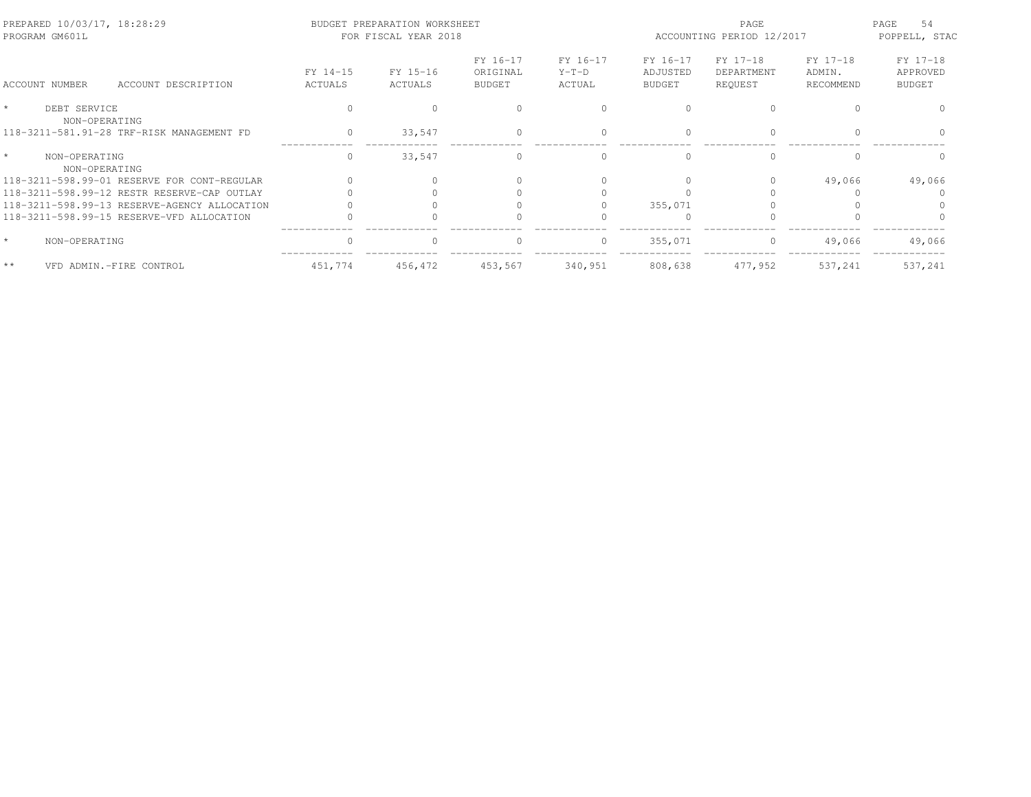| PREPARED 10/03/17, 18:28:29<br>PROGRAM GM601L              |                     | BUDGET PREPARATION WORKSHEET<br>FOR FISCAL YEAR 2018 |                                       |                               |                                       | PAGE<br>ACCOUNTING PERIOD 12/2017 |                                 |                                       |
|------------------------------------------------------------|---------------------|------------------------------------------------------|---------------------------------------|-------------------------------|---------------------------------------|-----------------------------------|---------------------------------|---------------------------------------|
| ACCOUNT NUMBER<br>ACCOUNT DESCRIPTION                      | FY 14-15<br>ACTUALS | FY 15-16<br>ACTUALS                                  | FY 16-17<br>ORIGINAL<br><b>BUDGET</b> | FY 16-17<br>$Y-T-D$<br>ACTUAL | FY 16-17<br>ADJUSTED<br><b>BUDGET</b> | FY 17-18<br>DEPARTMENT<br>REQUEST | FY 17-18<br>ADMIN.<br>RECOMMEND | FY 17-18<br>APPROVED<br><b>BUDGET</b> |
| $\star$<br>DEBT SERVICE                                    |                     |                                                      |                                       |                               |                                       |                                   |                                 |                                       |
| NON-OPERATING<br>118-3211-581.91-28 TRF-RISK MANAGEMENT FD | $\circ$             | 33,547                                               | $\mathbf 0$                           | $\Omega$                      |                                       |                                   |                                 |                                       |
| $\star$<br>NON-OPERATING<br>NON-OPERATING                  | $\Omega$            | 33,547                                               | $\Omega$                              | $\Omega$                      | $\cap$                                | $\cap$                            |                                 |                                       |
| 118-3211-598.99-01 RESERVE FOR CONT-REGULAR                |                     |                                                      |                                       |                               |                                       |                                   | 49,066                          | 49,066                                |
| 118-3211-598.99-12 RESTR RESERVE-CAP OUTLAY                |                     |                                                      |                                       |                               |                                       |                                   |                                 |                                       |
| 118-3211-598.99-13 RESERVE-AGENCY ALLOCATION               |                     |                                                      |                                       |                               | 355,071                               |                                   |                                 |                                       |
| 118-3211-598.99-15 RESERVE-VFD ALLOCATION                  |                     |                                                      |                                       |                               |                                       |                                   |                                 |                                       |
| $\star$<br>NON-OPERATING                                   |                     |                                                      | $\Omega$                              | $\Omega$                      | 355,071                               | $\mathbf{0}$                      | 49,066                          | 49,066                                |
| $**$<br>VFD ADMIN.-FIRE CONTROL                            | 451,774             | 456,472                                              | 453,567                               | 340,951                       | 808,638                               | 477,952                           | 537,241                         | 537,241                               |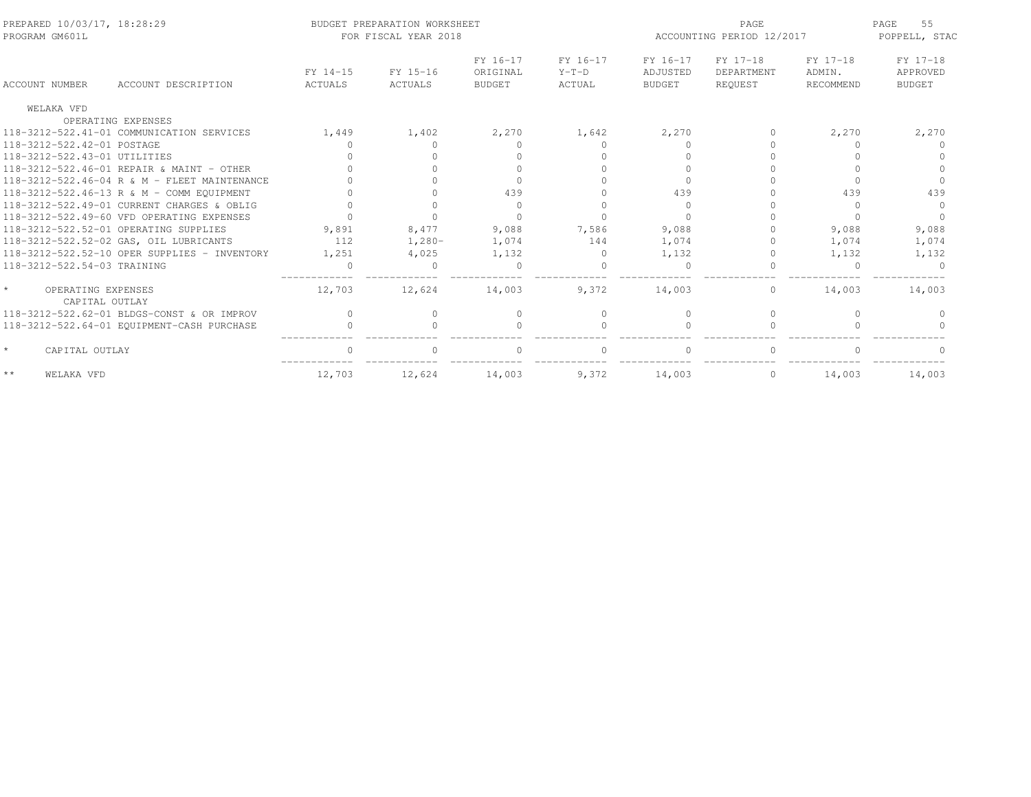| PREPARED 10/03/17, 18:28:29<br>PROGRAM GM601L   |                                              |          | BUDGET PREPARATION WORKSHEET<br>FOR FISCAL YEAR 2018 |                      | PAGE<br>ACCOUNTING PERIOD 12/2017 |                      |                        | 55<br>PAGE<br>POPPELL, STAC |                      |
|-------------------------------------------------|----------------------------------------------|----------|------------------------------------------------------|----------------------|-----------------------------------|----------------------|------------------------|-----------------------------|----------------------|
|                                                 |                                              | FY 14-15 | FY 15-16                                             | FY 16-17<br>ORIGINAL | FY 16-17<br>$Y-T-D$               | FY 16-17<br>ADJUSTED | FY 17-18<br>DEPARTMENT | FY 17-18<br>ADMIN.          | FY 17-18<br>APPROVED |
| <b>ACCOUNT NUMBER</b>                           | ACCOUNT DESCRIPTION                          | ACTUALS  | <b>ACTUALS</b>                                       | <b>BUDGET</b>        | <b>ACTUAL</b>                     | <b>BUDGET</b>        | REQUEST                | RECOMMEND                   | <b>BUDGET</b>        |
| WELAKA VFD                                      |                                              |          |                                                      |                      |                                   |                      |                        |                             |                      |
|                                                 | OPERATING EXPENSES                           |          |                                                      |                      |                                   |                      |                        |                             |                      |
|                                                 | 118-3212-522.41-01 COMMUNICATION SERVICES    | 1,449    | 1,402                                                | 2,270                | 1,642                             | 2,270                | 0                      | 2,270                       | 2,270                |
| 118-3212-522.42-01 POSTAGE                      |                                              |          |                                                      |                      |                                   |                      |                        |                             |                      |
| 118-3212-522.43-01 UTILITIES                    |                                              |          |                                                      |                      |                                   |                      |                        |                             |                      |
|                                                 | 118-3212-522.46-01 REPAIR & MAINT - OTHER    |          |                                                      |                      |                                   |                      |                        |                             |                      |
|                                                 | 118-3212-522.46-04 R & M - FLEET MAINTENANCE |          |                                                      |                      |                                   |                      |                        |                             |                      |
|                                                 | 118-3212-522.46-13 R & M - COMM EQUIPMENT    |          |                                                      | 439                  |                                   | 439                  |                        | 439                         | 439                  |
|                                                 | 118-3212-522.49-01 CURRENT CHARGES & OBLIG   |          |                                                      | $\Omega$             |                                   |                      |                        | $\cap$                      | $\Omega$             |
|                                                 | 118-3212-522.49-60 VFD OPERATING EXPENSES    |          |                                                      | $\cap$               | $\bigcap$                         |                      |                        | $\cap$                      |                      |
|                                                 | 118-3212-522.52-01 OPERATING SUPPLIES        | 9,891    | 8,477                                                | 9,088                | 7,586                             | 9,088                |                        | 9,088                       | 9,088                |
|                                                 | 118-3212-522.52-02 GAS, OIL LUBRICANTS       | 112      | $1,280-$                                             | 1,074                | 144                               | 1,074                |                        | 1,074                       | 1,074                |
|                                                 | 118-3212-522.52-10 OPER SUPPLIES - INVENTORY | 1,251    | 4,025                                                | 1,132                | $\Omega$                          | 1,132                |                        | 1,132                       | 1,132                |
| 118-3212-522.54-03 TRAINING                     |                                              |          |                                                      |                      |                                   |                      |                        |                             |                      |
| $\star$<br>OPERATING EXPENSES<br>CAPITAL OUTLAY |                                              | 12,703   | 12,624                                               | 14,003               | 9,372                             | 14,003               | $\circ$                | 14,003                      | 14,003               |
|                                                 | 118-3212-522.62-01 BLDGS-CONST & OR IMPROV   | $\Omega$ | $\bigcap$                                            | $\mathbf{0}$         | $\Omega$                          | $\Omega$             | $\Omega$               |                             |                      |
|                                                 | 118-3212-522.64-01 EQUIPMENT-CASH PURCHASE   |          |                                                      |                      |                                   |                      |                        |                             |                      |
| $\star$<br>CAPITAL OUTLAY                       |                                              | $\cap$   | $\cap$                                               | $\Omega$             | $\bigcap$                         |                      | $\bigcap$              | ∩                           |                      |
| $\star\,\star$<br>WELAKA VFD                    |                                              | 12,703   | 12,624                                               | 14,003               | 9,372                             | 14,003               | $\mathbf{0}$           | 14,003                      | 14,003               |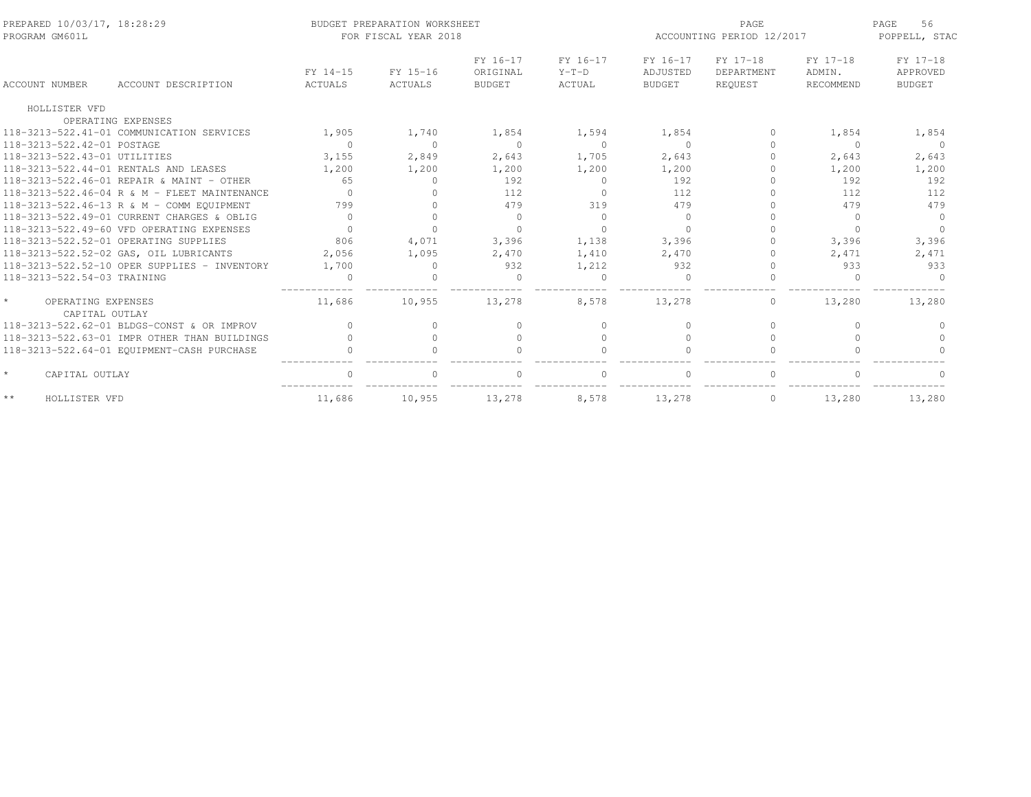| PREPARED 10/03/17, 18:28:29<br>PROGRAM GM601L   | <b>PAGE</b><br>BUDGET PREPARATION WORKSHEET<br>FOR FISCAL YEAR 2018<br>ACCOUNTING PERIOD 12/2017 |           |          | 56<br>PAGE<br>POPPELL, STAC |                     |                      |                        |                    |                      |
|-------------------------------------------------|--------------------------------------------------------------------------------------------------|-----------|----------|-----------------------------|---------------------|----------------------|------------------------|--------------------|----------------------|
|                                                 |                                                                                                  | FY 14-15  | FY 15-16 | FY 16-17<br>ORIGINAL        | FY 16-17<br>$Y-T-D$ | FY 16-17<br>ADJUSTED | FY 17-18<br>DEPARTMENT | FY 17-18<br>ADMIN. | FY 17-18<br>APPROVED |
| ACCOUNT NUMBER                                  | ACCOUNT DESCRIPTION                                                                              | ACTUALS   | ACTUALS  | <b>BUDGET</b>               | ACTUAL              | <b>BUDGET</b>        | REQUEST                | RECOMMEND          | <b>BUDGET</b>        |
| HOLLISTER VFD                                   |                                                                                                  |           |          |                             |                     |                      |                        |                    |                      |
|                                                 | OPERATING EXPENSES                                                                               |           |          |                             |                     |                      |                        |                    |                      |
|                                                 | 118-3213-522.41-01 COMMUNICATION SERVICES                                                        | 1,905     | 1,740    | 1,854                       | 1,594               | 1,854                | $\bigcap$              | 1,854              | 1,854                |
| 118-3213-522.42-01 POSTAGE                      |                                                                                                  | $\circ$   | $\Omega$ | $\Omega$                    | $\Omega$            | $\Omega$             | $\Omega$               | $\Omega$           | $\Omega$             |
| 118-3213-522.43-01 UTILITIES                    |                                                                                                  | 3,155     | 2,849    | 2,643                       | 1,705               | 2,643                | $\cap$                 | 2,643              | 2,643                |
|                                                 | 118-3213-522.44-01 RENTALS AND LEASES                                                            | 1,200     | 1,200    | 1,200                       | 1,200               | 1,200                |                        | 1,200              | 1,200                |
|                                                 | 118-3213-522.46-01 REPAIR & MAINT - OTHER                                                        | 65        | $\Omega$ | 192                         | 0                   | 192                  |                        | 192                | 192                  |
|                                                 | 118-3213-522.46-04 R & M - FLEET MAINTENANCE                                                     | $\Omega$  | $\Omega$ | 112                         | $\Omega$            | 112                  |                        | 112                | 112                  |
|                                                 | 118-3213-522.46-13 R & M - COMM EQUIPMENT                                                        | 799       |          | 479                         | 319                 | 479                  |                        | 479                | 479                  |
|                                                 | 118-3213-522.49-01 CURRENT CHARGES & OBLIG                                                       | $\Omega$  |          | $\Omega$                    | $\Omega$            | $\Omega$             |                        | $\cap$             | $\Omega$             |
|                                                 | 118-3213-522.49-60 VFD OPERATING EXPENSES                                                        | $\Omega$  |          | $\cap$                      | $\bigcap$           | $\Omega$             |                        | $\Omega$           | $\Omega$             |
|                                                 | 118-3213-522.52-01 OPERATING SUPPLIES                                                            | 806       | 4,071    | 3,396                       | 1,138               | 3,396                |                        | 3,396              | 3,396                |
|                                                 | 118-3213-522.52-02 GAS, OIL LUBRICANTS                                                           | 2,056     | 1,095    | 2,470                       | 1,410               | 2,470                |                        | 2,471              | 2,471                |
|                                                 | 118-3213-522.52-10 OPER SUPPLIES - INVENTORY                                                     | 1,700     | $\Omega$ | 932                         | 1,212               | 932                  |                        | 933                | 933                  |
| 118-3213-522.54-03 TRAINING                     |                                                                                                  | $\Omega$  |          | $\Omega$                    | $\Omega$            | $\Omega$             |                        | $\cap$             |                      |
| $\star$<br>OPERATING EXPENSES<br>CAPITAL OUTLAY |                                                                                                  | 11,686    | 10,955   | 13,278                      | 8,578               | 13,278               | $\Omega$               | 13,280             | 13,280               |
|                                                 | 118-3213-522.62-01 BLDGS-CONST & OR IMPROV                                                       | $\bigcap$ | $\Omega$ | $\cap$                      | $\bigcap$           | $\bigcap$            | $\bigcap$              | $\cap$             |                      |
|                                                 | 118-3213-522.63-01 IMPR OTHER THAN BUILDINGS                                                     |           |          |                             | $\cap$              | $\cap$               | $\cap$                 |                    |                      |
|                                                 | 118-3213-522.64-01 EQUIPMENT-CASH PURCHASE                                                       |           |          |                             |                     |                      |                        |                    |                      |
| $\star$<br>CAPITAL OUTLAY                       |                                                                                                  | $\Omega$  |          |                             |                     |                      | $\cap$                 |                    |                      |
| $\star\star$<br>HOLLISTER VFD                   |                                                                                                  | 11,686    | 10,955   | 13,278                      | 8,578               | 13,278               | $\circ$                | 13,280             | 13,280               |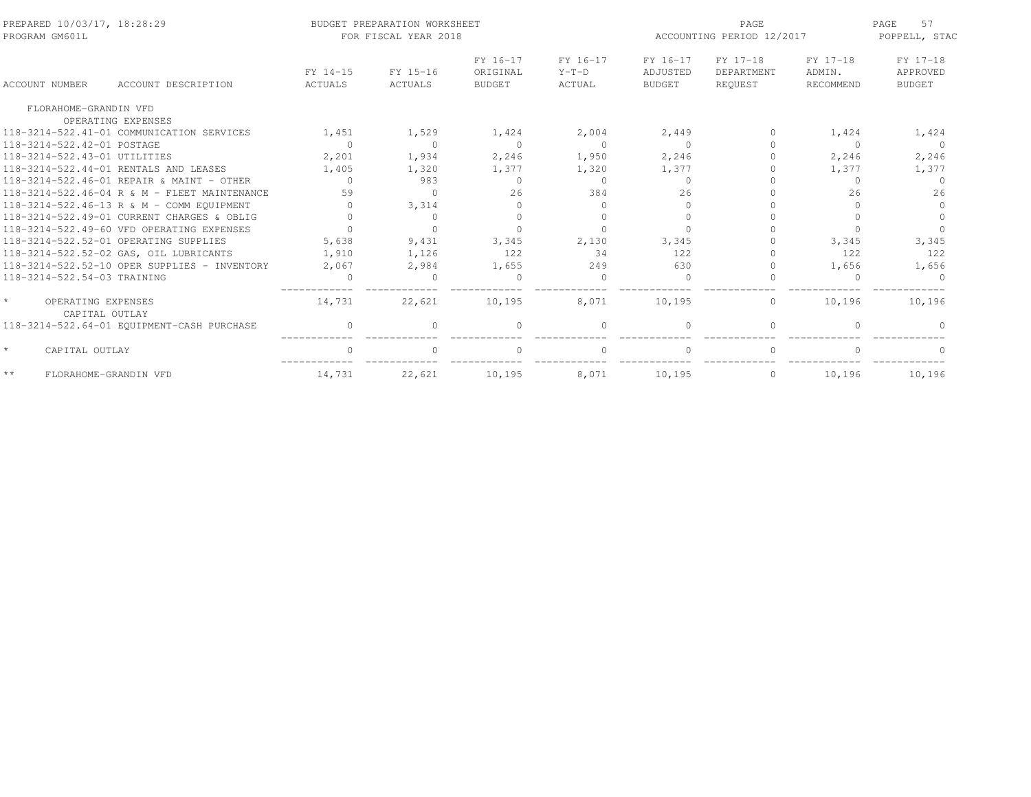| PREPARED 10/03/17, 18:28:29<br>PROGRAM GM601L   |                                              |                     | BUDGET PREPARATION WORKSHEET<br>FOR FISCAL YEAR 2018 |                                       | PAGE<br>ACCOUNTING PERIOD 12/2017 |                                       |                                   | 57<br>PAGE<br>POPPELL, STAC     |                                       |
|-------------------------------------------------|----------------------------------------------|---------------------|------------------------------------------------------|---------------------------------------|-----------------------------------|---------------------------------------|-----------------------------------|---------------------------------|---------------------------------------|
| <b>ACCOUNT NUMBER</b>                           | ACCOUNT DESCRIPTION                          | FY 14-15<br>ACTUALS | FY 15-16<br>ACTUALS                                  | FY 16-17<br>ORIGINAL<br><b>BUDGET</b> | FY 16-17<br>$Y-T-D$<br>ACTUAL     | FY 16-17<br>ADJUSTED<br><b>BUDGET</b> | FY 17-18<br>DEPARTMENT<br>REQUEST | FY 17-18<br>ADMIN.<br>RECOMMEND | FY 17-18<br>APPROVED<br><b>BUDGET</b> |
| FLORAHOME-GRANDIN VFD                           |                                              |                     |                                                      |                                       |                                   |                                       |                                   |                                 |                                       |
|                                                 | OPERATING EXPENSES                           |                     |                                                      |                                       |                                   |                                       |                                   |                                 |                                       |
|                                                 | 118-3214-522.41-01 COMMUNICATION SERVICES    | 1,451               | 1,529                                                | 1,424                                 | 2,004                             | 2,449                                 |                                   | 1,424                           | 1,424                                 |
| 118-3214-522.42-01 POSTAGE                      |                                              | $\Omega$            | $\Omega$                                             | $\Omega$                              | $\Omega$                          | $\bigcap$                             |                                   | $\Omega$                        | $\Omega$                              |
| 118-3214-522.43-01 UTILITIES                    |                                              | 2,201               | 1,934                                                | 2,246                                 | 1,950                             | 2,246                                 |                                   | 2,246                           | 2,246                                 |
|                                                 | 118-3214-522.44-01 RENTALS AND LEASES        | 1,405               | 1,320                                                | 1,377                                 | 1,320                             | 1,377                                 |                                   | 1,377                           | 1,377                                 |
|                                                 | 118-3214-522.46-01 REPAIR & MAINT - OTHER    | $\Omega$            | 983                                                  | $\Omega$                              | $\Omega$                          | $\bigcap$                             |                                   | $\bigcap$                       | $\Omega$                              |
|                                                 | 118-3214-522.46-04 R & M - FLEET MAINTENANCE | 59                  | $\Omega$                                             | 26                                    | 384                               | 2.6                                   |                                   | 2.6                             | 26                                    |
|                                                 | 118-3214-522.46-13 R & M - COMM EOUIPMENT    | $\Omega$            | 3,314                                                |                                       | $\bigcap$                         |                                       |                                   |                                 | $\Omega$                              |
|                                                 | 118-3214-522.49-01 CURRENT CHARGES & OBLIG   | $\bigcap$           | $\Omega$                                             | $\Omega$                              | $\cap$                            | $\bigcap$                             |                                   |                                 | $\Omega$                              |
|                                                 | 118-3214-522.49-60 VFD OPERATING EXPENSES    |                     | $\cap$                                               |                                       |                                   |                                       |                                   |                                 |                                       |
|                                                 | 118-3214-522.52-01 OPERATING SUPPLIES        | 5,638               | 9,431                                                | 3,345                                 | 2,130                             | 3,345                                 |                                   | 3,345                           | 3,345                                 |
|                                                 | 118-3214-522.52-02 GAS, OIL LUBRICANTS       | 1,910               | 1,126                                                | 122                                   | 34                                | 122                                   |                                   | 122                             | 122                                   |
|                                                 | 118-3214-522.52-10 OPER SUPPLIES - INVENTORY | 2,067               | 2,984                                                | 1,655                                 | 249                               | 630                                   |                                   | 1,656                           | 1,656                                 |
| 118-3214-522.54-03 TRAINING                     |                                              |                     |                                                      |                                       |                                   |                                       |                                   |                                 |                                       |
| $\star$<br>OPERATING EXPENSES<br>CAPITAL OUTLAY |                                              | 14,731              | 22,621                                               | 10,195                                | 8,071                             | 10,195                                | $\Omega$                          | 10,196                          | 10,196                                |
|                                                 | 118-3214-522.64-01 EQUIPMENT-CASH PURCHASE   | $\Omega$            | $\cap$                                               | $\Omega$                              | $\bigcap$                         |                                       | $\Omega$                          |                                 |                                       |
| $\star$<br>CAPITAL OUTLAY                       |                                              | $\Omega$            | $\Omega$                                             | $\Omega$                              | $\Omega$                          |                                       | $\Omega$                          |                                 | $\Omega$                              |
| $\star\,\star$<br>FLORAHOME-GRANDIN VFD         |                                              | 14,731              | 22,621                                               | 10,195                                | 8,071                             | 10,195                                | $\circ$                           | 10,196                          | 10,196                                |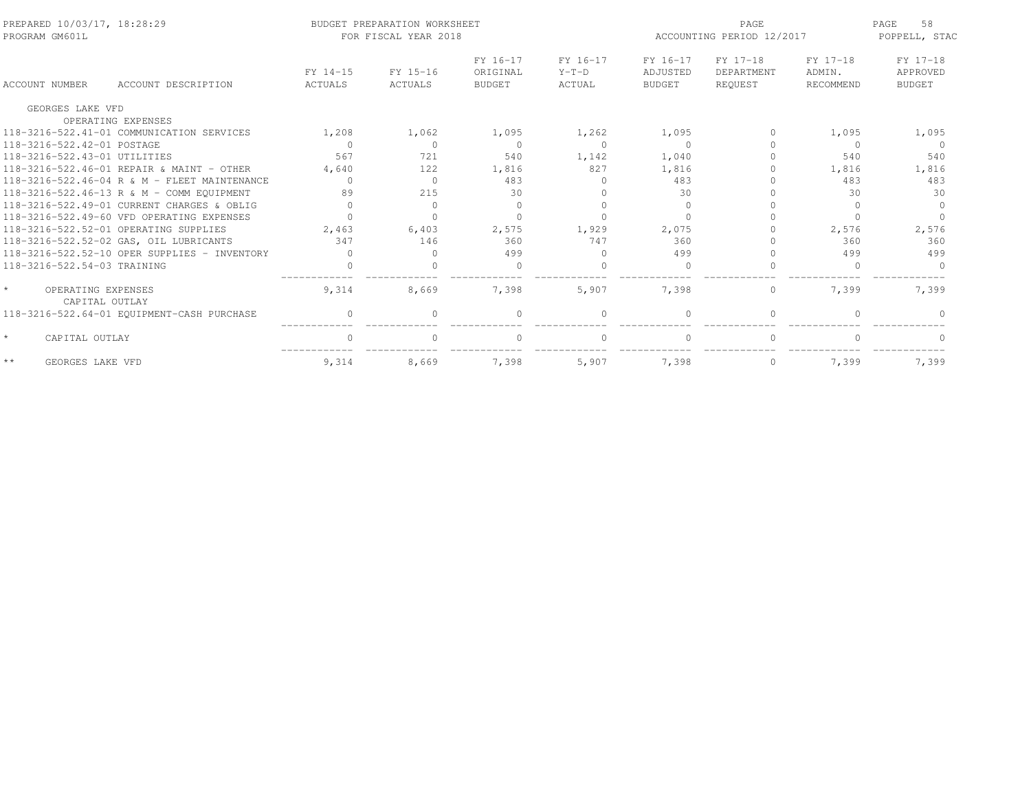| PREPARED 10/03/17, 18:28:29<br>PROGRAM GM601L   |                            | BUDGET PREPARATION WORKSHEET<br>FOR FISCAL YEAR 2018 |                                       |                               | PAGE<br>ACCOUNTING PERIOD 12/2017     |                                   |                                 | 58<br>PAGE<br>POPPELL, STAC           |  |
|-------------------------------------------------|----------------------------|------------------------------------------------------|---------------------------------------|-------------------------------|---------------------------------------|-----------------------------------|---------------------------------|---------------------------------------|--|
| <b>ACCOUNT NUMBER</b><br>ACCOUNT DESCRIPTION    | FY 14-15<br><b>ACTUALS</b> | FY 15-16<br>ACTUALS                                  | FY 16-17<br>ORIGINAL<br><b>BUDGET</b> | FY 16-17<br>$Y-T-D$<br>ACTUAL | FY 16-17<br>ADJUSTED<br><b>BUDGET</b> | FY 17-18<br>DEPARTMENT<br>REOUEST | FY 17-18<br>ADMIN.<br>RECOMMEND | FY 17-18<br>APPROVED<br><b>BUDGET</b> |  |
| GEORGES LAKE VFD                                |                            |                                                      |                                       |                               |                                       |                                   |                                 |                                       |  |
| OPERATING EXPENSES                              |                            |                                                      |                                       |                               |                                       |                                   |                                 |                                       |  |
| 118-3216-522.41-01 COMMUNICATION SERVICES       | 1,208                      | 1,062                                                | 1,095                                 | 1,262                         | 1,095                                 | $\bigcap$                         | 1,095                           | 1,095                                 |  |
| 118-3216-522.42-01 POSTAGE                      | $\Omega$                   | $\Omega$                                             | $\Omega$                              | $\Omega$                      |                                       |                                   | $\Omega$                        | $\Omega$                              |  |
| 118-3216-522.43-01 UTILITIES                    | 567                        | 721                                                  | 540                                   | 1,142                         | 1,040                                 |                                   | 540                             | 540                                   |  |
| 118-3216-522.46-01 REPATR & MAINT - OTHER       | 4,640                      | 122                                                  | 1,816                                 | 827                           | 1,816                                 |                                   | 1,816                           | 1,816                                 |  |
| 118-3216-522.46-04 R & M - FLEET MAINTENANCE    | $\Omega$                   | $\Omega$                                             | 483                                   | $\Omega$                      | 483                                   |                                   | 483                             | 483                                   |  |
| 118-3216-522.46-13 R & M - COMM EOUIPMENT       | 89                         | 215                                                  | 30                                    |                               | 30                                    |                                   | 30                              | 30                                    |  |
| 118-3216-522.49-01 CURRENT CHARGES & OBLIG      | ∩                          | $\Omega$                                             | $\Omega$                              |                               |                                       |                                   |                                 | $\Omega$                              |  |
| 118-3216-522.49-60 VFD OPERATING EXPENSES       |                            | $\cap$                                               |                                       |                               |                                       |                                   |                                 |                                       |  |
| 118-3216-522.52-01 OPERATING SUPPLIES           | 2,463                      | 6,403                                                | 2,575                                 | 1,929                         | 2,075                                 |                                   | 2,576                           | 2,576                                 |  |
| 118-3216-522.52-02 GAS, OIL LUBRICANTS          | 347                        | 146                                                  | 360                                   | 747                           | 360                                   |                                   | 360                             | 360                                   |  |
| 118-3216-522.52-10 OPER SUPPLIES - INVENTORY    | ∩                          | $\cap$                                               | 499                                   | $\Omega$                      | 499                                   |                                   | 499                             | 499                                   |  |
| 118-3216-522.54-03 TRAINING                     |                            |                                                      | $\cap$                                | $\cap$                        | $\cap$                                |                                   |                                 | $\cap$                                |  |
| $\star$<br>OPERATING EXPENSES<br>CAPITAL OUTLAY | 9,314                      | 8,669                                                | 7,398                                 | 5,907                         | 7,398                                 | $\circ$                           | 7,399                           | 7,399                                 |  |
| 118-3216-522.64-01 EQUIPMENT-CASH PURCHASE      | $\bigcap$                  | $\cap$                                               | $\cap$                                | $\Omega$                      |                                       | $\cap$                            |                                 |                                       |  |
| $\star$<br>CAPITAL OUTLAY                       | $\Omega$                   | $\Omega$                                             | $\Omega$                              | $\Omega$                      |                                       | $\Omega$                          | $\cap$                          |                                       |  |
| $\star\star$<br>GEORGES LAKE VFD                | 9,314                      | 8,669                                                | 7,398                                 | 5,907                         | 7,398                                 | $\mathbf{0}$                      | 7,399                           | 7,399                                 |  |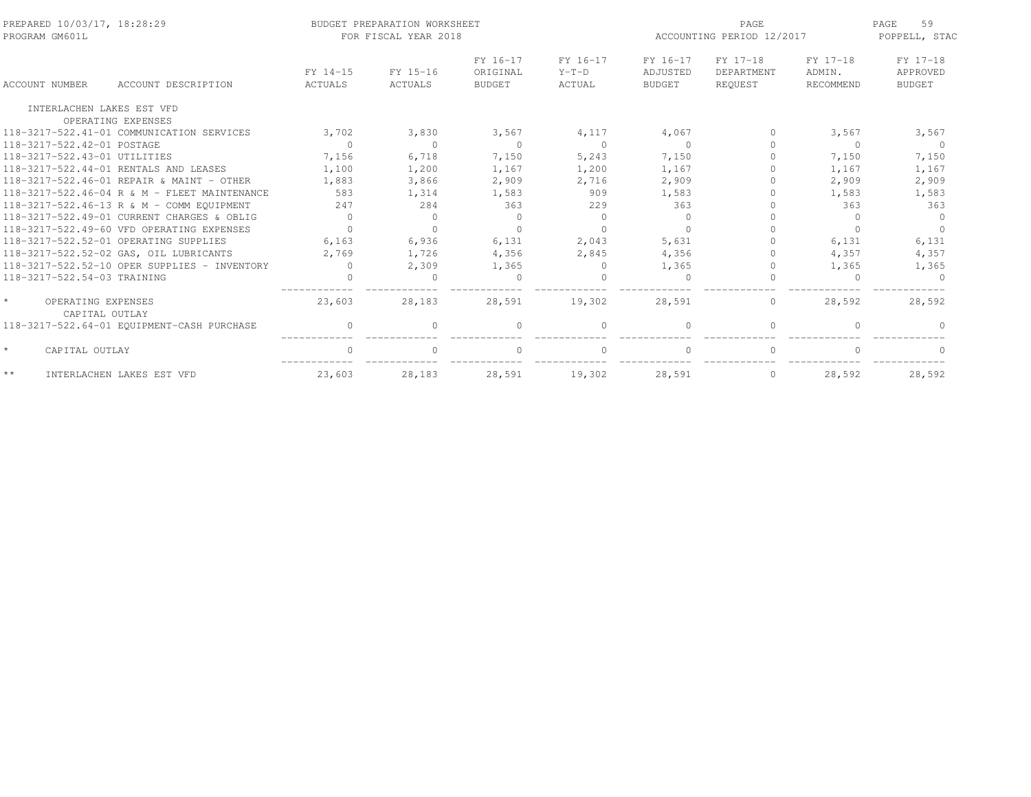| PREPARED 10/03/17, 18:28:29<br>PROGRAM GM601L   |                                              |                     | BUDGET PREPARATION WORKSHEET<br>FOR FISCAL YEAR 2018 |                                       | PAGE<br>ACCOUNTING PERIOD 12/2017 |                                       |                                   | 59<br>PAGE<br>POPPELL, STAC     |                                       |
|-------------------------------------------------|----------------------------------------------|---------------------|------------------------------------------------------|---------------------------------------|-----------------------------------|---------------------------------------|-----------------------------------|---------------------------------|---------------------------------------|
| <b>ACCOUNT NUMBER</b>                           | ACCOUNT DESCRIPTION                          | FY 14-15<br>ACTUALS | FY 15-16<br>ACTUALS                                  | FY 16-17<br>ORIGINAL<br><b>BUDGET</b> | FY 16-17<br>$Y-T-D$<br>ACTUAL     | FY 16-17<br>ADJUSTED<br><b>BUDGET</b> | FY 17-18<br>DEPARTMENT<br>REQUEST | FY 17-18<br>ADMIN.<br>RECOMMEND | FY 17-18<br>APPROVED<br><b>BUDGET</b> |
| INTERLACHEN LAKES EST VFD                       |                                              |                     |                                                      |                                       |                                   |                                       |                                   |                                 |                                       |
|                                                 | OPERATING EXPENSES                           |                     |                                                      |                                       |                                   |                                       |                                   |                                 |                                       |
|                                                 | 118-3217-522.41-01 COMMUNICATION SERVICES    | 3,702               | 3,830                                                | 3,567                                 | 4,117                             | 4,067                                 | 0                                 | 3,567                           | 3,567                                 |
| 118-3217-522.42-01 POSTAGE                      |                                              | $\Omega$            | $\Omega$                                             | $\Omega$                              | $\Omega$                          | $\Omega$                              |                                   | $\Omega$                        | $\Omega$                              |
| 118-3217-522.43-01 UTILITIES                    |                                              | 7,156               | 6,718                                                | 7,150                                 | 5,243                             | 7,150                                 |                                   | 7,150                           | 7,150                                 |
|                                                 | 118-3217-522.44-01 RENTALS AND LEASES        | 1,100               | 1,200                                                | 1,167                                 | 1,200                             | 1,167                                 |                                   | 1,167                           | 1,167                                 |
|                                                 | 118-3217-522.46-01 REPAIR & MAINT - OTHER    | 1,883               | 3,866                                                | 2,909                                 | 2,716                             | 2,909                                 |                                   | 2,909                           | 2,909                                 |
|                                                 | 118-3217-522.46-04 R & M - FLEET MAINTENANCE | 583                 | 1,314                                                | 1,583                                 | 909                               | 1,583                                 |                                   | 1,583                           | 1,583                                 |
|                                                 | 118-3217-522.46-13 R & M - COMM EOUIPMENT    | 247                 | 284                                                  | 363                                   | 229                               | 363                                   |                                   | 363                             | 363                                   |
|                                                 | 118-3217-522.49-01 CURRENT CHARGES & OBLIG   | $\Omega$            | $\Omega$                                             | $\Omega$                              | $\cap$                            | $\Omega$                              |                                   | $\Omega$                        | $\Omega$                              |
|                                                 | 118-3217-522.49-60 VFD OPERATING EXPENSES    | $\Omega$            | $\Omega$                                             | $\Omega$                              | $\bigcap$                         |                                       |                                   |                                 | $\cap$                                |
|                                                 | 118-3217-522.52-01 OPERATING SUPPLIES        | 6,163               | 6,936                                                | 6,131                                 | 2,043                             | 5,631                                 |                                   | 6,131                           | 6,131                                 |
|                                                 | 118-3217-522.52-02 GAS, OIL LUBRICANTS       | 2,769               | 1,726                                                | 4,356                                 | 2,845                             | 4,356                                 |                                   | 4,357                           | 4,357                                 |
|                                                 | 118-3217-522.52-10 OPER SUPPLIES - INVENTORY | $\Omega$            | 2,309                                                | 1,365                                 | $\Omega$                          | 1,365                                 |                                   | 1,365                           | 1,365                                 |
| 118-3217-522.54-03 TRAINING                     |                                              |                     |                                                      |                                       |                                   |                                       |                                   |                                 |                                       |
| $\star$<br>OPERATING EXPENSES<br>CAPITAL OUTLAY |                                              | 23,603              | 28,183                                               | 28,591                                | 19.302                            | 28,591                                | $\Omega$                          | 28,592                          | 28,592                                |
|                                                 | 118-3217-522.64-01 EQUIPMENT-CASH PURCHASE   | $\Omega$            | $\Omega$                                             | $\Omega$                              | $\bigcap$                         |                                       | $\Omega$                          |                                 |                                       |
| $\star$<br>CAPITAL OUTLAY                       |                                              | $\Omega$            | $\Omega$                                             | $\Omega$                              | $\Omega$                          |                                       | $\Omega$                          | ∩                               | $\Omega$                              |
| $\star\,\star$                                  | INTERLACHEN LAKES EST VFD                    | 23,603              | 28,183                                               | 28,591                                | 19,302                            | 28,591                                | $\circ$                           | 28,592                          | 28,592                                |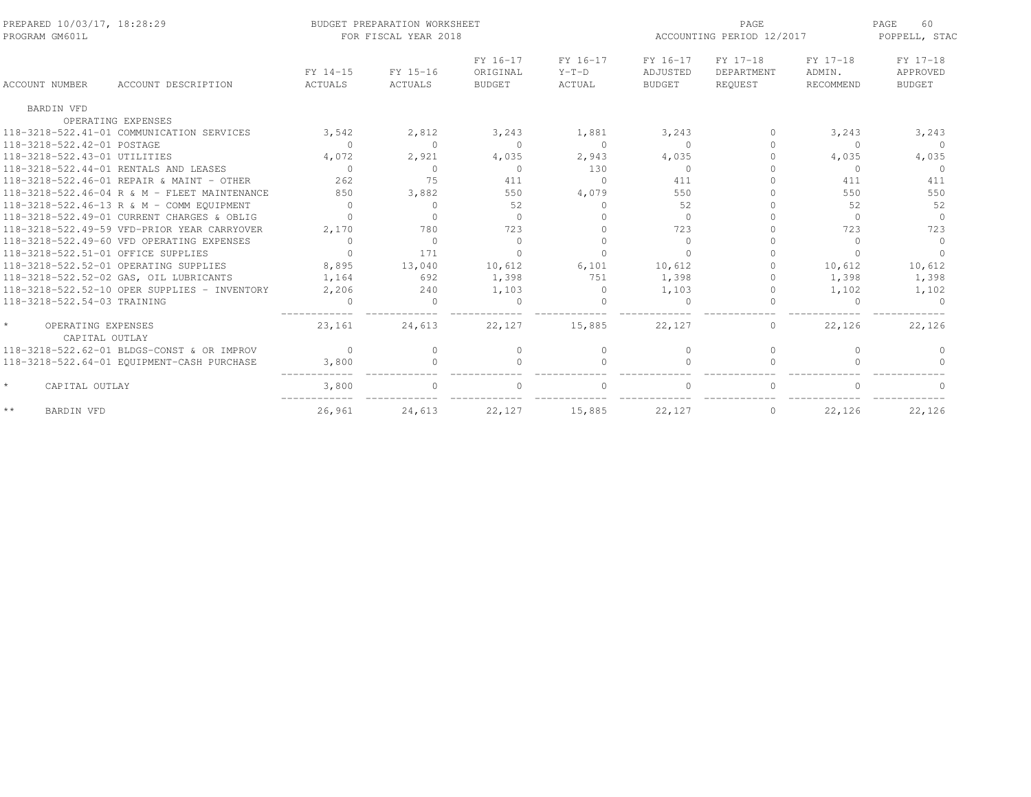| PREPARED 10/03/17, 18:28:29<br>PROGRAM GM601L |                                              | PAGE<br>BUDGET PREPARATION WORKSHEET<br>FOR FISCAL YEAR 2018<br>ACCOUNTING PERIOD 12/2017 |                     | PAGE<br>60<br>POPPELL, STAC           |                               |                                       |                                   |                                 |                                       |
|-----------------------------------------------|----------------------------------------------|-------------------------------------------------------------------------------------------|---------------------|---------------------------------------|-------------------------------|---------------------------------------|-----------------------------------|---------------------------------|---------------------------------------|
| <b>ACCOUNT NUMBER</b>                         | ACCOUNT DESCRIPTION                          | FY 14-15<br>ACTUALS                                                                       | FY 15-16<br>ACTUALS | FY 16-17<br>ORIGINAL<br><b>BUDGET</b> | FY 16-17<br>$Y-T-D$<br>ACTUAL | FY 16-17<br>ADJUSTED<br><b>BUDGET</b> | FY 17-18<br>DEPARTMENT<br>REQUEST | FY 17-18<br>ADMIN.<br>RECOMMEND | FY 17-18<br>APPROVED<br><b>BUDGET</b> |
| BARDIN VFD                                    |                                              |                                                                                           |                     |                                       |                               |                                       |                                   |                                 |                                       |
|                                               | OPERATING EXPENSES                           |                                                                                           |                     |                                       |                               |                                       |                                   |                                 |                                       |
|                                               | 118-3218-522.41-01 COMMUNICATION SERVICES    | 3,542                                                                                     | 2,812               | 3,243                                 | 1,881                         | 3,243                                 | $\Omega$                          | 3,243                           | 3,243                                 |
| 118-3218-522.42-01 POSTAGE                    |                                              | $\Omega$                                                                                  | $\Omega$            | $\Omega$                              | $\Omega$                      | $\Omega$                              |                                   | $\Omega$                        | $\Omega$                              |
| 118-3218-522.43-01 UTILITIES                  |                                              | 4,072                                                                                     | 2,921               | 4,035                                 | 2,943                         | 4,035                                 |                                   | 4,035                           | 4,035                                 |
|                                               | 118-3218-522.44-01 RENTALS AND LEASES        | $\Omega$                                                                                  | $\Omega$            | $\Omega$                              | 130                           | $\Omega$                              |                                   | $\Omega$                        | $\Omega$                              |
|                                               | 118-3218-522.46-01 REPAIR & MAINT - OTHER    | 262                                                                                       | 75                  | 411                                   | $\Omega$                      | 411                                   |                                   | 411                             | 411                                   |
|                                               | 118-3218-522.46-04 R & M - FLEET MAINTENANCE | 850                                                                                       | 3,882               | 550                                   | 4,079                         | 550                                   |                                   | 550                             | 550                                   |
|                                               | 118-3218-522.46-13 R & M - COMM EQUIPMENT    | $\cap$                                                                                    | $\bigcap$           | 52                                    | $\bigcap$                     | 52                                    |                                   | 52                              | 52                                    |
|                                               | 118-3218-522.49-01 CURRENT CHARGES & OBLIG   | $\Omega$                                                                                  | $\Omega$            | $\Omega$                              |                               | $\bigcap$                             |                                   | $\Omega$                        | $\Omega$                              |
|                                               | 118-3218-522.49-59 VFD-PRIOR YEAR CARRYOVER  | 2,170                                                                                     | 780                 | 723                                   |                               | 723                                   |                                   | 723                             | 723                                   |
|                                               | 118-3218-522.49-60 VFD OPERATING EXPENSES    | $\Omega$                                                                                  | $\Omega$            | $\Omega$                              | $\Omega$                      | $\Omega$                              |                                   | $\Omega$                        | $\Omega$                              |
| 118-3218-522.51-01 OFFICE SUPPLIES            |                                              | $\Omega$                                                                                  | 171                 | $\Omega$                              | $\cap$                        | $\Omega$                              |                                   | $\Omega$                        | $\cap$                                |
|                                               | 118-3218-522.52-01 OPERATING SUPPLIES        | 8,895                                                                                     | 13,040              | 10,612                                | 6,101                         | 10,612                                |                                   | 10,612                          | 10,612                                |
|                                               | 118-3218-522.52-02 GAS, OIL LUBRICANTS       | 1,164                                                                                     | 692                 | 1,398                                 | 751                           | 1,398                                 |                                   | 1,398                           | 1,398                                 |
|                                               | 118-3218-522.52-10 OPER SUPPLIES - INVENTORY | 2,206                                                                                     | 240                 | 1,103                                 | $\circ$                       | 1,103                                 |                                   | 1,102                           | 1,102                                 |
| 118-3218-522.54-03 TRAINING                   |                                              | $\cap$                                                                                    | $\Omega$            | $\Omega$                              | $\cap$                        |                                       |                                   | $\cap$                          | $\cap$                                |
| OPERATING EXPENSES<br>CAPITAL OUTLAY          |                                              | 23,161                                                                                    | 24,613              | 22,127                                | 15,885                        | 22,127                                | $\circ$                           | 22,126                          | 22,126                                |
|                                               | 118-3218-522.62-01 BLDGS-CONST & OR IMPROV   | $\Omega$                                                                                  | $\circ$             | $\circ$                               | $\Omega$                      | 0                                     | $\mathbf{0}$                      | $\Omega$                        | $\Omega$                              |
|                                               | 118-3218-522.64-01 EQUIPMENT-CASH PURCHASE   | 3,800                                                                                     | $\Omega$            | $\Omega$                              | $\bigcap$                     |                                       | $\bigcap$                         |                                 | $\cap$                                |
| $\star$<br>CAPITAL OUTLAY                     |                                              | 3,800                                                                                     | $\Omega$            | $\Omega$                              | $\Omega$                      |                                       | $\cap$                            |                                 |                                       |
| $\star\,\star$<br>BARDIN VFD                  |                                              | 26,961                                                                                    | 24,613              | 22,127                                | 15,885                        | 22,127                                | $\mathbf{0}$                      | 22,126                          | 22,126                                |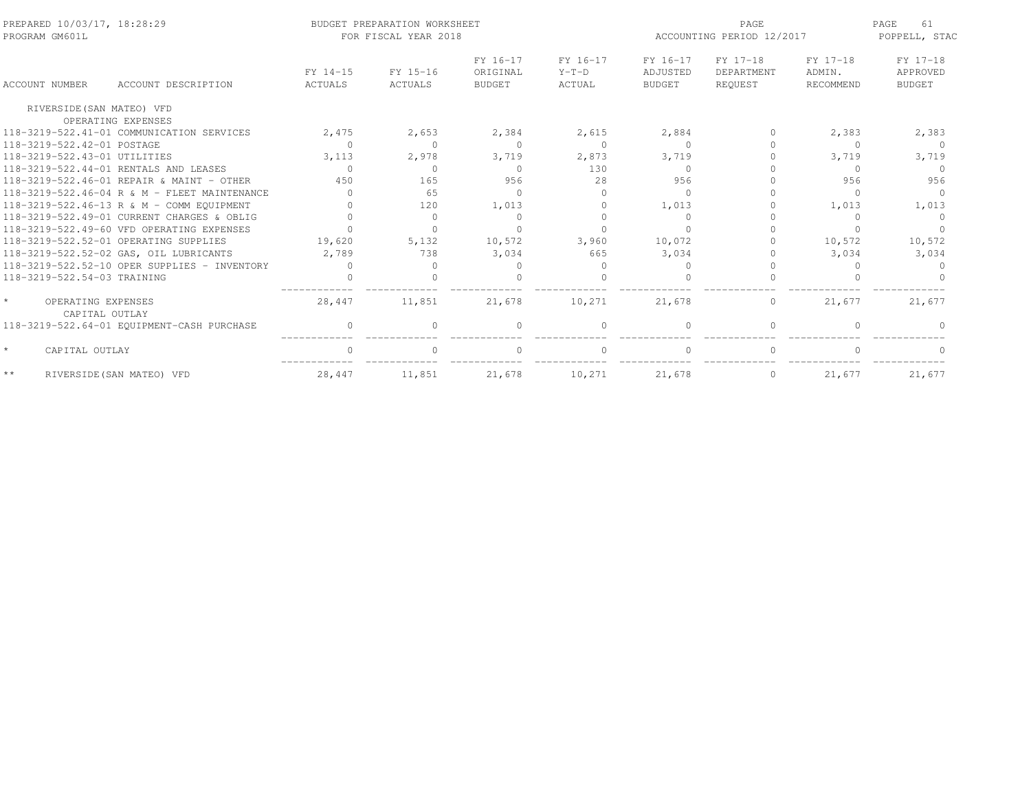| PREPARED 10/03/17, 18:28:29<br>PROGRAM GM601L |                                                                 |                     | BUDGET PREPARATION WORKSHEET<br>FOR FISCAL YEAR 2018 |                                       |                               | ACCOUNTING PERIOD 12/2017             | 61<br>PAGE<br>POPPELL, STAC       |                                 |                                       |
|-----------------------------------------------|-----------------------------------------------------------------|---------------------|------------------------------------------------------|---------------------------------------|-------------------------------|---------------------------------------|-----------------------------------|---------------------------------|---------------------------------------|
| <b>ACCOUNT NUMBER</b>                         | ACCOUNT DESCRIPTION                                             | FY 14-15<br>ACTUALS | FY 15-16<br>ACTUALS                                  | FY 16-17<br>ORIGINAL<br><b>BUDGET</b> | FY 16-17<br>$Y-T-D$<br>ACTUAL | FY 16-17<br>ADJUSTED<br><b>BUDGET</b> | FY 17-18<br>DEPARTMENT<br>REQUEST | FY 17-18<br>ADMIN.<br>RECOMMEND | FY 17-18<br>APPROVED<br><b>BUDGET</b> |
|                                               |                                                                 |                     |                                                      |                                       |                               |                                       |                                   |                                 |                                       |
| RIVERSIDE (SAN MATEO) VFD                     |                                                                 |                     |                                                      |                                       |                               |                                       |                                   |                                 |                                       |
|                                               | OPERATING EXPENSES<br>118-3219-522.41-01 COMMUNICATION SERVICES | 2,475               | 2,653                                                | 2,384                                 | 2,615                         | 2,884                                 |                                   | 2,383                           | 2,383                                 |
| 118-3219-522.42-01 POSTAGE                    |                                                                 | $\Omega$            | $\Omega$                                             | $\Omega$                              | $\Omega$                      | $\bigcap$                             |                                   | $\Omega$                        | $\Omega$                              |
| 118-3219-522.43-01 UTILITIES                  |                                                                 | 3,113               | 2,978                                                | 3,719                                 | 2,873                         | 3,719                                 |                                   | 3,719                           | 3,719                                 |
|                                               | 118-3219-522.44-01 RENTALS AND LEASES                           | $\Omega$            | $\Omega$                                             | $\Omega$                              | 130                           | $\cap$                                |                                   | $\Omega$                        | $\cap$                                |
|                                               | 118-3219-522.46-01 REPAIR & MAINT - OTHER                       | 450                 | 165                                                  | 956                                   | 28                            | 956                                   |                                   | 956                             | 956                                   |
|                                               | 118-3219-522.46-04 R & M - FLEET MAINTENANCE                    | $\bigcap$           | 65                                                   | $\Omega$                              | $\Omega$                      | $\bigcap$                             |                                   | $\Omega$                        | $\Omega$                              |
|                                               | 118-3219-522.46-13 R & M - COMM EOUIPMENT                       | $\cap$              | 120                                                  | 1,013                                 | $\Omega$                      | 1,013                                 |                                   | 1,013                           | 1,013                                 |
|                                               | 118-3219-522.49-01 CURRENT CHARGES & OBLIG                      | $\cap$              | $\Omega$                                             | $\Omega$                              | $\Omega$                      |                                       |                                   | ∩                               | $\cap$                                |
|                                               | 118-3219-522.49-60 VFD OPERATING EXPENSES                       |                     | $\cap$                                               | $\cap$                                |                               |                                       |                                   |                                 |                                       |
|                                               | 118-3219-522.52-01 OPERATING SUPPLIES                           | 19,620              | 5,132                                                | 10,572                                | 3,960                         | 10,072                                |                                   | 10,572                          | 10,572                                |
|                                               | 118-3219-522.52-02 GAS, OIL LUBRICANTS                          | 2,789               | 738                                                  | 3,034                                 | 665                           | 3,034                                 |                                   | 3,034                           | 3,034                                 |
|                                               | 118-3219-522.52-10 OPER SUPPLIES - INVENTORY                    | $\Omega$            |                                                      |                                       |                               |                                       |                                   |                                 |                                       |
| 118-3219-522.54-03 TRAINING                   |                                                                 |                     |                                                      |                                       |                               |                                       |                                   |                                 |                                       |
| OPERATING EXPENSES<br>CAPITAL OUTLAY          |                                                                 | 28,447              | 11,851                                               | 21,678                                | 10,271                        | 21,678                                | $\Omega$                          | 21,677                          | 21,677                                |
|                                               | 118-3219-522.64-01 EQUIPMENT-CASH PURCHASE                      | $\Omega$            | $\Omega$                                             | $\Omega$                              | $\Omega$                      |                                       | $\cap$                            |                                 |                                       |
| $\star$<br>CAPITAL OUTLAY                     |                                                                 | $\Omega$            | $\Omega$                                             | $\Omega$                              | $\Omega$                      |                                       | $\Omega$                          |                                 | $\cap$                                |
| $\star\,\star$                                | RIVERSIDE (SAN MATEO) VFD                                       | 28,447              | 11,851                                               | 21,678                                | 10,271                        | 21,678                                | $\circ$                           | 21,677                          | 21,677                                |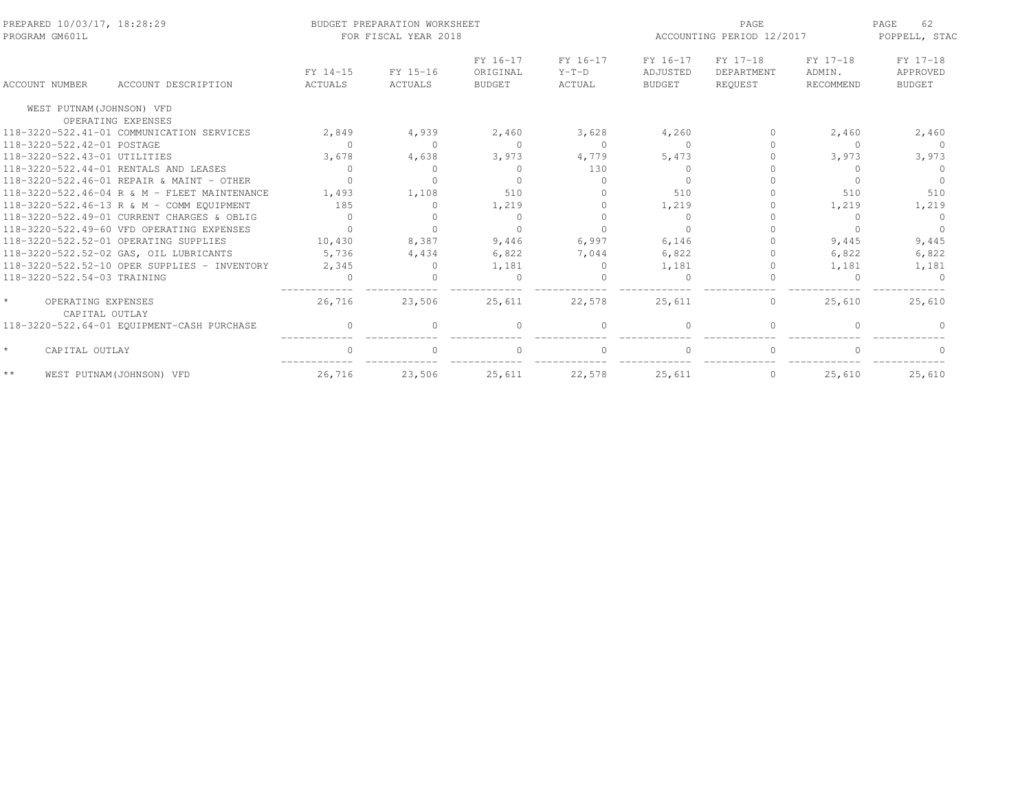| PREPARED 10/03/17, 18:28:29<br>PROGRAM GM601L   |                     | BUDGET PREPARATION WORKSHEET<br>FOR FISCAL YEAR 2018 |                                       |                               | PAGE<br>ACCOUNTING PERIOD 12/2017     |                                   |                                 | 62<br>PAGE<br>POPPELL, STAC           |  |
|-------------------------------------------------|---------------------|------------------------------------------------------|---------------------------------------|-------------------------------|---------------------------------------|-----------------------------------|---------------------------------|---------------------------------------|--|
| <b>ACCOUNT NUMBER</b><br>ACCOUNT DESCRIPTION    | FY 14-15<br>ACTUALS | FY 15-16<br>ACTUALS                                  | FY 16-17<br>ORIGINAL<br><b>BUDGET</b> | FY 16-17<br>$Y-T-D$<br>ACTUAL | FY 16-17<br>ADJUSTED<br><b>BUDGET</b> | FY 17-18<br>DEPARTMENT<br>REQUEST | FY 17-18<br>ADMIN.<br>RECOMMEND | FY 17-18<br>APPROVED<br><b>BUDGET</b> |  |
| WEST PUTNAM (JOHNSON) VFD                       |                     |                                                      |                                       |                               |                                       |                                   |                                 |                                       |  |
| OPERATING EXPENSES                              |                     |                                                      |                                       |                               |                                       |                                   |                                 |                                       |  |
| 118-3220-522.41-01 COMMUNICATION SERVICES       | 2,849               | 4,939                                                | 2,460                                 | 3,628                         | 4,260                                 |                                   | 2,460                           | 2,460                                 |  |
| 118-3220-522.42-01 POSTAGE                      | $\cap$              | $\Omega$                                             | $\Omega$                              | $\Omega$                      | $\Omega$                              |                                   | $\Omega$                        | $\Omega$                              |  |
| 118-3220-522.43-01 UTILITIES                    | 3,678               | 4,638                                                | 3,973                                 | 4,779                         | 5,473                                 |                                   | 3,973                           | 3,973                                 |  |
| 118-3220-522.44-01 RENTALS AND LEASES           | $\bigcap$           | $\Omega$                                             | $\Omega$                              | 130                           |                                       |                                   |                                 |                                       |  |
| 118-3220-522.46-01 REPAIR & MAINT - OTHER       |                     | $\cap$                                               | $\cap$                                | $\bigcap$                     |                                       |                                   |                                 |                                       |  |
| 118-3220-522.46-04 R & M - FLEET MAINTENANCE    | 1,493               | 1,108                                                | 510                                   | $\bigcap$                     | 510                                   |                                   | 510                             | 510                                   |  |
| 118-3220-522.46-13 R & M - COMM EQUIPMENT       | 185                 | $\Omega$                                             | 1,219                                 |                               | 1,219                                 |                                   | 1,219                           | 1,219                                 |  |
| 118-3220-522.49-01 CURRENT CHARGES & OBLIG      | $\cap$              | $\Omega$                                             | $\Omega$                              |                               | $\Omega$                              |                                   | ∩                               | $\Omega$                              |  |
| 118-3220-522.49-60 VFD OPERATING EXPENSES       |                     | $\cap$                                               | $\cap$                                |                               |                                       |                                   |                                 |                                       |  |
| 118-3220-522.52-01 OPERATING SUPPLIES           | 10,430              | 8,387                                                | 9,446                                 | 6,997                         | 6,146                                 |                                   | 9,445                           | 9,445                                 |  |
| 118-3220-522.52-02 GAS, OIL LUBRICANTS          | 5,736               | 4,434                                                | 6,822                                 | 7,044                         | 6,822                                 |                                   | 6,822                           | 6,822                                 |  |
| 118-3220-522.52-10 OPER SUPPLIES - INVENTORY    | 2,345               | $\Omega$                                             | 1,181                                 | $\Omega$                      | 1,181                                 |                                   | 1,181                           | 1,181                                 |  |
| 118-3220-522.54-03 TRAINING                     |                     |                                                      |                                       |                               |                                       |                                   |                                 |                                       |  |
| $\star$<br>OPERATING EXPENSES<br>CAPITAL OUTLAY | 26.716              | 23,506                                               | 25,611                                | 22,578                        | 25,611                                | $\Omega$                          | 25,610                          | 25,610                                |  |
| 118-3220-522.64-01 EQUIPMENT-CASH PURCHASE      |                     | $\Omega$                                             | $\cap$                                | $\bigcap$                     |                                       | $\cap$                            |                                 |                                       |  |
| $\star$<br>CAPITAL OUTLAY                       | $\cap$              | $\Omega$                                             | $\Omega$                              | $\Omega$                      |                                       | $\cap$                            |                                 | $\cap$                                |  |
| $\star\,\star$<br>WEST PUTNAM(JOHNSON) VFD      | 26,716              | 23,506                                               | 25,611                                | 22,578                        | 25,611                                | $\circ$                           | 25,610                          | 25,610                                |  |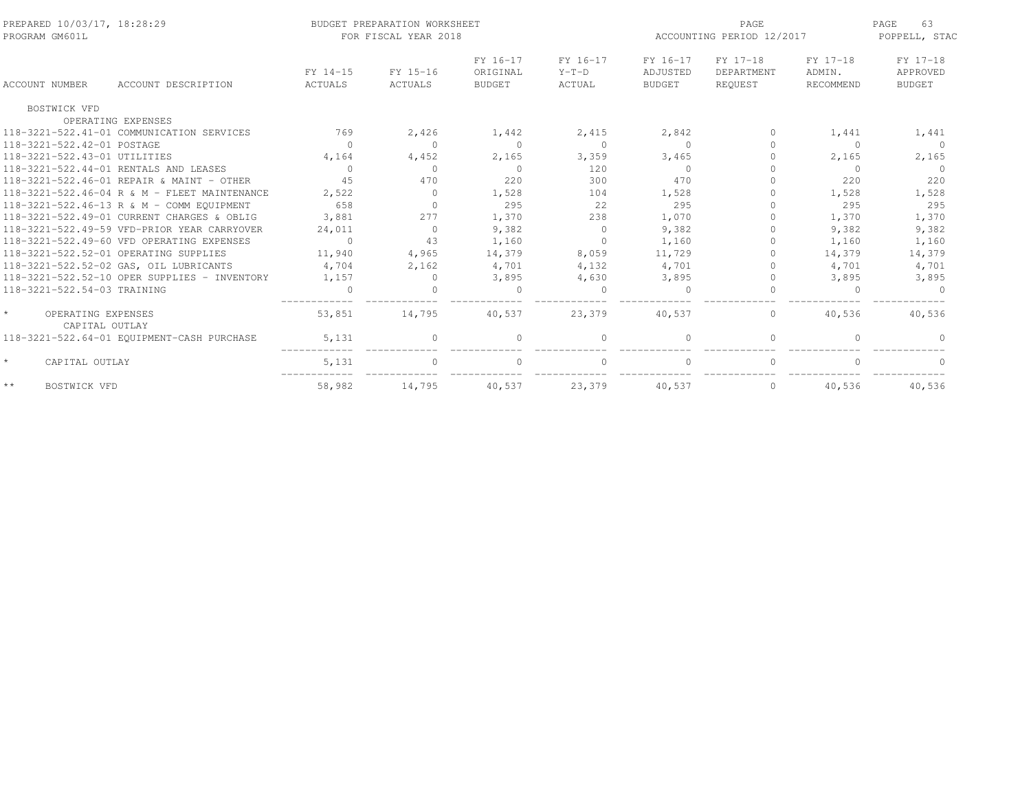| PREPARED 10/03/17, 18:28:29<br>PROGRAM GM601L |                            | BUDGET PREPARATION WORKSHEET<br>FOR FISCAL YEAR 2018 |                                       |                               | ACCOUNTING PERIOD 12/2017             | 63<br>PAGE<br>POPPELL, STAC       |                                 |                                       |
|-----------------------------------------------|----------------------------|------------------------------------------------------|---------------------------------------|-------------------------------|---------------------------------------|-----------------------------------|---------------------------------|---------------------------------------|
| <b>ACCOUNT NUMBER</b><br>ACCOUNT DESCRIPTION  | FY 14-15<br><b>ACTUALS</b> | FY 15-16<br><b>ACTUALS</b>                           | FY 16-17<br>ORIGINAL<br><b>BUDGET</b> | FY 16-17<br>$Y-T-D$<br>ACTUAL | FY 16-17<br>ADJUSTED<br><b>BUDGET</b> | FY 17-18<br>DEPARTMENT<br>REOUEST | FY 17-18<br>ADMIN.<br>RECOMMEND | FY 17-18<br>APPROVED<br><b>BUDGET</b> |
| BOSTWICK VFD                                  |                            |                                                      |                                       |                               |                                       |                                   |                                 |                                       |
| OPERATING EXPENSES                            |                            |                                                      |                                       |                               |                                       |                                   |                                 |                                       |
| 118-3221-522.41-01 COMMUNICATION SERVICES     | 769                        | 2,426                                                | 1,442                                 | 2,415                         | 2,842                                 |                                   | 1,441                           | 1,441                                 |
| 118-3221-522.42-01 POSTAGE                    | $\Omega$                   | $\cap$                                               | $\Omega$                              | $\circ$                       | $\bigcap$                             |                                   | $\Omega$                        | $\Omega$                              |
| 118-3221-522.43-01 UTILITIES                  | 4,164                      | 4,452                                                | 2,165                                 | 3,359                         | 3,465                                 |                                   | 2,165                           | 2,165                                 |
| 118-3221-522.44-01 RENTALS AND LEASES         | $\Omega$                   | $\Omega$                                             | $\Omega$                              | 120                           | $\bigcap$                             |                                   | $\Omega$                        | $\Omega$                              |
| 118-3221-522.46-01 REPAIR & MAINT - OTHER     | 4.5                        | 470                                                  | 220                                   | 300                           | 470                                   |                                   | 220                             | 220                                   |
| 118-3221-522.46-04 R & M - FLEET MAINTENANCE  | 2,522                      | $\Omega$                                             | 1,528                                 | 104                           | 1,528                                 |                                   | 1,528                           | 1,528                                 |
| 118-3221-522.46-13 R & M - COMM EQUIPMENT     | 658                        | $\Omega$                                             | 295                                   | 22                            | 295                                   |                                   | 295                             | 295                                   |
| 118-3221-522.49-01 CURRENT CHARGES & OBLIG    | 3,881                      | 277                                                  | 1,370                                 | 238                           | 1,070                                 |                                   | 1,370                           | 1,370                                 |
| 118-3221-522.49-59 VFD-PRIOR YEAR CARRYOVER   | 24,011                     | $\Omega$                                             | 9,382                                 | $\Omega$                      | 9,382                                 |                                   | 9,382                           | 9,382                                 |
| 118-3221-522.49-60 VFD OPERATING EXPENSES     | $\Omega$                   | 43                                                   | 1,160                                 | $\Omega$                      | 1,160                                 |                                   | 1,160                           | 1,160                                 |
| 118-3221-522.52-01 OPERATING SUPPLIES         | 11,940                     | 4,965                                                | 14,379                                | 8,059                         | 11,729                                | 0                                 | 14,379                          | 14,379                                |
| 118-3221-522.52-02 GAS, OIL LUBRICANTS        | 4,704                      | 2,162                                                | 4,701                                 | 4,132                         | 4,701                                 |                                   | 4,701                           | 4,701                                 |
| 118-3221-522.52-10 OPER SUPPLIES - INVENTORY  | 1,157                      | $\Omega$                                             | 3,895                                 | 4,630                         | 3,895                                 | 0                                 | 3,895                           | 3,895                                 |
| 118-3221-522.54-03 TRAINING                   | $\Omega$                   | $\Omega$                                             | $\Omega$                              | $\Omega$                      | $\Omega$                              | $\cap$                            | $\Omega$                        | $\Omega$                              |
| OPERATING EXPENSES<br>CAPITAL OUTLAY          | 53,851                     | 14,795                                               | 40,537                                | 23,379                        | 40.537                                | $\Omega$                          | 40.536                          | 40,536                                |
| 118-3221-522.64-01 EQUIPMENT-CASH PURCHASE    | 5,131                      | <sup>0</sup>                                         |                                       | $\Omega$                      |                                       |                                   |                                 |                                       |
| $\star$<br>CAPITAL OUTLAY                     | 5,131                      | $\Omega$                                             | $\Omega$                              | $\bigcap$                     |                                       | $\Omega$                          |                                 |                                       |
| $\star\,\star$<br>BOSTWICK VFD                | 58,982                     | 14,795                                               | 40,537                                | 23,379                        | 40,537                                | $\circ$                           | 40,536                          | 40,536                                |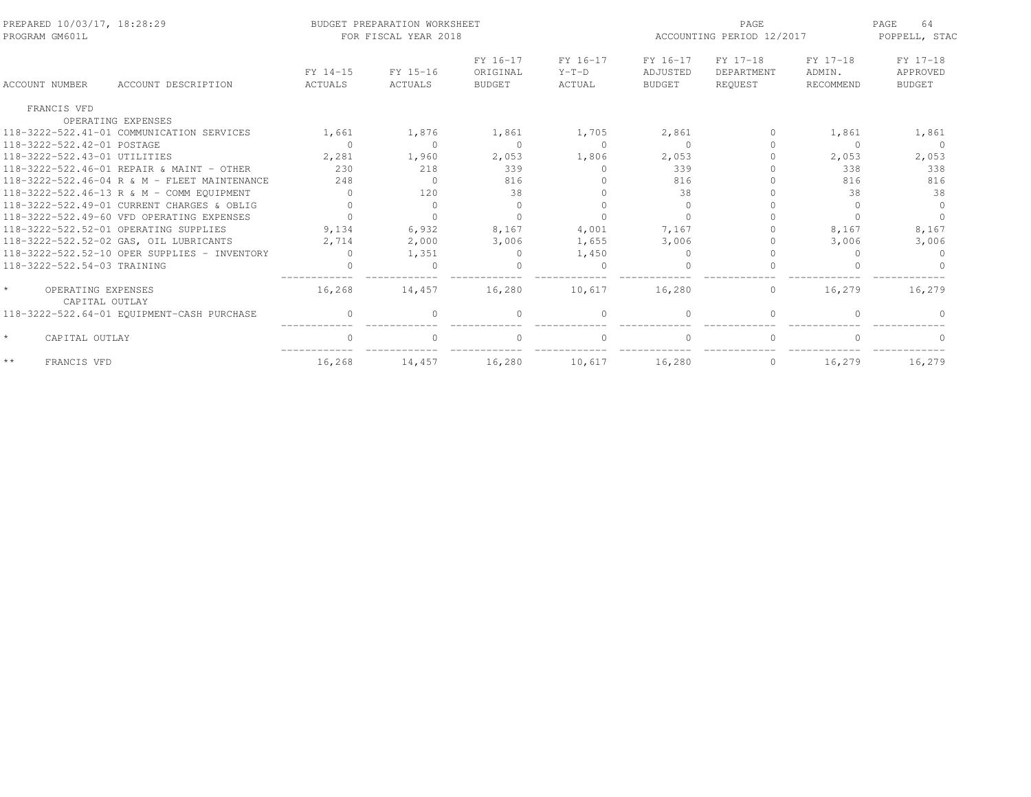| PREPARED 10/03/17, 18:28:29<br>PROGRAM GM601L |                                              |                     | BUDGET PREPARATION WORKSHEET<br>FOR FISCAL YEAR 2018 |                                       |                               | PAGE<br>ACCOUNTING PERIOD 12/2017     |                                   |                                 | PAGE<br>64<br>POPPELL, STAC           |  |
|-----------------------------------------------|----------------------------------------------|---------------------|------------------------------------------------------|---------------------------------------|-------------------------------|---------------------------------------|-----------------------------------|---------------------------------|---------------------------------------|--|
| ACCOUNT NUMBER                                | ACCOUNT DESCRIPTION                          | FY 14-15<br>ACTUALS | FY 15-16<br>ACTUALS                                  | FY 16-17<br>ORIGINAL<br><b>BUDGET</b> | FY 16-17<br>$Y-T-D$<br>ACTUAL | FY 16-17<br>ADJUSTED<br><b>BUDGET</b> | FY 17-18<br>DEPARTMENT<br>REQUEST | FY 17-18<br>ADMIN.<br>RECOMMEND | FY 17-18<br>APPROVED<br><b>BUDGET</b> |  |
| FRANCIS VFD                                   |                                              |                     |                                                      |                                       |                               |                                       |                                   |                                 |                                       |  |
|                                               | OPERATING EXPENSES                           |                     |                                                      |                                       |                               |                                       |                                   |                                 |                                       |  |
|                                               | 118-3222-522.41-01 COMMUNICATION SERVICES    | 1,661               | 1,876                                                | 1,861                                 | 1,705                         | 2,861                                 |                                   | 1,861                           | 1,861                                 |  |
| 118-3222-522.42-01 POSTAGE                    |                                              | $\Omega$            | $\Omega$                                             | $\Omega$                              | $\Omega$                      | $\bigcap$                             |                                   | $\Omega$                        | $\Omega$                              |  |
| 118-3222-522.43-01 UTILITIES                  |                                              | 2,281               | 1,960                                                | 2,053                                 | 1,806                         | 2,053                                 |                                   | 2,053                           | 2,053                                 |  |
|                                               | 118-3222-522.46-01 REPAIR & MAINT - OTHER    | 230                 | 218                                                  | 339                                   | $\bigcap$                     | 339                                   |                                   | 338                             | 338                                   |  |
|                                               | 118-3222-522.46-04 R & M - FLEET MAINTENANCE | 248                 | $\Omega$                                             | 816                                   |                               | 816                                   |                                   | 816                             | 816                                   |  |
|                                               | 118-3222-522.46-13 R & M - COMM EQUIPMENT    | $\bigcap$           | 120                                                  | 38                                    |                               | 38                                    |                                   | 38                              | 38                                    |  |
|                                               | 118-3222-522.49-01 CURRENT CHARGES & OBLIG   |                     | $\Omega$                                             | $\Omega$                              |                               |                                       |                                   |                                 | $\Omega$                              |  |
|                                               | 118-3222-522.49-60 VFD OPERATING EXPENSES    |                     | $\Omega$                                             |                                       |                               |                                       |                                   |                                 |                                       |  |
|                                               | 118-3222-522.52-01 OPERATING SUPPLIES        | 9,134               | 6,932                                                | 8,167                                 | 4,001                         | 7,167                                 |                                   | 8,167                           | 8,167                                 |  |
|                                               | 118-3222-522.52-02 GAS, OIL LUBRICANTS       | 2,714               | 2,000                                                | 3,006                                 | 1,655                         | 3,006                                 |                                   | 3,006                           | 3,006                                 |  |
|                                               | 118-3222-522.52-10 OPER SUPPLIES - INVENTORY | $\Omega$            | 1,351                                                | $\Omega$                              | 1,450                         | $\bigcap$                             |                                   | ∩                               | $\Omega$                              |  |
| 118-3222-522.54-03 TRAINING                   |                                              | $\cap$              | $\cap$                                               | $\cap$                                | $\cap$                        |                                       |                                   |                                 |                                       |  |
| OPERATING EXPENSES<br>CAPITAL OUTLAY          |                                              | 16,268              | 14,457                                               | 16,280                                | 10,617                        | 16,280                                | $\circ$                           | 16.279                          | 16,279                                |  |
|                                               | 118-3222-522.64-01 EQUIPMENT-CASH PURCHASE   | $\Omega$            | $\cap$                                               | $\cap$                                | $\Omega$                      |                                       | $\cap$                            |                                 |                                       |  |
| $\star$<br>CAPITAL OUTLAY                     |                                              | $\mathbf{0}$        | $\Omega$                                             | $\mathbf{0}$                          | $\Omega$                      | $\Omega$                              | $\mathbf{0}$                      | $\cap$                          |                                       |  |
| $\star\,\star$<br>FRANCIS VFD                 |                                              | 16,268              | 14,457                                               | 16,280                                | 10,617                        | 16,280                                | $\circ$                           | 16,279                          | 16,279                                |  |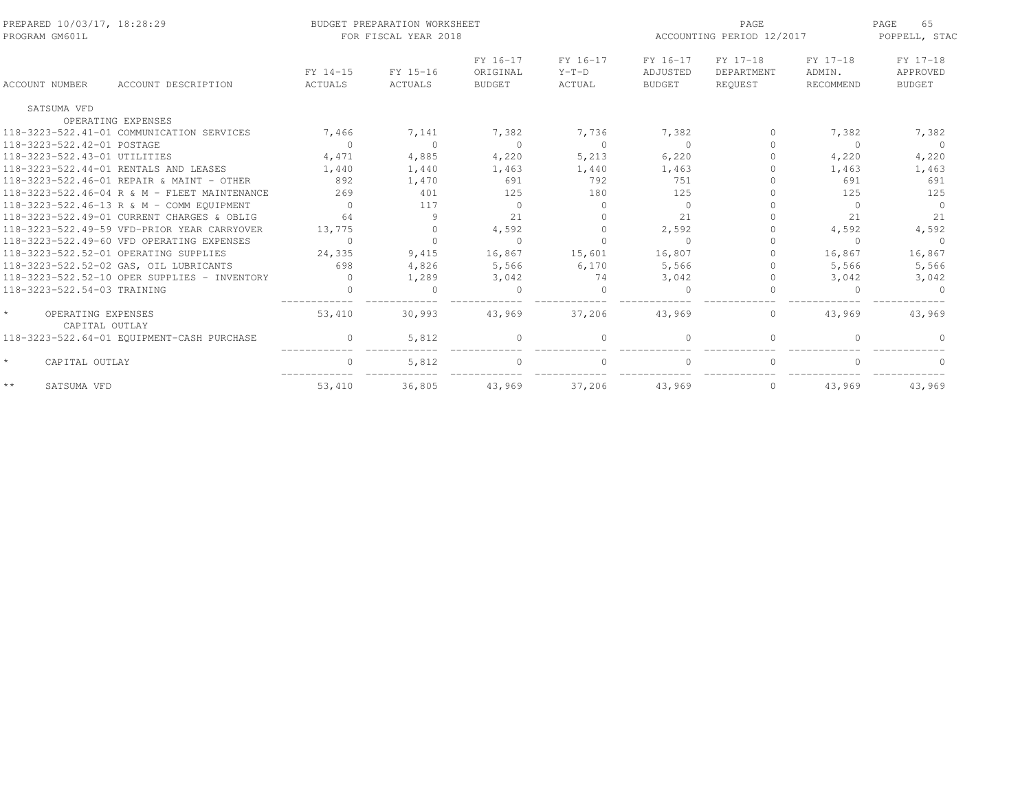| PREPARED 10/03/17, 18:28:29<br>PROGRAM GM601L |                     |                            | BUDGET PREPARATION WORKSHEET<br>FOR FISCAL YEAR 2018 |                                       |                               | ACCOUNTING PERIOD 12/2017             | 65<br>PAGE<br>POPPELL, STAC       |                                 |                                       |
|-----------------------------------------------|---------------------|----------------------------|------------------------------------------------------|---------------------------------------|-------------------------------|---------------------------------------|-----------------------------------|---------------------------------|---------------------------------------|
| <b>ACCOUNT NUMBER</b>                         | ACCOUNT DESCRIPTION | FY 14-15<br><b>ACTUALS</b> | FY 15-16<br><b>ACTUALS</b>                           | FY 16-17<br>ORIGINAL<br><b>BUDGET</b> | FY 16-17<br>$Y-T-D$<br>ACTUAL | FY 16-17<br>ADJUSTED<br><b>BUDGET</b> | FY 17-18<br>DEPARTMENT<br>REOUEST | FY 17-18<br>ADMIN.<br>RECOMMEND | FY 17-18<br>APPROVED<br><b>BUDGET</b> |
| SATSUMA VFD                                   |                     |                            |                                                      |                                       |                               |                                       |                                   |                                 |                                       |
| OPERATING EXPENSES                            |                     |                            |                                                      |                                       |                               |                                       |                                   |                                 |                                       |
| 118-3223-522.41-01 COMMUNICATION SERVICES     |                     | 7,466                      | 7,141                                                | 7,382                                 | 7,736                         | 7,382                                 | $\bigcap$                         | 7,382                           | 7,382                                 |
| 118-3223-522.42-01 POSTAGE                    |                     | $\Omega$                   | $\cap$                                               | $\Omega$                              | $\Omega$                      | $\bigcap$                             | $\Omega$                          | $\Omega$                        | $\Omega$                              |
| 118-3223-522.43-01 UTILITIES                  |                     | 4,471                      | 4,885                                                | 4,220                                 | 5,213                         | 6,220                                 |                                   | 4,220                           | 4,220                                 |
| 118-3223-522.44-01 RENTALS AND LEASES         |                     | 1,440                      | 1,440                                                | 1,463                                 | 1,440                         | 1,463                                 |                                   | 1,463                           | 1,463                                 |
| 118-3223-522.46-01 REPAIR & MAINT - OTHER     |                     | 892                        | 1,470                                                | 691                                   | 792                           | 751                                   |                                   | 691                             | 691                                   |
| 118-3223-522.46-04 R & M - FLEET MAINTENANCE  |                     | 269                        | 401                                                  | 125                                   | 180                           | 125                                   |                                   | 125                             | 125                                   |
| 118-3223-522.46-13 R & M - COMM EQUIPMENT     |                     | $\Omega$                   | 117                                                  | $\Omega$                              | $\bigcap$                     | $\cap$                                |                                   | $\Omega$                        | $\Omega$                              |
| 118-3223-522.49-01 CURRENT CHARGES & OBLIG    |                     | 64                         | 9                                                    | 21                                    |                               | 21                                    |                                   | 21                              | 21                                    |
| 118-3223-522.49-59 VFD-PRIOR YEAR CARRYOVER   |                     | 13,775                     | $\Omega$                                             | 4,592                                 | $\Omega$                      | 2,592                                 |                                   | 4,592                           | 4,592                                 |
| 118-3223-522.49-60 VFD OPERATING EXPENSES     |                     | $\Omega$                   | $\Omega$                                             | $\Omega$                              |                               | $\bigcap$                             |                                   | $\Omega$                        | $\Omega$                              |
| 118-3223-522.52-01 OPERATING SUPPLIES         |                     | 24,335                     | 9,415                                                | 16,867                                | 15,601                        | 16,807                                |                                   | 16,867                          | 16,867                                |
| 118-3223-522.52-02 GAS, OIL LUBRICANTS        |                     | 698                        | 4,826                                                | 5,566                                 | 6,170                         | 5,566                                 |                                   | 5,566                           | 5,566                                 |
| 118-3223-522.52-10 OPER SUPPLIES - INVENTORY  |                     | $\Omega$                   | 1,289                                                | 3,042                                 | 74                            | 3,042                                 | 0                                 | 3,042                           | 3,042                                 |
| 118-3223-522.54-03 TRAINING                   |                     | $\bigcap$                  | $\Omega$                                             | $\Omega$                              | $\Omega$                      | $\Omega$                              | $\cap$                            | $\Omega$                        | $\Omega$                              |
| OPERATING EXPENSES<br>CAPITAL OUTLAY          |                     | 53,410                     | 30,993                                               | 43,969                                | 37,206                        | 43.969                                | $\Omega$                          | 43.969                          | 43,969                                |
| 118-3223-522.64-01 EQUIPMENT-CASH PURCHASE    |                     | $\Omega$                   | 5,812                                                | $\Omega$                              | $\Omega$                      |                                       |                                   |                                 |                                       |
| $\star$<br>CAPITAL OUTLAY                     |                     | $\Omega$                   | 5,812                                                | $\Omega$                              | $\bigcap$                     |                                       | $\Omega$                          |                                 |                                       |
| $\star\,\star$<br>SATSUMA VFD                 |                     | 53,410                     | 36,805                                               | 43,969                                | 37,206                        | 43,969                                | $\circ$                           | 43,969                          | 43,969                                |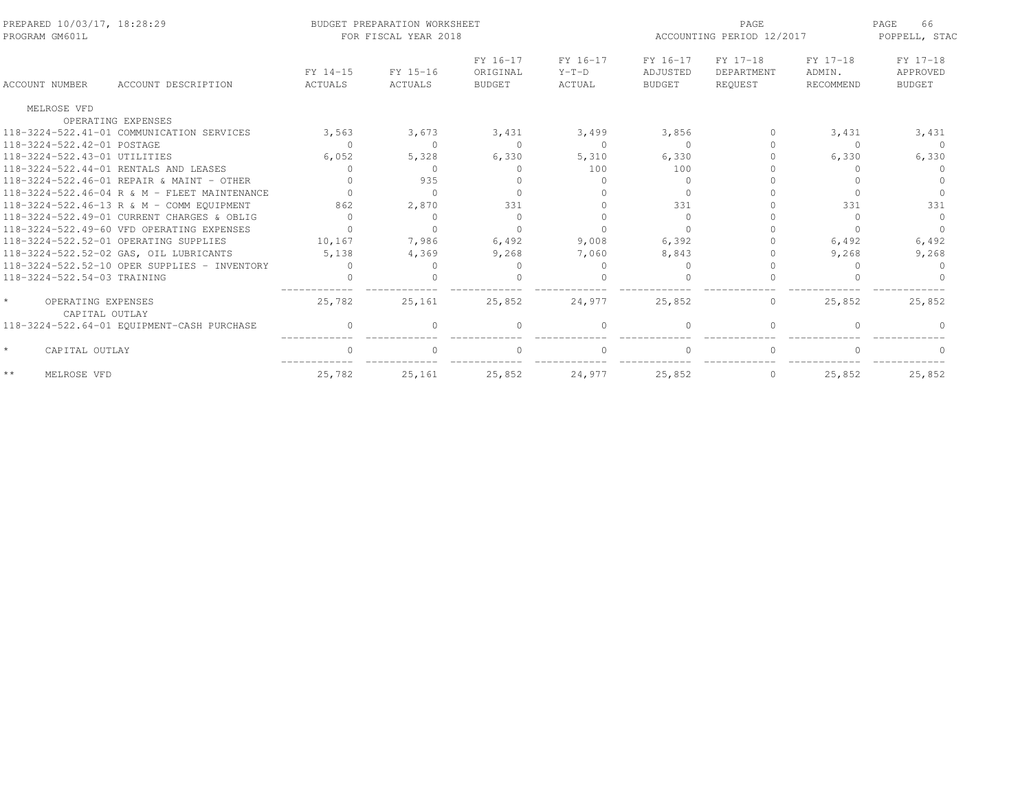| PREPARED 10/03/17, 18:28:29<br>PROGRAM GM601L   |                                              |           | BUDGET PREPARATION WORKSHEET<br>FOR FISCAL YEAR 2018 |                      |                     | ACCOUNTING PERIOD 12/2017 | PAGE<br>66<br>POPPELL, STAC |                    |                      |
|-------------------------------------------------|----------------------------------------------|-----------|------------------------------------------------------|----------------------|---------------------|---------------------------|-----------------------------|--------------------|----------------------|
|                                                 |                                              | FY 14-15  | FY 15-16                                             | FY 16-17<br>ORIGINAL | FY 16-17<br>$Y-T-D$ | FY 16-17<br>ADJUSTED      | FY 17-18<br>DEPARTMENT      | FY 17-18<br>ADMIN. | FY 17-18<br>APPROVED |
| <b>ACCOUNT NUMBER</b>                           | ACCOUNT DESCRIPTION                          | ACTUALS   | ACTUALS                                              | <b>BUDGET</b>        | ACTUAL              | <b>BUDGET</b>             | REOUEST                     | RECOMMEND          | <b>BUDGET</b>        |
| MELROSE VFD                                     |                                              |           |                                                      |                      |                     |                           |                             |                    |                      |
|                                                 | OPERATING EXPENSES                           |           |                                                      |                      |                     |                           |                             |                    |                      |
|                                                 | 118-3224-522.41-01 COMMUNICATION SERVICES    | 3,563     | 3,673                                                | 3,431                | 3,499               | 3,856                     | $\Omega$                    | 3,431              | 3,431                |
| 118-3224-522.42-01 POSTAGE                      |                                              | $\bigcap$ | $\Omega$                                             | $\Omega$             | $\Omega$            | $\bigcap$                 |                             | $\Omega$           | $\cap$               |
| 118-3224-522.43-01 UTILITIES                    |                                              | 6,052     | 5,328                                                | 6,330                | 5,310               | 6,330                     |                             | 6,330              | 6,330                |
|                                                 | 118-3224-522.44-01 RENTALS AND LEASES        |           | $\Omega$                                             |                      | 100                 | 100                       |                             |                    |                      |
|                                                 | 118-3224-522.46-01 REPAIR & MAINT - OTHER    |           | 935                                                  |                      | $\bigcap$           |                           |                             |                    |                      |
|                                                 | 118-3224-522.46-04 R & M - FLEET MAINTENANCE |           | $\Omega$                                             |                      |                     |                           |                             |                    |                      |
|                                                 | 118-3224-522.46-13 R & M - COMM EOUIPMENT    | 862       | 2,870                                                | 331                  |                     | 331                       |                             | 331                | 331                  |
|                                                 | 118-3224-522.49-01 CURRENT CHARGES & OBLIG   | $\cap$    | $\Omega$                                             | $\Omega$             | $\cap$              | $\Omega$                  |                             | $\cap$             | $\cap$               |
|                                                 | 118-3224-522.49-60 VFD OPERATING EXPENSES    |           | $\cap$                                               |                      |                     |                           |                             |                    |                      |
|                                                 | 118-3224-522.52-01 OPERATING SUPPLIES        | 10,167    | 7,986                                                | 6,492                | 9,008               | 6,392                     |                             | 6,492              | 6,492                |
|                                                 | 118-3224-522.52-02 GAS, OIL LUBRICANTS       | 5,138     | 4,369                                                | 9,268                | 7,060               | 8,843                     |                             | 9,268              | 9,268                |
|                                                 | 118-3224-522.52-10 OPER SUPPLIES - INVENTORY |           |                                                      |                      | $\Omega$            |                           |                             |                    |                      |
| 118-3224-522.54-03 TRAINING                     |                                              |           |                                                      |                      |                     |                           |                             |                    |                      |
| $\star$<br>OPERATING EXPENSES<br>CAPITAL OUTLAY |                                              | 25,782    | 25,161                                               | 25,852               | 24,977              | 25,852                    | $\Omega$                    | 25,852             | 25,852               |
|                                                 | 118-3224-522.64-01 EQUIPMENT-CASH PURCHASE   | $\Omega$  |                                                      | $\Omega$             | $\Omega$            |                           | $\Omega$                    |                    |                      |
| $\star$<br>CAPITAL OUTLAY                       |                                              | $\cap$    | $\cap$                                               | $\Omega$             | $\Omega$            |                           | $\Omega$                    | ∩                  |                      |
| $\star\star$<br>MELROSE VFD                     |                                              | 25,782    | 25,161                                               | 25,852               | 24,977              | 25,852                    | $\circ$                     | 25,852             | 25,852               |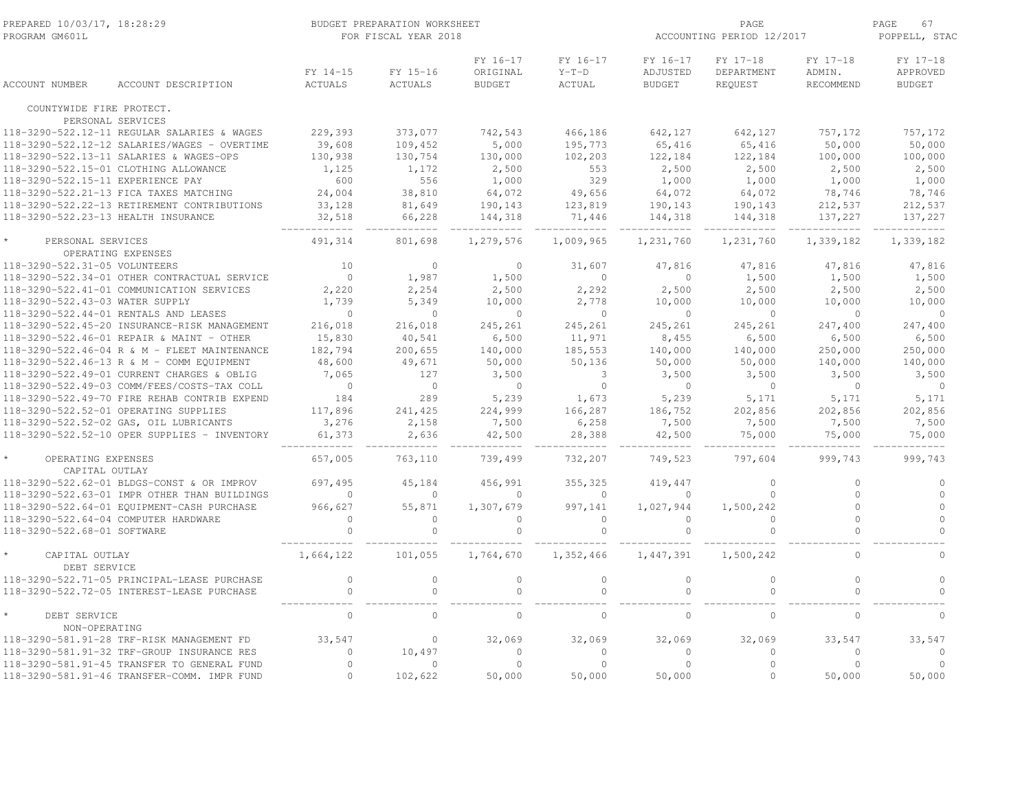| PREPARED 10/03/17, 18:28:29<br>PROGRAM GM601L |                                              | BUDGET PREPARATION WORKSHEET<br>FOR FISCAL YEAR 2018 |              |                      |                     |                      | PAGE<br>ACCOUNTING PERIOD 12/2017 |                    |                             |  |
|-----------------------------------------------|----------------------------------------------|------------------------------------------------------|--------------|----------------------|---------------------|----------------------|-----------------------------------|--------------------|-----------------------------|--|
|                                               |                                              | FY 14-15                                             | FY 15-16     | FY 16-17<br>ORIGINAL | FY 16-17<br>$Y-T-D$ | FY 16-17<br>ADJUSTED | FY 17-18<br>DEPARTMENT            | FY 17-18<br>ADMIN. | FY 17-18<br><b>APPROVED</b> |  |
| <b>ACCOUNT NUMBER</b>                         | ACCOUNT DESCRIPTION                          | <b>ACTUALS</b>                                       | ACTUALS      | <b>BUDGET</b>        | <b>ACTUAL</b>       | <b>BUDGET</b>        | REQUEST                           | RECOMMEND          | <b>BUDGET</b>               |  |
| COUNTYWIDE FIRE PROTECT.                      | PERSONAL SERVICES                            |                                                      |              |                      |                     |                      |                                   |                    |                             |  |
|                                               | 118-3290-522.12-11 REGULAR SALARIES & WAGES  | 229,393                                              | 373,077      | 742,543              | 466,186             | 642,127              | 642,127                           | 757,172            | 757,172                     |  |
|                                               | 118-3290-522.12-12 SALARIES/WAGES - OVERTIME | 39,608                                               | 109,452      | 5,000                | 195,773             | 65,416               | 65,416                            | 50,000             | 50,000                      |  |
|                                               | 118-3290-522.13-11 SALARIES & WAGES-OPS      | 130,938                                              | 130,754      | 130,000              | 102,203             | 122,184              | 122,184                           | 100,000            | 100,000                     |  |
|                                               | 118-3290-522.15-01 CLOTHING ALLOWANCE        | 1,125                                                | 1,172        | 2,500                | 553                 | 2,500                | 2,500                             | 2,500              | 2,500                       |  |
| 118-3290-522.15-11 EXPERIENCE PAY             |                                              | 600                                                  | 556          | 1,000                | 329                 | 1,000                | 1,000                             | 1,000              | 1,000                       |  |
|                                               | 118-3290-522.21-13 FICA TAXES MATCHING       | 24,004                                               | 38,810       | 64,072               | 49,656              | 64,072               | 64,072                            | 78,746             | 78,746                      |  |
|                                               | 118-3290-522.22-13 RETIREMENT CONTRIBUTIONS  | 33,128                                               | 81,649       | 190,143              | 123,819             | 190,143              | 190,143                           | 212,537            | 212,537                     |  |
| 118-3290-522.23-13 HEALTH INSURANCE           |                                              | 32,518                                               | 66,228       | 144,318              | 71,446              | 144,318              | 144,318                           | 137,227            | 137,227                     |  |
| PERSONAL SERVICES                             | OPERATING EXPENSES                           | 491,314                                              | 801,698      | 1,279,576            | 1,009,965           | 1,231,760            | 1,231,760                         | 1,339,182          | 1,339,182                   |  |
| 118-3290-522.31-05 VOLUNTEERS                 |                                              | 10                                                   | $\circ$      | $\circ$              | 31,607              | 47,816               | 47,816                            | 47,816             | 47,816                      |  |
|                                               | 118-3290-522.34-01 OTHER CONTRACTUAL SERVICE | $\overline{0}$                                       | 1,987        | 1,500                | $\circ$             | $\overline{0}$       | 1,500                             | 1,500              | 1,500                       |  |
|                                               | 118-3290-522.41-01 COMMUNICATION SERVICES    | 2,220                                                | 2,254        | 2,500                | 2,292               | 2,500                | 2,500                             | 2,500              | 2,500                       |  |
| 118-3290-522.43-03 WATER SUPPLY               |                                              | 1,739                                                | 5,349        | 10,000               | 2,778               | 10,000               | 10,000                            | 10,000             | 10,000                      |  |
|                                               | 118-3290-522.44-01 RENTALS AND LEASES        | $\mathbf{0}$                                         | $\mathbf{0}$ | $\circ$              | $\mathbf{0}$        | $\overline{0}$       | $\mathbf{0}$                      | $\mathbf{0}$       | $\circ$                     |  |
|                                               | 118-3290-522.45-20 INSURANCE-RISK MANAGEMENT | 216,018                                              | 216,018      | 245,261              | 245,261             | 245,261              | 245,261                           | 247,400            | 247,400                     |  |
|                                               | 118-3290-522.46-01 REPAIR & MAINT - OTHER    | 15,830                                               | 40,541       | 6,500                | 11,971              | 8,455                | 6,500                             | 6,500              | 6,500                       |  |
|                                               | 118-3290-522.46-04 R & M - FLEET MAINTENANCE | 182,794                                              | 200,655      | 140,000              | 185,553             | 140,000              | 140,000                           | 250,000            | 250,000                     |  |
|                                               | 118-3290-522.46-13 R & M - COMM EQUIPMENT    | 48,600                                               | 49,671       | 50,000               | 50,136              | 50,000               | 50,000                            | 140,000            | 140,000                     |  |
|                                               | 118-3290-522.49-01 CURRENT CHARGES & OBLIG   | 7,065                                                | 127          | 3,500                | 3                   | 3,500                | 3,500                             | 3,500              | 3,500                       |  |
|                                               | 118-3290-522.49-03 COMM/FEES/COSTS-TAX COLL  | $\Omega$                                             | $\Omega$     | $\Omega$             | $\Omega$            | $\bigcirc$           | $\Omega$                          | $\Omega$           | $\Omega$                    |  |
|                                               | 118-3290-522.49-70 FIRE REHAB CONTRIB EXPEND | 184                                                  | 289          | 5,239                | 1,673               | 5,239                | 5,171                             | 5,171              | 5,171                       |  |
|                                               | 118-3290-522.52-01 OPERATING SUPPLIES        | 117,896                                              | 241,425      | 224,999              | 166,287             | 186,752              | 202,856                           | 202,856            | 202,856                     |  |
|                                               | 118-3290-522.52-02 GAS, OIL LUBRICANTS       | 3,276                                                | 2,158        | 7,500                | 6,258               | 7,500                | 7,500                             | 7,500              | 7,500                       |  |
|                                               | 118-3290-522.52-10 OPER SUPPLIES - INVENTORY | 61,373                                               | 2,636        | 42,500               | 28,388              | 42,500               | 75,000                            | 75,000             | 75,000                      |  |
| OPERATING EXPENSES<br>CAPITAL OUTLAY          |                                              | 657,005                                              | 763,110      | 739,499              | 732,207             | 749,523              | 797,604                           | 999,743            | 999,743                     |  |
|                                               | 118-3290-522.62-01 BLDGS-CONST & OR IMPROV   | 697,495                                              | 45,184       | 456,991              | 355,325             | 419,447              | $\circ$                           | $\circ$            | $\circ$                     |  |
|                                               | 118-3290-522.63-01 IMPR OTHER THAN BUILDINGS | $\mathbf{0}$                                         | $\mathbf{0}$ | $\mathbf{0}$         | $\circ$             | $\cap$               | $\mathbf{0}$                      | $\circ$            | $\circ$                     |  |
|                                               | 118-3290-522.64-01 EQUIPMENT-CASH PURCHASE   | 966,627                                              | 55,871       | 1,307,679            | 997,141             | 1,027,944            | 1,500,242                         | $\Omega$           | $\Omega$                    |  |
|                                               | 118-3290-522.64-04 COMPUTER HARDWARE         | $\mathbf{0}$                                         | $\circ$      | $\circ$              | $\mathbf{0}$        | $\Omega$             | $\circ$                           | $\circ$            | $\Omega$                    |  |
| 118-3290-522.68-01 SOFTWARE                   |                                              | $\Omega$                                             | $\Omega$     | $\Omega$             | $\mathbf{0}$        | $\Omega$             | $\Omega$                          | $\Omega$           | $\Omega$                    |  |
| CAPITAL OUTLAY<br>DEBT SERVICE                |                                              | 1,664,122                                            | 101,055      | 1,764,670            | 1,352,466           | 1,447,391            | 1,500,242                         | $\Omega$           | $\cap$                      |  |
|                                               | 118-3290-522.71-05 PRINCIPAL-LEASE PURCHASE  | $\mathbf{0}$                                         | $\circ$      | $\circ$              | $\mathbb O$         | $\mathbf{0}$         | $\mathbb O$                       | $\circ$            | $\circ$                     |  |
|                                               | 118-3290-522.72-05 INTEREST-LEASE PURCHASE   | $\Omega$                                             | $\Omega$     | $\Omega$             | $\mathbf{0}$        | $\Omega$             | $\circ$                           | $\Omega$           | $\Omega$                    |  |
| DEBT SERVICE<br>NON-OPERATING                 |                                              | $\Omega$                                             | $\Omega$     | $\Omega$             | $\Omega$            | $\Omega$             | $\Omega$                          | $\Omega$           | $\Omega$                    |  |
|                                               | 118-3290-581.91-28 TRF-RISK MANAGEMENT FD    | 33,547                                               | 0            | 32,069               | 32,069              | 32,069               | 32,069                            | 33,547             | 33,547                      |  |
|                                               | 118-3290-581.91-32 TRF-GROUP INSURANCE RES   | $\Omega$                                             | 10,497       | $\circ$              | $\mathbf{0}$        | $\Omega$             | $\mathbf{0}$                      | $\Omega$           | $\mathbf{0}$                |  |
|                                               | 118-3290-581.91-45 TRANSFER TO GENERAL FUND  | $\Omega$                                             | $\circ$      | $\circ$              | $\mathbf{0}$        | $\Omega$             | $\circ$                           | $\circ$            | $\Omega$                    |  |
|                                               | 118-3290-581.91-46 TRANSFER-COMM. IMPR FUND  | $\mathbf{0}$                                         | 102,622      | 50,000               | 50,000              | 50,000               | $\circ$                           | 50,000             | 50,000                      |  |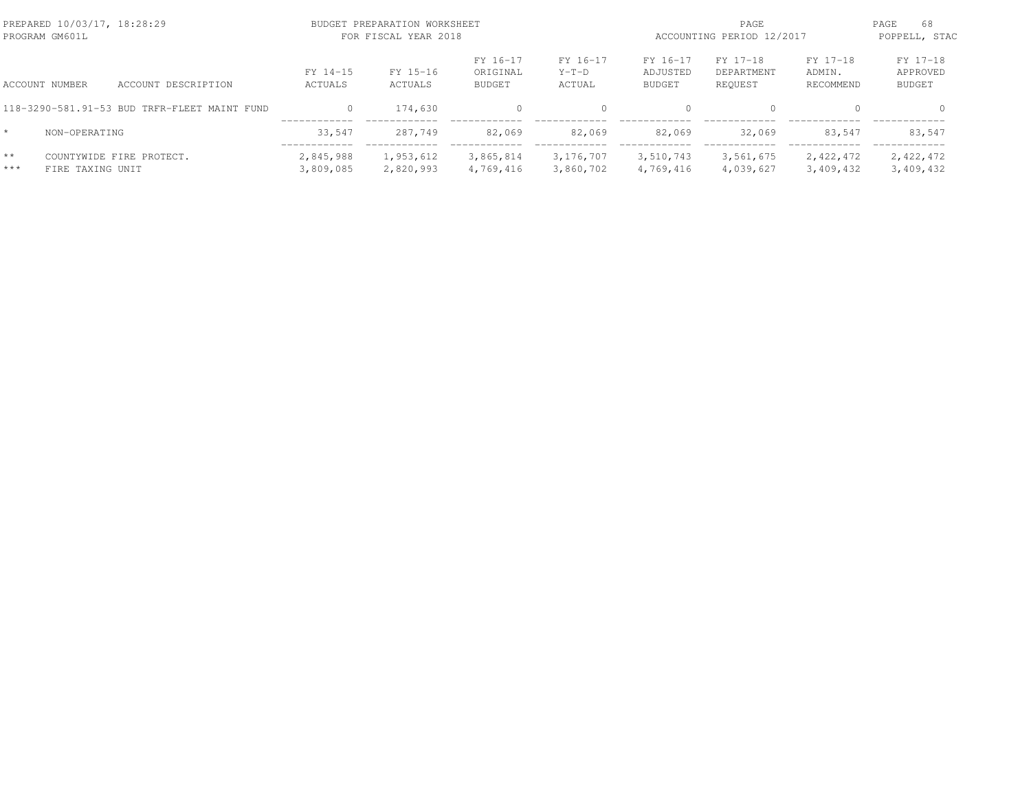|               | PREPARED 10/03/17, 18:28:29<br>PROGRAM GM601L |                                              |                        | BUDGET PREPARATION WORKSHEET<br>FOR FISCAL YEAR 2018 |                                |                               | ACCOUNTING PERIOD 12/2017      | PAGE<br>68<br>POPPELL, STAC       |                                 |                                       |
|---------------|-----------------------------------------------|----------------------------------------------|------------------------|------------------------------------------------------|--------------------------------|-------------------------------|--------------------------------|-----------------------------------|---------------------------------|---------------------------------------|
|               | ACCOUNT NUMBER                                | ACCOUNT DESCRIPTION                          | FY 14-15<br>ACTUALS    | FY 15-16<br>ACTUALS                                  | FY 16-17<br>ORIGINAL<br>BUDGET | FY 16-17<br>$Y-T-D$<br>ACTUAL | FY 16-17<br>ADJUSTED<br>BUDGET | FY 17-18<br>DEPARTMENT<br>REQUEST | FY 17-18<br>ADMIN.<br>RECOMMEND | FY 17-18<br>APPROVED<br><b>BUDGET</b> |
|               |                                               | 118-3290-581.91-53 BUD TRFR-FLEET MAINT FUND |                        | 174.630                                              | $\Omega$                       |                               | $\Box$                         | $\mathbf{0}$                      |                                 |                                       |
| $\star$       | NON-OPERATING                                 |                                              | 33,547                 | 287.749                                              | 82,069                         | 82,069                        | 82,069                         | 32,069                            | 83.547                          | 83,547                                |
| $**$<br>$***$ | FIRE TAXING UNIT                              | COUNTYWIDE FIRE PROTECT.                     | 2,845,988<br>3,809,085 | 1,953,612<br>2,820,993                               | 3,865,814<br>4,769,416         | 3,176,707<br>3,860,702        | 3,510,743<br>4,769,416         | 3,561,675<br>4,039,627            | 2,422,472<br>3,409,432          | 2,422,472<br>3,409,432                |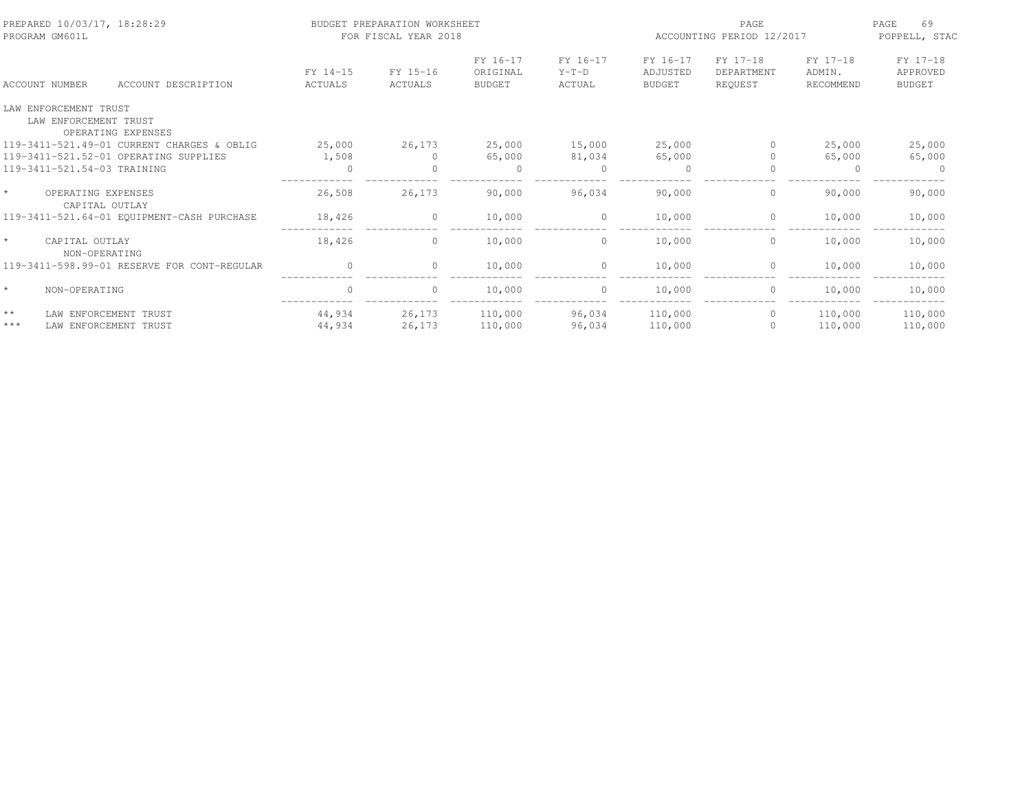| PREPARED 10/03/17, 18:28:29<br>PROGRAM GM601L |                                                |                                             |                            | BUDGET PREPARATION WORKSHEET<br>FOR FISCAL YEAR 2018 |                                       |                               | ACCOUNTING PERIOD 12/2017             | 69<br>PAGE<br>POPPELL, STAC       |                                 |                                       |
|-----------------------------------------------|------------------------------------------------|---------------------------------------------|----------------------------|------------------------------------------------------|---------------------------------------|-------------------------------|---------------------------------------|-----------------------------------|---------------------------------|---------------------------------------|
|                                               | <b>ACCOUNT NUMBER</b>                          | ACCOUNT DESCRIPTION                         | FY 14-15<br><b>ACTUALS</b> | FY 15-16<br>ACTUALS                                  | FY 16-17<br>ORIGINAL<br><b>BUDGET</b> | FY 16-17<br>$Y-T-D$<br>ACTUAL | FY 16-17<br>ADJUSTED<br><b>BUDGET</b> | FY 17-18<br>DEPARTMENT<br>REOUEST | FY 17-18<br>ADMIN.<br>RECOMMEND | FY 17-18<br>APPROVED<br><b>BUDGET</b> |
|                                               | LAW ENFORCEMENT TRUST<br>LAW ENFORCEMENT TRUST | OPERATING EXPENSES                          |                            |                                                      |                                       |                               |                                       |                                   |                                 |                                       |
|                                               |                                                | 119-3411-521.49-01 CURRENT CHARGES & OBLIG  | 25,000                     | 26,173                                               | 25,000                                | 15,000                        | 25,000                                | $\Omega$                          | 25,000                          | 25,000                                |
|                                               |                                                | 119-3411-521.52-01 OPERATING SUPPLIES       | 1,508                      |                                                      | 65,000                                | 81,034                        | 65,000                                |                                   | 65,000                          | 65,000                                |
|                                               | 119-3411-521.54-03 TRAINING                    |                                             | $\Omega$                   |                                                      | $\Omega$                              | $\Omega$                      | $\Omega$                              | $\Omega$                          |                                 | $\Omega$                              |
| $\star$                                       | OPERATING EXPENSES<br>CAPITAL OUTLAY           |                                             | 26,508                     | 26,173                                               | 90,000                                | 96,034                        | 90,000                                | 0                                 | 90,000                          | 90,000                                |
|                                               |                                                | 119-3411-521.64-01 EQUIPMENT-CASH PURCHASE  | 18,426                     | $\circ$                                              | 10,000                                | $\mathbf{0}$                  | 10,000                                | $\circ$                           | 10,000                          | 10,000                                |
|                                               | CAPITAL OUTLAY<br>NON-OPERATING                |                                             | 18,426                     | $\mathbf{0}$                                         | 10,000                                | $\mathbf{0}$                  | 10,000                                | $\circ$                           | 10,000                          | 10,000                                |
|                                               |                                                | 119-3411-598.99-01 RESERVE FOR CONT-REGULAR | $\Omega$                   | $\Omega$                                             | 10,000                                | $\Omega$                      | 10,000                                | $\circ$                           | 10,000                          | 10,000                                |
| $\star$                                       | NON-OPERATING                                  |                                             | $\mathbf{0}$               | $\circ$                                              | 10,000                                | $\circ$                       | 10,000                                | $\circ$                           | 10,000                          | 10,000                                |
| $\star\star$<br>$***$                         | LAW ENFORCEMENT<br>LAW ENFORCEMENT TRUST       | TRUST                                       | 44,934<br>44,934           | 26,173<br>26,173                                     | 110,000<br>110,000                    | 96,034<br>96,034              | 110,000<br>110,000                    | $\circ$<br>$\Omega$               | 110,000<br>110,000              | 110,000<br>110,000                    |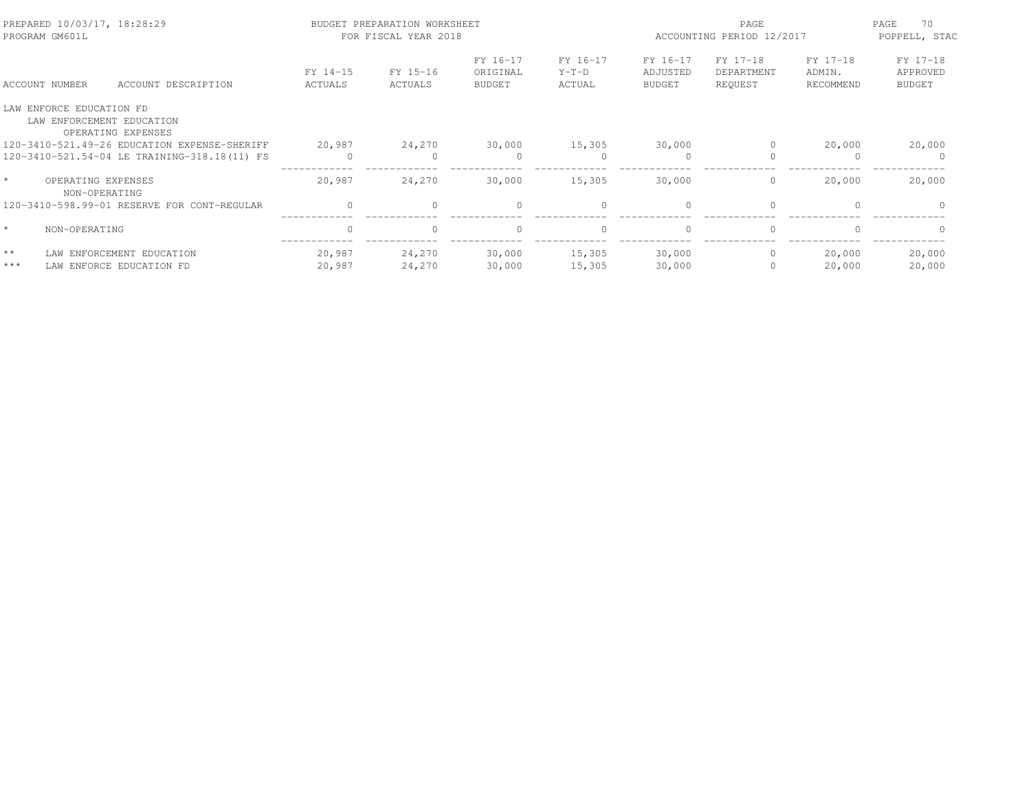| PREPARED 10/03/17, 18:28:29<br>PROGRAM GM601L         |                     | BUDGET PREPARATION WORKSHEET<br>FOR FISCAL YEAR 2018 |                                       |                               | ACCOUNTING PERIOD 12/2017             | 70<br>PAGE<br>POPPELL, STAC       |                                 |                                       |
|-------------------------------------------------------|---------------------|------------------------------------------------------|---------------------------------------|-------------------------------|---------------------------------------|-----------------------------------|---------------------------------|---------------------------------------|
| ACCOUNT DESCRIPTION<br>ACCOUNT NUMBER                 | FY 14-15<br>ACTUALS | FY 15-16<br>ACTUALS                                  | FY 16-17<br>ORIGINAL<br><b>BUDGET</b> | FY 16-17<br>$Y-T-D$<br>ACTUAL | FY 16-17<br>ADJUSTED<br><b>BUDGET</b> | FY 17-18<br>DEPARTMENT<br>REOUEST | FY 17-18<br>ADMIN.<br>RECOMMEND | FY 17-18<br>APPROVED<br><b>BUDGET</b> |
| LAW ENFORCE EDUCATION FD<br>LAW ENFORCEMENT EDUCATION |                     |                                                      |                                       |                               |                                       |                                   |                                 |                                       |
| OPERATING EXPENSES                                    |                     |                                                      |                                       |                               |                                       |                                   |                                 |                                       |
| 120-3410-521.49-26 EDUCATION EXPENSE-SHERIFF          | 20,987              | 24,270                                               | 30,000                                | 15,305                        | 30,000                                | $\bigcap$                         | 20,000                          | 20,000                                |
| 120-3410-521.54-04 LE TRAINING-318.18(11) FS          | $\bigcap$           |                                                      | $\Omega$                              |                               |                                       |                                   |                                 |                                       |
| $\star$<br>OPERATING EXPENSES<br>NON-OPERATING        | 20,987              | 24,270                                               | 30,000                                | 15,305                        | 30,000                                | $\circ$                           | 20,000                          | 20,000                                |
| 120-3410-598.99-01 RESERVE FOR CONT-REGULAR           | $\Omega$            | $\Omega$                                             | $\Omega$                              | $\Omega$                      | $\bigcap$                             | $\Omega$                          |                                 |                                       |
| $\star$<br>NON-OPERATING                              | $\mathbf{0}$        | $\circ$                                              | $\mathbf{0}$                          | $\mathbf{0}$                  | $\Omega$                              | $\mathbf{0}$                      |                                 | $\Omega$                              |
| $\star\star$<br>LAW ENFORCEMENT EDUCATION             | 20,987              | 24,270                                               | 30,000                                | 15,305                        | 30,000                                | $\circ$                           | 20,000                          | 20,000                                |
| $***$<br>LAW ENFORCE EDUCATION FD                     | 20,987              | 24,270                                               | 30,000                                | 15,305                        | 30,000                                |                                   | 20,000                          | 20,000                                |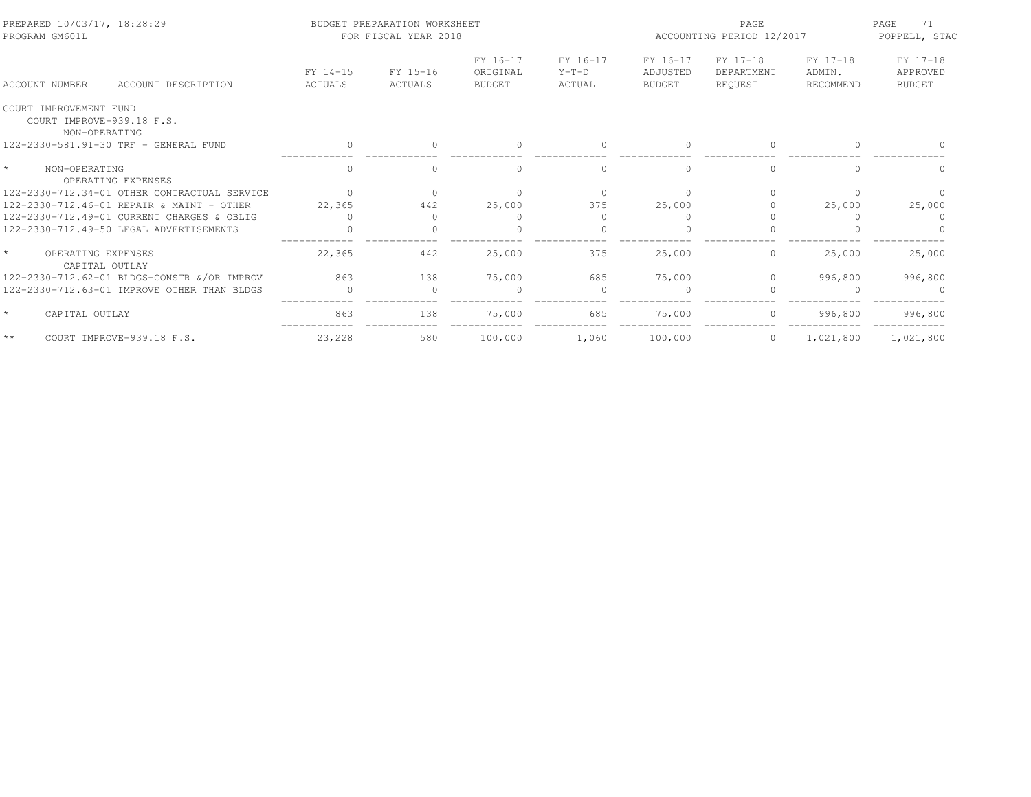| PREPARED 10/03/17, 18:28:29<br>PROGRAM GM601L                        |                     | BUDGET PREPARATION WORKSHEET<br>FOR FISCAL YEAR 2018 |                                       |                               | ACCOUNTING PERIOD 12/2017             | 71<br>PAGE<br>POPPELL, STAC       |                                 |                                       |
|----------------------------------------------------------------------|---------------------|------------------------------------------------------|---------------------------------------|-------------------------------|---------------------------------------|-----------------------------------|---------------------------------|---------------------------------------|
| ACCOUNT DESCRIPTION<br>ACCOUNT NUMBER                                | FY 14-15<br>ACTUALS | FY 15-16<br>ACTUALS                                  | FY 16-17<br>ORIGINAL<br><b>BUDGET</b> | FY 16-17<br>$Y-T-D$<br>ACTUAL | FY 16-17<br>ADJUSTED<br><b>BUDGET</b> | FY 17-18<br>DEPARTMENT<br>REOUEST | FY 17-18<br>ADMIN.<br>RECOMMEND | FY 17-18<br>APPROVED<br><b>BUDGET</b> |
| COURT IMPROVEMENT FUND<br>COURT IMPROVE-939.18 F.S.<br>NON-OPERATING |                     |                                                      |                                       |                               |                                       |                                   |                                 |                                       |
| 122-2330-581.91-30 TRF - GENERAL FUND                                |                     |                                                      |                                       |                               |                                       | $\Omega$                          |                                 |                                       |
| $\star$<br>NON-OPERATING<br>OPERATING EXPENSES                       | $\Omega$            | $\Omega$                                             | $\cap$                                | $\Omega$                      | $\bigcap$                             | $\Omega$                          | $\Omega$                        | $\Omega$                              |
| 122-2330-712.34-01 OTHER CONTRACTUAL SERVICE                         | $\Omega$            |                                                      |                                       | $\Omega$                      |                                       | $\cap$                            | ∩                               |                                       |
| 122-2330-712.46-01 REPAIR & MAINT - OTHER                            | 22,365              | 442                                                  | 25,000                                | 375                           | 25,000                                |                                   | 25,000                          | 25,000                                |
| 122-2330-712.49-01 CURRENT CHARGES & OBLIG                           |                     |                                                      |                                       |                               |                                       |                                   |                                 |                                       |
| 122-2330-712.49-50 LEGAL ADVERTISEMENTS                              | $\bigcap$           |                                                      |                                       | $\cap$                        |                                       | O                                 |                                 |                                       |
| $\star$<br>OPERATING EXPENSES<br>CAPITAL OUTLAY                      | 22,365              | 442                                                  | 25,000                                | 375                           | 25,000                                | $\circ$                           | 25,000                          | 25,000                                |
| 122-2330-712.62-01 BLDGS-CONSTR & OR IMPROV                          | 863                 | 138                                                  | 75,000                                | 685                           | 75,000                                | $\Omega$                          | 996,800                         | 996,800                               |
| 122-2330-712.63-01 IMPROVE OTHER THAN BLDGS                          | $\circ$             | $\Omega$                                             | $\Omega$                              | $\Omega$                      |                                       | $\Omega$                          | $\Omega$                        |                                       |
| $\star$<br>CAPITAL OUTLAY                                            | 863                 | 138                                                  | 75,000                                | 685                           | 75,000                                | $\circ$                           | 996,800                         | 996,800                               |
| $\star$ $\star$<br>COURT IMPROVE-939.18 F.S.                         | 23,228              | 580                                                  | 100,000                               | 1,060                         | 100,000                               | $\circ$                           | 1,021,800                       | 1,021,800                             |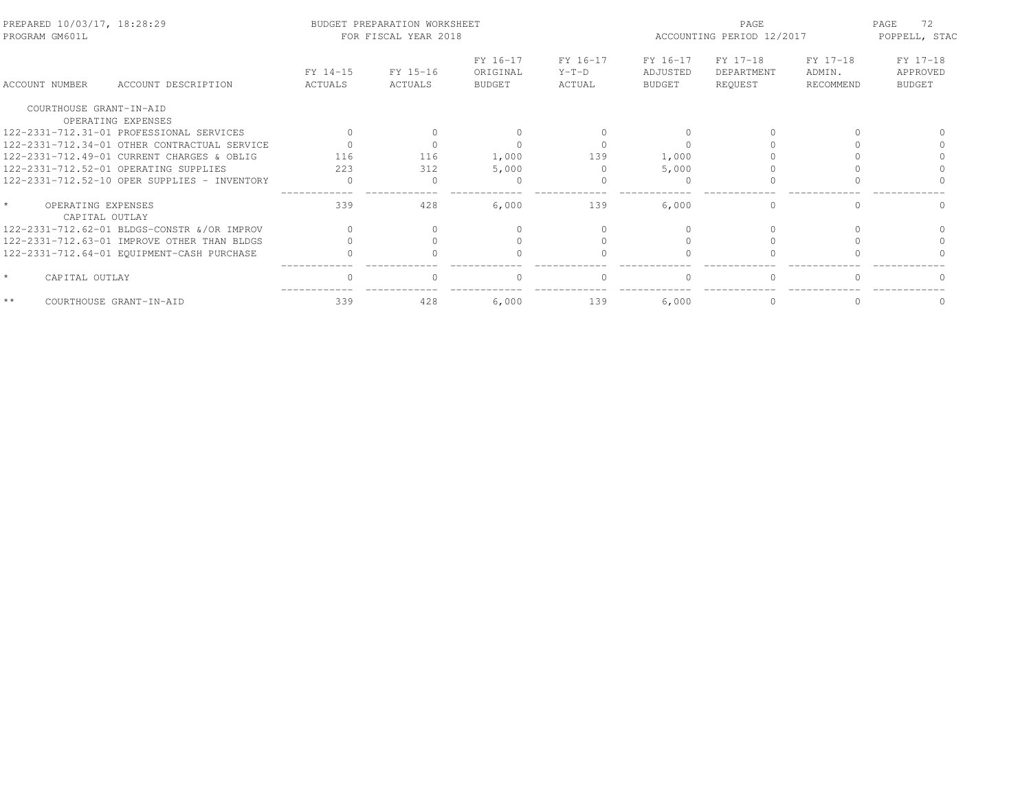| PREPARED 10/03/17, 18:28:29<br>PROGRAM GM601L |                                              |                     | BUDGET PREPARATION WORKSHEET<br>FOR FISCAL YEAR 2018 |                                       |                               | ACCOUNTING PERIOD 12/2017             | 72<br>PAGE<br>POPPELL, STAC       |                                 |                                       |
|-----------------------------------------------|----------------------------------------------|---------------------|------------------------------------------------------|---------------------------------------|-------------------------------|---------------------------------------|-----------------------------------|---------------------------------|---------------------------------------|
| ACCOUNT NUMBER                                | ACCOUNT DESCRIPTION                          | FY 14-15<br>ACTUALS | FY 15-16<br>ACTUALS                                  | FY 16-17<br>ORIGINAL<br><b>BUDGET</b> | FY 16-17<br>$Y-T-D$<br>ACTUAL | FY 16-17<br>ADJUSTED<br><b>BUDGET</b> | FY 17-18<br>DEPARTMENT<br>REQUEST | FY 17-18<br>ADMIN.<br>RECOMMEND | FY 17-18<br>APPROVED<br><b>BUDGET</b> |
| COURTHOUSE GRANT-IN-AID                       |                                              |                     |                                                      |                                       |                               |                                       |                                   |                                 |                                       |
|                                               | OPERATING EXPENSES                           |                     |                                                      |                                       |                               |                                       |                                   |                                 |                                       |
|                                               | 122-2331-712.31-01 PROFESSIONAL SERVICES     |                     |                                                      |                                       |                               |                                       |                                   |                                 |                                       |
|                                               | 122-2331-712.34-01 OTHER CONTRACTUAL SERVICE |                     |                                                      |                                       |                               |                                       |                                   |                                 |                                       |
|                                               | 122-2331-712.49-01 CURRENT CHARGES & OBLIG   | 116                 | 116                                                  | 1,000                                 | 139                           | 1,000                                 |                                   |                                 |                                       |
|                                               | 122-2331-712.52-01 OPERATING SUPPLIES        | 223                 | 312                                                  | 5,000                                 |                               | 5,000                                 |                                   |                                 |                                       |
|                                               | 122-2331-712.52-10 OPER SUPPLIES - INVENTORY |                     |                                                      |                                       |                               |                                       |                                   |                                 |                                       |
| $\star$<br>OPERATING EXPENSES                 | CAPITAL OUTLAY                               | 339                 | 428                                                  | 6,000                                 | 139                           | 6,000                                 | $\Omega$                          | $\Omega$                        |                                       |
|                                               | 122-2331-712.62-01 BLDGS-CONSTR & OR IMPROV  |                     |                                                      |                                       |                               |                                       |                                   |                                 |                                       |
|                                               | 122-2331-712.63-01 IMPROVE OTHER THAN BLDGS  |                     |                                                      |                                       |                               |                                       |                                   |                                 |                                       |
|                                               | 122-2331-712.64-01 EQUIPMENT-CASH PURCHASE   |                     |                                                      |                                       |                               |                                       |                                   |                                 |                                       |
| $\star$<br>CAPITAL OUTLAY                     |                                              |                     |                                                      |                                       |                               |                                       | $\cap$                            |                                 |                                       |
| $**$                                          | COURTHOUSE GRANT-IN-AID                      | 339                 | 428                                                  | 6,000                                 | 139                           | 6,000                                 | $\Omega$                          | ∩                               |                                       |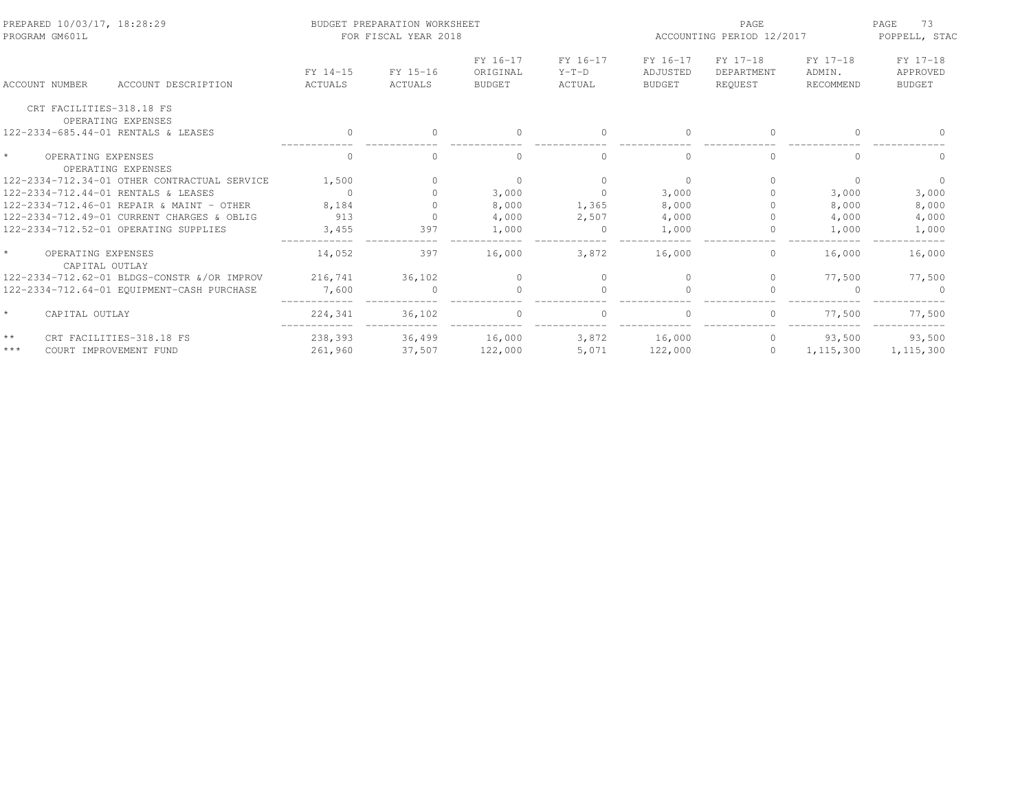| PREPARED 10/03/17, 18:28:29<br>PROGRAM GM601L       |                     | BUDGET PREPARATION WORKSHEET<br>FOR FISCAL YEAR 2018 |                                       |                               | PAGE<br>ACCOUNTING PERIOD 12/2017     |                                   |                                 | 73<br>PAGE<br>POPPELL, STAC           |
|-----------------------------------------------------|---------------------|------------------------------------------------------|---------------------------------------|-------------------------------|---------------------------------------|-----------------------------------|---------------------------------|---------------------------------------|
| <b>ACCOUNT NUMBER</b><br>ACCOUNT DESCRIPTION        | FY 14-15<br>ACTUALS | FY 15-16<br>ACTUALS                                  | FY 16-17<br>ORIGINAL<br><b>BUDGET</b> | FY 16-17<br>$Y-T-D$<br>ACTUAL | FY 16-17<br>ADJUSTED<br><b>BUDGET</b> | FY 17-18<br>DEPARTMENT<br>REOUEST | FY 17-18<br>ADMIN.<br>RECOMMEND | FY 17-18<br>APPROVED<br><b>BUDGET</b> |
| CRT FACILITIES-318.18 FS<br>OPERATING EXPENSES      |                     |                                                      |                                       |                               |                                       |                                   |                                 |                                       |
| 122-2334-685.44-01 RENTALS & LEASES                 |                     |                                                      |                                       |                               |                                       | $\Omega$                          |                                 |                                       |
| $\star$<br>OPERATING EXPENSES<br>OPERATING EXPENSES | $\Omega$            | $\cap$                                               | $\cap$                                | $\Omega$                      | $\cap$                                | $\Omega$                          | $\cap$                          | $\Omega$                              |
| 122-2334-712.34-01 OTHER CONTRACTUAL SERVICE        | 1,500               |                                                      | $\Omega$                              | $\circ$                       | $\Omega$                              | $\Omega$                          | $\Omega$                        | $\Omega$                              |
| 122-2334-712.44-01 RENTALS & LEASES                 | $\Omega$            |                                                      | 3,000                                 | $\Omega$                      | 3,000                                 | $\bigcap$                         | 3,000                           | 3,000                                 |
| 122-2334-712.46-01 REPAIR & MAINT - OTHER           | 8,184               |                                                      | 8,000                                 | 1,365                         | 8,000                                 | <sup>∩</sup>                      | 8,000                           | 8,000                                 |
| 122-2334-712.49-01 CURRENT CHARGES & OBLIG          | 913                 |                                                      | 4,000                                 | 2,507                         | 4,000                                 |                                   | 4,000                           | 4,000                                 |
| 122-2334-712.52-01 OPERATING SUPPLIES               | 3,455               | 397                                                  | 1,000                                 | $\Omega$                      | 1,000                                 | $\Omega$                          | 1,000                           | 1,000                                 |
| $\star$<br>OPERATING EXPENSES<br>CAPITAL OUTLAY     | 14,052              | 397                                                  | 16,000                                | 3,872                         | 16,000                                | $\circ$                           | 16,000                          | 16,000                                |
| 122-2334-712.62-01 BLDGS-CONSTR &/OR IMPROV         | 216,741             | 36,102                                               | $\bigcap$                             | $\Omega$                      | $\Omega$                              | $\circ$                           | 77,500                          | 77,500                                |
| 122-2334-712.64-01 EQUIPMENT-CASH PURCHASE          | 7,600               | $\mathbf{0}$                                         | $\bigcap$                             | $\Omega$                      |                                       | $\Omega$                          | $\Omega$                        | $\Omega$                              |
| $\star$<br>CAPITAL OUTLAY                           | 224,341             | 36,102                                               |                                       |                               |                                       | 0                                 | 77,500                          | 77,500                                |
| $\star$ $\star$<br>CRT FACILITIES-318.18 FS         | 238,393             | 36,499                                               | 16,000                                | 3,872                         | 16,000                                | $\Omega$                          | 93,500                          | 93,500                                |
| $\star\star\star$<br>COURT IMPROVEMENT FUND         | 261,960             | 37,507                                               | 122,000                               | 5,071                         | 122,000                               | $\circ$                           | 1, 115, 300                     | 1, 115, 300                           |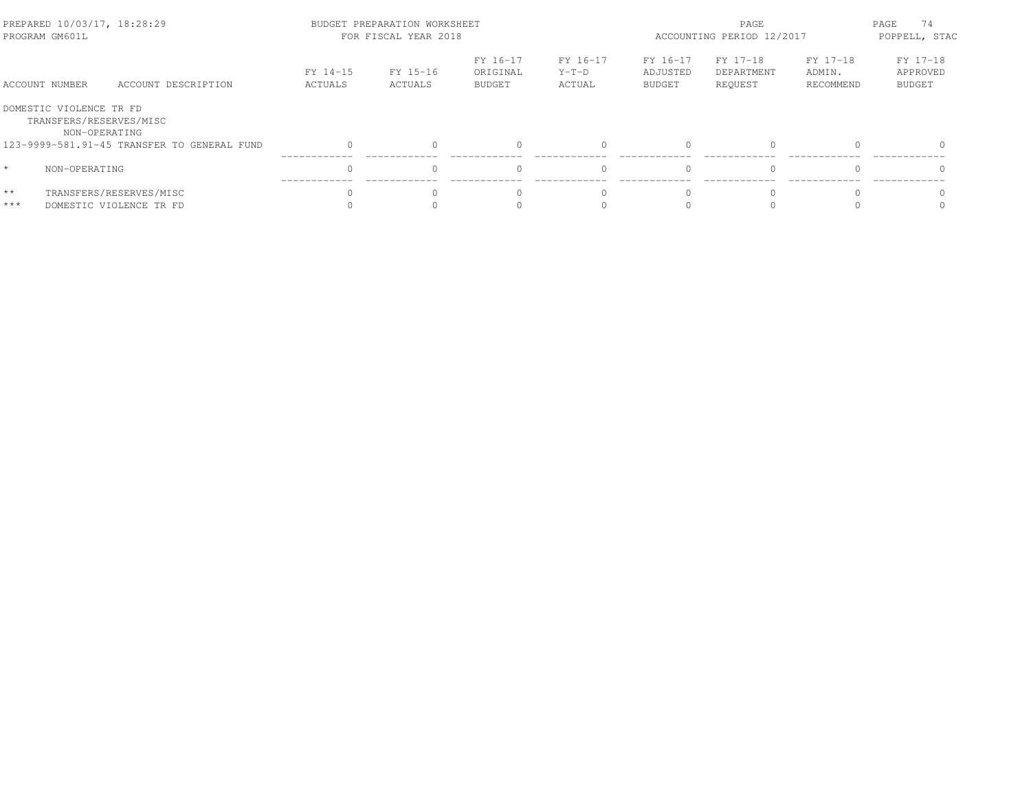| PREPARED 10/03/17, 18:28:29<br>PROGRAM GM601L |                                                                     |                                                    |                     | BUDGET PREPARATION WORKSHEET<br>FOR FISCAL YEAR 2018 |                                       | ACCOUNTING PERIOD 12/2017     | 74<br>PAGE<br>POPPELL, STAC    |                                   |                                 |                                       |
|-----------------------------------------------|---------------------------------------------------------------------|----------------------------------------------------|---------------------|------------------------------------------------------|---------------------------------------|-------------------------------|--------------------------------|-----------------------------------|---------------------------------|---------------------------------------|
| ACCOUNT NUMBER                                |                                                                     | ACCOUNT DESCRIPTION                                | FY 14-15<br>ACTUALS | FY 15-16<br>ACTUALS                                  | FY 16-17<br>ORIGINAL<br><b>BUDGET</b> | FY 16-17<br>$Y-T-D$<br>ACTUAL | FY 16-17<br>ADJUSTED<br>BUDGET | FY 17-18<br>DEPARTMENT<br>REOUEST | FY 17-18<br>ADMIN.<br>RECOMMEND | FY 17-18<br>APPROVED<br><b>BUDGET</b> |
|                                               | DOMESTIC VIOLENCE TR FD<br>TRANSFERS/RESERVES/MISC<br>NON-OPERATING |                                                    |                     |                                                      |                                       |                               |                                |                                   |                                 |                                       |
|                                               |                                                                     | 123-9999-581.91-45 TRANSFER TO GENERAL FUND        |                     |                                                      |                                       |                               | $\cap$                         | $\Omega$                          |                                 |                                       |
| $\star$                                       | NON-OPERATING                                                       |                                                    |                     |                                                      |                                       |                               | $\bigcap$                      | $\Omega$                          |                                 |                                       |
| $* *$<br>$***$                                |                                                                     | TRANSFERS/RESERVES/MISC<br>DOMESTIC VIOLENCE TR FD |                     |                                                      |                                       |                               |                                |                                   |                                 |                                       |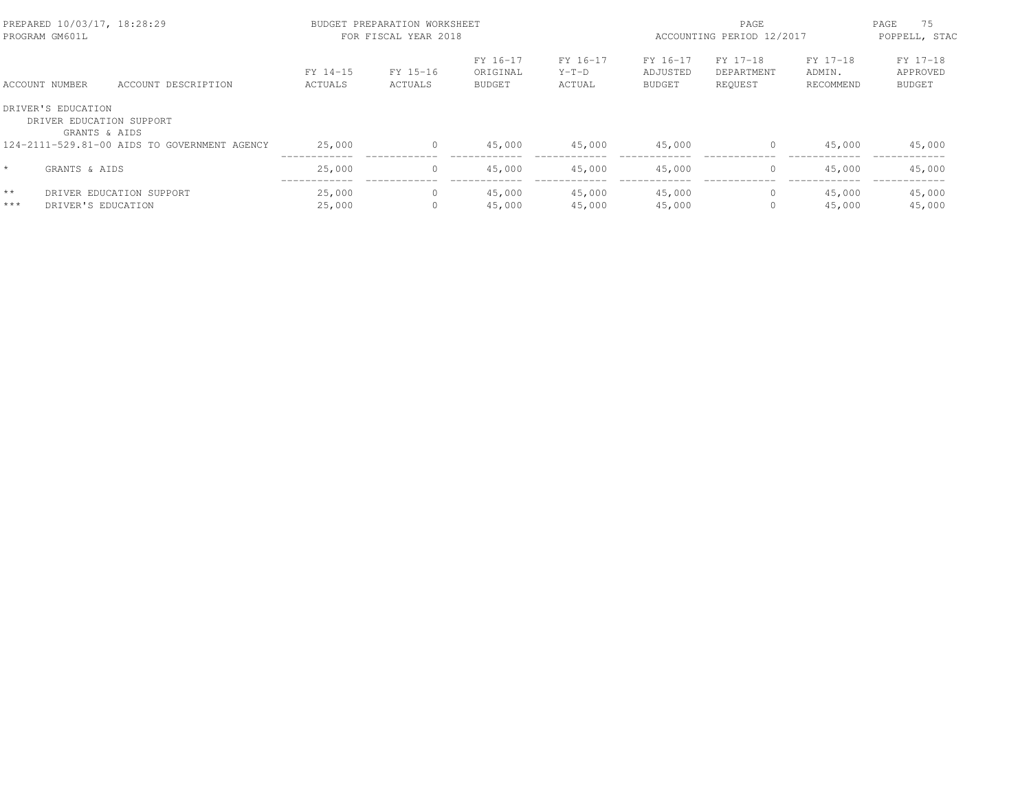|               | PREPARED 10/03/17, 18:28:29<br>PROGRAM GM601L                   |                                              |                     | BUDGET PREPARATION WORKSHEET<br>FOR FISCAL YEAR 2018 |                                       | ACCOUNTING PERIOD 12/2017     | 75<br>PAGE<br>POPPELL, STAC           |                                   |                                 |                                       |
|---------------|-----------------------------------------------------------------|----------------------------------------------|---------------------|------------------------------------------------------|---------------------------------------|-------------------------------|---------------------------------------|-----------------------------------|---------------------------------|---------------------------------------|
|               | ACCOUNT NUMBER                                                  | ACCOUNT DESCRIPTION                          | FY 14-15<br>ACTUALS | FY 15-16<br>ACTUALS                                  | FY 16-17<br>ORIGINAL<br><b>BUDGET</b> | FY 16-17<br>$Y-T-D$<br>ACTUAL | FY 16-17<br>ADJUSTED<br><b>BUDGET</b> | FY 17-18<br>DEPARTMENT<br>REQUEST | FY 17-18<br>ADMIN.<br>RECOMMEND | FY 17-18<br>APPROVED<br><b>BUDGET</b> |
|               | DRIVER'S EDUCATION<br>DRIVER EDUCATION SUPPORT<br>GRANTS & AIDS |                                              |                     |                                                      |                                       |                               |                                       |                                   |                                 |                                       |
|               |                                                                 | 124-2111-529.81-00 AIDS TO GOVERNMENT AGENCY | 25,000              | $\Omega$                                             | 45,000                                | 45,000                        | 45,000                                | 0                                 | 45,000                          | 45,000                                |
|               | GRANTS & AIDS                                                   |                                              | 25,000              | $\Omega$                                             | 45,000                                | 45,000                        | 45,000                                | $\circ$                           | 45,000                          | 45,000                                |
| $**$<br>$***$ | DRIVER'S EDUCATION                                              | DRIVER EDUCATION SUPPORT                     | 25,000<br>25,000    | $\Omega$                                             | 45,000<br>45,000                      | 45,000<br>45,000              | 45,000<br>45,000                      | 0<br>0                            | 45,000<br>45,000                | 45,000<br>45,000                      |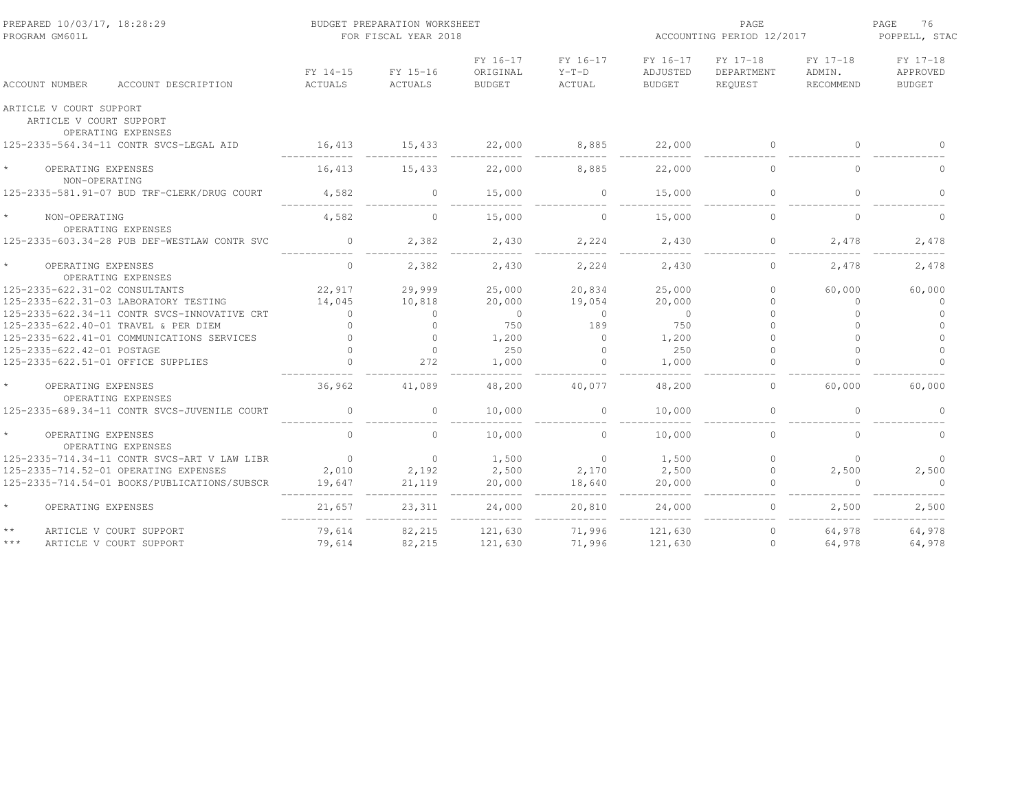| PREPARED 10/03/17, 18:28:29<br>PROGRAM GM601L                            |                     | BUDGET PREPARATION WORKSHEET<br>FOR FISCAL YEAR 2018 |                                       | ACCOUNTING PERIOD 12/2017            | PAGE<br>76<br>POPPELL, STAC           |                                   |                                 |                                       |
|--------------------------------------------------------------------------|---------------------|------------------------------------------------------|---------------------------------------|--------------------------------------|---------------------------------------|-----------------------------------|---------------------------------|---------------------------------------|
| ACCOUNT NUMBER<br>ACCOUNT DESCRIPTION                                    | FY 14-15<br>ACTUALS | FY 15-16<br>ACTUALS                                  | FY 16-17<br>ORIGINAL<br><b>BUDGET</b> | FY 16-17<br>$Y-T-D$<br><b>ACTUAL</b> | FY 16-17<br>ADJUSTED<br><b>BUDGET</b> | FY 17-18<br>DEPARTMENT<br>REQUEST | FY 17-18<br>ADMIN.<br>RECOMMEND | FY 17-18<br>APPROVED<br><b>BUDGET</b> |
| ARTICLE V COURT SUPPORT<br>ARTICLE V COURT SUPPORT<br>OPERATING EXPENSES |                     |                                                      |                                       |                                      |                                       |                                   |                                 |                                       |
| 125-2335-564.34-11 CONTR SVCS-LEGAL AID                                  | 16,413              | 15,433                                               | 22,000                                | 8,885                                | 22,000                                | $\mathbb O$                       | $\circ$                         |                                       |
| OPERATING EXPENSES<br>NON-OPERATING                                      | 16,413              | 15,433                                               | 22,000                                | 8,885                                | 22,000                                | $\Omega$                          | $\Omega$                        |                                       |
| 125-2335-581.91-07 BUD TRF-CLERK/DRUG COURT                              | 4,582               | $\circ$                                              | 15,000                                | $\circ$                              | 15,000                                | $\circ$                           | $\Omega$                        | $\Omega$                              |
| NON-OPERATING<br>OPERATING EXPENSES                                      | 4,582               | $\circ$                                              | 15,000                                | $\circ$                              | 15,000                                | $\circ$                           | $\circ$                         | $\Omega$                              |
| 125-2335-603.34-28 PUB DEF-WESTLAW CONTR SVC                             | $\circ$             | 2,382                                                | 2,430                                 | 2,224                                | 2,430                                 | $\circ$                           | 2,478                           | 2,478                                 |
| OPERATING EXPENSES<br>OPERATING EXPENSES                                 | $\Omega$            | 2,382                                                | 2,430                                 | 2,224                                | 2,430                                 | $\Omega$                          | 2.478                           | 2,478                                 |
| 125-2335-622.31-02 CONSULTANTS                                           | 22,917              | 29,999                                               | 25,000                                | 20,834                               | 25,000                                | $\Omega$                          | 60,000                          | 60,000                                |
| 125-2335-622.31-03 LABORATORY TESTING                                    | 14,045              | 10,818                                               | 20,000                                | 19,054                               | 20,000                                |                                   | $\Omega$                        | $\Omega$                              |
| 125-2335-622.34-11 CONTR SVCS-INNOVATIVE CRT                             | $\bigcap$           | $\cap$                                               | $\bigcirc$                            | $\Omega$                             | $\bigcirc$                            |                                   | $\Omega$                        | $\Omega$                              |
| 125-2335-622.40-01 TRAVEL & PER DIEM                                     | $\bigcap$           | $\Omega$                                             | 750                                   | 189                                  | 750                                   |                                   | $\cap$                          |                                       |
| 125-2335-622.41-01 COMMUNICATIONS SERVICES                               |                     | $\Omega$                                             | 1,200                                 | $\Omega$                             | 1,200                                 |                                   |                                 |                                       |
| 125-2335-622.42-01 POSTAGE                                               |                     | $\circ$                                              | 250                                   | $\Omega$                             | 250                                   |                                   | $\Omega$                        | $\Omega$                              |
| 125-2335-622.51-01 OFFICE SUPPLIES                                       |                     | 272                                                  | 1,000                                 | $\Omega$                             | 1,000                                 |                                   |                                 | $\cap$                                |
| OPERATING EXPENSES<br>OPERATING EXPENSES                                 | 36,962              | 41,089                                               | 48,200                                | 40,077                               | 48,200                                | $\circ$                           | 60,000                          | 60,000                                |
| 125-2335-689.34-11 CONTR SVCS-JUVENILE COURT                             | $\mathbf{0}$        | $\Omega$                                             | 10,000                                | $\Omega$                             | 10,000                                | $\Omega$                          | $\Omega$                        | $\Omega$                              |
| $\star$<br>OPERATING EXPENSES<br>OPERATING EXPENSES                      | $\Omega$            | $\Omega$                                             | 10,000                                | $\Omega$                             | 10,000                                | $\Omega$                          | $\Omega$                        | $\cap$                                |
| 125-2335-714.34-11 CONTR SVCS-ART V LAW LIBR                             | $\overline{0}$      | $\Omega$                                             | 1,500                                 | $\Omega$                             | 1,500                                 | $\Omega$                          | $\Omega$                        | $\Omega$                              |
| 125-2335-714.52-01 OPERATING EXPENSES                                    | 2,010               | 2,192                                                | 2,500                                 | 2,170                                | 2,500                                 | $\circ$                           | 2,500                           | 2,500                                 |
| 125-2335-714.54-01 BOOKS/PUBLICATIONS/SUBSCR                             | 19,647              | 21,119                                               | 20,000                                | 18,640                               | 20,000                                |                                   |                                 | $\cap$                                |
| $\star$<br>OPERATING EXPENSES                                            | 21,657              | 23,311                                               | 24,000                                | 20,810                               | 24,000                                | $\circ$                           | 2,500                           | 2,500                                 |
| $\star\star$<br>ARTICLE V COURT SUPPORT                                  | 79,614              | 82,215                                               | 121,630                               | 71,996                               | 121,630                               | $\circ$                           | 64,978                          | 64,978                                |
| $\star\star\star$<br>ARTICLE V COURT SUPPORT                             | 79,614              | 82,215                                               | 121,630                               | 71,996                               | 121,630                               | $\circ$                           | 64,978                          | 64,978                                |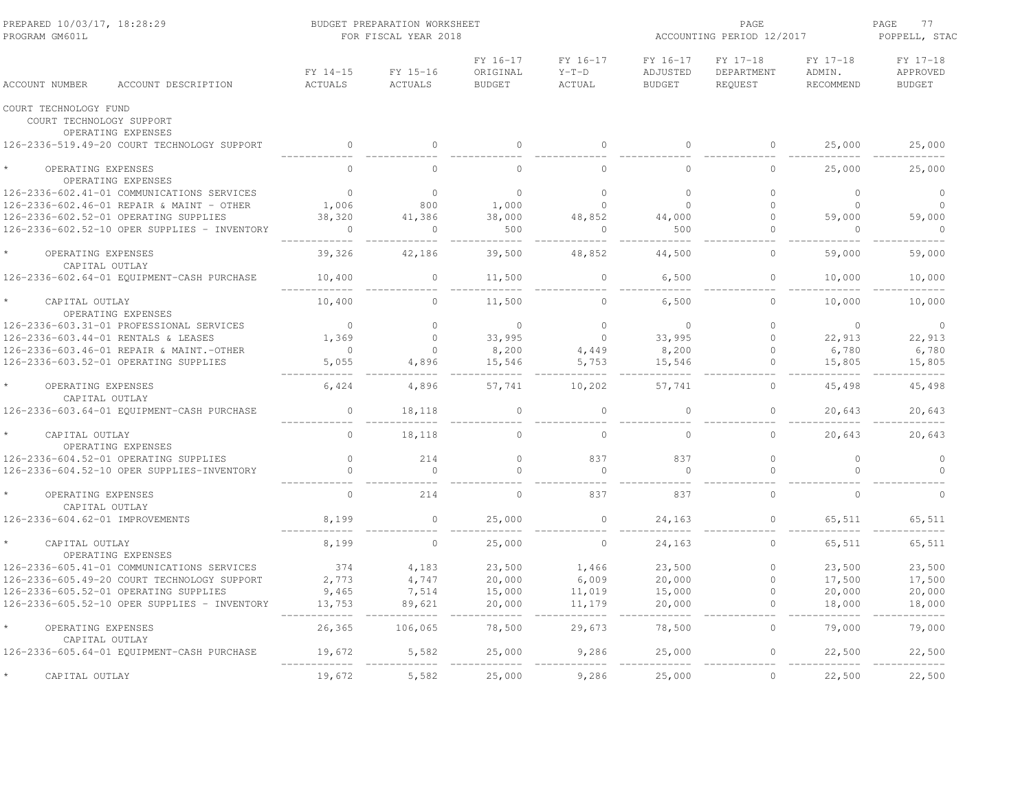| PREPARED 10/03/17, 18:28:29<br>PROGRAM GM601L     |                                                                  | BUDGET PREPARATION WORKSHEET<br>FOR FISCAL YEAR 2018 |                            |                                       |                               |                                       | PAGE<br>ACCOUNTING PERIOD 12/2017 |                                 |                                       |  |
|---------------------------------------------------|------------------------------------------------------------------|------------------------------------------------------|----------------------------|---------------------------------------|-------------------------------|---------------------------------------|-----------------------------------|---------------------------------|---------------------------------------|--|
| <b>ACCOUNT NUMBER</b>                             | ACCOUNT DESCRIPTION                                              | FY 14-15<br><b>ACTUALS</b>                           | FY 15-16<br><b>ACTUALS</b> | FY 16-17<br>ORIGINAL<br><b>BUDGET</b> | FY 16-17<br>$Y-T-D$<br>ACTUAL | FY 16-17<br>ADJUSTED<br><b>BUDGET</b> | FY 17-18<br>DEPARTMENT<br>REQUEST | FY 17-18<br>ADMIN.<br>RECOMMEND | FY 17-18<br>APPROVED<br><b>BUDGET</b> |  |
| COURT TECHNOLOGY FUND<br>COURT TECHNOLOGY SUPPORT |                                                                  |                                                      |                            |                                       |                               |                                       |                                   |                                 |                                       |  |
|                                                   | OPERATING EXPENSES                                               |                                                      |                            |                                       |                               |                                       |                                   |                                 |                                       |  |
|                                                   | 126-2336-519.49-20 COURT TECHNOLOGY SUPPORT                      | $\circ$                                              | $\circ$                    | $\Omega$                              | $\circ$                       | $\mathbf{0}$                          | $\circ$                           | 25,000                          | 25,000                                |  |
| OPERATING EXPENSES                                |                                                                  | $\Omega$                                             | $\Omega$                   | $\Omega$                              | $\bigcap$                     | $\bigcap$                             | $\circ$                           | 25,000                          | 25,000                                |  |
|                                                   | OPERATING EXPENSES<br>126-2336-602.41-01 COMMUNICATIONS SERVICES | $\mathbf{0}$                                         | $\circ$                    | $\circ$                               | $\circ$                       | $\mathbf{0}$                          | $\mathbf{0}$                      | $\circ$                         | $\circ$                               |  |
|                                                   | 126-2336-602.46-01 REPAIR & MAINT - OTHER                        | 1,006                                                | 800                        | 1,000                                 | $\circ$                       | $\Omega$                              | $\circ$                           | $\circ$                         | $\circ$                               |  |
| 126-2336-602.52-01 OPERATING SUPPLIES             |                                                                  | 38,320                                               | 41,386                     | 38,000                                | 48,852                        | 44,000                                | $\circ$                           | 59,000                          | 59,000                                |  |
|                                                   | 126-2336-602.52-10 OPER SUPPLIES - INVENTORY                     | $\circ$                                              | $\mathbf 0$                | 500                                   | $\mathbf{0}$                  | 500                                   | $\circ$                           | $\Omega$                        | $\circ$                               |  |
| OPERATING EXPENSES                                |                                                                  | 39,326                                               | 42,186                     | 39,500                                | 48,852                        | 44,500                                | $\Omega$                          | 59,000                          | 59,000                                |  |
| CAPITAL OUTLAY                                    | 126-2336-602.64-01 EQUIPMENT-CASH PURCHASE                       | 10,400                                               | $\circ$                    | 11,500                                | $\circ$                       | 6,500                                 | $\mathbf{0}$                      | 10,000                          | 10,000                                |  |
|                                                   |                                                                  |                                                      |                            |                                       |                               |                                       |                                   |                                 |                                       |  |
| CAPITAL OUTLAY                                    | OPERATING EXPENSES                                               | 10,400                                               | $\Omega$                   | 11,500                                | $\mathbf{0}$                  | 6,500                                 | $\mathbf{0}$                      | 10,000                          | 10,000                                |  |
|                                                   | 126-2336-603.31-01 PROFESSIONAL SERVICES                         | $\Omega$                                             | $\Omega$                   | $\Omega$                              | $\Omega$                      | $\Omega$                              | $\Omega$                          | $\Omega$                        | $\circ$                               |  |
| 126-2336-603.44-01 RENTALS & LEASES               |                                                                  | 1,369                                                | $\circ$                    | 33,995                                | $\Omega$                      | 33,995                                | $\circ$                           | 22,913                          | 22,913                                |  |
|                                                   | 126-2336-603.46-01 REPAIR & MAINT.-OTHER                         | $\mathbf{0}$                                         | 0                          | 8,200                                 | 4,449                         | 8,200                                 | $\circ$                           | 6,780                           | 6,780                                 |  |
| 126-2336-603.52-01 OPERATING SUPPLIES             |                                                                  | 5,055                                                | 4,896                      | 15,546                                | 5,753                         | 15,546                                | $\mathbf{0}$                      | 15,805                          | 15,805                                |  |
| OPERATING EXPENSES<br>CAPITAL OUTLAY              |                                                                  | 6,424                                                | 4,896                      | 57,741                                | 10,202                        | 57,741                                | $\Omega$                          | 45,498                          | 45,498                                |  |
|                                                   | 126-2336-603.64-01 EOUIPMENT-CASH PURCHASE                       | $\mathbb O$                                          | 18,118                     | $\mathbf 0$                           | $\mathbf 0$                   | $\mathbf{0}$                          | $\mathbf{0}$                      | 20,643                          | 20,643                                |  |
| CAPITAL OUTLAY                                    | OPERATING EXPENSES                                               | $\circ$                                              | 18,118                     | $\Omega$                              | $\Omega$                      | $\Omega$                              | $\circ$                           | 20,643                          | 20,643                                |  |
| 126-2336-604.52-01 OPERATING SUPPLIES             |                                                                  | $\mathbb O$                                          | 214                        | $\mathbf{0}$                          | 837                           | 837                                   | $\mathbb O$                       | $\circ$                         | $\circ$                               |  |
|                                                   | 126-2336-604.52-10 OPER SUPPLIES-INVENTORY                       | $\Omega$                                             | $\Omega$                   | $\Omega$                              | $\Omega$                      | $\Omega$                              | $\Omega$                          | $\Omega$                        | $\Omega$                              |  |
| OPERATING EXPENSES<br>CAPITAL OUTLAY              |                                                                  | $\mathbf{0}$                                         | 214                        | $\Omega$                              | 837                           | 837                                   | $\circ$                           | $\Omega$                        | $\circ$                               |  |
| 126-2336-604.62-01 IMPROVEMENTS                   |                                                                  | 8,199                                                | 0                          | 25,000                                | $\mathbf{0}$                  | 24,163                                | $\circ$                           | 65,511                          | 65,511                                |  |
| CAPITAL OUTLAY                                    | OPERATING EXPENSES                                               | 8,199                                                | $\circ$                    | 25,000                                | $\Omega$                      | 24,163                                | $\circ$                           | 65,511                          | 65,511                                |  |
|                                                   | 126-2336-605.41-01 COMMUNICATIONS SERVICES                       | 374                                                  | 4,183                      | 23,500                                | 1,466                         | 23,500                                | $\Omega$                          | 23,500                          | 23,500                                |  |
|                                                   | 126-2336-605.49-20 COURT TECHNOLOGY SUPPORT                      | 2,773                                                | 4,747                      | 20,000                                | 6,009                         | 20,000                                | 0                                 | 17,500                          | 17,500                                |  |
| 126-2336-605.52-01 OPERATING SUPPLIES             |                                                                  | 9,465                                                | 7,514                      | 15,000                                | 11,019                        | 15,000                                | $\Omega$                          | 20,000                          | 20,000                                |  |
|                                                   | 126-2336-605.52-10 OPER SUPPLIES - INVENTORY                     | 13,753                                               | 89,621                     | 20,000                                | 11,179                        | 20,000                                | $\circ$                           | 18,000                          | 18,000                                |  |
| OPERATING EXPENSES                                |                                                                  | 26,365                                               | 106,065                    | 78,500                                | 29,673                        | 78,500                                | $\circ$                           | 79,000                          | 79,000                                |  |
| CAPITAL OUTLAY                                    | 126-2336-605.64-01 EQUIPMENT-CASH PURCHASE                       | 19,672                                               | 5,582                      | 25,000                                | 9,286                         | 25,000                                | $\mathbf{0}$                      | 22,500                          | 22,500                                |  |
| CAPITAL OUTLAY                                    |                                                                  | 19,672                                               | 5,582                      | 25,000                                | 9,286                         | 25,000                                | $\circ$                           | 22,500                          | 22,500                                |  |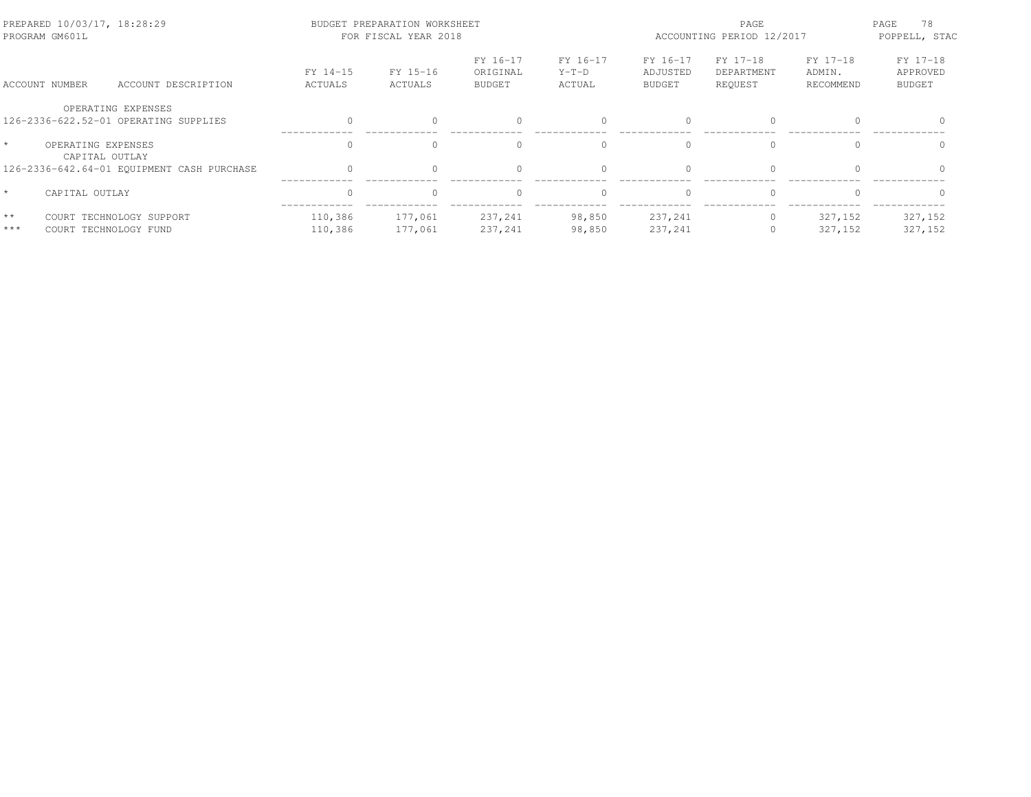| PREPARED 10/03/17, 18:28:29<br>PROGRAM GM601L |                                      |                                                             |                     | BUDGET PREPARATION WORKSHEET<br>FOR FISCAL YEAR 2018 |                                       | ACCOUNTING PERIOD 12/2017     | 78<br>PAGE<br>POPPELL, STAC           |                                   |                                 |                                       |
|-----------------------------------------------|--------------------------------------|-------------------------------------------------------------|---------------------|------------------------------------------------------|---------------------------------------|-------------------------------|---------------------------------------|-----------------------------------|---------------------------------|---------------------------------------|
|                                               | ACCOUNT NUMBER                       | ACCOUNT DESCRIPTION                                         | FY 14-15<br>ACTUALS | FY 15-16<br>ACTUALS                                  | FY 16-17<br>ORIGINAL<br><b>BUDGET</b> | FY 16-17<br>$Y-T-D$<br>ACTUAL | FY 16-17<br>ADJUSTED<br><b>BUDGET</b> | FY 17-18<br>DEPARTMENT<br>REOUEST | FY 17-18<br>ADMIN.<br>RECOMMEND | FY 17-18<br>APPROVED<br><b>BUDGET</b> |
|                                               |                                      | OPERATING EXPENSES<br>126-2336-622.52-01 OPERATING SUPPLIES | $\Omega$            | $\Omega$                                             | $\Omega$                              | $\circ$                       | $\Omega$                              | $\Omega$                          | $\cap$                          |                                       |
|                                               | OPERATING EXPENSES<br>CAPITAL OUTLAY |                                                             | $\Omega$            | $\Omega$                                             | $\Omega$                              | $\Omega$                      | $\cap$                                | $\Omega$                          | $\cap$                          | $\Omega$                              |
|                                               |                                      | 126-2336-642.64-01 EQUIPMENT CASH PURCHASE                  | $\Omega$            | 0                                                    | $\mathbf{0}$                          | $\circ$                       | $\Omega$                              | $\mathbf{0}$                      | $\Omega$                        |                                       |
|                                               | CAPITAL OUTLAY                       |                                                             | $\circ$             | $\Omega$                                             | $\mathbf{0}$                          | $\circ$                       | $\Omega$                              | $\mathbf{0}$                      | $\Omega$                        | $\Omega$                              |
| $**$<br>$***$                                 | COURT TECHNOLOGY FUND                | COURT TECHNOLOGY SUPPORT                                    | 110,386<br>110,386  | 177,061<br>177,061                                   | 237,241<br>237,241                    | 98,850<br>98,850              | 237,241<br>237,241                    | 0                                 | 327,152<br>327, 152             | 327,152<br>327, 152                   |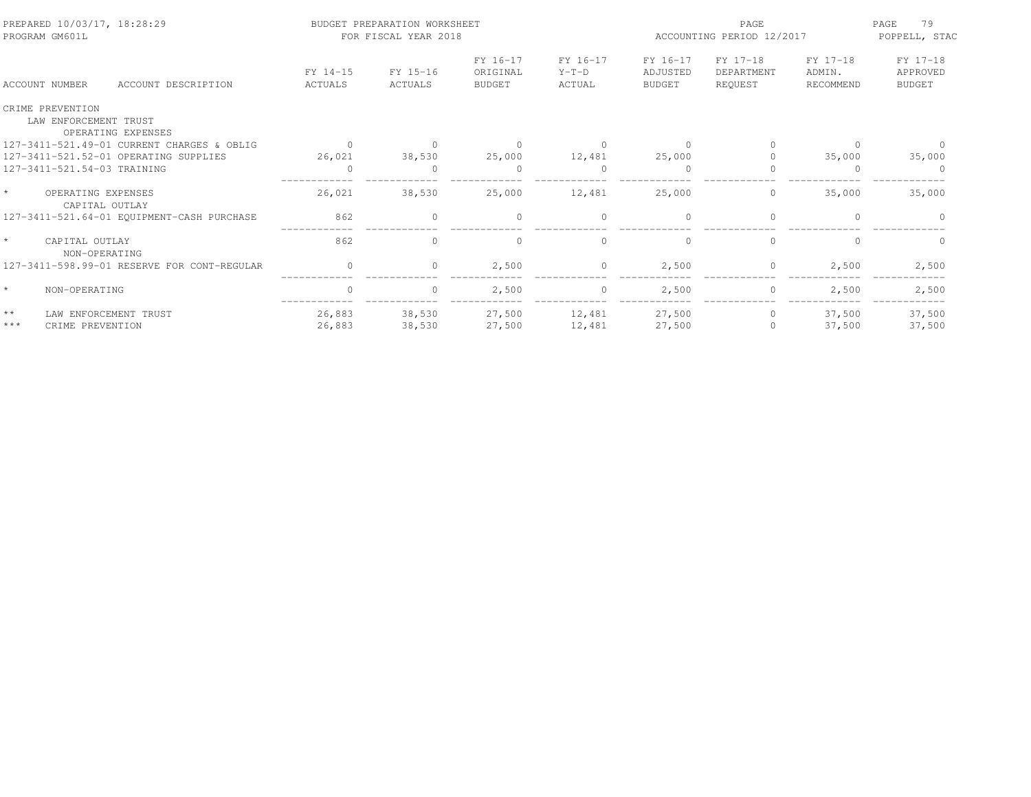| PREPARED 10/03/17, 18:28:29<br>PROGRAM GM601L |                                           |                                             |                     | BUDGET PREPARATION WORKSHEET<br>FOR FISCAL YEAR 2018 |                                       |                               | ACCOUNTING PERIOD 12/2017             | 79<br>PAGE<br>POPPELL, STAC       |                                 |                                       |
|-----------------------------------------------|-------------------------------------------|---------------------------------------------|---------------------|------------------------------------------------------|---------------------------------------|-------------------------------|---------------------------------------|-----------------------------------|---------------------------------|---------------------------------------|
|                                               | ACCOUNT NUMBER                            | ACCOUNT DESCRIPTION                         | FY 14-15<br>ACTUALS | FY 15-16<br>ACTUALS                                  | FY 16-17<br>ORIGINAL<br><b>BUDGET</b> | FY 16-17<br>$Y-T-D$<br>ACTUAL | FY 16-17<br>ADJUSTED<br><b>BUDGET</b> | FY 17-18<br>DEPARTMENT<br>REQUEST | FY 17-18<br>ADMIN.<br>RECOMMEND | FY 17-18<br>APPROVED<br><b>BUDGET</b> |
|                                               | CRIME PREVENTION<br>LAW ENFORCEMENT TRUST | OPERATING EXPENSES                          |                     |                                                      |                                       |                               |                                       |                                   |                                 |                                       |
|                                               |                                           | 127-3411-521.49-01 CURRENT CHARGES & OBLIG  | $\Omega$            | $\Omega$                                             |                                       | $\Omega$                      | $\bigcap$                             |                                   | <sup>0</sup>                    |                                       |
|                                               |                                           | 127-3411-521.52-01 OPERATING SUPPLIES       | 26,021              | 38,530                                               | 25,000                                | 12,481                        | 25,000                                |                                   | 35,000                          | 35,000                                |
|                                               | 127-3411-521.54-03 TRAINING               |                                             | $\Omega$            |                                                      | $\Omega$                              | $\Omega$                      | $\Omega$                              |                                   | $\Omega$                        | $\Omega$                              |
| $\star$                                       | OPERATING EXPENSES<br>CAPITAL OUTLAY      |                                             | 26,021              | 38,530                                               | 25,000                                | 12,481                        | 25,000                                | 0                                 | 35,000                          | 35,000                                |
|                                               |                                           | 127-3411-521.64-01 EQUIPMENT-CASH PURCHASE  | 862                 | $\Omega$                                             | $\Omega$                              | $\Omega$                      | $\cap$                                | $\Omega$                          |                                 |                                       |
|                                               | CAPITAL OUTLAY<br>NON-OPERATING           |                                             | 862                 | $\Omega$                                             | $\Omega$                              | $\Omega$                      | $\bigcap$                             | $\Omega$                          | $\cap$                          |                                       |
|                                               |                                           | 127-3411-598.99-01 RESERVE FOR CONT-REGULAR | $\Omega$            | $\Omega$                                             | 2,500                                 | $\circ$                       | 2,500                                 | $\Omega$                          | 2,500                           | 2,500                                 |
|                                               | NON-OPERATING                             |                                             | $\circ$             | $\circ$                                              | 2,500                                 | $\circ$                       | 2,500                                 | $\circ$                           | 2,500                           | 2,500                                 |
| $\star\star$<br>$***$                         | LAW ENFORCEMENT TRUST<br>CRIME PREVENTION |                                             | 26,883<br>26,883    | 38,530<br>38,530                                     | 27,500<br>27,500                      | 12,481<br>12,481              | 27,500<br>27,500                      | $\circ$<br>$\Omega$               | 37,500<br>37,500                | 37,500<br>37,500                      |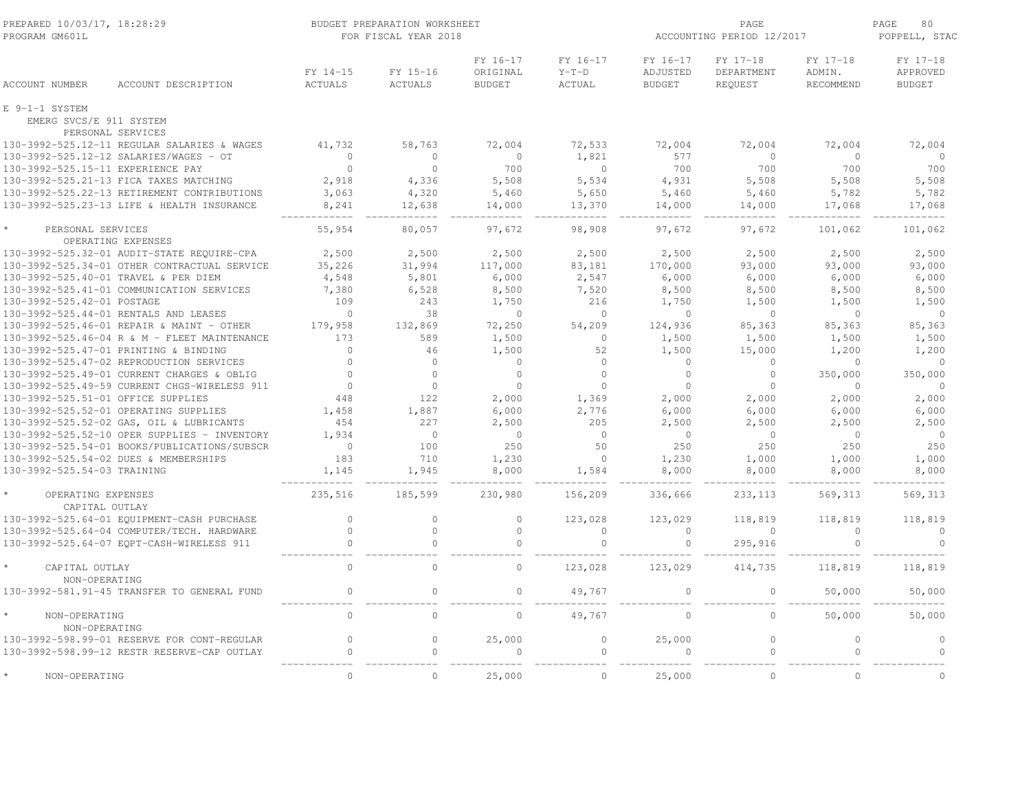| PREPARED 10/03/17, 18:28:29<br>PROGRAM GM601L |                                              |                              | BUDGET PREPARATION WORKSHEET<br>FOR FISCAL YEAR 2018 |                                       | ACCOUNTING PERIOD 12/2017     | PAGE<br>80<br>POPPELL, STAC           |                                   |                                        |                                       |
|-----------------------------------------------|----------------------------------------------|------------------------------|------------------------------------------------------|---------------------------------------|-------------------------------|---------------------------------------|-----------------------------------|----------------------------------------|---------------------------------------|
| <b>ACCOUNT NUMBER</b>                         | ACCOUNT DESCRIPTION                          | FY 14-15<br>ACTUALS          | FY 15-16<br>ACTUALS                                  | FY 16-17<br>ORIGINAL<br><b>BUDGET</b> | FY 16-17<br>$Y-T-D$<br>ACTUAL | FY 16-17<br>ADJUSTED<br><b>BUDGET</b> | FY 17-18<br>DEPARTMENT<br>REQUEST | FY 17-18<br>ADMIN.<br><b>RECOMMEND</b> | FY 17-18<br>APPROVED<br><b>BUDGET</b> |
| E 9-1-1 SYSTEM                                |                                              |                              |                                                      |                                       |                               |                                       |                                   |                                        |                                       |
| EMERG SVCS/E 911 SYSTEM                       |                                              |                              |                                                      |                                       |                               |                                       |                                   |                                        |                                       |
|                                               | PERSONAL SERVICES                            |                              |                                                      |                                       |                               |                                       |                                   |                                        |                                       |
|                                               | 130-3992-525.12-11 REGULAR SALARIES & WAGES  | 41,732                       | 58,763                                               | 72,004                                | 72,533                        | 72,004<br>577                         | 72,004<br>$\Omega$                | 72,004                                 | 72,004                                |
| 130-3992-525.15-11 EXPERIENCE PAY             | 130-3992-525.12-12 SALARIES/WAGES - OT       | $\mathbf{0}$<br>$\mathbf{0}$ | $\circ$<br>$\Omega$                                  | $\circ$<br>700                        | 1,821<br>$\circ$              | 700                                   | 700                               | $\circ$<br>700                         | $\circ$<br>700                        |
|                                               | 130-3992-525.21-13 FICA TAXES MATCHING       | 2,918                        | 4,336                                                | 5,508                                 | 5,534                         | 4,931                                 | 5,508                             | 5,508                                  | 5,508                                 |
|                                               | 130-3992-525.22-13 RETIREMENT CONTRIBUTIONS  | 3,063                        | 4,320                                                | 5,460                                 | 5,650                         | 5,460                                 | 5,460                             | 5,782                                  | 5,782                                 |
|                                               | 130-3992-525.23-13 LIFE & HEALTH INSURANCE   | 8,241                        | 12,638                                               | 14,000                                | 13,370                        | 14,000                                | 14,000                            | 17,068                                 | 17,068                                |
|                                               |                                              |                              |                                                      |                                       |                               |                                       |                                   |                                        |                                       |
| PERSONAL SERVICES                             | OPERATING EXPENSES                           | 55,954                       | 80,057                                               | 97,672                                | 98,908                        | 97,672                                | 97,672                            | 101,062                                | 101,062                               |
|                                               | 130-3992-525.32-01 AUDIT-STATE REQUIRE-CPA   | 2,500                        | 2,500                                                | 2,500                                 | 2,500                         | 2,500                                 | 2,500                             | 2,500                                  | 2,500                                 |
|                                               | 130-3992-525.34-01 OTHER CONTRACTUAL SERVICE | 35,226                       | 31,994                                               | 117,000                               | 83,181                        | 170,000                               | 93,000                            | 93,000                                 | 93,000                                |
|                                               | 130-3992-525.40-01 TRAVEL & PER DIEM         | 4,548                        | 5,801                                                | 6,000                                 | 2,547                         | 6,000                                 | 6,000                             | 6,000                                  | 6,000                                 |
|                                               | 130-3992-525.41-01 COMMUNICATION SERVICES    | 7,380                        | 6,528                                                | 8,500                                 | 7,520                         | 8,500                                 | 8,500                             | 8,500                                  | 8,500                                 |
| 130-3992-525.42-01 POSTAGE                    |                                              | 109                          | 243                                                  | 1,750                                 | 216                           | 1,750                                 | 1,500                             | 1,500                                  | 1,500                                 |
|                                               | 130-3992-525.44-01 RENTALS AND LEASES        | $\Omega$                     | 38                                                   | $\circ$                               | $\circ$                       | $\Omega$                              | $\Omega$                          | $\Omega$                               | $\Omega$                              |
|                                               | 130-3992-525.46-01 REPAIR & MAINT - OTHER    | 179,958                      | 132,869                                              | 72,250                                | 54,209                        | 124,936                               | 85,363                            | 85,363                                 | 85,363                                |
|                                               | 130-3992-525.46-04 R & M - FLEET MAINTENANCE | 173                          | 589                                                  | 1,500                                 | $\circ$                       | 1,500                                 | 1,500                             | 1,500                                  | 1,500                                 |
|                                               | 130-3992-525.47-01 PRINTING & BINDING        | $\mathbf{0}$                 | 46                                                   | 1,500                                 | 52                            | 1,500                                 | 15,000                            | 1,200                                  | 1,200                                 |
|                                               | 130-3992-525.47-02 REPRODUCTION SERVICES     | $\mathbf{0}$                 | $\circ$                                              | $\circ$                               | $\circ$                       | $\circ$                               | $\overline{0}$                    | $\circ$                                | $\circ$                               |
|                                               | 130-3992-525.49-01 CURRENT CHARGES & OBLIG   | $\Omega$                     | $\Omega$                                             | $\circ$                               | $\mathbf{0}$                  | $\circ$                               | $\circ$                           | 350,000                                | 350,000                               |
|                                               | 130-3992-525.49-59 CURRENT CHGS-WIRELESS 911 | $\Omega$                     | $\Omega$                                             | $\Omega$                              | $\Omega$                      | $\Omega$                              | $\Omega$                          | $\Omega$                               | $\Omega$                              |
| 130-3992-525.51-01 OFFICE SUPPLIES            |                                              | 448                          | 122                                                  | 2,000                                 | 1,369                         | 2,000                                 | 2,000                             | 2,000                                  | 2,000                                 |
|                                               | 130-3992-525.52-01 OPERATING SUPPLIES        | 1,458                        | 1,887                                                | 6,000                                 | 2,776                         | 6,000                                 | 6,000                             | 6,000                                  | 6,000                                 |
|                                               | 130-3992-525.52-02 GAS, OIL & LUBRICANTS     | 454                          | 227                                                  | 2,500                                 | 205                           | 2,500                                 | 2,500                             | 2,500                                  | 2,500                                 |
|                                               | 130-3992-525.52-10 OPER SUPPLIES - INVENTORY | 1,934                        | $\circ$                                              | $\circ$                               | $\circ$                       | $\circ$                               | $\circ$                           | $\circ$                                | $\circ$                               |
|                                               | 130-3992-525.54-01 BOOKS/PUBLICATIONS/SUBSCR | $\circ$                      | 100                                                  | 250                                   | 50                            | 250                                   | 250                               | 250                                    | 250                                   |
|                                               | 130-3992-525.54-02 DUES & MEMBERSHIPS        | 183                          | 710                                                  | 1,230                                 | $\mathbf{0}$                  | 1,230                                 | 1,000                             | 1,000                                  | 1,000                                 |
| 130-3992-525.54-03 TRAINING                   |                                              | 1,145                        | 1,945                                                | 8,000                                 | 1,584                         | 8,000                                 | 8,000                             | 8,000                                  | 8,000                                 |
| OPERATING EXPENSES<br>CAPITAL OUTLAY          |                                              | 235,516                      | 185,599                                              | 230,980                               | 156,209                       | 336,666                               | 233, 113                          | 569,313                                | 569,313                               |
|                                               | 130-3992-525.64-01 EQUIPMENT-CASH PURCHASE   | $\Omega$                     | $\Omega$                                             | $\circ$                               | 123,028                       | 123,029                               | 118,819                           | 118,819                                | 118,819                               |
|                                               | 130-3992-525.64-04 COMPUTER/TECH. HARDWARE   | $\mathbb O$                  | $\circ$                                              | $\mathbf 0$                           | $\circ$                       | $\mathbf{0}$                          | $\mathbf{0}$                      | $\circ$                                | $\circ$                               |
|                                               | 130-3992-525.64-07 EOPT-CASH-WIRELESS 911    | $\mathbf{0}$                 | $\circ$                                              | $\mathbf 0$                           | $\mathbb O$                   | $\mathbf{0}$                          | 295,916                           | $\circ$                                | $\overline{0}$                        |
| CAPITAL OUTLAY<br>NON-OPERATING               |                                              | $\mathbf{0}$                 | $\circ$                                              | $\circ$                               | 123,028                       | 123,029                               | 414,735                           | 118,819                                | 118,819                               |
|                                               | 130-3992-581.91-45 TRANSFER TO GENERAL FUND  | $\Omega$                     | $\Omega$                                             | $\Omega$                              | 49,767                        | $\Omega$                              | $\Omega$                          | 50,000                                 | 50,000                                |
| NON-OPERATING                                 |                                              | $\Omega$                     | $\Omega$                                             | $\mathbf{0}$                          | 49,767                        | $\Omega$                              | $\circ$                           | 50,000                                 | 50,000                                |
| NON-OPERATING                                 |                                              |                              |                                                      |                                       |                               |                                       |                                   |                                        |                                       |
|                                               | 130-3992-598.99-01 RESERVE FOR CONT-REGULAR  | $\mathbb O$                  | $\circ$                                              | 25,000                                | $\circ$                       | 25,000                                | $\circ$                           | $\circ$                                | $\circ$                               |
|                                               | 130-3992-598.99-12 RESTR RESERVE-CAP OUTLAY  | $\Omega$                     | $\Omega$                                             |                                       | $\circ$                       |                                       | $\mathbf{0}$                      | $\Omega$                               | $\Omega$                              |
| NON-OPERATING                                 |                                              | $\mathbf{0}$                 | $\circ$                                              | 25,000                                | $\circ$                       | 25,000                                | $\mathbf{0}$                      | $\Omega$                               | $\circ$                               |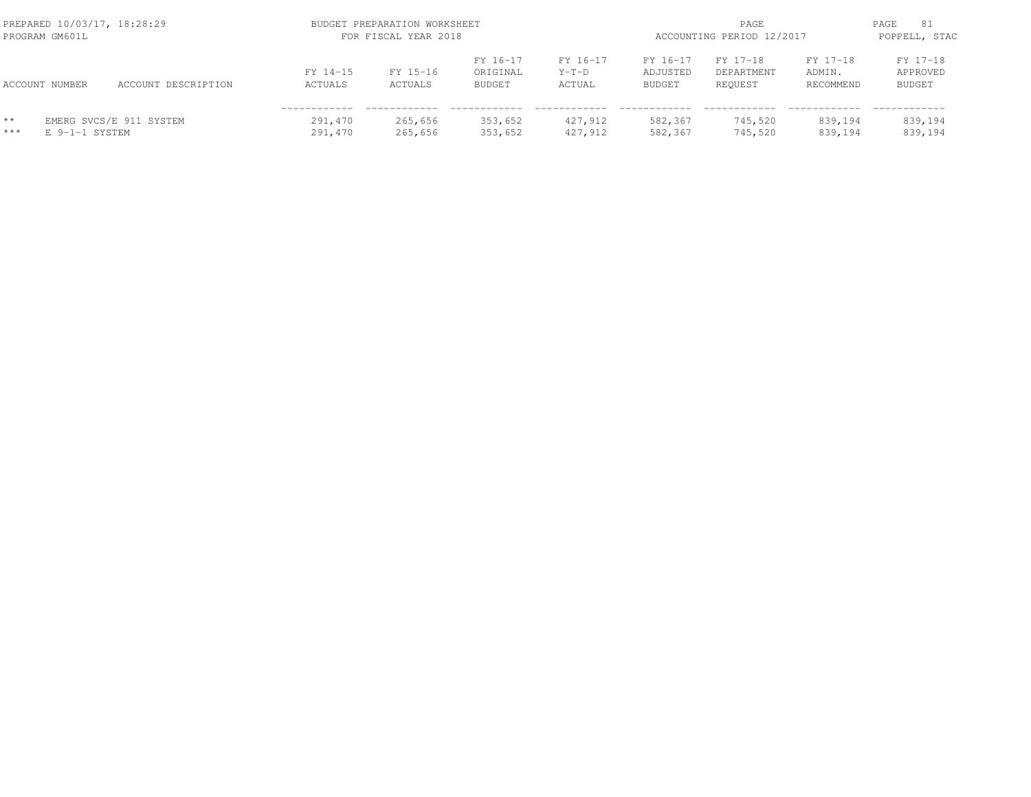|                       | PREPARED 10/03/17, 18:28:29<br>PROGRAM GM601L |                         |                     | BUDGET PREPARATION WORKSHEET<br>FOR FISCAL YEAR 2018 |                                       |                               |                                |                                   | PAGE<br>ACCOUNTING PERIOD 12/2017 |                                       |  |
|-----------------------|-----------------------------------------------|-------------------------|---------------------|------------------------------------------------------|---------------------------------------|-------------------------------|--------------------------------|-----------------------------------|-----------------------------------|---------------------------------------|--|
|                       | ACCOUNT NUMBER                                | ACCOUNT DESCRIPTION     | FY 14-15<br>ACTUALS | FY 15-16<br>ACTUALS                                  | FY 16-17<br>ORIGINAL<br><b>BUDGET</b> | FY 16-17<br>$Y-T-D$<br>ACTUAL | FY 16-17<br>ADJUSTED<br>BUDGET | FY 17-18<br>DEPARTMENT<br>REOUEST | FY 17-18<br>ADMIN.<br>RECOMMEND   | FY 17-18<br>APPROVED<br><b>BUDGET</b> |  |
| $\star\star$<br>$***$ | E 9-1-1 SYSTEM                                | EMERG SVCS/E 911 SYSTEM | 291,470<br>291,470  | 265,656<br>265,656                                   | 353,652<br>353,652                    | 427,912<br>427,912            | 582,367<br>582,367             | 745,520<br>745,520                | 839,194<br>839,194                | 839,194<br>839,194                    |  |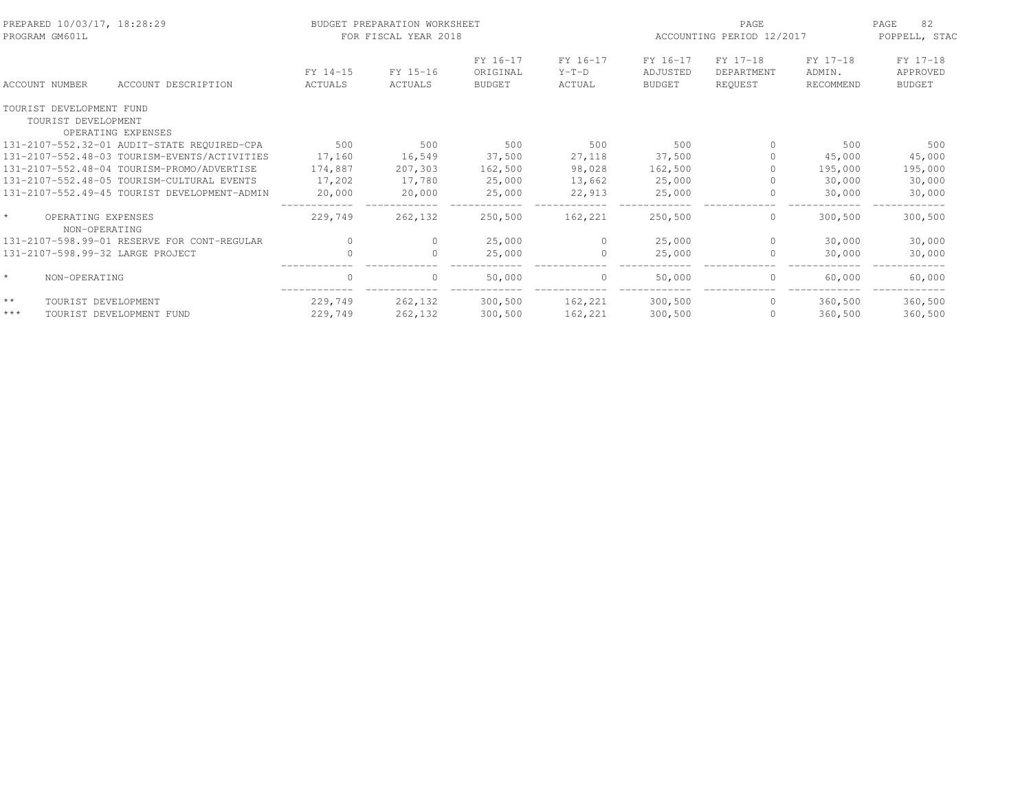| PREPARED 10/03/17, 18:28:29<br>PROGRAM GM601L |                     | BUDGET PREPARATION WORKSHEET<br>FOR FISCAL YEAR 2018 |                                       |                               | ACCOUNTING PERIOD 12/2017             | 82<br>PAGE<br>POPPELL, STAC       |                                 |                                       |
|-----------------------------------------------|---------------------|------------------------------------------------------|---------------------------------------|-------------------------------|---------------------------------------|-----------------------------------|---------------------------------|---------------------------------------|
| ACCOUNT DESCRIPTION<br><b>ACCOUNT NUMBER</b>  | FY 14-15<br>ACTUALS | FY 15-16<br>ACTUALS                                  | FY 16-17<br>ORIGINAL<br><b>BUDGET</b> | FY 16-17<br>$Y-T-D$<br>ACTUAL | FY 16-17<br>ADJUSTED<br><b>BUDGET</b> | FY 17-18<br>DEPARTMENT<br>REQUEST | FY 17-18<br>ADMIN.<br>RECOMMEND | FY 17-18<br>APPROVED<br><b>BUDGET</b> |
| TOURIST DEVELOPMENT FUND                      |                     |                                                      |                                       |                               |                                       |                                   |                                 |                                       |
| TOURIST DEVELOPMENT<br>OPERATING EXPENSES     |                     |                                                      |                                       |                               |                                       |                                   |                                 |                                       |
| 131-2107-552.32-01 AUDIT-STATE REQUIRED-CPA   | 500                 | 500                                                  | 500                                   | 500                           | 500                                   | $\Omega$                          | 500                             | 500                                   |
| 131-2107-552.48-03 TOURISM-EVENTS/ACTIVITIES  | 17,160              | 16,549                                               | 37,500                                | 27,118                        | 37,500                                |                                   | 45,000                          | 45,000                                |
| 131-2107-552.48-04 TOURISM-PROMO/ADVERTISE    | 174,887             | 207,303                                              | 162,500                               | 98,028                        | 162,500                               |                                   | 195,000                         | 195,000                               |
| 131-2107-552.48-05 TOURISM-CULTURAL EVENTS    | 17,202              | 17,780                                               | 25,000                                | 13,662                        | 25,000                                |                                   | 30,000                          | 30,000                                |
| 131-2107-552.49-45 TOURIST DEVELOPMENT-ADMIN  | 20,000              | 20,000                                               | 25,000                                | 22,913                        | 25,000                                | $\Omega$                          | 30,000                          | 30,000                                |
| OPERATING EXPENSES<br>NON-OPERATING           | 229,749             | 262,132                                              | 250,500                               | 162,221                       | 250,500                               | 0                                 | 300,500                         | 300,500                               |
| 131-2107-598.99-01 RESERVE FOR CONT-REGULAR   | $\Omega$            | $\Omega$                                             | 25,000                                | $\cap$                        | 25,000                                | $\circ$                           | 30,000                          | 30,000                                |
| 131-2107-598.99-32 LARGE PROJECT              | $\Omega$            | $\Omega$                                             | 25,000                                | <sup>0</sup>                  | 25,000                                | $\circ$                           | 30,000                          | 30,000                                |
| NON-OPERATING                                 | $\mathbf{0}$        | $\circ$                                              | 50,000                                | $\mathbf{0}$                  | 50,000                                | $\mathbf 0$                       | 60,000                          | 60,000                                |
| $\star\star$<br>TOURIST DEVELOPMENT           | 229,749             | 262,132                                              | 300,500                               | 162,221                       | 300,500                               | $\overline{0}$                    | 360,500                         | 360,500                               |
| $***$<br>TOURIST DEVELOPMENT FUND             | 229,749             | 262,132                                              | 300,500                               | 162,221                       | 300,500                               | $\Omega$                          | 360,500                         | 360,500                               |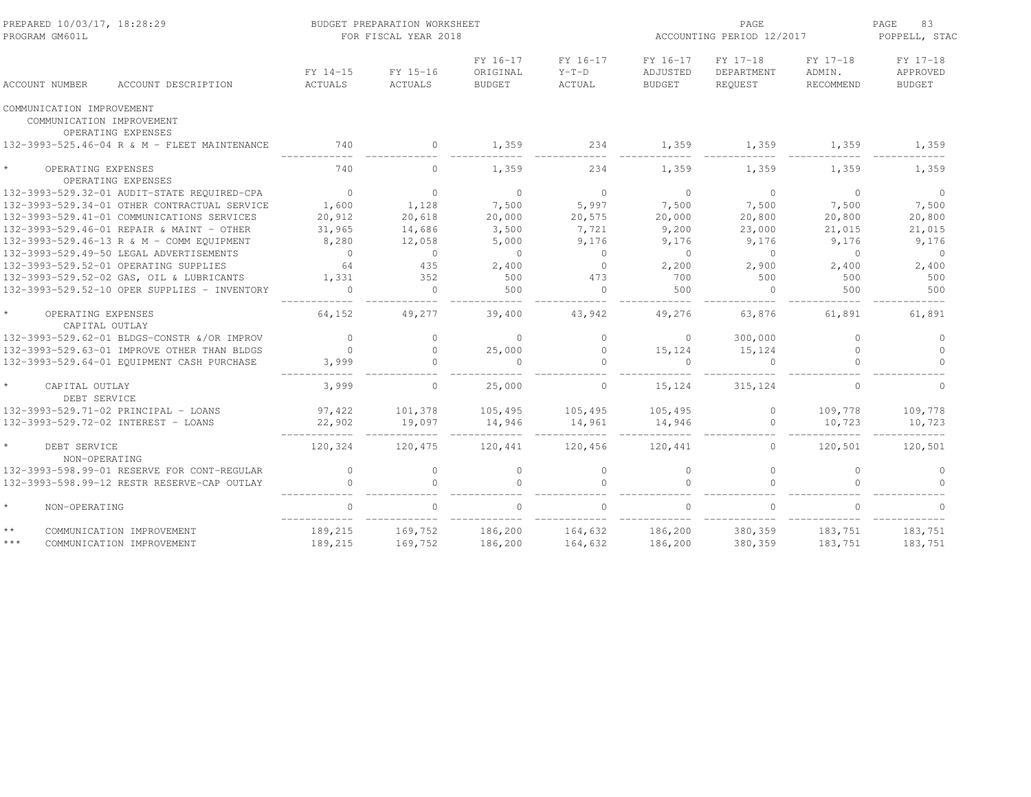| PREPARED 10/03/17, 18:28:29<br>PROGRAM GM601L                                |                            | BUDGET PREPARATION WORKSHEET<br>FOR FISCAL YEAR 2018 |                                       | PAGE<br>ACCOUNTING PERIOD 12/2017    |                                       |                                   | PAGE<br>83<br>POPPELL, STAC            |                                       |
|------------------------------------------------------------------------------|----------------------------|------------------------------------------------------|---------------------------------------|--------------------------------------|---------------------------------------|-----------------------------------|----------------------------------------|---------------------------------------|
| ACCOUNT DESCRIPTION<br><b>ACCOUNT NUMBER</b>                                 | FY 14-15<br><b>ACTUALS</b> | FY 15-16<br><b>ACTUALS</b>                           | FY 16-17<br>ORIGINAL<br><b>BUDGET</b> | FY 16-17<br>$Y-T-D$<br><b>ACTUAL</b> | FY 16-17<br>ADJUSTED<br><b>BUDGET</b> | FY 17-18<br>DEPARTMENT<br>REQUEST | FY 17-18<br>ADMIN.<br><b>RECOMMEND</b> | FY 17-18<br>APPROVED<br><b>BUDGET</b> |
| COMMUNICATION IMPROVEMENT<br>COMMUNICATION IMPROVEMENT<br>OPERATING EXPENSES |                            |                                                      |                                       |                                      |                                       |                                   |                                        |                                       |
| 132-3993-525.46-04 R & M - FLEET MAINTENANCE                                 | 740                        | $\circ$                                              | 1,359                                 | 234                                  | 1,359                                 | 1,359                             | 1,359                                  | 1,359                                 |
| OPERATING EXPENSES<br>OPERATING EXPENSES                                     | 740                        | $\Omega$                                             | 1,359                                 | 234                                  | 1,359                                 | 1,359                             | 1,359                                  | 1,359                                 |
| 132-3993-529.32-01 AUDIT-STATE REQUIRED-CPA                                  | $\overline{0}$             | $\Omega$                                             | $\overline{0}$                        | $\Omega$                             | $\overline{0}$                        | $\Omega$                          | $\Omega$                               | $\Omega$                              |
| 132-3993-529.34-01 OTHER CONTRACTUAL SERVICE                                 | 1,600                      | 1,128                                                | 7,500                                 | 5,997                                | 7,500                                 | 7,500                             | 7,500                                  | 7,500                                 |
| 132-3993-529.41-01 COMMUNICATIONS SERVICES                                   | 20,912                     | 20,618                                               | 20,000                                | 20,575                               | 20,000                                | 20,800                            | 20,800                                 | 20,800                                |
| 132-3993-529.46-01 REPAIR & MAINT - OTHER                                    | 31,965                     | 14,686                                               | 3,500                                 | 7,721                                | 9,200                                 | 23,000                            | 21,015                                 | 21,015                                |
| 132-3993-529.46-13 R & M - COMM EQUIPMENT                                    | 8,280                      | 12,058                                               | 5,000                                 | 9,176                                | 9,176                                 | 9,176                             | 9,176                                  | 9,176                                 |
| 132-3993-529.49-50 LEGAL ADVERTISEMENTS                                      | $\overline{0}$             | $\overline{0}$                                       | $\overline{0}$                        | $\circ$                              | $\bigcirc$                            | $\circ$                           | $\Omega$                               | $\overline{0}$                        |
| 132-3993-529.52-01 OPERATING SUPPLIES                                        | 64                         | 435                                                  | 2,400                                 | $\circ$                              | 2,200                                 | 2,900                             | 2,400                                  | 2,400                                 |
| 132-3993-529.52-02 GAS, OIL & LUBRICANTS                                     | 1,331                      | 352                                                  | 500                                   | 473                                  | 700                                   | 500                               | 500                                    | 500                                   |
| 132-3993-529.52-10 OPER SUPPLIES - INVENTORY                                 | $\cap$                     | $\Omega$                                             | 500                                   | $\Omega$                             | 500                                   | $\Omega$                          | 500                                    | 500                                   |
| $\star$<br>OPERATING EXPENSES<br>CAPITAL OUTLAY                              | 64,152                     | 49,277                                               | 39,400                                | 43,942                               | 49,276                                | 63,876                            | 61,891                                 | 61,891                                |
| 132-3993-529.62-01 BLDGS-CONSTR & /OR IMPROV                                 | $\Omega$                   | $\Omega$                                             | $\Omega$                              | $\Omega$                             | $\Omega$                              | 300,000                           | $\Omega$                               | $\Omega$                              |
| 132-3993-529.63-01 IMPROVE OTHER THAN BLDGS                                  | $\Omega$                   | $\Omega$                                             | 25,000                                | $\Omega$                             | 15,124                                | 15,124                            | $\Omega$                               | $\Omega$                              |
| 132-3993-529.64-01 EQUIPMENT CASH PURCHASE                                   | 3,999                      | $\Omega$                                             | $\Omega$                              | $\bigcap$                            | $\bigcap$                             | $\Omega$                          | $\cap$                                 | $\cap$                                |
| CAPITAL OUTLAY<br>DEBT SERVICE                                               | 3,999                      | $\circ$                                              | 25,000                                | $\circ$                              | 15,124                                | 315, 124                          | $\mathbf{0}$                           | $\Omega$                              |
| 132-3993-529.71-02 PRINCIPAL - LOANS                                         | 97,422                     | 101,378                                              | 105,495                               | 105,495                              | 105,495                               | $\circ$                           | 109,778                                | 109,778                               |
| 132-3993-529.72-02 INTEREST - LOANS                                          | 22,902                     | 19,097                                               | 14,946                                | 14,961                               | 14,946                                | $\circ$                           | 10,723                                 | 10,723                                |
| $\star$<br>DEBT SERVICE<br>NON-OPERATING                                     | 120,324                    | 120,475                                              | 120,441                               | 120,456                              | 120,441                               | $\circ$                           | 120,501                                | 120,501                               |
| 132-3993-598.99-01 RESERVE FOR CONT-REGULAR                                  | $\circ$                    | $\circ$                                              | $\circ$                               | $\circ$                              | $\mathbf{0}$                          | $\circ$                           | $\mathbf{0}$                           | $\circ$                               |
| 132-3993-598.99-12 RESTR RESERVE-CAP OUTLAY                                  | $\circ$                    | $\Omega$                                             | $\Omega$                              | $\Omega$                             |                                       | $\cap$                            |                                        |                                       |
| $\star$<br>NON-OPERATING                                                     | $\Omega$                   | $\Omega$                                             | $\Omega$                              | $\Omega$                             |                                       | $\Omega$                          | $\cap$                                 |                                       |
| $\star$ $\star$<br>COMMUNICATION IMPROVEMENT                                 | 189,215                    | 169,752                                              | 186,200                               | 164,632                              | 186,200                               | 380,359                           | 183,751                                | 183,751                               |
| $\star\star\star$<br>COMMUNICATION IMPROVEMENT                               | 189,215                    | 169,752                                              | 186,200                               | 164,632                              | 186,200                               | 380,359                           | 183,751                                | 183,751                               |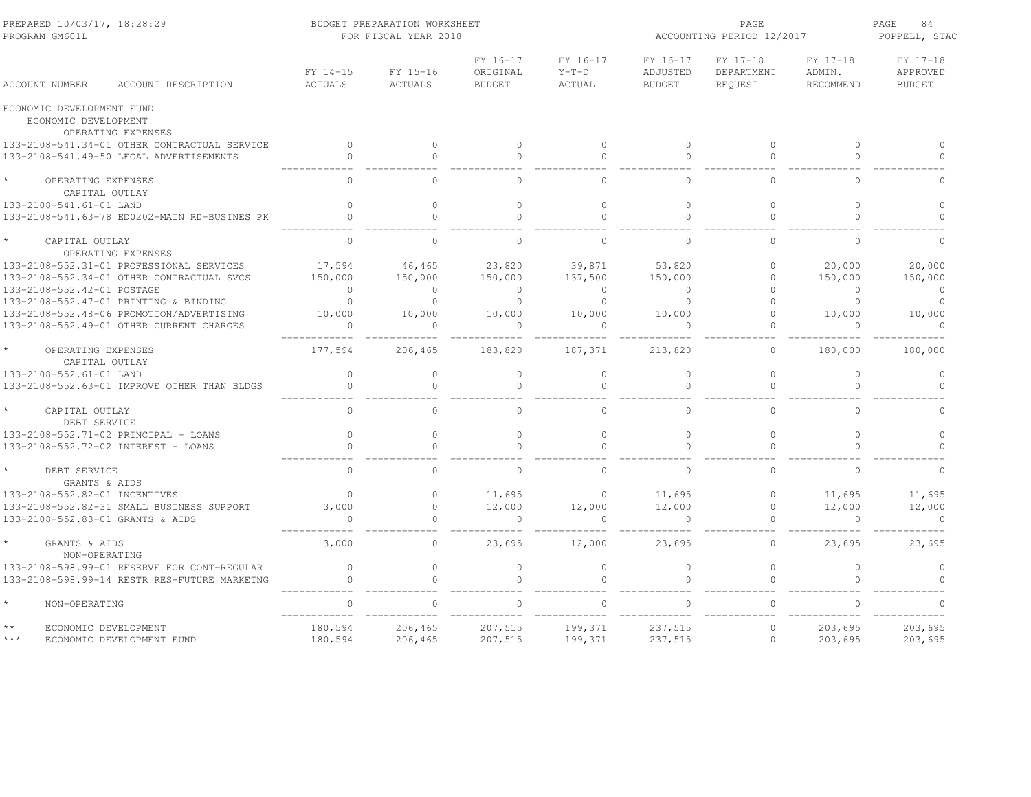| PREPARED 10/03/17, 18:28:29<br>PROGRAM GM601L                           |                           | BUDGET PREPARATION WORKSHEET<br>FOR FISCAL YEAR 2018 |                                | ACCOUNTING PERIOD 12/2017     | PAGE<br>84<br>POPPELL, STAC           |                                   |                                 |                                       |
|-------------------------------------------------------------------------|---------------------------|------------------------------------------------------|--------------------------------|-------------------------------|---------------------------------------|-----------------------------------|---------------------------------|---------------------------------------|
| ACCOUNT NUMBER<br>ACCOUNT DESCRIPTION                                   | FY 14-15<br>ACTUALS       | FY 15-16<br>ACTUALS                                  | FY 16-17<br>ORIGINAL<br>BUDGET | FY 16-17<br>$Y-T-D$<br>ACTUAL | FY 16-17<br>ADJUSTED<br><b>BUDGET</b> | FY 17-18<br>DEPARTMENT<br>REQUEST | FY 17-18<br>ADMIN.<br>RECOMMEND | FY 17-18<br>APPROVED<br><b>BUDGET</b> |
| ECONOMIC DEVELOPMENT FUND                                               |                           |                                                      |                                |                               |                                       |                                   |                                 |                                       |
| ECONOMIC DEVELOPMENT                                                    |                           |                                                      |                                |                               |                                       |                                   |                                 |                                       |
| OPERATING EXPENSES                                                      |                           |                                                      |                                |                               |                                       |                                   |                                 |                                       |
| 133-2108-541.34-01 OTHER CONTRACTUAL SERVICE                            | $\sim$ 0                  | $\Omega$                                             | $\circ$                        | $\circ$                       | $\Omega$                              | $\circ$                           | $\circ$                         | $\Omega$                              |
| 133-2108-541.49-50 LEGAL ADVERTISEMENTS                                 | $\circ$                   | $\circ$                                              | $\Omega$                       | $\circ$                       | $\Omega$                              | $\Omega$                          | $\circ$                         | $\Omega$                              |
| OPERATING EXPENSES                                                      | $\bigcap$                 | $\Omega$                                             | $\cap$                         | $\Omega$                      | $\Omega$                              | $\cap$                            | $\Omega$                        | $\cap$                                |
| CAPITAL OUTLAY                                                          |                           |                                                      |                                |                               |                                       |                                   |                                 |                                       |
| 133-2108-541.61-01 LAND                                                 | $\Omega$                  | $\Omega$                                             | $\Omega$                       | $\Omega$                      | $\Omega$                              | $\Omega$                          | $\Omega$                        | $\Omega$                              |
| 133-2108-541.63-78 ED0202-MAIN RD-BUSINES PK                            |                           | $\Omega$                                             | $\cap$                         | $\Omega$                      |                                       | $\Omega$                          | $\cap$                          | $\cap$                                |
| $\star$<br>CAPITAL OUTLAY                                               | $\bigcap$                 | $\Omega$                                             | $\Omega$                       | $\Omega$                      | $\bigcap$                             | $\cap$                            | $\Omega$                        | $\Omega$                              |
| OPERATING EXPENSES                                                      |                           |                                                      |                                |                               |                                       |                                   |                                 |                                       |
| 133-2108-552.31-01 PROFESSIONAL SERVICES                                | 17,594                    | 46,465                                               | 23,820                         | 39,871                        | 53,820                                | $\circ$                           | 20,000                          | 20,000                                |
| 133-2108-552.34-01 OTHER CONTRACTUAL SVCS<br>133-2108-552.42-01 POSTAGE | 150,000<br>$\overline{0}$ | 150,000<br>$\overline{0}$                            | 150,000<br>$\overline{0}$      | 137,500<br>$\sim$ 0           | 150,000<br>$\sim$ 0                   | $\Omega$<br>$\Omega$              | 150,000<br>$\overline{0}$       | 150,000<br>$\overline{0}$             |
| 133-2108-552.47-01 PRINTING & BINDING                                   | $\overline{0}$            | $\overline{0}$                                       | $\overline{0}$                 | $\bigcirc$                    | $\overline{0}$                        | $\cap$                            | $\bigcirc$                      | $\circ$                               |
| 133-2108-552.48-06 PROMOTION/ADVERTISING                                | 10,000                    | 10,000                                               | 10,000                         | 10,000                        | 10,000                                | $\Omega$                          | 10,000                          | 10,000                                |
| 133-2108-552.49-01 OTHER CURRENT CHARGES                                | $\overline{0}$            | $\overline{0}$                                       | $\sim$ 0                       | $\overline{0}$                | $\overline{0}$                        | $\Omega$                          | $\overline{0}$                  | $\overline{0}$                        |
|                                                                         |                           |                                                      |                                |                               |                                       |                                   | -----                           |                                       |
| OPERATING EXPENSES<br>CAPITAL OUTLAY                                    | 177,594                   | 206,465                                              | 183,820                        | 187,371                       | 213,820                               | $\Omega$                          | 180,000                         | 180,000                               |
| 133-2108-552.61-01 LAND                                                 | $\Omega$                  | $\Omega$                                             | $\Omega$                       | $\Omega$                      | $\Omega$                              | $\Omega$                          | $\Omega$                        | $\circ$                               |
| 133-2108-552.63-01 IMPROVE OTHER THAN BLDGS                             | $\circ$                   | $\circ$                                              | $\circ$                        | $\Omega$                      | $\Omega$                              | $\circ$                           | $\Omega$                        | $\Omega$                              |
| $\star$<br>CAPITAL OUTLAY<br>DEBT SERVICE                               | $\Omega$                  | $\Omega$                                             | $\Omega$                       | $\Omega$                      | $\Omega$                              | $\Omega$                          | $\Omega$                        | $\Omega$                              |
| 133-2108-552.71-02 PRINCIPAL - LOANS                                    | $\circ$                   | $\circ$                                              | $\circ$                        | $\circ$                       | $\circ$                               | $\Omega$                          | $\Omega$                        | $\circ$                               |
| 133-2108-552.72-02 INTEREST - LOANS                                     | $\mathbf{0}$              | $\Omega$                                             | $\Omega$                       | $\Omega$                      | $\Omega$                              | $\Omega$                          | $\Omega$                        |                                       |
| DEBT SERVICE<br>GRANTS & AIDS                                           | $\Omega$                  | $\Omega$                                             | $\Omega$                       | $\Omega$                      | $\Omega$                              | $\Omega$                          | $\Omega$                        | $\Omega$                              |
| 133-2108-552.82-01 INCENTIVES                                           | $\Omega$                  | $\circ$                                              | 11,695                         | $\sim$ 0                      | 11,695                                | $\Omega$                          | 11,695                          | 11,695                                |
| 133-2108-552.82-31 SMALL BUSINESS SUPPORT                               | 3,000                     | $\circ$                                              | 12,000                         | 12,000                        | 12,000                                | $\circ$                           | 12,000                          | 12,000                                |
| 133-2108-552.83-01 GRANTS & AIDS                                        | $\Omega$                  | $\Omega$                                             | $\sim$ 0                       | $\Omega$                      | $\overline{0}$                        |                                   | $\overline{0}$                  | $\sim$ 0                              |
| GRANTS & AIDS<br>NON-OPERATING                                          | 3,000                     | $\overline{0}$                                       | 23,695                         | 12,000                        | 23,695                                | $\circ$                           | 23,695                          | 23,695                                |
| 133-2108-598.99-01 RESERVE FOR CONT-REGULAR                             | $\overline{0}$            | $\circ$                                              | $\circ$                        | $\circ$                       | $\mathbf{0}$                          | $\mathbf{0}$                      | $\circ$                         | $\circ$                               |
| 133-2108-598.99-14 RESTR RES-FUTURE MARKETNG                            | $\overline{0}$            | $\circ$                                              | $\Omega$                       | $\circ$                       | $\Omega$                              | $\Omega$                          | $\Omega$                        | $\Omega$                              |
| $\star$<br>NON-OPERATING                                                |                           |                                                      | $\cap$                         |                               |                                       | $\cap$                            |                                 |                                       |
| $\star\star$<br>ECONOMIC DEVELOPMENT                                    | 180,594                   | 206,465                                              | 207,515                        | 199,371                       | 237,515                               | $\circ$                           | 203,695                         | 203,695                               |
| $\star\star\star$<br>ECONOMIC DEVELOPMENT FUND                          | 180,594                   | 206,465                                              | 207,515                        | 199,371                       | 237,515                               | $\circ$                           | 203,695                         | 203,695                               |
|                                                                         |                           |                                                      |                                |                               |                                       |                                   |                                 |                                       |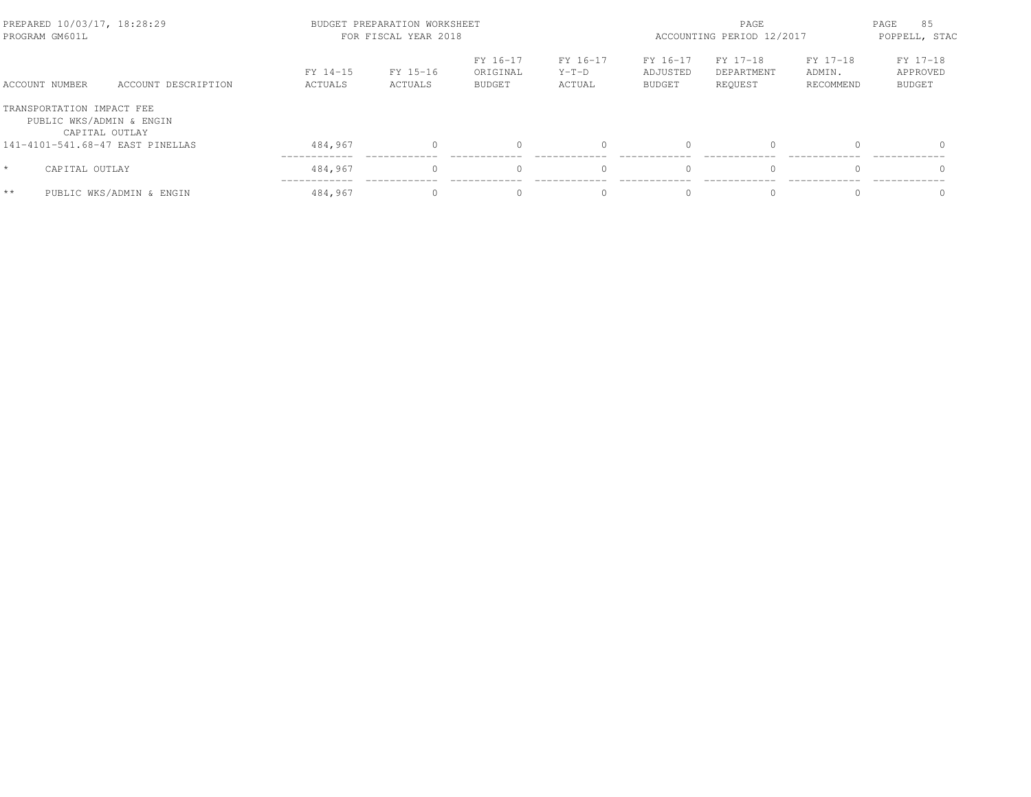| PREPARED 10/03/17, 18:28:29<br>PROGRAM GM601L         |                                  |                     | BUDGET PREPARATION WORKSHEET<br>FOR FISCAL YEAR 2018 |                                       | ACCOUNTING PERIOD 12/2017     | 85<br>PAGE<br>POPPELL, STAC    |                                   |                                 |                                       |
|-------------------------------------------------------|----------------------------------|---------------------|------------------------------------------------------|---------------------------------------|-------------------------------|--------------------------------|-----------------------------------|---------------------------------|---------------------------------------|
| ACCOUNT NUMBER                                        | ACCOUNT DESCRIPTION              | FY 14-15<br>ACTUALS | FY 15-16<br>ACTUALS                                  | FY 16-17<br>ORIGINAL<br><b>BUDGET</b> | FY 16-17<br>$Y-T-D$<br>ACTUAL | FY 16-17<br>ADJUSTED<br>BUDGET | FY 17-18<br>DEPARTMENT<br>REOUEST | FY 17-18<br>ADMIN.<br>RECOMMEND | FY 17-18<br>APPROVED<br><b>BUDGET</b> |
| TRANSPORTATION IMPACT FEE<br>PUBLIC WKS/ADMIN & ENGIN | CAPITAL OUTLAY                   |                     |                                                      |                                       |                               |                                |                                   |                                 |                                       |
|                                                       | 141-4101-541.68-47 EAST PINELLAS | 484,967             |                                                      | $\Omega$                              |                               | $\cap$                         |                                   |                                 |                                       |
| $\star$<br>CAPITAL OUTLAY                             |                                  | 484,967             | $\Omega$                                             | $\Omega$                              |                               | $\bigcap$                      | $\Omega$                          |                                 |                                       |
| $**$                                                  | PUBLIC WKS/ADMIN & ENGIN         | 484,967             |                                                      | $\Omega$                              |                               | $\Omega$                       |                                   |                                 |                                       |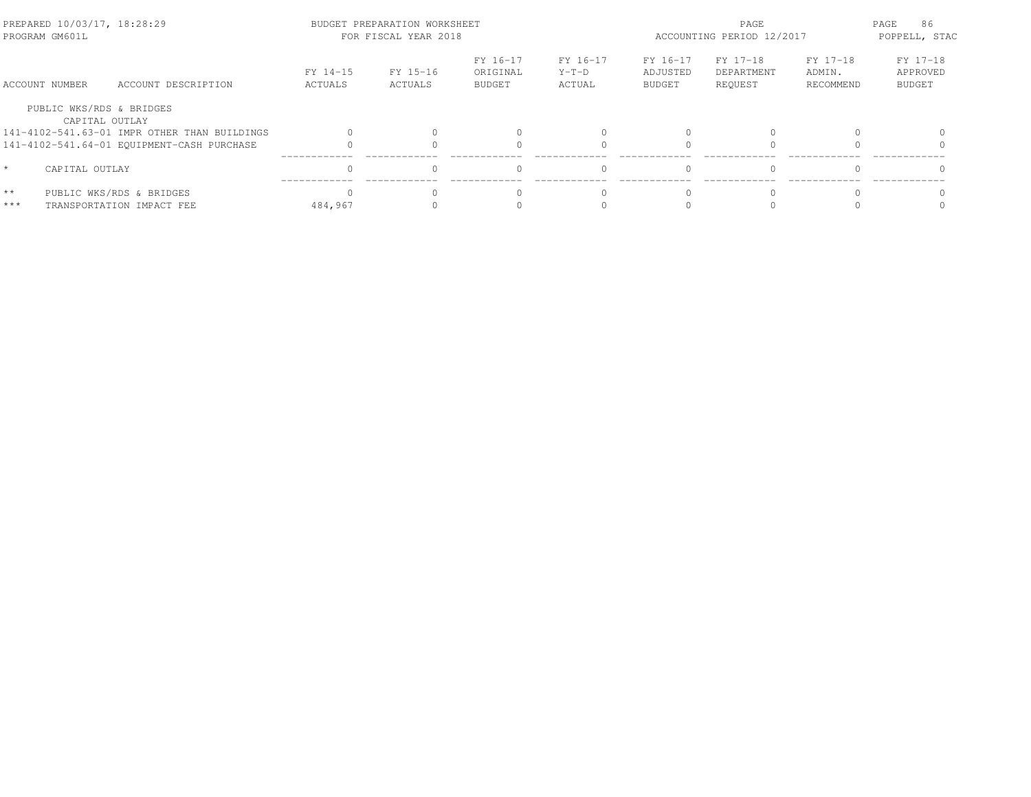| PREPARED 10/03/17, 18:28:29<br>PROGRAM GM601L |                                              |                     | BUDGET PREPARATION WORKSHEET<br>FOR FISCAL YEAR 2018 |                                       | PAGE<br>ACCOUNTING PERIOD 12/2017 |                                       |                                   | PAGE<br>86<br>POPPELL, STAC     |                                |
|-----------------------------------------------|----------------------------------------------|---------------------|------------------------------------------------------|---------------------------------------|-----------------------------------|---------------------------------------|-----------------------------------|---------------------------------|--------------------------------|
| ACCOUNT NUMBER                                | ACCOUNT DESCRIPTION                          | FY 14-15<br>ACTUALS | FY 15-16<br>ACTUALS                                  | FY 16-17<br>ORIGINAL<br><b>BUDGET</b> | FY 16-17<br>$Y-T-D$<br>ACTUAL     | FY 16-17<br>ADJUSTED<br><b>BUDGET</b> | FY 17-18<br>DEPARTMENT<br>REOUEST | FY 17-18<br>ADMIN.<br>RECOMMEND | FY 17-18<br>APPROVED<br>BUDGET |
| PUBLIC WKS/RDS & BRIDGES                      |                                              |                     |                                                      |                                       |                                   |                                       |                                   |                                 |                                |
| CAPITAL OUTLAY                                |                                              |                     |                                                      |                                       |                                   |                                       |                                   |                                 |                                |
|                                               | 141-4102-541.63-01 IMPR OTHER THAN BUILDINGS |                     |                                                      |                                       |                                   |                                       |                                   |                                 |                                |
|                                               | 141-4102-541.64-01 EQUIPMENT-CASH PURCHASE   |                     |                                                      |                                       |                                   |                                       |                                   |                                 |                                |
| $\star$<br>CAPITAL OUTLAY                     |                                              |                     |                                                      |                                       |                                   | $\bigcap$                             | $\Omega$                          |                                 |                                |
| $\star\star$                                  | PUBLIC WKS/RDS & BRIDGES                     |                     |                                                      |                                       |                                   |                                       |                                   |                                 |                                |
| $***$                                         | TRANSPORTATION IMPACT FEE                    | 484,967             |                                                      |                                       |                                   |                                       |                                   |                                 |                                |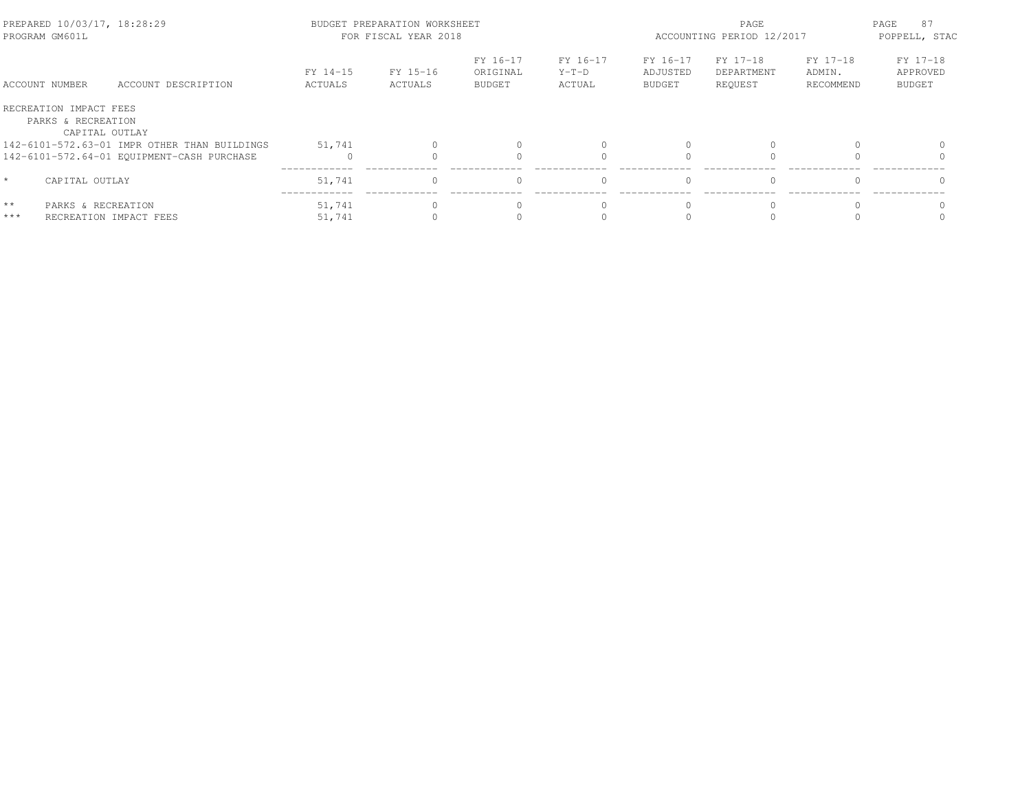|                       | PREPARED 10/03/17, 18:28:29<br>PROGRAM GM601L                  |                                              |                     | BUDGET PREPARATION WORKSHEET<br>FOR FISCAL YEAR 2018 |                                       | PAGE<br>ACCOUNTING PERIOD 12/2017 |                                       |                                   | PAGE<br>87<br>POPPELL, STAC     |                                       |
|-----------------------|----------------------------------------------------------------|----------------------------------------------|---------------------|------------------------------------------------------|---------------------------------------|-----------------------------------|---------------------------------------|-----------------------------------|---------------------------------|---------------------------------------|
|                       | ACCOUNT NUMBER                                                 | ACCOUNT DESCRIPTION                          | FY 14-15<br>ACTUALS | FY 15-16<br>ACTUALS                                  | FY 16-17<br>ORIGINAL<br><b>BUDGET</b> | FY 16-17<br>$Y-T-D$<br>ACTUAL     | FY 16-17<br>ADJUSTED<br><b>BUDGET</b> | FY 17-18<br>DEPARTMENT<br>REQUEST | FY 17-18<br>ADMIN.<br>RECOMMEND | FY 17-18<br>APPROVED<br><b>BUDGET</b> |
|                       | RECREATION IMPACT FEES<br>PARKS & RECREATION<br>CAPITAL OUTLAY |                                              |                     |                                                      |                                       |                                   |                                       |                                   |                                 |                                       |
|                       |                                                                | 142-6101-572.63-01 IMPR OTHER THAN BUILDINGS | 51,741              |                                                      |                                       |                                   |                                       |                                   |                                 |                                       |
|                       |                                                                | 142-6101-572.64-01 EQUIPMENT-CASH PURCHASE   |                     |                                                      |                                       |                                   |                                       |                                   |                                 |                                       |
|                       | CAPITAL OUTLAY                                                 |                                              | 51,741              |                                                      | $\Omega$                              | $\circ$                           | $\bigcap$                             | $\bigcap$                         |                                 | $\Omega$                              |
| $\star\star$<br>$***$ | PARKS & RECREATION<br>RECREATION IMPACT FEES                   |                                              | 51,741<br>51,741    |                                                      |                                       |                                   |                                       |                                   |                                 |                                       |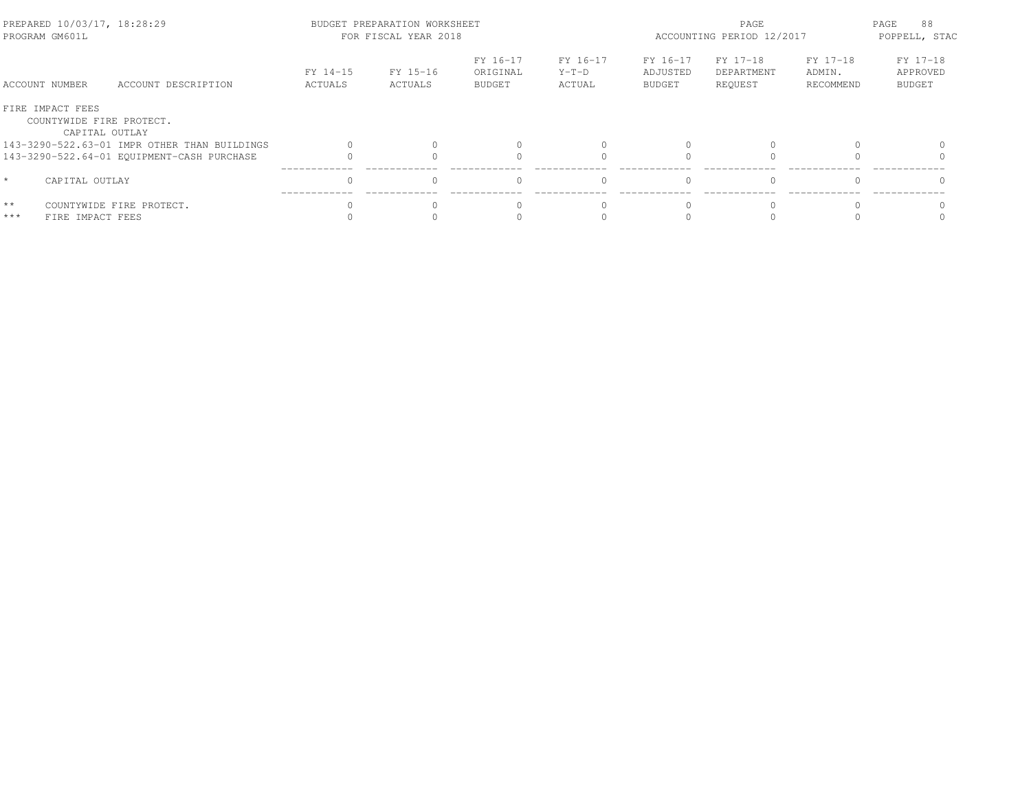| PREPARED 10/03/17, 18:28:29<br>PROGRAM GM601L                  |                                              |                     | BUDGET PREPARATION WORKSHEET<br>FOR FISCAL YEAR 2018 |                                       | PAGE<br>ACCOUNTING PERIOD 12/2017 |                                       |                                   | PAGE<br>88<br>POPPELL, STAC     |                                       |
|----------------------------------------------------------------|----------------------------------------------|---------------------|------------------------------------------------------|---------------------------------------|-----------------------------------|---------------------------------------|-----------------------------------|---------------------------------|---------------------------------------|
| ACCOUNT NUMBER                                                 | ACCOUNT DESCRIPTION                          | FY 14-15<br>ACTUALS | FY 15-16<br>ACTUALS                                  | FY 16-17<br>ORIGINAL<br><b>BUDGET</b> | FY 16-17<br>$Y-T-D$<br>ACTUAL     | FY 16-17<br>ADJUSTED<br><b>BUDGET</b> | FY 17-18<br>DEPARTMENT<br>REQUEST | FY 17-18<br>ADMIN.<br>RECOMMEND | FY 17-18<br>APPROVED<br><b>BUDGET</b> |
| FIRE IMPACT FEES<br>COUNTYWIDE FIRE PROTECT.<br>CAPITAL OUTLAY |                                              |                     |                                                      |                                       |                                   |                                       |                                   |                                 |                                       |
|                                                                | 143-3290-522.63-01 IMPR OTHER THAN BUILDINGS |                     |                                                      |                                       |                                   |                                       |                                   |                                 |                                       |
|                                                                | 143-3290-522.64-01 EQUIPMENT-CASH PURCHASE   |                     |                                                      |                                       |                                   |                                       |                                   |                                 |                                       |
| $\star$<br>CAPITAL OUTLAY                                      |                                              | $\cap$              |                                                      | $\Omega$                              | $\Omega$                          | $\cap$                                | $\Omega$                          |                                 |                                       |
| $\star\star$<br>$***$<br>FIRE IMPACT FEES                      | COUNTYWIDE FIRE PROTECT.                     |                     |                                                      |                                       |                                   |                                       |                                   |                                 |                                       |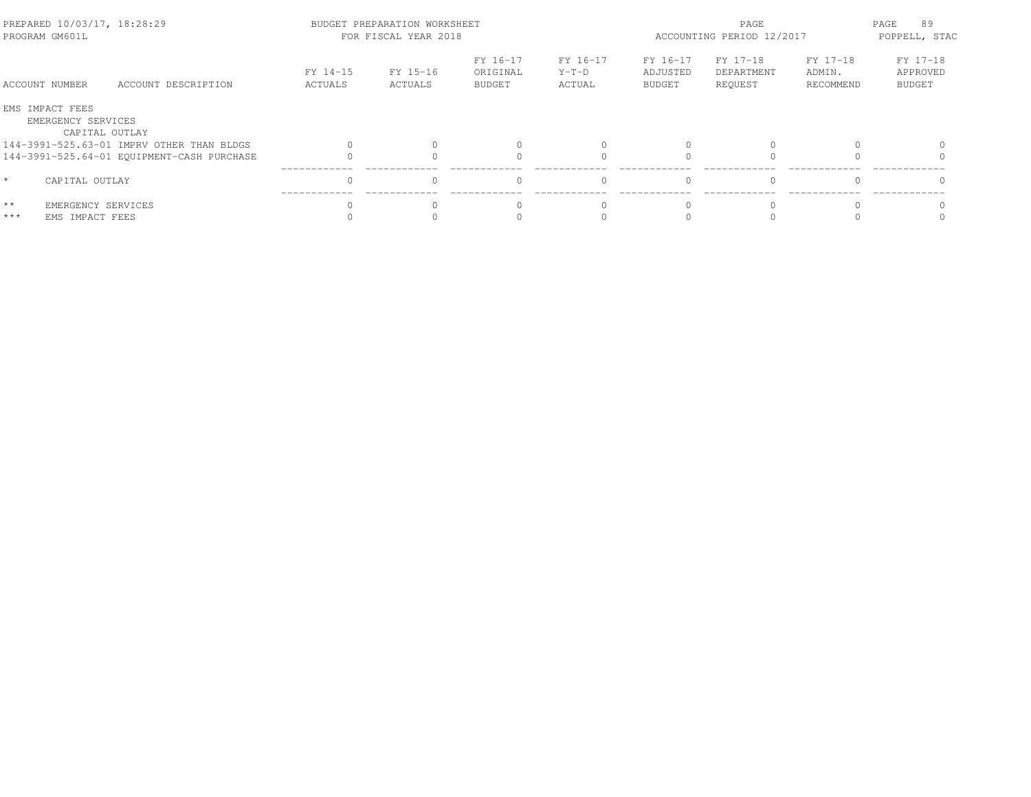| PREPARED 10/03/17, 18:28:29<br>PROGRAM GM601L                  |                                            |                     | BUDGET PREPARATION WORKSHEET<br>FOR FISCAL YEAR 2018 | ACCOUNTING PERIOD 12/2017             | PAGE<br>89<br>POPPELL, STAC   |                                       |                                   |                                 |                                       |
|----------------------------------------------------------------|--------------------------------------------|---------------------|------------------------------------------------------|---------------------------------------|-------------------------------|---------------------------------------|-----------------------------------|---------------------------------|---------------------------------------|
| ACCOUNT NUMBER                                                 | ACCOUNT DESCRIPTION                        | FY 14-15<br>ACTUALS | FY 15-16<br>ACTUALS                                  | FY 16-17<br>ORIGINAL<br><b>BUDGET</b> | FY 16-17<br>$Y-T-D$<br>ACTUAL | FY 16-17<br>ADJUSTED<br><b>BUDGET</b> | FY 17-18<br>DEPARTMENT<br>REQUEST | FY 17-18<br>ADMIN.<br>RECOMMEND | FY 17-18<br>APPROVED<br><b>BUDGET</b> |
| EMS IMPACT FEES<br>EMERGENCY SERVICES                          | CAPITAL OUTLAY                             |                     |                                                      |                                       |                               |                                       |                                   |                                 |                                       |
|                                                                | 144-3991-525.63-01 IMPRV OTHER THAN BLDGS  |                     |                                                      |                                       |                               |                                       |                                   |                                 |                                       |
|                                                                | 144-3991-525.64-01 EQUIPMENT-CASH PURCHASE |                     |                                                      |                                       |                               |                                       |                                   |                                 |                                       |
| $\star$<br>CAPITAL OUTLAY                                      |                                            | $\cap$              |                                                      | $\Omega$                              | $\Omega$                      | $\cap$                                | $\Omega$                          |                                 |                                       |
| $\star\star$<br>EMERGENCY SERVICES<br>$***$<br>EMS IMPACT FEES |                                            |                     |                                                      |                                       |                               |                                       |                                   |                                 |                                       |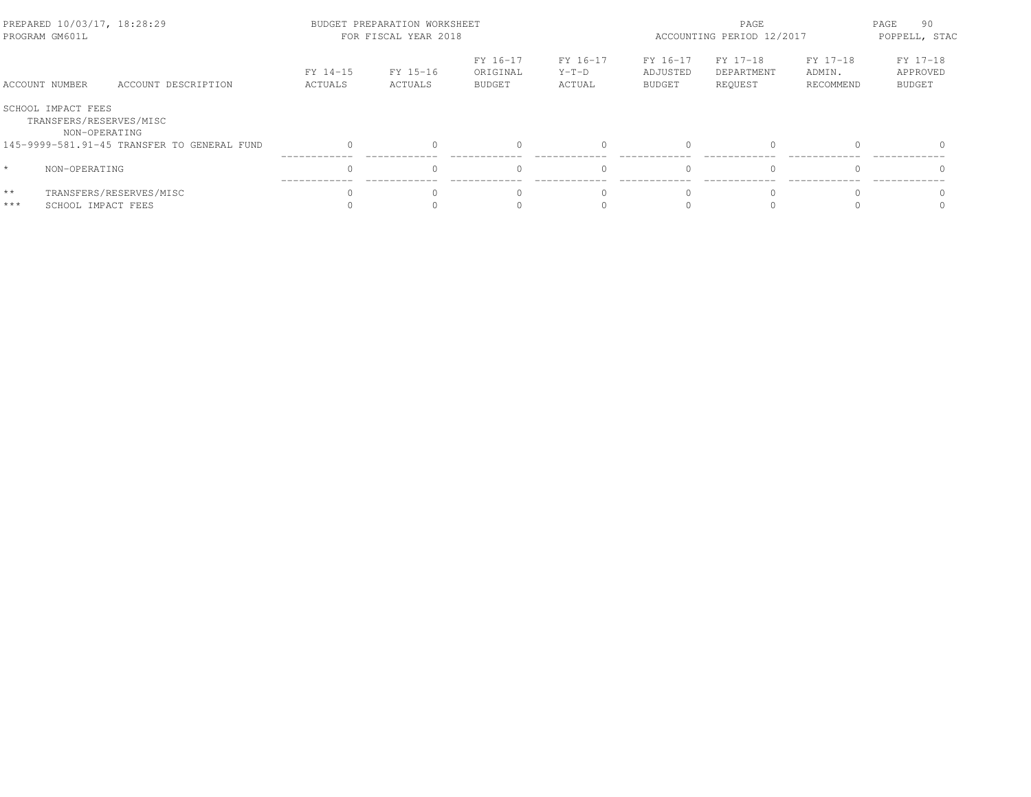| PREPARED 10/03/17, 18:28:29<br>PROGRAM GM601L |                                                                |                                             |                     | BUDGET PREPARATION WORKSHEET<br>FOR FISCAL YEAR 2018 |                                       | ACCOUNTING PERIOD 12/2017     | 90<br>PAGE<br>POPPELL, STAC    |                                   |                                 |                                       |
|-----------------------------------------------|----------------------------------------------------------------|---------------------------------------------|---------------------|------------------------------------------------------|---------------------------------------|-------------------------------|--------------------------------|-----------------------------------|---------------------------------|---------------------------------------|
|                                               | ACCOUNT NUMBER                                                 | ACCOUNT DESCRIPTION                         | FY 14-15<br>ACTUALS | FY 15-16<br>ACTUALS                                  | FY 16-17<br>ORIGINAL<br><b>BUDGET</b> | FY 16-17<br>$Y-T-D$<br>ACTUAL | FY 16-17<br>ADJUSTED<br>BUDGET | FY 17-18<br>DEPARTMENT<br>REOUEST | FY 17-18<br>ADMIN.<br>RECOMMEND | FY 17-18<br>APPROVED<br><b>BUDGET</b> |
|                                               | SCHOOL IMPACT FEES<br>TRANSFERS/RESERVES/MISC<br>NON-OPERATING |                                             |                     |                                                      |                                       |                               |                                |                                   |                                 |                                       |
|                                               |                                                                | 145-9999-581.91-45 TRANSFER TO GENERAL FUND |                     |                                                      |                                       |                               | $\bigcap$                      | $\Omega$                          |                                 |                                       |
| $\star$                                       | NON-OPERATING                                                  |                                             |                     |                                                      |                                       | $\Omega$                      | $\bigcap$                      | $\Omega$                          |                                 |                                       |
| $* *$<br>$***$                                | SCHOOL IMPACT FEES                                             | TRANSFERS/RESERVES/MISC                     |                     |                                                      |                                       |                               |                                |                                   |                                 |                                       |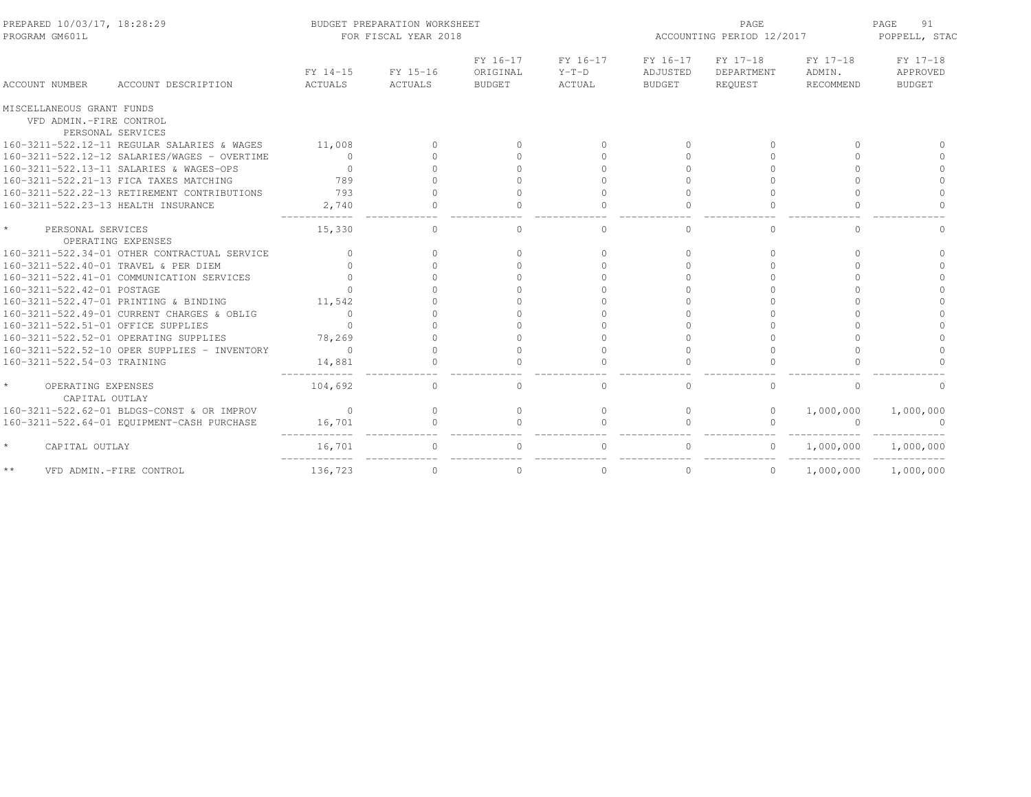| PREPARED 10/03/17, 18:28:29<br>PROGRAM GM601L                             |                     | BUDGET PREPARATION WORKSHEET<br>FOR FISCAL YEAR 2018 |                                       |                               | ACCOUNTING PERIOD 12/2017             | 91<br>PAGE<br>POPPELL, STAC       |                                 |                                       |
|---------------------------------------------------------------------------|---------------------|------------------------------------------------------|---------------------------------------|-------------------------------|---------------------------------------|-----------------------------------|---------------------------------|---------------------------------------|
| <b>ACCOUNT NUMBER</b><br>ACCOUNT DESCRIPTION                              | FY 14-15<br>ACTUALS | FY 15-16<br>ACTUALS                                  | FY 16-17<br>ORIGINAL<br><b>BUDGET</b> | FY 16-17<br>$Y-T-D$<br>ACTUAL | FY 16-17<br>ADJUSTED<br><b>BUDGET</b> | FY 17-18<br>DEPARTMENT<br>REQUEST | FY 17-18<br>ADMIN.<br>RECOMMEND | FY 17-18<br>APPROVED<br><b>BUDGET</b> |
| MISCELLANEOUS GRANT FUNDS<br>VFD ADMIN.-FIRE CONTROL<br>PERSONAL SERVICES |                     |                                                      |                                       |                               |                                       |                                   |                                 |                                       |
| 160-3211-522.12-11 REGULAR SALARIES & WAGES                               | 11,008              | $\Omega$                                             |                                       | $\Omega$                      | $\Omega$                              | $\Omega$                          | $\Omega$                        |                                       |
| 160-3211-522.12-12 SALARIES/WAGES - OVERTIME                              | $\cap$              | $\Omega$                                             |                                       | $\cap$                        |                                       |                                   | $\Omega$                        |                                       |
| 160-3211-522.13-11 SALARIES & WAGES-OPS                                   | $\Omega$            |                                                      |                                       |                               |                                       |                                   |                                 |                                       |
| 160-3211-522.21-13 FICA TAXES MATCHING                                    | 789                 |                                                      |                                       | $\cap$                        |                                       |                                   | $\cap$                          |                                       |
| 160-3211-522.22-13 RETIREMENT CONTRIBUTIONS                               | 793                 |                                                      |                                       | $\Omega$                      | $\cap$                                |                                   | $\cap$                          |                                       |
| 160-3211-522.23-13 HEALTH INSURANCE                                       | 2,740               |                                                      |                                       | $\Omega$                      |                                       |                                   | $\cap$                          |                                       |
| $\star$<br>PERSONAL SERVICES<br>OPERATING EXPENSES                        | 15,330              | $\circ$                                              | $\mathbf{0}$                          | $\circ$                       | $\Omega$                              | $\circ$                           | $\Omega$                        |                                       |
| 160-3211-522.34-01 OTHER CONTRACTUAL SERVICE                              | $\Omega$            | $\Omega$                                             | $\bigcap$                             | $\Omega$                      | $\Omega$                              | $\Omega$                          | $\Omega$                        |                                       |
| 160-3211-522.40-01 TRAVEL & PER DIEM                                      |                     | $\Omega$                                             |                                       | $\Omega$                      | $\Omega$                              |                                   | $\Omega$                        |                                       |
| 160-3211-522.41-01 COMMUNICATION SERVICES                                 |                     | $\cap$                                               |                                       | $\bigcap$                     | $\cap$                                |                                   | $\cap$                          |                                       |
| 160-3211-522.42-01 POSTAGE                                                |                     |                                                      |                                       | $\cap$                        |                                       |                                   | $\cap$                          |                                       |
| 160-3211-522.47-01 PRINTING & BINDING                                     | 11,542              |                                                      |                                       |                               |                                       |                                   |                                 |                                       |
| 160-3211-522.49-01 CURRENT CHARGES & OBLIG                                | $\Omega$            |                                                      |                                       |                               |                                       |                                   |                                 |                                       |
| 160-3211-522.51-01 OFFICE SUPPLIES                                        | $\Omega$            |                                                      |                                       |                               |                                       |                                   |                                 |                                       |
| 160-3211-522.52-01 OPERATING SUPPLIES                                     | 78.269              |                                                      |                                       | $\cap$                        |                                       |                                   |                                 |                                       |
| 160-3211-522.52-10 OPER SUPPLIES - INVENTORY                              | $\overline{0}$      |                                                      |                                       | $\cap$                        |                                       |                                   | $\Omega$                        |                                       |
| 160-3211-522.54-03 TRAINING                                               | 14,881              |                                                      |                                       | $\cap$                        |                                       |                                   |                                 |                                       |
| $\star$<br>OPERATING EXPENSES<br>CAPITAL OUTLAY                           | 104,692             | $\Omega$                                             | $\Omega$                              | $\Omega$                      | $\Omega$                              | $\Omega$                          | $\Omega$                        |                                       |
| 160-3211-522.62-01 BLDGS-CONST & OR IMPROV                                | $\sim$ 0            | $\circ$                                              | $\circ$                               | $\circ$                       | $\circ$                               | $\overline{0}$                    | 1,000,000                       | 1,000,000                             |
| 160-3211-522.64-01 EQUIPMENT-CASH PURCHASE                                | 16,701              |                                                      |                                       | $\Omega$                      |                                       | $\Omega$                          | $\bigcap$                       | $\cap$                                |
| $\star$<br>CAPITAL OUTLAY                                                 | 16,701              |                                                      |                                       | $\Omega$                      |                                       | $\Omega$                          | 1,000,000                       | 1,000,000                             |
| $\star\star$<br>VFD ADMIN.-FIRE CONTROL                                   | 136,723             | $\Omega$                                             | $\Omega$                              | $\Omega$                      | $\Omega$                              | $\Omega$                          | 1,000,000                       | 1,000,000                             |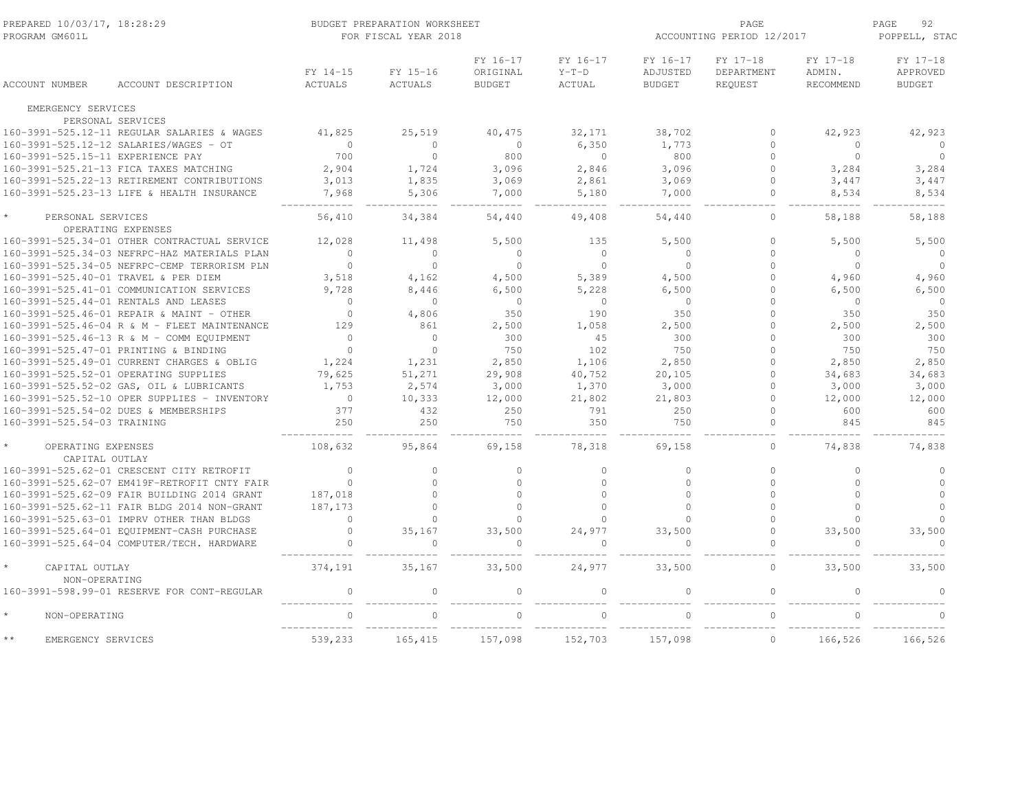| PREPARED 10/03/17, 18:28:29<br>PROGRAM GM601L |                            | BUDGET PREPARATION WORKSHEET<br>FOR FISCAL YEAR 2018 |                                       | ACCOUNTING PERIOD 12/2017            | 92<br>PAGE<br>POPPELL, STAC           |                                   |                                 |                                       |
|-----------------------------------------------|----------------------------|------------------------------------------------------|---------------------------------------|--------------------------------------|---------------------------------------|-----------------------------------|---------------------------------|---------------------------------------|
| ACCOUNT DESCRIPTION<br><b>ACCOUNT NUMBER</b>  | FY 14-15<br><b>ACTUALS</b> | FY 15-16<br><b>ACTUALS</b>                           | FY 16-17<br>ORIGINAL<br><b>BUDGET</b> | FY 16-17<br>$Y-T-D$<br><b>ACTUAL</b> | FY 16-17<br>ADJUSTED<br><b>BUDGET</b> | FY 17-18<br>DEPARTMENT<br>REQUEST | FY 17-18<br>ADMIN.<br>RECOMMEND | FY 17-18<br>APPROVED<br><b>BUDGET</b> |
| EMERGENCY SERVICES                            |                            |                                                      |                                       |                                      |                                       |                                   |                                 |                                       |
| PERSONAL SERVICES                             |                            |                                                      |                                       |                                      |                                       |                                   |                                 |                                       |
| 160-3991-525.12-11 REGULAR SALARIES & WAGES   | 41,825                     | 25,519                                               | 40,475                                | 32,171                               | 38,702                                | $\Omega$                          | 42,923                          | 42,923                                |
| 160-3991-525.12-12 SALARIES/WAGES - OT        | $\Omega$                   | $\Omega$                                             | $\circ$                               | 6,350                                | 1,773                                 | $\Omega$                          | $\Omega$                        |                                       |
| 160-3991-525.15-11 EXPERIENCE PAY             | 700                        | $\circ$                                              | 800                                   | $\Omega$                             | 800                                   | $\Omega$                          | $\circ$                         | $\circ$                               |
| 160-3991-525.21-13 FICA TAXES MATCHING        | 2,904                      | 1,724                                                | 3,096                                 | 2,846                                | 3,096                                 | $\cap$                            | 3,284                           | 3,284                                 |
| 160-3991-525.22-13 RETIREMENT CONTRIBUTIONS   | 3,013                      | 1,835                                                | 3,069                                 | 2,861                                | 3,069                                 | $\Omega$                          | 3,447                           | 3,447                                 |
| 160-3991-525.23-13 LIFE & HEALTH INSURANCE    | 7,968                      | 5,306                                                | 7,000                                 | 5,180                                | 7,000                                 | $\Omega$                          | 8,534                           | 8,534                                 |
| PERSONAL SERVICES<br>OPERATING EXPENSES       | 56,410                     | 34,384                                               | 54,440                                | 49,408                               | 54,440                                | $\circ$                           | 58,188                          | 58,188                                |
| 160-3991-525.34-01 OTHER CONTRACTUAL SERVICE  | 12,028                     | 11,498                                               | 5,500                                 | 135                                  | 5,500                                 | $\mathbf{0}$                      | 5,500                           | 5,500                                 |
| 160-3991-525.34-03 NEFRPC-HAZ MATERIALS PLAN  | $\mathbf{0}$               | $\circ$                                              | $\circ$                               | $\mathbf{0}$                         | $\overline{0}$                        | $\cap$                            | $\circ$                         | $\circ$                               |
| 160-3991-525.34-05 NEFRPC-CEMP TERRORISM PLN  | $\Omega$                   | $\Omega$                                             | $\Omega$                              | $\Omega$                             | $\Omega$                              | $\cap$                            | $\Omega$                        | $\Omega$                              |
| 160-3991-525.40-01 TRAVEL & PER DIEM          | 3,518                      | 4,162                                                | 4,500                                 | 5,389                                | 4,500                                 | $\cap$                            | 4,960                           | 4,960                                 |
| 160-3991-525.41-01 COMMUNICATION SERVICES     | 9,728                      | 8,446                                                | 6,500                                 | 5,228                                | 6,500                                 | $\cap$                            | 6,500                           | 6,500                                 |
| 160-3991-525.44-01 RENTALS AND LEASES         | $\Omega$                   | $\Omega$                                             | $\Omega$                              | $\Omega$                             | $\Omega$                              |                                   | $\Omega$                        | $\overline{0}$                        |
| 160-3991-525.46-01 REPAIR & MAINT - OTHER     | $\Omega$                   | 4,806                                                | 350                                   | 190                                  | 350                                   | $\cap$                            | 350                             | 350                                   |
| 160-3991-525.46-04 R & M - FLEET MAINTENANCE  | 129                        | 861                                                  | 2,500                                 | 1,058                                | 2,500                                 | $\cap$                            | 2,500                           | 2,500                                 |
| 160-3991-525.46-13 R & M - COMM EQUIPMENT     | $\Omega$                   | $\Omega$                                             | 300                                   | 45                                   | 300                                   | $\cap$                            | 300                             | 300                                   |
| 160-3991-525.47-01 PRINTING & BINDING         | $\Omega$                   | $\Omega$                                             | 750                                   | 102                                  | 750                                   | $\cap$                            | 750                             | 750                                   |
| 160-3991-525.49-01 CURRENT CHARGES & OBLIG    | 1,224                      | 1,231                                                | 2,850                                 | 1,106                                | 2,850                                 | $\cap$                            | 2,850                           | 2,850                                 |
| 160-3991-525.52-01 OPERATING SUPPLIES         | 79,625                     | 51,271                                               | 29,908                                | 40,752                               | 20,105                                | $\Omega$                          | 34,683                          | 34,683                                |
| 160-3991-525.52-02 GAS, OIL & LUBRICANTS      | 1,753                      | 2,574                                                | 3,000                                 | 1,370                                | 3,000                                 | $\Omega$                          | 3,000                           | 3,000                                 |
| 160-3991-525.52-10 OPER SUPPLIES - INVENTORY  | $\mathbf{0}$               | 10,333                                               | 12,000                                | 21,802                               | 21,803                                | $\Omega$                          | 12,000                          | 12,000                                |
| 160-3991-525.54-02 DUES & MEMBERSHIPS         | 377                        | 432                                                  | 250                                   | 791                                  | 250                                   | $\Omega$                          | 600                             | 600                                   |
| 160-3991-525.54-03 TRAINING                   | 250                        | 250                                                  | 750                                   | 350                                  | 750                                   | $\Omega$                          | 845                             | 845                                   |
| OPERATING EXPENSES<br>CAPITAL OUTLAY          | 108,632                    | 95,864                                               | 69,158                                | 78,318                               | 69,158                                | $\circ$                           | 74,838                          | 74,838                                |
| 160-3991-525.62-01 CRESCENT CITY RETROFIT     | $\Omega$                   | $\Omega$                                             | $\Omega$                              | $\Omega$                             | $\Omega$                              | $\Omega$                          | $\Omega$                        | $\Omega$                              |
| 160-3991-525.62-07 EM419F-RETROFIT CNTY FAIR  | $\cap$                     | $\Omega$                                             | $\Omega$                              | $\Omega$                             | $\Omega$                              | $\cap$                            | $\Omega$                        | $\Omega$                              |
| 160-3991-525.62-09 FAIR BUILDING 2014 GRANT   | 187,018                    | $\Omega$                                             | $\Omega$                              | $\Omega$                             | $\Omega$                              | $\cap$                            | $\cap$                          | $\Omega$                              |
| 160-3991-525.62-11 FAIR BLDG 2014 NON-GRANT   | 187, 173                   | $\Omega$                                             | $\circ$                               | $\Omega$                             | $\Omega$                              |                                   | $\Omega$                        | $\Omega$                              |
| 160-3991-525.63-01 IMPRV OTHER THAN BLDGS     | $\Omega$                   | $\cap$                                               | $\Omega$                              | $\cap$                               | $\Omega$                              | $\cap$                            | $\cap$                          | $\cap$                                |
| 160-3991-525.64-01 EOUIPMENT-CASH PURCHASE    | $\Omega$                   | 35,167                                               | 33,500                                | 24,977                               | 33,500                                | $\cap$                            | 33,500                          | 33,500                                |
| 160-3991-525.64-04 COMPUTER/TECH. HARDWARE    |                            |                                                      | $\Omega$                              | $\Omega$                             | $\Omega$                              | $\cap$                            |                                 | $\Omega$                              |
| CAPITAL OUTLAY<br>NON-OPERATING               | 374,191                    | 35,167                                               | 33,500                                | 24,977                               | 33,500                                | $\circ$                           | 33,500                          | 33,500                                |
| 160-3991-598.99-01 RESERVE FOR CONT-REGULAR   | $\mathbf{0}$               | $\circ$                                              | $\Omega$                              | $\Omega$                             | $\mathbf{0}$                          | $\mathbf{0}$                      | $\Omega$                        | $\Omega$                              |
| $\star$<br>NON-OPERATING                      |                            |                                                      | $\cap$                                |                                      |                                       | $\cap$                            |                                 |                                       |
| $\star\star$<br>EMERGENCY SERVICES            | 539,233                    | 165,415                                              | 157,098                               | 152,703                              | 157,098                               | $\mathsf{O}\xspace$               | 166,526                         | 166,526                               |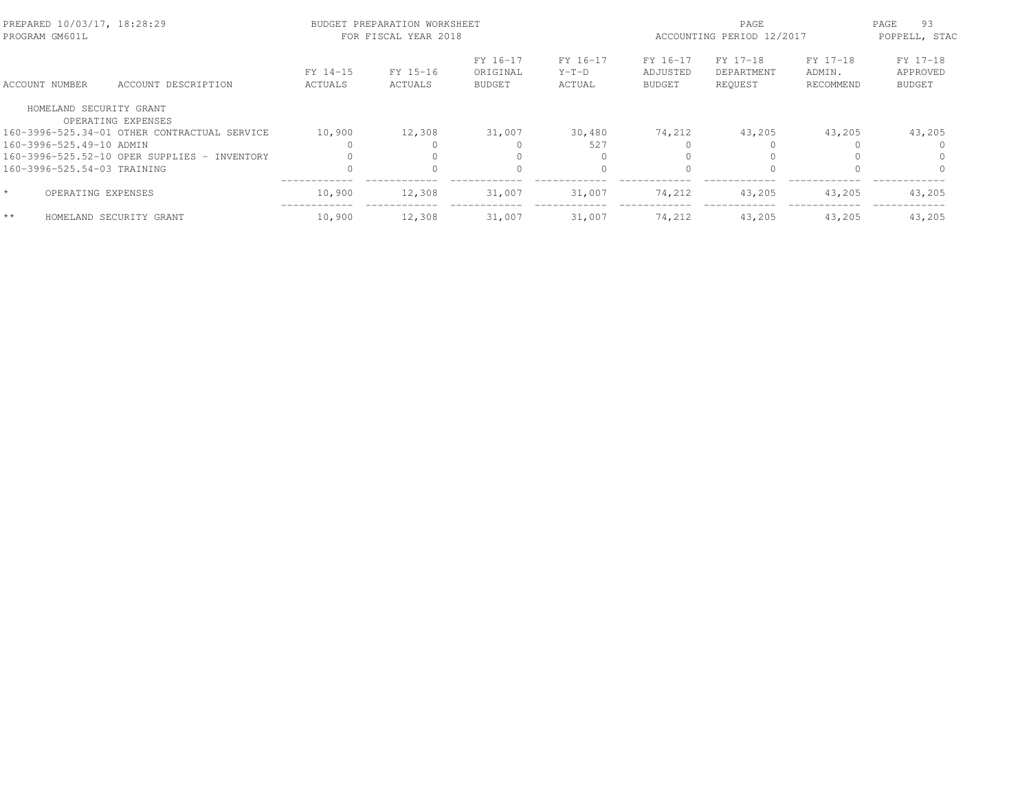| PREPARED 10/03/17, 18:28:29<br>PROGRAM GM601L |                                                                    |                            | BUDGET PREPARATION WORKSHEET<br>FOR FISCAL YEAR 2018 |                                       |                               | ACCOUNTING PERIOD 12/2017             | 93<br>PAGE<br>POPPELL, STAC       |                                 |                                       |
|-----------------------------------------------|--------------------------------------------------------------------|----------------------------|------------------------------------------------------|---------------------------------------|-------------------------------|---------------------------------------|-----------------------------------|---------------------------------|---------------------------------------|
| <b>ACCOUNT NUMBER</b>                         | ACCOUNT DESCRIPTION                                                | FY 14-15<br><b>ACTUALS</b> | FY 15-16<br>ACTUALS                                  | FY 16-17<br>ORIGINAL<br><b>BUDGET</b> | FY 16-17<br>$Y-T-D$<br>ACTUAL | FY 16-17<br>ADJUSTED<br><b>BUDGET</b> | FY 17-18<br>DEPARTMENT<br>REOUEST | FY 17-18<br>ADMIN.<br>RECOMMEND | FY 17-18<br>APPROVED<br><b>BUDGET</b> |
| HOMELAND SECURITY GRANT                       |                                                                    |                            |                                                      |                                       |                               |                                       |                                   |                                 |                                       |
|                                               | OPERATING EXPENSES<br>160-3996-525.34-01 OTHER CONTRACTUAL SERVICE | 10,900                     | 12,308                                               | 31,007                                | 30,480                        | 74,212                                | 43,205                            | 43,205                          | 43,205                                |
| 160-3996-525.49-10 ADMIN                      |                                                                    |                            |                                                      |                                       | 527                           |                                       |                                   |                                 |                                       |
|                                               | 160-3996-525.52-10 OPER SUPPLIES - INVENTORY                       |                            |                                                      |                                       | $\Omega$                      |                                       |                                   |                                 |                                       |
| 160-3996-525.54-03 TRAINING                   |                                                                    |                            |                                                      |                                       | $\bigcap$                     | $\cap$                                |                                   |                                 |                                       |
| OPERATING EXPENSES                            |                                                                    | 10,900                     | 12,308                                               | 31,007                                | 31,007                        | 74,212                                | 43,205                            | 43,205                          | 43,205                                |
| $**$                                          | HOMELAND SECURITY GRANT                                            | 10,900                     | 12,308                                               | 31,007                                | 31,007                        | 74,212                                | 43,205                            | 43,205                          | 43,205                                |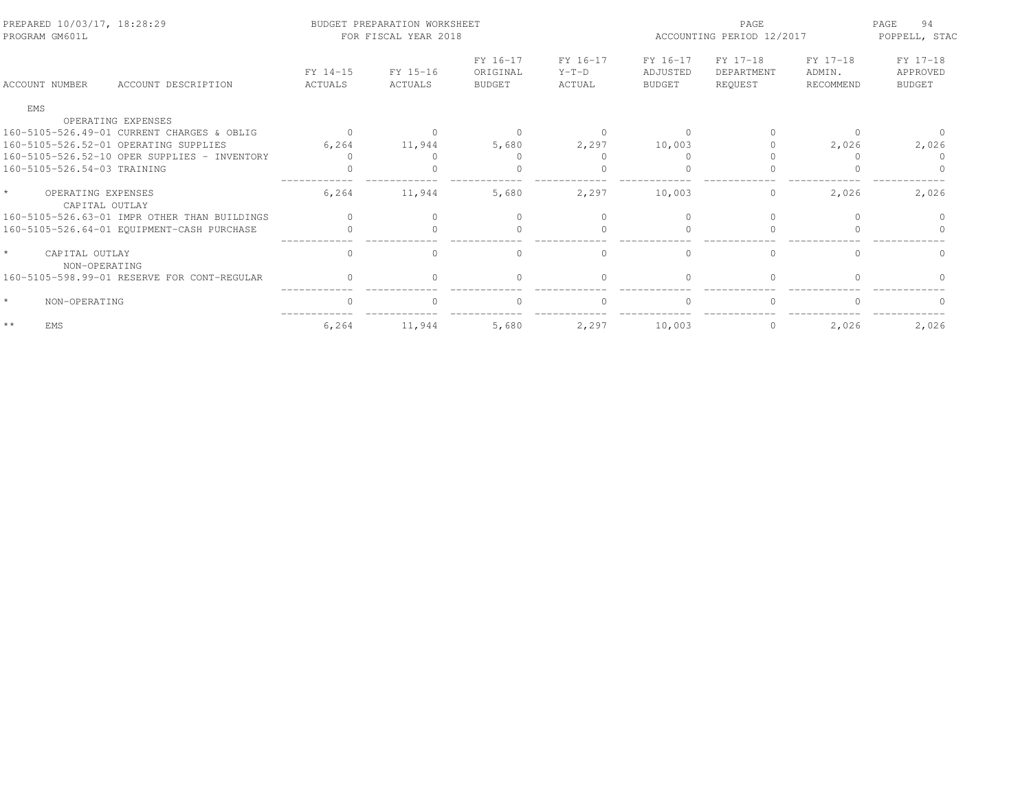| PREPARED 10/03/17, 18:28:29<br>PROGRAM GM601L   |                            | BUDGET PREPARATION WORKSHEET<br>FOR FISCAL YEAR 2018 |                                       |                               | ACCOUNTING PERIOD 12/2017             | 94<br>PAGE<br>POPPELL, STAC       |                                 |                                       |
|-------------------------------------------------|----------------------------|------------------------------------------------------|---------------------------------------|-------------------------------|---------------------------------------|-----------------------------------|---------------------------------|---------------------------------------|
| <b>ACCOUNT NUMBER</b><br>ACCOUNT DESCRIPTION    | FY 14-15<br><b>ACTUALS</b> | FY 15-16<br><b>ACTUALS</b>                           | FY 16-17<br>ORIGINAL<br><b>BUDGET</b> | FY 16-17<br>$Y-T-D$<br>ACTUAL | FY 16-17<br>ADJUSTED<br><b>BUDGET</b> | FY 17-18<br>DEPARTMENT<br>REOUEST | FY 17-18<br>ADMIN.<br>RECOMMEND | FY 17-18<br>APPROVED<br><b>BUDGET</b> |
| EMS                                             |                            |                                                      |                                       |                               |                                       |                                   |                                 |                                       |
| OPERATING EXPENSES                              |                            |                                                      |                                       |                               |                                       |                                   |                                 |                                       |
| 160-5105-526.49-01 CURRENT CHARGES & OBLIG      | $\bigcap$                  |                                                      | $\cap$                                |                               |                                       |                                   | $\cap$                          |                                       |
| 160-5105-526.52-01 OPERATING SUPPLIES           | 6,264                      | 11,944                                               | 5,680                                 | 2,297                         | 10,003                                |                                   | 2,026                           | 2,026                                 |
| 160-5105-526.52-10 OPER SUPPLIES - INVENTORY    | $\cap$                     |                                                      |                                       |                               |                                       |                                   |                                 |                                       |
| 160-5105-526.54-03 TRAINING                     |                            |                                                      |                                       |                               |                                       |                                   |                                 |                                       |
| $\star$<br>OPERATING EXPENSES<br>CAPITAL OUTLAY | 6,264                      | 11,944                                               | 5,680                                 | 2,297                         | 10,003                                | $\circ$                           | 2,026                           | 2,026                                 |
| 160-5105-526.63-01 IMPR OTHER THAN BUILDINGS    |                            |                                                      | $\Omega$                              |                               |                                       |                                   |                                 |                                       |
| 160-5105-526.64-01 EQUIPMENT-CASH PURCHASE      | $\bigcap$                  |                                                      | $\Omega$                              | $\cap$                        |                                       | $\cap$                            |                                 |                                       |
| $\star$<br>CAPITAL OUTLAY<br>NON-OPERATING      | $\mathbf{0}$               | $\circ$                                              | 0                                     | $\mathbf{0}$                  | $\Omega$                              | $\mathbf{0}$                      | $\Omega$                        |                                       |
| 160-5105-598.99-01 RESERVE FOR CONT-REGULAR     | $\Omega$                   |                                                      | $\Omega$                              | $\cap$                        |                                       | $\Omega$                          |                                 |                                       |
| $\star$<br>NON-OPERATING                        |                            |                                                      | $\cap$                                |                               |                                       | $\cap$                            |                                 |                                       |
| $\star\star$<br>EMS                             | 6,264                      | 11.944                                               | 5,680                                 | 2,297                         | 10,003                                | $\mathbf{0}$                      | 2.026                           | 2,026                                 |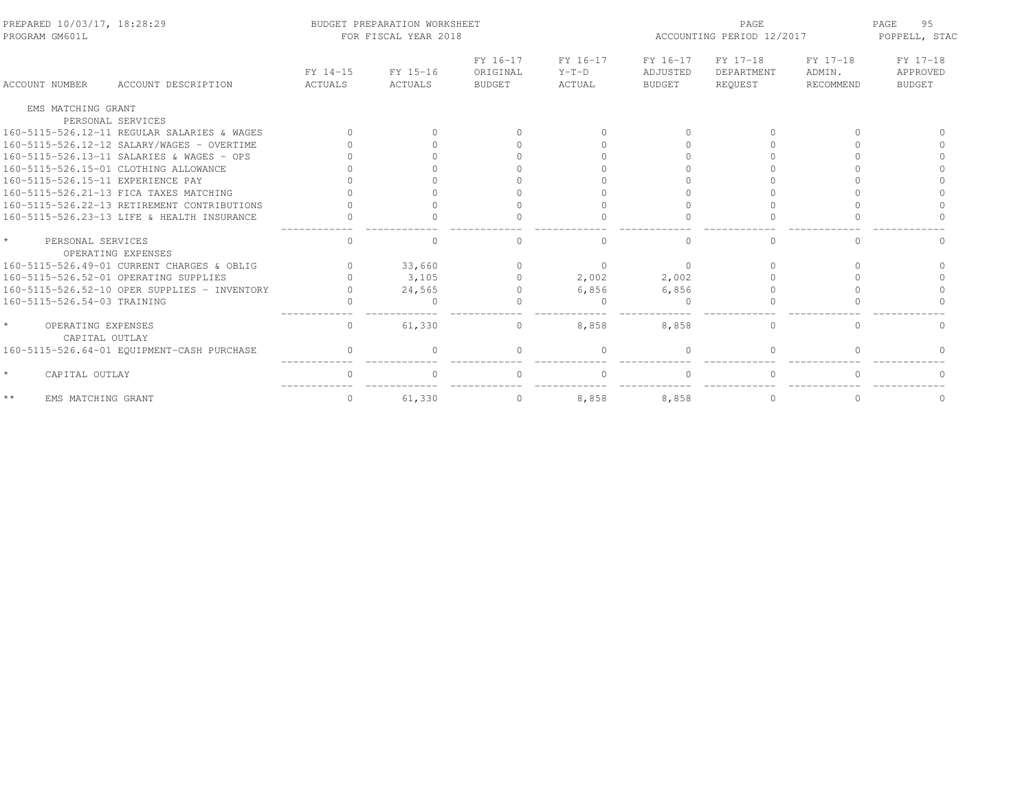| PREPARED 10/03/17, 18:28:29<br>PROGRAM GM601L   |                                              |                     | BUDGET PREPARATION WORKSHEET<br>FOR FISCAL YEAR 2018 |                                |                               | PAGE<br>ACCOUNTING PERIOD 12/2017     |                                   |                                 | 9.5<br>PAGE<br>POPPELL, STAC          |
|-------------------------------------------------|----------------------------------------------|---------------------|------------------------------------------------------|--------------------------------|-------------------------------|---------------------------------------|-----------------------------------|---------------------------------|---------------------------------------|
| <b>ACCOUNT NUMBER</b>                           | ACCOUNT DESCRIPTION                          | FY 14-15<br>ACTUALS | FY 15-16<br>ACTUALS                                  | FY 16-17<br>ORIGINAL<br>BUDGET | FY 16-17<br>$Y-T-D$<br>ACTUAL | FY 16-17<br>ADJUSTED<br><b>BUDGET</b> | FY 17-18<br>DEPARTMENT<br>REOUEST | FY 17-18<br>ADMIN.<br>RECOMMEND | FY 17-18<br>APPROVED<br><b>BUDGET</b> |
|                                                 |                                              |                     |                                                      |                                |                               |                                       |                                   |                                 |                                       |
| EMS MATCHING GRANT                              |                                              |                     |                                                      |                                |                               |                                       |                                   |                                 |                                       |
| PERSONAL SERVICES                               |                                              |                     |                                                      |                                |                               |                                       |                                   |                                 |                                       |
|                                                 | 160-5115-526.12-11 REGULAR SALARIES & WAGES  |                     |                                                      |                                |                               |                                       | <sup>∩</sup>                      |                                 |                                       |
|                                                 | 160-5115-526.12-12 SALARY/WAGES - OVERTIME   |                     |                                                      |                                |                               |                                       |                                   |                                 |                                       |
|                                                 | 160-5115-526.13-11 SALARIES & WAGES - OPS    |                     |                                                      |                                |                               |                                       |                                   |                                 |                                       |
|                                                 | 160-5115-526.15-01 CLOTHING ALLOWANCE        |                     |                                                      |                                |                               |                                       |                                   |                                 |                                       |
| 160-5115-526.15-11 EXPERIENCE PAY               |                                              |                     |                                                      |                                |                               |                                       |                                   |                                 |                                       |
|                                                 | 160-5115-526.21-13 FICA TAXES MATCHING       |                     |                                                      |                                |                               |                                       |                                   |                                 |                                       |
|                                                 | 160-5115-526.22-13 RETIREMENT CONTRIBUTIONS  |                     |                                                      |                                |                               |                                       |                                   |                                 |                                       |
|                                                 | 160-5115-526.23-13 LIFE & HEALTH INSURANCE   |                     |                                                      |                                |                               |                                       |                                   |                                 |                                       |
| $\star$<br>PERSONAL SERVICES                    | OPERATING EXPENSES                           |                     |                                                      |                                | <sup>0</sup>                  |                                       | <sup>0</sup>                      | n                               |                                       |
|                                                 | 160-5115-526.49-01 CURRENT CHARGES & OBLIG   |                     | 33,660                                               |                                | $\Omega$                      | $\Omega$                              |                                   |                                 |                                       |
|                                                 | 160-5115-526.52-01 OPERATING SUPPLIES        |                     | 3,105                                                |                                | 2,002                         | 2,002                                 |                                   |                                 |                                       |
|                                                 | 160-5115-526.52-10 OPER SUPPLIES - INVENTORY |                     | 24,565                                               |                                | 6,856                         | 6,856                                 |                                   |                                 |                                       |
| 160-5115-526.54-03 TRAINING                     |                                              |                     | $\cap$                                               |                                | $\Omega$                      |                                       |                                   |                                 |                                       |
| $\star$<br>OPERATING EXPENSES<br>CAPITAL OUTLAY |                                              | $\circ$             | 61,330                                               | $\Omega$                       | 8,858                         | 8,858                                 | $\Omega$                          | $\Omega$                        |                                       |
|                                                 | 160-5115-526.64-01 EQUIPMENT-CASH PURCHASE   | $\Omega$            | $\cap$                                               |                                | $\Omega$                      |                                       | $\Omega$                          |                                 |                                       |
| $\star$<br>CAPITAL OUTLAY                       |                                              |                     |                                                      |                                | $\cap$                        |                                       | $\cap$                            |                                 |                                       |
| $\star\,\star$<br>EMS MATCHING GRANT            |                                              | $\circ$             | 61,330                                               | 0                              | 8,858                         | 8,858                                 | 0                                 | $\Omega$                        | $\Omega$                              |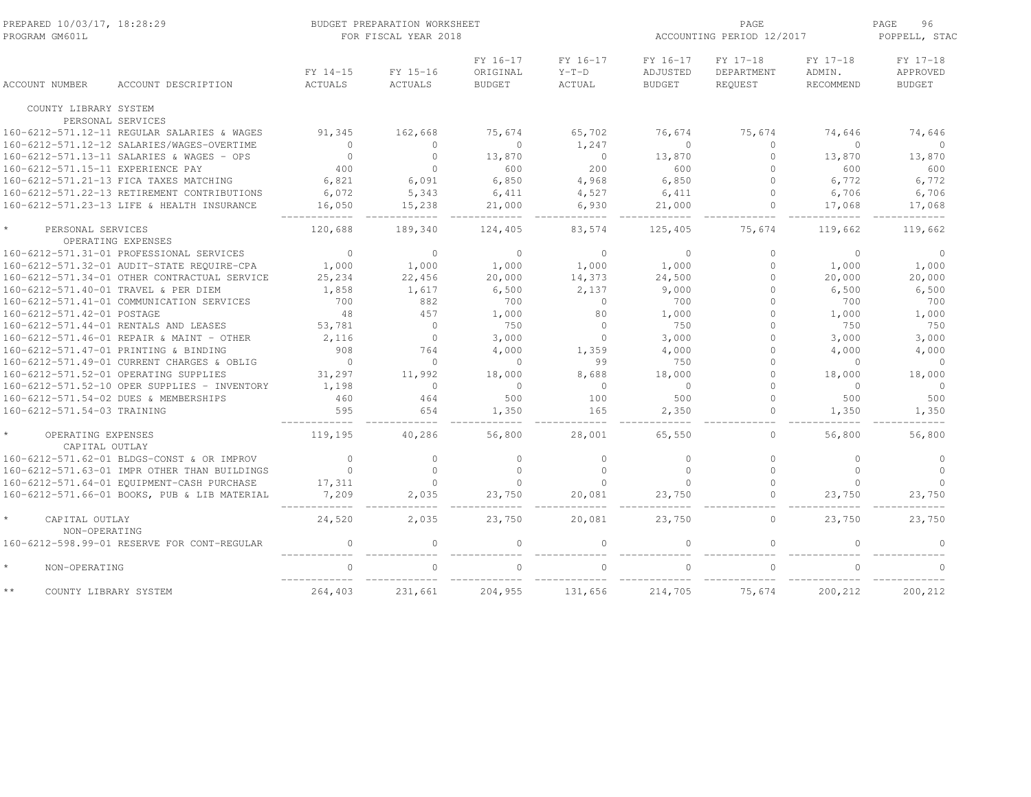| PREPARED 10/03/17, 18:28:29<br>PROGRAM GM601L |                                              |                     | BUDGET PREPARATION WORKSHEET<br>FOR FISCAL YEAR 2018 |                                       | ACCOUNTING PERIOD 12/2017     | PAGE<br>96<br>POPPELL, STAC           |                                   |                                 |                                       |
|-----------------------------------------------|----------------------------------------------|---------------------|------------------------------------------------------|---------------------------------------|-------------------------------|---------------------------------------|-----------------------------------|---------------------------------|---------------------------------------|
| <b>ACCOUNT NUMBER</b>                         | ACCOUNT DESCRIPTION                          | FY 14-15<br>ACTUALS | FY 15-16<br><b>ACTUALS</b>                           | FY 16-17<br>ORIGINAL<br><b>BUDGET</b> | FY 16-17<br>$Y-T-D$<br>ACTUAL | FY 16-17<br>ADJUSTED<br><b>BUDGET</b> | FY 17-18<br>DEPARTMENT<br>REQUEST | FY 17-18<br>ADMIN.<br>RECOMMEND | FY 17-18<br>APPROVED<br><b>BUDGET</b> |
| COUNTY LIBRARY SYSTEM                         |                                              |                     |                                                      |                                       |                               |                                       |                                   |                                 |                                       |
|                                               | PERSONAL SERVICES                            |                     |                                                      |                                       |                               |                                       |                                   |                                 |                                       |
|                                               | 160-6212-571.12-11 REGULAR SALARIES & WAGES  | 91,345              | 162,668                                              | 75,674                                | 65,702                        | 76,674                                | 75,674                            | 74,646                          | 74,646                                |
|                                               | 160-6212-571.12-12 SALARIES/WAGES-OVERTIME   | $\mathbf{0}$        | $\circ$                                              | $\mathbf{0}$                          | 1,247                         | $\Omega$                              | $\circ$                           | $\circ$                         | $\circ$                               |
|                                               | 160-6212-571.13-11 SALARIES & WAGES - OPS    | $\Omega$            | $\circ$                                              | 13,870                                | $\circ$                       | 13,870                                | $\Omega$                          | 13,870                          | 13,870                                |
| 160-6212-571.15-11 EXPERIENCE PAY             |                                              | 400                 | $\Omega$                                             | 600                                   | 200                           | 600                                   | $\Omega$                          | 600                             | 600                                   |
|                                               | 160-6212-571.21-13 FICA TAXES MATCHING       | 6,821               | 6,091                                                | 6,850                                 | 4,968                         | 6,850                                 | $\Omega$                          | 6,772                           | 6,772                                 |
|                                               | 160-6212-571.22-13 RETIREMENT CONTRIBUTIONS  | 6,072               | 5,343                                                | 6,411                                 | 4,527                         | 6,411                                 | $\circ$                           | 6,706                           | 6,706                                 |
|                                               | 160-6212-571.23-13 LIFE & HEALTH INSURANCE   | 16,050              | 15,238                                               | 21,000                                | 6,930                         | 21,000                                | $\Omega$                          | 17,068                          | 17,068                                |
| PERSONAL SERVICES                             | OPERATING EXPENSES                           | 120,688             | 189,340                                              | 124,405                               | 83,574                        | 125,405                               | 75,674                            | 119,662                         | 119,662                               |
|                                               | 160-6212-571.31-01 PROFESSIONAL SERVICES     | $\Omega$            | $\Omega$                                             | $\Omega$                              | $\Omega$                      | $\Omega$                              | $\Omega$                          | $\Omega$                        | $\overline{0}$                        |
|                                               | 160-6212-571.32-01 AUDIT-STATE REQUIRE-CPA   | 1,000               | 1,000                                                | 1,000                                 | 1,000                         | 1,000                                 | $\circ$                           | 1,000                           | 1,000                                 |
|                                               | 160-6212-571.34-01 OTHER CONTRACTUAL SERVICE | 25,234              | 22,456                                               | 20,000                                | 14,373                        | 24,500                                | $\Omega$                          | 20,000                          | 20,000                                |
| 160-6212-571.40-01 TRAVEL & PER DIEM          |                                              | 1,858               | 1,617                                                | 6,500                                 | 2,137                         | 9,000                                 | $\Omega$                          | 6,500                           | 6,500                                 |
|                                               | 160-6212-571.41-01 COMMUNICATION SERVICES    | 700                 | 882                                                  | 700                                   | $\Omega$                      | 700                                   | $\cap$                            | 700                             | 700                                   |
| 160-6212-571.42-01 POSTAGE                    |                                              | 48                  | 457                                                  | 1,000                                 | 80                            | 1,000                                 | $\Omega$                          | 1,000                           | 1,000                                 |
|                                               | 160-6212-571.44-01 RENTALS AND LEASES        | 53,781              | $\circ$                                              | 750                                   | $\circ$                       | 750                                   | $\Omega$                          | 750                             | 750                                   |
|                                               | 160-6212-571.46-01 REPAIR & MAINT - OTHER    | 2,116               | $\mathbf{0}$                                         | 3,000                                 | $\mathbf{0}$                  | 3,000                                 | $\Omega$                          | 3,000                           | 3,000                                 |
|                                               | 160-6212-571.47-01 PRINTING & BINDING        | 908                 | 764                                                  | 4,000                                 | 1,359                         | 4,000                                 | $\Omega$                          | 4,000                           | 4,000                                 |
|                                               | 160-6212-571.49-01 CURRENT CHARGES & OBLIG   | $\overline{0}$      | $\circ$                                              | $\mathbf{0}$                          | 99                            | 750                                   | $\Omega$                          | $\Omega$                        | $\overline{0}$                        |
|                                               | 160-6212-571.52-01 OPERATING SUPPLIES        | 31,297              | 11,992                                               | 18,000                                | 8,688                         | 18,000                                | $\Omega$                          | 18,000                          | 18,000                                |
|                                               | 160-6212-571.52-10 OPER SUPPLIES - INVENTORY | 1,198               | $\mathbf{0}$                                         | $\Omega$                              | $\circ$                       | $\Omega$                              | $\cap$                            | $\Omega$                        | $\overline{0}$                        |
|                                               | 160-6212-571.54-02 DUES & MEMBERSHIPS        | 460                 | 464                                                  | 500                                   | 100                           | 500                                   | $\circ$                           | 500                             | 500                                   |
| 160-6212-571.54-03 TRAINING                   |                                              | 595                 | 654                                                  | 1,350                                 | 165                           | 2,350                                 | $\Omega$                          | 1,350                           | 1,350                                 |
|                                               |                                              |                     |                                                      |                                       |                               |                                       |                                   |                                 |                                       |
| OPERATING EXPENSES<br>CAPITAL OUTLAY          |                                              | 119,195             | 40,286                                               | 56,800                                | 28,001                        | 65,550                                | $\circ$                           | 56,800                          | 56,800                                |
|                                               | 160-6212-571.62-01 BLDGS-CONST & OR IMPROV   | $\Omega$            | $\Omega$                                             | $\Omega$                              | $\Omega$                      | $\Omega$                              | $\Omega$                          | $\Omega$                        | $\circ$                               |
|                                               | 160-6212-571.63-01 IMPR OTHER THAN BUILDINGS | $\mathbf{0}$        | $\Omega$                                             | $\Omega$                              | $\Omega$                      | $\cap$                                | $\Omega$                          | $\Omega$                        | $\Omega$                              |
|                                               | 160-6212-571.64-01 EQUIPMENT-CASH PURCHASE   | 17,311              | $\circ$                                              | $\Omega$                              | $\Omega$                      | $\Omega$                              | $\Omega$                          | $\Omega$                        | $\Omega$                              |
|                                               | 160-6212-571.66-01 BOOKS, PUB & LIB MATERIAL | 7,209               | 2,035                                                | 23,750                                | 20,081                        | 23,750                                |                                   | 23,750                          | 23,750                                |
| $\star$<br>CAPITAL OUTLAY<br>NON-OPERATING    |                                              | 24,520              | 2,035                                                | 23,750                                | 20,081                        | 23,750                                | $\circ$                           | 23,750                          | 23,750                                |
|                                               | 160-6212-598.99-01 RESERVE FOR CONT-REGULAR  | $\Omega$            | $\Omega$                                             |                                       | $\Omega$                      |                                       | $\Omega$                          |                                 |                                       |
| $\star$<br>NON-OPERATING                      |                                              | $\cap$              |                                                      |                                       |                               |                                       |                                   |                                 |                                       |
| $\star\star$<br>COUNTY LIBRARY SYSTEM         |                                              | 264,403             | 231,661                                              | 204,955                               | 131,656                       | 214,705                               | 75,674                            | 200,212                         | 200,212                               |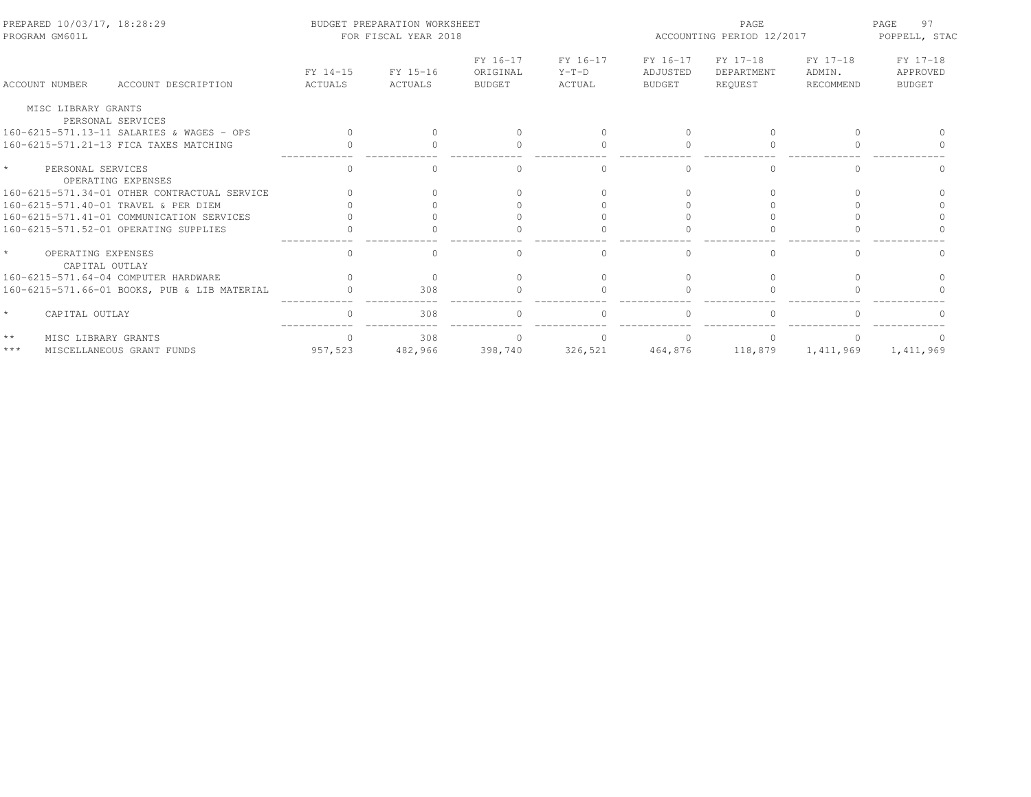| PREPARED 10/03/17, 18:28:29<br>PROGRAM GM601L |                                              |                     | BUDGET PREPARATION WORKSHEET<br>FOR FISCAL YEAR 2018 |                                       |                               | PAGE<br>ACCOUNTING PERIOD 12/2017     |                                   |                                 | PAGE<br>97<br>POPPELL, STAC           |
|-----------------------------------------------|----------------------------------------------|---------------------|------------------------------------------------------|---------------------------------------|-------------------------------|---------------------------------------|-----------------------------------|---------------------------------|---------------------------------------|
| <b>ACCOUNT NUMBER</b>                         | ACCOUNT DESCRIPTION                          | FY 14-15<br>ACTUALS | FY 15-16<br>ACTUALS                                  | FY 16-17<br>ORIGINAL<br><b>BUDGET</b> | FY 16-17<br>$Y-T-D$<br>ACTUAL | FY 16-17<br>ADJUSTED<br><b>BUDGET</b> | FY 17-18<br>DEPARTMENT<br>REOUEST | FY 17-18<br>ADMIN.<br>RECOMMEND | FY 17-18<br>APPROVED<br><b>BUDGET</b> |
| MISC LIBRARY GRANTS                           |                                              |                     |                                                      |                                       |                               |                                       |                                   |                                 |                                       |
|                                               | PERSONAL SERVICES                            |                     |                                                      |                                       |                               |                                       |                                   |                                 |                                       |
|                                               | 160-6215-571.13-11 SALARIES & WAGES - OPS    |                     |                                                      |                                       |                               |                                       |                                   |                                 |                                       |
|                                               | 160-6215-571.21-13 FICA TAXES MATCHING       |                     |                                                      |                                       |                               |                                       |                                   |                                 |                                       |
| $\star$<br>PERSONAL SERVICES                  | OPERATING EXPENSES                           |                     |                                                      |                                       |                               |                                       |                                   |                                 |                                       |
|                                               | 160-6215-571.34-01 OTHER CONTRACTUAL SERVICE |                     |                                                      |                                       |                               |                                       |                                   |                                 |                                       |
|                                               | 160-6215-571.40-01 TRAVEL & PER DIEM         |                     |                                                      |                                       |                               |                                       |                                   |                                 |                                       |
|                                               | 160-6215-571.41-01 COMMUNICATION SERVICES    |                     |                                                      |                                       |                               |                                       |                                   |                                 |                                       |
|                                               | 160-6215-571.52-01 OPERATING SUPPLIES        |                     |                                                      |                                       |                               |                                       |                                   |                                 |                                       |
| OPERATING EXPENSES<br>CAPITAL OUTLAY          |                                              | $\mathbf{0}$        | $\Omega$                                             | $\Omega$                              | $\circ$                       | $\bigcap$                             | $\Omega$                          | $\Omega$                        |                                       |
|                                               | 160-6215-571.64-04 COMPUTER HARDWARE         |                     | $\Omega$                                             | $\Omega$                              | $\Omega$                      |                                       | $\Omega$                          |                                 |                                       |
|                                               | 160-6215-571.66-01 BOOKS, PUB & LIB MATERIAL |                     | 308                                                  |                                       |                               |                                       |                                   |                                 |                                       |
| CAPITAL OUTLAY                                |                                              |                     | 308                                                  |                                       |                               |                                       |                                   |                                 |                                       |
| $\star\star$<br>MISC LIBRARY GRANTS           |                                              | $\bigcap$           | 308                                                  | $\Omega$                              | $\Omega$                      |                                       | $\Omega$                          |                                 |                                       |
| $***$                                         | MISCELLANEOUS GRANT FUNDS                    | 957,523             | 482,966                                              | 398,740                               | 326,521                       | 464,876                               | 118,879                           | 1, 411, 969                     | 1,411,969                             |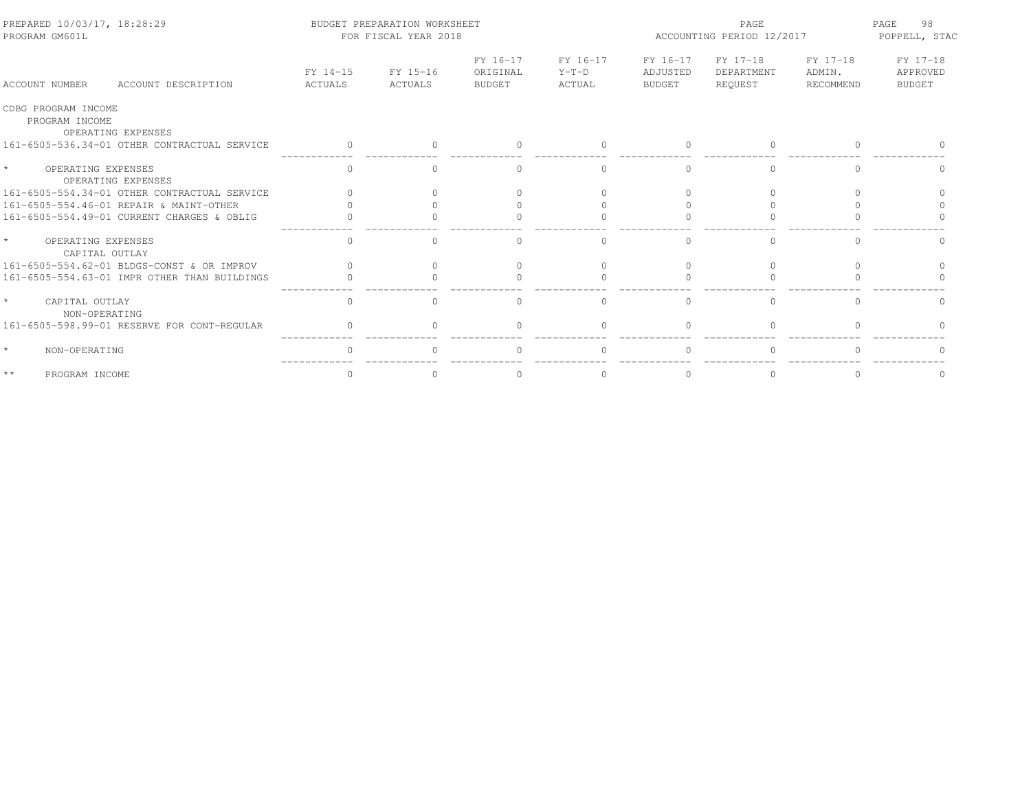| PREPARED 10/03/17, 18:28:29<br>PROGRAM GM601L               |                     | BUDGET PREPARATION WORKSHEET<br>FOR FISCAL YEAR 2018 |                                       | PAGE<br>ACCOUNTING PERIOD 12/2017 |                                       |                                   | 98<br>PAGE<br>POPPELL, STAC     |                                       |
|-------------------------------------------------------------|---------------------|------------------------------------------------------|---------------------------------------|-----------------------------------|---------------------------------------|-----------------------------------|---------------------------------|---------------------------------------|
| ACCOUNT NUMBER<br>ACCOUNT DESCRIPTION                       | FY 14-15<br>ACTUALS | FY 15-16<br>ACTUALS                                  | FY 16-17<br>ORIGINAL<br><b>BUDGET</b> | FY 16-17<br>$Y-T-D$<br>ACTUAL     | FY 16-17<br>ADJUSTED<br><b>BUDGET</b> | FY 17-18<br>DEPARTMENT<br>REOUEST | FY 17-18<br>ADMIN.<br>RECOMMEND | FY 17-18<br>APPROVED<br><b>BUDGET</b> |
| CDBG PROGRAM INCOME<br>PROGRAM INCOME<br>OPERATING EXPENSES |                     |                                                      |                                       |                                   |                                       |                                   |                                 |                                       |
| 161-6505-536.34-01 OTHER CONTRACTUAL SERVICE                | $\Omega$            | <sup>n</sup>                                         |                                       | $\Omega$                          |                                       | $\Omega$                          | ∩                               |                                       |
| $\star$<br>OPERATING EXPENSES<br>OPERATING EXPENSES         |                     |                                                      |                                       | $\bigcap$                         |                                       | ∩                                 |                                 |                                       |
| 161-6505-554.34-01 OTHER CONTRACTUAL SERVICE                |                     |                                                      |                                       |                                   |                                       |                                   |                                 |                                       |
| 161-6505-554.46-01 REPAIR & MAINT-OTHER                     |                     |                                                      |                                       |                                   |                                       |                                   |                                 |                                       |
| 161-6505-554.49-01 CURRENT CHARGES & OBLIG                  |                     |                                                      |                                       |                                   |                                       |                                   |                                 |                                       |
| $\star$<br>OPERATING EXPENSES<br>CAPITAL OUTLAY             | $\Omega$            | O.                                                   |                                       | $\Omega$                          |                                       | $\Omega$                          |                                 |                                       |
| 161-6505-554.62-01 BLDGS-CONST & OR IMPROV                  |                     |                                                      |                                       |                                   |                                       |                                   |                                 |                                       |
| 161-6505-554.63-01 IMPR OTHER THAN BUILDINGS                |                     |                                                      |                                       |                                   |                                       |                                   |                                 |                                       |
| $\star$<br>CAPITAL OUTLAY<br>NON-OPERATING                  | $\Omega$            | $\Omega$                                             | $\cap$                                | $\Omega$                          | $\cap$                                | $\Omega$                          | $\Omega$                        | n                                     |
| 161-6505-598.99-01 RESERVE FOR CONT-REGULAR                 |                     |                                                      |                                       |                                   |                                       |                                   |                                 |                                       |
| $\star$<br>NON-OPERATING                                    | $\cap$              |                                                      |                                       | $\Omega$                          |                                       | $\cap$                            | ∩                               |                                       |
| $\star\star$<br>PROGRAM INCOME                              |                     |                                                      |                                       |                                   |                                       |                                   |                                 |                                       |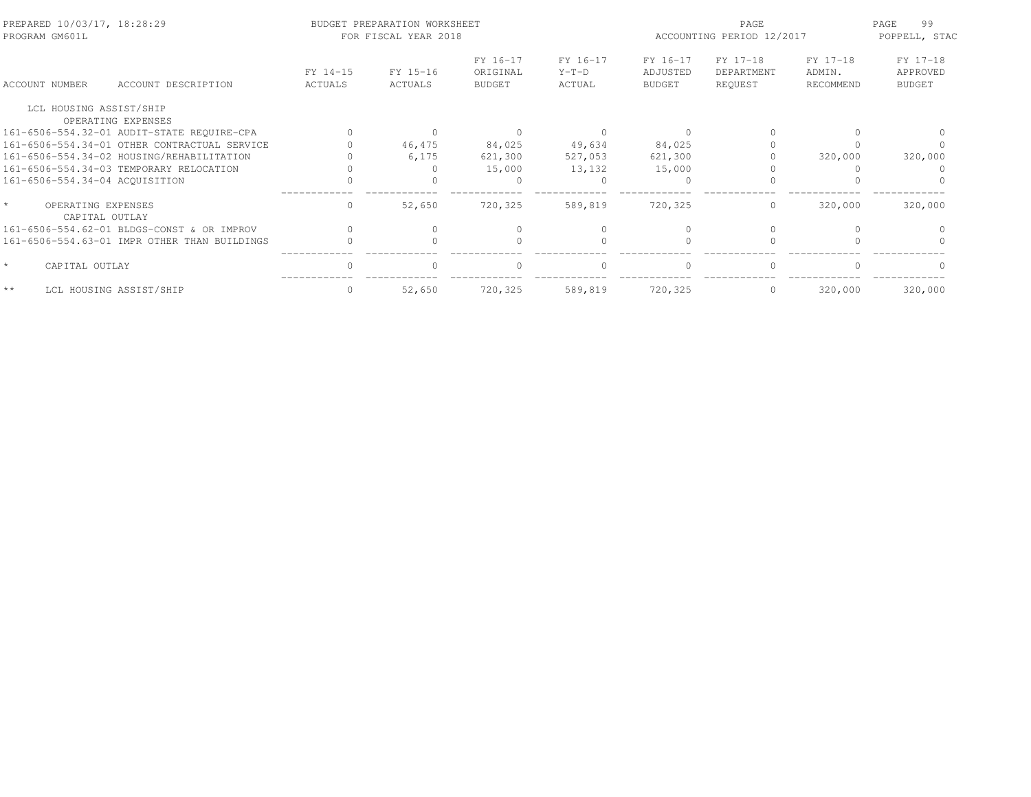| PREPARED 10/03/17, 18:28:29<br>PROGRAM GM601L |                                              |                     | BUDGET PREPARATION WORKSHEET<br>FOR FISCAL YEAR 2018 |                                       |                               | ACCOUNTING PERIOD 12/2017             | 99<br>PAGE<br>POPPELL, STAC       |                                 |                                       |
|-----------------------------------------------|----------------------------------------------|---------------------|------------------------------------------------------|---------------------------------------|-------------------------------|---------------------------------------|-----------------------------------|---------------------------------|---------------------------------------|
| ACCOUNT NUMBER                                | ACCOUNT DESCRIPTION                          | FY 14-15<br>ACTUALS | FY 15-16<br>ACTUALS                                  | FY 16-17<br>ORIGINAL<br><b>BUDGET</b> | FY 16-17<br>$Y-T-D$<br>ACTUAL | FY 16-17<br>ADJUSTED<br><b>BUDGET</b> | FY 17-18<br>DEPARTMENT<br>REQUEST | FY 17-18<br>ADMIN.<br>RECOMMEND | FY 17-18<br>APPROVED<br><b>BUDGET</b> |
| LCL HOUSING ASSIST/SHIP                       |                                              |                     |                                                      |                                       |                               |                                       |                                   |                                 |                                       |
|                                               | OPERATING EXPENSES                           |                     |                                                      |                                       |                               |                                       |                                   |                                 |                                       |
|                                               | 161-6506-554.32-01 AUDIT-STATE REQUIRE-CPA   |                     |                                                      |                                       |                               |                                       |                                   |                                 |                                       |
|                                               | 161-6506-554.34-01 OTHER CONTRACTUAL SERVICE |                     | 46,475                                               | 84,025                                | 49,634                        | 84,025                                |                                   |                                 |                                       |
|                                               | 161-6506-554.34-02 HOUSING/REHABILITATION    |                     | 6,175                                                | 621,300                               | 527,053                       | 621,300                               |                                   | 320,000                         | 320,000                               |
|                                               | 161-6506-554.34-03 TEMPORARY RELOCATION      |                     |                                                      | 15,000                                | 13,132                        | 15,000                                |                                   |                                 |                                       |
| 161-6506-554.34-04 ACQUISITION                |                                              |                     |                                                      | 0                                     |                               |                                       |                                   |                                 |                                       |
| OPERATING EXPENSES                            | CAPITAL OUTLAY                               | $\Omega$            | 52,650                                               | 720,325                               | 589,819                       | 720,325                               | $\circ$                           | 320,000                         | 320,000                               |
|                                               | 161-6506-554.62-01 BLDGS-CONST & OR IMPROV   | $\bigcap$           |                                                      |                                       |                               |                                       |                                   |                                 |                                       |
|                                               | 161-6506-554.63-01 IMPR OTHER THAN BUILDINGS |                     |                                                      |                                       |                               |                                       |                                   |                                 |                                       |
| $\star$<br>CAPITAL OUTLAY                     |                                              | $\bigcap$           | $\Omega$                                             | $\Omega$                              | $\Omega$                      | $\bigcap$                             | $\Omega$                          | $\cap$                          |                                       |
| $\star\star$                                  | LCL HOUSING ASSIST/SHIP                      | 0                   | 52,650                                               | 720,325                               | 589,819                       | 720,325                               | $\circ$                           | 320,000                         | 320,000                               |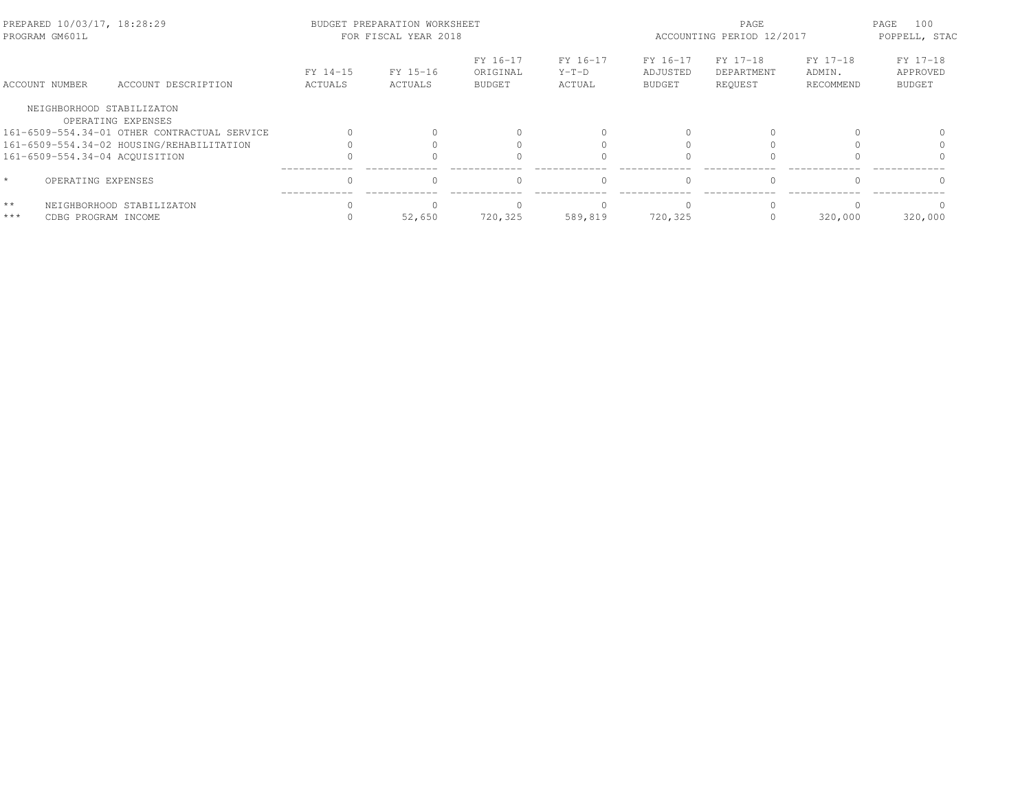| PROGRAM GM601L | PREPARED 10/03/17, 18:28:29                     |                     | BUDGET PREPARATION WORKSHEET<br>FOR FISCAL YEAR 2018 |                                       |                               | PAGE<br>ACCOUNTING PERIOD 12/2017     |                                   |                                 | PAGE<br>100<br>POPPELL, STAC          |
|----------------|-------------------------------------------------|---------------------|------------------------------------------------------|---------------------------------------|-------------------------------|---------------------------------------|-----------------------------------|---------------------------------|---------------------------------------|
| ACCOUNT NUMBER | ACCOUNT DESCRIPTION                             | FY 14-15<br>ACTUALS | FY 15-16<br>ACTUALS                                  | FY 16-17<br>ORIGINAL<br><b>BUDGET</b> | FY 16-17<br>$Y-T-D$<br>ACTUAL | FY 16-17<br>ADJUSTED<br><b>BUDGET</b> | FY 17-18<br>DEPARTMENT<br>REQUEST | FY 17-18<br>ADMIN.<br>RECOMMEND | FY 17-18<br>APPROVED<br><b>BUDGET</b> |
|                | NEIGHBORHOOD STABILIZATON<br>OPERATING EXPENSES |                     |                                                      |                                       |                               |                                       |                                   |                                 |                                       |
|                | 161-6509-554.34-01 OTHER CONTRACTUAL SERVICE    |                     |                                                      |                                       |                               |                                       |                                   |                                 |                                       |
|                | 161-6509-554.34-02 HOUSING/REHABILITATION       |                     |                                                      |                                       |                               |                                       |                                   |                                 |                                       |
|                | 161-6509-554.34-04 ACOUISITION                  |                     |                                                      |                                       |                               |                                       |                                   |                                 |                                       |
| $\star$        | OPERATING EXPENSES                              | $\cap$              |                                                      | $\Omega$                              | $\Omega$                      | $\bigcap$                             | $\Omega$                          |                                 |                                       |
| $\star\star$   | NEIGHBORHOOD STABILIZATON                       |                     |                                                      |                                       |                               |                                       |                                   |                                 |                                       |
| $***$          | CDBG PROGRAM INCOME                             |                     | 52,650                                               | 720,325                               | 589,819                       | 720,325                               |                                   | 320,000                         | 320,000                               |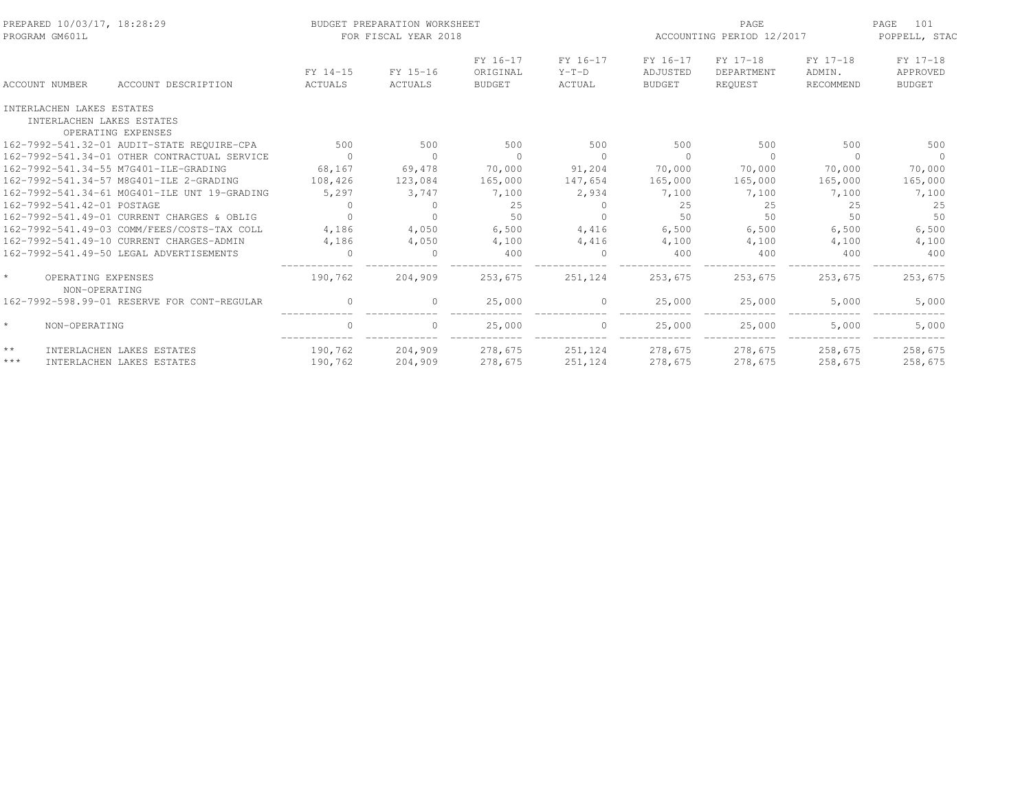| PREPARED 10/03/17, 18:28:29<br>PROGRAM GM601L                    |                     | BUDGET PREPARATION WORKSHEET<br>FOR FISCAL YEAR 2018 |                                       | PAGE<br>ACCOUNTING PERIOD 12/2017 |                                |                                   | 101<br>PAGE<br>POPPELL, STAC    |                                       |
|------------------------------------------------------------------|---------------------|------------------------------------------------------|---------------------------------------|-----------------------------------|--------------------------------|-----------------------------------|---------------------------------|---------------------------------------|
| <b>ACCOUNT NUMBER</b><br>ACCOUNT DESCRIPTION                     | FY 14-15<br>ACTUALS | FY 15-16<br>ACTUALS                                  | FY 16-17<br>ORIGINAL<br><b>BUDGET</b> | FY 16-17<br>$Y-T-D$<br>ACTUAL     | FY 16-17<br>ADJUSTED<br>BUDGET | FY 17-18<br>DEPARTMENT<br>REOUEST | FY 17-18<br>ADMIN.<br>RECOMMEND | FY 17-18<br>APPROVED<br><b>BUDGET</b> |
| INTERLACHEN LAKES ESTATES                                        |                     |                                                      |                                       |                                   |                                |                                   |                                 |                                       |
| INTERLACHEN LAKES ESTATES                                        |                     |                                                      |                                       |                                   |                                |                                   |                                 |                                       |
| OPERATING EXPENSES<br>162-7992-541.32-01 AUDIT-STATE REQUIRE-CPA | 500                 | 500                                                  | 500                                   | 500                               | 500                            | 500                               | 500                             | 500                                   |
| 162-7992-541.34-01 OTHER CONTRACTUAL SERVICE                     | $\overline{0}$      | $\Omega$                                             | $\Omega$                              | $\Omega$                          | $\bigcirc$                     | $\Omega$                          | $\Omega$                        | $\Omega$                              |
| 162-7992-541.34-55 M7G401-ILE-GRADING                            | 68,167              | 69,478                                               | 70,000                                | 91,204                            | 70,000                         | 70,000                            | 70,000                          | 70,000                                |
| 162-7992-541.34-57 M8G401-ILE 2-GRADING                          | 108,426             | 123,084                                              | 165,000                               | 147,654                           | 165,000                        | 165,000                           | 165,000                         | 165,000                               |
| 162-7992-541.34-61 MOG401-ILE UNT 19-GRADING                     | 5,297               | 3,747                                                | 7,100                                 | 2,934                             | 7,100                          | 7,100                             | 7,100                           | 7,100                                 |
| 162-7992-541.42-01 POSTAGE                                       | $\circ$             | $\Omega$                                             | 25                                    | $\Omega$                          | 25                             | 25                                | 25                              | 25                                    |
| 162-7992-541.49-01 CURRENT CHARGES & OBLIG                       |                     |                                                      | 50                                    |                                   | 50                             | 50                                | 50                              | 50                                    |
| 162-7992-541.49-03 COMM/FEES/COSTS-TAX COLL                      | 4,186               | 4,050                                                | 6,500                                 | 4,416                             | 6,500                          | 6,500                             | 6,500                           | 6,500                                 |
| 162-7992-541.49-10 CURRENT CHARGES-ADMIN                         | 4,186               | 4,050                                                | 4,100                                 | 4,416                             | 4,100                          | 4,100                             | 4,100                           | 4,100                                 |
| 162-7992-541.49-50 LEGAL ADVERTISEMENTS                          | $\Omega$            | $\cap$                                               | 400                                   | $\Omega$                          | 400                            | 400                               | 400                             | 400                                   |
| $\star$<br>OPERATING EXPENSES<br>NON-OPERATING                   | 190,762             | 204,909                                              | 253,675                               | 251,124                           | 253,675                        | 253,675                           | 253,675                         | 253,675                               |
| 162-7992-598.99-01 RESERVE FOR CONT-REGULAR                      | $\circ$             | $\circ$                                              | 25,000                                | $\circ$                           | 25,000                         | 25,000                            | 5,000                           | 5,000                                 |
| $\star$<br>NON-OPERATING                                         |                     |                                                      | 25,000                                |                                   | 25,000                         | 25,000                            | 5,000                           | 5,000                                 |
| $\star\star$<br>INTERLACHEN LAKES ESTATES                        | 190,762             | 204,909                                              | 278,675                               | 251,124                           | 278,675                        | 278,675                           | 258,675                         | 258,675                               |
| $***$<br>INTERLACHEN LAKES ESTATES                               | 190,762             | 204,909                                              | 278,675                               | 251,124                           | 278,675                        | 278,675                           | 258,675                         | 258,675                               |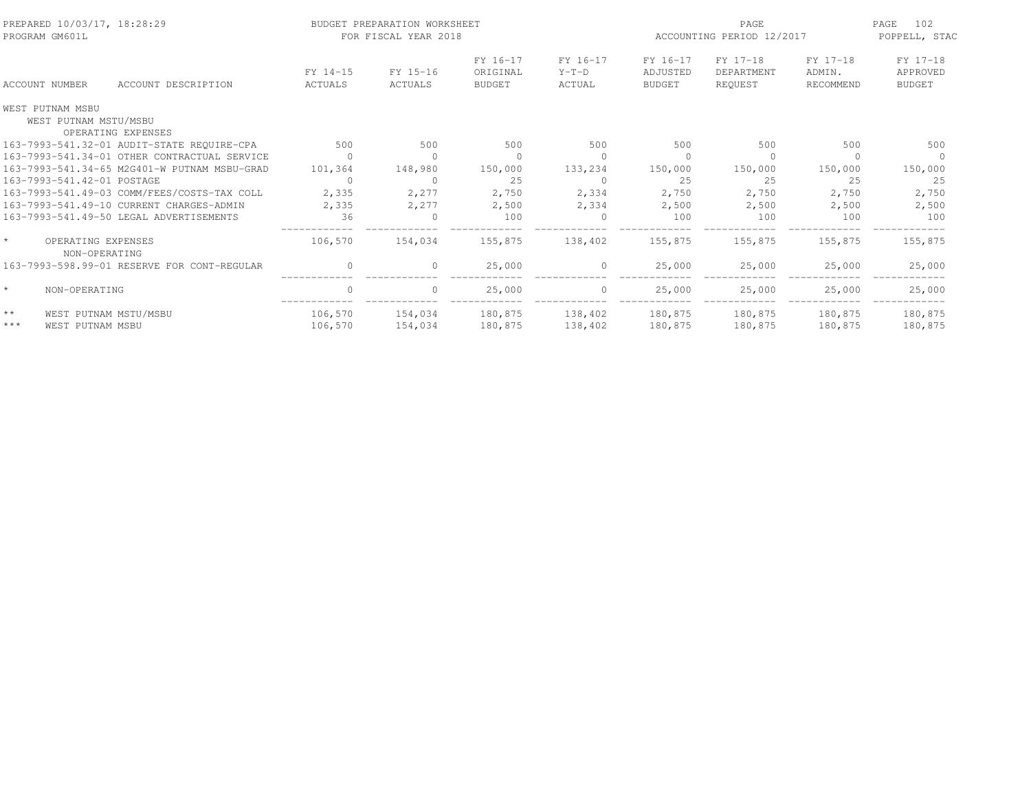| PREPARED 10/03/17, 18:28:29<br>PROGRAM GM601L |                                              |                            | BUDGET PREPARATION WORKSHEET<br>FOR FISCAL YEAR 2018 |                                       |                               | PAGE<br>ACCOUNTING PERIOD 12/2017     |                                   |                                 | 102<br>PAGE<br>POPPELL, STAC          |
|-----------------------------------------------|----------------------------------------------|----------------------------|------------------------------------------------------|---------------------------------------|-------------------------------|---------------------------------------|-----------------------------------|---------------------------------|---------------------------------------|
| ACCOUNT NUMBER                                | ACCOUNT DESCRIPTION                          | FY 14-15<br><b>ACTUALS</b> | FY 15-16<br><b>ACTUALS</b>                           | FY 16-17<br>ORIGINAL<br><b>BUDGET</b> | FY 16-17<br>$Y-T-D$<br>ACTUAL | FY 16-17<br>ADJUSTED<br><b>BUDGET</b> | FY 17-18<br>DEPARTMENT<br>REQUEST | FY 17-18<br>ADMIN.<br>RECOMMEND | FY 17-18<br>APPROVED<br><b>BUDGET</b> |
| WEST PUTNAM MSBU<br>WEST PUTNAM MSTU/MSBU     |                                              |                            |                                                      |                                       |                               |                                       |                                   |                                 |                                       |
|                                               | OPERATING EXPENSES                           |                            |                                                      |                                       |                               |                                       |                                   |                                 |                                       |
|                                               | 163-7993-541.32-01 AUDIT-STATE REQUIRE-CPA   | 500                        | 500                                                  | 500                                   | 500                           | 500                                   | 500                               | 500                             | 500                                   |
|                                               | 163-7993-541.34-01 OTHER CONTRACTUAL SERVICE | $\Omega$                   | $\Omega$                                             | $\Omega$                              |                               | $\Omega$                              | $\bigcap$                         | $\cap$                          |                                       |
|                                               | 163-7993-541.34-65 M2G401-W PUTNAM MSBU-GRAD | 101,364                    | 148,980                                              | 150,000                               | 133,234                       | 150,000                               | 150,000                           | 150,000                         | 150,000                               |
| 163-7993-541.42-01 POSTAGE                    |                                              | $\Omega$                   | $\Omega$                                             | 25                                    | $\Omega$                      | 25                                    | 25                                | 25                              | 25                                    |
|                                               | 163-7993-541.49-03 COMM/FEES/COSTS-TAX COLL  | 2,335                      | 2,277                                                | 2,750                                 | 2,334                         | 2,750                                 | 2,750                             | 2,750                           | 2,750                                 |
|                                               | 163-7993-541.49-10 CURRENT CHARGES-ADMIN     | 2,335                      | 2,277                                                | 2,500                                 | 2,334                         | 2,500                                 | 2,500                             | 2,500                           | 2,500                                 |
|                                               | 163-7993-541.49-50 LEGAL ADVERTISEMENTS      | 36                         |                                                      | 100                                   |                               | 100                                   | 100                               | 100                             | 100                                   |
| OPERATING EXPENSES<br>NON-OPERATING           |                                              | 106,570                    | 154,034                                              | 155,875                               | 138,402                       | 155,875                               | 155,875                           | 155,875                         | 155,875                               |
|                                               | 163-7993-598.99-01 RESERVE FOR CONT-REGULAR  | $\Omega$                   | $\Omega$                                             | 25,000                                | $\bigcap$                     | 25,000                                | 25,000                            | 25,000                          | 25,000                                |
| $\star$<br>NON-OPERATING                      |                                              | $\Omega$                   | $\Omega$                                             | 25,000                                | $\mathbf{0}$                  | 25,000                                | 25,000                            | 25,000                          | 25,000                                |
| $\star\star$                                  | WEST PUTNAM MSTU/MSBU                        | 106,570                    | 154,034                                              | 180,875                               | 138,402                       | 180,875                               | 180,875                           | 180,875                         | 180,875                               |
| $***$<br>WEST PUTNAM MSBU                     |                                              | 106,570                    | 154,034                                              | 180,875                               | 138,402                       | 180,875                               | 180,875                           | 180,875                         | 180,875                               |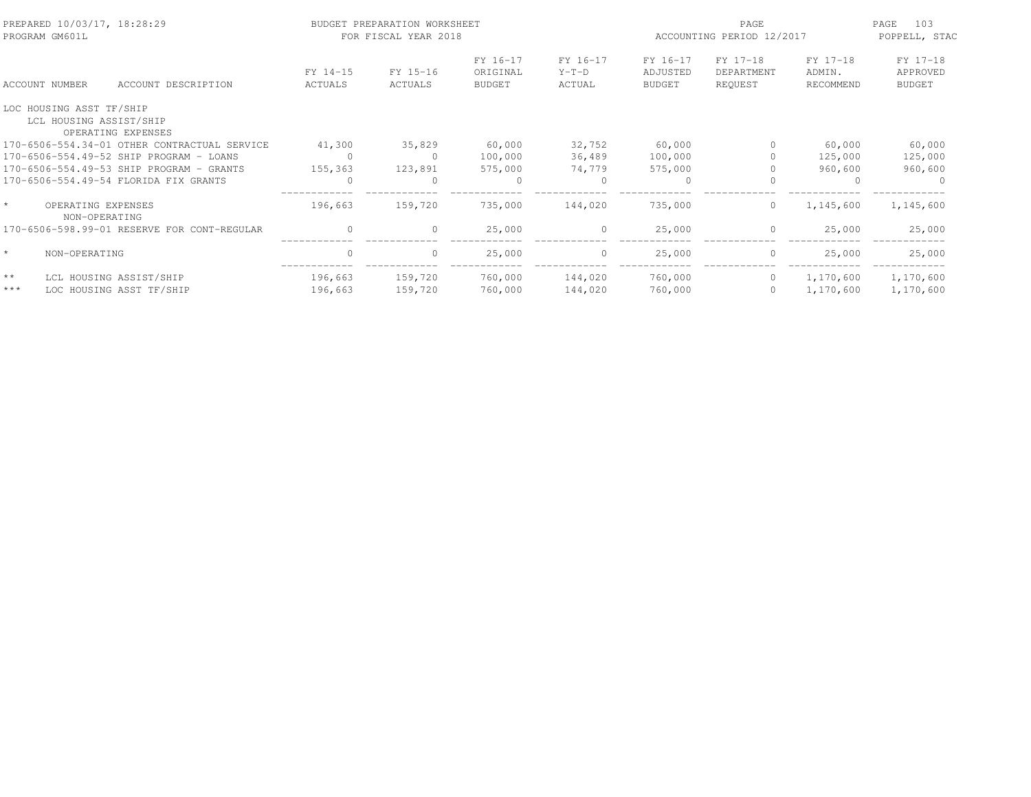| PREPARED 10/03/17, 18:28:29<br>PROGRAM GM601L                             | BUDGET PREPARATION WORKSHEET<br>PAGE<br>FOR FISCAL YEAR 2018<br>ACCOUNTING PERIOD 12/2017 |                     |                                       |                               | 103<br>PAGE<br>POPPELL, STAC          |                                   |                                 |                                       |
|---------------------------------------------------------------------------|-------------------------------------------------------------------------------------------|---------------------|---------------------------------------|-------------------------------|---------------------------------------|-----------------------------------|---------------------------------|---------------------------------------|
| ACCOUNT DESCRIPTION<br>ACCOUNT NUMBER                                     | FY 14-15<br>ACTUALS                                                                       | FY 15-16<br>ACTUALS | FY 16-17<br>ORIGINAL<br><b>BUDGET</b> | FY 16-17<br>$Y-T-D$<br>ACTUAL | FY 16-17<br>ADJUSTED<br><b>BUDGET</b> | FY 17-18<br>DEPARTMENT<br>REOUEST | FY 17-18<br>ADMIN.<br>RECOMMEND | FY 17-18<br>APPROVED<br><b>BUDGET</b> |
| LOC HOUSING ASST TF/SHIP<br>LCL HOUSING ASSIST/SHIP<br>OPERATING EXPENSES |                                                                                           |                     |                                       |                               |                                       |                                   |                                 |                                       |
| 170-6506-554.34-01 OTHER CONTRACTUAL SERVICE                              | 41,300                                                                                    | 35,829              | 60,000                                | 32,752                        | 60,000                                | $\circ$                           | 60,000                          | 60,000                                |
| 170-6506-554.49-52 SHIP PROGRAM - LOANS                                   |                                                                                           |                     | 100,000                               | 36,489                        | 100,000                               |                                   | 125,000                         | 125,000                               |
| 170-6506-554.49-53 SHIP PROGRAM - GRANTS                                  | 155,363                                                                                   | 123,891             | 575,000                               | 74,779                        | 575,000                               |                                   | 960,600                         | 960,600                               |
| 170-6506-554.49-54 FLORIDA FIX GRANTS                                     | 0                                                                                         |                     | $\mathbf{0}$                          | -0                            | 0                                     |                                   |                                 |                                       |
| OPERATING EXPENSES<br>NON-OPERATING                                       | 196,663                                                                                   | 159,720             | 735,000                               | 144,020                       | 735,000                               | $\circ$                           | 1,145,600                       | 1,145,600                             |
| 170-6506-598.99-01 RESERVE FOR CONT-REGULAR                               | $\bigcap$                                                                                 | $\bigcap$           | 25,000                                | $\Omega$                      | 25,000                                | $\circ$                           | 25,000                          | 25,000                                |
| NON-OPERATING                                                             | $\Omega$                                                                                  | $\Omega$            | 25,000                                | $\mathbf{0}$                  | 25,000                                | $\circ$                           | 25,000                          | 25,000                                |
| $\star\star$<br>LCL HOUSING ASSIST/SHIP                                   | 196,663                                                                                   | 159,720             | 760,000                               | 144,020                       | 760,000                               | $\circ$                           | 1,170,600                       | 1,170,600                             |
| $***$<br>LOC HOUSING ASST TF/SHIP                                         | 196,663                                                                                   | 159,720             | 760,000                               | 144,020                       | 760,000                               | 0                                 | 1,170,600                       | 1,170,600                             |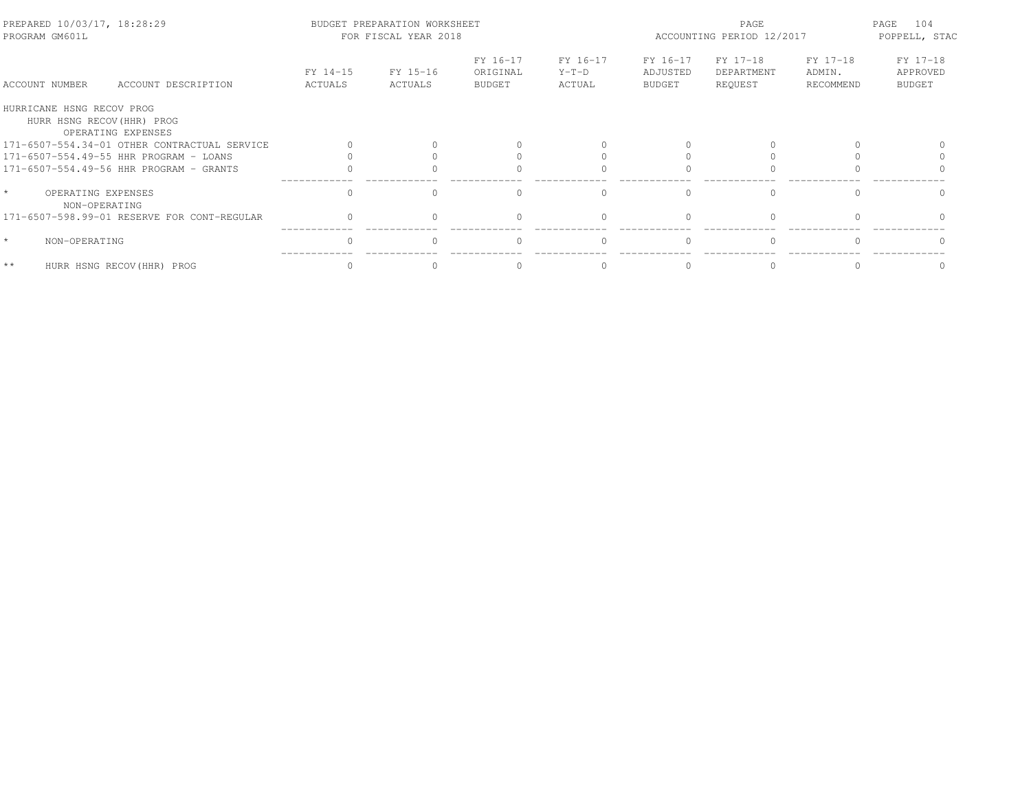| PREPARED 10/03/17, 18:28:29<br>PROGRAM GM601L           |                                              |                     | BUDGET PREPARATION WORKSHEET<br>FOR FISCAL YEAR 2018 |                                       |                               | PAGE<br>ACCOUNTING PERIOD 12/2017     |                                   |                                 | 104<br>PAGE<br>POPPELL, STAC          |
|---------------------------------------------------------|----------------------------------------------|---------------------|------------------------------------------------------|---------------------------------------|-------------------------------|---------------------------------------|-----------------------------------|---------------------------------|---------------------------------------|
| ACCOUNT NUMBER                                          | ACCOUNT DESCRIPTION                          | FY 14-15<br>ACTUALS | FY 15-16<br>ACTUALS                                  | FY 16-17<br>ORIGINAL<br><b>BUDGET</b> | FY 16-17<br>$Y-T-D$<br>ACTUAL | FY 16-17<br>ADJUSTED<br><b>BUDGET</b> | FY 17-18<br>DEPARTMENT<br>REQUEST | FY 17-18<br>ADMIN.<br>RECOMMEND | FY 17-18<br>APPROVED<br><b>BUDGET</b> |
| HURRICANE HSNG RECOV PROG<br>HURR HSNG RECOV (HHR) PROG | OPERATING EXPENSES                           |                     |                                                      |                                       |                               |                                       |                                   |                                 |                                       |
|                                                         | 171-6507-554.34-01 OTHER CONTRACTUAL SERVICE |                     |                                                      |                                       |                               |                                       |                                   |                                 |                                       |
|                                                         | 171-6507-554.49-55 HHR PROGRAM - LOANS       |                     |                                                      |                                       |                               |                                       |                                   |                                 |                                       |
|                                                         | 171-6507-554.49-56 HHR PROGRAM - GRANTS      |                     |                                                      |                                       |                               |                                       |                                   |                                 |                                       |
| $\star$<br>OPERATING EXPENSES<br>NON-OPERATING          |                                              | $\cap$              |                                                      | $\cap$                                | $\Omega$                      |                                       | $\cap$                            |                                 |                                       |
|                                                         | 171-6507-598.99-01 RESERVE FOR CONT-REGULAR  |                     |                                                      |                                       |                               |                                       |                                   |                                 |                                       |
| $\star$<br>NON-OPERATING                                |                                              | $\cap$              |                                                      |                                       | $\Omega$                      |                                       |                                   |                                 |                                       |
| $**$                                                    | HURR HSNG RECOV (HHR) PROG                   | $\bigcap$           |                                                      | $\bigcap$                             | $\Omega$                      | $\bigcap$                             |                                   |                                 |                                       |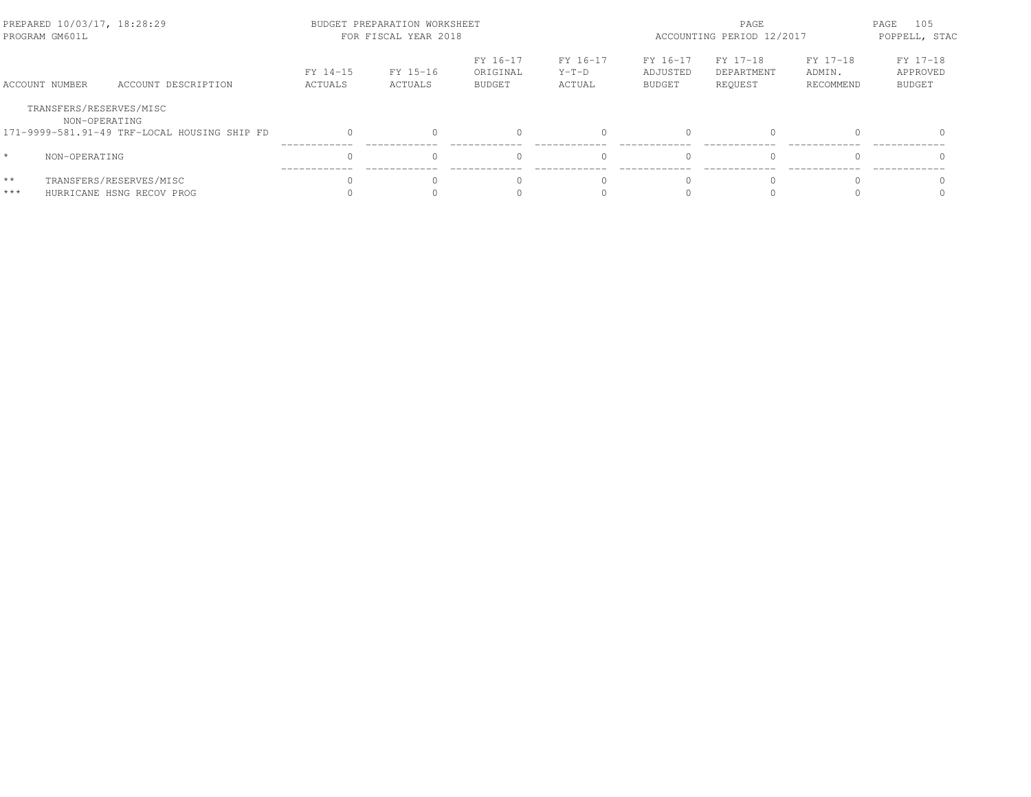| PREPARED 10/03/17, 18:28:29<br>PROGRAM GM601L |                                                               |                     | BUDGET PREPARATION WORKSHEET<br>FOR FISCAL YEAR 2018 |                                       |                               | PAGE<br>ACCOUNTING PERIOD 12/2017 |                                   |                                 | PAGE<br>105<br>POPPELL, STAC          |
|-----------------------------------------------|---------------------------------------------------------------|---------------------|------------------------------------------------------|---------------------------------------|-------------------------------|-----------------------------------|-----------------------------------|---------------------------------|---------------------------------------|
| ACCOUNT NUMBER                                | ACCOUNT DESCRIPTION                                           | FY 14-15<br>ACTUALS | FY 15-16<br>ACTUALS                                  | FY 16-17<br>ORIGINAL<br><b>BUDGET</b> | FY 16-17<br>$Y-T-D$<br>ACTUAL | FY 16-17<br>ADJUSTED<br>BUDGET    | FY 17-18<br>DEPARTMENT<br>REOUEST | FY 17-18<br>ADMIN.<br>RECOMMEND | FY 17-18<br>APPROVED<br><b>BUDGET</b> |
| TRANSFERS/RESERVES/MISC                       | NON-OPERATING<br>171-9999-581.91-49 TRF-LOCAL HOUSING SHIP FD | $\bigcap$           |                                                      | $\Omega$                              |                               | $\cap$                            |                                   |                                 |                                       |
| $\star$<br>NON-OPERATING                      |                                                               | $\cap$              |                                                      | $\Omega$                              |                               | $\bigcap$                         | $\Omega$                          |                                 | $\Omega$                              |
| $* *$<br>$***$                                | TRANSFERS/RESERVES/MISC<br>HURRICANE HSNG RECOV PROG          | $\cap$              |                                                      |                                       |                               | $\bigcap$                         |                                   |                                 |                                       |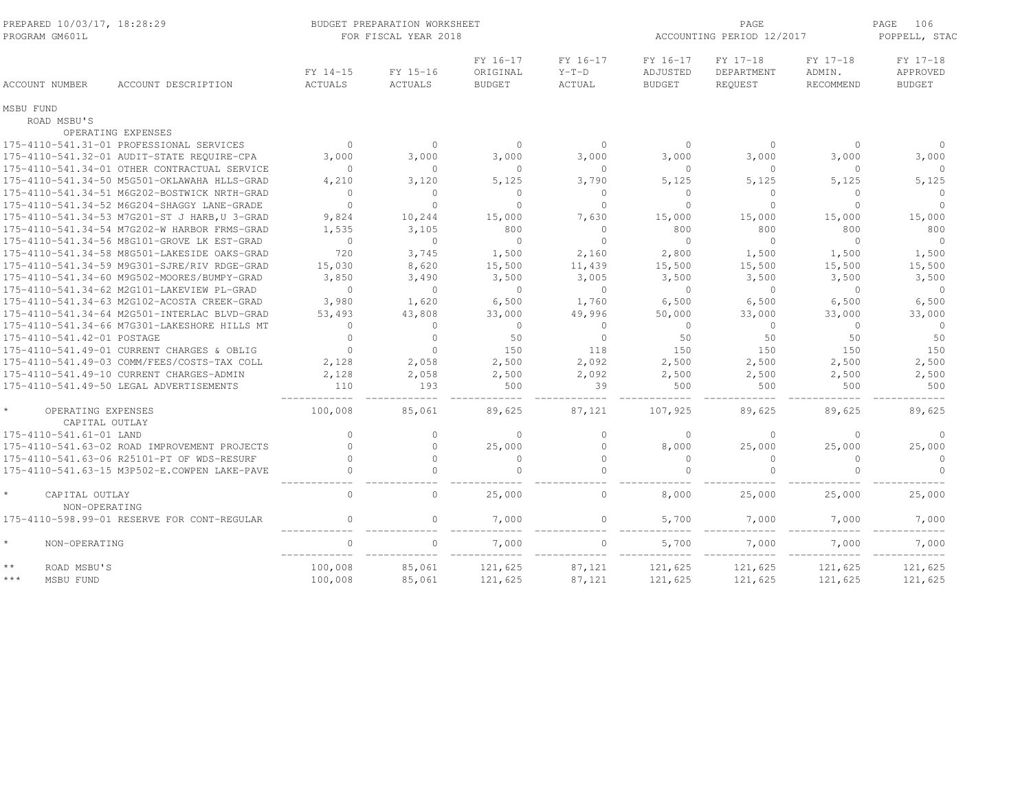| PREPARED 10/03/17, 18:28:29<br>PROGRAM GM601L |                                                                                             | BUDGET PREPARATION WORKSHEET<br>FOR FISCAL YEAR 2018 |                            |                                       |                                      | PAGE<br>ACCOUNTING PERIOD 12/2017     |                                          |                                 | 106<br>PAGE<br>POPPELL, STAC          |  |
|-----------------------------------------------|---------------------------------------------------------------------------------------------|------------------------------------------------------|----------------------------|---------------------------------------|--------------------------------------|---------------------------------------|------------------------------------------|---------------------------------|---------------------------------------|--|
| <b>ACCOUNT NUMBER</b>                         | ACCOUNT DESCRIPTION                                                                         | FY 14-15<br><b>ACTUALS</b>                           | FY 15-16<br><b>ACTUALS</b> | FY 16-17<br>ORIGINAL<br><b>BUDGET</b> | FY 16-17<br>$Y-T-D$<br><b>ACTUAL</b> | FY 16-17<br>ADJUSTED<br><b>BUDGET</b> | FY 17-18<br>DEPARTMENT<br><b>REQUEST</b> | FY 17-18<br>ADMIN.<br>RECOMMEND | FY 17-18<br>APPROVED<br><b>BUDGET</b> |  |
| MSBU FUND                                     |                                                                                             |                                                      |                            |                                       |                                      |                                       |                                          |                                 |                                       |  |
| ROAD MSBU'S                                   |                                                                                             |                                                      |                            |                                       |                                      |                                       |                                          |                                 |                                       |  |
|                                               | OPERATING EXPENSES                                                                          |                                                      |                            |                                       |                                      |                                       |                                          |                                 |                                       |  |
|                                               | 175-4110-541.31-01 PROFESSIONAL SERVICES                                                    | $\Omega$                                             | $\Omega$                   | $\Omega$                              | $\Omega$                             | $\Omega$                              | $\Omega$                                 | $\Omega$                        |                                       |  |
|                                               | 175-4110-541.32-01 AUDIT-STATE REOUIRE-CPA                                                  | 3,000                                                | 3,000                      | 3,000                                 | 3,000                                | 3,000                                 | 3,000                                    | 3,000                           | 3,000                                 |  |
|                                               | 175-4110-541.34-01 OTHER CONTRACTUAL SERVICE                                                | $\Omega$                                             | $\Omega$                   | $\Omega$                              | $\Omega$                             | $\Omega$                              | $\Omega$                                 | $\Omega$                        | $\Omega$                              |  |
|                                               | 175-4110-541.34-50 M5G501-OKLAWAHA HLLS-GRAD                                                | 4,210                                                | 3,120                      | 5,125                                 | 3,790                                | 5,125                                 | 5,125                                    | 5,125                           | 5,125                                 |  |
|                                               | 175-4110-541.34-51 M6G202-BOSTWICK NRTH-GRAD                                                | $\mathbf{0}$                                         | $\Omega$                   | $\mathbf{0}$                          | $\mathbf{0}$                         | $\Omega$                              | $\mathbf{0}$                             | $\Omega$                        | $\Omega$                              |  |
|                                               | 175-4110-541.34-52 M6G204-SHAGGY LANE-GRADE                                                 | $\Omega$                                             | $\Omega$                   | $\Omega$                              | $\Omega$                             | $\Omega$                              | $\Omega$                                 | $\Omega$                        | $\Omega$                              |  |
|                                               | 175-4110-541.34-53 M7G201-ST J HARB, U 3-GRAD                                               | 9,824                                                | 10,244                     | 15,000                                | 7,630                                | 15,000                                | 15,000                                   | 15,000                          | 15,000                                |  |
|                                               | 175-4110-541.34-54 M7G202-W HARBOR FRMS-GRAD                                                | 1,535                                                | 3,105                      | 800                                   | $\Omega$                             | 800                                   | 800                                      | 800                             | 800                                   |  |
|                                               | 175-4110-541.34-56 M8G101-GROVE LK EST-GRAD                                                 | $\circ$                                              | $\circ$                    | $\circ$                               | $\mathbf{0}$                         | $\Omega$                              | $\circ$                                  | $\Omega$                        | $\circ$                               |  |
|                                               | 175-4110-541.34-58 M8G501-LAKESIDE OAKS-GRAD                                                | 720                                                  | 3,745                      | 1,500                                 | 2,160                                | 2,800                                 | 1,500                                    | 1,500                           | 1,500                                 |  |
|                                               | 175-4110-541.34-59 M9G301-SJRE/RIV RDGE-GRAD<br>175-4110-541.34-60 M9G502-MOORES/BUMPY-GRAD | 15,030<br>3,850                                      | 8,620<br>3,490             | 15,500<br>3,500                       | 11,439<br>3,005                      | 15,500<br>3,500                       | 15,500<br>3,500                          | 15,500                          | 15,500<br>3,500                       |  |
|                                               | 175-4110-541.34-62 M2G101-LAKEVIEW PL-GRAD                                                  | $\circ$                                              | $\Omega$                   | $\circ$                               | $\Omega$                             | $\Omega$                              | $\Omega$                                 | 3,500<br>$\Omega$               | $\circ$                               |  |
|                                               | 175-4110-541.34-63 M2G102-ACOSTA CREEK-GRAD                                                 | 3,980                                                | 1,620                      | 6,500                                 | 1,760                                | 6,500                                 | 6,500                                    | 6,500                           | 6,500                                 |  |
|                                               | 175-4110-541.34-64 M2G501-INTERLAC BLVD-GRAD                                                | 53,493                                               | 43,808                     | 33,000                                | 49,996                               | 50,000                                | 33,000                                   | 33,000                          | 33,000                                |  |
|                                               | 175-4110-541.34-66 M7G301-LAKESHORE HILLS MT                                                | $\Omega$                                             | $\Omega$                   | $\circ$                               | $\Omega$                             | $\Omega$                              | $\Omega$                                 | $\Omega$                        | $\overline{0}$                        |  |
| 175-4110-541.42-01 POSTAGE                    |                                                                                             | $\Omega$                                             | $\Omega$                   | 50                                    | $\mathbf{0}$                         | 50                                    | 50                                       | 50                              | 50                                    |  |
|                                               | 175-4110-541.49-01 CURRENT CHARGES & OBLIG                                                  | $\Omega$                                             | $\Omega$                   | 150                                   | 118                                  | 150                                   | 150                                      | 150                             | 150                                   |  |
|                                               | 175-4110-541.49-03 COMM/FEES/COSTS-TAX COLL                                                 | 2,128                                                | 2,058                      | 2,500                                 | 2,092                                | 2,500                                 | 2,500                                    | 2,500                           | 2,500                                 |  |
|                                               | 175-4110-541.49-10 CURRENT CHARGES-ADMIN                                                    | 2,128                                                | 2,058                      | 2,500                                 | 2,092                                | 2,500                                 | 2,500                                    | 2,500                           | 2,500                                 |  |
|                                               | 175-4110-541.49-50 LEGAL ADVERTISEMENTS                                                     | 110                                                  | 193                        | 500                                   | 39                                   | 500                                   | 500                                      | 500                             | 500                                   |  |
| OPERATING EXPENSES<br>CAPITAL OUTLAY          |                                                                                             | 100,008                                              | 85,061                     | 89,625                                | 87,121                               | 107,925                               | 89,625                                   | 89,625                          | 89,625                                |  |
| 175-4110-541.61-01 LAND                       |                                                                                             | $\Omega$                                             | $\Omega$                   | $\Omega$                              | $\Omega$                             | $\Omega$                              | $\Omega$                                 | $\Omega$                        | $\Omega$                              |  |
|                                               | 175-4110-541.63-02 ROAD IMPROVEMENT PROJECTS                                                | $\Omega$                                             | $\Omega$                   | 25,000                                | $\circ$                              | 8,000                                 | 25,000                                   | 25,000                          | 25,000                                |  |
|                                               | 175-4110-541.63-06 R25101-PT OF WDS-RESURF                                                  | $\cap$                                               | $\Omega$                   | $\circ$                               | $\Omega$                             | $\bigcap$                             | $\Omega$                                 | $\cap$                          | $\Omega$                              |  |
|                                               | 175-4110-541.63-15 M3P502-E.COWPEN LAKE-PAVE                                                |                                                      | $\Omega$                   | $\cap$                                |                                      |                                       | $\cap$                                   | $\cap$                          | $\Omega$                              |  |
| $\star$<br>CAPITAL OUTLAY<br>NON-OPERATING    |                                                                                             | $\Omega$                                             | $\Omega$                   | 25,000                                | $\Omega$                             | 8,000                                 | 25,000                                   | 25,000                          | 25,000                                |  |
|                                               | 175-4110-598.99-01 RESERVE FOR CONT-REGULAR                                                 | $\circ$                                              | $\circ$                    | 7,000                                 | $\circ$                              | 5,700                                 | 7,000                                    | 7,000                           | 7,000                                 |  |
| $\star$<br>NON-OPERATING                      |                                                                                             | $\Omega$                                             | $\Omega$                   | 7,000                                 | $\Omega$                             | 5,700                                 | 7,000                                    | 7,000                           | 7,000                                 |  |
| $**$<br>ROAD MSBU'S                           |                                                                                             | 100,008                                              | 85,061                     | 121,625                               | 87,121                               | 121,625                               | 121,625                                  | 121,625                         | 121,625                               |  |
| $***$<br>MSBU FUND                            |                                                                                             | 100,008                                              | 85,061                     | 121,625                               | 87,121                               | 121,625                               | 121,625                                  | 121,625                         | 121,625                               |  |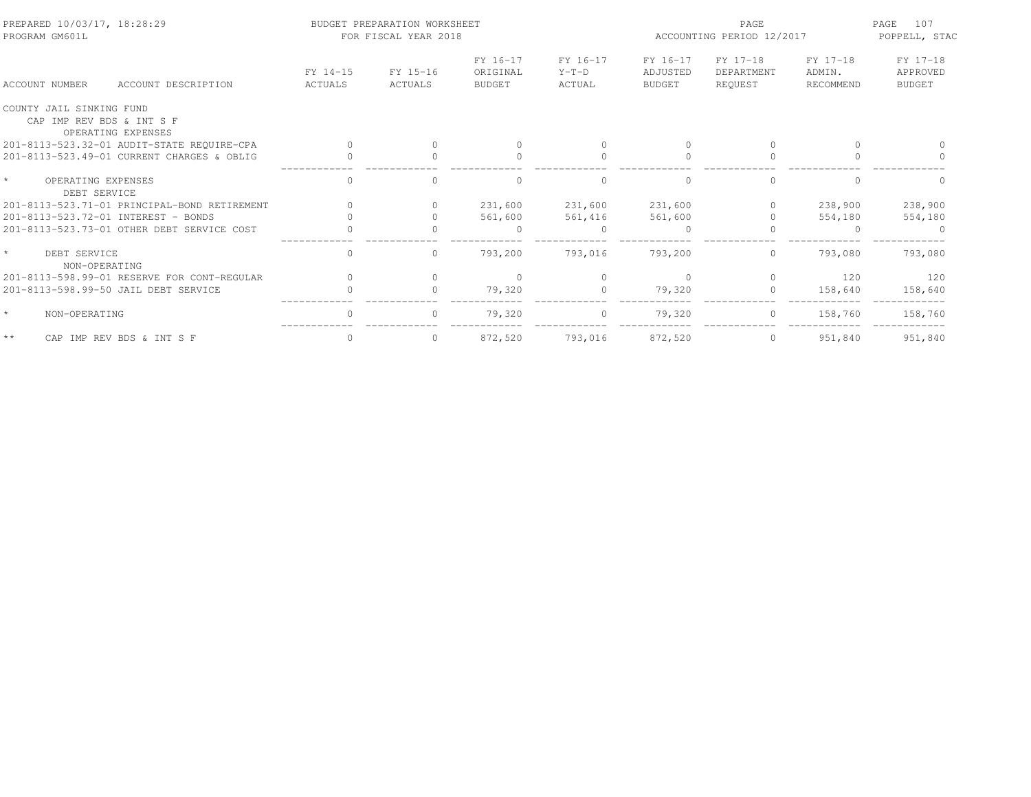| PREPARED 10/03/17, 18:28:29<br>PROGRAM GM601L   |                            | BUDGET PREPARATION WORKSHEET<br>FOR FISCAL YEAR 2018 |                                       | PAGE<br>ACCOUNTING PERIOD 12/2017 |                                       |                                   | 107<br>PAGE<br>POPPELL, STAC    |                                       |
|-------------------------------------------------|----------------------------|------------------------------------------------------|---------------------------------------|-----------------------------------|---------------------------------------|-----------------------------------|---------------------------------|---------------------------------------|
| <b>ACCOUNT NUMBER</b><br>ACCOUNT DESCRIPTION    | FY 14-15<br><b>ACTUALS</b> | FY 15-16<br><b>ACTUALS</b>                           | FY 16-17<br>ORIGINAL<br><b>BUDGET</b> | FY 16-17<br>$Y-T-D$<br>ACTUAL     | FY 16-17<br>ADJUSTED<br><b>BUDGET</b> | FY 17-18<br>DEPARTMENT<br>REQUEST | FY 17-18<br>ADMIN.<br>RECOMMEND | FY 17-18<br>APPROVED<br><b>BUDGET</b> |
| COUNTY JAIL SINKING FUND                        |                            |                                                      |                                       |                                   |                                       |                                   |                                 |                                       |
| CAP IMP REV BDS & INT S F<br>OPERATING EXPENSES |                            |                                                      |                                       |                                   |                                       |                                   |                                 |                                       |
| 201-8113-523.32-01 AUDIT-STATE REQUIRE-CPA      |                            |                                                      | $\Omega$                              |                                   | $\bigcap$                             | $\bigcap$                         |                                 |                                       |
| 201-8113-523.49-01 CURRENT CHARGES & OBLIG      |                            |                                                      | $\Omega$                              |                                   |                                       | $\mathbf{0}$                      |                                 |                                       |
| $\star$<br>OPERATING EXPENSES<br>DEBT SERVICE   |                            |                                                      |                                       |                                   |                                       |                                   |                                 |                                       |
| 201-8113-523.71-01 PRINCIPAL-BOND RETIREMENT    |                            |                                                      | 231,600                               | 231,600                           | 231,600                               | $\circ$                           | 238,900                         | 238,900                               |
| 201-8113-523.72-01 INTEREST - BONDS             |                            |                                                      | 561,600                               | 561,416                           | 561,600                               | $\bigcap$                         | 554,180                         | 554,180                               |
| 201-8113-523.73-01 OTHER DEBT SERVICE COST      |                            |                                                      | $\Omega$                              | $\cap$                            | $\Omega$                              | $\Omega$                          | $\Omega$                        | - 0                                   |
| $\star$<br>DEBT SERVICE<br>NON-OPERATING        | 0                          | $\circ$                                              | 793,200                               | 793,016                           | 793,200                               | $\mathbf{0}$                      | 793,080                         | 793,080                               |
| 201-8113-598.99-01 RESERVE FOR CONT-REGULAR     |                            |                                                      | $\Omega$                              |                                   | $\Omega$                              | $\Omega$                          | 120                             | 120                                   |
| 201-8113-598.99-50 JAIL DEBT SERVICE            |                            |                                                      | 79,320                                | $\circ$                           | 79,320                                | $\circ$                           | 158,640                         | 158,640                               |
| $\star$<br>NON-OPERATING                        |                            |                                                      | 79,320                                | $\circ$                           | 79,320                                | $\circ$                           | 158,760                         | 158,760                               |
| $* *$<br>CAP IMP REV BDS & INT S F              |                            | $\Omega$                                             | 872,520                               | 793,016                           | 872,520                               | $\circ$                           | 951,840                         | 951,840                               |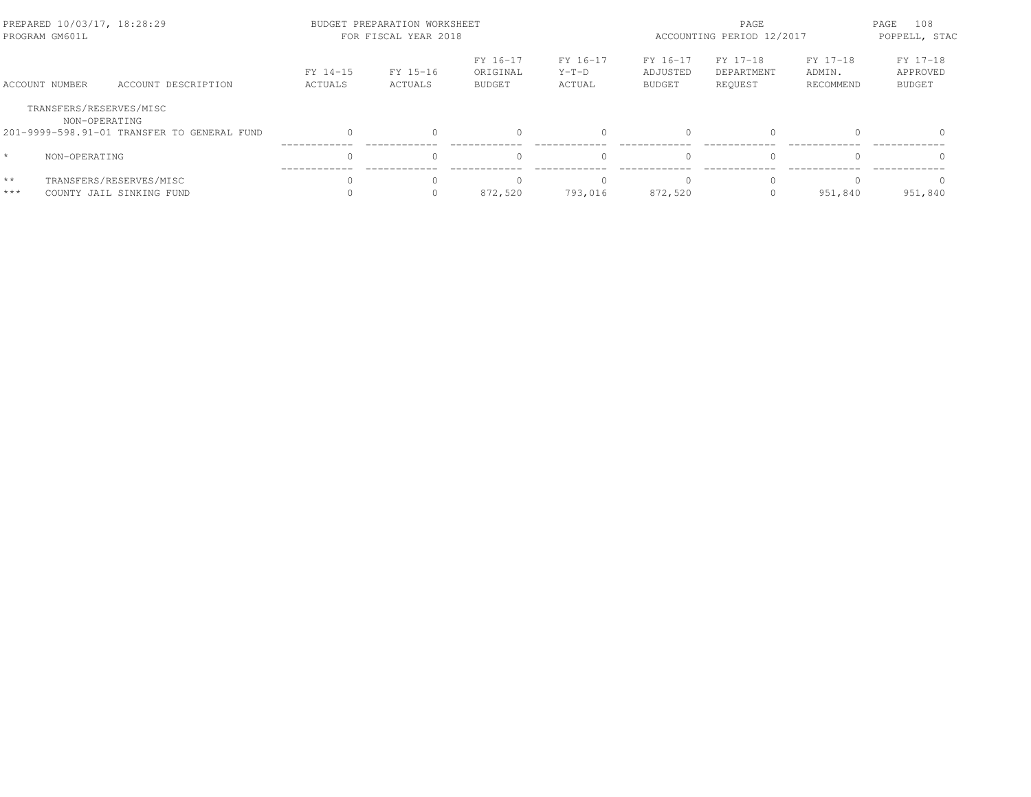| PREPARED 10/03/17, 18:28:29<br>PROGRAM GM601L |                                                              |                     | BUDGET PREPARATION WORKSHEET<br>FOR FISCAL YEAR 2018 |                                       | PAGE<br>ACCOUNTING PERIOD 12/2017 |                                       |                                   | PAGE<br>108<br>POPPELL, STAC    |                                       |
|-----------------------------------------------|--------------------------------------------------------------|---------------------|------------------------------------------------------|---------------------------------------|-----------------------------------|---------------------------------------|-----------------------------------|---------------------------------|---------------------------------------|
| ACCOUNT NUMBER                                | ACCOUNT DESCRIPTION                                          | FY 14-15<br>ACTUALS | FY 15-16<br>ACTUALS                                  | FY 16-17<br>ORIGINAL<br><b>BUDGET</b> | FY 16-17<br>$Y-T-D$<br>ACTUAL     | FY 16-17<br>ADJUSTED<br><b>BUDGET</b> | FY 17-18<br>DEPARTMENT<br>REOUEST | FY 17-18<br>ADMIN.<br>RECOMMEND | FY 17-18<br>APPROVED<br><b>BUDGET</b> |
| TRANSFERS/RESERVES/MISC                       | NON-OPERATING<br>201-9999-598.91-01 TRANSFER TO GENERAL FUND |                     |                                                      |                                       |                                   | $\bigcap$                             | $\Omega$                          |                                 | $\Omega$                              |
| $\star$<br>NON-OPERATING                      |                                                              |                     |                                                      |                                       |                                   | $\bigcap$                             | $\Omega$                          |                                 | $\Omega$                              |
| $**$<br>$***$                                 | TRANSFERS/RESERVES/MISC<br>COUNTY JAIL SINKING FUND          |                     |                                                      | 872,520                               | 793.016                           | $\cap$<br>872,520                     | $\bigcap$<br>0                    | 951,840                         | 951,840                               |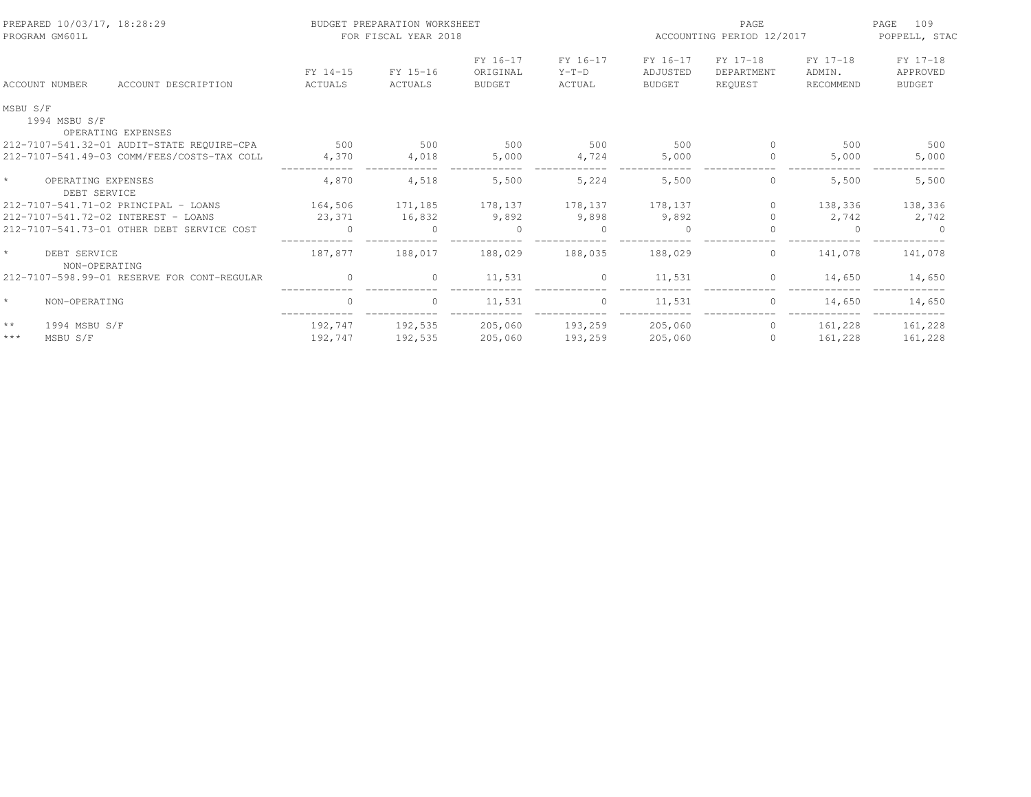| PREPARED 10/03/17, 18:28:29<br>PROGRAM GM601L |                     | BUDGET PREPARATION WORKSHEET<br>FOR FISCAL YEAR 2018 |                                       |                               | PAGE<br>ACCOUNTING PERIOD 12/2017     |                                   |                                 | 109<br>PAGE<br>POPPELL, STAC          |
|-----------------------------------------------|---------------------|------------------------------------------------------|---------------------------------------|-------------------------------|---------------------------------------|-----------------------------------|---------------------------------|---------------------------------------|
| ACCOUNT NUMBER<br>ACCOUNT DESCRIPTION         | FY 14-15<br>ACTUALS | FY 15-16<br><b>ACTUALS</b>                           | FY 16-17<br>ORIGINAL<br><b>BUDGET</b> | FY 16-17<br>$Y-T-D$<br>ACTUAL | FY 16-17<br>ADJUSTED<br><b>BUDGET</b> | FY 17-18<br>DEPARTMENT<br>REQUEST | FY 17-18<br>ADMIN.<br>RECOMMEND | FY 17-18<br>APPROVED<br><b>BUDGET</b> |
| MSBU S/F                                      |                     |                                                      |                                       |                               |                                       |                                   |                                 |                                       |
| 1994 MSBU S/F<br>OPERATING EXPENSES           |                     |                                                      |                                       |                               |                                       |                                   |                                 |                                       |
| 212-7107-541.32-01 AUDIT-STATE REQUIRE-CPA    | 500                 | 500                                                  | 500                                   | 500                           | 500                                   | $\Omega$                          | 500                             | 500                                   |
| 212-7107-541.49-03 COMM/FEES/COSTS-TAX COLL   | 4,370               | 4,018                                                | 5,000                                 | 4,724                         | 5,000                                 | $\circ$                           | 5,000                           | 5,000                                 |
| $\star$<br>OPERATING EXPENSES<br>DEBT SERVICE | 4,870               | 4,518                                                | 5,500                                 | 5,224                         | 5,500                                 | 0                                 | 5,500                           | 5,500                                 |
| 212-7107-541.71-02 PRINCIPAL - LOANS          | 164,506             | 171,185                                              | 178,137                               | 178,137                       | 178,137                               | 0                                 | 138,336                         | 138,336                               |
| 212-7107-541.72-02 INTEREST - LOANS           | 23,371              | 16,832                                               | 9,892                                 | 9,898                         | 9,892                                 |                                   | 2,742                           | 2,742                                 |
| 212-7107-541.73-01 OTHER DEBT SERVICE COST    | $\Omega$            |                                                      | $\Omega$                              | $\Omega$                      | $\cap$                                | $\Omega$                          | $\Omega$                        | $\cap$                                |
| $\star$<br>DEBT SERVICE<br>NON-OPERATING      | 187,877             | 188,017                                              | 188,029                               | 188,035                       | 188,029                               | $\circ$                           | 141,078                         | 141,078                               |
| 212-7107-598.99-01 RESERVE FOR CONT-REGULAR   | $\Omega$            | $\Omega$                                             | 11,531                                | $\circ$                       | 11,531                                | $\circ$                           | 14,650                          | 14,650                                |
| NON-OPERATING                                 | $\circ$             | $\circ$                                              | 11,531                                | $\circ$                       | 11,531                                | $\circ$                           | 14,650                          | 14,650                                |
| $\star\star$<br>1994 MSBU S/F                 | 192,747             | 192,535                                              | 205,060                               | 193,259                       | 205,060                               | $\circ$                           | 161,228                         | 161,228                               |
| $***$<br>MSBU S/F                             | 192,747             | 192,535                                              | 205,060                               | 193,259                       | 205,060                               | $\Omega$                          | 161,228                         | 161,228                               |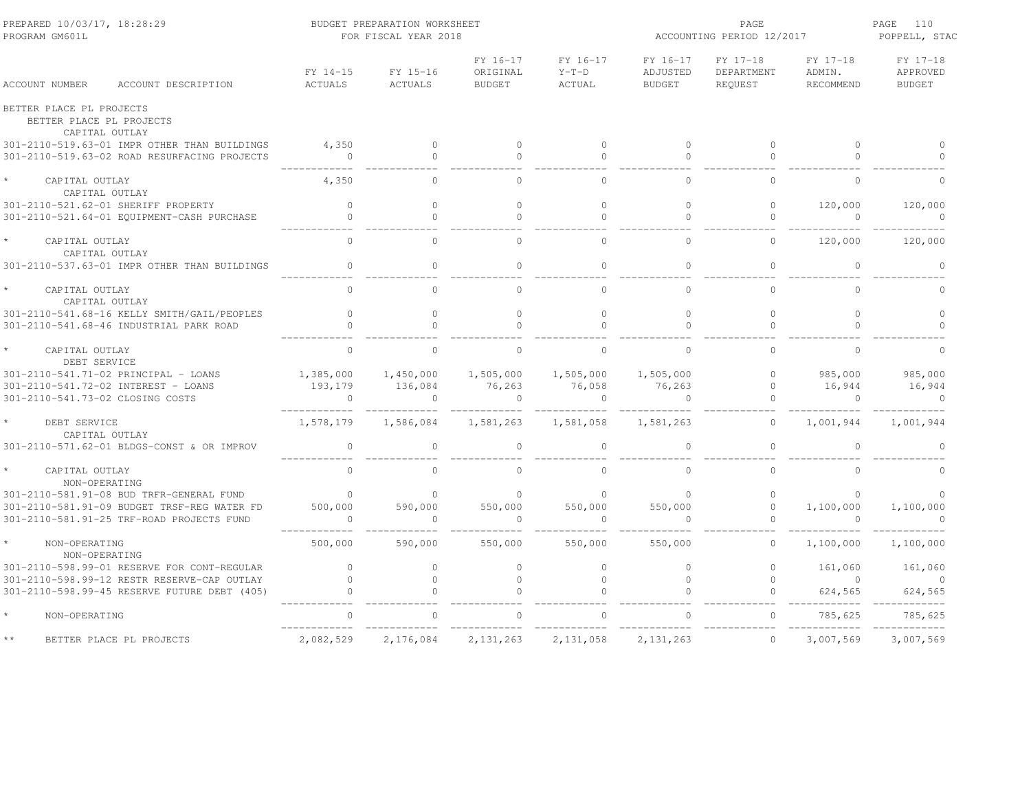| PREPARED 10/03/17, 18:28:29<br>PROGRAM GM601L                                                                     |                                                                                                                                                                                                                               | BUDGET PREPARATION WORKSHEET<br>FOR FISCAL YEAR 2018 |                                |                               | PAGE<br>ACCOUNTING PERIOD 12/2017 POPPELL, STAC                                                |                                   |                                                      | PAGE<br>110                                                          |  |  |
|-------------------------------------------------------------------------------------------------------------------|-------------------------------------------------------------------------------------------------------------------------------------------------------------------------------------------------------------------------------|------------------------------------------------------|--------------------------------|-------------------------------|------------------------------------------------------------------------------------------------|-----------------------------------|------------------------------------------------------|----------------------------------------------------------------------|--|--|
| ACCOUNT DESCRIPTION ACTUALS<br>ACCOUNT NUMBER                                                                     | FY 14-15                                                                                                                                                                                                                      | FY 15-16<br>ACTUALS                                  | FY 16-17<br>ORIGINAL<br>BUDGET | FY 16-17<br>$Y-T-D$<br>ACTUAL | FY 16-17<br>ADJUSTED<br>BUDGET                                                                 | FY 17-18<br>DEPARTMENT<br>REQUEST | FY 17-18<br>ADMIN.<br>RECOMMEND                      | FY 17-18<br>APPROVED<br><b>BUDGET</b>                                |  |  |
| BETTER PLACE PL PROJECTS                                                                                          |                                                                                                                                                                                                                               |                                                      |                                |                               |                                                                                                |                                   |                                                      |                                                                      |  |  |
| BETTER PLACE PL PROJECTS<br>CAPITAL OUTLAY                                                                        |                                                                                                                                                                                                                               |                                                      |                                |                               |                                                                                                |                                   |                                                      |                                                                      |  |  |
| 301-2110-519.63-01 IMPR OTHER THAN BUILDINGS                                                                      | 4,350                                                                                                                                                                                                                         | $\overline{0}$                                       | $\overline{0}$                 | $\overline{0}$                | $\sim$ 0                                                                                       | $\overline{0}$                    | $\overline{0}$                                       |                                                                      |  |  |
| 301-2110-519.63-02 ROAD RESURFACING PROJECTS                                                                      | $\overline{0}$                                                                                                                                                                                                                | $\sim$ 0                                             | $\overline{0}$                 |                               | $\begin{array}{ccc} & & & \circ & & \circ \\ & & & \circ & & \circ \\ 0 & & & & 0 \end{array}$ |                                   | $\begin{matrix} 0 & & & 0 \\ 0 & & & 0 \end{matrix}$ |                                                                      |  |  |
|                                                                                                                   |                                                                                                                                                                                                                               | $\cap$                                               |                                | $\cap$                        | $\Omega$                                                                                       |                                   |                                                      |                                                                      |  |  |
| CAPITAL OUTLAY<br>CAPITAL OUTLAY                                                                                  | 4,350                                                                                                                                                                                                                         |                                                      | $\cap$                         |                               |                                                                                                | $\cap$                            |                                                      |                                                                      |  |  |
| 301-2110-521.62-01 SHERIFF PROPERTY                                                                               |                                                                                                                                                                                                                               | $\Omega$                                             | $\bigcirc$                     | $\circ$                       | $\overline{0}$                                                                                 | $\overline{0}$                    | 120,000                                              | 120,000                                                              |  |  |
| 301-2110-521.64-01 EQUIPMENT-CASH PURCHASE                                                                        | $R$ and $R$ and $R$ and $R$ and $R$ and $R$ and $R$ and $R$ and $R$ and $R$ and $R$ and $R$ and $R$ and $R$ and $R$ and $R$ and $R$ and $R$ and $R$ and $R$ and $R$ and $R$ and $R$ and $R$ and $R$ and $R$ and $R$ and $R$ a | $\Omega$                                             | $\circ$                        | $\circ$                       | $\Omega$                                                                                       | $\bigcap$                         | $\overline{0}$                                       | $\sim$ 0                                                             |  |  |
| $\star$ $\qquad$ CAPITAL OUTLAY                                                                                   | $\Omega$                                                                                                                                                                                                                      | $\Omega$                                             | $\Omega$                       | $\Omega$                      | $\overline{0}$                                                                                 | $\Omega$                          |                                                      | 120,000 120,000                                                      |  |  |
| CAPITAL OUTLAY                                                                                                    |                                                                                                                                                                                                                               |                                                      |                                |                               |                                                                                                |                                   |                                                      |                                                                      |  |  |
| 301-2110-537.63-01 IMPR OTHER THAN BUILDINGS                                                                      | $\circ$                                                                                                                                                                                                                       | $\circ$                                              | $\circ$                        | $\circ$                       | $\circ$                                                                                        | $\circ$                           | $\circ$                                              | $\Omega$                                                             |  |  |
| CAPITAL OUTLAY                                                                                                    | $\cap$                                                                                                                                                                                                                        | $\cap$                                               | $\Omega$                       | $\Omega$                      | $\cap$                                                                                         | $\Omega$                          | $\Omega$                                             | $\Omega$                                                             |  |  |
| CAPITAL OUTLAY                                                                                                    |                                                                                                                                                                                                                               |                                                      |                                |                               |                                                                                                |                                   |                                                      |                                                                      |  |  |
| 301-2110-541.68-16 KELLY SMITH/GAIL/PEOPLES                                                                       | $\circ$                                                                                                                                                                                                                       | $\Omega$                                             | $\circ$                        | $\Omega$                      | $\mathbf{0}$                                                                                   | $\circ$                           | $\Omega$                                             | $\circ$                                                              |  |  |
| 301-2110-541.68-46 INDUSTRIAL PARK ROAD                                                                           | $\bigcirc$                                                                                                                                                                                                                    | $\Omega$                                             | $\Omega$                       | $\Omega$                      | $\Omega$                                                                                       | $\Omega$                          | $\overline{0}$                                       | $\Omega$                                                             |  |  |
| CAPITAL OUTLAY                                                                                                    | $\Omega$                                                                                                                                                                                                                      | $\cap$                                               | $\Omega$                       | $\Omega$                      | $\Omega$                                                                                       | $\cap$                            | $\Omega$                                             | $\Omega$                                                             |  |  |
| DEBT SERVICE                                                                                                      |                                                                                                                                                                                                                               |                                                      |                                |                               |                                                                                                |                                   |                                                      |                                                                      |  |  |
| $301-2110-541.71-02 \text{ PRINCIPAL} - \text{LOANS}$ 1,385,000 1,450,000 1,505,000 1,505,000 1,505,000 1,505,000 |                                                                                                                                                                                                                               |                                                      |                                |                               |                                                                                                |                                   |                                                      |                                                                      |  |  |
| 301-2110-541.72-02 INTEREST - LOANS                                                                               |                                                                                                                                                                                                                               |                                                      |                                |                               |                                                                                                |                                   |                                                      |                                                                      |  |  |
| 301-2110-541.73-02 CLOSING COSTS                                                                                  |                                                                                                                                                                                                                               |                                                      |                                |                               |                                                                                                |                                   |                                                      |                                                                      |  |  |
| DEBT SERVICE                                                                                                      | 1,578,179                                                                                                                                                                                                                     | 1,586,084 1,581,263 1,581,058 1,581,263 0            |                                |                               |                                                                                                |                                   |                                                      | 1,001,944 1,001,944                                                  |  |  |
| CAPITAL OUTLAY                                                                                                    |                                                                                                                                                                                                                               |                                                      |                                |                               |                                                                                                |                                   |                                                      |                                                                      |  |  |
| 301-2110-571.62-01 BLDGS-CONST & OR IMPROV                                                                        | $\sim$ 0                                                                                                                                                                                                                      | $\circ$                                              | $\circ$                        | $\circ$                       | $\circ$                                                                                        | $\Omega$                          | $\overline{0}$                                       | $\Omega$                                                             |  |  |
| CAPITAL OUTLAY                                                                                                    | $\Omega$                                                                                                                                                                                                                      | $\Omega$                                             | $\Omega$                       | $\Omega$                      | $\Omega$                                                                                       | $\Omega$                          | $\Omega$                                             | $\Omega$                                                             |  |  |
| NON-OPERATING                                                                                                     |                                                                                                                                                                                                                               |                                                      |                                |                               |                                                                                                |                                   |                                                      |                                                                      |  |  |
| 301-2110-581.91-08 BUD TRFR-GENERAL FUND                                                                          | $\sim$ 0                                                                                                                                                                                                                      | $\overline{0}$                                       | $\overline{0}$                 | $\overline{0}$                | $\overline{0}$                                                                                 |                                   | $\Omega$                                             |                                                                      |  |  |
| 301-2110-581.91-09 BUDGET TRSF-REG WATER FD 500,000                                                               |                                                                                                                                                                                                                               | 590,000 550,000 550,000 550,000<br>0 0 0 0           |                                |                               |                                                                                                |                                   | $0 \qquad 1,100,000$                                 | 1,100,000                                                            |  |  |
| 301-2110-581.91-25 TRF-ROAD PROJECTS FUND                                                                         | $\overline{0}$                                                                                                                                                                                                                |                                                      |                                |                               |                                                                                                |                                   | $0\qquad \qquad 0$                                   |                                                                      |  |  |
| NON-OPERATING                                                                                                     | 500,000                                                                                                                                                                                                                       | 590,000 550,000 550,000                              |                                |                               |                                                                                                | 550,000 0 1,100,000               |                                                      | 1,100,000                                                            |  |  |
| NON-OPERATING                                                                                                     |                                                                                                                                                                                                                               |                                                      |                                |                               |                                                                                                |                                   |                                                      |                                                                      |  |  |
| 301-2110-598.99-01 RESERVE FOR CONT-REGULAR                                                                       | $\begin{array}{c} 0 \\ 0 \end{array}$                                                                                                                                                                                         | $\circ$                                              | $\circ$                        | $\overline{0}$                | $\begin{matrix}0\\0\end{matrix}$                                                               |                                   |                                                      | $\begin{array}{cccc} 0 & 161,060 & 161,060 \\ 0 & 0 & 0 \end{array}$ |  |  |
| 301-2110-598.99-12 RESTR RESERVE-CAP OUTLAY                                                                       |                                                                                                                                                                                                                               | $\overline{0}$                                       | $\overline{0}$                 | $\overline{0}$                |                                                                                                |                                   |                                                      |                                                                      |  |  |
| 301-2110-598.99-45 RESERVE FUTURE DEBT (405)                                                                      |                                                                                                                                                                                                                               |                                                      | $\overline{0}$                 | $\overline{0}$                | $\sim$ 0                                                                                       | $\sim$ 0                          |                                                      | 624,565 624,565                                                      |  |  |
| NON-OPERATING                                                                                                     |                                                                                                                                                                                                                               |                                                      |                                |                               |                                                                                                |                                   | 785,625                                              | 785,625                                                              |  |  |
| BETTER PLACE PL PROJECTS                                                                                          | 2,082,529                                                                                                                                                                                                                     |                                                      | 2,176,084 2,131,263            |                               |                                                                                                | 2,131,058 2,131,263 0             | 3,007,569                                            | 3,007,569                                                            |  |  |
|                                                                                                                   |                                                                                                                                                                                                                               |                                                      |                                |                               |                                                                                                |                                   |                                                      |                                                                      |  |  |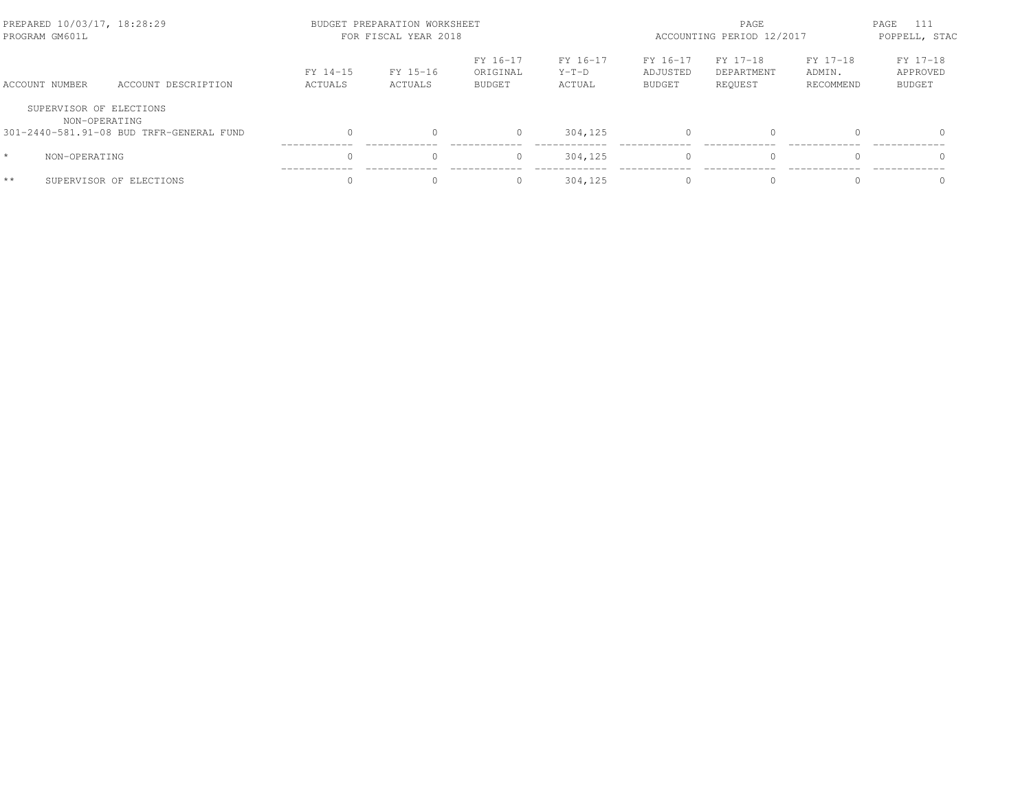| PREPARED 10/03/17, 18:28:29<br>PROGRAM GM601L |                                          | BUDGET PREPARATION WORKSHEET<br>FOR FISCAL YEAR 2018 | ACCOUNTING PERIOD 12/2017 | PAGE<br>111<br>POPPELL, STAC          |                               |                                       |                                   |                                 |                                       |
|-----------------------------------------------|------------------------------------------|------------------------------------------------------|---------------------------|---------------------------------------|-------------------------------|---------------------------------------|-----------------------------------|---------------------------------|---------------------------------------|
| ACCOUNT NUMBER                                | ACCOUNT DESCRIPTION                      | FY 14-15<br>ACTUALS                                  | FY 15-16<br>ACTUALS       | FY 16-17<br>ORIGINAL<br><b>BUDGET</b> | FY 16-17<br>$Y-T-D$<br>ACTUAL | FY 16-17<br>ADJUSTED<br><b>BUDGET</b> | FY 17-18<br>DEPARTMENT<br>REOUEST | FY 17-18<br>ADMIN.<br>RECOMMEND | FY 17-18<br>APPROVED<br><b>BUDGET</b> |
| SUPERVISOR OF ELECTIONS                       | NON-OPERATING                            |                                                      |                           |                                       |                               |                                       |                                   |                                 |                                       |
|                                               | 301-2440-581.91-08 BUD TRFR-GENERAL FUND | $\Omega$                                             |                           |                                       | 304,125                       |                                       | $\Omega$                          |                                 | $\cap$                                |
| $\star$<br>NON-OPERATING                      |                                          | $\Omega$                                             |                           |                                       | 304,125                       |                                       | $\Omega$                          |                                 | $\Omega$                              |
| $**$                                          | SUPERVISOR OF ELECTIONS                  | $\Omega$                                             |                           |                                       | 304,125                       |                                       | $\Omega$                          |                                 |                                       |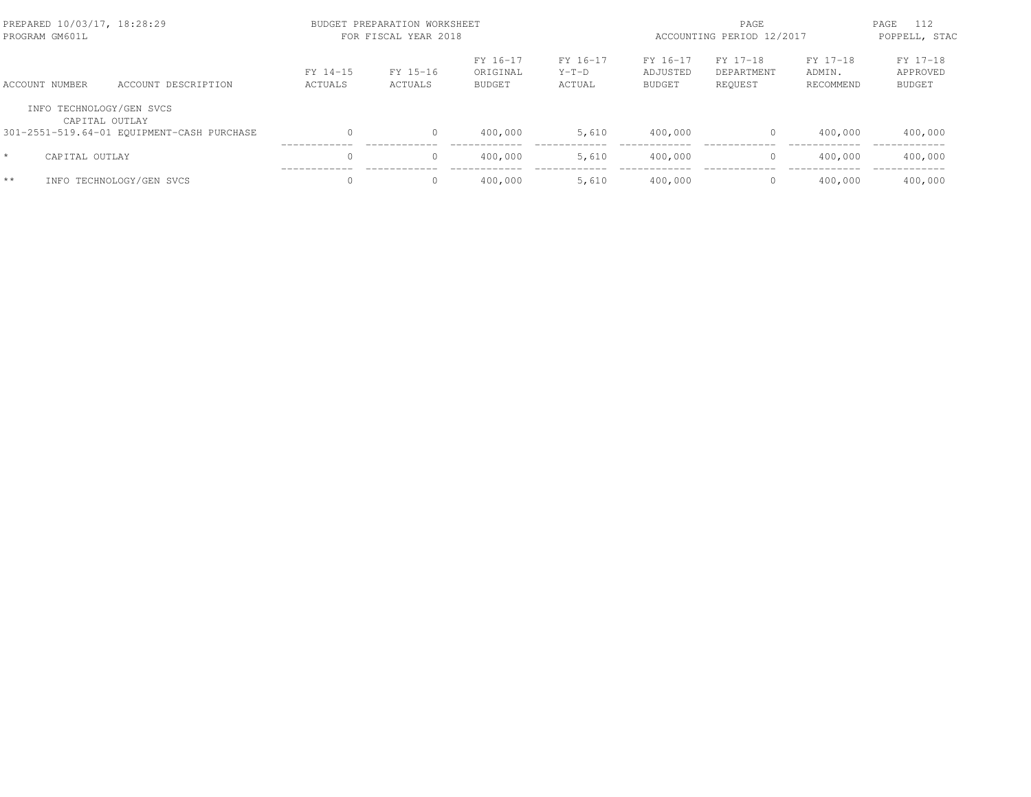| PREPARED 10/03/17, 18:28:29<br>PROGRAM GM601L |                                            | BUDGET PREPARATION WORKSHEET<br>FOR FISCAL YEAR 2018 | PAGE<br>ACCOUNTING PERIOD 12/2017 |                                       |                               | 112<br>PAGE<br>POPPELL, STAC          |                                   |                                 |                                       |
|-----------------------------------------------|--------------------------------------------|------------------------------------------------------|-----------------------------------|---------------------------------------|-------------------------------|---------------------------------------|-----------------------------------|---------------------------------|---------------------------------------|
| ACCOUNT NUMBER                                | ACCOUNT DESCRIPTION                        | FY 14-15<br>ACTUALS                                  | FY 15-16<br>ACTUALS               | FY 16-17<br>ORIGINAL<br><b>BUDGET</b> | FY 16-17<br>$Y-T-D$<br>ACTUAL | FY 16-17<br>ADJUSTED<br><b>BUDGET</b> | FY 17-18<br>DEPARTMENT<br>REOUEST | FY 17-18<br>ADMIN.<br>RECOMMEND | FY 17-18<br>APPROVED<br><b>BUDGET</b> |
|                                               | INFO TECHNOLOGY/GEN SVCS<br>CAPITAL OUTLAY |                                                      |                                   |                                       |                               |                                       |                                   |                                 |                                       |
|                                               | 301-2551-519.64-01 EQUIPMENT-CASH PURCHASE |                                                      |                                   | 400,000                               | 5,610                         | 400,000                               | $\circ$                           | 400,000                         | 400,000                               |
| $\star$<br>CAPITAL OUTLAY                     |                                            |                                                      |                                   | 400,000                               | 5,610                         | 400,000                               | $\circ$                           | 400,000                         | 400,000                               |
| $**$                                          | INFO TECHNOLOGY/GEN SVCS                   |                                                      |                                   | 400,000                               | 5,610                         | 400,000                               | $\mathbf{0}$                      | 400,000                         | 400,000                               |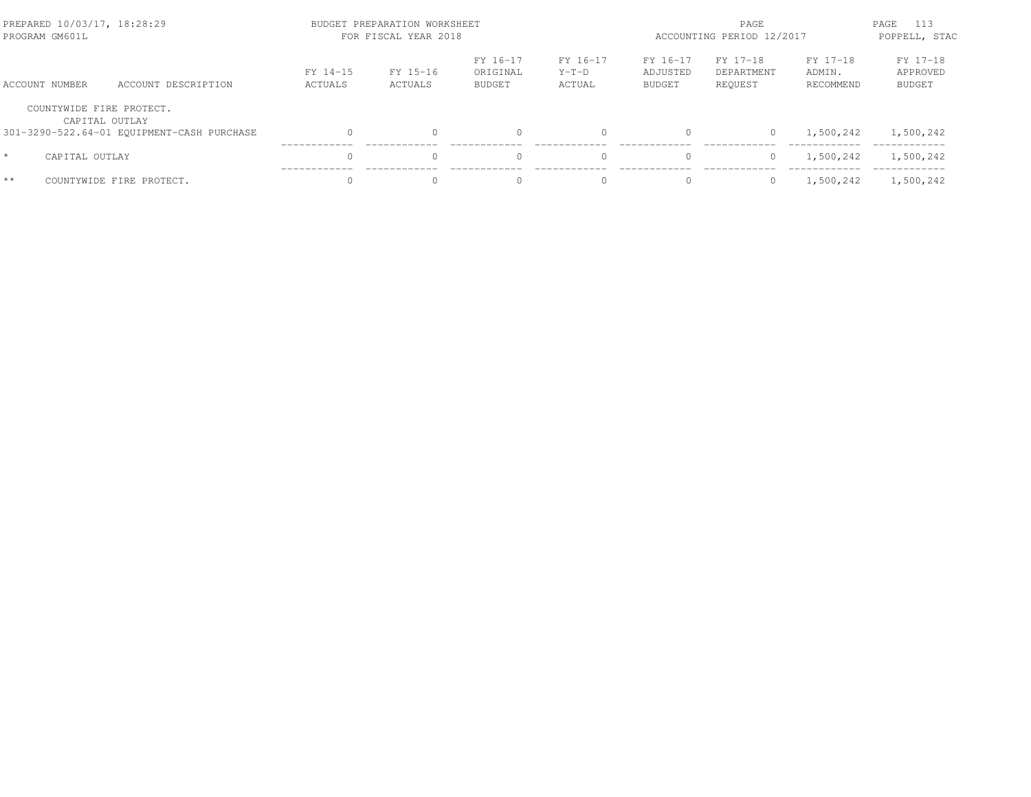| PREPARED 10/03/17, 18:28:29<br>PROGRAM GM601L |                                            | BUDGET PREPARATION WORKSHEET<br>FOR FISCAL YEAR 2018 | ACCOUNTING PERIOD 12/2017 | 113<br>PAGE<br>POPPELL, STAC          |                               |                                       |                                   |                                 |                                       |
|-----------------------------------------------|--------------------------------------------|------------------------------------------------------|---------------------------|---------------------------------------|-------------------------------|---------------------------------------|-----------------------------------|---------------------------------|---------------------------------------|
| ACCOUNT NUMBER                                | ACCOUNT DESCRIPTION                        | FY 14-15<br>ACTUALS                                  | FY 15-16<br>ACTUALS       | FY 16-17<br>ORIGINAL<br><b>BUDGET</b> | FY 16-17<br>$Y-T-D$<br>ACTUAL | FY 16-17<br>ADJUSTED<br><b>BUDGET</b> | FY 17-18<br>DEPARTMENT<br>REOUEST | FY 17-18<br>ADMIN.<br>RECOMMEND | FY 17-18<br>APPROVED<br><b>BUDGET</b> |
|                                               | COUNTYWIDE FIRE PROTECT.<br>CAPITAL OUTLAY |                                                      |                           |                                       |                               |                                       |                                   |                                 |                                       |
|                                               | 301-3290-522.64-01 EQUIPMENT-CASH PURCHASE | $\bigcap$                                            |                           | $\mathbf{0}$                          | $\circ$                       | $\Omega$                              | $\circ$                           | 1,500,242                       | 1,500,242                             |
| $\star$<br>CAPITAL OUTLAY                     |                                            |                                                      |                           | $\Omega$                              | $\Omega$                      | $\Omega$                              | $\mathbf{0}$                      | 1,500,242                       | 1,500,242                             |
| $**$                                          | COUNTYWIDE FIRE PROTECT.                   | $\cap$                                               |                           | $\Omega$                              | $\Omega$                      |                                       | $\circ$                           | 1,500,242                       | 1,500,242                             |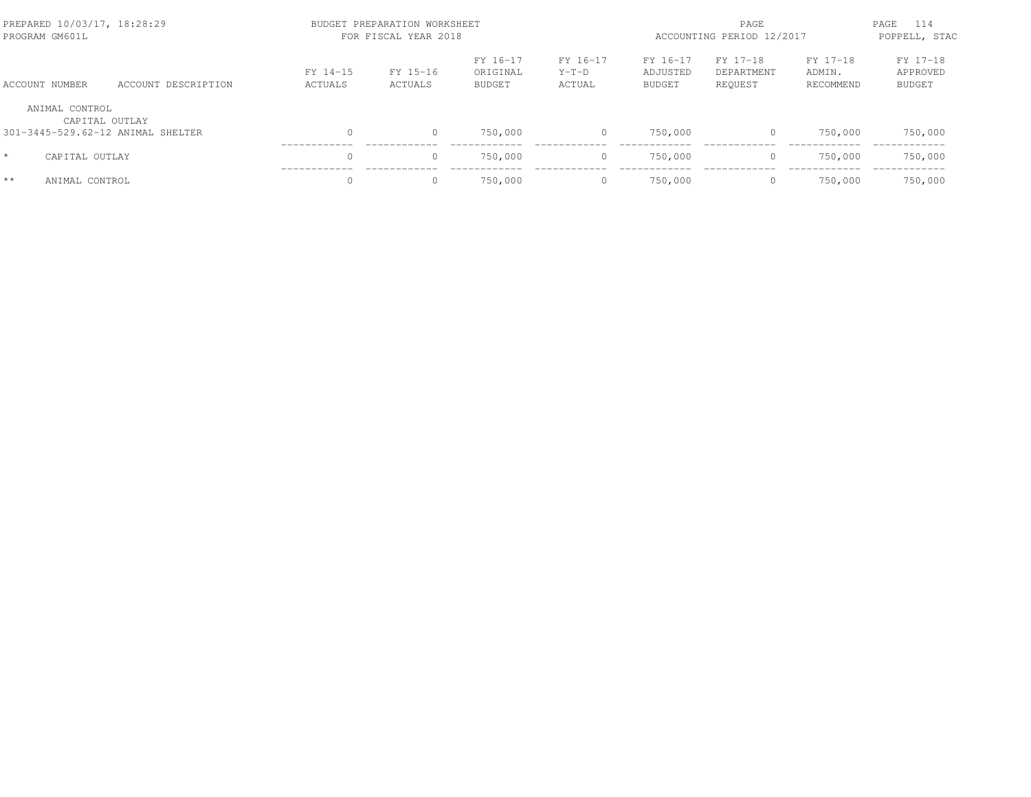| PREPARED 10/03/17, 18:28:29<br>PROGRAM GM601L |                                                     |                     | BUDGET PREPARATION WORKSHEET<br>FOR FISCAL YEAR 2018 |                                       |                               | ACCOUNTING PERIOD 12/2017             | 114<br>PAGE<br>POPPELL, STAC      |                                 |                                       |
|-----------------------------------------------|-----------------------------------------------------|---------------------|------------------------------------------------------|---------------------------------------|-------------------------------|---------------------------------------|-----------------------------------|---------------------------------|---------------------------------------|
| ACCOUNT NUMBER                                | ACCOUNT DESCRIPTION                                 | FY 14-15<br>ACTUALS | FY 15-16<br>ACTUALS                                  | FY 16-17<br>ORIGINAL<br><b>BUDGET</b> | FY 16-17<br>$Y-T-D$<br>ACTUAL | FY 16-17<br>ADJUSTED<br><b>BUDGET</b> | FY 17-18<br>DEPARTMENT<br>REOUEST | FY 17-18<br>ADMIN.<br>RECOMMEND | FY 17-18<br>APPROVED<br><b>BUDGET</b> |
| ANIMAL CONTROL                                | CAPITAL OUTLAY<br>301-3445-529.62-12 ANIMAL SHELTER | $\mathbf{0}$        |                                                      | 750,000                               | $\mathbf{0}$                  | 750,000                               | 0                                 | 750,000                         | 750,000                               |
| CAPITAL OUTLAY                                |                                                     | $\Omega$            |                                                      | 750,000                               | $\Omega$                      | 750,000                               | $\circ$                           | 750,000                         | 750,000                               |
| $**$<br>ANIMAL CONTROL                        |                                                     |                     |                                                      | 750,000                               | $\Omega$                      | 750,000                               | 0                                 | 750,000                         | 750,000                               |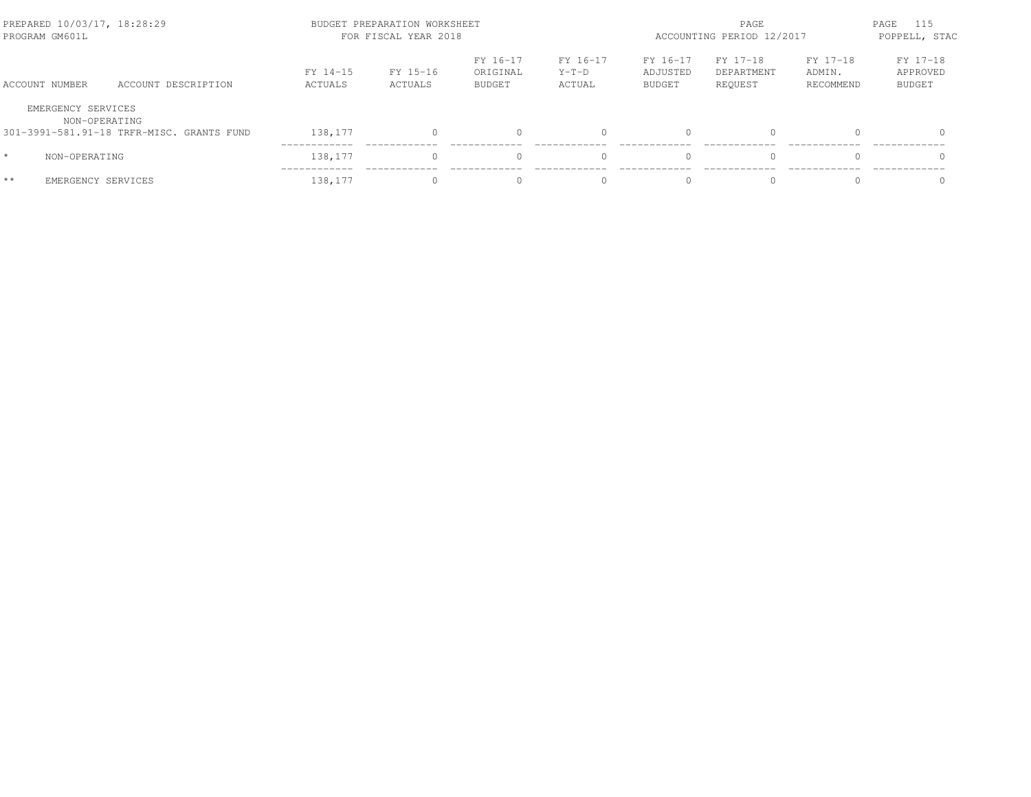| PREPARED 10/03/17, 18:28:29<br>PROGRAM GM601L |                                                            | BUDGET PREPARATION WORKSHEET<br>FOR FISCAL YEAR 2018 | ACCOUNTING PERIOD 12/2017 | 115<br>PAGE<br>POPPELL, STAC          |                               |                                |                                   |                                 |                                       |
|-----------------------------------------------|------------------------------------------------------------|------------------------------------------------------|---------------------------|---------------------------------------|-------------------------------|--------------------------------|-----------------------------------|---------------------------------|---------------------------------------|
| ACCOUNT NUMBER                                | ACCOUNT DESCRIPTION                                        | FY 14-15<br>ACTUALS                                  | FY 15-16<br>ACTUALS       | FY 16-17<br>ORIGINAL<br><b>BUDGET</b> | FY 16-17<br>$Y-T-D$<br>ACTUAL | FY 16-17<br>ADJUSTED<br>BUDGET | FY 17-18<br>DEPARTMENT<br>REQUEST | FY 17-18<br>ADMIN.<br>RECOMMEND | FY 17-18<br>APPROVED<br><b>BUDGET</b> |
| EMERGENCY SERVICES                            | NON-OPERATING<br>301-3991-581.91-18 TRFR-MISC. GRANTS FUND | 138,177                                              | $\cap$                    |                                       | $\Omega$                      | $\bigcap$                      |                                   |                                 | $\Omega$                              |
| NON-OPERATING                                 |                                                            | 138,177                                              |                           |                                       | $\Omega$                      | $\bigcap$                      |                                   |                                 |                                       |
| $**$<br>EMERGENCY SERVICES                    |                                                            | 138, 177                                             |                           |                                       | $\Omega$                      | $\bigcap$                      |                                   |                                 |                                       |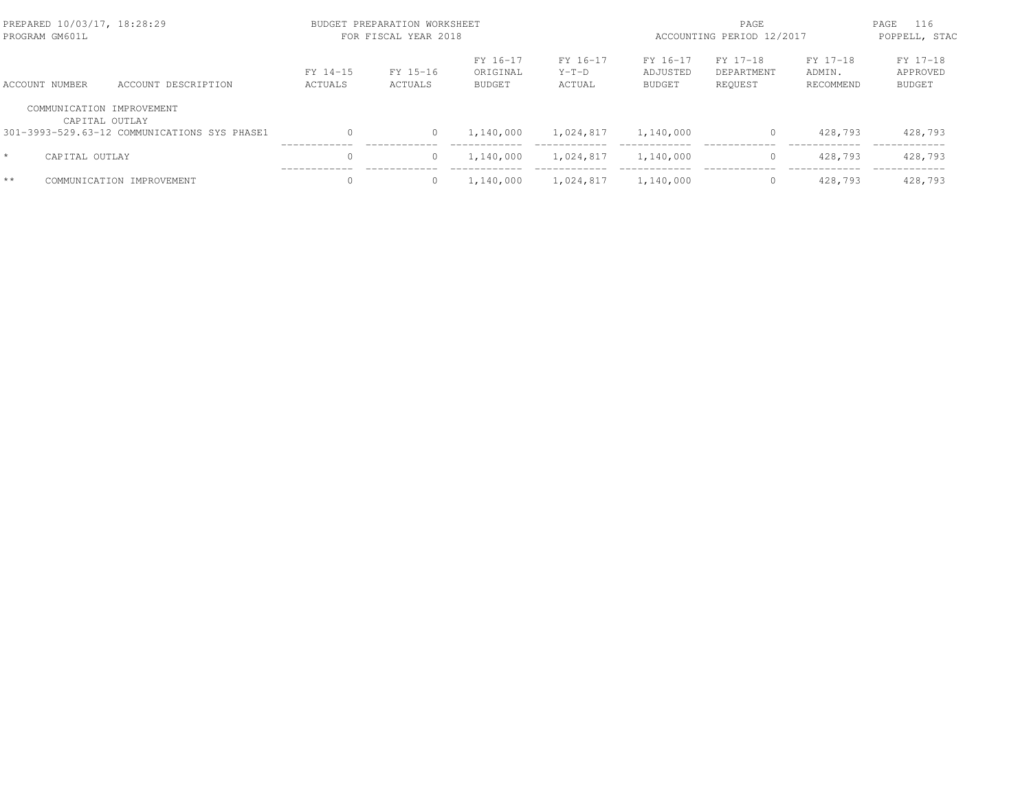| PREPARED 10/03/17, 18:28:29<br>PROGRAM GM601L |                                              |                     | BUDGET PREPARATION WORKSHEET<br>FOR FISCAL YEAR 2018 |                                       | PAGE<br>ACCOUNTING PERIOD 12/2017 |                                       |                                   | PAGE<br>116<br>POPPELL, STAC    |                                       |
|-----------------------------------------------|----------------------------------------------|---------------------|------------------------------------------------------|---------------------------------------|-----------------------------------|---------------------------------------|-----------------------------------|---------------------------------|---------------------------------------|
| ACCOUNT NUMBER                                | ACCOUNT DESCRIPTION                          | FY 14-15<br>ACTUALS | FY 15-16<br>ACTUALS                                  | FY 16-17<br>ORIGINAL<br><b>BUDGET</b> | FY 16-17<br>$Y-T-D$<br>ACTUAL     | FY 16-17<br>ADJUSTED<br><b>BUDGET</b> | FY 17-18<br>DEPARTMENT<br>REQUEST | FY 17-18<br>ADMIN.<br>RECOMMEND | FY 17-18<br>APPROVED<br><b>BUDGET</b> |
| COMMUNICATION IMPROVEMENT<br>CAPITAL OUTLAY   |                                              |                     |                                                      |                                       |                                   |                                       |                                   |                                 |                                       |
|                                               | 301-3993-529.63-12 COMMUNICATIONS SYS PHASE1 | $\Omega$            | $\Omega$                                             | 1,140,000                             | 1,024,817                         | 1,140,000                             | 0                                 | 428,793                         | 428,793                               |
| $\star$<br>CAPITAL OUTLAY                     |                                              | $\Omega$            |                                                      | 1,140,000                             | 1,024,817                         | 1,140,000                             | $\circ$                           | 428.793                         | 428,793                               |
| $**$                                          | COMMUNICATION IMPROVEMENT                    | $\bigcap$           |                                                      | 1,140,000                             | 1,024,817                         | 1,140,000                             | $\circ$                           | 428,793                         | 428,793                               |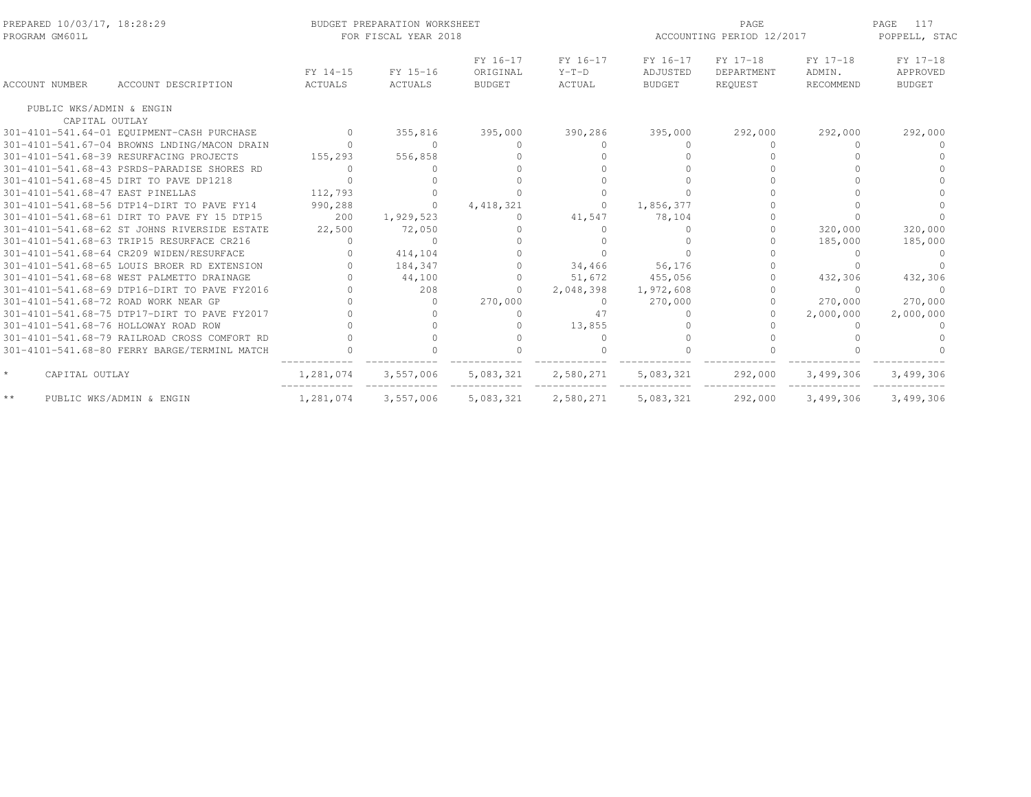| PREPARED 10/03/17, 18:28:29<br>PROGRAM GM601L |                                              |           | BUDGET PREPARATION WORKSHEET<br>FOR FISCAL YEAR 2018 |                      | <b>PAGE</b><br>ACCOUNTING PERIOD 12/2017 |                      |                                   | 117<br>PAGE<br>POPPELL, STAC |                      |
|-----------------------------------------------|----------------------------------------------|-----------|------------------------------------------------------|----------------------|------------------------------------------|----------------------|-----------------------------------|------------------------------|----------------------|
|                                               |                                              | FY 14-15  | FY 15-16                                             | FY 16-17<br>ORIGINAL | FY 16-17<br>$Y-T-D$<br>ACTUAL            | FY 16-17<br>ADJUSTED | FY 17-18<br>DEPARTMENT<br>REOUEST | FY 17-18<br>ADMIN.           | FY 17-18<br>APPROVED |
| ACCOUNT NUMBER                                | ACCOUNT DESCRIPTION                          | ACTUALS   | ACTUALS                                              | <b>BUDGET</b>        |                                          | BUDGET               |                                   | RECOMMEND                    | <b>BUDGET</b>        |
| PUBLIC WKS/ADMIN & ENGIN                      |                                              |           |                                                      |                      |                                          |                      |                                   |                              |                      |
| CAPITAL OUTLAY                                |                                              |           |                                                      |                      |                                          |                      |                                   |                              |                      |
|                                               | 301-4101-541.64-01 EQUIPMENT-CASH PURCHASE   | $\Omega$  | 355,816                                              | 395,000              | 390,286                                  | 395,000              | 292,000                           | 292,000                      | 292,000              |
|                                               | 301-4101-541.67-04 BROWNS LNDING/MACON DRAIN |           | $\Omega$                                             |                      | $\Omega$                                 |                      | $\Omega$                          |                              |                      |
|                                               | 301-4101-541.68-39 RESURFACING PROJECTS      | 155,293   | 556,858                                              |                      |                                          |                      |                                   |                              |                      |
|                                               | 301-4101-541.68-43 PSRDS-PARADISE SHORES RD  | $\Omega$  |                                                      |                      |                                          |                      |                                   |                              |                      |
|                                               | 301-4101-541.68-45 DIRT TO PAVE DP1218       |           |                                                      |                      |                                          |                      |                                   |                              |                      |
| 301-4101-541.68-47 EAST PINELLAS              |                                              | 112,793   |                                                      |                      | $\Omega$                                 |                      |                                   |                              |                      |
|                                               | 301-4101-541.68-56 DTP14-DIRT TO PAVE FY14   | 990,288   | $\Omega$                                             | 4, 418, 321          | $\Omega$                                 | 1,856,377            |                                   |                              |                      |
|                                               | 301-4101-541.68-61 DIRT TO PAVE FY 15 DTP15  | 200       | 1,929,523                                            |                      | 41,547                                   | 78,104               |                                   |                              |                      |
|                                               | 301-4101-541.68-62 ST JOHNS RIVERSIDE ESTATE | 22,500    | 72,050                                               |                      | $\Omega$                                 |                      |                                   | 320,000                      | 320,000              |
|                                               | 301-4101-541.68-63 TRIP15 RESURFACE CR216    | $\bigcap$ | $\Omega$                                             |                      |                                          |                      |                                   | 185,000                      | 185,000              |
|                                               | 301-4101-541.68-64 CR209 WIDEN/RESURFACE     |           | 414,104                                              |                      | $\cap$                                   |                      |                                   | $\Omega$                     |                      |
|                                               | 301-4101-541.68-65 LOUIS BROER RD EXTENSION  |           | 184,347                                              |                      | 34,466                                   | 56,176               |                                   |                              |                      |
|                                               | 301-4101-541.68-68 WEST PALMETTO DRAINAGE    |           | 44,100                                               |                      | 51,672                                   | 455,056              |                                   | 432,306                      | 432,306              |
|                                               | 301-4101-541.68-69 DTP16-DIRT TO PAVE FY2016 |           | 208                                                  |                      | 2,048,398                                | 1,972,608            |                                   | $\Omega$                     | $\cap$               |
|                                               | 301-4101-541.68-72 ROAD WORK NEAR GP         |           | $\Omega$                                             | 270,000              | $\Omega$                                 | 270,000              |                                   | 270,000                      | 270,000              |
|                                               | 301-4101-541.68-75 DTP17-DIRT TO PAVE FY2017 |           |                                                      |                      | 47                                       |                      |                                   | 2,000,000                    | 2,000,000            |
|                                               | 301-4101-541.68-76 HOLLOWAY ROAD ROW         |           |                                                      |                      | 13,855                                   |                      |                                   |                              |                      |
|                                               | 301-4101-541.68-79 RAILROAD CROSS COMFORT RD |           |                                                      |                      | $\Omega$                                 |                      |                                   |                              |                      |
|                                               | 301-4101-541.68-80 FERRY BARGE/TERMINL MATCH |           |                                                      |                      |                                          |                      |                                   |                              |                      |
| $\star$<br>CAPITAL OUTLAY                     |                                              | 1,281,074 | 3,557,006                                            | 5,083,321            | 2,580,271                                | 5,083,321            | 292,000                           | 3,499,306                    | 3,499,306            |
| $\star\star$                                  | PUBLIC WKS/ADMIN & ENGIN                     | 1,281,074 | 3,557,006                                            | 5,083,321            | 2,580,271                                | 5,083,321            | 292,000                           | 3,499,306                    | 3,499,306            |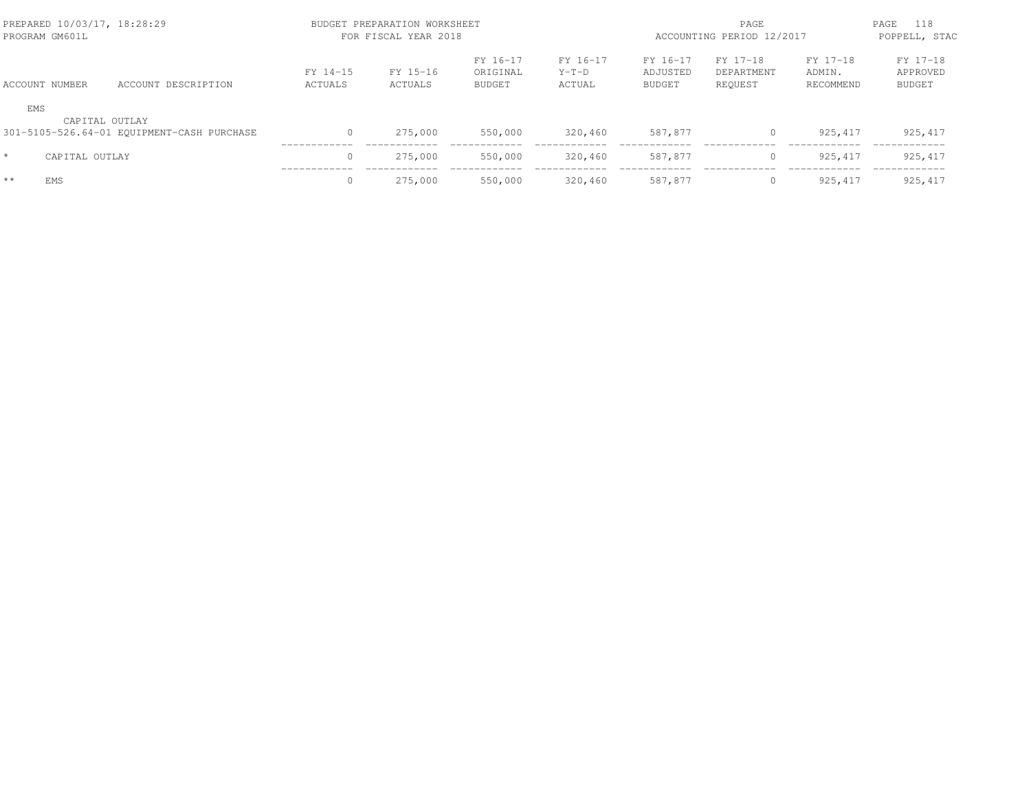|         | PREPARED 10/03/17, 18:28:29<br>PROGRAM GM601L |                                            | BUDGET PREPARATION WORKSHEET<br>FOR FISCAL YEAR 2018 |                     |                                |                               | ACCOUNTING PERIOD 12/2017      | 118<br>PAGE<br>POPPELL, STAC      |                                 |                                |
|---------|-----------------------------------------------|--------------------------------------------|------------------------------------------------------|---------------------|--------------------------------|-------------------------------|--------------------------------|-----------------------------------|---------------------------------|--------------------------------|
|         | <b>ACCOUNT NUMBER</b>                         | ACCOUNT DESCRIPTION                        | FY 14-15<br>ACTUALS                                  | FY 15-16<br>ACTUALS | FY 16-17<br>ORIGINAL<br>BUDGET | FY 16-17<br>$Y-T-D$<br>ACTUAL | FY 16-17<br>ADJUSTED<br>BUDGET | FY 17-18<br>DEPARTMENT<br>REQUEST | FY 17-18<br>ADMIN.<br>RECOMMEND | FY 17-18<br>APPROVED<br>BUDGET |
| EMS     | CAPITAL OUTLAY                                |                                            |                                                      |                     |                                |                               |                                |                                   |                                 |                                |
|         |                                               | 301-5105-526.64-01 EQUIPMENT-CASH PURCHASE | $\circ$                                              | 275,000             | 550,000                        | 320,460                       | 587,877                        | $\circ$                           | 925, 417                        | 925, 417                       |
| $\star$ | CAPITAL OUTLAY                                |                                            | $\Omega$                                             | 275,000             | 550,000                        | 320,460                       | 587,877                        | $\circ$                           | 925, 417                        | 925, 417                       |
| $**$    | EMS                                           |                                            |                                                      | 275,000             | 550,000                        | 320,460                       | 587,877                        | $\circ$                           | 925, 417                        | 925, 417                       |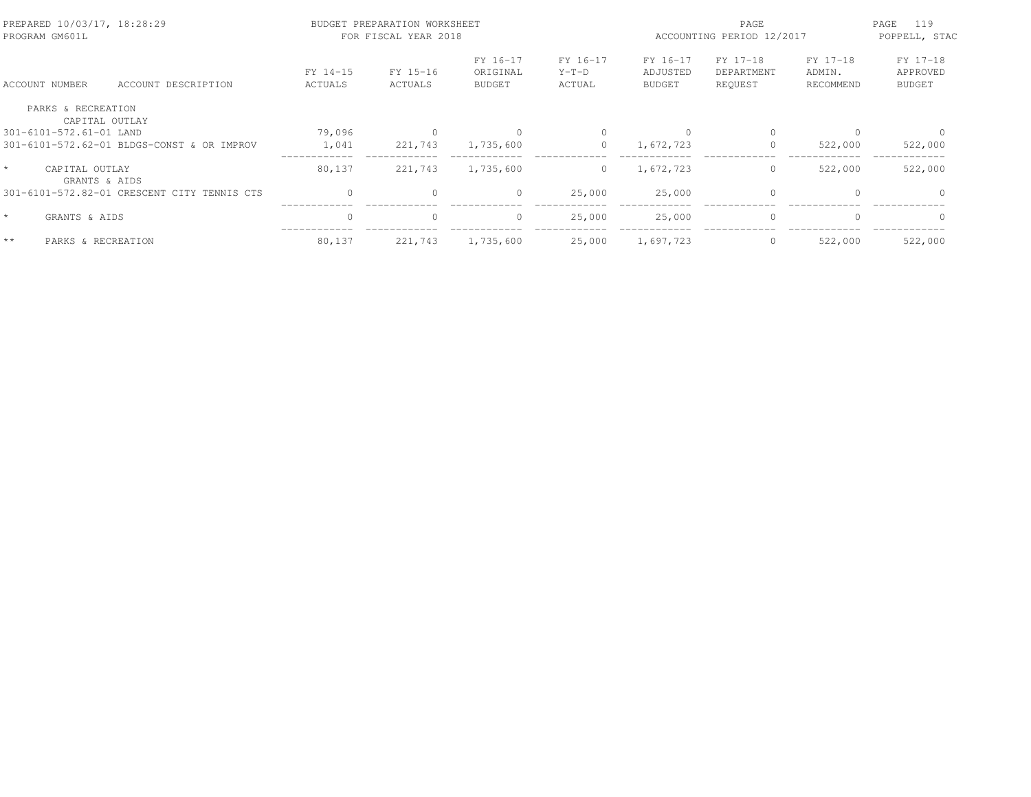| PREPARED 10/03/17, 18:28:29<br>PROGRAM GM601L |                                             |                     | BUDGET PREPARATION WORKSHEET<br>FOR FISCAL YEAR 2018 |                                       |                               | ACCOUNTING PERIOD 12/2017             | 119<br>PAGE<br>POPPELL, STAC      |                                 |                                       |
|-----------------------------------------------|---------------------------------------------|---------------------|------------------------------------------------------|---------------------------------------|-------------------------------|---------------------------------------|-----------------------------------|---------------------------------|---------------------------------------|
| ACCOUNT NUMBER                                | ACCOUNT DESCRIPTION                         | FY 14-15<br>ACTUALS | FY 15-16<br>ACTUALS                                  | FY 16-17<br>ORIGINAL<br><b>BUDGET</b> | FY 16-17<br>$Y-T-D$<br>ACTUAL | FY 16-17<br>ADJUSTED<br><b>BUDGET</b> | FY 17-18<br>DEPARTMENT<br>REQUEST | FY 17-18<br>ADMIN.<br>RECOMMEND | FY 17-18<br>APPROVED<br><b>BUDGET</b> |
| PARKS & RECREATION<br>CAPITAL OUTLAY          |                                             |                     |                                                      |                                       |                               |                                       |                                   |                                 |                                       |
| 301-6101-572.61-01 LAND                       |                                             | 79,096              |                                                      |                                       |                               |                                       | $\Omega$                          |                                 |                                       |
|                                               | 301-6101-572.62-01 BLDGS-CONST & OR IMPROV  | 1,041               | 221,743                                              | 1,735,600                             | $\circ$                       | 1,672,723                             | $\circ$                           | 522,000                         | 522,000                               |
| $\star$<br>CAPITAL OUTLAY<br>GRANTS & AIDS    |                                             | 80,137              | 221,743                                              | 1,735,600                             | $\circ$                       | 1,672,723                             | $\circ$                           | 522,000                         | 522,000                               |
|                                               | 301-6101-572.82-01 CRESCENT CITY TENNIS CTS | $\Omega$            |                                                      | 0                                     | 25,000                        | 25,000                                | $\mathbf{0}$                      | ∩                               | $\Omega$                              |
| $\star$<br>GRANTS & AIDS                      |                                             | $\Omega$            | $\Omega$                                             | $\circ$                               | 25,000                        | 25,000                                | $\mathbf{0}$                      | $\Omega$                        | $\Omega$                              |
| $**$<br>PARKS & RECREATION                    |                                             | 80,137              | 221,743                                              | 1,735,600                             | 25,000                        | 1,697,723                             | $\overline{0}$                    | 522,000                         | 522,000                               |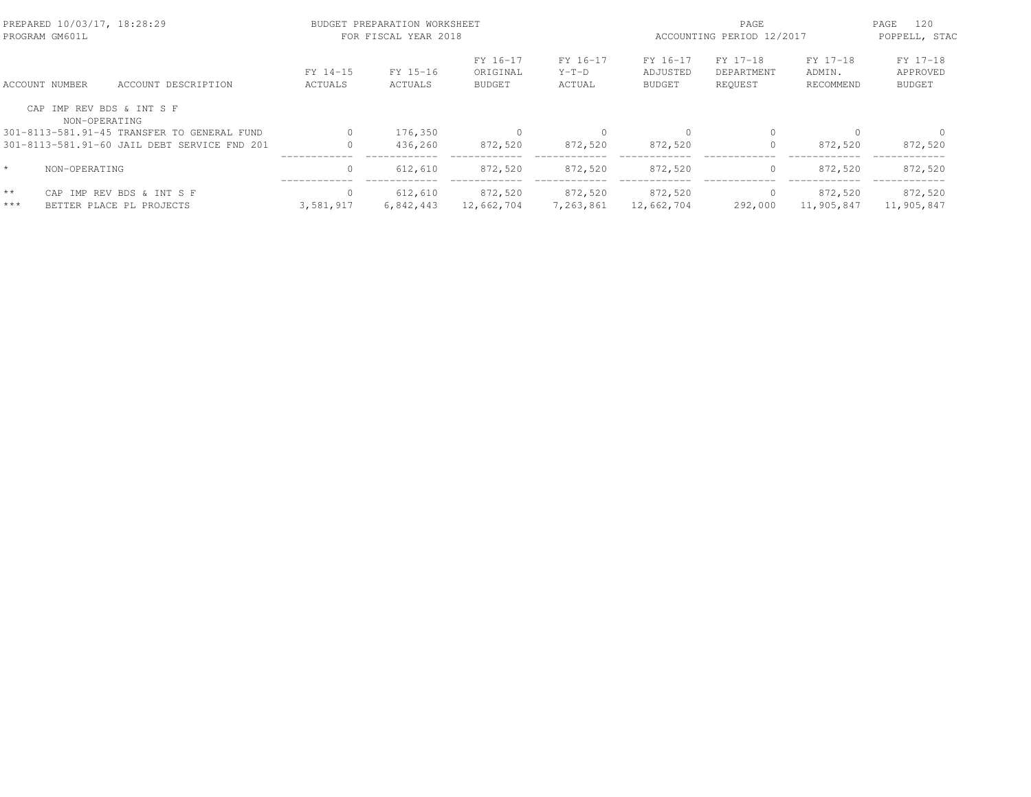|                       | PREPARED 10/03/17, 18:28:29<br>PROGRAM GM601L |                                                       |                     | BUDGET PREPARATION WORKSHEET<br>FOR FISCAL YEAR 2018 |                                       |                             | PAGE<br>ACCOUNTING PERIOD 12/2017     |                                   |                                 | 120<br>PAGE<br>POPPELL, STAC          |  |
|-----------------------|-----------------------------------------------|-------------------------------------------------------|---------------------|------------------------------------------------------|---------------------------------------|-----------------------------|---------------------------------------|-----------------------------------|---------------------------------|---------------------------------------|--|
|                       | ACCOUNT NUMBER                                | ACCOUNT DESCRIPTION                                   | FY 14-15<br>ACTUALS | FY 15-16<br>ACTUALS                                  | FY 16-17<br>ORIGINAL<br><b>BUDGET</b> | FY 16-17<br>Y-T-D<br>ACTUAL | FY 16-17<br>ADJUSTED<br><b>BUDGET</b> | FY 17-18<br>DEPARTMENT<br>REQUEST | FY 17-18<br>ADMIN.<br>RECOMMEND | FY 17-18<br>APPROVED<br><b>BUDGET</b> |  |
|                       | CAP IMP REV BDS & INT S F<br>NON-OPERATING    |                                                       |                     |                                                      |                                       |                             |                                       |                                   |                                 |                                       |  |
|                       |                                               | 301-8113-581.91-45 TRANSFER TO GENERAL FUND           | $\Omega$            | 176,350                                              |                                       |                             | $\Omega$                              | $\mathbf{0}$                      |                                 | $\Omega$                              |  |
|                       |                                               | 301-8113-581.91-60 JAIL DEBT SERVICE FND 201          |                     | 436,260                                              | 872,520                               | 872,520                     | 872,520                               | $\circ$                           | 872,520                         | 872,520                               |  |
| $\star$               | NON-OPERATING                                 |                                                       | $\Omega$            | 612,610                                              | 872.520                               | 872,520                     | 872,520                               | $\circ$                           | 872,520                         | 872,520                               |  |
| $\star\star$<br>$***$ |                                               | CAP IMP REV BDS & INT S F<br>BETTER PLACE PL PROJECTS | 3,581,917           | 612,610<br>6,842,443                                 | 872,520<br>12,662,704                 | 872,520<br>7,263,861        | 872,520<br>12,662,704                 | $\circ$<br>292,000                | 872,520<br>11,905,847           | 872,520<br>11,905,847                 |  |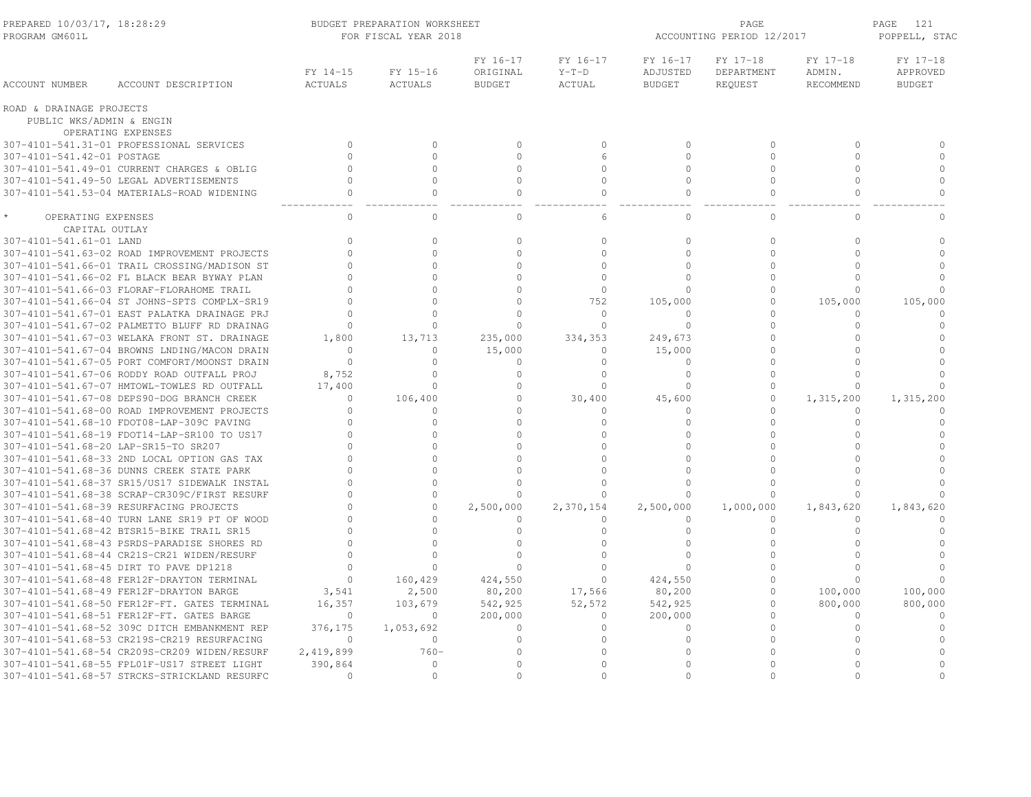| PREPARED 10/03/17, 18:28:29<br>PROGRAM GM601L |                                              | BUDGET PREPARATION WORKSHEET<br>FOR FISCAL YEAR 2018 |                            |                                       |                               |                                       | PAGE<br>ACCOUNTING PERIOD 12/2017 |                                 |                                       |  |
|-----------------------------------------------|----------------------------------------------|------------------------------------------------------|----------------------------|---------------------------------------|-------------------------------|---------------------------------------|-----------------------------------|---------------------------------|---------------------------------------|--|
| ACCOUNT NUMBER                                | ACCOUNT DESCRIPTION                          | FY 14-15<br><b>ACTUALS</b>                           | FY 15-16<br><b>ACTUALS</b> | FY 16-17<br>ORIGINAL<br><b>BUDGET</b> | FY 16-17<br>$Y-T-D$<br>ACTUAL | FY 16-17<br>ADJUSTED<br><b>BUDGET</b> | FY 17-18<br>DEPARTMENT<br>REQUEST | FY 17-18<br>ADMIN.<br>RECOMMEND | FY 17-18<br>APPROVED<br><b>BUDGET</b> |  |
| ROAD & DRAINAGE PROJECTS                      |                                              |                                                      |                            |                                       |                               |                                       |                                   |                                 |                                       |  |
| PUBLIC WKS/ADMIN & ENGIN                      |                                              |                                                      |                            |                                       |                               |                                       |                                   |                                 |                                       |  |
|                                               | OPERATING EXPENSES                           |                                                      |                            |                                       |                               |                                       |                                   |                                 |                                       |  |
|                                               | 307-4101-541.31-01 PROFESSIONAL SERVICES     | $\Omega$                                             | $\Omega$                   | $\Omega$                              | $\Omega$                      | $\Omega$                              | $\Omega$                          | $\Omega$                        | $\Omega$                              |  |
| 307-4101-541.42-01 POSTAGE                    |                                              | $\Omega$                                             | $\cap$                     | $\Omega$                              | 6                             | $\bigcap$                             | $\cap$                            | $\Omega$                        | $\circ$                               |  |
|                                               | 307-4101-541.49-01 CURRENT CHARGES & OBLIG   | $\Omega$                                             | $\cap$                     | $\circ$                               | $\cap$                        | $\cap$                                | $\Omega$                          | $\Omega$                        | $\circ$                               |  |
|                                               | 307-4101-541.49-50 LEGAL ADVERTISEMENTS      | $\Omega$                                             | $\Omega$                   | $\Omega$                              | $\Omega$                      | $\Omega$                              | $\Omega$                          | $\Omega$                        | $\circ$                               |  |
|                                               | 307-4101-541.53-04 MATERIALS-ROAD WIDENING   | $\circ$                                              | $\Omega$                   | $\Omega$                              | $\Omega$                      | $\Omega$                              | $\Omega$                          | $\Omega$                        | $\Omega$                              |  |
| OPERATING EXPENSES                            |                                              | $\Omega$                                             | $\Omega$                   | $\cap$                                | 6                             | $\Omega$                              | $\Omega$                          | $\cap$                          | $\Omega$                              |  |
| CAPITAL OUTLAY                                |                                              |                                                      |                            |                                       |                               |                                       |                                   |                                 |                                       |  |
| 307-4101-541.61-01 LAND                       |                                              | $\circ$                                              | $\Omega$                   | $\Omega$                              | $\Omega$                      | $\Omega$                              | $\circ$                           | $\Omega$                        | $\circ$                               |  |
|                                               | 307-4101-541.63-02 ROAD IMPROVEMENT PROJECTS | $\Omega$                                             | $\cap$                     | $\Omega$                              | $\cap$                        | $\bigcap$                             | $\Omega$                          | $\Omega$                        | $\circ$                               |  |
|                                               | 307-4101-541.66-01 TRAIL CROSSING/MADISON ST | $\circ$                                              | $\cap$                     | $\Omega$                              | $\cap$                        | $\cap$                                | $\Omega$                          | $\Omega$                        | $\circ$                               |  |
|                                               | 307-4101-541.66-02 FL BLACK BEAR BYWAY PLAN  | $\circ$                                              | $\cap$                     | $\Omega$                              | $\Omega$                      | $\cap$                                | $\cap$                            | $\cap$                          | $\circ$                               |  |
|                                               | 307-4101-541.66-03 FLORAF-FLORAHOME TRAIL    | $\Omega$                                             | $\cap$                     | $\cap$                                | $\mathbf{0}$                  | $\cap$                                | $\Omega$                          | $\Omega$                        | $\circ$                               |  |
|                                               | 307-4101-541.66-04 ST JOHNS-SPTS COMPLX-SR19 | $\Omega$                                             | $\Omega$                   | $\Omega$                              | 752                           | 105,000                               | $\Omega$                          | 105,000                         | 105,000                               |  |
|                                               | 307-4101-541.67-01 EAST PALATKA DRAINAGE PRJ | $\Omega$                                             | $\Omega$                   | $\circ$                               | $\mathbf{0}$                  | $\Omega$                              | $\Omega$                          | $\Omega$                        | $\Omega$                              |  |
|                                               | 307-4101-541.67-02 PALMETTO BLUFF RD DRAINAG | $\Omega$                                             | $\Omega$                   | $\Omega$                              | $\Omega$                      | $\Omega$                              | $\Omega$                          | $\Omega$                        | $\circ$                               |  |
|                                               | 307-4101-541.67-03 WELAKA FRONT ST. DRAINAGE | 1,800                                                | 13,713                     | 235,000                               | 334,353                       | 249,673                               | $\Omega$                          | $\Omega$                        | $\circ$                               |  |
|                                               | 307-4101-541.67-04 BROWNS LNDING/MACON DRAIN | $\Omega$                                             | $\bigcap$                  | 15,000                                | $\Omega$                      | 15,000                                | $\Omega$                          | $\Omega$                        | $\circ$                               |  |
|                                               | 307-4101-541.67-05 PORT COMFORT/MOONST DRAIN | $\Omega$                                             | $\Omega$                   | $\Omega$                              | $\Omega$                      | $\Omega$                              | $\Omega$                          | $\Omega$                        | $\circ$                               |  |
|                                               | 307-4101-541.67-06 RODDY ROAD OUTFALL PROJ   | 8,752                                                | $\cap$                     | $\Omega$                              | $\Omega$                      | $\Omega$                              | $\Omega$                          | $\cap$                          | $\Omega$                              |  |
|                                               | 307-4101-541.67-07 HMTOWL-TOWLES RD OUTFALL  | 17,400                                               | $\Omega$                   | $\Omega$                              | $\cap$                        | $\Omega$                              | $\Omega$                          | $\Omega$                        |                                       |  |
|                                               | 307-4101-541.67-08 DEPS90-DOG BRANCH CREEK   | 0                                                    | 106,400                    | $\Omega$                              | 30,400                        | 45,600                                | $\circ$                           | 1,315,200                       | 1,315,200                             |  |
|                                               | 307-4101-541.68-00 ROAD IMPROVEMENT PROJECTS | $\circ$                                              | $\Omega$                   | $\Omega$                              | $\Omega$                      | $\Omega$                              | $\Omega$                          | $\Omega$                        | $\Omega$                              |  |
|                                               | 307-4101-541.68-10 FDOT08-LAP-309C PAVING    | $\Omega$                                             | $\Omega$                   | $\Omega$                              | $\Omega$                      | $\Omega$                              | $\Omega$                          | $\Omega$                        | $\circ$                               |  |
|                                               | 307-4101-541.68-19 FDOT14-LAP-SR100 TO US17  | $\circ$                                              | $\Omega$                   | $\Omega$                              | $\Omega$                      | $\Omega$                              | $\Omega$                          | $\Omega$                        | $\circ$                               |  |
|                                               | 307-4101-541.68-20 LAP-SR15-TO SR207         | $\Omega$                                             | $\Omega$                   | $\cap$                                |                               | $\Omega$                              | $\Omega$                          | $\Omega$                        | $\circ$                               |  |
|                                               | 307-4101-541.68-33 2ND LOCAL OPTION GAS TAX  | $\Omega$                                             | $\cap$                     | $\Omega$                              | $\Omega$                      | $\cap$                                | $\Omega$                          | $\Omega$                        | $\circ$                               |  |
|                                               | 307-4101-541.68-36 DUNNS CREEK STATE PARK    | $\Omega$                                             | $\Omega$                   | $\Omega$                              | $\Omega$                      | $\Omega$                              | $\Omega$                          | $\Omega$                        | $\circ$                               |  |
|                                               | 307-4101-541.68-37 SR15/US17 SIDEWALK INSTAL | $\Omega$                                             | $\cap$                     | $\Omega$                              | $\cap$                        | $\cap$                                | $\Omega$                          | $\cap$                          | $\Omega$                              |  |
|                                               | 307-4101-541.68-38 SCRAP-CR309C/FIRST RESURF | $\Omega$                                             | $\Omega$                   | $\Omega$                              | $\cap$                        |                                       | $\Omega$                          | $\Omega$                        | $\cap$                                |  |
|                                               | 307-4101-541.68-39 RESURFACING PROJECTS      | $\Omega$                                             | $\cap$                     | 2,500,000                             | 2,370,154                     | 2,500,000                             | 1,000,000                         | 1,843,620                       | 1,843,620                             |  |
|                                               | 307-4101-541.68-40 TURN LANE SR19 PT OF WOOD | $\circ$                                              | $\cap$                     | $\circ$                               | $\mathbf{0}$                  | $\mathbf{0}$                          | 0                                 | $\Omega$                        | $\Omega$                              |  |
|                                               | 307-4101-541.68-42 BTSR15-BIKE TRAIL SR15    | $\Omega$                                             | $\Omega$                   | $\Omega$                              | $\mathbf{0}$                  | $\circ$                               | $\circ$                           | $\Omega$                        | $\circ$                               |  |
|                                               | 307-4101-541.68-43 PSRDS-PARADISE SHORES RD  | $\Omega$                                             | $\cap$                     | $\Omega$                              | $\Omega$                      | $\Omega$                              | $\Omega$                          | $\Omega$                        | $\circ$                               |  |
|                                               | 307-4101-541.68-44 CR21S-CR21 WIDEN/RESURF   | $\Omega$                                             | $\Omega$                   | $\Omega$                              | $\Omega$                      | $\Omega$                              |                                   | $\Omega$                        | $\Omega$                              |  |
|                                               | 307-4101-541.68-45 DIRT TO PAVE DP1218       | $\Omega$                                             | $\Omega$                   | $\Omega$                              | $\Omega$                      | $\Omega$                              | $\Omega$                          | $\Omega$                        | $\circ$                               |  |
|                                               | 307-4101-541.68-48 FER12F-DRAYTON TERMINAL   | $\circ$                                              | 160,429                    | 424,550                               | $\Omega$                      | 424,550                               | $\Omega$                          | $\Omega$                        | $\Omega$                              |  |
|                                               | 307-4101-541.68-49 FER12F-DRAYTON BARGE      | 3,541                                                | 2,500                      | 80,200                                | 17,566                        | 80,200                                | $\Omega$                          | 100,000                         | 100,000                               |  |
|                                               | 307-4101-541.68-50 FER12F-FT. GATES TERMINAL | 16,357                                               | 103,679                    | 542,925                               | 52,572                        | 542,925                               | $\Omega$                          | 800,000                         | 800,000                               |  |
|                                               | 307-4101-541.68-51 FER12F-FT. GATES BARGE    | $\Omega$                                             | $\bigcap$                  | 200,000                               | $\mathbf 0$                   | 200,000                               | $\Omega$                          | $\Omega$                        | $\circ$                               |  |
|                                               | 307-4101-541.68-52 309C DITCH EMBANKMENT REP | 376,175                                              | 1,053,692                  | $\Omega$                              | $\mathbf{0}$                  | $\mathbf{0}$                          | $\cap$                            | $\Omega$                        | $\circ$                               |  |
|                                               | 307-4101-541.68-53 CR219S-CR219 RESURFACING  | $\mathbf{0}$                                         | $\circ$                    | $\Omega$                              | $\mathbf{0}$                  | $\circ$                               | $\Omega$                          | $\Omega$                        | $\circ$                               |  |
|                                               | 307-4101-541.68-54 CR209S-CR209 WIDEN/RESURF | 2,419,899                                            | $760-$                     | $\Omega$                              | $\Omega$                      | $\Omega$                              | $\Omega$                          | $\Omega$                        | $\circ$                               |  |
|                                               | 307-4101-541.68-55 FPL01F-US17 STREET LIGHT  | 390,864                                              | $\Omega$                   | $\cap$                                | $\cap$                        | $\Omega$                              | $\Omega$                          | $\Omega$                        | $\circ$                               |  |
|                                               | 307-4101-541.68-57 STRCKS-STRICKLAND RESURFC | $\circ$                                              | $\Omega$                   | $\Omega$                              | $\Omega$                      | $\Omega$                              | $\Omega$                          | $\Omega$                        | $\circ$                               |  |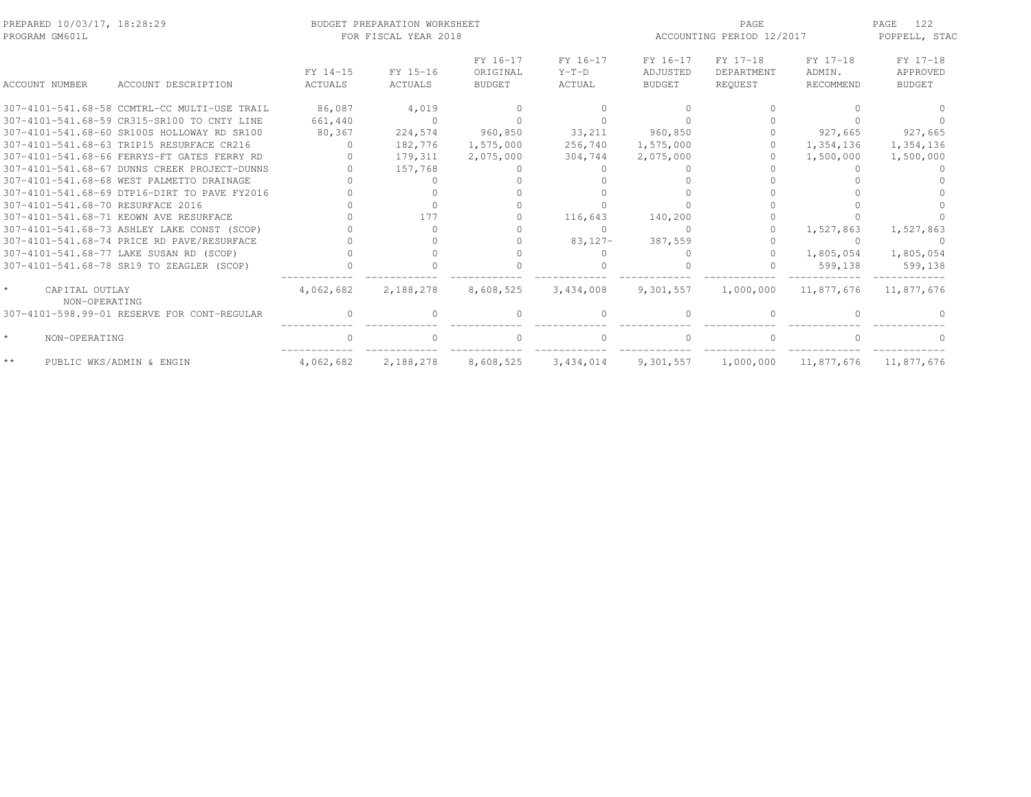| PREPARED 10/03/17, 18:28:29<br>PROGRAM GM601L |                                              |              | BUDGET PREPARATION WORKSHEET<br>FOR FISCAL YEAR 2018 |                      |                     | ACCOUNTING PERIOD 12/2017 | PAGE<br>122<br>POPPELL, STAC |                    |                      |
|-----------------------------------------------|----------------------------------------------|--------------|------------------------------------------------------|----------------------|---------------------|---------------------------|------------------------------|--------------------|----------------------|
|                                               |                                              | FY 14-15     | FY 15-16                                             | FY 16-17<br>ORIGINAL | FY 16-17<br>$Y-T-D$ | FY 16-17<br>ADJUSTED      | FY 17-18<br>DEPARTMENT       | FY 17-18<br>ADMIN. | FY 17-18<br>APPROVED |
| <b>ACCOUNT NUMBER</b>                         | ACCOUNT DESCRIPTION                          | ACTUALS      | ACTUALS                                              | <b>BUDGET</b>        | ACTUAL              | <b>BUDGET</b>             | REQUEST                      | RECOMMEND          | <b>BUDGET</b>        |
|                                               | 307-4101-541.68-58 CCMTRL-CC MULTI-USE TRAIL | 86,087       | 4,019                                                |                      |                     |                           |                              |                    |                      |
|                                               | 307-4101-541.68-59 CR315-SR100 TO CNTY LINE  | 661,440      | <sup>0</sup>                                         |                      |                     |                           |                              |                    |                      |
|                                               | 307-4101-541.68-60 SR100S HOLLOWAY RD SR100  | 80,367       | 224,574                                              | 960,850              | 33,211              | 960,850                   |                              | 927,665            | 927,665              |
|                                               | 307-4101-541.68-63 TRIP15 RESURFACE CR216    | $\Omega$     | 182,776                                              | 1,575,000            | 256,740             | 1,575,000                 |                              | 1,354,136          | 1,354,136            |
|                                               | 307-4101-541.68-66 FERRYS-FT GATES FERRY RD  |              | 179,311                                              | 2,075,000            | 304,744             | 2,075,000                 |                              | 1,500,000          | 1,500,000            |
|                                               | 307-4101-541.68-67 DUNNS CREEK PROJECT-DUNNS |              | 157,768                                              |                      |                     |                           |                              |                    |                      |
|                                               | 307-4101-541.68-68 WEST PALMETTO DRAINAGE    |              |                                                      |                      |                     |                           |                              |                    |                      |
|                                               | 307-4101-541.68-69 DTP16-DIRT TO PAVE FY2016 |              |                                                      |                      |                     |                           |                              |                    |                      |
| 307-4101-541.68-70 RESURFACE 2016             |                                              |              |                                                      |                      |                     |                           |                              |                    |                      |
|                                               | 307-4101-541.68-71 KEOWN AVE RESURFACE       |              | 177                                                  |                      | 116,643             | 140,200                   |                              |                    |                      |
|                                               | 307-4101-541.68-73 ASHLEY LAKE CONST (SCOP)  |              |                                                      |                      | $\Omega$            |                           |                              | 1,527,863          | 1,527,863            |
|                                               | 307-4101-541.68-74 PRICE RD PAVE/RESURFACE   |              |                                                      |                      | $83,127-$           | 387,559                   |                              | $\Omega$           |                      |
|                                               | 307-4101-541.68-77 LAKE SUSAN RD (SCOP)      |              |                                                      |                      |                     |                           |                              | 1,805,054          | 1,805,054            |
|                                               | 307-4101-541.68-78 SR19 TO ZEAGLER (SCOP)    |              |                                                      |                      |                     |                           |                              | 599,138            | 599,138              |
| CAPITAL OUTLAY<br>NON-OPERATING               |                                              | 4,062,682    | 2,188,278                                            | 8,608,525            | 3,434,008           | 9,301,557                 | 1,000,000                    | 11,877,676         | 11,877,676           |
|                                               | 307-4101-598.99-01 RESERVE FOR CONT-REGULAR  |              |                                                      |                      | $\cap$              |                           |                              |                    |                      |
| NON-OPERATING                                 |                                              | $\mathbf{0}$ | $\Omega$                                             | $\Omega$             | $\Omega$            |                           | $\Omega$                     |                    |                      |
| $\star\,\star$                                | PUBLIC WKS/ADMIN & ENGIN                     | 4,062,682    | 2,188,278                                            | 8,608,525            | 3,434,014           | 9,301,557                 | 1,000,000                    | 11,877,676         | 11,877,676           |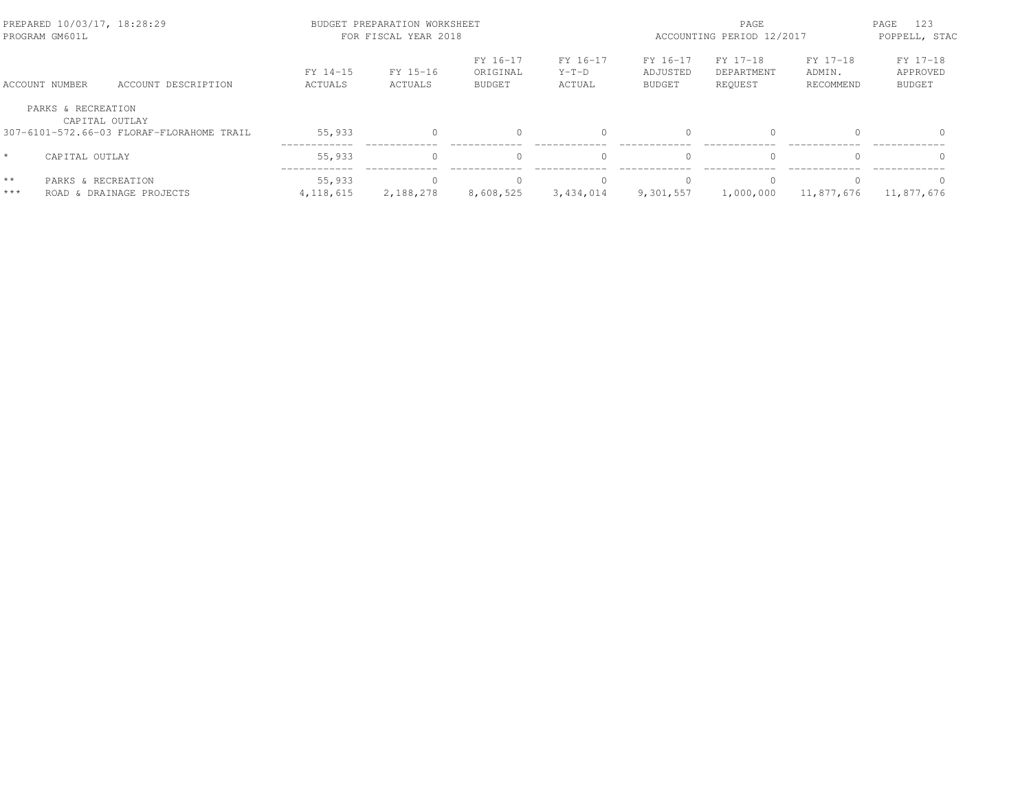| PREPARED 10/03/17, 18:28:29<br>PROGRAM GM601L |                                           |                       | BUDGET PREPARATION WORKSHEET<br>FOR FISCAL YEAR 2018 |                                       | PAGE<br>ACCOUNTING PERIOD 12/2017 |                                       |                                   | PAGE<br>123<br>POPPELL, STAC    |                                       |
|-----------------------------------------------|-------------------------------------------|-----------------------|------------------------------------------------------|---------------------------------------|-----------------------------------|---------------------------------------|-----------------------------------|---------------------------------|---------------------------------------|
| ACCOUNT NUMBER                                | ACCOUNT DESCRIPTION                       | FY 14-15<br>ACTUALS   | FY 15-16<br>ACTUALS                                  | FY 16-17<br>ORIGINAL<br><b>BUDGET</b> | FY 16-17<br>$Y-T-D$<br>ACTUAL     | FY 16-17<br>ADJUSTED<br><b>BUDGET</b> | FY 17-18<br>DEPARTMENT<br>REOUEST | FY 17-18<br>ADMIN.<br>RECOMMEND | FY 17-18<br>APPROVED<br><b>BUDGET</b> |
| PARKS & RECREATION<br>CAPITAL OUTLAY          | 307-6101-572.66-03 FLORAF-FLORAHOME TRAIL | 55,933                |                                                      |                                       |                                   | $\bigcap$                             | $\Omega$                          |                                 | $\Omega$                              |
| $\star$<br>CAPITAL OUTLAY                     |                                           | 55,933                |                                                      |                                       |                                   | $\bigcap$                             | $\Omega$                          |                                 | $\Omega$                              |
| $**$<br>PARKS & RECREATION<br>$***$<br>ROAD   | & DRAINAGE PROJECTS                       | 55,933<br>4, 118, 615 | 2,188,278                                            | 8,608,525                             | 3,434,014                         | 9,301,557                             | $\Omega$<br>1,000,000             | 11,877,676                      | $\Omega$<br>11,877,676                |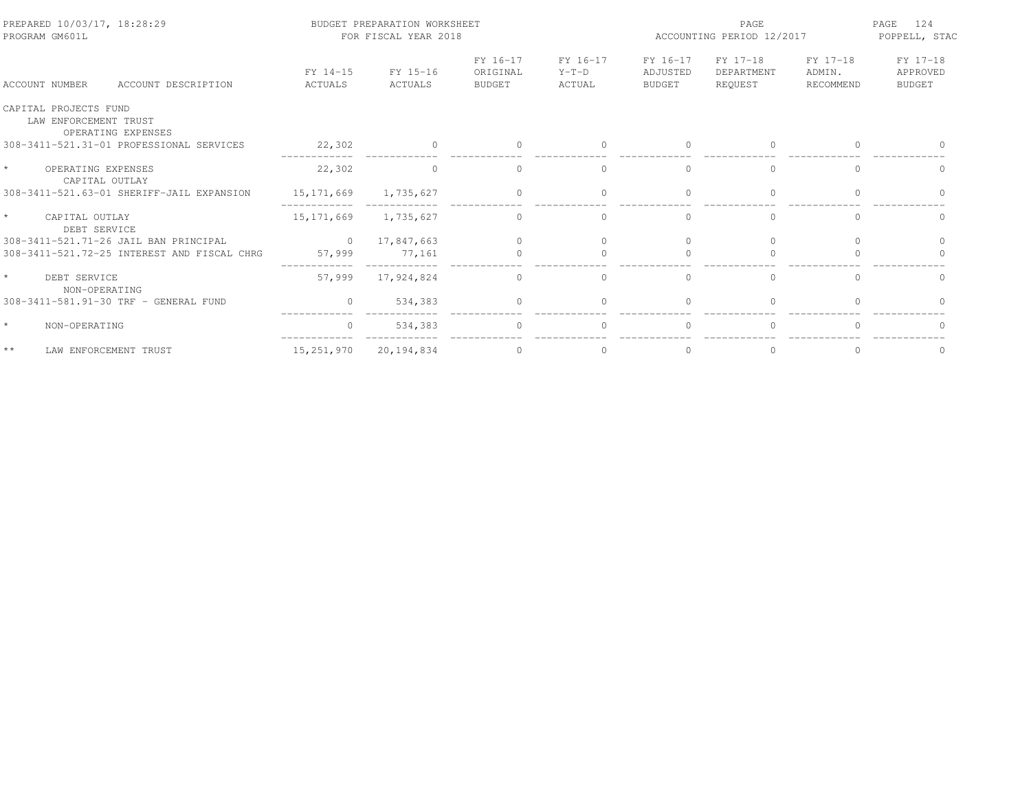| PREPARED 10/03/17, 18:28:29<br>PROGRAM GM601L                        |                     | BUDGET PREPARATION WORKSHEET<br>FOR FISCAL YEAR 2018 |                                       | PAGE<br>ACCOUNTING PERIOD 12/2017 |                                       |                                   | 124<br>PAGE<br>POPPELL, STAC    |                                       |
|----------------------------------------------------------------------|---------------------|------------------------------------------------------|---------------------------------------|-----------------------------------|---------------------------------------|-----------------------------------|---------------------------------|---------------------------------------|
| ACCOUNT NUMBER<br>ACCOUNT DESCRIPTION                                | FY 14-15<br>ACTUALS | FY 15-16<br>ACTUALS                                  | FY 16-17<br>ORIGINAL<br><b>BUDGET</b> | FY 16-17<br>$Y-T-D$<br>ACTUAL     | FY 16-17<br>ADJUSTED<br><b>BUDGET</b> | FY 17-18<br>DEPARTMENT<br>REQUEST | FY 17-18<br>ADMIN.<br>RECOMMEND | FY 17-18<br>APPROVED<br><b>BUDGET</b> |
| CAPITAL PROJECTS FUND<br>LAW ENFORCEMENT TRUST<br>OPERATING EXPENSES |                     |                                                      |                                       |                                   |                                       |                                   |                                 |                                       |
| 308-3411-521.31-01 PROFESSIONAL SERVICES                             | 22,302              | $\circ$                                              | $\Omega$                              | $\circ$                           | $\Omega$                              | $\mathbf{0}$                      | $\Omega$                        |                                       |
| $\star$<br>OPERATING EXPENSES<br>CAPITAL OUTLAY                      | 22,302              |                                                      |                                       | 0                                 |                                       |                                   |                                 |                                       |
| 308-3411-521.63-01 SHERIFF-JAIL EXPANSION                            | 15,171,669          | 1,735,627                                            |                                       | $\Omega$                          | $\cap$                                | $\Omega$                          | $\cap$                          |                                       |
| $\star$<br>CAPITAL OUTLAY<br>DEBT SERVICE                            | 15, 171, 669        | 1,735,627                                            | $\mathbf{0}$                          | $\circ$                           | $\Omega$                              | $\circ$                           | $\Omega$                        |                                       |
| 308-3411-521.71-26 JAIL BAN PRINCIPAL                                | $\overline{0}$      | 17,847,663                                           |                                       | $\Omega$                          |                                       | $\Omega$                          | $\cap$                          |                                       |
| 308-3411-521.72-25 INTEREST AND FISCAL CHRG                          | 57,999              | 77,161                                               |                                       | $\Omega$                          |                                       |                                   |                                 |                                       |
| $\star$<br>DEBT SERVICE<br>NON-OPERATING                             | 57,999              | 17,924,824                                           | $\bigcap$                             | $\Omega$                          |                                       | $\Omega$                          |                                 |                                       |
| 308-3411-581.91-30 TRF - GENERAL FUND                                | $\circ$             | 534,383                                              |                                       |                                   |                                       | $\cap$                            |                                 |                                       |
| $\star$<br>NON-OPERATING                                             | $\circ$             | 534,383                                              | $\Omega$                              | $\circ$                           |                                       | $\Omega$                          | $\Omega$                        |                                       |
| $\star$ $\star$<br>LAW ENFORCEMENT TRUST                             | 15,251,970          | 20,194,834                                           | $\Omega$                              | $\Omega$                          |                                       | $\mathbf{0}$                      |                                 |                                       |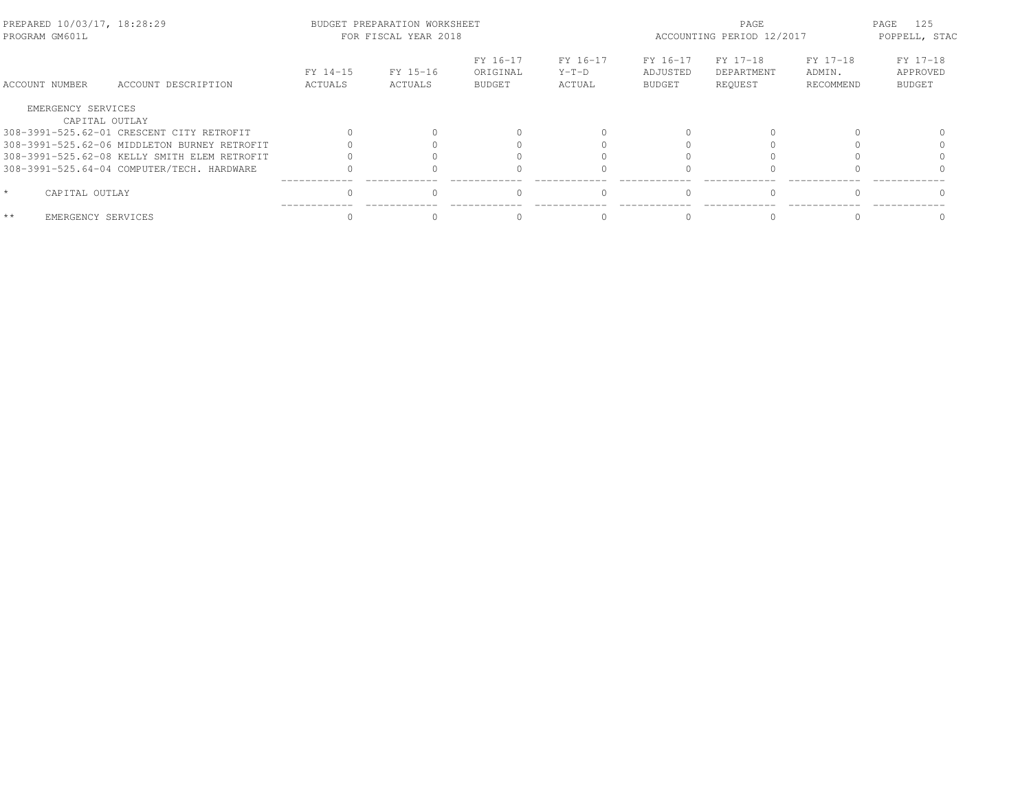| PREPARED 10/03/17, 18:28:29<br>PROGRAM GM601L |                    |                                              |                     | BUDGET PREPARATION WORKSHEET<br>FOR FISCAL YEAR 2018 |                                       |                               | ACCOUNTING PERIOD 12/2017             | 12.5<br>PAGE<br>POPPELL, STAC     |                                 |                                       |
|-----------------------------------------------|--------------------|----------------------------------------------|---------------------|------------------------------------------------------|---------------------------------------|-------------------------------|---------------------------------------|-----------------------------------|---------------------------------|---------------------------------------|
| ACCOUNT NUMBER                                |                    | ACCOUNT DESCRIPTION                          | FY 14-15<br>ACTUALS | FY 15-16<br>ACTUALS                                  | FY 16-17<br>ORIGINAL<br><b>BUDGET</b> | FY 16-17<br>$Y-T-D$<br>ACTUAL | FY 16-17<br>ADJUSTED<br><b>BUDGET</b> | FY 17-18<br>DEPARTMENT<br>REQUEST | FY 17-18<br>ADMIN.<br>RECOMMEND | FY 17-18<br>APPROVED<br><b>BUDGET</b> |
|                                               | EMERGENCY SERVICES |                                              |                     |                                                      |                                       |                               |                                       |                                   |                                 |                                       |
|                                               | CAPITAL OUTLAY     |                                              |                     |                                                      |                                       |                               |                                       |                                   |                                 |                                       |
|                                               |                    | 308-3991-525.62-01 CRESCENT CITY RETROFIT    |                     |                                                      |                                       |                               |                                       |                                   |                                 |                                       |
|                                               |                    | 308-3991-525.62-06 MIDDLETON BURNEY RETROFIT |                     |                                                      |                                       |                               |                                       |                                   |                                 |                                       |
|                                               |                    | 308-3991-525.62-08 KELLY SMITH ELEM RETROFIT |                     |                                                      |                                       |                               |                                       |                                   |                                 |                                       |
|                                               |                    | 308-3991-525.64-04 COMPUTER/TECH. HARDWARE   |                     |                                                      |                                       |                               |                                       |                                   |                                 |                                       |
| $\star$                                       | CAPITAL OUTLAY     |                                              | $\cap$              |                                                      | $\Omega$                              |                               | $\bigcap$                             |                                   |                                 |                                       |
| $**$                                          | EMERGENCY SERVICES |                                              |                     |                                                      |                                       |                               |                                       |                                   |                                 |                                       |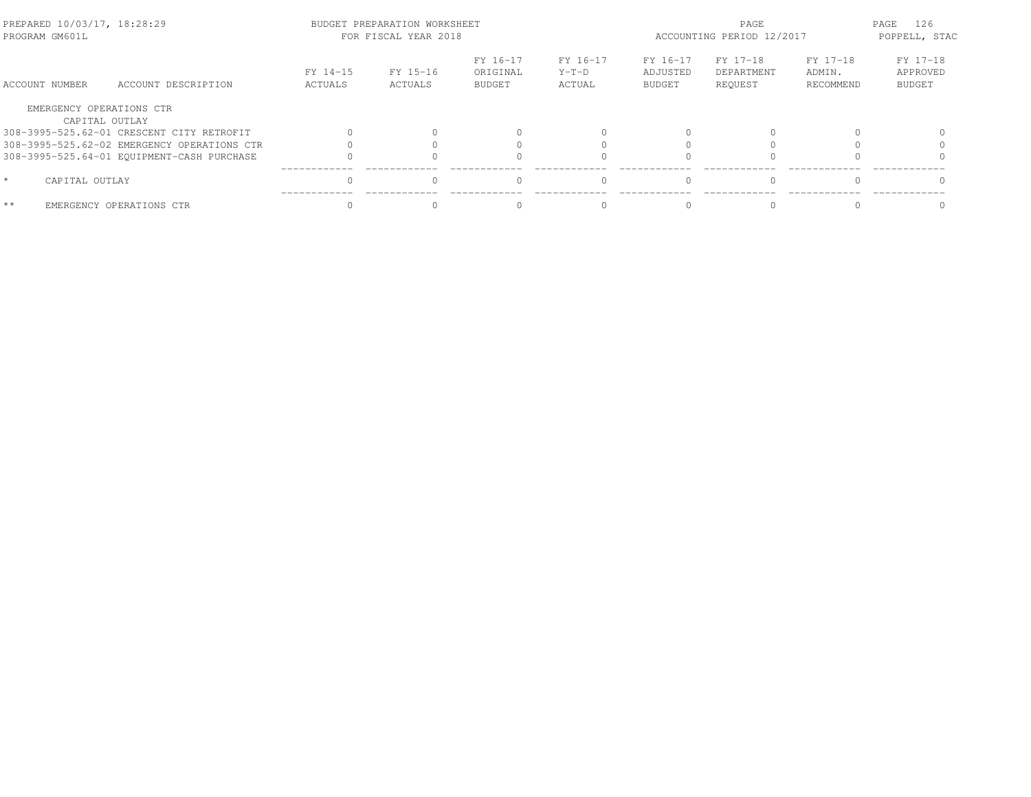| PREPARED 10/03/17, 18:28:29<br>PROGRAM GM601L |                                             |                     | BUDGET PREPARATION WORKSHEET<br>FOR FISCAL YEAR 2018 |                                       |                               | PAGE<br>ACCOUNTING PERIOD 12/2017 |                                   |                                 | 126<br>PAGE<br>POPPELL, STAC   |
|-----------------------------------------------|---------------------------------------------|---------------------|------------------------------------------------------|---------------------------------------|-------------------------------|-----------------------------------|-----------------------------------|---------------------------------|--------------------------------|
| ACCOUNT NUMBER                                | ACCOUNT DESCRIPTION                         | FY 14-15<br>ACTUALS | FY 15-16<br>ACTUALS                                  | FY 16-17<br>ORIGINAL<br><b>BUDGET</b> | FY 16-17<br>$Y-T-D$<br>ACTUAL | FY 16-17<br>ADJUSTED<br>BUDGET    | FY 17-18<br>DEPARTMENT<br>REQUEST | FY 17-18<br>ADMIN.<br>RECOMMEND | FY 17-18<br>APPROVED<br>BUDGET |
| EMERGENCY OPERATIONS CTR                      |                                             |                     |                                                      |                                       |                               |                                   |                                   |                                 |                                |
|                                               | CAPITAL OUTLAY                              |                     |                                                      |                                       |                               |                                   |                                   |                                 |                                |
|                                               | 308-3995-525.62-01 CRESCENT CITY RETROFIT   |                     |                                                      |                                       |                               |                                   |                                   |                                 |                                |
|                                               | 308-3995-525.62-02 EMERGENCY OPERATIONS CTR |                     |                                                      |                                       |                               |                                   |                                   |                                 |                                |
|                                               | 308-3995-525.64-01 EQUIPMENT-CASH PURCHASE  |                     |                                                      |                                       |                               |                                   |                                   |                                 |                                |
| $\star$<br>CAPITAL OUTLAY                     |                                             |                     |                                                      | $\Omega$                              |                               | $\cap$                            |                                   |                                 |                                |
| $**$                                          | EMERGENCY OPERATIONS CTR                    |                     |                                                      |                                       |                               |                                   |                                   |                                 |                                |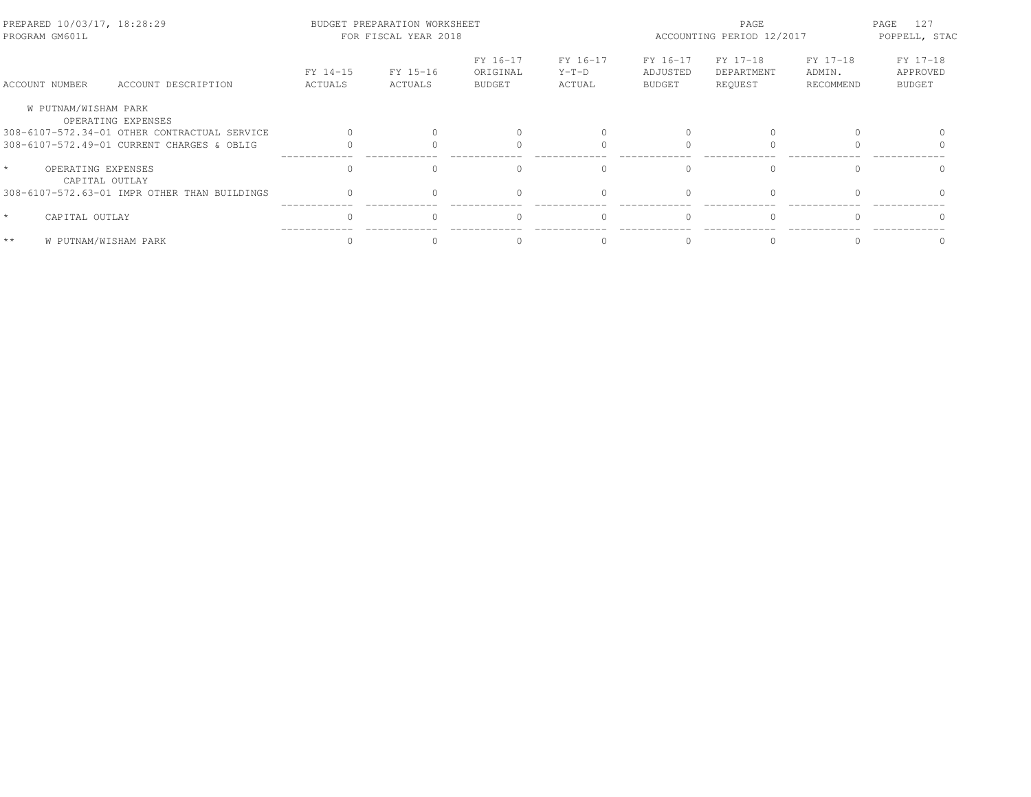| PREPARED 10/03/17, 18:28:29<br>PROGRAM GM601L   |                                              |                     | BUDGET PREPARATION WORKSHEET<br>FOR FISCAL YEAR 2018 |                                       |                               | PAGE<br>ACCOUNTING PERIOD 12/2017     |                                   |                                 | 127<br>PAGE<br>POPPELL, STAC          |
|-------------------------------------------------|----------------------------------------------|---------------------|------------------------------------------------------|---------------------------------------|-------------------------------|---------------------------------------|-----------------------------------|---------------------------------|---------------------------------------|
| ACCOUNT NUMBER                                  | ACCOUNT DESCRIPTION                          | FY 14-15<br>ACTUALS | FY 15-16<br>ACTUALS                                  | FY 16-17<br>ORIGINAL<br><b>BUDGET</b> | FY 16-17<br>$Y-T-D$<br>ACTUAL | FY 16-17<br>ADJUSTED<br><b>BUDGET</b> | FY 17-18<br>DEPARTMENT<br>REQUEST | FY 17-18<br>ADMIN.<br>RECOMMEND | FY 17-18<br>APPROVED<br><b>BUDGET</b> |
| W PUTNAM/WISHAM PARK                            | OPERATING EXPENSES                           |                     |                                                      |                                       |                               |                                       |                                   |                                 |                                       |
|                                                 | 308-6107-572.34-01 OTHER CONTRACTUAL SERVICE |                     |                                                      |                                       |                               |                                       |                                   |                                 |                                       |
|                                                 | 308-6107-572.49-01 CURRENT CHARGES & OBLIG   |                     |                                                      |                                       |                               |                                       |                                   |                                 |                                       |
| $\star$<br>OPERATING EXPENSES<br>CAPITAL OUTLAY |                                              |                     |                                                      |                                       |                               |                                       | $\cap$                            |                                 |                                       |
|                                                 | 308-6107-572.63-01 IMPR OTHER THAN BUILDINGS |                     |                                                      |                                       |                               |                                       |                                   |                                 |                                       |
| $\star$<br>CAPITAL OUTLAY                       |                                              | $\cap$              |                                                      | $\Omega$                              |                               | $\bigcap$                             | $\Omega$                          | $\cap$                          |                                       |
| $**$<br>W PUTNAM/WISHAM PARK                    |                                              |                     |                                                      |                                       |                               |                                       |                                   |                                 |                                       |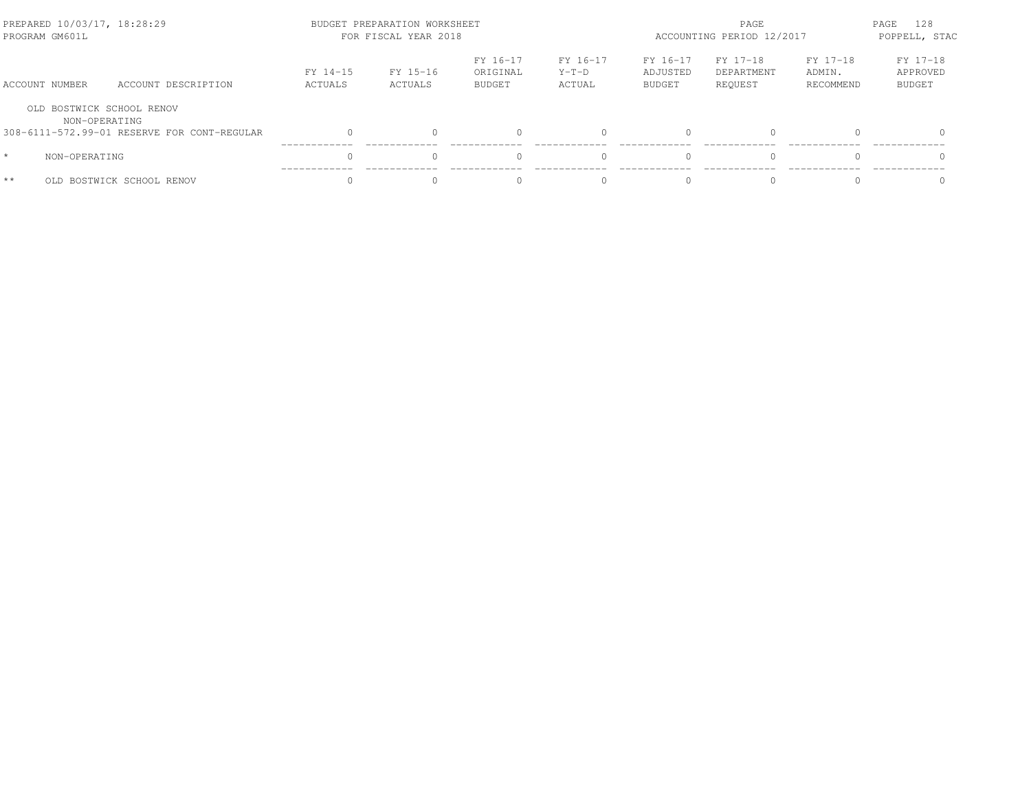| PREPARED 10/03/17, 18:28:29<br>PROGRAM GM601L |                                            |                                             |                     | BUDGET PREPARATION WORKSHEET<br>FOR FISCAL YEAR 2018 |                                       | PAGE<br>ACCOUNTING PERIOD 12/2017 |                                       |                                   | 128<br>PAGE<br>POPPELL, STAC    |                                       |
|-----------------------------------------------|--------------------------------------------|---------------------------------------------|---------------------|------------------------------------------------------|---------------------------------------|-----------------------------------|---------------------------------------|-----------------------------------|---------------------------------|---------------------------------------|
|                                               | ACCOUNT NUMBER                             | ACCOUNT DESCRIPTION                         | FY 14-15<br>ACTUALS | FY 15-16<br>ACTUALS                                  | FY 16-17<br>ORIGINAL<br><b>BUDGET</b> | FY 16-17<br>$Y-T-D$<br>ACTUAL     | FY 16-17<br>ADJUSTED<br><b>BUDGET</b> | FY 17-18<br>DEPARTMENT<br>REOUEST | FY 17-18<br>ADMIN.<br>RECOMMEND | FY 17-18<br>APPROVED<br><b>BUDGET</b> |
|                                               | OLD BOSTWICK SCHOOL RENOV<br>NON-OPERATING |                                             |                     |                                                      |                                       |                                   |                                       |                                   |                                 |                                       |
|                                               |                                            | 308-6111-572.99-01 RESERVE FOR CONT-REGULAR | $\Omega$            |                                                      |                                       |                                   |                                       | $\Omega$                          |                                 | $\bigcap$                             |
| $\star$                                       | NON-OPERATING                              |                                             |                     |                                                      |                                       |                                   |                                       | $\bigcap$                         |                                 | $\Omega$                              |
| $**$                                          | OLD.                                       | BOSTWICK SCHOOL RENOV                       | U                   |                                                      |                                       | $\Omega$                          |                                       | $\Omega$                          |                                 |                                       |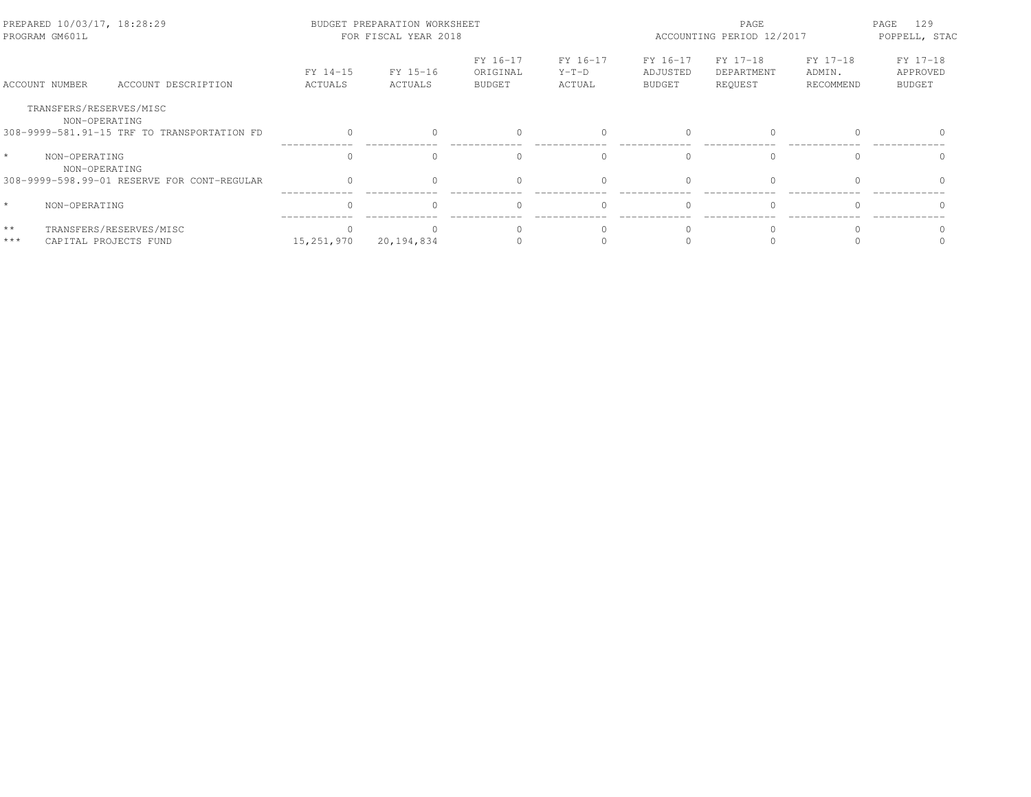| PREPARED 10/03/17, 18:28:29<br>PROGRAM GM601L |                                                                                         | BUDGET PREPARATION WORKSHEET<br>FOR FISCAL YEAR 2018 |                     |                                       |                               |                                       | PAGE<br>ACCOUNTING PERIOD 12/2017 |                                 |                                       |
|-----------------------------------------------|-----------------------------------------------------------------------------------------|------------------------------------------------------|---------------------|---------------------------------------|-------------------------------|---------------------------------------|-----------------------------------|---------------------------------|---------------------------------------|
| ACCOUNT NUMBER                                | ACCOUNT DESCRIPTION                                                                     | FY 14-15<br>ACTUALS                                  | FY 15-16<br>ACTUALS | FY 16-17<br>ORIGINAL<br><b>BUDGET</b> | FY 16-17<br>$Y-T-D$<br>ACTUAL | FY 16-17<br>ADJUSTED<br><b>BUDGET</b> | FY 17-18<br>DEPARTMENT<br>REOUEST | FY 17-18<br>ADMIN.<br>RECOMMEND | FY 17-18<br>APPROVED<br><b>BUDGET</b> |
|                                               | TRANSFERS/RESERVES/MISC<br>NON-OPERATING<br>308-9999-581.91-15 TRF TO TRANSPORTATION FD |                                                      |                     |                                       |                               |                                       |                                   |                                 |                                       |
| $\star$<br>NON-OPERATING                      | NON-OPERATING                                                                           | U                                                    |                     |                                       | $\cap$                        |                                       | $\bigcap$                         |                                 |                                       |
|                                               | 308-9999-598.99-01 RESERVE FOR CONT-REGULAR                                             | $\cap$                                               |                     |                                       |                               |                                       | $\bigcap$                         |                                 |                                       |
| $\star$<br>NON-OPERATING                      |                                                                                         | $\Omega$                                             |                     |                                       | $\Omega$                      | $\cap$                                | $\mathbf{0}$                      | $\cap$                          | $\Omega$                              |
| $\star\,\star$<br>$***$                       | TRANSFERS/RESERVES/MISC<br>CAPITAL PROJECTS FUND                                        | 15,251,970                                           | 20,194,834          |                                       |                               |                                       |                                   |                                 |                                       |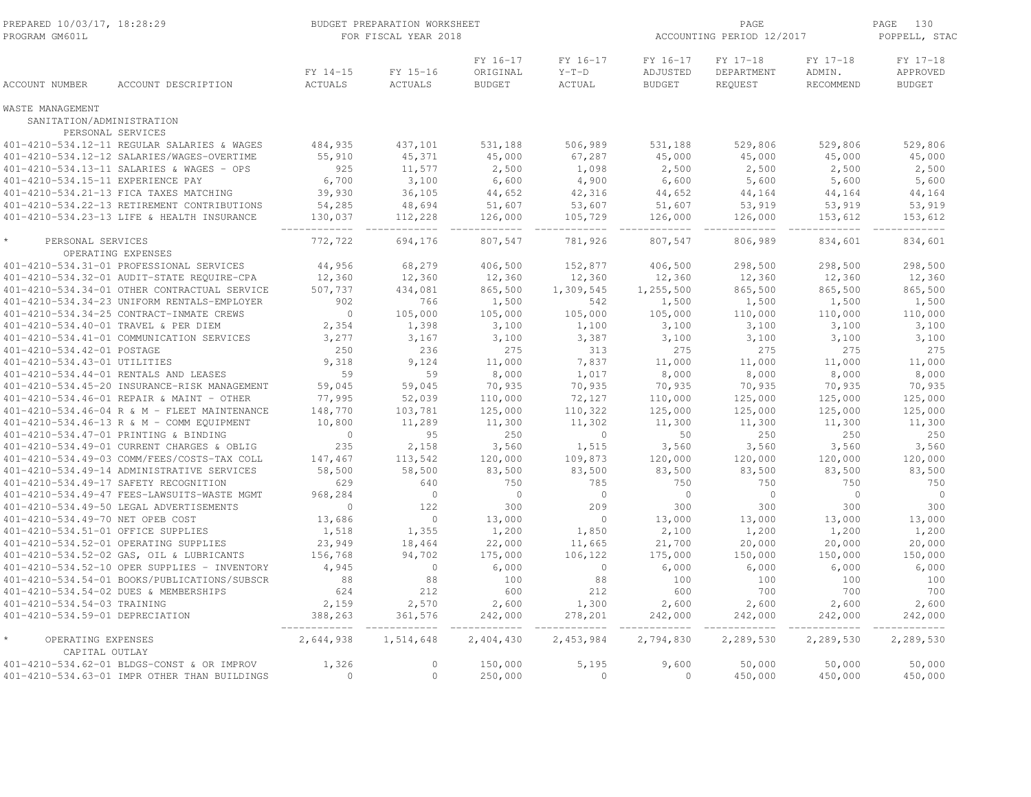| PREPARED 10/03/17, 18:28:29<br>PROGRAM GM601L |                                                                | BUDGET PREPARATION WORKSHEET<br>FOR FISCAL YEAR 2018 |                     |                                       |                               |                                       | PAGE<br>ACCOUNTING PERIOD 12/2017 |                                 |                                       |  |
|-----------------------------------------------|----------------------------------------------------------------|------------------------------------------------------|---------------------|---------------------------------------|-------------------------------|---------------------------------------|-----------------------------------|---------------------------------|---------------------------------------|--|
| <b>ACCOUNT NUMBER</b>                         | ACCOUNT DESCRIPTION                                            | FY 14-15<br><b>ACTUALS</b>                           | FY 15-16<br>ACTUALS | FY 16-17<br>ORIGINAL<br><b>BUDGET</b> | FY 16-17<br>$Y-T-D$<br>ACTUAL | FY 16-17<br>ADJUSTED<br><b>BUDGET</b> | FY 17-18<br>DEPARTMENT<br>REQUEST | FY 17-18<br>ADMIN.<br>RECOMMEND | FY 17-18<br>APPROVED<br><b>BUDGET</b> |  |
| WASTE MANAGEMENT                              |                                                                |                                                      |                     |                                       |                               |                                       |                                   |                                 |                                       |  |
| SANITATION/ADMINISTRATION                     |                                                                |                                                      |                     |                                       |                               |                                       |                                   |                                 |                                       |  |
|                                               | PERSONAL SERVICES                                              |                                                      |                     |                                       |                               |                                       |                                   |                                 |                                       |  |
|                                               | 401-4210-534.12-11 REGULAR SALARIES & WAGES                    | 484,935                                              | 437,101             | 531,188                               | 506,989                       | 531,188                               | 529,806                           | 529,806                         | 529,806                               |  |
|                                               | 401-4210-534.12-12 SALARIES/WAGES-OVERTIME                     | 55,910                                               | 45,371              | 45,000                                | 67,287                        | 45,000                                | 45,000                            | 45,000                          | 45,000                                |  |
|                                               | 401-4210-534.13-11 SALARIES & WAGES - OPS                      | 925                                                  | 11,577              | 2,500                                 | 1,098                         | 2,500                                 | 2,500                             | 2,500                           | 2,500                                 |  |
| 401-4210-534.15-11 EXPERIENCE PAY             |                                                                | 6,700                                                | 3,100               | 6,600                                 | 4,900                         | 6,600                                 | 5,600                             | 5,600                           | 5,600                                 |  |
|                                               | 401-4210-534.21-13 FICA TAXES MATCHING                         | 39,930                                               | 36,105              | 44,652                                | 42,316                        | 44,652                                | 44,164                            | 44,164                          | 44,164                                |  |
|                                               | 401-4210-534.22-13 RETIREMENT CONTRIBUTIONS                    | 54,285                                               | 48,694              | 51,607                                | 53,607                        | 51,607                                | 53,919                            | 53,919                          | 53,919                                |  |
|                                               | 401-4210-534.23-13 LIFE & HEALTH INSURANCE                     | 130,037                                              | 112,228             | 126,000                               | 105,729                       | 126,000                               | 126,000                           | 153,612                         | 153,612                               |  |
| PERSONAL SERVICES                             |                                                                | 772,722                                              | 694,176             | 807,547                               | 781,926                       | 807,547                               | 806,989                           | 834,601                         | 834,601                               |  |
|                                               | OPERATING EXPENSES<br>401-4210-534.31-01 PROFESSIONAL SERVICES | 44,956                                               | 68,279              | 406,500                               | 152,877                       | 406,500                               | 298,500                           | 298,500                         | 298,500                               |  |
|                                               | 401-4210-534.32-01 AUDIT-STATE REQUIRE-CPA                     | 12,360                                               | 12,360              | 12,360                                | 12,360                        | 12,360                                | 12,360                            | 12,360                          | 12,360                                |  |
|                                               | 401-4210-534.34-01 OTHER CONTRACTUAL SERVICE                   | 507,737                                              | 434,081             | 865,500                               | 1,309,545                     | 1,255,500                             | 865,500                           | 865,500                         | 865,500                               |  |
|                                               | 401-4210-534.34-23 UNIFORM RENTALS-EMPLOYER                    | 902                                                  | 766                 | 1,500                                 | 542                           | 1,500                                 | 1,500                             | 1,500                           | 1,500                                 |  |
|                                               | 401-4210-534.34-25 CONTRACT-INMATE CREWS                       | $\mathbf{0}$                                         | 105,000             | 105,000                               | 105,000                       | 105,000                               | 110,000                           | 110,000                         | 110,000                               |  |
|                                               | 401-4210-534.40-01 TRAVEL & PER DIEM                           | 2,354                                                | 1,398               | 3,100                                 | 1,100                         | 3,100                                 | 3,100                             | 3,100                           | 3,100                                 |  |
|                                               | 401-4210-534.41-01 COMMUNICATION SERVICES                      | 3,277                                                | 3,167               | 3,100                                 | 3,387                         | 3,100                                 | 3,100                             | 3,100                           | 3,100                                 |  |
| 401-4210-534.42-01 POSTAGE                    |                                                                | 250                                                  | 236                 | 275                                   | 313                           | 275                                   | 275                               | 275                             | 275                                   |  |
| 401-4210-534.43-01 UTILITIES                  |                                                                | 9,318                                                | 9,124               | 11,000                                | 7,837                         | 11,000                                | 11,000                            | 11,000                          | 11,000                                |  |
|                                               | 401-4210-534.44-01 RENTALS AND LEASES                          | 59                                                   | 59                  | 8,000                                 | 1,017                         | 8,000                                 | 8,000                             | 8,000                           | 8,000                                 |  |
|                                               | 401-4210-534.45-20 INSURANCE-RISK MANAGEMENT                   | 59,045                                               | 59,045              | 70,935                                | 70,935                        | 70,935                                | 70,935                            | 70,935                          | 70,935                                |  |
|                                               | 401-4210-534.46-01 REPAIR & MAINT - OTHER                      | 77,995                                               | 52,039              | 110,000                               | 72,127                        | 110,000                               | 125,000                           | 125,000                         | 125,000                               |  |
|                                               | 401-4210-534.46-04 R & M - FLEET MAINTENANCE                   | 148,770                                              | 103,781             | 125,000                               | 110,322                       | 125,000                               | 125,000                           | 125,000                         | 125,000                               |  |
|                                               | 401-4210-534.46-13 R & M - COMM EQUIPMENT                      | 10,800                                               | 11,289              | 11,300                                | 11,302                        | 11,300                                | 11,300                            | 11,300                          | 11,300                                |  |
|                                               | 401-4210-534.47-01 PRINTING & BINDING                          | $\circ$                                              | 95                  | 250                                   | $\circ$                       | 50                                    | 250                               | 250                             | 250                                   |  |
|                                               | 401-4210-534.49-01 CURRENT CHARGES & OBLIG                     | 235                                                  | 2,158               | 3,560                                 | 1,515                         | 3,560                                 | 3,560                             | 3,560                           | 3,560                                 |  |
|                                               | 401-4210-534.49-03 COMM/FEES/COSTS-TAX COLL                    | 147,467                                              | 113,542             | 120,000                               | 109,873                       | 120,000                               | 120,000                           | 120,000                         | 120,000                               |  |
|                                               | 401-4210-534.49-14 ADMINISTRATIVE SERVICES                     | 58,500                                               | 58,500              | 83,500                                | 83,500                        | 83,500                                | 83,500                            | 83,500                          | 83,500                                |  |
|                                               | 401-4210-534.49-17 SAFETY RECOGNITION                          | 629                                                  | 640                 | 750                                   | 785                           | 750                                   | 750                               | 750                             | 750                                   |  |
|                                               | 401-4210-534.49-47 FEES-LAWSUITS-WASTE MGMT                    | 968,284                                              | $\overline{0}$      | $\overline{0}$                        | $\overline{0}$                | $\overline{0}$                        | $\mathbf{0}$                      | $\overline{0}$                  | $\overline{0}$                        |  |
|                                               | 401-4210-534.49-50 LEGAL ADVERTISEMENTS                        | $\Omega$                                             | 122                 | 300                                   | 209                           | 300                                   | 300                               | 300                             | 300                                   |  |
| 401-4210-534.49-70 NET OPEB COST              |                                                                | 13,686                                               | $\circ$             | 13,000                                | $\mathbf{0}$                  | 13,000                                | 13,000                            | 13,000                          | 13,000                                |  |
| 401-4210-534.51-01 OFFICE SUPPLIES            |                                                                | 1,518                                                | 1,355               | 1,200                                 | 1,850                         | 2,100                                 | 1,200                             | 1,200                           | 1,200                                 |  |
|                                               | 401-4210-534.52-01 OPERATING SUPPLIES                          | 23,949                                               | 18,464              | 22,000                                | 11,665                        | 21,700                                | 20,000                            | 20,000                          | 20,000                                |  |
|                                               | 401-4210-534.52-02 GAS, OIL & LUBRICANTS                       | 156,768                                              | 94,702              | 175,000                               | 106,122                       | 175,000                               | 150,000                           | 150,000                         | 150,000                               |  |
|                                               | 401-4210-534.52-10 OPER SUPPLIES - INVENTORY                   | 4,945                                                | $\circ$             | 6,000                                 | $\circ$                       | 6,000                                 | 6,000                             | 6,000                           | 6,000                                 |  |
|                                               | 401-4210-534.54-01 BOOKS/PUBLICATIONS/SUBSCR                   | 88                                                   | 88                  | 100                                   | 88                            | 100                                   | 100                               | 100                             | 100                                   |  |
|                                               | 401-4210-534.54-02 DUES & MEMBERSHIPS                          | 624                                                  | 212                 | 600                                   | 212                           | 600                                   | 700                               | 700                             | 700                                   |  |
| 401-4210-534.54-03 TRAINING                   |                                                                | 2,159                                                | 2,570               | 2,600                                 | 1,300                         | 2,600                                 | 2,600                             | 2,600                           | 2,600                                 |  |
| 401-4210-534.59-01 DEPRECIATION               |                                                                | 388,263<br>-------------                             | 361,576             | 242,000                               | 278,201                       | 242,000                               | 242,000                           | 242,000                         | 242,000                               |  |
| OPERATING EXPENSES<br>CAPITAL OUTLAY          |                                                                | 2,644,938                                            | 1,514,648           | 2,404,430                             | 2,453,984                     | 2,794,830                             | 2,289,530                         | 2,289,530                       | 2,289,530                             |  |
|                                               | 401-4210-534.62-01 BLDGS-CONST & OR IMPROV                     | 1,326                                                | $\circ$             | 150,000                               | 5,195                         | 9,600                                 | 50,000                            | 50,000                          | 50,000                                |  |
|                                               | 401-4210-534.63-01 IMPR OTHER THAN BUILDINGS                   | $\mathbf{0}$                                         | $\circ$             | 250,000                               | $\circ$                       | $\mathbf{0}$                          | 450,000                           | 450,000                         | 450,000                               |  |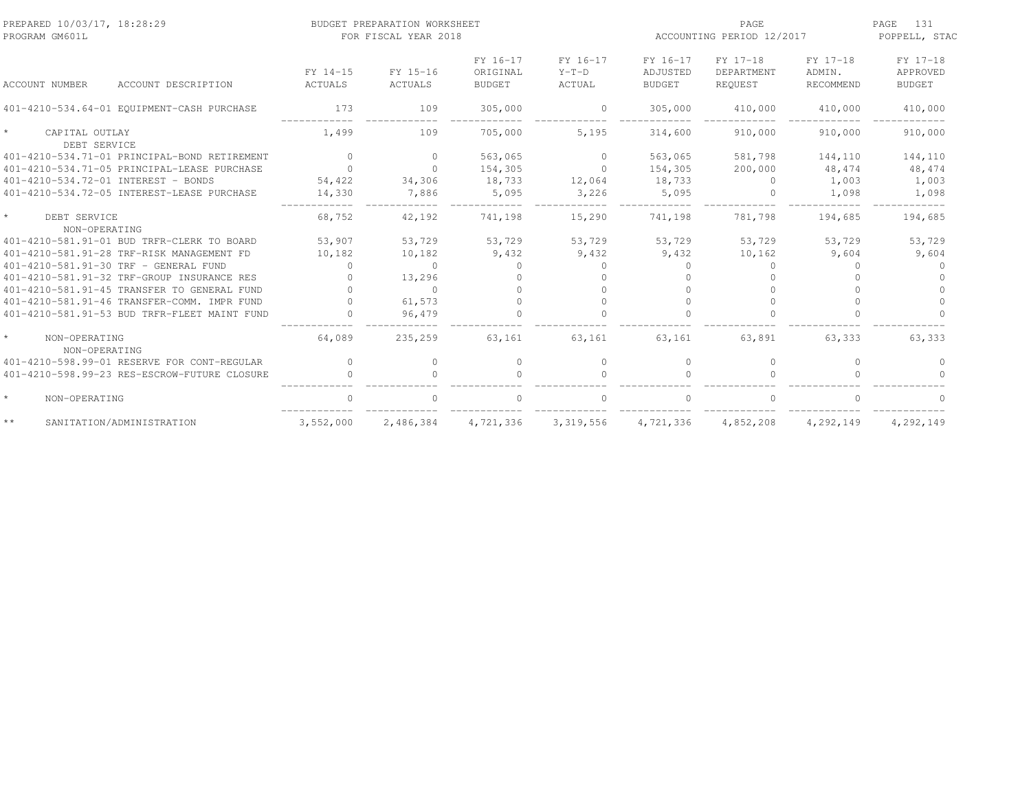| PREPARED 10/03/17, 18:28:29<br>PROGRAM GM601L |                            | BUDGET PREPARATION WORKSHEET<br>FOR FISCAL YEAR 2018 |                                       |                                      | PAGE<br>ACCOUNTING PERIOD 12/2017     |                                   |                                        | 131<br>PAGE<br>POPPELL, STAC          |
|-----------------------------------------------|----------------------------|------------------------------------------------------|---------------------------------------|--------------------------------------|---------------------------------------|-----------------------------------|----------------------------------------|---------------------------------------|
| <b>ACCOUNT NUMBER</b><br>ACCOUNT DESCRIPTION  | FY 14-15<br><b>ACTUALS</b> | FY 15-16<br><b>ACTUALS</b>                           | FY 16-17<br>ORIGINAL<br><b>BUDGET</b> | FY 16-17<br>$Y-T-D$<br><b>ACTUAL</b> | FY 16-17<br>ADJUSTED<br><b>BUDGET</b> | FY 17-18<br>DEPARTMENT<br>REQUEST | FY 17-18<br>ADMIN.<br><b>RECOMMEND</b> | FY 17-18<br>APPROVED<br><b>BUDGET</b> |
| 401-4210-534.64-01 EQUIPMENT-CASH PURCHASE    | 173                        | 109                                                  | 305,000                               | $\Omega$                             | 305,000                               | 410,000                           | 410,000                                | 410,000                               |
| CAPITAL OUTLAY<br>DEBT SERVICE                | 1,499                      | 109                                                  | 705,000                               | 5,195                                | 314,600                               | 910,000                           | 910,000                                | 910,000                               |
| 401-4210-534.71-01 PRINCIPAL-BOND RETIREMENT  | $\Omega$                   | $\Omega$                                             | 563,065                               | $\circ$                              | 563,065                               | 581,798                           | 144,110                                | 144,110                               |
| 401-4210-534.71-05 PRINCIPAL-LEASE PURCHASE   | $\Omega$                   | $\cap$                                               | 154,305                               | $\Omega$                             | 154,305                               | 200,000                           | 48,474                                 | 48,474                                |
| 401-4210-534.72-01 INTEREST - BONDS           | 54,422                     | 34,306                                               | 18,733                                | 12,064                               | 18,733                                | $\Omega$                          | 1,003                                  | 1,003                                 |
| 401-4210-534.72-05 INTEREST-LEASE PURCHASE    | 14,330                     | 7,886                                                | 5,095                                 | 3,226                                | 5,095                                 | $\circ$                           | 1,098                                  | 1,098                                 |
| $\star$<br>DEBT SERVICE<br>NON-OPERATING      | 68,752                     | 42,192                                               | 741,198                               | 15,290                               | 741,198                               | 781,798                           | 194,685                                | 194,685                               |
| 401-4210-581.91-01 BUD TRFR-CLERK TO BOARD    | 53,907                     | 53,729                                               | 53,729                                | 53,729                               | 53,729                                | 53,729                            | 53,729                                 | 53,729                                |
| 401-4210-581.91-28 TRF-RISK MANAGEMENT FD     | 10,182                     | 10,182                                               | 9,432                                 | 9,432                                | 9,432                                 | 10,162                            | 9,604                                  | 9,604                                 |
| 401-4210-581.91-30 TRF - GENERAL FUND         | $\Omega$                   | $\cap$                                               | $\Omega$                              | $\bigcap$                            | $\bigcap$                             | $\bigcap$                         | $\Omega$                               |                                       |
| 401-4210-581.91-32 TRF-GROUP INSURANCE RES    | $\bigcap$                  | 13,296                                               | $\cap$                                | $\bigcap$                            | $\cap$                                |                                   | $\cap$                                 |                                       |
| 401-4210-581.91-45 TRANSFER TO GENERAL FUND   | $\cap$                     | $\cap$                                               | $\cap$                                | $\cap$                               |                                       |                                   | $\cap$                                 |                                       |
| 401-4210-581.91-46 TRANSFER-COMM. IMPR FUND   |                            | 61,573                                               |                                       |                                      |                                       |                                   |                                        |                                       |
| 401-4210-581.91-53 BUD TRFR-FLEET MAINT FUND  | $\Omega$                   | 96,479                                               | $\Omega$                              |                                      |                                       |                                   |                                        |                                       |
| NON-OPERATING<br>NON-OPERATING                | 64,089                     | 235,259                                              | 63,161                                | 63,161                               | 63,161                                | 63,891                            | 63,333                                 | 63,333                                |
| 401-4210-598.99-01 RESERVE FOR CONT-REGULAR   | $\bigcap$                  | $\Omega$                                             | $\circ$                               | $\Omega$                             | $\Omega$                              | $\Omega$                          | $\Omega$                               |                                       |
| 401-4210-598.99-23 RES-ESCROW-FUTURE CLOSURE  | $\Omega$                   |                                                      | $\cap$                                |                                      |                                       | $\cap$                            |                                        |                                       |
| $\star$<br>NON-OPERATING                      |                            |                                                      | $\cap$                                |                                      |                                       |                                   |                                        |                                       |
| $\star\,\star$<br>SANITATION/ADMINISTRATION   | 3,552,000                  | 2,486,384                                            | 4,721,336                             | 3,319,556                            | 4,721,336                             | 4,852,208                         | 4,292,149                              | 4,292,149                             |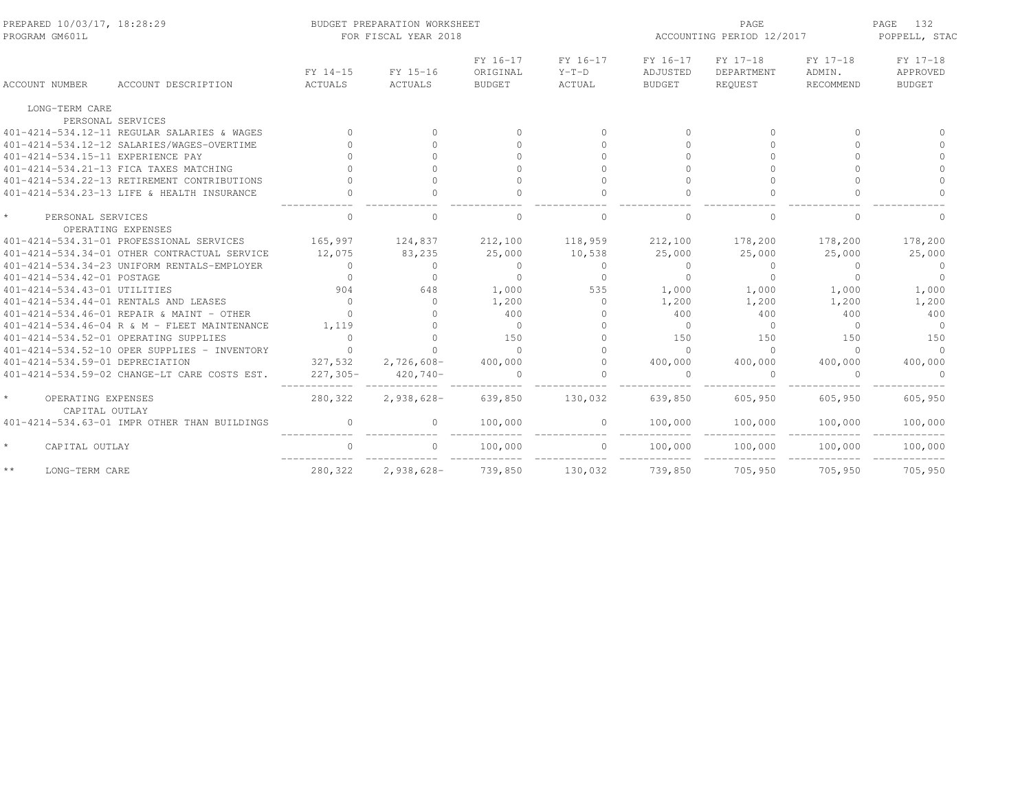| PREPARED 10/03/17, 18:28:29<br>PROGRAM GM601L |                            | BUDGET PREPARATION WORKSHEET<br>FOR FISCAL YEAR 2018 |                                       |                               | ACCOUNTING PERIOD 12/2017             | 132<br>PAGE<br>POPPELL, STAC      |                                 |                                       |
|-----------------------------------------------|----------------------------|------------------------------------------------------|---------------------------------------|-------------------------------|---------------------------------------|-----------------------------------|---------------------------------|---------------------------------------|
| ACCOUNT DESCRIPTION<br><b>ACCOUNT NUMBER</b>  | FY 14-15<br><b>ACTUALS</b> | FY 15-16<br><b>ACTUALS</b>                           | FY 16-17<br>ORIGINAL<br><b>BUDGET</b> | FY 16-17<br>$Y-T-D$<br>ACTUAL | FY 16-17<br>ADJUSTED<br><b>BUDGET</b> | FY 17-18<br>DEPARTMENT<br>REQUEST | FY 17-18<br>ADMIN.<br>RECOMMEND | FY 17-18<br>APPROVED<br><b>BUDGET</b> |
| LONG-TERM CARE                                |                            |                                                      |                                       |                               |                                       |                                   |                                 |                                       |
| PERSONAL SERVICES                             |                            |                                                      |                                       |                               |                                       |                                   |                                 |                                       |
| 401-4214-534.12-11 REGULAR SALARIES & WAGES   | $\bigcap$                  | $\Omega$                                             | $\Omega$                              | $\Omega$                      | $\Omega$                              | $\Omega$                          | $\Omega$                        |                                       |
| 401-4214-534.12-12 SALARIES/WAGES-OVERTIME    |                            | $\cap$                                               |                                       | $\Omega$                      |                                       |                                   | $\Omega$                        |                                       |
| 401-4214-534.15-11 EXPERIENCE PAY             |                            | $\cap$                                               |                                       | $\Omega$                      |                                       |                                   | $\Omega$                        |                                       |
| 401-4214-534.21-13 FICA TAXES MATCHING        |                            | $\cap$                                               |                                       | $\Omega$                      |                                       |                                   | $\cap$                          |                                       |
| 401-4214-534.22-13 RETIREMENT CONTRIBUTIONS   |                            | $\cap$                                               | $\Omega$                              | $\Omega$                      | $\cap$                                | $\cap$                            | $\cap$                          | $\Omega$                              |
| 401-4214-534.23-13 LIFE & HEALTH INSURANCE    | $\cap$                     | $\bigcap$                                            | $\Omega$                              | $\Omega$                      | $\cap$                                | $\Omega$                          | $\Omega$                        | $\Omega$                              |
| PERSONAL SERVICES<br>OPERATING EXPENSES       | $\Omega$                   | $\Omega$                                             | $\Omega$                              | $\circ$                       |                                       | $\Omega$                          | $\cap$                          | $\cap$                                |
| 401-4214-534.31-01 PROFESSIONAL SERVICES      |                            |                                                      |                                       |                               |                                       |                                   |                                 |                                       |
| 401-4214-534.34-01 OTHER CONTRACTUAL SERVICE  | 165,997<br>12,075          | 124,837<br>83,235                                    | 212,100                               | 118,959                       | 212,100                               | 178,200<br>25,000                 | 178,200                         | 178,200                               |
| 401-4214-534.34-23 UNIFORM RENTALS-EMPLOYER   | $\Omega$                   | $\Omega$                                             | 25,000<br>$\Omega$                    | 10,538<br>$\Omega$            | 25,000<br>$\Omega$                    | $\Omega$                          | 25,000<br>$\Omega$              | 25,000<br>$\Omega$                    |
| 401-4214-534.42-01 POSTAGE                    | $\cap$                     | $\Omega$                                             | $\Omega$                              | $\Omega$                      |                                       | $\cap$                            | $\cap$                          | $\Omega$                              |
| 401-4214-534.43-01 UTILITIES                  | 904                        | 648                                                  | 1,000                                 | 535                           | 1,000                                 | 1,000                             | 1,000                           | 1,000                                 |
| 401-4214-534.44-01 RENTALS AND LEASES         | $\cap$                     | $\Omega$                                             | 1,200                                 | $\mathbf{0}$                  | 1,200                                 | 1,200                             | 1,200                           |                                       |
| 401-4214-534.46-01 REPAIR & MAINT - OTHER     | $\bigcap$                  | $\cap$                                               | 400                                   | $\Omega$                      | 400                                   | 400                               | 400                             | 1,200<br>400                          |
| 401-4214-534.46-04 R & M - FLEET MAINTENANCE  | 1,119                      | $\cap$                                               | $\circ$                               | $\Omega$                      | $\bigcap$                             | $\circ$                           | $\Omega$                        | $\Omega$                              |
| 401-4214-534.52-01 OPERATING SUPPLIES         | $\Omega$                   | $\cap$                                               | 150                                   | $\Omega$                      | 150                                   | 150                               | 150                             | 150                                   |
| 401-4214-534.52-10 OPER SUPPLIES - INVENTORY  | $\Omega$                   |                                                      | $\Omega$                              |                               | $\bigcap$                             | $\mathbf{0}$                      | $\Omega$                        | $\Omega$                              |
| 401-4214-534.59-01 DEPRECIATION               | 327,532                    | $2,726,608-$                                         | 400,000                               | $\Omega$                      | 400,000                               | 400,000                           | 400,000                         | 400,000                               |
| 401-4214-534.59-02 CHANGE-LT CARE COSTS EST.  | $227, 305 -$               | $420,740-$                                           | $\Omega$                              |                               |                                       | $\Omega$                          | $\Omega$                        | $\Omega$                              |
| OPERATING EXPENSES<br>CAPITAL OUTLAY          | 280,322                    | $2,938,628-$                                         | 639,850                               | 130,032                       | 639,850                               | 605,950                           | 605,950                         | 605,950                               |
| 401-4214-534.63-01 IMPR OTHER THAN BUILDINGS  | $\circ$                    | $\circ$                                              | 100,000                               | $\circ$                       | 100,000                               | 100,000                           | 100,000                         | 100,000                               |
| $\star$<br>CAPITAL OUTLAY                     |                            | $\Omega$                                             | 100,000                               |                               | 100,000                               | 100,000                           | 100,000                         | 100,000                               |
| $\star\star$<br>LONG-TERM CARE                | 280,322                    | $2,938,628-$                                         | 739,850                               | 130,032                       | 739,850                               | 705,950                           | 705,950                         | 705,950                               |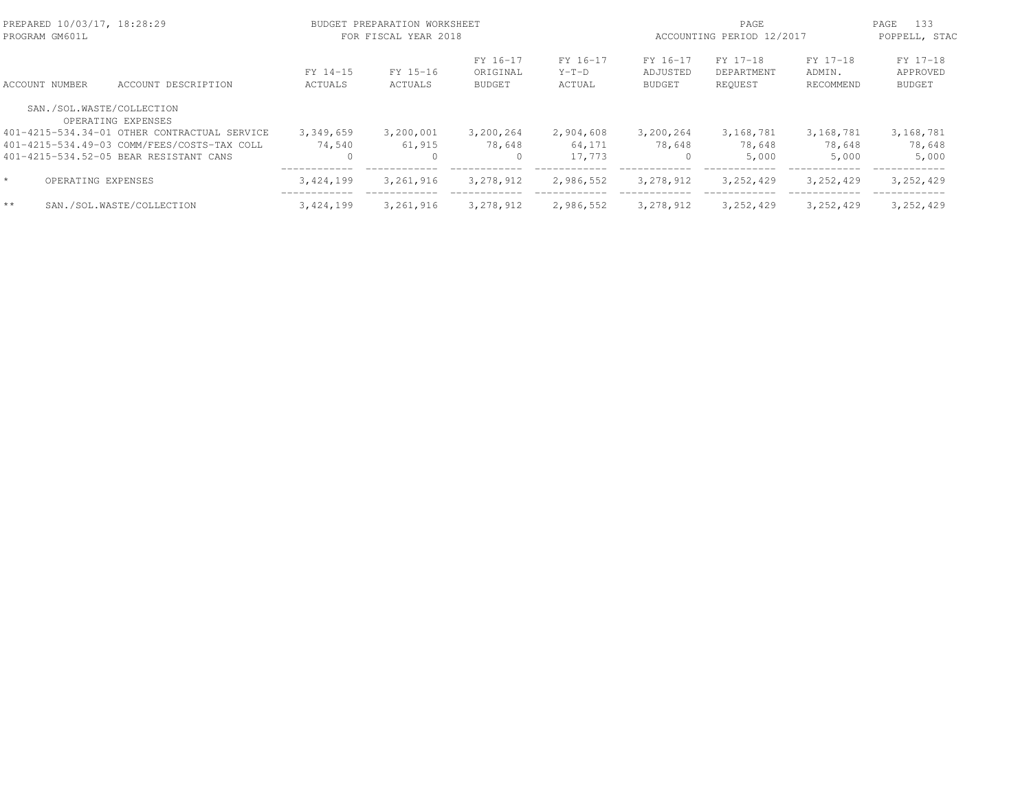|      | PREPARED 10/03/17, 18:28:29<br>PROGRAM GM601L |                                              |                            | BUDGET PREPARATION WORKSHEET<br>FOR FISCAL YEAR 2018 |                                       |                               | PAGE<br>ACCOUNTING PERIOD 12/2017     |                                   |                                 | 133<br>PAGE<br>POPPELL, STAC          |  |
|------|-----------------------------------------------|----------------------------------------------|----------------------------|------------------------------------------------------|---------------------------------------|-------------------------------|---------------------------------------|-----------------------------------|---------------------------------|---------------------------------------|--|
|      | ACCOUNT NUMBER                                | ACCOUNT DESCRIPTION                          | FY 14-15<br><b>ACTUALS</b> | FY 15-16<br>ACTUALS                                  | FY 16-17<br>ORIGINAL<br><b>BUDGET</b> | FY 16-17<br>$Y-T-D$<br>ACTUAL | FY 16-17<br>ADJUSTED<br><b>BUDGET</b> | FY 17-18<br>DEPARTMENT<br>REOUEST | FY 17-18<br>ADMIN.<br>RECOMMEND | FY 17-18<br>APPROVED<br><b>BUDGET</b> |  |
|      | SAN./SOL.WASTE/COLLECTION                     | OPERATING EXPENSES                           |                            |                                                      |                                       |                               |                                       |                                   |                                 |                                       |  |
|      |                                               | 401-4215-534.34-01 OTHER CONTRACTUAL SERVICE | 3,349,659                  | 3,200,001                                            | 3,200,264                             | 2,904,608                     | 3,200,264                             | 3,168,781                         | 3,168,781                       | 3,168,781                             |  |
|      |                                               | 401-4215-534.49-03 COMM/FEES/COSTS-TAX COLL  | 74,540                     | 61,915                                               | 78,648                                | 64,171                        | 78,648                                | 78,648                            | 78,648                          | 78,648                                |  |
|      |                                               | 401-4215-534.52-05 BEAR RESISTANT CANS       | $\Omega$                   |                                                      | $\Omega$                              | 17.773                        | $\Omega$                              | 5,000                             | 5,000                           | 5,000                                 |  |
|      | OPERATING EXPENSES                            |                                              | 3,424,199                  | 3,261,916                                            | 3, 278, 912                           | 2,986,552                     | 3,278,912                             | 3, 252, 429                       | 3, 252, 429                     | 3,252,429                             |  |
| $**$ |                                               | SAN./SOL.WASTE/COLLECTION                    | 3,424,199                  | 3,261,916                                            | 3, 278, 912                           | 2,986,552                     | 3,278,912                             | 3, 252, 429                       | 3, 252, 429                     | 3,252,429                             |  |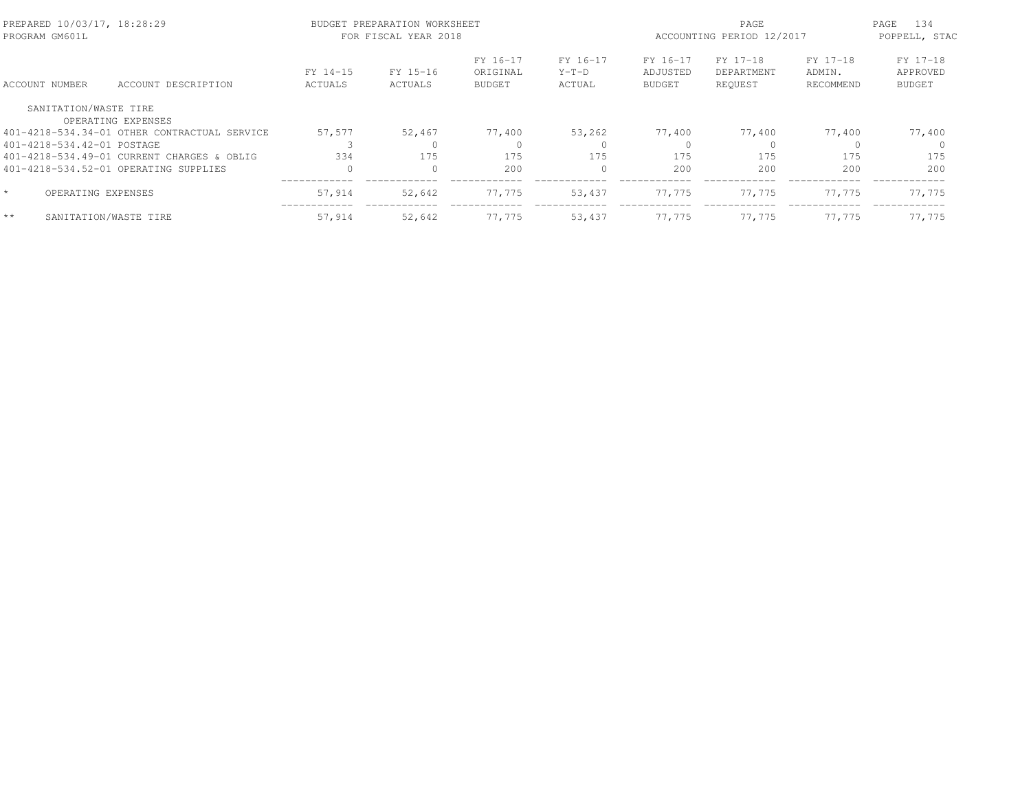|         | PREPARED 10/03/17, 18:28:29<br>PROGRAM GM601L |                                              |                     | BUDGET PREPARATION WORKSHEET<br>FOR FISCAL YEAR 2018 |                                       |                               | ACCOUNTING PERIOD 12/2017             | 134<br>PAGE<br>POPPELL, STAC      |                                 |                                       |
|---------|-----------------------------------------------|----------------------------------------------|---------------------|------------------------------------------------------|---------------------------------------|-------------------------------|---------------------------------------|-----------------------------------|---------------------------------|---------------------------------------|
|         | ACCOUNT NUMBER                                | ACCOUNT DESCRIPTION                          | FY 14-15<br>ACTUALS | FY 15-16<br>ACTUALS                                  | FY 16-17<br>ORIGINAL<br><b>BUDGET</b> | FY 16-17<br>$Y-T-D$<br>ACTUAL | FY 16-17<br>ADJUSTED<br><b>BUDGET</b> | FY 17-18<br>DEPARTMENT<br>REQUEST | FY 17-18<br>ADMIN.<br>RECOMMEND | FY 17-18<br>APPROVED<br><b>BUDGET</b> |
|         | SANITATION/WASTE TIRE                         | OPERATING EXPENSES                           |                     |                                                      |                                       |                               |                                       |                                   |                                 |                                       |
|         |                                               | 401-4218-534.34-01 OTHER CONTRACTUAL SERVICE | 57,577              | 52,467                                               | 77,400                                | 53,262                        | 77,400                                | 77,400                            | 77,400                          | 77,400                                |
|         | 401-4218-534.42-01 POSTAGE                    |                                              |                     |                                                      |                                       |                               |                                       |                                   |                                 |                                       |
|         |                                               | 401-4218-534.49-01 CURRENT CHARGES & OBLIG   | 334                 | 175                                                  | 175                                   | 175                           | 175                                   | 175                               | 175                             | 175                                   |
|         |                                               | 401-4218-534.52-01 OPERATING SUPPLIES        |                     | $\Omega$                                             | 200                                   |                               | 200                                   | 200                               | 200                             | 200                                   |
| $\star$ | OPERATING EXPENSES                            |                                              | 57,914              | 52,642                                               | 77.775                                | 53,437                        | 77.775                                | 77.775                            | 77.775                          | 77,775                                |
| $**$    | SANITATION/WASTE TIRE                         |                                              | 57,914              | 52,642                                               | 77,775                                | 53,437                        | 77.775                                | 77.775                            | 77.775                          | 77,775                                |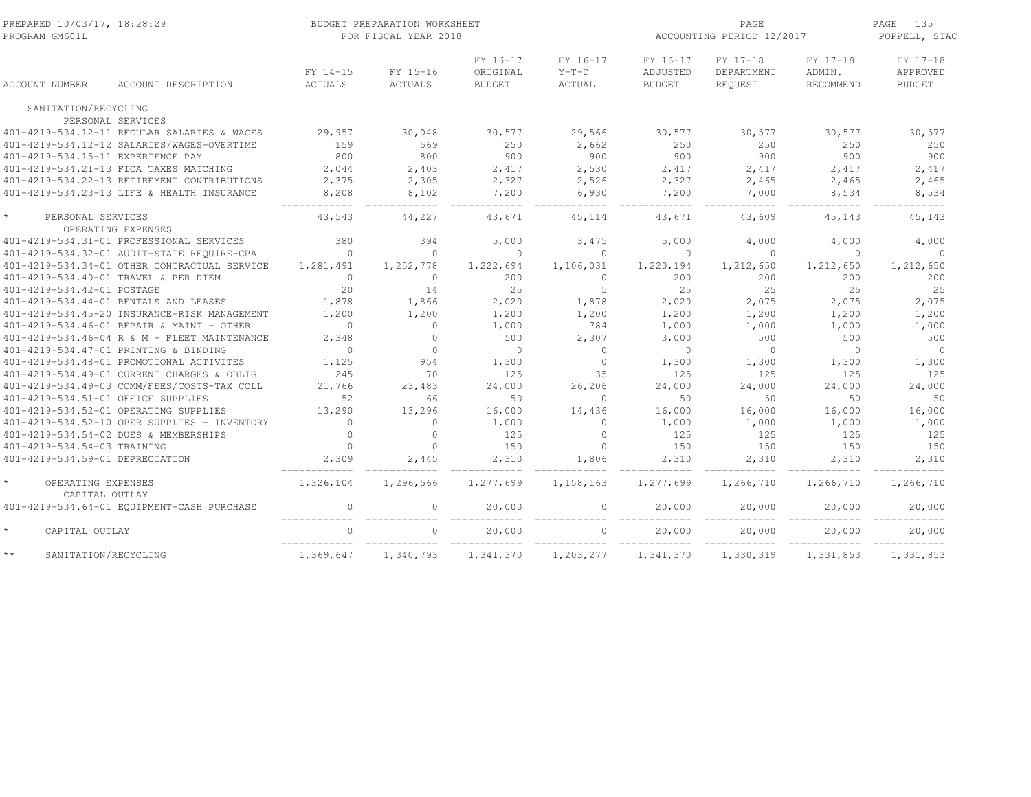| PREPARED 10/03/17, 18:28:29<br>PROGRAM GM601L |                                              |                     | BUDGET PREPARATION WORKSHEET<br>FOR FISCAL YEAR 2018 |                                       | PAGE<br>ACCOUNTING PERIOD 12/2017 |                                       |                                   | PAGE<br>135<br>POPPELL, STAC    |                                       |
|-----------------------------------------------|----------------------------------------------|---------------------|------------------------------------------------------|---------------------------------------|-----------------------------------|---------------------------------------|-----------------------------------|---------------------------------|---------------------------------------|
| <b>ACCOUNT NUMBER</b>                         | ACCOUNT DESCRIPTION                          | FY 14-15<br>ACTUALS | FY 15-16<br>ACTUALS                                  | FY 16-17<br>ORIGINAL<br><b>BUDGET</b> | FY 16-17<br>$Y-T-D$<br>ACTUAL     | FY 16-17<br>ADJUSTED<br><b>BUDGET</b> | FY 17-18<br>DEPARTMENT<br>REQUEST | FY 17-18<br>ADMIN.<br>RECOMMEND | FY 17-18<br>APPROVED<br><b>BUDGET</b> |
|                                               |                                              |                     |                                                      |                                       |                                   |                                       |                                   |                                 |                                       |
| SANITATION/RECYCLING                          |                                              |                     |                                                      |                                       |                                   |                                       |                                   |                                 |                                       |
|                                               | PERSONAL SERVICES                            |                     |                                                      |                                       |                                   |                                       |                                   |                                 |                                       |
|                                               | 401-4219-534.12-11 REGULAR SALARIES & WAGES  | 29,957              | 30,048                                               | 30,577                                | 29,566                            | 30,577                                | 30,577                            | 30,577                          | 30,577                                |
|                                               | 401-4219-534.12-12 SALARIES/WAGES-OVERTIME   | 159                 | 569                                                  | 250                                   | 2,662                             | 250                                   | 250                               | 250                             | 250                                   |
| 401-4219-534.15-11 EXPERIENCE PAY             |                                              | 800                 | 800                                                  | 900                                   | 900                               | 900                                   | 900                               | 900                             | 900                                   |
|                                               | 401-4219-534.21-13 FICA TAXES MATCHING       | 2,044               | 2,403                                                | 2,417                                 | 2,530                             | 2,417                                 | 2,417                             | 2,417                           | 2,417                                 |
|                                               | 401-4219-534.22-13 RETIREMENT CONTRIBUTIONS  | 2,375               | 2,305                                                | 2,327                                 | 2,526                             | 2,327                                 | 2,465                             | 2,465                           | 2,465                                 |
|                                               | 401-4219-534.23-13 LIFE & HEALTH INSURANCE   | 8,208               | 8,102                                                | 7,200                                 | 6,930                             | 7,200                                 | 7,000                             | 8,534                           | 8,534                                 |
| PERSONAL SERVICES                             | OPERATING EXPENSES                           | 43,543              | 44,227                                               | 43,671                                | 45,114                            | 43,671                                | 43,609                            | 45,143                          | 45,143                                |
|                                               | 401-4219-534.31-01 PROFESSIONAL SERVICES     | 380                 | 394                                                  | 5,000                                 | 3,475                             | 5,000                                 | 4,000                             | 4,000                           | 4,000                                 |
|                                               | 401-4219-534.32-01 AUDIT-STATE REQUIRE-CPA   | $\circ$             | $\circ$                                              | $\Omega$                              | $\circ$                           | $\Omega$                              | $\circ$                           | $\circ$                         | $\circ$                               |
|                                               | 401-4219-534.34-01 OTHER CONTRACTUAL SERVICE | 1,281,491           | 1,252,778                                            | 1,222,694                             | 1,106,031                         | 1,220,194                             | 1,212,650                         | 1,212,650                       | 1,212,650                             |
| 401-4219-534.40-01 TRAVEL & PER DIEM          |                                              | $\circ$             | $\Omega$                                             | 200                                   | $\circ$                           | 200                                   | 200                               | 200                             | 200                                   |
| 401-4219-534.42-01 POSTAGE                    |                                              | 20                  | 14                                                   | 25                                    | 5                                 | 25                                    | 25                                | 25                              | 25                                    |
|                                               | 401-4219-534.44-01 RENTALS AND LEASES        | 1,878               | 1,866                                                | 2,020                                 | 1,878                             | 2,020                                 | 2,075                             | 2,075                           | 2,075                                 |
|                                               | 401-4219-534.45-20 INSURANCE-RISK MANAGEMENT | 1,200               | 1,200                                                | 1,200                                 | 1,200                             | 1,200                                 | 1,200                             | 1,200                           | 1,200                                 |
|                                               | 401-4219-534.46-01 REPAIR & MAINT - OTHER    | $\bigcap$           | $\Omega$                                             | 1,000                                 | 784                               | 1,000                                 | 1,000                             | 1,000                           | 1,000                                 |
|                                               | 401-4219-534.46-04 R & M - FLEET MAINTENANCE | 2,348               | $\circ$                                              | 500                                   | 2,307                             | 3,000                                 | 500                               | 500                             | 500                                   |
|                                               | 401-4219-534.47-01 PRINTING & BINDING        | $\Omega$            | $\Omega$                                             | $\Omega$                              | $\Omega$                          | $\bigcirc$                            | $\circ$                           | $\Omega$                        | $\Omega$                              |
|                                               | 401-4219-534.48-01 PROMOTIONAL ACTIVITES     | 1,125               | 954                                                  | 1,300                                 | $\circ$                           | 1,300                                 | 1,300                             | 1,300                           | 1,300                                 |
|                                               | 401-4219-534.49-01 CURRENT CHARGES & OBLIG   | 245                 | 70                                                   | 125                                   | 35                                | 125                                   | 125                               | 125                             | 125                                   |
|                                               | 401-4219-534.49-03 COMM/FEES/COSTS-TAX COLL  | 21,766              | 23,483                                               | 24,000                                | 26,206                            | 24,000                                | 24,000                            | 24,000                          | 24,000                                |
| 401-4219-534.51-01 OFFICE SUPPLIES            |                                              | 52                  | 66                                                   | 50                                    | $\Omega$                          | 50                                    | 50                                | 50                              | 50                                    |
|                                               | 401-4219-534.52-01 OPERATING SUPPLIES        | 13,290              | 13,296                                               | 16,000                                | 14,436                            | 16,000                                | 16,000                            | 16,000                          | 16,000                                |
|                                               | 401-4219-534.52-10 OPER SUPPLIES - INVENTORY | $\Omega$            | $\Omega$                                             | 1,000                                 | $\Omega$                          | 1,000                                 | 1,000                             | 1,000                           | 1,000                                 |
|                                               | 401-4219-534.54-02 DUES & MEMBERSHIPS        | $\Omega$            | $\Omega$                                             | 125                                   | $\circ$                           | 125                                   | 125                               | 125                             | 125                                   |
| 401-4219-534.54-03 TRAINING                   |                                              | $\Omega$            | $\Omega$                                             | 150                                   | $\Omega$                          | 150                                   | 150                               | 150                             | 150                                   |
| 401-4219-534.59-01 DEPRECIATION               |                                              | 2,309               | 2,445                                                | 2,310                                 | 1,806                             | 2,310                                 | 2,310                             | 2,310                           | 2,310                                 |
| OPERATING EXPENSES<br>CAPITAL OUTLAY          |                                              | 1,326,104           | 1,296,566                                            | 1,277,699                             | 1,158,163                         | 1,277,699                             | 1,266,710                         | 1,266,710                       | 1,266,710                             |
|                                               | 401-4219-534.64-01 EQUIPMENT-CASH PURCHASE   | $\circ$             | $\circ$                                              | 20,000                                | $\circ$                           | 20,000                                | 20,000                            | 20,000                          | 20,000                                |
| $\star$<br>CAPITAL OUTLAY                     |                                              | $\Omega$            | $\Omega$                                             | 20,000                                | $\Omega$                          | 20,000                                | 20,000                            | 20,000                          | 20,000                                |
| $\star\star$<br>SANITATION/RECYCLING          |                                              | 1,369,647           | 1,340,793                                            | 1,341,370                             | 1,203,277                         | 1,341,370                             | 1,330,319                         | 1,331,853                       | 1,331,853                             |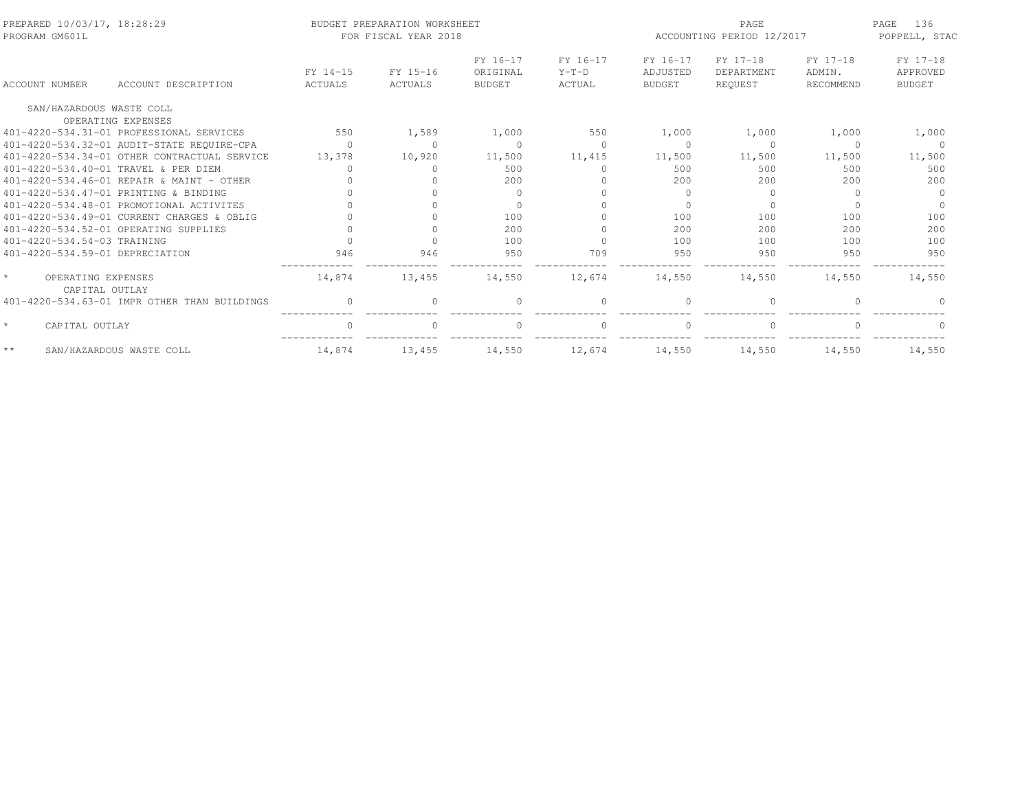| PREPARED 10/03/17, 18:28:29<br>PROGRAM GM601L   |                                              |          | BUDGET PREPARATION WORKSHEET<br>FOR FISCAL YEAR 2018 |                      | PAGE<br>ACCOUNTING PERIOD 12/2017 |                      |                        | 136<br>PAGE<br>POPPELL, STAC |                      |
|-------------------------------------------------|----------------------------------------------|----------|------------------------------------------------------|----------------------|-----------------------------------|----------------------|------------------------|------------------------------|----------------------|
|                                                 |                                              | FY 14-15 | FY 15-16                                             | FY 16-17<br>ORIGINAL | FY 16-17<br>$Y-T-D$               | FY 16-17<br>ADJUSTED | FY 17-18<br>DEPARTMENT | FY 17-18<br>ADMIN.           | FY 17-18<br>APPROVED |
| ACCOUNT NUMBER                                  | ACCOUNT DESCRIPTION                          | ACTUALS  | ACTUALS                                              | BUDGET               | ACTUAL                            | BUDGET               | REQUEST                | RECOMMEND                    | BUDGET               |
| SAN/HAZARDOUS WASTE COLL                        | OPERATING EXPENSES                           |          |                                                      |                      |                                   |                      |                        |                              |                      |
|                                                 | 401-4220-534.31-01 PROFESSIONAL SERVICES     | 550      | 1,589                                                | 1,000                | 550                               | 1,000                | 1,000                  | 1,000                        | 1,000                |
|                                                 | 401-4220-534.32-01 AUDIT-STATE REQUIRE-CPA   |          | $\cap$                                               | $\Omega$             | $\Omega$                          |                      | $\Omega$               | $\Omega$                     | $\cap$               |
|                                                 | 401-4220-534.34-01 OTHER CONTRACTUAL SERVICE | 13,378   | 10,920                                               | 11,500               | 11,415                            | 11,500               | 11,500                 | 11,500                       | 11,500               |
|                                                 | 401-4220-534.40-01 TRAVEL & PER DIEM         |          |                                                      | 500                  | <sup>0</sup>                      | 500                  | 500                    | 500                          | 500                  |
|                                                 | 401-4220-534.46-01 REPAIR & MAINT - OTHER    |          |                                                      | 200                  |                                   | 200                  | 200                    | 200                          | 200                  |
|                                                 | 401-4220-534.47-01 PRINTING & BINDING        |          |                                                      |                      |                                   | $\Omega$             | $\Omega$               | $\Omega$                     | $\Omega$             |
|                                                 | 401-4220-534.48-01 PROMOTIONAL ACTIVITES     |          |                                                      |                      |                                   |                      | $\Omega$               |                              | $\Omega$             |
|                                                 | 401-4220-534.49-01 CURRENT CHARGES & OBLIG   |          |                                                      | 100                  |                                   | 100                  | 100                    | 100                          | 100                  |
|                                                 | 401-4220-534.52-01 OPERATING SUPPLIES        |          |                                                      | 200                  |                                   | 200                  | 200                    | 200                          | 200                  |
| 401-4220-534.54-03 TRAINING                     |                                              |          |                                                      | 100                  |                                   | 100                  | 100                    | 100                          | 100                  |
| 401-4220-534.59-01 DEPRECIATION                 |                                              | 946      | 946                                                  | 950                  | 709                               | 950                  | 950                    | 950                          | 950                  |
| $\star$<br>OPERATING EXPENSES<br>CAPITAL OUTLAY |                                              | 14,874   | 13,455                                               | 14,550               | 12,674                            | 14,550               | 14,550                 | 14,550                       | 14,550               |
|                                                 | 401-4220-534.63-01 IMPR OTHER THAN BUILDINGS |          |                                                      |                      |                                   |                      |                        |                              |                      |
| $\star$<br>CAPITAL OUTLAY                       |                                              |          | $\Omega$                                             |                      | $\circ$                           |                      | $\circ$                | $\Omega$                     |                      |
| $\star\star$                                    | SAN/HAZARDOUS WASTE COLL                     | 14,874   | 13,455                                               | 14,550               | 12,674                            | 14,550               | 14,550                 | 14,550                       | 14,550               |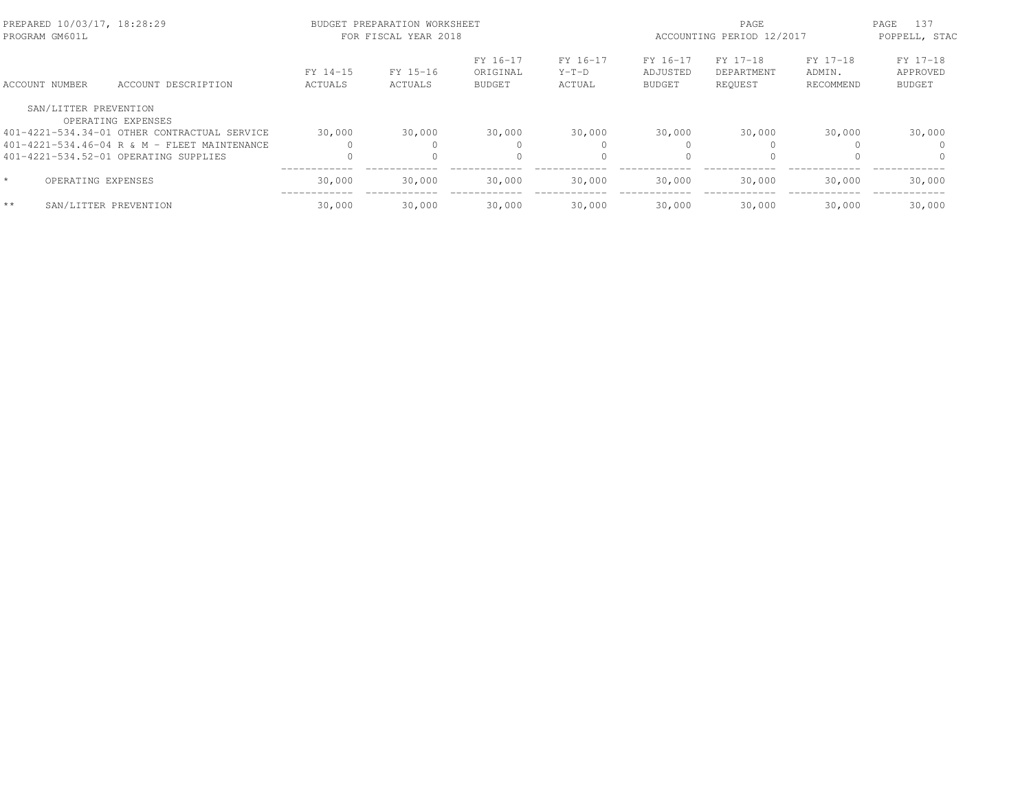|      | PREPARED 10/03/17, 18:28:29<br>PROGRAM GM601L |                                                 |                            | BUDGET PREPARATION WORKSHEET<br>FOR FISCAL YEAR 2018 |                                       |                               | PAGE<br>ACCOUNTING PERIOD 12/2017 |                                   |                                 | 137<br>PAGE<br>POPPELL, STAC          |  |
|------|-----------------------------------------------|-------------------------------------------------|----------------------------|------------------------------------------------------|---------------------------------------|-------------------------------|-----------------------------------|-----------------------------------|---------------------------------|---------------------------------------|--|
|      | ACCOUNT NUMBER                                | ACCOUNT DESCRIPTION                             | FY 14-15<br><b>ACTUALS</b> | FY 15-16<br>ACTUALS                                  | FY 16-17<br>ORIGINAL<br><b>BUDGET</b> | FY 16-17<br>$Y-T-D$<br>ACTUAL | FY 16-17<br>ADJUSTED<br>BUDGET    | FY 17-18<br>DEPARTMENT<br>REQUEST | FY 17-18<br>ADMIN.<br>RECOMMEND | FY 17-18<br>APPROVED<br><b>BUDGET</b> |  |
|      | SAN/LITTER PREVENTION                         | OPERATING EXPENSES                              |                            |                                                      |                                       |                               |                                   |                                   |                                 |                                       |  |
|      |                                               | 401-4221-534.34-01 OTHER CONTRACTUAL SERVICE    | 30,000                     | 30,000                                               | 30,000                                | 30,000                        | 30,000                            | 30,000                            | 30,000                          | 30,000                                |  |
|      |                                               | $1401-4221-534.46-04$ R & M - FLEET MAINTENANCE |                            |                                                      |                                       | $\bigcap$                     |                                   |                                   |                                 | $\Omega$                              |  |
|      |                                               | 401-4221-534.52-01 OPERATING SUPPLIES           | $\bigcap$                  |                                                      |                                       | $\Omega$                      | $\Omega$                          |                                   |                                 | $\Omega$                              |  |
|      | OPERATING EXPENSES                            |                                                 | 30,000                     | 30,000                                               | 30,000                                | 30,000                        | 30,000                            | 30,000                            | 30,000                          | 30,000                                |  |
| $**$ | SAN/LITTER PREVENTION                         |                                                 | 30,000                     | 30,000                                               | 30,000                                | 30,000                        | 30,000                            | 30,000                            | 30,000                          | 30,000                                |  |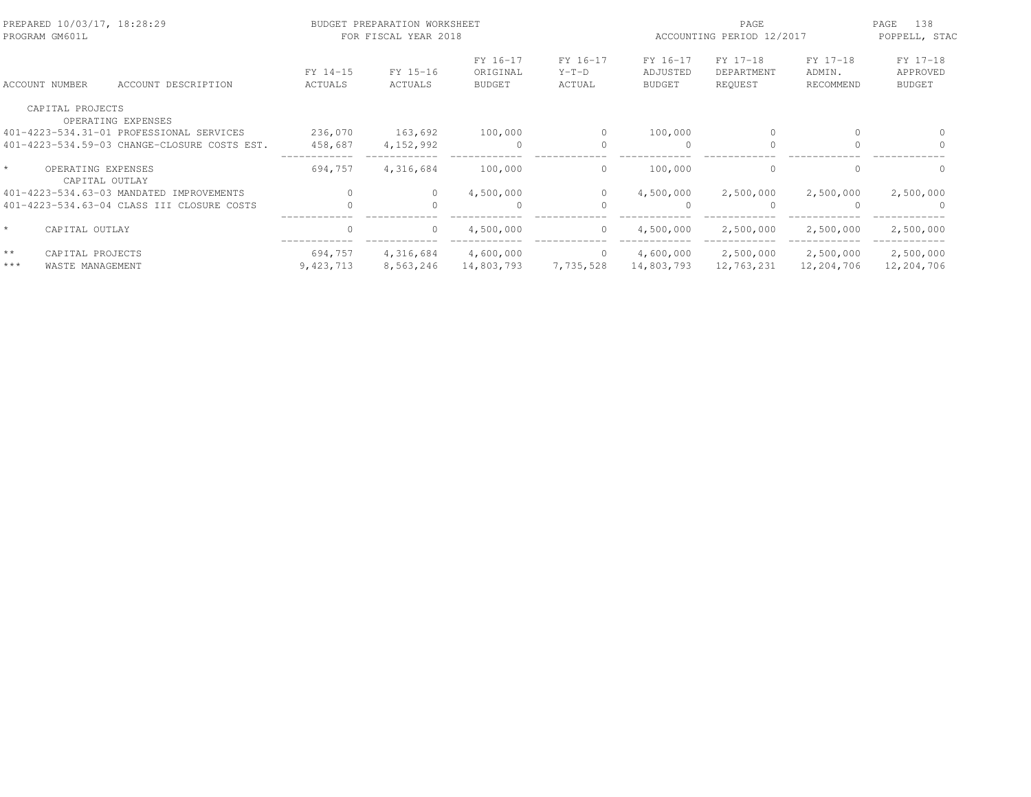| PREPARED 10/03/17, 18:28:29<br>PROGRAM GM601L   |                                              |                     | BUDGET PREPARATION WORKSHEET<br>FOR FISCAL YEAR 2018 |                                       |                               | PAGE<br>ACCOUNTING PERIOD 12/2017     |                                   |                                 | 138<br>PAGE<br>POPPELL, STAC          |
|-------------------------------------------------|----------------------------------------------|---------------------|------------------------------------------------------|---------------------------------------|-------------------------------|---------------------------------------|-----------------------------------|---------------------------------|---------------------------------------|
| ACCOUNT NUMBER                                  | ACCOUNT DESCRIPTION                          | FY 14-15<br>ACTUALS | FY 15-16<br>ACTUALS                                  | FY 16-17<br>ORIGINAL<br><b>BUDGET</b> | FY 16-17<br>$Y-T-D$<br>ACTUAL | FY 16-17<br>ADJUSTED<br><b>BUDGET</b> | FY 17-18<br>DEPARTMENT<br>REQUEST | FY 17-18<br>ADMIN.<br>RECOMMEND | FY 17-18<br>APPROVED<br><b>BUDGET</b> |
| CAPITAL PROJECTS                                |                                              |                     |                                                      |                                       |                               |                                       |                                   |                                 |                                       |
|                                                 | OPERATING EXPENSES                           |                     |                                                      |                                       |                               |                                       |                                   |                                 |                                       |
|                                                 | 401-4223-534.31-01 PROFESSIONAL SERVICES     | 236,070             | 163,692                                              | 100,000                               |                               | 100,000                               | 0                                 |                                 |                                       |
|                                                 | 401-4223-534.59-03 CHANGE-CLOSURE COSTS EST. | 458,687             | 4,152,992                                            | $\Omega$                              |                               | $\Omega$                              | $\Omega$                          |                                 | $\Omega$                              |
| $\star$<br>OPERATING EXPENSES<br>CAPITAL OUTLAY |                                              | 694,757             | 4,316,684                                            | 100,000                               | $\circ$                       | 100,000                               | $\mathbf{0}$                      | $\Omega$                        | $\Omega$                              |
|                                                 | 401-4223-534.63-03 MANDATED IMPROVEMENTS     |                     |                                                      | 4,500,000                             | $\Omega$                      | 4,500,000                             | 2,500,000                         | 2,500,000                       | 2,500,000                             |
|                                                 | 401-4223-534.63-04 CLASS III CLOSURE COSTS   |                     |                                                      | $\Omega$                              |                               |                                       | $\Omega$                          |                                 |                                       |
| $\star$<br>CAPITAL OUTLAY                       |                                              |                     | 0                                                    | 4,500,000                             | $\circ$                       | 4,500,000                             | 2,500,000                         | 2,500,000                       | 2,500,000                             |
| $**$<br>CAPITAL PROJECTS                        |                                              | 694,757             | 4,316,684                                            | 4,600,000                             | $\circ$                       | 4,600,000                             | 2,500,000                         | 2,500,000                       | 2,500,000                             |
| $***$<br>WASTE MANAGEMENT                       |                                              | 9,423,713           | 8,563,246                                            | 14,803,793                            | 7,735,528                     | 14,803,793                            | 12,763,231                        | 12,204,706                      | 12,204,706                            |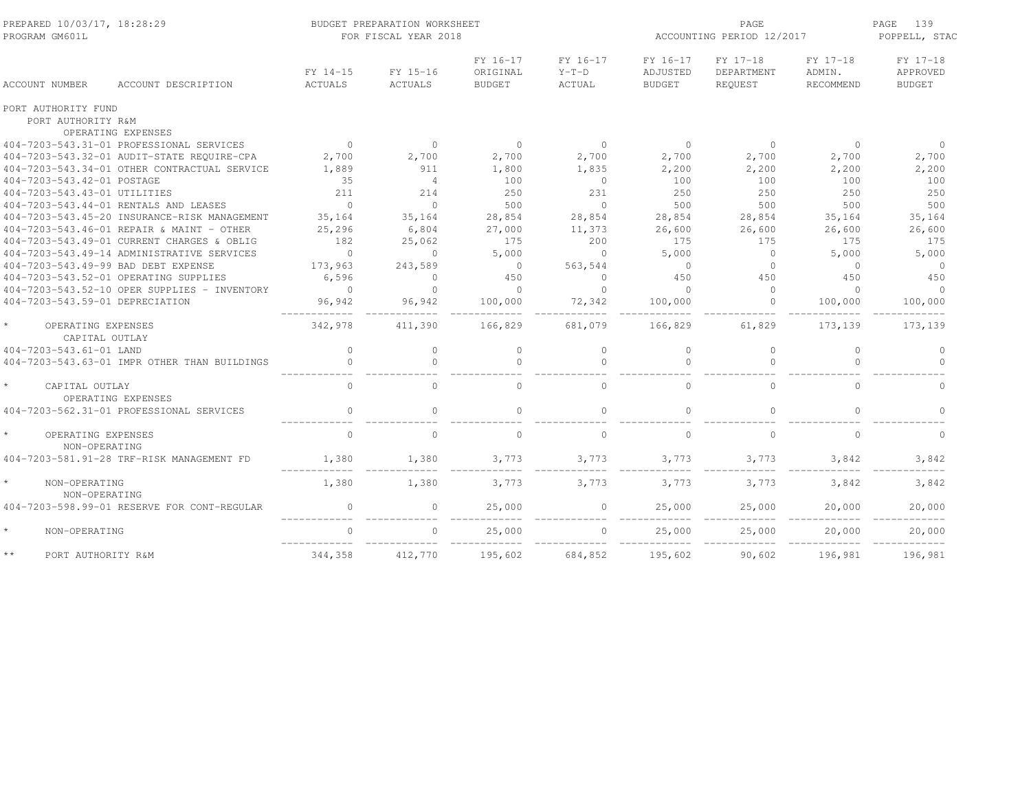| PREPARED 10/03/17, 18:28:29<br>PROGRAM GM601L   |                                              | BUDGET PREPARATION WORKSHEET<br>FOR FISCAL YEAR 2018 |                     |                                       |                               |                                       | PAGE<br>ACCOUNTING PERIOD 12/2017 |                                 |                                       |
|-------------------------------------------------|----------------------------------------------|------------------------------------------------------|---------------------|---------------------------------------|-------------------------------|---------------------------------------|-----------------------------------|---------------------------------|---------------------------------------|
| <b>ACCOUNT NUMBER</b>                           | ACCOUNT DESCRIPTION                          | FY 14-15<br>ACTUALS                                  | FY 15-16<br>ACTUALS | FY 16-17<br>ORIGINAL<br><b>BUDGET</b> | FY 16-17<br>$Y-T-D$<br>ACTUAL | FY 16-17<br>ADJUSTED<br><b>BUDGET</b> | FY 17-18<br>DEPARTMENT<br>REQUEST | FY 17-18<br>ADMIN.<br>RECOMMEND | FY 17-18<br>APPROVED<br><b>BUDGET</b> |
| PORT AUTHORITY FUND                             |                                              |                                                      |                     |                                       |                               |                                       |                                   |                                 |                                       |
| PORT AUTHORITY R&M                              |                                              |                                                      |                     |                                       |                               |                                       |                                   |                                 |                                       |
|                                                 | OPERATING EXPENSES                           |                                                      |                     |                                       |                               |                                       |                                   |                                 |                                       |
|                                                 | 404-7203-543.31-01 PROFESSIONAL SERVICES     | $\sim$ 0                                             | $\Omega$            | $\overline{0}$                        | $\overline{0}$                | $\overline{0}$                        | $\circ$                           | $\overline{0}$                  | $\Omega$                              |
|                                                 | 404-7203-543.32-01 AUDIT-STATE REQUIRE-CPA   | 2,700                                                | 2,700               | 2,700                                 | 2,700                         | 2,700                                 | 2,700                             | 2,700                           | 2,700                                 |
|                                                 | 404-7203-543.34-01 OTHER CONTRACTUAL SERVICE | 1,889                                                | 911                 | 1,800                                 | 1,835                         | 2,200                                 | 2,200                             | 2,200                           | 2,200                                 |
| 404-7203-543.42-01 POSTAGE                      |                                              | 35                                                   | $\overline{4}$      | 100                                   | $\circ$                       | 100                                   | 100                               | 100                             | 100                                   |
| 404-7203-543.43-01 UTILITIES                    |                                              | 211                                                  | 214                 | 250                                   | 231                           | 250                                   | 250                               | 250                             | 250                                   |
|                                                 | 404-7203-543.44-01 RENTALS AND LEASES        | $\overline{0}$                                       | $\Omega$            | 500                                   | $\Omega$                      | 500                                   | 500                               | 500                             | 500                                   |
|                                                 | 404-7203-543.45-20 INSURANCE-RISK MANAGEMENT | 35,164                                               | 35,164              | 28,854                                | 28,854                        | 28,854                                | 28,854                            | 35,164                          | 35,164                                |
|                                                 | 404-7203-543.46-01 REPAIR & MAINT - OTHER    | 25,296                                               | 6,804               | 27,000                                | 11,373                        | 26,600                                | 26,600                            | 26,600                          | 26,600                                |
|                                                 | 404-7203-543.49-01 CURRENT CHARGES & OBLIG   | 182                                                  | 25,062              | 175                                   | 200                           | 175                                   | 175                               | 175                             | 175                                   |
|                                                 | 404-7203-543.49-14 ADMINISTRATIVE SERVICES   | $\Omega$                                             | $\Omega$            | 5,000                                 | $\Omega$                      | 5,000                                 | $\circ$                           | 5,000                           | 5,000                                 |
| 404-7203-543.49-99 BAD DEBT EXPENSE             |                                              | 173,963                                              | 243,589             | $\overline{0}$                        | 563,544                       | $\overline{0}$                        | $\circ$                           | $\circ$                         | $\overline{0}$                        |
|                                                 | 404-7203-543.52-01 OPERATING SUPPLIES        | 6,596                                                | $\Omega$            | 450                                   | $\Omega$                      | 450                                   | 450                               | 450                             | 450                                   |
|                                                 | 404-7203-543.52-10 OPER SUPPLIES - INVENTORY | $\sim$ 0                                             | $\Omega$            | $\Omega$                              | $\Omega$                      | $\bigcirc$                            | $\circ$                           | $\bigcirc$                      | $\Omega$                              |
| 404-7203-543.59-01 DEPRECIATION                 |                                              | 96,942                                               | 96,942              | 100,000                               | 72,342                        | 100,000                               | $\circ$                           | 100,000                         | 100,000                               |
| $\star$<br>OPERATING EXPENSES<br>CAPITAL OUTLAY |                                              | 342,978                                              | 411,390             | 166,829                               | 681,079                       | 166,829                               | 61,829                            | 173,139                         | 173,139                               |
| 404-7203-543.61-01 LAND                         |                                              | $\circ$                                              | $\circ$             | $\circ$                               | $\circ$                       | $\mathbf{0}$                          | $\circ$                           | $\circ$                         | $\circ$                               |
|                                                 | 404-7203-543.63-01 IMPR OTHER THAN BUILDINGS | $\Omega$                                             | $\Omega$            | $\Omega$                              | $\cap$                        |                                       | $\Omega$                          | $\Omega$                        | $\cap$                                |
| $\star$<br>CAPITAL OUTLAY                       | OPERATING EXPENSES                           | $\Omega$                                             | $\Omega$            | $\Omega$                              | $\Omega$                      | $\bigcap$                             | $\circ$                           | $\Omega$                        | $\Omega$                              |
|                                                 | 404-7203-562.31-01 PROFESSIONAL SERVICES     | $\circ$                                              | $\circ$             | $\circ$                               | $\mathbf{0}$                  |                                       | $\mathbf{0}$                      | $\circ$                         |                                       |
| OPERATING EXPENSES<br>NON-OPERATING             |                                              | $\Omega$                                             | $\Omega$            | $\Omega$                              | $\Omega$                      | $\Omega$                              | $\Omega$                          | $\Omega$                        | $\Omega$                              |
|                                                 | 404-7203-581.91-28 TRF-RISK MANAGEMENT FD    | 1,380                                                | 1,380               | 3,773                                 | 3,773                         | 3,773                                 | 3,773                             | 3,842                           | 3,842                                 |
| $\star$<br>NON-OPERATING<br>NON-OPERATING       |                                              | 1,380                                                | 1,380               | 3,773                                 | 3,773                         | 3,773                                 | 3,773                             | 3,842                           | 3,842                                 |
|                                                 | 404-7203-598.99-01 RESERVE FOR CONT-REGULAR  | $\circledcirc$                                       | $\circ$             | 25,000                                | $\overline{0}$                | 25,000                                | 25,000                            | 20,000                          | 20,000                                |
| $\star$<br>NON-OPERATING                        |                                              | $\Omega$                                             | $\Omega$            | 25,000                                | $\Omega$                      | 25,000                                | 25,000                            | 20,000                          | 20,000                                |
| $\star\star$<br>PORT AUTHORITY R&M              |                                              | 344,358                                              | 412,770             | 195,602                               | 684,852                       | 195,602                               | 90,602                            | 196,981                         | 196,981                               |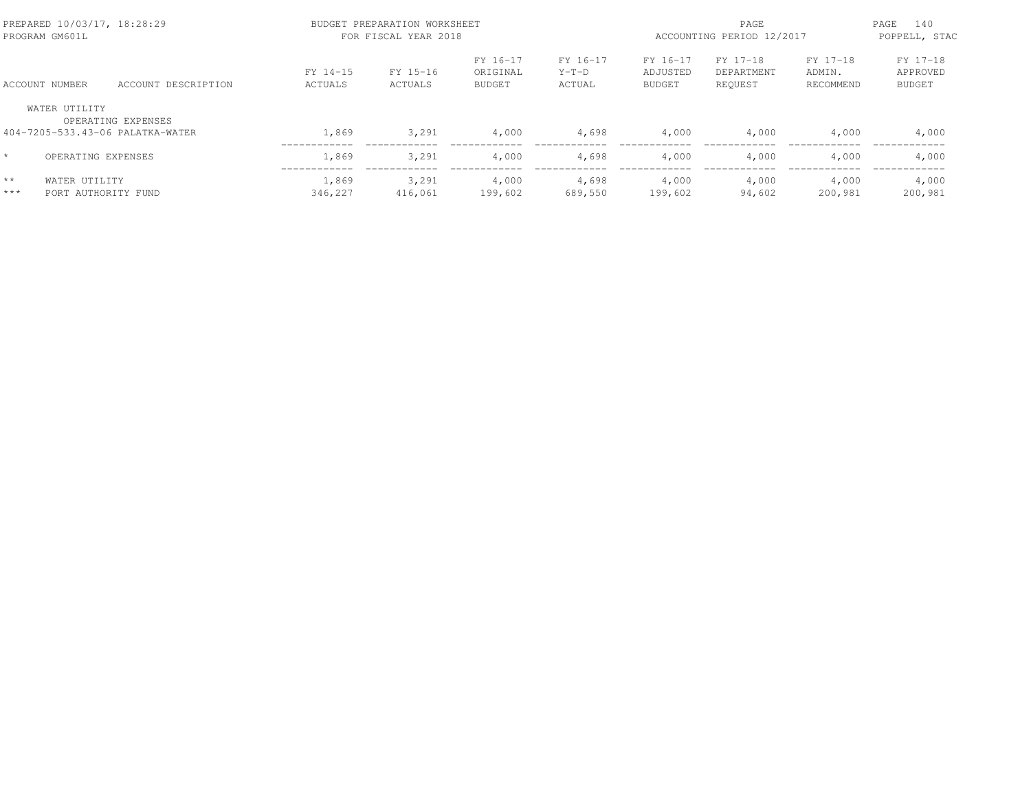|               | PREPARED 10/03/17, 18:28:29<br>PROGRAM GM601L |                                                        |                     | BUDGET PREPARATION WORKSHEET<br>FOR FISCAL YEAR 2018 |                                       |                               |                                |                                   | PAGE<br>ACCOUNTING PERIOD 12/2017 |                                       |  |  |
|---------------|-----------------------------------------------|--------------------------------------------------------|---------------------|------------------------------------------------------|---------------------------------------|-------------------------------|--------------------------------|-----------------------------------|-----------------------------------|---------------------------------------|--|--|
|               | ACCOUNT NUMBER                                | ACCOUNT DESCRIPTION                                    | FY 14-15<br>ACTUALS | FY 15-16<br>ACTUALS                                  | FY 16-17<br>ORIGINAL<br><b>BUDGET</b> | FY 16-17<br>$Y-T-D$<br>ACTUAL | FY 16-17<br>ADJUSTED<br>BUDGET | FY 17-18<br>DEPARTMENT<br>REQUEST | FY 17-18<br>ADMIN.<br>RECOMMEND   | FY 17-18<br>APPROVED<br><b>BUDGET</b> |  |  |
|               | WATER UTILITY                                 | OPERATING EXPENSES<br>404-7205-533.43-06 PALATKA-WATER | 1,869               | 3,291                                                | 4,000                                 | 4,698                         | 4,000                          | 4,000                             | 4,000                             | 4,000                                 |  |  |
|               | OPERATING EXPENSES                            |                                                        | 1,869               | 3,291                                                | 4,000                                 | 4,698                         | 4,000                          | 4,000                             | 4,000                             | 4,000                                 |  |  |
| $**$<br>$***$ | WATER UTILITY<br>PORT AUTHORITY FUND          |                                                        | 1,869<br>346,227    | 3,291<br>416.061                                     | 4,000<br>199,602                      | 4,698<br>689,550              | 4,000<br>199,602               | 4,000<br>94,602                   | 4,000<br>200,981                  | 4,000<br>200,981                      |  |  |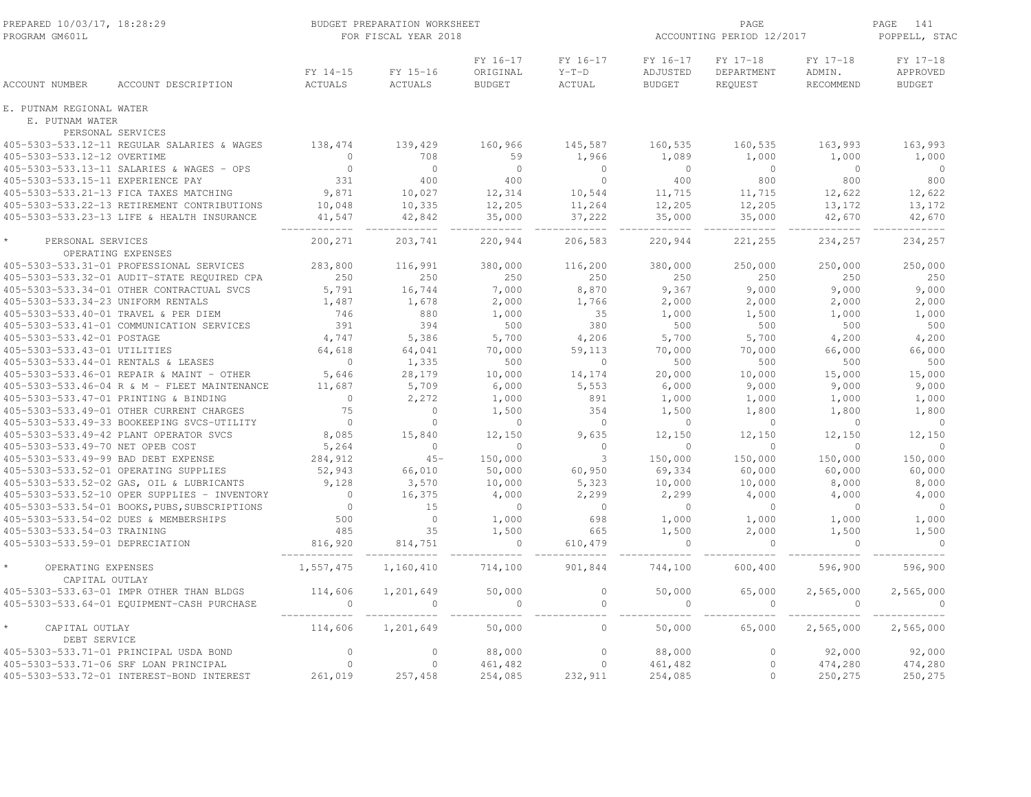| PREPARED 10/03/17, 18:28:29<br>PROGRAM GM601L |                                               | BUDGET PREPARATION WORKSHEET<br>FOR FISCAL YEAR 2018 |                     |                                       |                               |                                       | PAGE<br>ACCOUNTING PERIOD 12/2017 |                                 |                                       |  |
|-----------------------------------------------|-----------------------------------------------|------------------------------------------------------|---------------------|---------------------------------------|-------------------------------|---------------------------------------|-----------------------------------|---------------------------------|---------------------------------------|--|
| <b>ACCOUNT NUMBER</b>                         | ACCOUNT DESCRIPTION                           | FY 14-15<br><b>ACTUALS</b>                           | FY 15-16<br>ACTUALS | FY 16-17<br>ORIGINAL<br><b>BUDGET</b> | FY 16-17<br>$Y-T-D$<br>ACTUAL | FY 16-17<br>ADJUSTED<br><b>BUDGET</b> | FY 17-18<br>DEPARTMENT<br>REQUEST | FY 17-18<br>ADMIN.<br>RECOMMEND | FY 17-18<br>APPROVED<br><b>BUDGET</b> |  |
| E. PUTNAM REGIONAL WATER<br>E. PUTNAM WATER   |                                               |                                                      |                     |                                       |                               |                                       |                                   |                                 |                                       |  |
|                                               | PERSONAL SERVICES                             |                                                      |                     |                                       |                               |                                       |                                   |                                 |                                       |  |
|                                               | 405-5303-533.12-11 REGULAR SALARIES & WAGES   | 138, 474                                             | 139,429             | 160,966                               | 145,587                       | 160,535                               | 160,535                           | 163,993                         | 163,993                               |  |
| 405-5303-533.12-12 OVERTIME                   |                                               | $\overline{0}$                                       | 708                 | 59                                    | 1,966                         | 1,089                                 | 1,000                             | 1,000                           | 1,000                                 |  |
|                                               | 405-5303-533.13-11 SALARIES & WAGES - OPS     |                                                      | $\bigcirc$          | $\bigcirc$                            | $\overline{0}$                | $\overline{0}$                        | $\bigcirc$                        | $\bigcirc$                      | $\overline{0}$                        |  |
| 405-5303-533.15-11 EXPERIENCE PAY             |                                               | $\begin{array}{c}0\\331\end{array}$                  | 400                 | 400                                   | $\bigcirc$                    | 400                                   | 800                               | 800                             | 800                                   |  |
|                                               | 405-5303-533.21-13 FICA TAXES MATCHING        | 9,871                                                | 10,027              | 12,314                                | 10,544                        | 11,715                                | 11,715                            | 12,622                          | 12,622                                |  |
|                                               | 405-5303-533.22-13 RETIREMENT CONTRIBUTIONS   | 10,048                                               | 10,335              | 12,205                                | 11,264                        | 12,205                                | 12,205                            | 13,172                          | 13,172                                |  |
|                                               | 405-5303-533.23-13 LIFE & HEALTH INSURANCE    | 41,547                                               | 42,842              | 35,000                                | 37,222                        | 35,000                                | 35,000                            | 42,670                          | 42,670                                |  |
| PERSONAL SERVICES                             |                                               | 200,271                                              | 203,741             | --------<br>220,944                   | --------<br>206,583           | 220,944                               | 221,255                           | 234,257                         | -------<br>234,257                    |  |
|                                               | OPERATING EXPENSES                            |                                                      |                     |                                       |                               |                                       |                                   |                                 |                                       |  |
|                                               | 405-5303-533.31-01 PROFESSIONAL SERVICES      | 283,800<br>250                                       | 116,991<br>250      | 380,000<br>250                        | 116,200                       | 380,000                               | 250,000                           | 250,000                         | 250,000                               |  |
|                                               | 405-5303-533.32-01 AUDIT-STATE REQUIRED CPA   | 5,791                                                |                     |                                       | 250                           | 250                                   | 250                               | 250                             | 250<br>9,000                          |  |
| 405-5303-533.34-23 UNIFORM RENTALS            | 405-5303-533.34-01 OTHER CONTRACTUAL SVCS     | 1,487                                                | 16,744<br>1,678     | 7,000<br>2,000                        | 8,870<br>1,766                | 9,367<br>2,000                        | 9,000<br>2,000                    | 9,000<br>2,000                  | 2,000                                 |  |
|                                               | 405-5303-533.40-01 TRAVEL & PER DIEM          | 746                                                  | 880                 | 1,000                                 | 35                            | 1,000                                 | 1,500                             | 1,000                           | 1,000                                 |  |
|                                               | 405-5303-533.41-01 COMMUNICATION SERVICES     | 391                                                  | 394                 | 500                                   | 380                           | 500                                   | 500                               | 500                             | 500                                   |  |
| 405-5303-533.42-01 POSTAGE                    |                                               | 4,747                                                | 5,386               | 5,700                                 | 4,206                         | 5,700                                 | 5,700                             | 4,200                           | 4,200                                 |  |
| 405-5303-533.43-01 UTILITIES                  |                                               | 64,618                                               | 64,041              | 70,000                                | 59,113                        | 70,000                                | 70,000                            | 66,000                          | 66,000                                |  |
| 405-5303-533.44-01 RENTALS & LEASES           |                                               | $\bigcirc$                                           | 1,335               | 500                                   | $\circ$                       | 500                                   | 500                               | 500                             | 500                                   |  |
|                                               | 405-5303-533.46-01 REPAIR & MAINT - OTHER     | 5,646                                                | 28,179              | 10,000                                | 14,174                        | 20,000                                | 10,000                            | 15,000                          | 15,000                                |  |
|                                               | 405-5303-533.46-04 R & M - FLEET MAINTENANCE  | 11,687                                               | 5,709               | 6,000                                 | 5,553                         | 6,000                                 | 9,000                             | 9,000                           | 9,000                                 |  |
|                                               | 405-5303-533.47-01 PRINTING & BINDING         | $\sim$ 0                                             | 2,272               | 1,000                                 | 891                           | 1,000                                 | 1,000                             | 1,000                           | 1,000                                 |  |
|                                               | 405-5303-533.49-01 OTHER CURRENT CHARGES      | 75                                                   | $\Omega$            | 1,500                                 | 354                           | 1,500                                 | 1,800                             | 1,800                           | 1,800                                 |  |
|                                               | 405-5303-533.49-33 BOOKEEPING SVCS-UTILITY    | $\overline{0}$                                       | $\Omega$            | $\overline{0}$                        | $\overline{0}$                | $\bigcirc$                            | $\Omega$                          | $\bigcirc$                      | $\overline{0}$                        |  |
|                                               | 405-5303-533.49-42 PLANT OPERATOR SVCS        | 8,085                                                | 15,840              | 12,150                                | 9.635                         | 12,150                                | 12,150                            | 12,150                          | 12,150                                |  |
| 405-5303-533.49-70 NET OPEB COST              |                                               | 5,264                                                | $\Omega$            | $\bigcirc$                            | $\Omega$                      | $\overline{0}$                        | $\Omega$                          | $\overline{0}$                  | $\Omega$                              |  |
| 405-5303-533.49-99 BAD DEBT EXPENSE           |                                               | 284,912                                              | $45 -$              | 150,000                               | $\mathcal{S}$                 | 150,000                               | 150,000                           | 150,000                         | 150,000                               |  |
|                                               | 405-5303-533.52-01 OPERATING SUPPLIES         | 52,943                                               | 66,010              | 50,000                                | 60,950                        | 69,334                                | 60,000                            | 60,000                          | 60,000                                |  |
|                                               | 405-5303-533.52-02 GAS, OIL & LUBRICANTS      | 9,128                                                | 3,570               | 10,000                                | 5,323                         | 10,000                                | 10,000                            | 8,000                           | 8,000                                 |  |
|                                               | 405-5303-533.52-10 OPER SUPPLIES - INVENTORY  | $\begin{array}{c} 0 \\ 0 \end{array}$                | 16,375              | 4,000                                 | 2,299                         | 2,299                                 | 4,000                             | 4,000                           | 4,000                                 |  |
|                                               | 405-5303-533.54-01 BOOKS, PUBS, SUBSCRIPTIONS | $\overline{0}$                                       | 15                  | $\overline{0}$                        | $\overline{0}$                | $\overline{0}$                        | $\circ$                           | $\bigcirc$                      | $\overline{0}$                        |  |
|                                               | 405-5303-533.54-02 DUES & MEMBERSHIPS         | $\frac{500}{485}$                                    | $\overline{0}$      | 1,000                                 | 698                           | 1,000                                 | 1,000                             | 1,000                           | 1,000                                 |  |
| 405-5303-533.54-03 TRAINING                   |                                               |                                                      | 35                  | 1,500                                 | 665                           | 1,500                                 | 2,000                             | 1,500                           | 1,500                                 |  |
| 405-5303-533.59-01 DEPRECIATION               |                                               | 816,920                                              | 814,751             | $\overline{0}$                        | 610,479                       | $\overline{0}$                        | $\overline{0}$                    | $\overline{0}$                  | $\overline{0}$                        |  |
| OPERATING EXPENSES<br>CAPITAL OUTLAY          |                                               | 1,557,475                                            | 1,160,410           | 714,100                               | 901,844                       | 744,100                               | 600,400                           | 596,900                         | 596,900                               |  |
|                                               | 405-5303-533.63-01 IMPR OTHER THAN BLDGS      | 114,606                                              | 1,201,649           | 50,000                                | $\circ$                       | 50,000                                | 65,000                            | 2,565,000                       | 2,565,000                             |  |
|                                               | 405-5303-533.64-01 EQUIPMENT-CASH PURCHASE    | $\Omega$                                             | $\circ$             | $\circ$                               | $\mathbb O$                   | $\overline{0}$                        | $\circ$                           | $\circ$                         | $\Omega$                              |  |
| CAPITAL OUTLAY<br>DEBT SERVICE                |                                               | 114,606                                              | 1,201,649           | 50,000                                | $\Omega$                      | 50,000                                | 65,000                            | 2,565,000                       | 2,565,000                             |  |
|                                               | 405-5303-533.71-01 PRINCIPAL USDA BOND        | $\circ$                                              | $\circ$             | 88,000                                | $\circ$                       | 88,000                                | $\circ$                           | 92,000                          | 92,000                                |  |
|                                               | 405-5303-533.71-06 SRF LOAN PRINCIPAL         | $\Omega$                                             | $\circ$             | 461,482                               | $\circ$                       | 461,482                               | $\circ$                           | 474,280                         | 474,280                               |  |
|                                               | 405-5303-533.72-01 INTEREST-BOND INTEREST     | 261,019                                              | 257,458             | 254,085                               | 232,911                       | 254,085                               | $\circ$                           | 250,275                         | 250,275                               |  |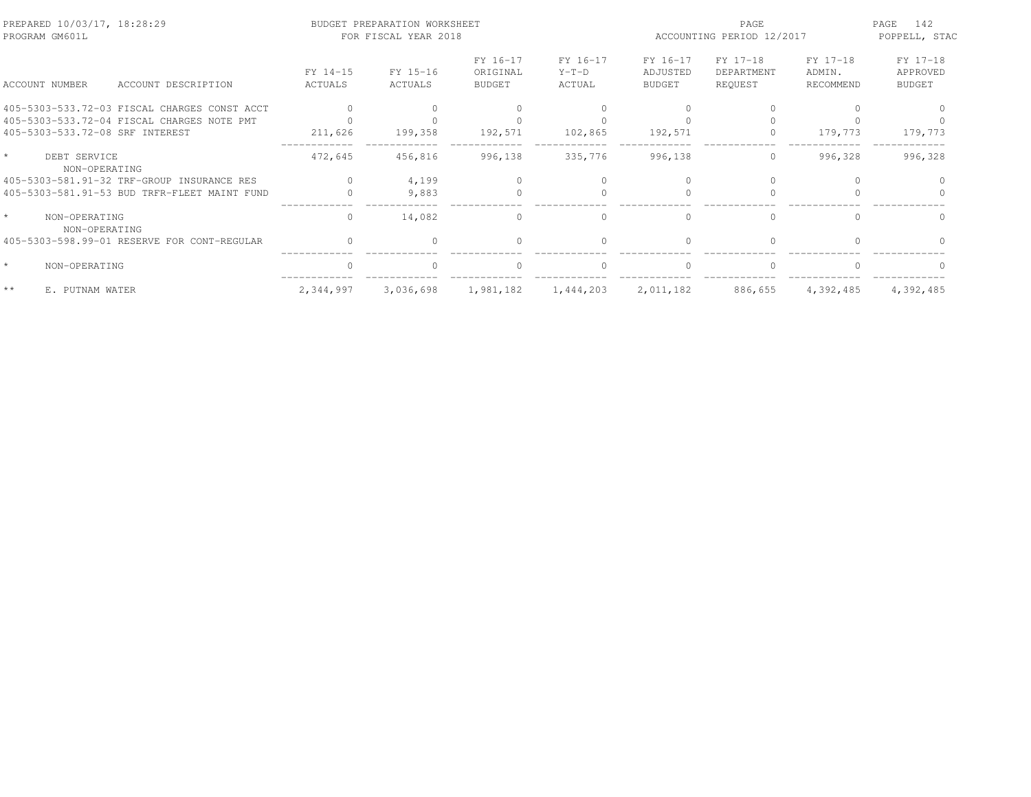| PREPARED 10/03/17, 18:28:29<br>PROGRAM GM601L |                                              |                     | BUDGET PREPARATION WORKSHEET<br>FOR FISCAL YEAR 2018 |                                       |                               | ACCOUNTING PERIOD 12/2017             | 142<br>PAGE<br>POPPELL, STAC      |                                 |                                       |
|-----------------------------------------------|----------------------------------------------|---------------------|------------------------------------------------------|---------------------------------------|-------------------------------|---------------------------------------|-----------------------------------|---------------------------------|---------------------------------------|
| <b>ACCOUNT NUMBER</b>                         | ACCOUNT DESCRIPTION                          | FY 14-15<br>ACTUALS | FY 15-16<br>ACTUALS                                  | FY 16-17<br>ORIGINAL<br><b>BUDGET</b> | FY 16-17<br>$Y-T-D$<br>ACTUAL | FY 16-17<br>ADJUSTED<br><b>BUDGET</b> | FY 17-18<br>DEPARTMENT<br>REOUEST | FY 17-18<br>ADMIN.<br>RECOMMEND | FY 17-18<br>APPROVED<br><b>BUDGET</b> |
|                                               | 405-5303-533.72-03 FISCAL CHARGES CONST ACCT |                     |                                                      |                                       |                               |                                       |                                   |                                 |                                       |
| 405-5303-533.72-08 SRF INTEREST               | 405-5303-533.72-04 FISCAL CHARGES NOTE PMT   | 211,626             | 199,358                                              | 192,571                               | 102,865                       | 192,571                               |                                   | 179,773                         | 179,773                               |
| $\star$<br>DEBT SERVICE<br>NON-OPERATING      |                                              | 472,645             | 456,816                                              | 996,138                               | 335,776                       | 996,138                               | $\mathbf{0}$                      | 996,328                         | 996,328                               |
|                                               | 405-5303-581.91-32 TRF-GROUP INSURANCE RES   |                     | 4,199                                                |                                       |                               |                                       |                                   |                                 |                                       |
|                                               | 405-5303-581.91-53 BUD TRFR-FLEET MAINT FUND |                     | 9,883                                                |                                       |                               |                                       |                                   |                                 |                                       |
| $\star$<br>NON-OPERATING<br>NON-OPERATING     |                                              | $\mathbf{0}$        | 14,082                                               |                                       |                               |                                       |                                   |                                 |                                       |
|                                               | 405-5303-598.99-01 RESERVE FOR CONT-REGULAR  | $\Omega$            |                                                      | $\Omega$                              | $\bigcap$                     | $\Omega$                              |                                   |                                 |                                       |
| $\star$<br>NON-OPERATING                      |                                              | $\Omega$            | $\Omega$                                             | $\Omega$                              | $\Omega$                      | $\Omega$                              | $\Omega$                          | $\cap$                          |                                       |
| $\star\star$<br>E. PUTNAM WATER               |                                              | 2,344,997           | 3,036,698                                            | 1,981,182                             | 1,444,203                     | 2,011,182                             | 886,655                           | 4,392,485                       | 4,392,485                             |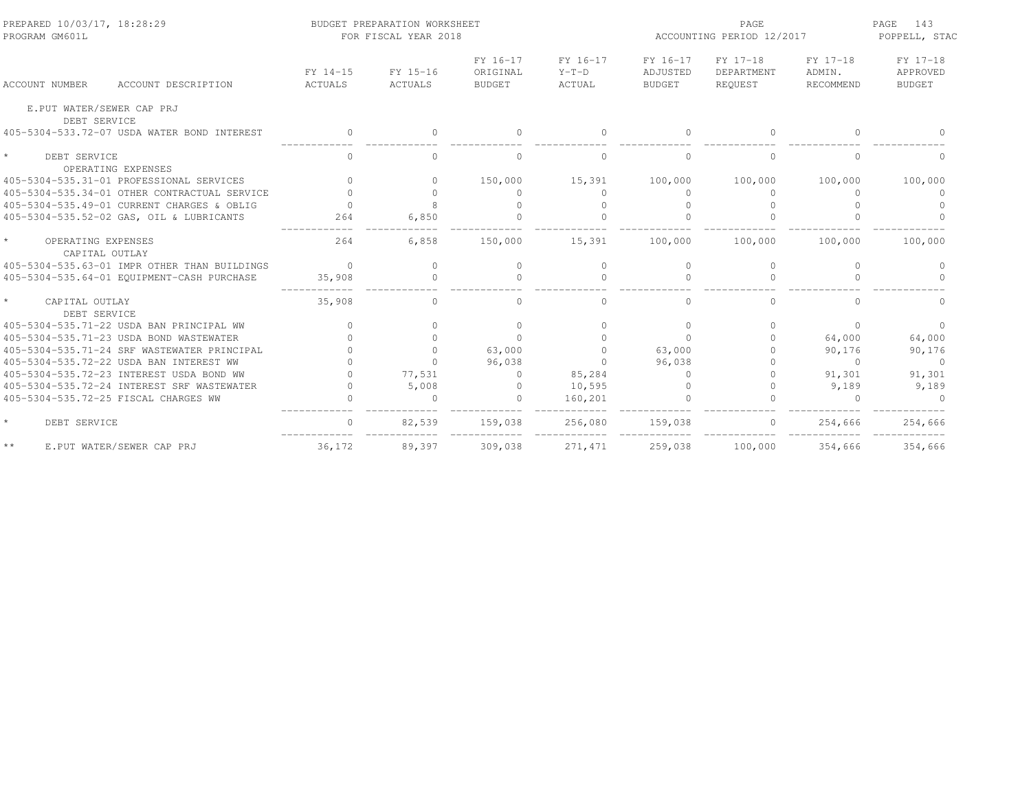| PREPARED 10/03/17, 18:28:29<br>PROGRAM GM601L   |                     | BUDGET PREPARATION WORKSHEET<br>FOR FISCAL YEAR 2018 |                                       |                               | ACCOUNTING PERIOD 12/2017             | 143<br>PAGE<br>POPPELL, STAC      |                                 |                                       |
|-------------------------------------------------|---------------------|------------------------------------------------------|---------------------------------------|-------------------------------|---------------------------------------|-----------------------------------|---------------------------------|---------------------------------------|
| ACCOUNT NUMBER<br>ACCOUNT DESCRIPTION           | FY 14-15<br>ACTUALS | FY 15-16<br>ACTUALS                                  | FY 16-17<br>ORIGINAL<br><b>BUDGET</b> | FY 16-17<br>$Y-T-D$<br>ACTUAL | FY 16-17<br>ADJUSTED<br><b>BUDGET</b> | FY 17-18<br>DEPARTMENT<br>REOUEST | FY 17-18<br>ADMIN.<br>RECOMMEND | FY 17-18<br>APPROVED<br><b>BUDGET</b> |
| E.PUT WATER/SEWER CAP PRJ<br>DEBT SERVICE       |                     |                                                      |                                       |                               |                                       |                                   |                                 |                                       |
| 405-5304-533.72-07 USDA WATER BOND INTEREST     | $\Omega$            | $\Omega$                                             | $\Omega$                              | $\Omega$                      | $\Omega$                              | $\Omega$                          | $\Omega$                        |                                       |
| $\star$<br>DEBT SERVICE<br>OPERATING EXPENSES   | $\mathbf{0}$        | 0                                                    | $\mathbf{0}$                          | $\circ$                       | $\mathbf{0}$                          | $\circ$                           | $\mathbf{0}$                    |                                       |
| 405-5304-535.31-01 PROFESSIONAL SERVICES        | $\Omega$            | $\Omega$                                             | 150,000                               | 15,391                        | 100,000                               | 100,000                           | 100,000                         | 100,000                               |
| 405-5304-535.34-01 OTHER CONTRACTUAL SERVICE    | $\cap$              | $\cap$                                               | $\Omega$                              | $\bigcap$                     | $\bigcap$                             | $\bigcap$                         | $\bigcap$                       | $\Omega$                              |
| 405-5304-535.49-01 CURRENT CHARGES & OBLIG      |                     |                                                      | $\cap$                                | $\cap$                        | $\cap$                                |                                   | $\cap$                          |                                       |
| 405-5304-535.52-02 GAS, OIL & LUBRICANTS        | 264                 | 6,850                                                | $\Omega$                              |                               |                                       |                                   |                                 |                                       |
| $\star$<br>OPERATING EXPENSES<br>CAPITAL OUTLAY | 264                 | 6,858                                                | 150,000                               | 15,391                        | 100,000                               | 100,000                           | 100,000                         | 100,000                               |
| 405-5304-535.63-01 IMPR OTHER THAN BUILDINGS    | $\overline{0}$      | $\Omega$                                             | $\Omega$                              | $\Omega$                      | $\Omega$                              | $\Omega$                          | $\Omega$                        | $\Omega$                              |
| 405-5304-535.64-01 EQUIPMENT-CASH PURCHASE      | 35,908              | $\Omega$                                             | $\cap$                                | $\bigcap$                     |                                       | $\Omega$                          |                                 |                                       |
| $\star$<br>CAPITAL OUTLAY<br>DEBT SERVICE       | 35,908              | $\Omega$                                             | $\Omega$                              | $\Omega$                      | $\Omega$                              | $\Omega$                          | $\cap$                          | $\cap$                                |
| 405-5304-535.71-22 USDA BAN PRINCIPAL WW        |                     | $\cap$                                               | $\cap$                                | $\Omega$                      | $\Omega$                              |                                   | $\Omega$                        | $\Omega$                              |
| 405-5304-535.71-23 USDA BOND WASTEWATER         |                     |                                                      | $\cap$                                | $\cap$                        | $\Omega$                              |                                   | 64,000                          | 64,000                                |
| 405-5304-535.71-24 SRF WASTEWATER PRINCIPAL     |                     | $\Omega$                                             | 63,000                                | $\Omega$                      | 63,000                                | $\Omega$                          | 90,176                          | 90,176                                |
| 405-5304-535.72-22 USDA BAN INTEREST WW         |                     | $\cap$                                               | 96,038                                | $\Omega$                      | 96,038                                |                                   | $\Omega$                        | $\Omega$                              |
| 405-5304-535.72-23 INTEREST USDA BOND WW        |                     | 77,531                                               | $\Omega$                              | 85,284                        | $\Omega$                              |                                   | 91,301                          | 91,301                                |
| 405-5304-535.72-24 INTEREST SRF WASTEWATER      |                     | 5,008                                                | $\circ$                               | 10,595                        | $\Omega$                              | $\Omega$                          | 9,189                           | 9,189                                 |
| 405-5304-535.72-25 FISCAL CHARGES WW            |                     |                                                      | $\Omega$                              | 160,201                       |                                       |                                   |                                 |                                       |
| $\star$<br>DEBT SERVICE                         |                     | 82,539                                               | 159,038                               | 256,080                       | 159,038                               |                                   | 254,666                         | 254,666                               |
| $\star\,\star$<br>E.PUT WATER/SEWER CAP PRJ     | 36,172              | 89,397                                               | 309,038                               | 271,471                       | 259,038                               | 100,000                           | 354,666                         | 354,666                               |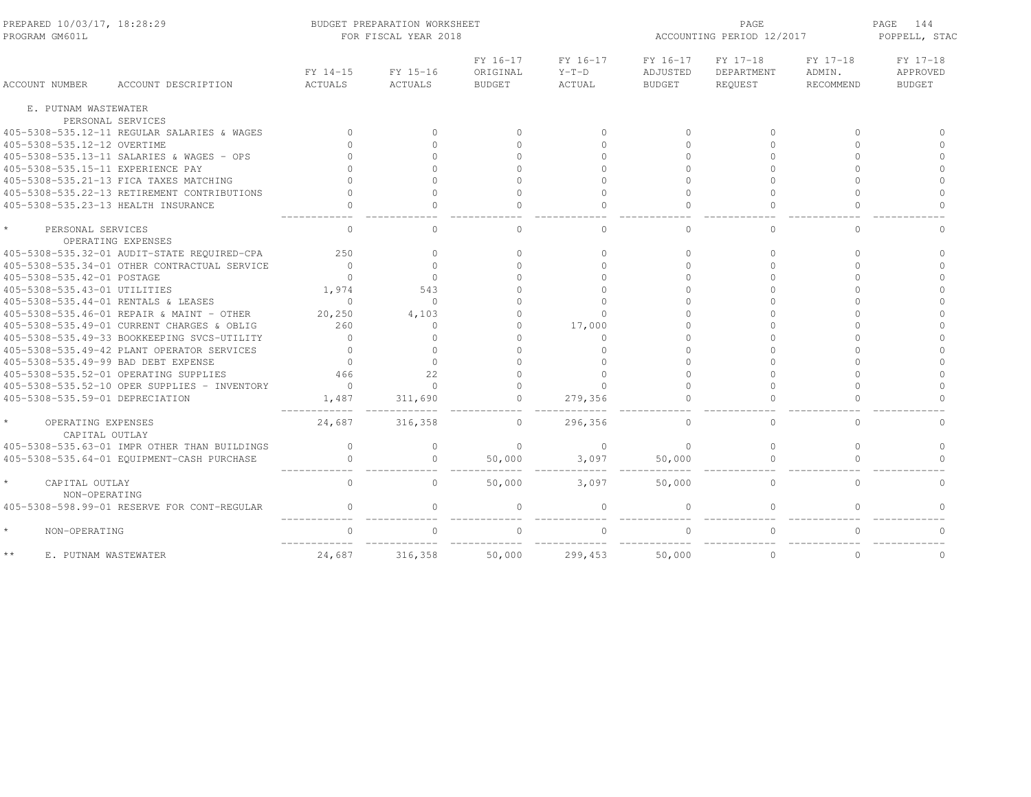| PREPARED 10/03/17, 18:28:29<br>PROGRAM GM601L                |              | BUDGET PREPARATION WORKSHEET<br>FOR FISCAL YEAR 2018 |                      | ACCOUNTING PERIOD 12/2017 | PAGE<br>144<br>POPPELL, STAC |                        |                    |                      |
|--------------------------------------------------------------|--------------|------------------------------------------------------|----------------------|---------------------------|------------------------------|------------------------|--------------------|----------------------|
|                                                              | FY 14-15     | FY 15-16                                             | FY 16-17<br>ORIGINAL | FY 16-17<br>$Y-T-D$       | FY 16-17<br>ADJUSTED         | FY 17-18<br>DEPARTMENT | FY 17-18<br>ADMIN. | FY 17-18<br>APPROVED |
| <b>ACCOUNT NUMBER</b><br>ACCOUNT DESCRIPTION                 | ACTUALS      | ACTUALS                                              | <b>BUDGET</b>        | ACTUAL                    | <b>BUDGET</b>                | REQUEST                | RECOMMEND          | <b>BUDGET</b>        |
| E. PUTNAM WASTEWATER                                         |              |                                                      |                      |                           |                              |                        |                    |                      |
| PERSONAL SERVICES                                            |              |                                                      |                      |                           |                              |                        |                    |                      |
| 405-5308-535.12-11 REGULAR SALARIES & WAGES                  | $\mathbf{0}$ | 0                                                    | $\Omega$             | 0                         | $\Omega$                     | 0                      | $\mathbf{0}$       | $\Omega$             |
| 405-5308-535.12-12 OVERTIME                                  | $\cap$       | $\Omega$                                             | $\cap$               | $\cap$                    | $\bigcap$                    | $\cap$                 | $\cap$             |                      |
| 405-5308-535.13-11 SALARIES & WAGES - OPS                    |              | $\Omega$                                             |                      | $\Omega$                  |                              |                        | $\cap$             |                      |
| 405-5308-535.15-11 EXPERIENCE PAY                            |              | $\Omega$                                             |                      | $\Omega$                  | $\cap$                       |                        | $\Omega$           | $\Omega$             |
| 405-5308-535.21-13 FICA TAXES MATCHING                       |              | $\Omega$                                             |                      | $\Omega$                  | $\cap$                       |                        | $\cap$             | $\Omega$             |
| 405-5308-535.22-13 RETIREMENT CONTRIBUTIONS                  |              | $\cap$                                               |                      | $\Omega$                  | $\cap$                       |                        | $\cap$             | $\Omega$             |
| 405-5308-535.23-13 HEALTH INSURANCE                          |              | $\Omega$                                             |                      | $\Omega$                  |                              |                        |                    |                      |
| PERSONAL SERVICES<br>OPERATING EXPENSES                      | $\Omega$     | $\Omega$                                             | $\cap$               | $\Omega$                  | $\cap$                       | $\Omega$               | $\Omega$           | $\cap$               |
| 405-5308-535.32-01 AUDIT-STATE REQUIRED-CPA                  | 250          | $\Omega$                                             | $\Omega$             | $\cap$                    | $\bigcap$                    | $\Omega$               | $\Omega$           | $\Omega$             |
| 405-5308-535.34-01 OTHER CONTRACTUAL SERVICE                 | $\Omega$     | $\Omega$                                             |                      | $\Omega$                  | $\bigcap$                    | $\cap$                 | $\Omega$           | $\cap$               |
| 405-5308-535.42-01 POSTAGE                                   | $\bigcap$    | $\Omega$                                             |                      | $\cap$                    | $\cap$                       |                        | $\cap$             | $\cap$               |
| 405-5308-535.43-01 UTILITIES                                 | 1,974        | 543                                                  |                      | $\cap$                    |                              |                        |                    |                      |
| 405-5308-535.44-01 RENTALS & LEASES                          | $\Omega$     | $\Omega$                                             |                      | $\Omega$                  | $\cap$                       |                        | $\Omega$           |                      |
| 405-5308-535.46-01 REPAIR & MAINT - OTHER                    | 20,250       | 4.103                                                |                      | $\cap$                    | $\cap$                       |                        | $\cap$             | $\Omega$             |
| 405-5308-535.49-01 CURRENT CHARGES & OBLIG                   | 260          | $\Omega$                                             |                      | 17,000                    |                              |                        |                    |                      |
| 405-5308-535.49-33 BOOKKEEPING SVCS-UTILITY                  | $\Omega$     | $\Omega$                                             |                      | $\Omega$                  | $\cap$                       |                        | $\cap$             |                      |
| 405-5308-535.49-42 PLANT OPERATOR SERVICES                   | $\Omega$     | $\circ$                                              |                      | $\Omega$                  | $\cap$                       |                        |                    |                      |
| 405-5308-535.49-99 BAD DEBT EXPENSE                          | $\bigcap$    | $\Omega$                                             |                      | $\Omega$                  | $\cap$                       |                        | $\cap$             | $\cap$               |
| 405-5308-535.52-01 OPERATING SUPPLIES                        | 466          | 22                                                   |                      | $\Omega$                  |                              |                        | $\cap$             |                      |
| 405-5308-535.52-10 OPER SUPPLIES - INVENTORY                 | $\Omega$     | $\Omega$                                             |                      | $\Omega$                  |                              |                        | $\cap$             | $\cap$               |
| 405-5308-535.59-01 DEPRECIATION                              | 1,487        | 311,690                                              | $\Omega$             | 279,356                   |                              |                        |                    |                      |
| OPERATING EXPENSES<br>CAPITAL OUTLAY                         | 24,687       | 316,358                                              | $\Omega$             | 296,356                   | $\cap$                       | $\Omega$               | $\Omega$           | $\Omega$             |
| 405-5308-535.63-01 IMPR OTHER THAN BUILDINGS                 | $\mathbf{0}$ | $\Omega$                                             | $\Omega$             | $\Omega$                  | $\Omega$                     | $\Omega$               | $\Omega$           | $\Omega$             |
| 405-5308-535.64-01 EQUIPMENT-CASH PURCHASE                   | $\mathbf{0}$ | 0                                                    | 50,000               | 3,097                     | 50,000                       | $\Omega$               |                    | $\cap$               |
| CAPITAL OUTLAY                                               | $\circ$      | $\circ$                                              | 50,000               | 3,097                     | 50,000                       | $\circ$                | $\circ$            | $\circ$              |
| NON-OPERATING<br>405-5308-598.99-01 RESERVE FOR CONT-REGULAR | $\circ$      | $\circ$                                              | $\mathbf{0}$         | $\circ$                   | $\Omega$                     | $\mathbf{0}$           | $\Omega$           | $\Omega$             |
| $\star$<br>NON-OPERATING                                     | $\Omega$     | $\Omega$                                             |                      | $\Omega$                  |                              | $\Omega$               | $\Omega$           | $\Omega$             |
| $\star\star$<br>E. PUTNAM WASTEWATER                         | 24,687       | 316,358                                              | 50,000               | 299,453                   | 50,000                       | $\circ$                | $\circ$            | $\mathbf 0$          |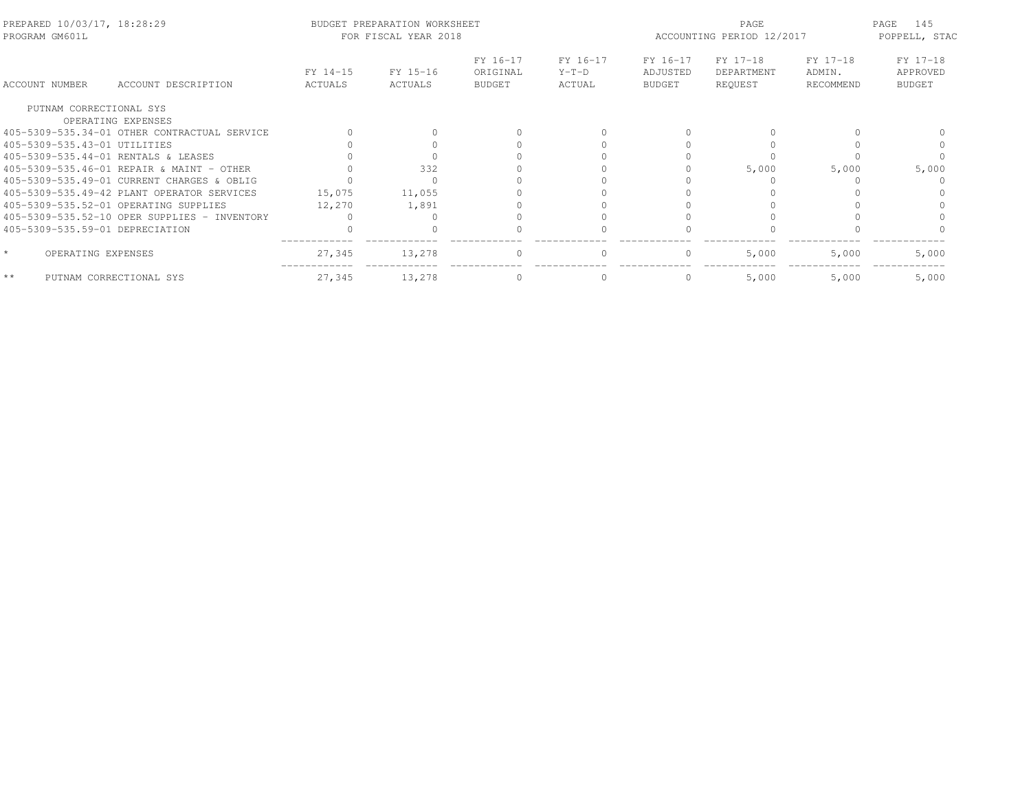| PREPARED 10/03/17, 18:28:29<br>PROGRAM GM601L                      |                     | BUDGET PREPARATION WORKSHEET<br>FOR FISCAL YEAR 2018 |                     |                                       | ACCOUNTING PERIOD 12/2017     | PAGE<br>145<br>POPPELL, STAC          |                                   |                                 |                                       |
|--------------------------------------------------------------------|---------------------|------------------------------------------------------|---------------------|---------------------------------------|-------------------------------|---------------------------------------|-----------------------------------|---------------------------------|---------------------------------------|
| <b>ACCOUNT NUMBER</b>                                              | ACCOUNT DESCRIPTION | FY 14-15<br>ACTUALS                                  | FY 15-16<br>ACTUALS | FY 16-17<br>ORIGINAL<br><b>BUDGET</b> | FY 16-17<br>$Y-T-D$<br>ACTUAL | FY 16-17<br>ADJUSTED<br><b>BUDGET</b> | FY 17-18<br>DEPARTMENT<br>REOUEST | FY 17-18<br>ADMIN.<br>RECOMMEND | FY 17-18<br>APPROVED<br><b>BUDGET</b> |
| PUTNAM CORRECTIONAL SYS                                            |                     |                                                      |                     |                                       |                               |                                       |                                   |                                 |                                       |
| OPERATING EXPENSES<br>405-5309-535.34-01 OTHER CONTRACTUAL SERVICE |                     |                                                      |                     |                                       |                               |                                       |                                   |                                 |                                       |
|                                                                    |                     |                                                      |                     |                                       |                               |                                       |                                   |                                 |                                       |
| 405-5309-535.43-01 UTILITIES                                       |                     |                                                      |                     |                                       |                               |                                       |                                   |                                 |                                       |
| 405-5309-535.44-01 RENTALS & LEASES                                |                     |                                                      |                     |                                       |                               |                                       |                                   |                                 |                                       |
| 405-5309-535.46-01 REPAIR & MAINT - OTHER                          |                     |                                                      | 332                 |                                       |                               |                                       | 5,000                             | 5,000                           | 5,000                                 |
| 405-5309-535.49-01 CURRENT CHARGES & OBLIG                         |                     |                                                      |                     |                                       |                               |                                       |                                   |                                 |                                       |
| 405-5309-535.49-42 PLANT OPERATOR SERVICES                         |                     | 15,075                                               | 11,055              |                                       |                               |                                       |                                   |                                 |                                       |
| 405-5309-535.52-01 OPERATING SUPPLIES                              |                     | 12,270                                               | 1,891               |                                       |                               |                                       |                                   |                                 |                                       |
| 405-5309-535.52-10 OPER SUPPLIES - INVENTORY                       |                     |                                                      |                     |                                       |                               |                                       |                                   |                                 |                                       |
| 405-5309-535.59-01 DEPRECIATION                                    |                     |                                                      |                     |                                       |                               |                                       |                                   |                                 |                                       |
| $\star$<br>OPERATING EXPENSES                                      |                     | 27,345                                               | 13,278              |                                       | $\Omega$                      |                                       | 5,000                             | 5,000                           | 5,000                                 |
| $\star\star$<br>PUTNAM CORRECTIONAL SYS                            |                     | 27,345                                               | 13,278              |                                       | $\mathbf{0}$                  |                                       | 5,000                             | 5,000                           | 5,000                                 |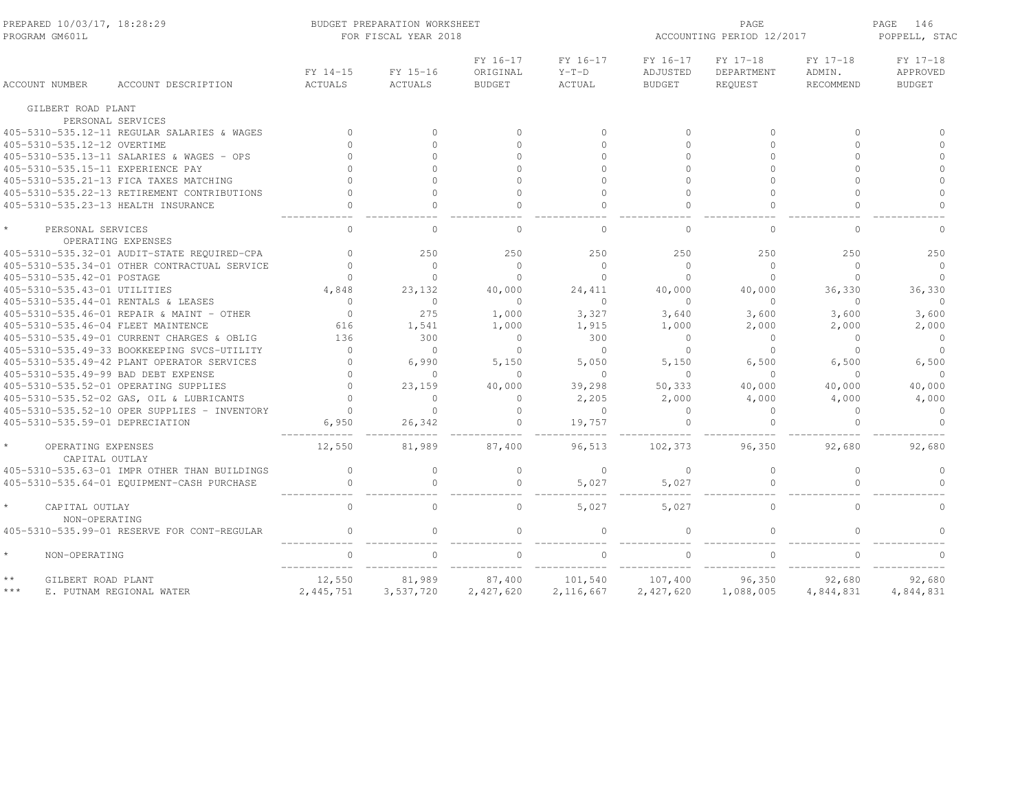| PREPARED 10/03/17, 18:28:29<br>PROGRAM GM601L |                                              | BUDGET PREPARATION WORKSHEET<br>FOR FISCAL YEAR 2018 |                            |                                       |                               |                                       | PAGE<br>ACCOUNTING PERIOD 12/2017 |                                        |                                       |  |
|-----------------------------------------------|----------------------------------------------|------------------------------------------------------|----------------------------|---------------------------------------|-------------------------------|---------------------------------------|-----------------------------------|----------------------------------------|---------------------------------------|--|
| <b>ACCOUNT NUMBER</b>                         | ACCOUNT DESCRIPTION                          | FY 14-15<br><b>ACTUALS</b>                           | FY 15-16<br><b>ACTUALS</b> | FY 16-17<br>ORIGINAL<br><b>BUDGET</b> | FY 16-17<br>$Y-T-D$<br>ACTUAL | FY 16-17<br>ADJUSTED<br><b>BUDGET</b> | FY 17-18<br>DEPARTMENT<br>REQUEST | FY 17-18<br>ADMIN.<br><b>RECOMMEND</b> | FY 17-18<br>APPROVED<br><b>BUDGET</b> |  |
| GILBERT ROAD PLANT                            |                                              |                                                      |                            |                                       |                               |                                       |                                   |                                        |                                       |  |
|                                               | PERSONAL SERVICES                            |                                                      |                            |                                       |                               |                                       |                                   |                                        |                                       |  |
|                                               | 405-5310-535.12-11 REGULAR SALARIES & WAGES  | $\Omega$                                             | $\Omega$                   | $\Omega$                              | $\Omega$                      | $\Omega$                              | $\Omega$                          | $\Omega$                               | $\cap$                                |  |
| 405-5310-535.12-12 OVERTIME                   |                                              | $\Omega$                                             | $\Omega$                   | $\cap$                                | $\Omega$                      | $\bigcap$                             | $\Omega$                          | $\Omega$                               | $\Omega$                              |  |
|                                               | 405-5310-535.13-11 SALARIES & WAGES - OPS    | $\cap$                                               | $\Omega$                   | $\cap$                                | $\cap$                        | $\bigcap$                             | $\cap$                            | $\Omega$                               | $\Omega$                              |  |
|                                               | 405-5310-535.15-11 EXPERIENCE PAY            |                                                      | $\Omega$                   | $\cap$                                | $\Omega$                      | $\cap$                                | $\cap$                            | $\cap$                                 | $\Omega$                              |  |
|                                               | 405-5310-535.21-13 FICA TAXES MATCHING       |                                                      | $\Omega$                   | $\cap$                                | $\cap$                        | $\cap$                                | $\cap$                            | $\cap$                                 | $\Omega$                              |  |
|                                               | 405-5310-535.22-13 RETIREMENT CONTRIBUTIONS  | $\cap$                                               | $\Omega$                   | $\cap$                                | $\cap$                        | $\cap$                                | $\Omega$                          | $\cap$                                 | $\Omega$                              |  |
|                                               | 405-5310-535.23-13 HEALTH INSURANCE          | $\cap$                                               | $\Omega$                   | $\cap$                                | $\cap$                        | $\cap$                                | $\Omega$                          | $\cap$                                 | $\Omega$                              |  |
|                                               | PERSONAL SERVICES<br>OPERATING EXPENSES      | $\Omega$                                             | $\Omega$                   | $\cap$                                | $\Omega$                      | $\cap$                                | $\Omega$                          | $\cap$                                 | $\cap$                                |  |
|                                               | 405-5310-535.32-01 AUDIT-STATE REQUIRED-CPA  | $\cap$                                               | 250                        | 250                                   | 250                           | 250                                   | 250                               | 250                                    | 250                                   |  |
|                                               | 405-5310-535.34-01 OTHER CONTRACTUAL SERVICE | $\Omega$                                             | $\Omega$                   | $\Omega$                              | $\Omega$                      | $\bigcap$                             | $\Omega$                          | $\Omega$                               | $\Omega$                              |  |
| 405-5310-535.42-01 POSTAGE                    |                                              | $\cap$                                               | $\Omega$                   | $\Omega$                              | $\Omega$                      | $\cap$                                | $\Omega$                          | $\Omega$                               | $\Omega$                              |  |
| 405-5310-535.43-01 UTILITIES                  |                                              | 4,848                                                | 23,132                     | 40,000                                | 24,411                        | 40,000                                | 40,000                            | 36,330                                 | 36,330                                |  |
|                                               | 405-5310-535.44-01 RENTALS & LEASES          | $\bigcap$                                            | $\Omega$                   | $\Omega$                              | $\bigcap$                     | $\bigcap$                             | $\Omega$                          | $\Omega$                               | $\Omega$                              |  |
|                                               | 405-5310-535.46-01 REPAIR & MAINT - OTHER    | $\Omega$                                             | 275                        | 1,000                                 | 3,327                         | 3,640                                 | 3,600                             | 3,600                                  | 3,600                                 |  |
|                                               | 405-5310-535.46-04 FLEET MAINTENCE           | 616                                                  | 1,541                      | 1,000                                 | 1,915                         | 1,000                                 | 2,000                             | 2,000                                  | 2,000                                 |  |
|                                               | 405-5310-535.49-01 CURRENT CHARGES & OBLIG   | 136                                                  | 300                        | $\mathbf{0}$                          | 300                           | $\bigcap$                             | $\mathbf{0}$                      | $\Omega$                               | $\circ$                               |  |
|                                               | 405-5310-535.49-33 BOOKKEEPING SVCS-UTILITY  | $\circ$                                              | $\mathbf{0}$               | $\circ$                               | $\mathbf{0}$                  | $\Omega$                              | $\mathbf{0}$                      | $\Omega$                               | $\circ$                               |  |
|                                               | 405-5310-535.49-42 PLANT OPERATOR SERVICES   | $\Omega$                                             | 6,990                      | 5,150                                 | 5,050                         | 5,150                                 | 6,500                             | 6,500                                  | 6,500                                 |  |
|                                               | 405-5310-535.49-99 BAD DEBT EXPENSE          |                                                      | $\Omega$                   | $\Omega$                              | $\Omega$                      | $\cap$                                | $\Omega$                          | $\Omega$                               | $\Omega$                              |  |
|                                               | 405-5310-535.52-01 OPERATING SUPPLIES        |                                                      | 23,159                     | 40,000                                | 39,298                        | 50,333                                | 40,000                            | 40,000                                 | 40,000                                |  |
|                                               | 405-5310-535.52-02 GAS, OIL & LUBRICANTS     | $\Omega$                                             | $\Omega$                   | $\mathbf{0}$                          | 2,205                         | 2,000                                 | 4,000                             | 4,000                                  | 4,000                                 |  |
|                                               | 405-5310-535.52-10 OPER SUPPLIES - INVENTORY | $\Omega$                                             | $\Omega$                   | $\Omega$                              | $\Omega$                      | $\Omega$                              | $\Omega$                          | $\Omega$                               | $\circ$                               |  |
|                                               | 405-5310-535.59-01 DEPRECIATION              | 6,950                                                | 26,342                     | $\Omega$                              | 19,757                        | $\Omega$                              | $\Omega$                          | $\Omega$                               | $\Omega$                              |  |
|                                               | OPERATING EXPENSES<br>CAPITAL OUTLAY         | 12,550                                               | 81,989                     | 87,400                                | 96,513                        | 102,373                               | 96,350                            | 92,680                                 | 92,680                                |  |
|                                               | 405-5310-535.63-01 IMPR OTHER THAN BUILDINGS | $\circ$                                              | $\circ$                    | $\Omega$                              | $\mathbf{0}$                  | $\Omega$                              | $\circ$                           | $\Omega$                               | $\Omega$                              |  |
|                                               | 405-5310-535.64-01 EQUIPMENT-CASH PURCHASE   | $\Omega$                                             | $\circ$                    | $\mathbf{0}$                          | 5,027                         | 5,027                                 | $\Omega$                          | $\Omega$                               | $\Omega$                              |  |
| CAPITAL OUTLAY                                | NON-OPERATING                                | $\Omega$                                             | $\Omega$                   | $\Omega$                              | 5,027                         | 5,027                                 | $\Omega$                          | $\Omega$                               | $\Omega$                              |  |
|                                               | 405-5310-535.99-01 RESERVE FOR CONT-REGULAR  | $\mathbf{0}$                                         | $\Omega$                   | $\Omega$                              | $\circ$                       | $\cap$                                | $\Omega$                          | $\cap$                                 | $\cap$                                |  |
| $\star$<br>NON-OPERATING                      |                                              | $\Omega$                                             | $\cap$                     |                                       | $\cap$                        |                                       | $\cap$                            |                                        |                                       |  |
| $**$                                          | GILBERT ROAD PLANT                           | 12,550                                               | 81,989                     | 87,400                                | 101,540                       | 107,400                               | 96,350                            | 92,680                                 | 92,680                                |  |
| $***$                                         | E. PUTNAM REGIONAL WATER                     | 2,445,751                                            | 3,537,720                  | 2,427,620                             | 2,116,667                     | 2,427,620                             | 1,088,005                         | 4,844,831                              | 4,844,831                             |  |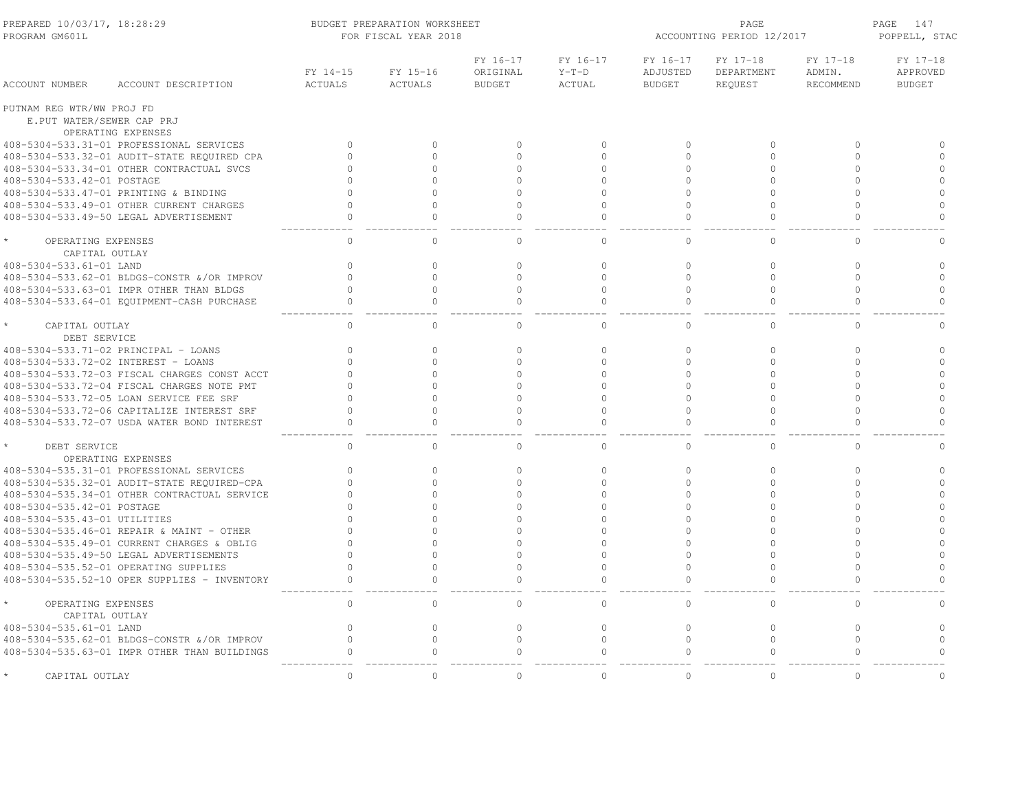| PREPARED 10/03/17, 18:28:29<br>PROGRAM GM601L                           |                            | BUDGET PREPARATION WORKSHEET<br>FOR FISCAL YEAR 2018 |                                       | ACCOUNTING PERIOD 12/2017     | 147<br>PAGE<br>POPPELL, STAC          |                                   |                                 |                                       |
|-------------------------------------------------------------------------|----------------------------|------------------------------------------------------|---------------------------------------|-------------------------------|---------------------------------------|-----------------------------------|---------------------------------|---------------------------------------|
| <b>ACCOUNT NUMBER</b><br>ACCOUNT DESCRIPTION                            | FY 14-15<br><b>ACTUALS</b> | FY 15-16<br>ACTUALS                                  | FY 16-17<br>ORIGINAL<br><b>BUDGET</b> | FY 16-17<br>$Y-T-D$<br>ACTUAL | FY 16-17<br>ADJUSTED<br><b>BUDGET</b> | FY 17-18<br>DEPARTMENT<br>REQUEST | FY 17-18<br>ADMIN.<br>RECOMMEND | FY 17-18<br>APPROVED<br><b>BUDGET</b> |
| PUTNAM REG WTR/WW PROJ FD                                               |                            |                                                      |                                       |                               |                                       |                                   |                                 |                                       |
| E.PUT WATER/SEWER CAP PRJ                                               |                            |                                                      |                                       |                               |                                       |                                   |                                 |                                       |
| OPERATING EXPENSES                                                      |                            |                                                      |                                       |                               |                                       |                                   |                                 |                                       |
| 408-5304-533.31-01 PROFESSIONAL SERVICES                                | $\circ$                    | $\Omega$                                             | $\mathbf{0}$                          | $\mathbf{0}$                  | $\Omega$                              | $\mathbf{0}$                      | $\circ$                         | $\Omega$                              |
| 408-5304-533.32-01 AUDIT-STATE REQUIRED CPA                             | $\Omega$                   | $\Omega$<br>$\Omega$                                 | $\Omega$<br>$\Omega$                  | $\circ$<br>$\Omega$           | $\bigcap$<br>$\Omega$                 | $\circ$                           | $\circ$<br>$\Omega$             | $\Omega$<br>$\circ$                   |
| 408-5304-533.34-01 OTHER CONTRACTUAL SVCS<br>408-5304-533.42-01 POSTAGE |                            | $\cap$                                               | $\Omega$                              | $\Omega$                      | $\cap$                                | $\Omega$<br>$\Omega$              | $\Omega$                        | $\Omega$                              |
| 408-5304-533.47-01 PRINTING & BINDING                                   | $\cap$                     | $\Omega$                                             | $\Omega$                              | $\Omega$                      | $\bigcap$                             | $\Omega$                          | $\Omega$                        | $\Omega$                              |
| 408-5304-533.49-01 OTHER CURRENT CHARGES                                | $\Omega$                   | $\Omega$                                             | $\Omega$                              | $\Omega$                      |                                       | $\Omega$                          | $\Omega$                        | $\Omega$                              |
| 408-5304-533.49-50 LEGAL ADVERTISEMENT                                  | $\Omega$                   | $\cap$                                               | $\Omega$                              | $\circ$                       | $\cap$                                | $\Omega$                          | $\circ$                         | $\Omega$                              |
|                                                                         |                            |                                                      |                                       |                               |                                       |                                   |                                 |                                       |
| OPERATING EXPENSES                                                      | $\mathbf{0}$               | $\Omega$                                             | $\Omega$                              | $\circ$                       | $\cap$                                | $\mathbf{0}$                      | $\circ$                         | $\cap$                                |
| CAPITAL OUTLAY                                                          |                            |                                                      |                                       |                               |                                       |                                   |                                 |                                       |
| 408-5304-533.61-01 LAND                                                 | $\Omega$                   | $\Omega$                                             | $\Omega$                              | $\circ$                       | $\Omega$                              | $\Omega$                          | $\Omega$                        | $\Omega$                              |
| 408-5304-533.62-01 BLDGS-CONSTR & OR IMPROV                             | $\Omega$                   | $\Omega$                                             | $\Omega$                              | $\Omega$                      | $\cap$                                | $\Omega$                          | $\Omega$                        | $\Omega$                              |
| 408-5304-533.63-01 IMPR OTHER THAN BLDGS                                | $\Omega$                   | $\Omega$                                             | $\Omega$                              | $\mathbf{0}$                  | $\Omega$                              | $\Omega$                          | $\Omega$                        | $\circ$                               |
| 408-5304-533.64-01 EQUIPMENT-CASH PURCHASE                              | $\Omega$                   | $\Omega$                                             | $\Omega$                              | $\mathbf{0}$                  | $\Omega$                              | $\mathbf{0}$                      | $\Omega$                        | $\Omega$                              |
| $\star$<br>CAPITAL OUTLAY                                               | $\circ$                    | 0                                                    | $\mathbf{0}$                          | $\circ$                       | $\mathbf{0}$                          | $\mathbf{0}$                      | $\circ$                         | $\circ$                               |
| DEBT SERVICE                                                            |                            |                                                      |                                       |                               |                                       |                                   |                                 |                                       |
| 408-5304-533.71-02 PRINCIPAL - LOANS                                    | $\Omega$                   | $\Omega$                                             | $\Omega$                              | $\circ$                       | $\mathbf{0}$                          | $\circ$                           | $\circ$                         | $\Omega$                              |
| 408-5304-533.72-02 INTEREST - LOANS                                     | $\Omega$                   | $\Omega$                                             | $\Omega$                              | $\circ$                       | $\Omega$                              | $\Omega$                          | $\Omega$                        | $\Omega$                              |
| 408-5304-533.72-03 FISCAL CHARGES CONST ACCT                            | $\cap$                     | $\Omega$                                             | $\Omega$                              | $\Omega$                      | $\Omega$                              | $\Omega$                          | $\Omega$                        | $\Omega$                              |
| 408-5304-533.72-04 FISCAL CHARGES NOTE PMT                              |                            | $\cap$                                               | $\cap$                                | $\Omega$                      |                                       | $\Omega$                          | $\Omega$                        | $\Omega$                              |
| 408-5304-533.72-05 LOAN SERVICE FEE SRF                                 | $\cap$                     | $\Omega$                                             | $\Omega$                              | $\Omega$                      | $\Omega$                              | $\Omega$                          | $\Omega$                        | $\Omega$                              |
| 408-5304-533.72-06 CAPITALIZE INTEREST SRF                              | $\Omega$                   | $\Omega$                                             | $\Omega$                              | $\Omega$                      |                                       | $\Omega$                          | $\Omega$                        | $\Omega$                              |
| 408-5304-533.72-07 USDA WATER BOND INTEREST                             | $\cap$                     | $\cap$                                               | $\cap$                                | $\cap$                        | $\cap$                                | $\Omega$                          | $\cap$                          | $\cap$                                |
| DEBT SERVICE                                                            | $\circ$                    | $\Omega$                                             | $\circ$                               | $\circ$                       | $\Omega$                              | $\mathbf{0}$                      | $\Omega$                        | $\Omega$                              |
| OPERATING EXPENSES                                                      |                            |                                                      |                                       |                               |                                       |                                   |                                 |                                       |
| 408-5304-535.31-01 PROFESSIONAL SERVICES                                | $\Omega$                   | $\Omega$                                             | $\Omega$                              | $\mathbf{0}$                  | $\Omega$                              | $\circ$                           | $\circ$                         | $\circ$                               |
| 408-5304-535.32-01 AUDIT-STATE REQUIRED-CPA                             | $\cap$                     | $\Omega$                                             | $\Omega$                              | $\Omega$                      | $\bigcap$                             | $\Omega$                          | $\Omega$                        | $\Omega$                              |
| 408-5304-535.34-01 OTHER CONTRACTUAL SERVICE                            |                            | $\Omega$                                             | $\Omega$                              | $\Omega$                      | $\Omega$                              | $\Omega$                          | $\Omega$                        | $\circ$                               |
| 408-5304-535.42-01 POSTAGE                                              |                            | $\Omega$                                             | $\Omega$                              | $\Omega$                      | $\cap$                                | $\Omega$                          | $\Omega$                        | $\Omega$                              |
| 408-5304-535.43-01 UTILITIES                                            |                            | $\Omega$                                             | $\cap$                                | $\Omega$                      | $\Omega$                              | $\Omega$                          | $\Omega$                        | $\Omega$                              |
| 408-5304-535.46-01 REPAIR & MAINT - OTHER                               |                            | $\cap$                                               |                                       | $\Omega$                      | $\cap$                                | $\cap$                            | $\circ$                         | $\Omega$                              |
| 408-5304-535.49-01 CURRENT CHARGES & OBLIG                              | $\cap$                     | $\cap$                                               | $\cap$                                | $\Omega$                      | $\cap$                                | $\Omega$                          | $\Omega$                        | $\circ$                               |
| 408-5304-535.49-50 LEGAL ADVERTISEMENTS                                 | $\Omega$                   | $\Omega$                                             | $\Omega$                              | $\Omega$                      | $\Omega$                              | $\Omega$                          | $\Omega$                        | $\Omega$                              |
| 408-5304-535.52-01 OPERATING SUPPLIES                                   | $\Omega$                   | $\Omega$                                             | $\Omega$                              | $\circ$                       | $\Omega$                              | $\Omega$                          | $\circ$                         | $\circ$                               |
| 408-5304-535.52-10 OPER SUPPLIES - INVENTORY                            | $\Omega$                   | $\Omega$                                             | $\Omega$                              | $\circ$                       | $\Omega$                              | $\circ$                           | $\circ$                         | $\Omega$                              |
| OPERATING EXPENSES<br>CAPITAL OUTLAY                                    | $\circ$                    | $\circ$                                              | $\circ$                               | $\circ$                       | $\Omega$                              | $\mathbf{0}$                      | $\circ$                         | $\Omega$                              |
| 408-5304-535.61-01 LAND                                                 | $\mathbf{0}$               | $\Omega$                                             | $\circ$                               | $\mathbb O$                   | $\mathbf{0}$                          | $\circ$                           | $\circ$                         | $\circ$                               |
| 408-5304-535.62-01 BLDGS-CONSTR &/OR IMPROV                             | $\mathbf{0}$               | $\circ$                                              | $\mathbf 0$                           | $\mathbb O$                   | $\mathbf{0}$                          | $\circ$                           | $\circ$                         | $\circ$                               |
| 408-5304-535.63-01 IMPR OTHER THAN BUILDINGS                            | $\Omega$                   | $\Omega$                                             | $\Omega$                              | $\Omega$                      |                                       | $\Omega$                          | $\Omega$                        | $\Omega$                              |
|                                                                         |                            |                                                      |                                       |                               |                                       |                                   |                                 |                                       |
| CAPITAL OUTLAY                                                          | $\mathbf{0}$               | $\circ$                                              | $\Omega$                              | $\circ$                       | $\mathbf{0}$                          | $\circ$                           | $\circ$                         | $\Omega$                              |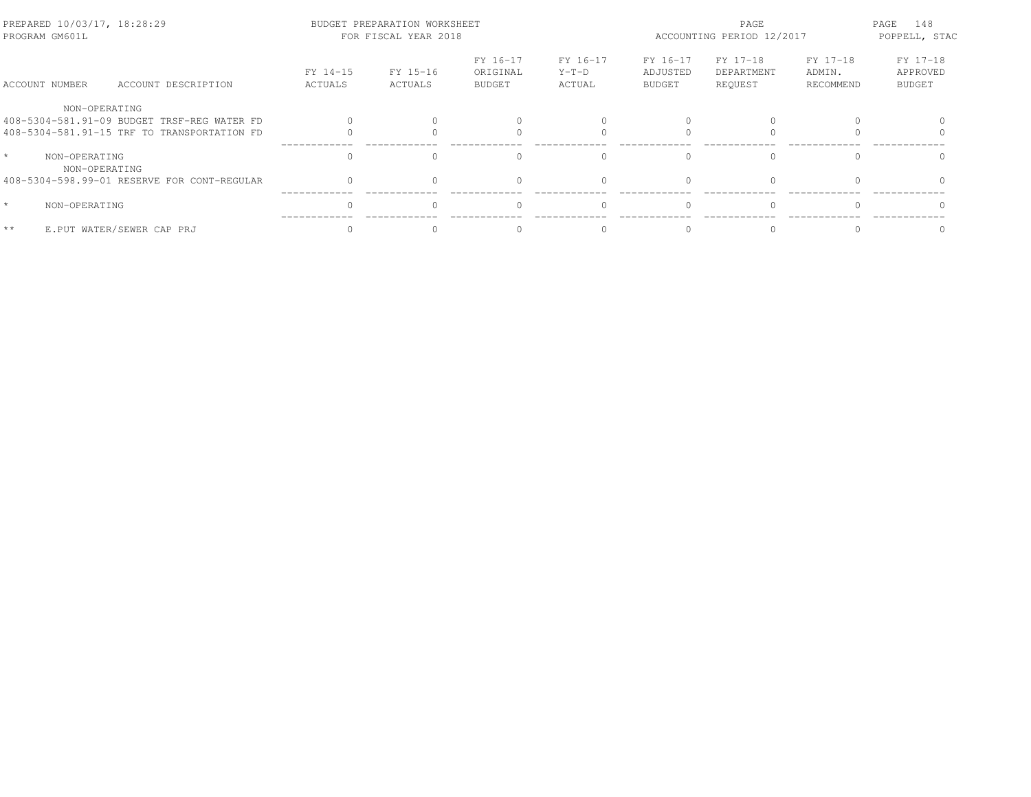| PROGRAM GM601L | PREPARED 10/03/17, 18:28:29    |                                             | BUDGET PREPARATION WORKSHEET<br>FOR FISCAL YEAR 2018 |                     |                                       | PAGE<br>ACCOUNTING PERIOD 12/2017 |                                       |                                   |                                 |                                       |
|----------------|--------------------------------|---------------------------------------------|------------------------------------------------------|---------------------|---------------------------------------|-----------------------------------|---------------------------------------|-----------------------------------|---------------------------------|---------------------------------------|
| ACCOUNT NUMBER |                                | ACCOUNT DESCRIPTION                         | FY 14-15<br><b>ACTUALS</b>                           | FY 15-16<br>ACTUALS | FY 16-17<br>ORIGINAL<br><b>BUDGET</b> | FY 16-17<br>$Y-T-D$<br>ACTUAL     | FY 16-17<br>ADJUSTED<br><b>BUDGET</b> | FY 17-18<br>DEPARTMENT<br>REQUEST | FY 17-18<br>ADMIN.<br>RECOMMEND | FY 17-18<br>APPROVED<br><b>BUDGET</b> |
|                | NON-OPERATING                  |                                             |                                                      |                     |                                       |                                   |                                       |                                   |                                 |                                       |
|                |                                | 408-5304-581.91-09 BUDGET TRSF-REG WATER FD |                                                      |                     |                                       |                                   |                                       |                                   |                                 |                                       |
|                |                                | 408-5304-581.91-15 TRF TO TRANSPORTATION FD |                                                      |                     |                                       |                                   |                                       |                                   |                                 |                                       |
|                | NON-OPERATING<br>NON-OPERATING |                                             |                                                      |                     |                                       | $\Omega$                          | $\cap$                                | $\cap$                            |                                 |                                       |
|                |                                | 408-5304-598.99-01 RESERVE FOR CONT-REGULAR |                                                      |                     |                                       | $\Omega$                          | $\bigcap$                             |                                   |                                 |                                       |
|                | NON-OPERATING                  |                                             | $\Omega$                                             |                     | $\Omega$                              | $\Omega$                          | $\bigcap$                             | $\Omega$                          |                                 |                                       |
| $**$           |                                | E.PUT WATER/SEWER CAP PRJ                   |                                                      |                     |                                       | $\bigcap$                         |                                       |                                   |                                 |                                       |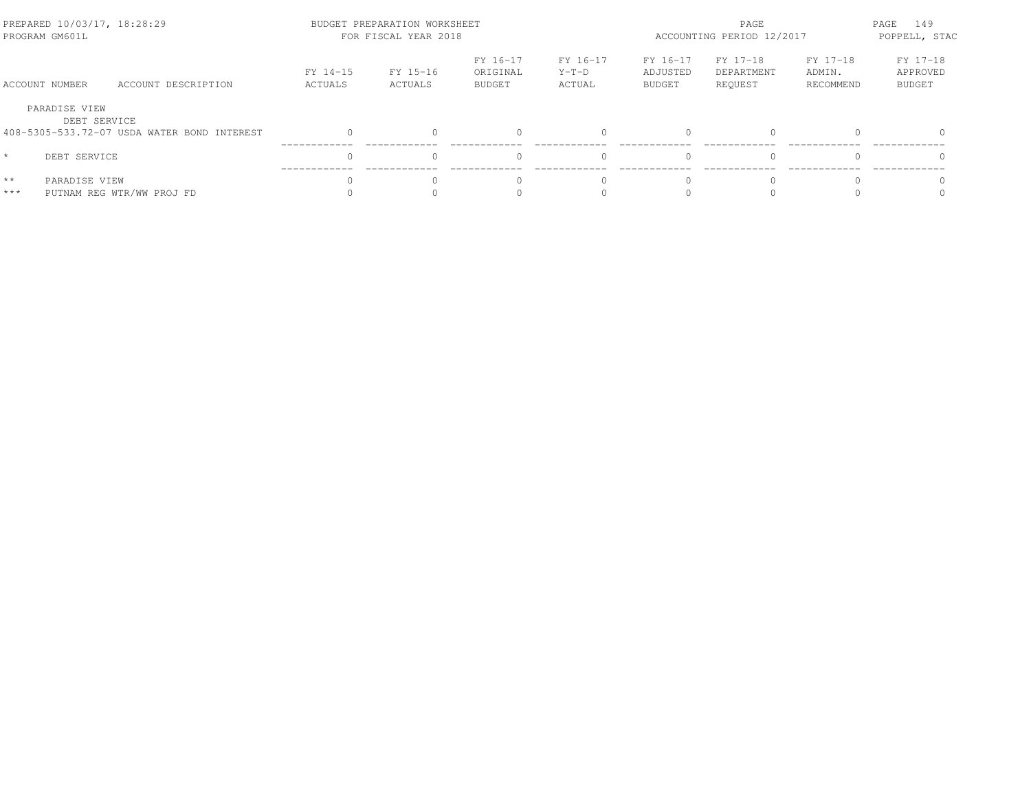| PREPARED 10/03/17, 18:28:29<br>PROGRAM GM601L |                                             |                     | BUDGET PREPARATION WORKSHEET<br>FOR FISCAL YEAR 2018 |                                       | PAGE<br>ACCOUNTING PERIOD 12/2017 |                                       |                                   | PAGE<br>149<br>POPPELL, STAC    |                                       |
|-----------------------------------------------|---------------------------------------------|---------------------|------------------------------------------------------|---------------------------------------|-----------------------------------|---------------------------------------|-----------------------------------|---------------------------------|---------------------------------------|
| ACCOUNT NUMBER                                | ACCOUNT DESCRIPTION                         | FY 14-15<br>ACTUALS | FY 15-16<br>ACTUALS                                  | FY 16-17<br>ORIGINAL<br><b>BUDGET</b> | FY 16-17<br>$Y-T-D$<br>ACTUAL     | FY 16-17<br>ADJUSTED<br><b>BUDGET</b> | FY 17-18<br>DEPARTMENT<br>REOUEST | FY 17-18<br>ADMIN.<br>RECOMMEND | FY 17-18<br>APPROVED<br><b>BUDGET</b> |
| PARADISE VIEW<br>DEBT SERVICE                 | 408-5305-533.72-07 USDA WATER BOND INTEREST |                     |                                                      |                                       |                                   | $\Omega$                              | $\Omega$                          |                                 |                                       |
| $\star$<br>DEBT SERVICE                       |                                             |                     |                                                      |                                       |                                   | $\bigcap$                             | $\Omega$                          |                                 | $\Omega$                              |
| $\star\star$<br>PARADISE VIEW<br>$***$        | PUTNAM REG WTR/WW PROJ FD                   |                     |                                                      |                                       |                                   | $\bigcap$                             | U                                 |                                 |                                       |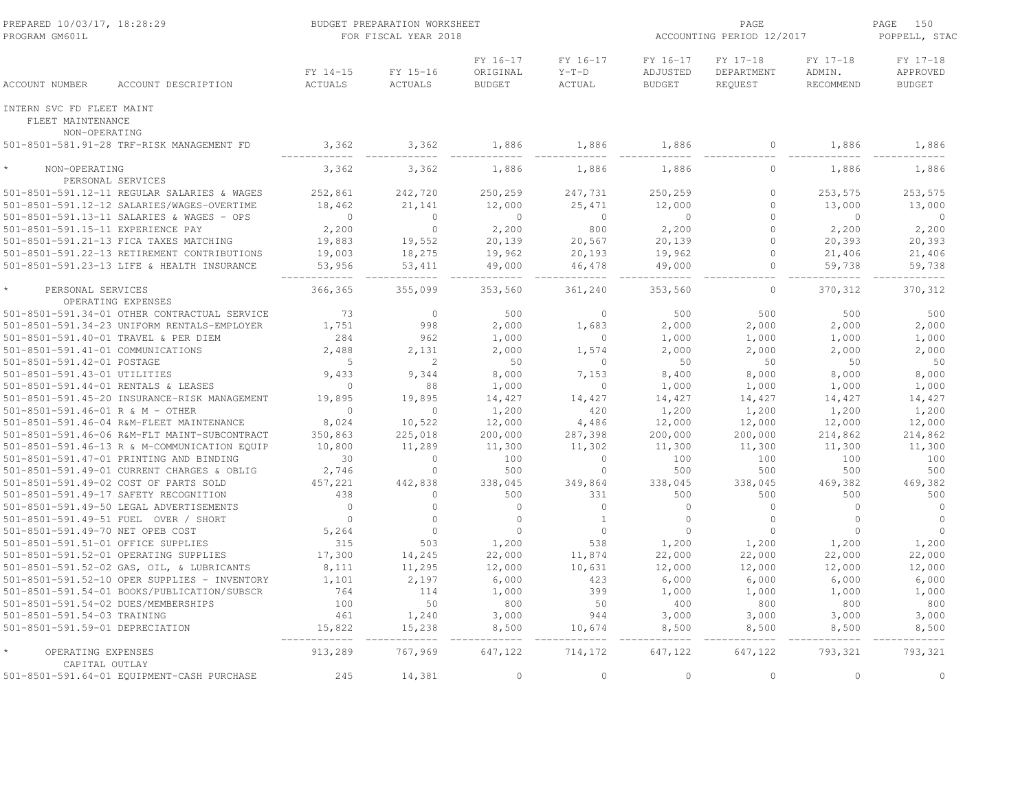| PREPARED 10/03/17, 18:28:29<br>PROGRAM GM601L  |                                              |                            | BUDGET PREPARATION WORKSHEET<br>FOR FISCAL YEAR 2018 |                                       | ACCOUNTING PERIOD 12/2017     | PAGE<br>150<br>POPPELL, STAC          |                                   |                                 |                                       |
|------------------------------------------------|----------------------------------------------|----------------------------|------------------------------------------------------|---------------------------------------|-------------------------------|---------------------------------------|-----------------------------------|---------------------------------|---------------------------------------|
| ACCOUNT NUMBER                                 | ACCOUNT DESCRIPTION                          | FY 14-15<br><b>ACTUALS</b> | FY 15-16<br>ACTUALS                                  | FY 16-17<br>ORIGINAL<br><b>BUDGET</b> | FY 16-17<br>$Y-T-D$<br>ACTUAL | FY 16-17<br>ADJUSTED<br><b>BUDGET</b> | FY 17-18<br>DEPARTMENT<br>REQUEST | FY 17-18<br>ADMIN.<br>RECOMMEND | FY 17-18<br>APPROVED<br><b>BUDGET</b> |
| INTERN SVC FD FLEET MAINT<br>FLEET MAINTENANCE |                                              |                            |                                                      |                                       |                               |                                       |                                   |                                 |                                       |
| NON-OPERATING                                  | 501-8501-581.91-28 TRF-RISK MANAGEMENT FD    | 3,362                      | 3,362                                                | 1,886                                 | 1,886                         | 1,886                                 | $\circ$                           | 1,886                           | 1,886                                 |
|                                                |                                              |                            |                                                      |                                       |                               |                                       |                                   |                                 |                                       |
| NON-OPERATING                                  | PERSONAL SERVICES                            | 3,362                      | 3,362                                                | 1,886                                 | 1,886                         | 1,886                                 | $\mathbf 0$                       | 1,886                           | 1,886                                 |
|                                                | 501-8501-591.12-11 REGULAR SALARIES & WAGES  | 252,861                    | 242,720                                              | 250,259                               | 247,731                       | 250,259                               | $\mathbf{0}$                      | 253,575                         | 253,575                               |
|                                                | 501-8501-591.12-12 SALARIES/WAGES-OVERTIME   | 18,462                     | 21,141                                               | 12,000                                | 25,471                        | 12,000                                | $\circ$                           | 13,000                          | 13,000                                |
|                                                | 501-8501-591.13-11 SALARIES & WAGES - OPS    | $\mathbf{0}$               | $\circ$                                              | $\Omega$                              | $\overline{0}$                | $\overline{0}$                        | $\Omega$                          | $\circ$                         | $\overline{0}$                        |
| 501-8501-591.15-11 EXPERIENCE PAY              |                                              | 2,200                      | $\circ$                                              | 2,200                                 | 800                           | 2,200                                 | $\circ$                           | 2,200                           | 2,200                                 |
|                                                | 501-8501-591.21-13 FICA TAXES MATCHING       | 19,883                     | 19,552                                               | 20,139                                | 20,567                        | 20,139                                | $\Omega$                          | 20,393                          | 20,393                                |
|                                                | 501-8501-591.22-13 RETIREMENT CONTRIBUTIONS  | 19,003                     | 18,275                                               | 19,962                                | 20,193                        | 19,962                                | $\Omega$                          | 21,406                          | 21,406                                |
|                                                | 501-8501-591.23-13 LIFE & HEALTH INSURANCE   | 53,956                     | 53,411                                               | 49,000                                | 46,478                        | 49,000                                | $\circ$                           | 59,738                          | 59,738                                |
| PERSONAL SERVICES                              |                                              | 366,365                    | 355,099                                              | 353,560                               | 361,240                       | 353,560                               | $\circ$                           | 370, 312                        | 370, 312                              |
|                                                | OPERATING EXPENSES                           |                            |                                                      |                                       |                               |                                       |                                   |                                 |                                       |
|                                                | 501-8501-591.34-01 OTHER CONTRACTUAL SERVICE | 73                         | $\circ$                                              | 500                                   | $\mathbf{0}$                  | 500                                   | 500                               | 500                             | 500                                   |
|                                                | 501-8501-591.34-23 UNIFORM RENTALS-EMPLOYER  | 1,751                      | 998                                                  | 2,000                                 | 1,683                         | 2,000                                 | 2,000                             | 2,000                           | 2,000                                 |
| 501-8501-591.40-01 TRAVEL & PER DIEM           |                                              | 284                        | 962                                                  | 1,000                                 | $\mathbf{0}$                  | 1,000                                 | 1,000                             | 1,000                           | 1,000                                 |
| 501-8501-591.41-01 COMMUNICATIONS              |                                              | 2,488                      | 2,131                                                | 2,000                                 | 1,574                         | 2,000                                 | 2,000                             | 2,000                           | 2,000                                 |
| 501-8501-591.42-01 POSTAGE                     |                                              | 5                          | $\mathbf{2}$                                         | 50                                    | $\circ$                       | 50                                    | 50                                | 50                              | 50                                    |
| 501-8501-591.43-01 UTILITIES                   |                                              | 9,433                      | 9,344                                                | 8,000                                 | 7,153                         | 8,400                                 | 8,000                             | 8,000                           | 8,000                                 |
| 501-8501-591.44-01 RENTALS & LEASES            |                                              | $\Omega$                   | 88                                                   | 1,000                                 | $\circ$                       | 1,000                                 | 1,000                             | 1,000                           | 1,000                                 |
|                                                | 501-8501-591.45-20 INSURANCE-RISK MANAGEMENT | 19,895                     | 19,895                                               | 14,427                                | 14,427                        | 14,427                                | 14,427                            | 14,427                          | 14,427                                |
| 501-8501-591.46-01 R & M - OTHER               |                                              | $\Omega$                   | $\Omega$                                             | 1,200                                 | 420                           | 1,200                                 | 1,200                             | 1,200                           | 1,200                                 |
|                                                | 501-8501-591.46-04 R&M-FLEET MAINTENANCE     | 8,024                      | 10,522                                               | 12,000                                | 4,486                         | 12,000                                | 12,000                            | 12,000                          | 12,000                                |
|                                                | 501-8501-591.46-06 R&M-FLT MAINT-SUBCONTRACT | 350,863                    | 225,018                                              | 200,000                               | 287,398                       | 200,000                               | 200,000                           | 214,862                         | 214,862                               |
|                                                | 501-8501-591.46-13 R & M-COMMUNICATION EQUIP | 10,800                     | 11,289                                               | 11,300                                | 11,302                        | 11,300                                | 11,300                            | 11,300                          | 11,300                                |
|                                                | 501-8501-591.47-01 PRINTING AND BINDING      | 30                         | $\circ$                                              | 100                                   | $\circ$                       | 100                                   | 100                               | 100                             | 100                                   |
|                                                | 501-8501-591.49-01 CURRENT CHARGES & OBLIG   | 2,746                      | $\circ$                                              | 500                                   | $\mathbf{0}$                  | 500                                   | 500                               | 500                             | 500                                   |
|                                                | 501-8501-591.49-02 COST OF PARTS SOLD        | 457,221                    | 442,838                                              | 338,045                               | 349,864                       | 338,045                               | 338,045                           | 469,382                         | 469,382                               |
|                                                | 501-8501-591.49-17 SAFETY RECOGNITION        | 438                        | $\circ$                                              | 500                                   | 331                           | 500                                   | 500                               | 500                             | 500                                   |
|                                                | 501-8501-591.49-50 LEGAL ADVERTISEMENTS      | $\Omega$                   | $\Omega$                                             | $\Omega$<br>$\Omega$                  | $\Omega$                      | $\Omega$                              | $\Omega$                          | $\Omega$                        | $\circ$                               |
|                                                | 501-8501-591.49-51 FUEL OVER / SHORT         | $\mathbf 0$                | $\circ$<br>$\Omega$                                  | $\Omega$                              | $\mathbf{1}$<br>$\Omega$      | $\circ$                               | $\mathbf{0}$                      | $\circ$<br>$\Omega$             | $\circ$<br>$\circ$                    |
| 501-8501-591.49-70 NET OPEB COST               |                                              | 5,264                      |                                                      |                                       |                               | $\Omega$                              | $\Omega$                          |                                 |                                       |
| 501-8501-591.51-01 OFFICE SUPPLIES             | 501-8501-591.52-01 OPERATING SUPPLIES        | 315<br>17,300              | 503                                                  | 1,200                                 | 538                           | 1,200<br>22,000                       | 1,200<br>22,000                   | 1,200                           | 1,200<br>22,000                       |
|                                                | 501-8501-591.52-02 GAS, OIL, & LUBRICANTS    | 8,111                      | 14,245<br>11,295                                     | 22,000<br>12,000                      | 11,874<br>10,631              | 12,000                                | 12,000                            | 22,000<br>12,000                | 12,000                                |
|                                                | 501-8501-591.52-10 OPER SUPPLIES - INVENTORY | 1,101                      | 2,197                                                | 6,000                                 | 423                           | 6,000                                 | 6,000                             | 6,000                           | 6,000                                 |
|                                                | 501-8501-591.54-01 BOOKS/PUBLICATION/SUBSCR  | 764                        | 114                                                  | 1,000                                 | 399                           | 1,000                                 | 1,000                             | 1,000                           | 1,000                                 |
| 501-8501-591.54-02 DUES/MEMBERSHIPS            |                                              | 100                        | 50                                                   | 800                                   | 50                            | 400                                   | 800                               | 800                             | 800                                   |
| 501-8501-591.54-03 TRAINING                    |                                              | 461                        | 1,240                                                | 3,000                                 | 944                           | 3,000                                 | 3,000                             | 3,000                           | 3,000                                 |
| 501-8501-591.59-01 DEPRECIATION                |                                              | 15,822                     | 15,238                                               | 8,500                                 | 10,674                        | 8,500                                 | 8,500                             | 8,500                           | 8,500                                 |
|                                                |                                              |                            |                                                      |                                       |                               |                                       |                                   |                                 |                                       |
| OPERATING EXPENSES<br>CAPITAL OUTLAY           |                                              | 913,289                    | 767,969                                              | 647,122                               | 714,172                       | 647,122                               | 647,122                           | 793,321                         | 793,321                               |
|                                                | 501-8501-591.64-01 EQUIPMENT-CASH PURCHASE   | 245                        | 14,381                                               | $\Omega$                              | $\circ$                       | $\circ$                               | $\mathbf{0}$                      | $\circ$                         | $\circ$                               |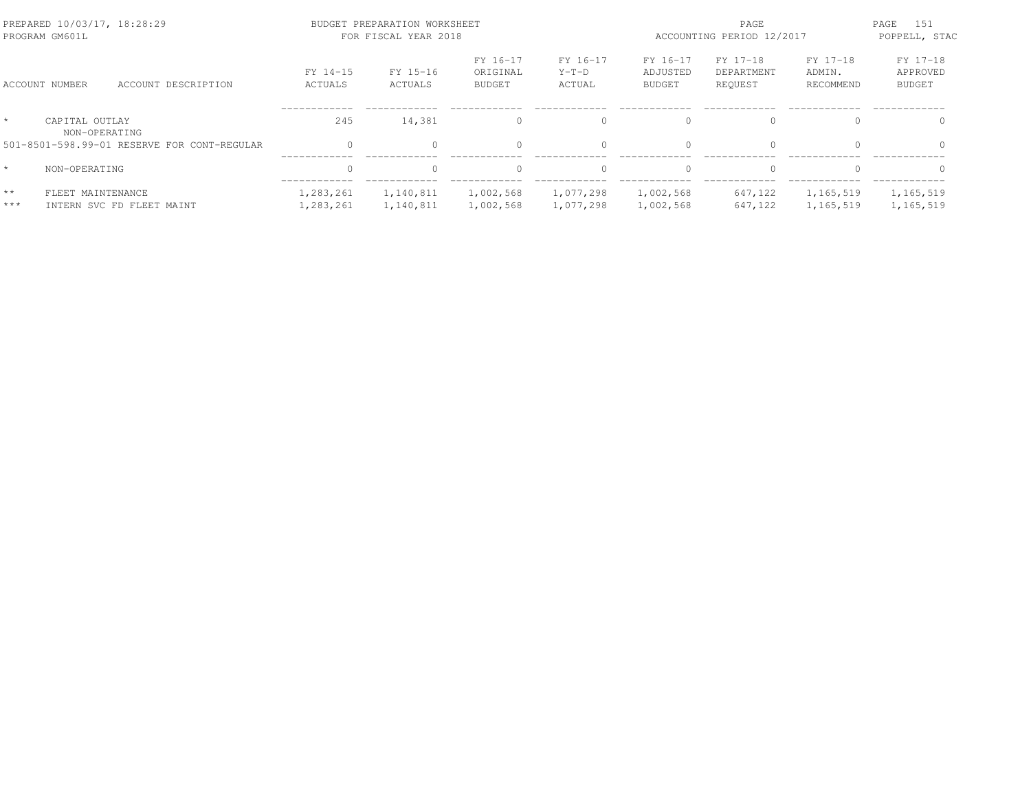|               | PREPARED 10/03/17, 18:28:29<br>PROGRAM GM601L |                                             |                        | BUDGET PREPARATION WORKSHEET<br>FOR FISCAL YEAR 2018 |                                       | PAGE<br>ACCOUNTING PERIOD 12/2017 |                                       |                                   | 151<br>PAGE<br>POPPELL, STAC    |                                       |
|---------------|-----------------------------------------------|---------------------------------------------|------------------------|------------------------------------------------------|---------------------------------------|-----------------------------------|---------------------------------------|-----------------------------------|---------------------------------|---------------------------------------|
|               | ACCOUNT NUMBER                                | ACCOUNT DESCRIPTION                         | FY 14-15<br>ACTUALS    | FY 15-16<br>ACTUALS                                  | FY 16-17<br>ORIGINAL<br><b>BUDGET</b> | FY 16-17<br>$Y-T-D$<br>ACTUAL     | FY 16-17<br>ADJUSTED<br><b>BUDGET</b> | FY 17-18<br>DEPARTMENT<br>REQUEST | FY 17-18<br>ADMIN.<br>RECOMMEND | FY 17-18<br>APPROVED<br><b>BUDGET</b> |
|               | CAPITAL OUTLAY<br>NON-OPERATING               |                                             | 245                    | 14,381                                               | $\Omega$                              | $\Omega$                          | $\Omega$                              | $\Omega$                          |                                 |                                       |
|               |                                               | 501-8501-598.99-01 RESERVE FOR CONT-REGULAR | $\bigcap$              |                                                      |                                       | $\Omega$                          | $\bigcap$                             |                                   |                                 |                                       |
|               | NON-OPERATING                                 |                                             | $\bigcap$              |                                                      |                                       | $\Omega$                          | $\cap$                                | $\Omega$                          |                                 |                                       |
| $**$<br>$***$ | FLEET MAINTENANCE                             | INTERN SVC FD FLEET MAINT                   | 1,283,261<br>1,283,261 | 1,140,811<br>1,140,811                               | 1,002,568<br>1,002,568                | 1,077,298<br>1,077,298            | 1,002,568<br>1,002,568                | 647,122<br>647,122                | 1,165,519<br>1,165,519          | 1,165,519<br>1,165,519                |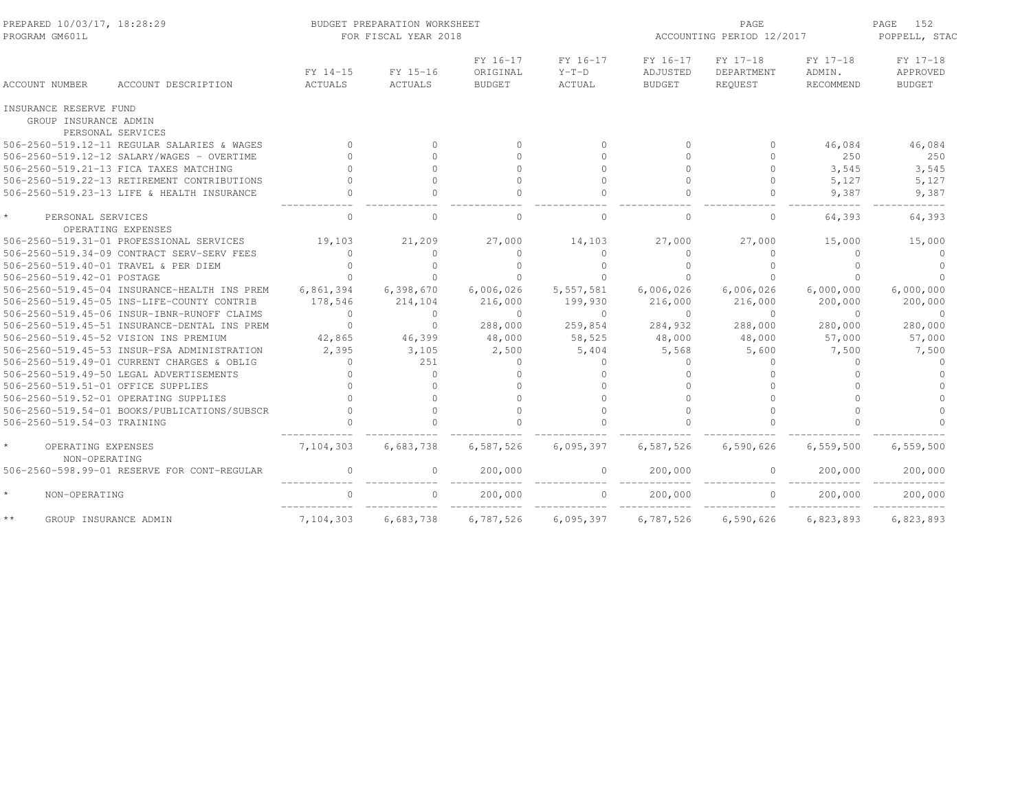| PREPARED 10/03/17, 18:28:29<br>PROGRAM GM601L   |                                                                                      |                     | BUDGET PREPARATION WORKSHEET<br>FOR FISCAL YEAR 2018 |                                       |                               | PAGE<br>ACCOUNTING PERIOD 12/2017     |                                   |                                        | PAGE<br>152<br>POPPELL, STAC          |
|-------------------------------------------------|--------------------------------------------------------------------------------------|---------------------|------------------------------------------------------|---------------------------------------|-------------------------------|---------------------------------------|-----------------------------------|----------------------------------------|---------------------------------------|
| <b>ACCOUNT NUMBER</b>                           | ACCOUNT DESCRIPTION                                                                  | FY 14-15<br>ACTUALS | FY 15-16<br>ACTUALS                                  | FY 16-17<br>ORIGINAL<br><b>BUDGET</b> | FY 16-17<br>$Y-T-D$<br>ACTUAL | FY 16-17<br>ADJUSTED<br><b>BUDGET</b> | FY 17-18<br>DEPARTMENT<br>REQUEST | FY 17-18<br>ADMIN.<br><b>RECOMMEND</b> | FY 17-18<br>APPROVED<br><b>BUDGET</b> |
| INSURANCE RESERVE FUND<br>GROUP INSURANCE ADMIN |                                                                                      |                     |                                                      |                                       |                               |                                       |                                   |                                        |                                       |
|                                                 | PERSONAL SERVICES                                                                    |                     | $\Omega$                                             | $\Omega$                              |                               | $\Omega$                              |                                   |                                        |                                       |
|                                                 | 506-2560-519.12-11 REGULAR SALARIES & WAGES                                          |                     | $\cap$                                               | $\cap$                                | $\circ$<br>$\Omega$           | $\cap$                                | $\Omega$<br>$\cap$                | 46,084<br>250                          | 46,084<br>250                         |
|                                                 | 506-2560-519.12-12 SALARY/WAGES - OVERTIME<br>506-2560-519.21-13 FICA TAXES MATCHING |                     | $\cap$                                               |                                       | $\Omega$                      |                                       | $\Omega$                          | 3,545                                  | 3,545                                 |
|                                                 | 506-2560-519.22-13 RETIREMENT CONTRIBUTIONS                                          |                     | $\Omega$                                             | $\Omega$                              | $\Omega$                      | $\Omega$                              | $\Omega$                          | 5,127                                  |                                       |
|                                                 | 506-2560-519.23-13 LIFE & HEALTH INSURANCE                                           |                     | $\Omega$                                             |                                       | $\Omega$                      |                                       | $\Omega$                          | 9,387                                  | 5,127<br>9,387                        |
| PERSONAL SERVICES                               |                                                                                      | $\mathbf{0}$        | $\Omega$                                             | $\Omega$                              | 0                             |                                       | 0                                 | 64,393                                 | 64,393                                |
|                                                 | OPERATING EXPENSES                                                                   |                     |                                                      |                                       |                               |                                       |                                   |                                        |                                       |
|                                                 | 506-2560-519.31-01 PROFESSIONAL SERVICES                                             | 19,103              | 21,209                                               | 27,000                                | 14,103                        | 27,000                                | 27,000                            | 15,000                                 | 15,000                                |
|                                                 | 506-2560-519.34-09 CONTRACT SERV-SERV FEES                                           | $\mathbf{0}$        | $\Omega$                                             | $\mathbf{0}$                          | $\mathbf{0}$                  | $\Omega$                              | $\circ$                           | $\Omega$                               | $\Omega$                              |
|                                                 | 506-2560-519.40-01 TRAVEL & PER DIEM                                                 | $\Omega$            | $\cap$                                               |                                       | $\Omega$                      |                                       |                                   | $\cap$                                 |                                       |
| 506-2560-519.42-01 POSTAGE                      |                                                                                      |                     | $\Omega$                                             |                                       | $\Omega$                      |                                       |                                   | $\cap$                                 |                                       |
|                                                 | 506-2560-519.45-04 INSURANCE-HEALTH INS PREM                                         | 6,861,394           | 6,398,670                                            | 6,006,026                             | 5,557,581                     | 6,006,026                             | 6,006,026                         | 6,000,000                              | 6,000,000                             |
|                                                 | 506-2560-519.45-05 INS-LIFE-COUNTY CONTRIB                                           | 178,546             | 214,104                                              | 216,000                               | 199,930                       | 216,000                               | 216,000                           | 200,000                                | 200,000                               |
|                                                 | 506-2560-519.45-06 INSUR-IBNR-RUNOFF CLAIMS                                          | $\Omega$            | $\Omega$                                             | $\Omega$                              | $\Omega$                      | $\Omega$                              | $\Omega$                          | $\Omega$                               | $\Omega$                              |
|                                                 | 506-2560-519.45-51 INSURANCE-DENTAL INS PREM                                         | $\Omega$            | $\Omega$                                             | 288,000                               | 259,854                       | 284,932                               | 288,000                           | 280,000                                | 280,000                               |
|                                                 | 506-2560-519.45-52 VISION INS PREMIUM                                                | 42,865              | 46,399                                               | 48,000                                | 58,525                        | 48,000                                | 48,000                            | 57,000                                 | 57,000                                |
|                                                 | 506-2560-519.45-53 INSUR-FSA ADMINISTRATION                                          | 2,395               | 3,105                                                | 2,500                                 | 5,404                         | 5,568                                 | 5,600                             | 7,500                                  | 7,500                                 |
|                                                 | 506-2560-519.49-01 CURRENT CHARGES & OBLIG                                           | $\Omega$            | 251                                                  | $\Omega$                              | $\mathbf{0}$                  | $\Omega$                              | $\Omega$                          | $\Omega$                               | $\Omega$                              |
|                                                 | 506-2560-519.49-50 LEGAL ADVERTISEMENTS                                              |                     | $\Omega$                                             |                                       | $\Omega$                      |                                       |                                   |                                        |                                       |
| 506-2560-519.51-01 OFFICE SUPPLIES              |                                                                                      |                     | $\Omega$                                             |                                       | $\Omega$                      | $\cap$                                |                                   |                                        |                                       |
|                                                 | 506-2560-519.52-01 OPERATING SUPPLIES                                                |                     | $\Omega$                                             |                                       | $\Omega$                      |                                       |                                   |                                        |                                       |
|                                                 | 506-2560-519.54-01 BOOKS/PUBLICATIONS/SUBSCR                                         |                     | $\Omega$                                             | $\cap$                                | $\Omega$                      |                                       |                                   |                                        | $\Omega$                              |
| 506-2560-519.54-03 TRAINING                     |                                                                                      |                     |                                                      |                                       |                               |                                       |                                   |                                        |                                       |
| OPERATING EXPENSES<br>NON-OPERATING             |                                                                                      | 7,104,303           | 6,683,738                                            | 6,587,526                             | 6,095,397                     | 6,587,526                             | 6,590,626                         | 6,559,500                              | 6,559,500                             |
|                                                 | 506-2560-598.99-01 RESERVE FOR CONT-REGULAR                                          | $\mathbf 0$         | 0                                                    | 200,000                               | 0                             | 200,000                               | 0                                 | 200,000                                | 200,000                               |
| NON-OPERATING                                   |                                                                                      | $\mathbf{0}$        | $\circ$                                              | 200,000                               | $\circ$                       | 200,000                               | $\circ$                           | 200,000                                | 200,000                               |
| $\star$ $\star$<br>GROUP INSURANCE ADMIN        |                                                                                      | 7,104,303           | 6,683,738                                            | 6,787,526                             | 6,095,397                     | 6,787,526                             | 6,590,626                         | 6,823,893                              | 6,823,893                             |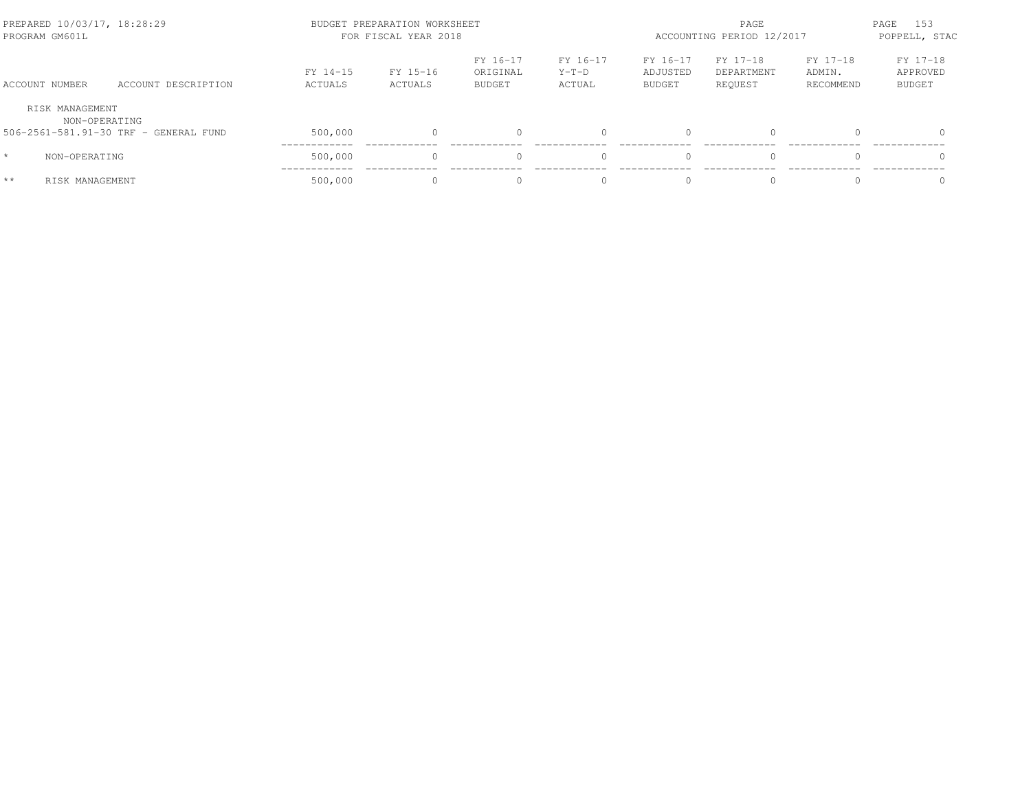| PREPARED 10/03/17, 18:28:29<br>PROGRAM GM601L |                                                        |                     | BUDGET PREPARATION WORKSHEET<br>FOR FISCAL YEAR 2018 |                                       | PAGE<br>ACCOUNTING PERIOD 12/2017 |                                |                                   | 153<br>PAGE<br>POPPELL, STAC    |                                       |
|-----------------------------------------------|--------------------------------------------------------|---------------------|------------------------------------------------------|---------------------------------------|-----------------------------------|--------------------------------|-----------------------------------|---------------------------------|---------------------------------------|
| ACCOUNT NUMBER                                | ACCOUNT DESCRIPTION                                    | FY 14-15<br>ACTUALS | FY 15-16<br>ACTUALS                                  | FY 16-17<br>ORIGINAL<br><b>BUDGET</b> | FY 16-17<br>$Y-T-D$<br>ACTUAL     | FY 16-17<br>ADJUSTED<br>BUDGET | FY 17-18<br>DEPARTMENT<br>REOUEST | FY 17-18<br>ADMIN.<br>RECOMMEND | FY 17-18<br>APPROVED<br><b>BUDGET</b> |
| RISK MANAGEMENT                               | NON-OPERATING<br>506-2561-581.91-30 TRF - GENERAL FUND | 500,000             | $\Omega$                                             | $\Omega$                              | $\Omega$                          | $\bigcap$                      | $\Omega$                          |                                 | $\Omega$                              |
|                                               |                                                        |                     |                                                      |                                       |                                   |                                |                                   |                                 |                                       |
| $\star$<br>NON-OPERATING                      |                                                        | 500,000             |                                                      | $\Omega$                              |                                   | $\Omega$                       |                                   |                                 | $\Omega$                              |
| $**$<br>RISK MANAGEMENT                       |                                                        | 500,000             |                                                      | $\Omega$                              |                                   | $\Omega$                       |                                   |                                 |                                       |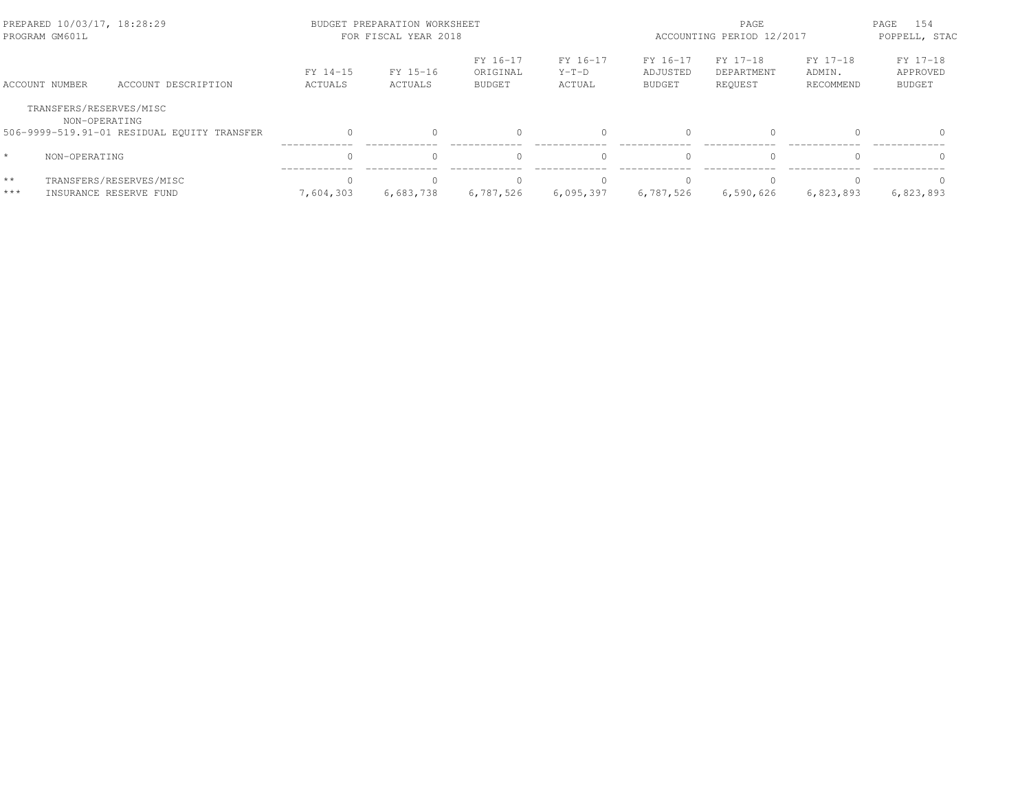| PREPARED 10/03/17, 18:28:29<br>PROGRAM GM601L |                                                              |                     | BUDGET PREPARATION WORKSHEET<br>FOR FISCAL YEAR 2018 |                                       |                               | PAGE<br>ACCOUNTING PERIOD 12/2017 |                                   |                                 | PAGE<br>154<br>POPPELL, STAC          |
|-----------------------------------------------|--------------------------------------------------------------|---------------------|------------------------------------------------------|---------------------------------------|-------------------------------|-----------------------------------|-----------------------------------|---------------------------------|---------------------------------------|
| ACCOUNT NUMBER                                | ACCOUNT DESCRIPTION                                          | FY 14-15<br>ACTUALS | FY 15-16<br>ACTUALS                                  | FY 16-17<br>ORIGINAL<br><b>BUDGET</b> | FY 16-17<br>$Y-T-D$<br>ACTUAL | FY 16-17<br>ADJUSTED<br>BUDGET    | FY 17-18<br>DEPARTMENT<br>REOUEST | FY 17-18<br>ADMIN.<br>RECOMMEND | FY 17-18<br>APPROVED<br><b>BUDGET</b> |
| TRANSFERS/RESERVES/MISC                       | NON-OPERATING<br>506-9999-519.91-01 RESIDUAL EQUITY TRANSFER |                     |                                                      |                                       |                               | $\bigcap$                         | $\Omega$                          |                                 | $\Omega$                              |
| $\star$<br>NON-OPERATING                      |                                                              |                     |                                                      |                                       |                               | $\bigcap$                         | $\Omega$                          |                                 | $\Omega$                              |
| $**$<br>$***$                                 | TRANSFERS/RESERVES/MISC<br>INSURANCE RESERVE FUND            | 7,604,303           | 6,683,738                                            | 6,787,526                             | 6,095,397                     | 6,787,526                         | $\bigcap$<br>6,590,626            | 6,823,893                       | $\Omega$<br>6,823,893                 |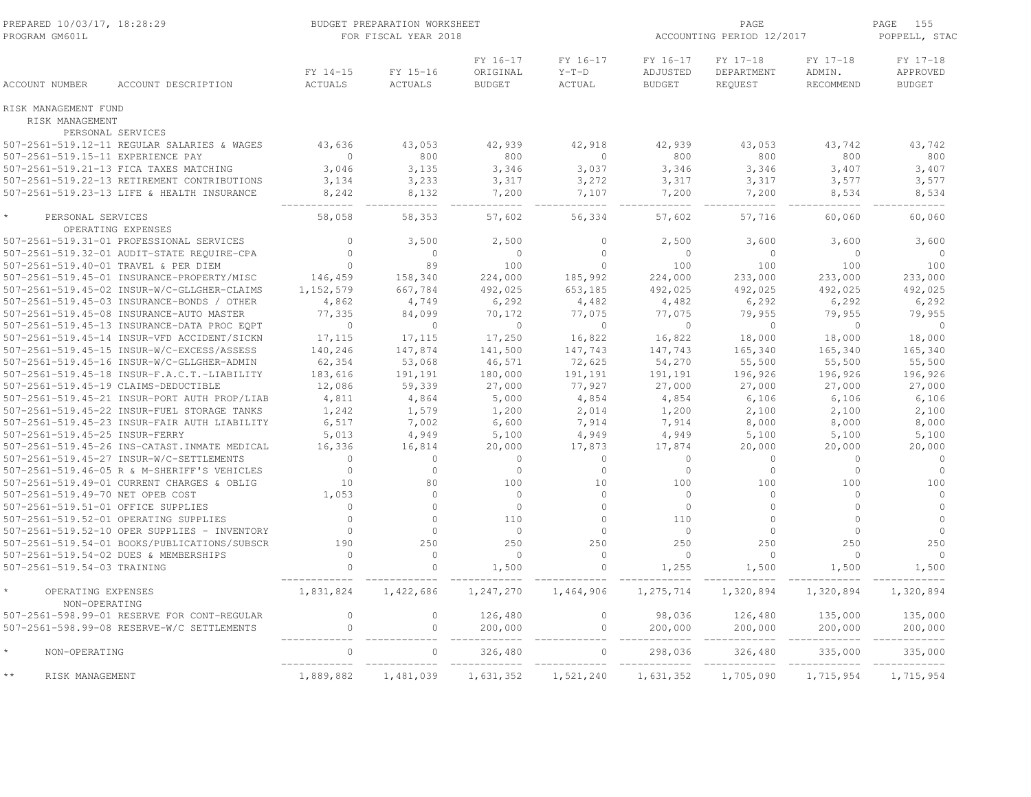| PREPARED 10/03/17, 18:28:29<br>PROGRAM GM601L |                                               | BUDGET PREPARATION WORKSHEET<br>PAGE<br>ACCOUNTING PERIOD 12/2017<br>FOR FISCAL YEAR 2018 |                     |                                       |                               | PAGE<br>155<br>POPPELL, STAC          |                                   |                                 |                                       |
|-----------------------------------------------|-----------------------------------------------|-------------------------------------------------------------------------------------------|---------------------|---------------------------------------|-------------------------------|---------------------------------------|-----------------------------------|---------------------------------|---------------------------------------|
| <b>ACCOUNT NUMBER</b>                         | ACCOUNT DESCRIPTION                           | FY 14-15<br>ACTUALS                                                                       | FY 15-16<br>ACTUALS | FY 16-17<br>ORIGINAL<br><b>BUDGET</b> | FY 16-17<br>$Y-T-D$<br>ACTUAL | FY 16-17<br>ADJUSTED<br><b>BUDGET</b> | FY 17-18<br>DEPARTMENT<br>REQUEST | FY 17-18<br>ADMIN.<br>RECOMMEND | FY 17-18<br>APPROVED<br><b>BUDGET</b> |
| RISK MANAGEMENT FUND<br>RISK MANAGEMENT       |                                               |                                                                                           |                     |                                       |                               |                                       |                                   |                                 |                                       |
|                                               | PERSONAL SERVICES                             |                                                                                           |                     |                                       |                               |                                       |                                   |                                 |                                       |
|                                               | 507-2561-519.12-11 REGULAR SALARIES & WAGES   | 43,636                                                                                    | 43,053              | 42,939                                | 42,918                        | 42,939                                | 43,053                            | 43,742                          | 43,742                                |
| 507-2561-519.15-11 EXPERIENCE PAY             |                                               | $\mathbf{0}$                                                                              | 800                 | 800                                   | $\circ$                       | 800                                   | 800                               | 800                             | 800                                   |
|                                               | 507-2561-519.21-13 FICA TAXES MATCHING        | 3,046                                                                                     | 3,135               | 3,346                                 | 3,037                         | 3,346                                 | 3,346                             | 3,407                           | 3,407                                 |
|                                               | 507-2561-519.22-13 RETIREMENT CONTRIBUTIONS   | 3,134                                                                                     | 3,233               | 3,317                                 | 3,272                         | 3,317                                 | 3,317                             | 3,577                           | 3,577                                 |
|                                               | 507-2561-519.23-13 LIFE & HEALTH INSURANCE    | 8,242                                                                                     | 8,132               | 7,200                                 | 7,107                         | 7,200                                 | 7,200                             | 8,534                           | 8,534                                 |
| PERSONAL SERVICES                             | OPERATING EXPENSES                            | 58,058                                                                                    | 58,353              | 57,602                                | 56,334                        | 57,602                                | 57,716                            | 60,060                          | 60,060                                |
|                                               | 507-2561-519.31-01 PROFESSIONAL SERVICES      | $\mathbf 0$                                                                               | 3,500               | 2,500                                 | $\mathbf{0}$                  | 2,500                                 | 3,600                             | 3,600                           | 3,600                                 |
|                                               | 507-2561-519.32-01 AUDIT-STATE REQUIRE-CPA    | $\mathbf{0}$                                                                              | $\circ$             | $\circ$                               | $\mathbf{0}$                  | $\overline{0}$                        | $\mathbf{0}$                      | $\circ$                         | $\circ$                               |
|                                               | 507-2561-519.40-01 TRAVEL & PER DIEM          | $\mathbf{0}$                                                                              | 89                  | 100                                   | $\circ$                       | 100                                   | 100                               | 100                             | 100                                   |
|                                               | 507-2561-519.45-01 INSURANCE-PROPERTY/MISC    | 146,459                                                                                   | 158,340             | 224,000                               | 185,992                       | 224,000                               | 233,000                           | 233,000                         | 233,000                               |
|                                               | 507-2561-519.45-02 INSUR-W/C-GLLGHER-CLAIMS   | 1,152,579                                                                                 | 667,784             | 492,025                               | 653,185                       | 492,025                               | 492,025                           | 492,025                         | 492,025                               |
|                                               | 507-2561-519.45-03 INSURANCE-BONDS / OTHER    | 4,862                                                                                     | 4,749               | 6,292                                 | 4,482                         | 4,482                                 | 6, 292                            | 6,292                           | 6,292                                 |
|                                               | 507-2561-519.45-08 INSURANCE-AUTO MASTER      | 77,335                                                                                    | 84,099              | 70,172                                | 77,075                        | 77,075                                | 79,955                            | 79,955                          | 79,955                                |
|                                               | 507-2561-519.45-13 INSURANCE-DATA PROC EQPT   | $\circ$                                                                                   | $\circ$             | $\mathbf{0}$                          | $\circ$                       | $\circ$                               | $\mathbf{0}$                      | $\circ$                         | $\circ$                               |
|                                               | 507-2561-519.45-14 INSUR-VFD ACCIDENT/SICKN   | 17,115                                                                                    | 17,115              | 17,250                                | 16,822                        | 16,822                                | 18,000                            | 18,000                          | 18,000                                |
|                                               | 507-2561-519.45-15 INSUR-W/C-EXCESS/ASSESS    | 140,246                                                                                   | 147,874             | 141,500                               | 147,743                       | 147,743                               | 165,340                           | 165,340                         | 165,340                               |
|                                               | 507-2561-519.45-16 INSUR-W/C-GLLGHER-ADMIN    | 62,354                                                                                    | 53,068              | 46,571                                | 72,625                        | 54,270                                | 55,500                            | 55,500                          | 55,500                                |
|                                               | 507-2561-519.45-18 INSUR-F.A.C.T.-LIABILITY   | 183,616                                                                                   | 191,191             | 180,000                               | 191,191                       | 191,191                               | 196,926                           | 196,926                         | 196,926                               |
| 507-2561-519.45-19 CLAIMS-DEDUCTIBLE          |                                               | 12,086                                                                                    | 59,339              | 27,000                                | 77,927                        | 27,000                                | 27,000                            | 27,000                          | 27,000                                |
|                                               | 507-2561-519.45-21 INSUR-PORT AUTH PROP/LIAB  | 4,811                                                                                     | 4,864               | 5,000                                 | 4,854                         | 4,854                                 | 6,106                             | 6,106                           | 6,106                                 |
|                                               | 507-2561-519.45-22 INSUR-FUEL STORAGE TANKS   | 1,242                                                                                     | 1,579               | 1,200                                 | 2,014                         | 1,200                                 | 2,100                             | 2,100                           | 2,100                                 |
|                                               | 507-2561-519.45-23 INSUR-FAIR AUTH LIABILITY  | 6,517                                                                                     | 7,002               | 6,600                                 | 7,914                         | 7,914                                 | 8,000                             | 8,000                           | 8,000                                 |
| 507-2561-519.45-25 INSUR-FERRY                |                                               | 5,013                                                                                     | 4,949               | 5,100                                 | 4,949                         | 4,949                                 | 5,100                             | 5,100                           | 5,100                                 |
|                                               | 507-2561-519.45-26 INS-CATAST. INMATE MEDICAL | 16,336                                                                                    | 16,814              | 20,000                                | 17,873                        | 17,874                                | 20,000                            | 20,000                          | 20,000                                |
|                                               | 507-2561-519.45-27 INSUR-W/C-SETTLEMENTS      | $\mathbf{0}$                                                                              | $\circ$             | $\circ$                               | $\circ$                       | $\circ$                               | $\circ$                           | $\circ$                         | $\circ$                               |
|                                               | 507-2561-519.46-05 R & M-SHERIFF'S VEHICLES   | $\mathbf{0}$                                                                              | $\circ$             | $\circ$                               | $\circ$                       | $\overline{0}$                        | $\circ$                           | $\circ$                         | $\circ$                               |
|                                               | 507-2561-519.49-01 CURRENT CHARGES & OBLIG    | 10                                                                                        | 80                  | 100                                   | 10                            | 100                                   | 100                               | 100                             | 100                                   |
| 507-2561-519.49-70 NET OPEB COST              |                                               | 1,053                                                                                     | $\circ$             | $\circ$                               | $\mathbf 0$                   | $\Omega$                              | $\circ$                           | $\Omega$                        | $\circ$                               |
| 507-2561-519.51-01 OFFICE SUPPLIES            |                                               | $\Omega$                                                                                  | $\Omega$            | $\Omega$                              | $\Omega$                      | $\overline{0}$                        | $\Omega$                          | $\Omega$                        | $\circ$                               |
|                                               | 507-2561-519.52-01 OPERATING SUPPLIES         | $\Omega$                                                                                  | $\Omega$            | 110                                   | $\Omega$                      | 110                                   | $\Omega$                          | $\Omega$                        | $\circ$                               |
|                                               | 507-2561-519.52-10 OPER SUPPLIES - INVENTORY  | $\circ$                                                                                   | $\circ$             | $\circ$                               | $\mathbf{0}$                  | $\overline{0}$                        | $\mathbf{0}$                      | $\circ$                         | $\circ$                               |
|                                               | 507-2561-519.54-01 BOOKS/PUBLICATIONS/SUBSCR  | 190                                                                                       | 250                 | 250                                   | 250                           | 250                                   | 250                               | 250                             | 250                                   |
|                                               | 507-2561-519.54-02 DUES & MEMBERSHIPS         | $\mathbf{0}$                                                                              | $\circ$             | $\circ$                               | $\mathbf{0}$                  | $\overline{0}$                        | $\mathbf{0}$                      | $\circ$                         | $\circ$                               |
| 507-2561-519.54-03 TRAINING                   |                                               | $\mathbb O$                                                                               | $\circ$             | 1,500                                 | $\circ$                       | 1,255                                 | 1,500                             | 1,500                           | 1,500                                 |
| OPERATING EXPENSES<br>NON-OPERATING           |                                               | 1,831,824                                                                                 | 1,422,686           | 1,247,270                             | 1,464,906                     | 1,275,714                             | 1,320,894                         | 1,320,894                       | 1,320,894                             |
|                                               | 507-2561-598.99-01 RESERVE FOR CONT-REGULAR   | $\mathbf{0}$                                                                              | $\circ$             | 126,480                               | $\circ$                       | 98,036                                | 126,480                           | 135,000                         | 135,000                               |
|                                               | 507-2561-598.99-08 RESERVE-W/C SETTLEMENTS    | $\mathbb O$                                                                               | $\circ$             | 200,000                               | $\circ$                       | 200,000                               | 200,000                           | 200,000                         | 200,000                               |
| NON-OPERATING                                 |                                               | $\mathbf 0$                                                                               | 0                   | 326,480                               | $\mathbf{0}$                  | 298,036                               | 326,480                           | 335,000                         | 335,000                               |
| $\star\star$<br>RISK MANAGEMENT               |                                               | -------------<br>1,889,882                                                                | 1,481,039           | 1,631,352                             | 1,521,240                     | 1,631,352                             | 1,705,090                         | 1,715,954                       | 1,715,954                             |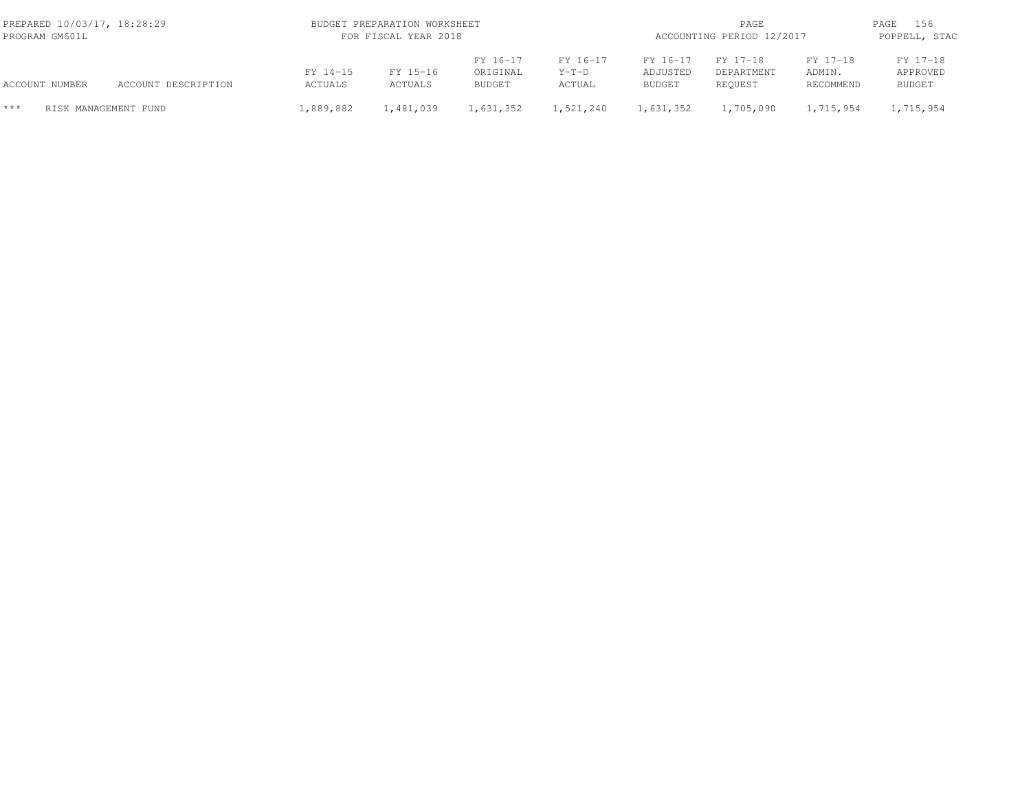| PREPARED 10/03/17, 18:28:29<br>PROGRAM GM601L |                      |                     |                     | BUDGET PREPARATION WORKSHEET<br>FOR FISCAL YEAR 2018 |                                       |                               |                                       |                                   | PAGE<br>ACCOUNTING PERIOD 12/2017 |                                       |  |  |
|-----------------------------------------------|----------------------|---------------------|---------------------|------------------------------------------------------|---------------------------------------|-------------------------------|---------------------------------------|-----------------------------------|-----------------------------------|---------------------------------------|--|--|
|                                               | ACCOUNT NUMBER       | ACCOUNT DESCRIPTION | FY 14-15<br>ACTUALS | FY 15-16<br>ACTUALS                                  | FY 16-17<br>ORIGINAL<br><b>BUDGET</b> | FY 16-17<br>$Y-T-D$<br>ACTUAL | FY 16-17<br>ADJUSTED<br><b>BUDGET</b> | FY 17-18<br>DEPARTMENT<br>REOUEST | FY 17-18<br>ADMIN.<br>RECOMMEND   | FY 17-18<br>APPROVED<br><b>BUDGET</b> |  |  |
| $***$                                         | RISK MANAGEMENT FUND |                     | 1,889,882           | 1,481,039                                            | 1,631,352                             | 1,521,240                     | 1,631,352                             | 1,705,090                         | 1,715,954                         | 1,715,954                             |  |  |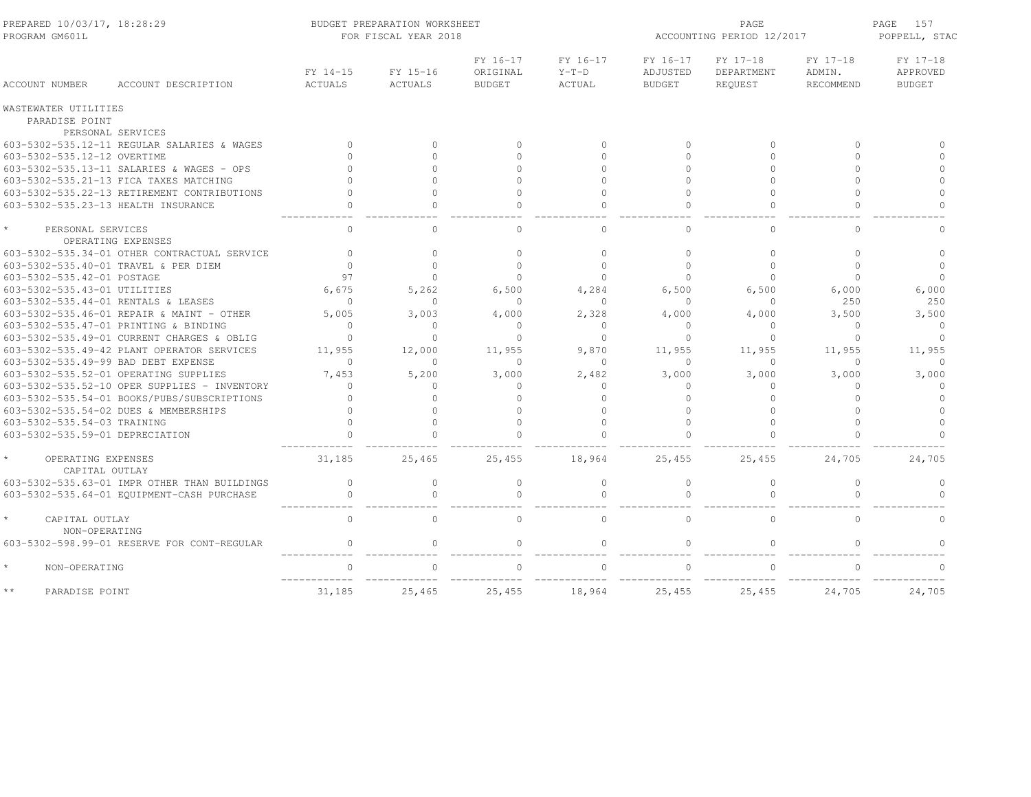| PREPARED 10/03/17, 18:28:29<br>PROGRAM GM601L |                                              | BUDGET PREPARATION WORKSHEET<br>FOR FISCAL YEAR 2018 |                     |                                       |                               | PAGE<br>ACCOUNTING PERIOD 12/2017     |                                   |                                 | PAGE<br>157<br>POPPELL, STAC          |  |
|-----------------------------------------------|----------------------------------------------|------------------------------------------------------|---------------------|---------------------------------------|-------------------------------|---------------------------------------|-----------------------------------|---------------------------------|---------------------------------------|--|
| <b>ACCOUNT NUMBER</b>                         | ACCOUNT DESCRIPTION                          | FY 14-15<br>ACTUALS                                  | FY 15-16<br>ACTUALS | FY 16-17<br>ORIGINAL<br><b>BUDGET</b> | FY 16-17<br>$Y-T-D$<br>ACTUAL | FY 16-17<br>ADJUSTED<br><b>BUDGET</b> | FY 17-18<br>DEPARTMENT<br>REQUEST | FY 17-18<br>ADMIN.<br>RECOMMEND | FY 17-18<br>APPROVED<br><b>BUDGET</b> |  |
| WASTEWATER UTILITIES                          |                                              |                                                      |                     |                                       |                               |                                       |                                   |                                 |                                       |  |
| PARADISE POINT                                |                                              |                                                      |                     |                                       |                               |                                       |                                   |                                 |                                       |  |
|                                               | PERSONAL SERVICES                            |                                                      |                     |                                       |                               |                                       |                                   |                                 |                                       |  |
|                                               | 603-5302-535.12-11 REGULAR SALARIES & WAGES  | $\Omega$                                             | $\Omega$            | $\Omega$                              | $\Omega$                      | $\Omega$                              | $\Omega$                          | $\Omega$                        | $\Omega$                              |  |
| 603-5302-535.12-12 OVERTIME                   |                                              | $\Omega$                                             | $\Omega$            | $\cap$                                | $\Omega$                      | $\Omega$                              | $\Omega$                          | $\Omega$                        | $\Omega$                              |  |
|                                               | 603-5302-535.13-11 SALARIES & WAGES - OPS    |                                                      | $\Omega$            | $\cap$                                | $\Omega$                      | $\cap$                                | $\cap$                            | $\cap$                          | $\Omega$                              |  |
|                                               | 603-5302-535.21-13 FICA TAXES MATCHING       |                                                      | $\Omega$            | $\cap$                                | $\cap$                        | $\cap$                                | $\cap$                            | $\cap$                          | $\Omega$                              |  |
|                                               | 603-5302-535.22-13 RETIREMENT CONTRIBUTIONS  | $\cap$                                               | $\Omega$            | $\cap$                                | $\Omega$                      | $\cap$                                | $\Omega$                          | $\cap$                          | $\circ$                               |  |
|                                               | 603-5302-535.23-13 HEALTH INSURANCE          |                                                      | $\Omega$            | $\cap$                                | $\Omega$                      |                                       | $\Omega$                          | $\cap$                          | $\Omega$                              |  |
| PERSONAL SERVICES                             | OPERATING EXPENSES                           | $\Omega$                                             | $\Omega$            | $\Omega$                              | $\Omega$                      | $\cap$                                | $\Omega$                          | $\cap$                          | $\cap$                                |  |
|                                               | 603-5302-535.34-01 OTHER CONTRACTUAL SERVICE | $\Omega$                                             | $\circ$             | $\Omega$                              | $\Omega$                      | $\cap$                                | $\Omega$                          | $\Omega$                        | $\Omega$                              |  |
|                                               | 603-5302-535.40-01 TRAVEL & PER DIEM         | $\Omega$                                             | $\Omega$            | $\Omega$                              | $\Omega$                      | $\bigcap$                             | $\Omega$                          | $\Omega$                        | $\Omega$                              |  |
| 603-5302-535.42-01 POSTAGE                    |                                              | 97                                                   | $\Omega$            | $\Omega$                              | $\cap$                        | $\cap$                                | $\Omega$                          | $\Omega$                        | $\Omega$                              |  |
| 603-5302-535.43-01 UTILITIES                  |                                              | 6.675                                                | 5,262               | 6,500                                 | 4,284                         | 6,500                                 | 6,500                             | 6,000                           | 6,000                                 |  |
|                                               | 603-5302-535.44-01 RENTALS & LEASES          | $\Omega$                                             | $\Omega$            | $\Omega$                              | $\Omega$                      | $\Omega$                              | $\Omega$                          | 250                             | 250                                   |  |
|                                               | 603-5302-535.46-01 REPAIR & MAINT - OTHER    | 5,005                                                | 3,003               | 4,000                                 | 2,328                         | 4,000                                 | 4,000                             | 3,500                           | 3,500                                 |  |
|                                               | 603-5302-535.47-01 PRINTING & BINDING        | $\mathbf{0}$                                         | 0                   | $\mathbf{0}$                          | $\circ$                       | $\bigcap$                             | $\circ$                           | 0                               | $\circ$                               |  |
|                                               | 603-5302-535.49-01 CURRENT CHARGES & OBLIG   | $\mathbf{0}$                                         | $\circ$             | $\Omega$                              | $\circ$                       | $\Omega$                              | $\mathbf{0}$                      | $\Omega$                        | $\Omega$                              |  |
|                                               |                                              |                                                      |                     |                                       |                               |                                       |                                   |                                 |                                       |  |
|                                               | 603-5302-535.49-42 PLANT OPERATOR SERVICES   | 11,955                                               | 12,000              | 11,955                                | 9,870                         | 11,955                                | 11,955                            | 11,955                          | 11,955                                |  |
|                                               | 603-5302-535.49-99 BAD DEBT EXPENSE          | $\Omega$                                             | $\circ$             | $\bigcap$                             | $\circ$                       | $\bigcap$                             | $\circ$                           | $\Omega$                        | $\Omega$                              |  |
|                                               | 603-5302-535.52-01 OPERATING SUPPLIES        | 7,453                                                | 5,200               | 3,000                                 | 2,482                         | 3,000                                 | 3,000                             | 3,000                           | 3,000                                 |  |
|                                               | 603-5302-535.52-10 OPER SUPPLIES - INVENTORY | $\bigcap$                                            | $\Omega$            | $\Omega$                              | $\Omega$                      | $\cap$                                | 0                                 | $\Omega$                        | $\Omega$                              |  |
|                                               | 603-5302-535.54-01 BOOKS/PUBS/SUBSCRIPTIONS  | $\mathbf{0}$                                         | $\circ$             | $\mathbf{0}$                          | $\Omega$                      | $\cap$                                | $\circ$                           | $\Omega$                        | $\circ$                               |  |
|                                               | 603-5302-535.54-02 DUES & MEMBERSHIPS        | $\Omega$                                             | $\Omega$            | $\Omega$                              | $\Omega$                      | $\cap$                                | $\Omega$                          | $\Omega$                        | $\Omega$                              |  |
| 603-5302-535.54-03 TRAINING                   |                                              | $\Omega$                                             | $\Omega$            | $\Omega$                              | $\Omega$                      | $\cap$                                | $\Omega$                          | $\Omega$                        | $\Omega$                              |  |
| 603-5302-535.59-01 DEPRECIATION               |                                              |                                                      | $\Omega$            |                                       | $\Omega$                      |                                       |                                   |                                 |                                       |  |
| OPERATING EXPENSES<br>CAPITAL OUTLAY          |                                              | 31,185                                               | 25,465              | 25,455                                | 18,964                        | 25,455                                | 25,455                            | 24,705                          | 24,705                                |  |
|                                               | 603-5302-535.63-01 IMPR OTHER THAN BUILDINGS | $\circ$                                              | $\Omega$            | $\Omega$                              | $\circ$                       | $\Omega$                              | $\mathbf{0}$                      | $\Omega$                        | $\circ$                               |  |
|                                               | 603-5302-535.64-01 EQUIPMENT-CASH PURCHASE   | $\Omega$                                             | $\Omega$            | $\cap$                                | $\cap$                        |                                       | $\Omega$                          |                                 |                                       |  |
| $\star$<br>CAPITAL OUTLAY<br>NON-OPERATING    |                                              | $\Omega$                                             | $\Omega$            | $\cap$                                | $\Omega$                      | $\cap$                                | $\Omega$                          | $\cap$                          | $\Omega$                              |  |
|                                               | 603-5302-598.99-01 RESERVE FOR CONT-REGULAR  | $\Omega$                                             | $\Omega$            | $\cap$                                | $\Omega$                      |                                       | $\Omega$                          |                                 |                                       |  |
| $\star$<br>NON-OPERATING                      |                                              | $\cap$                                               |                     |                                       |                               |                                       |                                   |                                 |                                       |  |
| $\star\star$<br>PARADISE POINT                |                                              | 31,185                                               | 25,465              | 25,455                                | 18,964                        | 25,455                                | 25,455                            | 24,705                          | 24,705                                |  |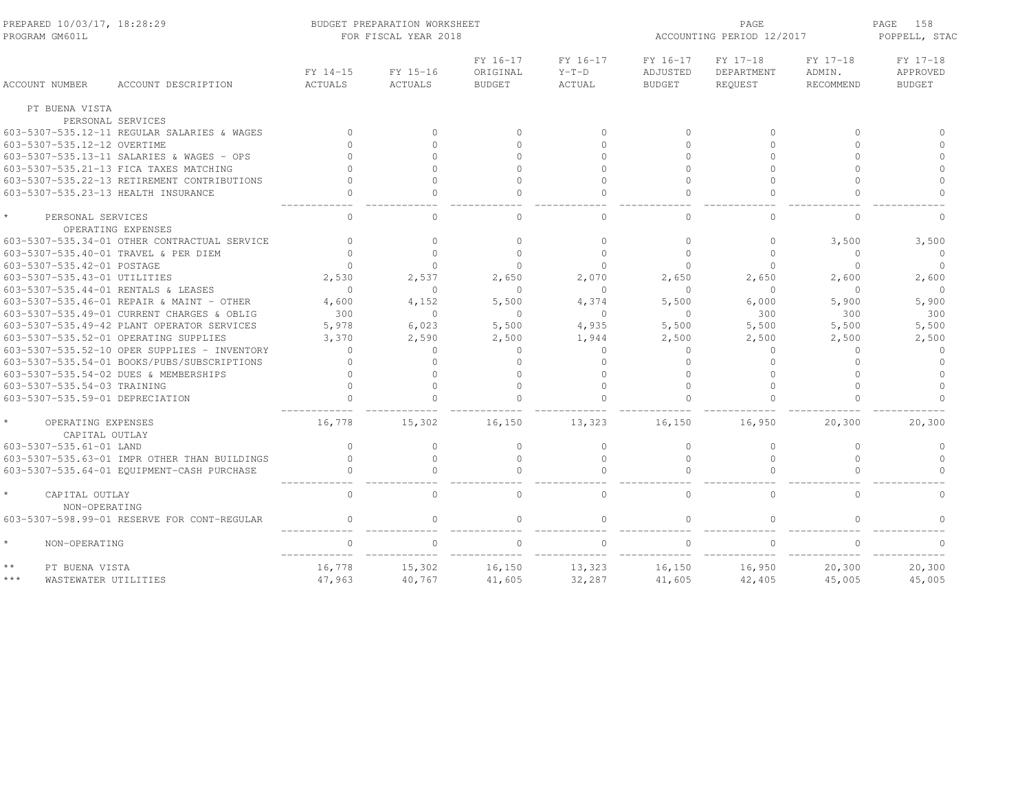| PREPARED 10/03/17, 18:28:29<br>PROGRAM GM601L   |                                              | BUDGET PREPARATION WORKSHEET<br>FOR FISCAL YEAR 2018 |                            |                                       |                                      | ACCOUNTING PERIOD 12/2017             | PAGE<br>158<br>POPPELL, STAC      |                                        |                                       |
|-------------------------------------------------|----------------------------------------------|------------------------------------------------------|----------------------------|---------------------------------------|--------------------------------------|---------------------------------------|-----------------------------------|----------------------------------------|---------------------------------------|
| <b>ACCOUNT NUMBER</b>                           | ACCOUNT DESCRIPTION                          | FY 14-15<br><b>ACTUALS</b>                           | FY 15-16<br><b>ACTUALS</b> | FY 16-17<br>ORIGINAL<br><b>BUDGET</b> | FY 16-17<br>$Y-T-D$<br><b>ACTUAL</b> | FY 16-17<br>ADJUSTED<br><b>BUDGET</b> | FY 17-18<br>DEPARTMENT<br>REQUEST | FY 17-18<br>ADMIN.<br><b>RECOMMEND</b> | FY 17-18<br>APPROVED<br><b>BUDGET</b> |
| PT BUENA VISTA                                  |                                              |                                                      |                            |                                       |                                      |                                       |                                   |                                        |                                       |
|                                                 | PERSONAL SERVICES                            |                                                      |                            |                                       |                                      |                                       |                                   |                                        |                                       |
|                                                 | 603-5307-535.12-11 REGULAR SALARIES & WAGES  | $\Omega$                                             | $\Omega$                   | $\cap$                                | $\Omega$                             | $\Omega$                              | $\Omega$                          | $\Omega$                               | $\cap$                                |
| 603-5307-535.12-12 OVERTIME                     |                                              | $\Omega$                                             | $\Omega$                   | $\cap$                                | $\Omega$                             | $\cap$                                | $\Omega$                          | $\Omega$                               |                                       |
|                                                 | 603-5307-535.13-11 SALARIES & WAGES - OPS    | $\cap$                                               | $\Omega$                   | $\cap$                                | $\cap$                               | $\cap$                                | $\cap$                            | $\Omega$                               | $\Omega$                              |
|                                                 | 603-5307-535.21-13 FICA TAXES MATCHING       | $\Omega$                                             | $\Omega$                   | $\cap$                                | $\Omega$                             | $\bigcap$                             | $\Omega$                          | $\Omega$                               | $\Omega$                              |
|                                                 | 603-5307-535.22-13 RETIREMENT CONTRIBUTIONS  | $\cap$                                               | $\Omega$                   | $\cap$                                | $\bigcap$                            | $\cap$                                | $\Omega$                          | $\cap$                                 | $\Omega$                              |
| 603-5307-535.23-13 HEALTH INSURANCE             |                                              | $\cap$                                               | $\Omega$                   | $\cap$                                | $\cap$                               | $\cap$                                | $\cap$                            | $\cap$                                 | $\cap$                                |
| $\star$<br>PERSONAL SERVICES                    |                                              | $\Omega$                                             | $\Omega$                   | $\cap$                                | $\Omega$                             | $\cap$                                | $\bigcap$                         |                                        | $\cap$                                |
|                                                 | OPERATING EXPENSES                           |                                                      |                            |                                       |                                      |                                       |                                   |                                        |                                       |
|                                                 | 603-5307-535.34-01 OTHER CONTRACTUAL SERVICE | $\Omega$                                             | $\Omega$                   | $\Omega$                              | $\Omega$                             | $\bigcap$                             | $\Omega$                          | 3,500                                  | 3,500                                 |
|                                                 | 603-5307-535.40-01 TRAVEL & PER DIEM         | $\Omega$                                             | $\Omega$                   | $\Omega$                              | $\Omega$                             | $\Omega$                              | $\circ$                           | $\circ$                                | $\Omega$                              |
| 603-5307-535.42-01 POSTAGE                      |                                              | $\bigcap$                                            | $\Omega$                   | $\Omega$                              | $\bigcap$                            | $\cap$                                | $\Omega$                          | $\Omega$                               | $\Omega$                              |
| 603-5307-535.43-01 UTILITIES                    |                                              | 2,530                                                | 2,537                      | 2,650                                 | 2,070                                | 2,650                                 | 2,650                             | 2,600                                  | 2,600                                 |
| 603-5307-535.44-01 RENTALS & LEASES             |                                              | $\Omega$                                             | $\Omega$                   | $\Omega$                              | $\Omega$                             | $\Omega$                              | $\Omega$                          | $\Omega$                               | $\Omega$                              |
|                                                 | 603-5307-535.46-01 REPAIR & MAINT - OTHER    | 4,600                                                | 4,152                      | 5,500                                 | 4,374                                | 5,500                                 | 6,000                             | 5,900                                  | 5,900                                 |
|                                                 | 603-5307-535.49-01 CURRENT CHARGES & OBLIG   | 300                                                  | $\cap$                     | $\Omega$                              | $\Omega$                             | $\Omega$                              | 300                               | 300                                    | 300                                   |
|                                                 | 603-5307-535.49-42 PLANT OPERATOR SERVICES   | 5,978                                                | 6,023                      | 5,500                                 | 4,935                                | 5,500                                 | 5,500                             | 5,500                                  | 5,500                                 |
|                                                 | 603-5307-535.52-01 OPERATING SUPPLIES        | 3,370                                                | 2,590                      | 2,500                                 | 1,944                                | 2,500                                 | 2,500                             | 2,500                                  | 2,500                                 |
|                                                 | 603-5307-535.52-10 OPER SUPPLIES - INVENTORY | $\Omega$                                             | $\Omega$                   | $\Omega$                              | $\Omega$                             | $\bigcap$                             | $\Omega$                          | $\Omega$                               | $\circ$                               |
|                                                 | 603-5307-535.54-01 BOOKS/PUBS/SUBSCRIPTIONS  | $\circ$                                              | $\Omega$                   | $\Omega$                              | $\Omega$                             | $\Omega$                              | $\circ$                           | $\Omega$                               | $\Omega$                              |
|                                                 | 603-5307-535.54-02 DUES & MEMBERSHIPS        | $\cap$                                               | $\Omega$                   | $\cap$                                | $\Omega$                             | $\cap$                                | $\Omega$                          | $\cap$                                 | $\Omega$                              |
| 603-5307-535.54-03 TRAINING                     |                                              |                                                      | $\Omega$                   | $\cap$                                | $\bigcap$                            |                                       | $\cap$                            | $\cap$                                 | $\Omega$                              |
| 603-5307-535.59-01 DEPRECIATION                 |                                              |                                                      | $\Omega$                   | $\cap$                                | $\cap$                               |                                       | $\cap$                            | $\cap$                                 | $\cap$                                |
| $\star$<br>OPERATING EXPENSES<br>CAPITAL OUTLAY |                                              | 16,778                                               | 15,302                     | 16,150                                | 13,323                               | 16,150                                | 16,950                            | 20,300                                 | 20,300                                |
| 603-5307-535.61-01 LAND                         |                                              | $\Omega$                                             | $\Omega$                   | $\Omega$                              | $\circ$                              | $\Omega$                              | $\circ$                           | $\Omega$                               | $\Omega$                              |
|                                                 | 603-5307-535.63-01 IMPR OTHER THAN BUILDINGS | $\Omega$                                             | $\Omega$                   | $\Omega$                              | $\Omega$                             | $\bigcap$                             | $\Omega$                          | $\cap$                                 | $\Omega$                              |
|                                                 | 603-5307-535.64-01 EQUIPMENT-CASH PURCHASE   |                                                      | $\Omega$                   | $\cap$                                | $\Omega$                             |                                       | $\Omega$                          |                                        |                                       |
| $\star$<br>CAPITAL OUTLAY<br>NON-OPERATING      |                                              | $\Omega$                                             | $\Omega$                   | $\Omega$                              | $\Omega$                             | $\bigcap$                             | $\Omega$                          | $\Omega$                               | $\Omega$                              |
|                                                 | 603-5307-598.99-01 RESERVE FOR CONT-REGULAR  | $\circ$                                              | $\Omega$                   | $\Omega$                              | $\Omega$                             |                                       | $\Omega$                          | $\cap$                                 | $\cap$                                |
| $\star$<br>NON-OPERATING                        |                                              | $\Omega$                                             | $\Omega$                   |                                       | $\Omega$                             |                                       | $\Omega$                          | $\cap$                                 |                                       |
| $\star\star$<br>PT BUENA VISTA                  |                                              | 16,778                                               | 15,302                     | 16,150                                | 13,323                               | 16,150                                | 16,950                            | 20,300                                 | 20,300                                |
| $\star\star\star$<br>WASTEWATER UTILITIES       |                                              | 47,963                                               | 40,767                     | 41,605                                | 32,287                               | 41,605                                | 42,405                            | 45,005                                 | 45,005                                |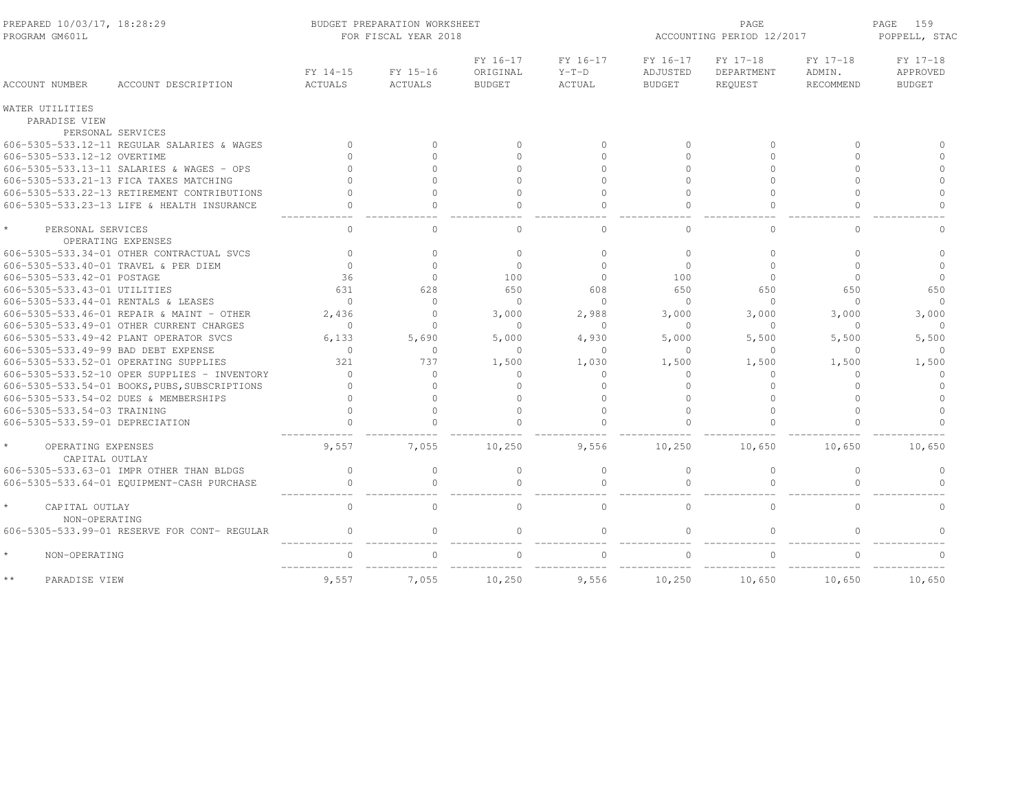| PREPARED 10/03/17, 18:28:29<br>PROGRAM GM601L   |                                               | BUDGET PREPARATION WORKSHEET<br>FOR FISCAL YEAR 2018 |                            |                                       |                               | PAGE<br>ACCOUNTING PERIOD 12/2017     |                                   |                                 | 159<br>PAGE<br>POPPELL, STAC          |
|-------------------------------------------------|-----------------------------------------------|------------------------------------------------------|----------------------------|---------------------------------------|-------------------------------|---------------------------------------|-----------------------------------|---------------------------------|---------------------------------------|
| <b>ACCOUNT NUMBER</b>                           | ACCOUNT DESCRIPTION                           | FY 14-15<br>ACTUALS                                  | FY 15-16<br><b>ACTUALS</b> | FY 16-17<br>ORIGINAL<br><b>BUDGET</b> | FY 16-17<br>$Y-T-D$<br>ACTUAL | FY 16-17<br>ADJUSTED<br><b>BUDGET</b> | FY 17-18<br>DEPARTMENT<br>REOUEST | FY 17-18<br>ADMIN.<br>RECOMMEND | FY 17-18<br>APPROVED<br><b>BUDGET</b> |
| WATER UTILITIES                                 |                                               |                                                      |                            |                                       |                               |                                       |                                   |                                 |                                       |
| PARADISE VIEW<br>PERSONAL SERVICES              |                                               |                                                      |                            |                                       |                               |                                       |                                   |                                 |                                       |
|                                                 | 606-5305-533.12-11 REGULAR SALARIES & WAGES   | $\Omega$                                             | $\Omega$                   | $\Omega$                              | $\Omega$                      | $\Omega$                              | $\Omega$                          | $\Omega$                        | $\cap$                                |
| 606-5305-533.12-12 OVERTIME                     |                                               | $\cap$                                               | $\Omega$                   | $\cap$                                | $\bigcap$                     | $\cap$                                | $\Omega$                          | $\cap$                          |                                       |
|                                                 | 606-5305-533.13-11 SALARIES & WAGES - OPS     | $\Omega$                                             | $\Omega$                   | $\cap$                                | $\Omega$                      | $\cap$                                | $\Omega$                          | $\Omega$                        | $\Omega$                              |
|                                                 | 606-5305-533.21-13 FICA TAXES MATCHING        |                                                      | $\Omega$                   | $\cap$                                | $\bigcap$                     | $\cap$                                | $\Omega$                          | $\Omega$                        | $\Omega$                              |
|                                                 | 606-5305-533.22-13 RETIREMENT CONTRIBUTIONS   | $\Omega$                                             | $\Omega$                   | $\cap$                                | $\bigcap$                     | $\cap$                                | $\Omega$                          | $\Omega$                        | $\Omega$                              |
|                                                 | 606-5305-533.23-13 LIFE & HEALTH INSURANCE    | $\Omega$                                             | 0                          | $\Omega$                              | $\mathbf{0}$                  | $\Omega$                              | $\Omega$                          | $\Omega$                        | $\Omega$                              |
| $\star$<br>PERSONAL SERVICES                    |                                               | $\mathbb O$                                          | $\circ$                    | $\Omega$                              | $\mathsf{O}\xspace$           | $\Omega$                              | $\mathbf{0}$                      | $\circ$                         | $\Omega$                              |
|                                                 | OPERATING EXPENSES                            |                                                      |                            |                                       |                               |                                       |                                   |                                 |                                       |
|                                                 | 606-5305-533.34-01 OTHER CONTRACTUAL SVCS     | $\Omega$                                             | $\Omega$                   | $\circ$                               | $\Omega$                      | $\Omega$                              | $\circ$                           | $\Omega$                        | $\circ$                               |
| 606-5305-533.40-01 TRAVEL & PER DIEM            |                                               | $\bigcap$                                            | $\Omega$                   | $\Omega$                              | $\bigcap$                     | $\Omega$                              | $\Omega$                          | $\Omega$                        | $\Omega$                              |
| 606-5305-533.42-01 POSTAGE                      |                                               | 36                                                   | $\Omega$                   | 100                                   | $\Omega$                      | 100                                   | $\Omega$                          | $\Omega$                        | $\Omega$                              |
| 606-5305-533.43-01 UTILITIES                    |                                               | 631                                                  | 628                        | 650                                   | 608                           | 650                                   | 650                               | 650                             | 650                                   |
| 606-5305-533.44-01 RENTALS & LEASES             |                                               | $\Omega$                                             | $\Omega$                   | $\Omega$                              | $\Omega$                      | $\Omega$                              | $\Omega$                          | $\Omega$                        | $\Omega$                              |
|                                                 | 606-5305-533.46-01 REPAIR & MAINT - OTHER     | 2.436                                                | $\Omega$                   | 3,000                                 | 2,988                         | 3,000                                 | 3,000                             | 3,000                           | 3,000                                 |
|                                                 | 606-5305-533.49-01 OTHER CURRENT CHARGES      | $\Omega$                                             | $\Omega$                   | $\Omega$                              | $\Omega$                      | $\Omega$                              | $\circ$                           | $\circ$                         | $\Omega$                              |
|                                                 | 606-5305-533.49-42 PLANT OPERATOR SVCS        | 6.133                                                | 5,690                      | 5,000                                 | 4,930                         | 5,000                                 | 5,500                             | 5,500                           | 5,500                                 |
| 606-5305-533.49-99 BAD DEBT EXPENSE             |                                               | $\Omega$                                             | $\Omega$                   | $\Omega$                              | $\Omega$                      | $\Omega$                              | $\Omega$                          | $\Omega$                        | $\Omega$                              |
|                                                 | 606-5305-533.52-01 OPERATING SUPPLIES         | 321                                                  | 737                        | 1,500                                 | 1,030                         | 1,500                                 | 1,500                             | 1,500                           | 1,500                                 |
|                                                 | 606-5305-533.52-10 OPER SUPPLIES - INVENTORY  | $\Omega$                                             | $\Omega$                   | $\Omega$                              | $\Omega$                      | $\Omega$                              | $\mathbf{0}$                      | $\Omega$                        | $\Omega$                              |
|                                                 | 606-5305-533.54-01 BOOKS, PUBS, SUBSCRIPTIONS | $\Omega$                                             | $\Omega$                   | $\Omega$                              | $\Omega$                      |                                       | $\Omega$                          | $\Omega$                        | $\Omega$                              |
|                                                 | 606-5305-533.54-02 DUES & MEMBERSHIPS         | $\Omega$                                             | $\Omega$                   | $\cap$                                | $\bigcap$                     | $\cap$                                | $\Omega$                          | $\Omega$                        | $\Omega$                              |
| 606-5305-533.54-03 TRAINING                     |                                               | $\Omega$                                             | $\circ$                    | $\Omega$                              | $\Omega$                      | $\Omega$                              | $\circ$                           | $\Omega$                        | $\circ$                               |
| 606-5305-533.59-01 DEPRECIATION                 |                                               | $\cap$                                               | $\Omega$                   | $\cap$                                | $\cap$                        |                                       |                                   |                                 |                                       |
| $\star$<br>OPERATING EXPENSES<br>CAPITAL OUTLAY |                                               | 9,557                                                | 7,055                      | 10,250                                | 9,556                         | 10,250                                | 10,650                            | 10,650                          | 10,650                                |
|                                                 | 606-5305-533.63-01 IMPR OTHER THAN BLDGS      | $\mathbf{0}$                                         | $\circ$                    | $\Omega$                              | $\circ$                       | $\Omega$                              | $\mathbf{0}$                      | $\Omega$                        | $\Omega$                              |
|                                                 | 606-5305-533.64-01 EQUIPMENT-CASH PURCHASE    | $\circ$                                              | 0                          | $\Omega$                              | $\Omega$                      | $\Omega$                              | $\circ$                           | $\Omega$                        |                                       |
| $\star$<br>CAPITAL OUTLAY<br>NON-OPERATING      |                                               | $\circ$                                              | $\Omega$                   | $\mathbf{0}$                          | $\circ$                       | $\Omega$                              | $\circ$                           | $\circ$                         | 0                                     |
|                                                 | 606-5305-533.99-01 RESERVE FOR CONT- REGULAR  | $\circ$                                              | $\circ$                    | $\Omega$                              | $\Omega$                      | $\Omega$                              | $\mathbf{0}$                      | $\Omega$                        | $\Omega$                              |
| $\star$<br>NON-OPERATING                        |                                               | $\Omega$                                             | $\cap$                     |                                       | $\cap$                        |                                       | $\cap$                            |                                 | $\cap$                                |
| $\star$ $\star$<br>PARADISE VIEW                |                                               | 9,557                                                | 7,055                      | 10,250                                | 9,556                         | 10,250                                | 10,650                            | 10,650                          | 10,650                                |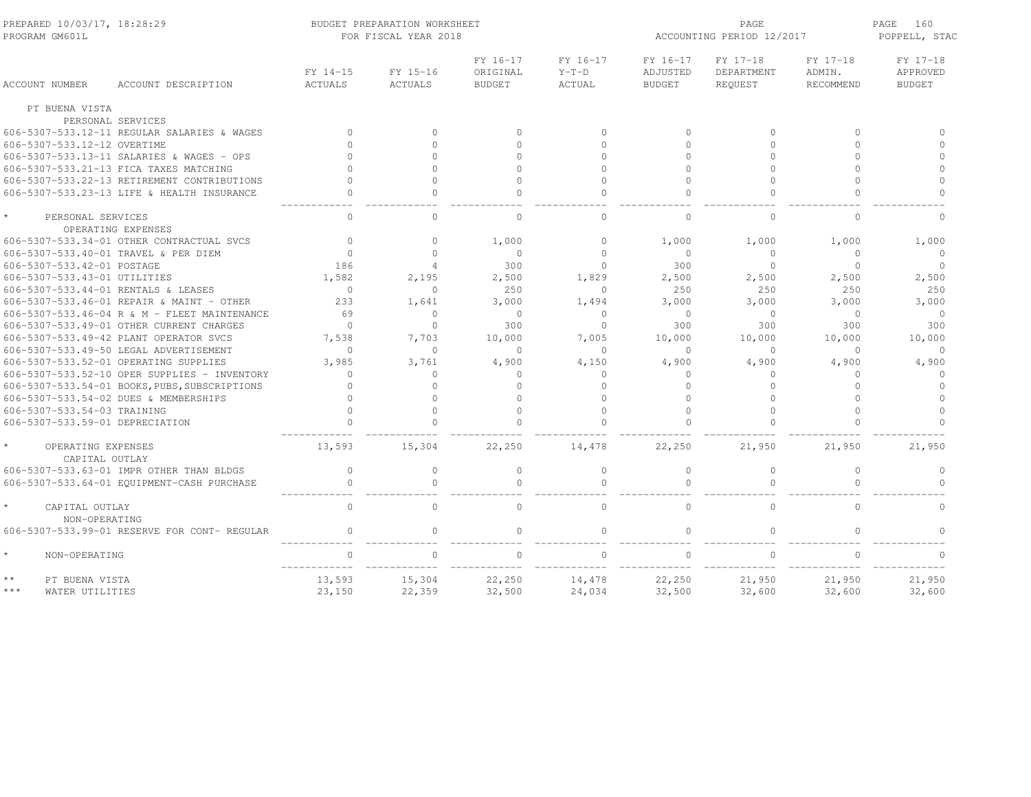| PREPARED 10/03/17, 18:28:29<br>PROGRAM GM601L |                                      |                                               | BUDGET PREPARATION WORKSHEET<br>FOR FISCAL YEAR 2018 |                            |                                       |                               | ACCOUNTING PERIOD 12/2017             | PAGE<br>160<br>POPPELL, STAC      |                                        |                                       |
|-----------------------------------------------|--------------------------------------|-----------------------------------------------|------------------------------------------------------|----------------------------|---------------------------------------|-------------------------------|---------------------------------------|-----------------------------------|----------------------------------------|---------------------------------------|
|                                               | <b>ACCOUNT NUMBER</b>                | ACCOUNT DESCRIPTION                           | FY 14-15<br><b>ACTUALS</b>                           | FY 15-16<br><b>ACTUALS</b> | FY 16-17<br>ORIGINAL<br><b>BUDGET</b> | FY 16-17<br>$Y-T-D$<br>ACTUAL | FY 16-17<br>ADJUSTED<br><b>BUDGET</b> | FY 17-18<br>DEPARTMENT<br>REQUEST | FY 17-18<br>ADMIN.<br><b>RECOMMEND</b> | FY 17-18<br>APPROVED<br><b>BUDGET</b> |
|                                               | PT BUENA VISTA                       |                                               |                                                      |                            |                                       |                               |                                       |                                   |                                        |                                       |
|                                               |                                      | PERSONAL SERVICES                             |                                                      |                            |                                       |                               |                                       |                                   |                                        |                                       |
|                                               |                                      | 606-5307-533.12-11 REGULAR SALARIES & WAGES   | $\Omega$                                             | $\Omega$                   | $\Omega$                              | $\Omega$                      | $\Omega$                              | $\Omega$                          | $\Omega$                               | $\cap$                                |
|                                               | 606-5307-533.12-12 OVERTIME          |                                               | $\cap$                                               | $\Omega$                   | $\cap$                                | $\bigcap$                     | $\cap$                                | $\Omega$                          | $\Omega$                               | $\Omega$                              |
|                                               |                                      | 606-5307-533.13-11 SALARIES & WAGES - OPS     | $\Omega$                                             | $\Omega$                   | $\cap$                                | $\bigcap$                     | $\cap$                                | $\Omega$                          | $\Omega$                               | $\Omega$                              |
|                                               |                                      | 606-5307-533.21-13 FICA TAXES MATCHING        |                                                      | $\Omega$                   | $\cap$                                | $\cap$                        | $\cap$                                | $\cap$                            | $\cap$                                 | $\Omega$                              |
|                                               |                                      | 606-5307-533.22-13 RETIREMENT CONTRIBUTIONS   | $\cap$                                               | $\Omega$                   | $\cap$                                | $\Omega$                      | $\cap$                                | $\Omega$                          | $\cap$                                 | $\Omega$                              |
|                                               |                                      | 606-5307-533.23-13 LIFE & HEALTH INSURANCE    | $\Omega$                                             | $\Omega$                   | $\cap$                                | $\Omega$                      | $\cap$                                | $\Omega$                          | $\cap$                                 | $\Omega$                              |
| $\star$                                       | PERSONAL SERVICES                    | OPERATING EXPENSES                            | $\Omega$                                             | $\Omega$                   | $\Omega$                              | $\Omega$                      | $\bigcap$                             | $\Omega$                          | $\Omega$                               | $\Omega$                              |
|                                               |                                      | 606-5307-533.34-01 OTHER CONTRACTUAL SVCS     | $\Omega$                                             | $\Omega$                   | 1,000                                 | $\bigcap$                     | 1,000                                 | 1,000                             | 1,000                                  | 1,000                                 |
|                                               |                                      | 606-5307-533.40-01 TRAVEL & PER DIEM          | $\bigcap$                                            | $\cap$                     | $\Omega$                              | $\bigcap$                     | $\bigcap$                             | $\Omega$                          | $\Omega$                               | $\Omega$                              |
|                                               | 606-5307-533.42-01 POSTAGE           |                                               | 186                                                  | $\overline{4}$             | 300                                   | $\Omega$                      | 300                                   | $\Omega$                          | $\Omega$                               | $\Omega$                              |
|                                               | 606-5307-533.43-01 UTILITIES         |                                               | 1,582                                                | 2.195                      | 2,500                                 | 1,829                         | 2,500                                 | 2,500                             | 2,500                                  | 2,500                                 |
|                                               |                                      | 606-5307-533.44-01 RENTALS & LEASES           | $\Omega$                                             | $\cap$                     | 2.50                                  | $\Omega$                      | 2.50                                  | 250                               | 250                                    | 250                                   |
|                                               |                                      | 606-5307-533.46-01 REPAIR & MAINT - OTHER     | 233                                                  | 1,641                      | 3,000                                 | 1,494                         | 3,000                                 | 3,000                             | 3,000                                  | 3.000                                 |
|                                               |                                      | 606-5307-533.46-04 R & M - FLEET MAINTENANCE  | 69                                                   | $\Omega$                   | $\circ$                               | $\circ$                       | $\Omega$                              | $\circ$                           | $\Omega$                               | $\overline{0}$                        |
|                                               |                                      | 606-5307-533.49-01 OTHER CURRENT CHARGES      | $\Omega$                                             | $\Omega$                   | 300                                   | $\Omega$                      | 300                                   | 300                               | 300                                    | 300                                   |
|                                               |                                      | 606-5307-533.49-42 PLANT OPERATOR SVCS        | 7,538                                                | 7,703                      | 10,000                                | 7,005                         | 10,000                                | 10,000                            | 10,000                                 | 10,000                                |
|                                               |                                      | 606-5307-533.49-50 LEGAL ADVERTISEMENT        | $\circ$                                              | $\circ$                    | $\circ$                               | $\Omega$                      | $\Omega$                              | $\mathbf{0}$                      | $\Omega$                               | $\circ$                               |
|                                               |                                      | 606-5307-533.52-01 OPERATING SUPPLIES         | 3,985                                                | 3,761                      | 4,900                                 | 4,150                         | 4,900                                 | 4,900                             | 4,900                                  | 4,900                                 |
|                                               |                                      | 606-5307-533.52-10 OPER SUPPLIES - INVENTORY  | $\Omega$                                             | $\Omega$                   | $\Omega$                              | $\Omega$                      | $\Omega$                              | $\Omega$                          | $\Omega$                               | $\circ$                               |
|                                               |                                      | 606-5307-533.54-01 BOOKS, PUBS, SUBSCRIPTIONS | $\Omega$                                             | $\Omega$                   | $\cap$                                | $\cap$                        | $\cap$                                | $\Omega$                          | $\cap$                                 | $\Omega$                              |
|                                               |                                      | 606-5307-533.54-02 DUES & MEMBERSHIPS         | $\Omega$                                             | $\Omega$                   | $\Omega$                              | $\bigcap$                     | $\cap$                                | $\Omega$                          | $\Omega$                               | $\Omega$                              |
|                                               | 606-5307-533.54-03 TRAINING          |                                               | $\cap$                                               | $\Omega$                   | $\cap$                                | $\bigcap$                     | $\cap$                                | $\Omega$                          | $\cap$                                 | $\Omega$                              |
|                                               |                                      | 606-5307-533.59-01 DEPRECIATION               | $\Omega$                                             | $\Omega$                   | $\cap$                                | $\cap$                        | $\cap$                                | $\Omega$                          | $\cap$                                 | $\Omega$                              |
|                                               | OPERATING EXPENSES<br>CAPITAL OUTLAY |                                               | 13,593                                               | 15,304                     | 22,250                                | 14,478                        | 22,250                                | 21,950                            | 21,950                                 | 21,950                                |
|                                               |                                      | 606-5307-533.63-01 IMPR OTHER THAN BLDGS      | $\circ$                                              | $\circ$                    | $\Omega$                              | $\circ$                       | $\Omega$                              | $\mathbf{0}$                      | $\Omega$                               | $\Omega$                              |
|                                               |                                      | 606-5307-533.64-01 EQUIPMENT-CASH PURCHASE    | $\mathbf{0}$                                         | $\Omega$                   | $\Omega$                              | $\Omega$                      |                                       | $\Omega$                          | $\Omega$                               | $\Omega$                              |
| $\star$                                       | CAPITAL OUTLAY<br>NON-OPERATING      |                                               | $\Omega$                                             | $\Omega$                   | $\cap$                                | $\Omega$                      | $\bigcap$                             | $\Omega$                          | $\Omega$                               | $\Omega$                              |
|                                               |                                      | 606-5307-533.99-01 RESERVE FOR CONT- REGULAR  | $\Omega$                                             | $\Omega$                   | $\Omega$                              | $\Omega$                      | $\bigcap$                             | $\Omega$                          | $\Omega$                               | $\cap$                                |
| $\star$                                       | NON-OPERATING                        |                                               | $\Omega$                                             | $\Omega$                   | $\cap$                                | $\cap$                        |                                       | $\bigcap$                         |                                        |                                       |
| $\star\star$                                  | PT BUENA VISTA                       |                                               | 13,593                                               | 15,304                     | 22,250                                | 14,478                        | 22,250                                | 21,950                            | 21,950                                 | 21,950                                |
| $***$                                         | WATER UTILITIES                      |                                               | 23,150                                               | 22,359                     | 32,500                                | 24,034                        | 32,500                                | 32,600                            | 32,600                                 | 32,600                                |